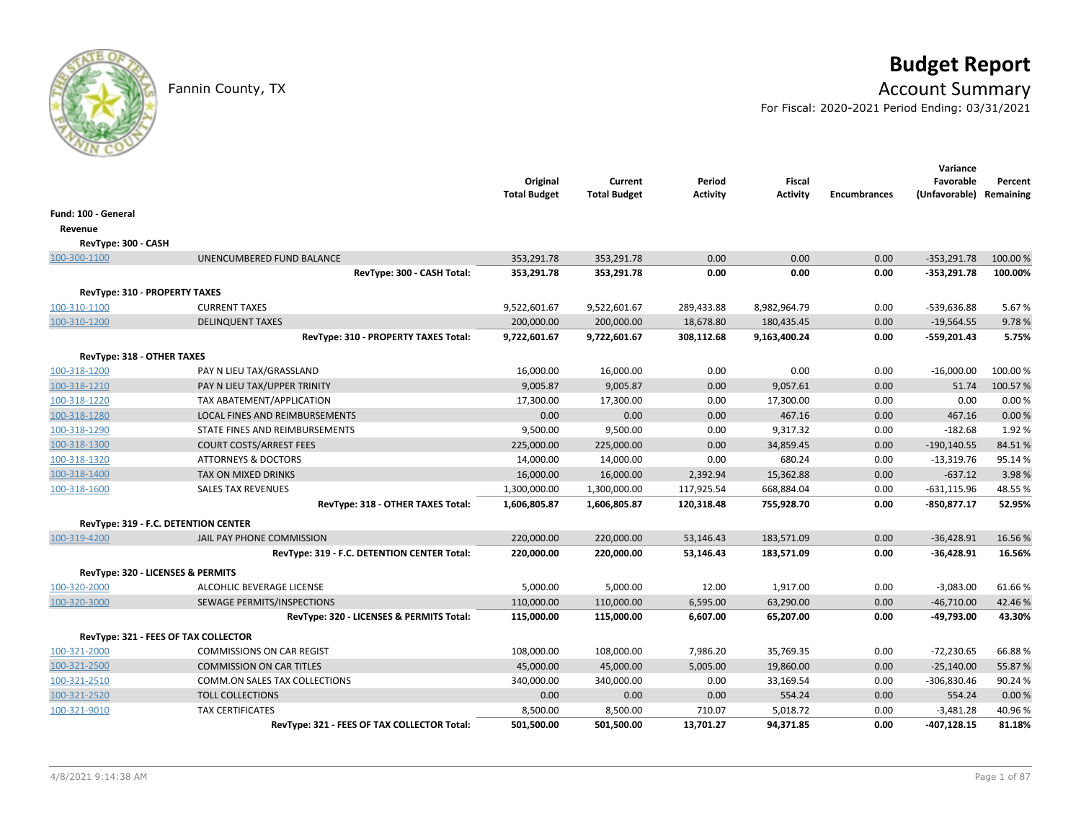# **Budget Report**

## Fannin County, TX **Account Summary**

For Fiscal: 2020-2021 Period Ending: 03/31/2021

|                            |                                             | Original<br><b>Total Budget</b> | Current<br><b>Total Budget</b> | Period<br><b>Activity</b> | <b>Fiscal</b><br><b>Activity</b> | <b>Encumbrances</b> | Variance<br>Favorable<br>(Unfavorable) Remaining | Percent  |
|----------------------------|---------------------------------------------|---------------------------------|--------------------------------|---------------------------|----------------------------------|---------------------|--------------------------------------------------|----------|
| Fund: 100 - General        |                                             |                                 |                                |                           |                                  |                     |                                                  |          |
| Revenue                    |                                             |                                 |                                |                           |                                  |                     |                                                  |          |
| RevType: 300 - CASH        |                                             |                                 |                                |                           |                                  |                     |                                                  |          |
| 100-300-1100               | UNENCUMBERED FUND BALANCE                   | 353,291.78                      | 353,291.78                     | 0.00                      | 0.00                             | 0.00                | $-353,291.78$                                    | 100.00%  |
|                            | RevType: 300 - CASH Total:                  | 353,291.78                      | 353,291.78                     | 0.00                      | 0.00                             | 0.00                | $-353,291.78$                                    | 100.00%  |
|                            | RevType: 310 - PROPERTY TAXES               |                                 |                                |                           |                                  |                     |                                                  |          |
| 100-310-1100               | <b>CURRENT TAXES</b>                        | 9,522,601.67                    | 9,522,601.67                   | 289,433.88                | 8,982,964.79                     | 0.00                | -539,636.88                                      | 5.67%    |
| 100-310-1200               | <b>DELINQUENT TAXES</b>                     | 200,000.00                      | 200,000.00                     | 18,678.80                 | 180,435.45                       | 0.00                | $-19,564.55$                                     | 9.78%    |
|                            | RevType: 310 - PROPERTY TAXES Total:        | 9,722,601.67                    | 9,722,601.67                   | 308,112.68                | 9,163,400.24                     | 0.00                | -559,201.43                                      | 5.75%    |
| RevType: 318 - OTHER TAXES |                                             |                                 |                                |                           |                                  |                     |                                                  |          |
| 100-318-1200               | PAY N LIEU TAX/GRASSLAND                    | 16,000.00                       | 16,000.00                      | 0.00                      | 0.00                             | 0.00                | $-16,000.00$                                     | 100.00 % |
| 100-318-1210               | PAY N LIEU TAX/UPPER TRINITY                | 9,005.87                        | 9,005.87                       | 0.00                      | 9,057.61                         | 0.00                | 51.74                                            | 100.57%  |
| 100-318-1220               | TAX ABATEMENT/APPLICATION                   | 17,300.00                       | 17,300.00                      | 0.00                      | 17,300.00                        | 0.00                | 0.00                                             | 0.00%    |
| 100-318-1280               | LOCAL FINES AND REIMBURSEMENTS              | 0.00                            | 0.00                           | 0.00                      | 467.16                           | 0.00                | 467.16                                           | 0.00 %   |
| 100-318-1290               | STATE FINES AND REIMBURSEMENTS              | 9,500.00                        | 9,500.00                       | 0.00                      | 9,317.32                         | 0.00                | $-182.68$                                        | 1.92%    |
| 100-318-1300               | <b>COURT COSTS/ARREST FEES</b>              | 225,000.00                      | 225,000.00                     | 0.00                      | 34,859.45                        | 0.00                | $-190, 140.55$                                   | 84.51%   |
| 100-318-1320               | <b>ATTORNEYS &amp; DOCTORS</b>              | 14,000.00                       | 14,000.00                      | 0.00                      | 680.24                           | 0.00                | $-13,319.76$                                     | 95.14%   |
| 100-318-1400               | TAX ON MIXED DRINKS                         | 16,000.00                       | 16,000.00                      | 2,392.94                  | 15,362.88                        | 0.00                | $-637.12$                                        | 3.98%    |
| 100-318-1600               | <b>SALES TAX REVENUES</b>                   | 1,300,000.00                    | 1,300,000.00                   | 117,925.54                | 668,884.04                       | 0.00                | $-631,115.96$                                    | 48.55%   |
|                            | RevType: 318 - OTHER TAXES Total:           | 1,606,805.87                    | 1,606,805.87                   | 120,318.48                | 755,928.70                       | 0.00                | $-850,877.17$                                    | 52.95%   |
|                            | RevType: 319 - F.C. DETENTION CENTER        |                                 |                                |                           |                                  |                     |                                                  |          |
| 100-319-4200               | JAIL PAY PHONE COMMISSION                   | 220,000.00                      | 220,000.00                     | 53,146.43                 | 183,571.09                       | 0.00                | $-36,428.91$                                     | 16.56%   |
|                            | RevType: 319 - F.C. DETENTION CENTER Total: | 220,000.00                      | 220,000.00                     | 53,146.43                 | 183,571.09                       | 0.00                | $-36,428.91$                                     | 16.56%   |
|                            | RevType: 320 - LICENSES & PERMITS           |                                 |                                |                           |                                  |                     |                                                  |          |
| 100-320-2000               | ALCOHLIC BEVERAGE LICENSE                   | 5,000.00                        | 5,000.00                       | 12.00                     | 1,917.00                         | 0.00                | $-3,083.00$                                      | 61.66%   |
| 100-320-3000               | SEWAGE PERMITS/INSPECTIONS                  | 110,000.00                      | 110,000.00                     | 6,595.00                  | 63,290.00                        | 0.00                | $-46,710.00$                                     | 42.46%   |
|                            | RevType: 320 - LICENSES & PERMITS Total:    | 115,000.00                      | 115,000.00                     | 6,607.00                  | 65,207.00                        | 0.00                | -49,793.00                                       | 43.30%   |
|                            | RevType: 321 - FEES OF TAX COLLECTOR        |                                 |                                |                           |                                  |                     |                                                  |          |
| 100-321-2000               | <b>COMMISSIONS ON CAR REGIST</b>            | 108,000.00                      | 108,000.00                     | 7,986.20                  | 35,769.35                        | 0.00                | $-72,230.65$                                     | 66.88%   |
| 100-321-2500               | <b>COMMISSION ON CAR TITLES</b>             | 45,000.00                       | 45,000.00                      | 5,005.00                  | 19,860.00                        | 0.00                | $-25,140.00$                                     | 55.87%   |
| 100-321-2510               | COMM.ON SALES TAX COLLECTIONS               | 340,000.00                      | 340,000.00                     | 0.00                      | 33,169.54                        | 0.00                | $-306,830.46$                                    | 90.24%   |
| 100-321-2520               | <b>TOLL COLLECTIONS</b>                     | 0.00                            | 0.00                           | 0.00                      | 554.24                           | 0.00                | 554.24                                           | 0.00%    |
| 100-321-9010               | <b>TAX CERTIFICATES</b>                     | 8,500.00                        | 8,500.00                       | 710.07                    | 5,018.72                         | 0.00                | $-3,481.28$                                      | 40.96%   |
|                            | RevType: 321 - FEES OF TAX COLLECTOR Total: | 501,500.00                      | 501,500.00                     | 13,701.27                 | 94,371.85                        | 0.00                | $-407, 128.15$                                   | 81.18%   |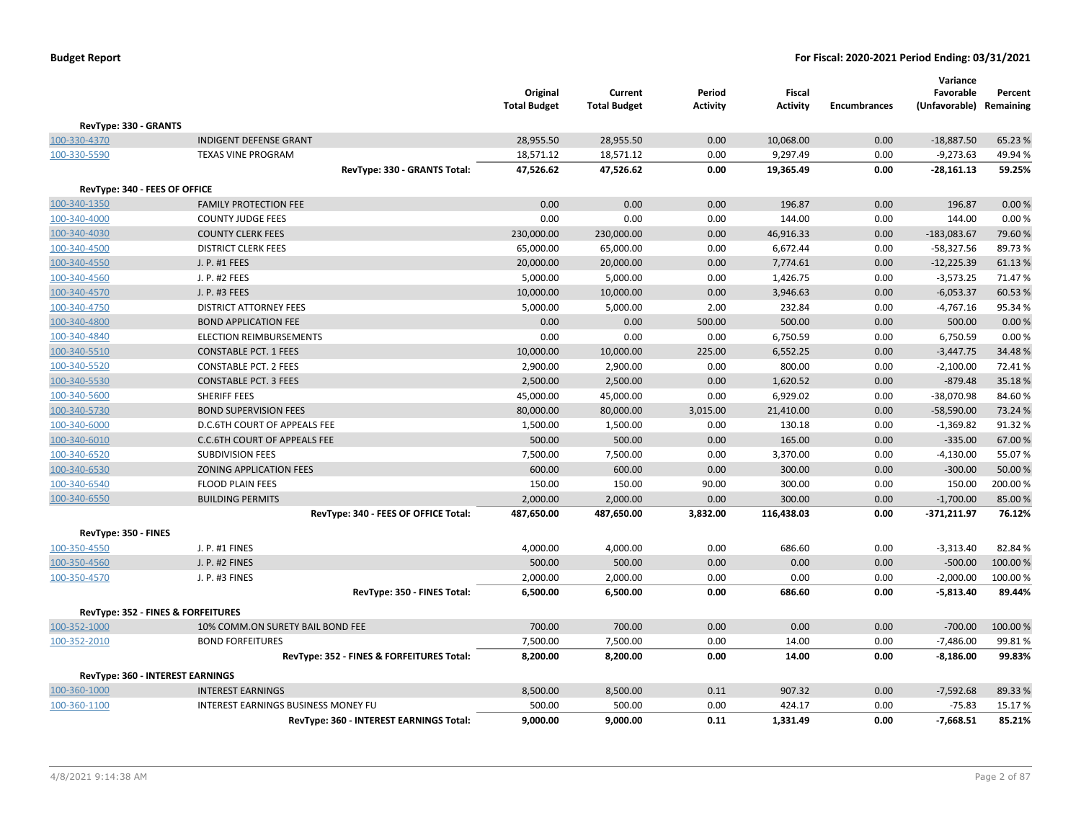|                                    |                                           | Original<br><b>Total Budget</b> | Current<br><b>Total Budget</b> | Period<br><b>Activity</b> | <b>Fiscal</b><br><b>Activity</b> | <b>Encumbrances</b> | Variance<br>Favorable<br>(Unfavorable) | Percent<br>Remaining |
|------------------------------------|-------------------------------------------|---------------------------------|--------------------------------|---------------------------|----------------------------------|---------------------|----------------------------------------|----------------------|
| RevType: 330 - GRANTS              |                                           |                                 |                                |                           |                                  |                     |                                        |                      |
| 100-330-4370                       | <b>INDIGENT DEFENSE GRANT</b>             | 28,955.50                       | 28,955.50                      | 0.00                      | 10,068.00                        | 0.00                | $-18,887.50$                           | 65.23 %              |
| 100-330-5590                       | <b>TEXAS VINE PROGRAM</b>                 | 18,571.12                       | 18,571.12                      | 0.00                      | 9,297.49                         | 0.00                | $-9,273.63$                            | 49.94 %              |
|                                    | RevType: 330 - GRANTS Total:              | 47,526.62                       | 47,526.62                      | 0.00                      | 19,365.49                        | 0.00                | $-28,161.13$                           | 59.25%               |
| RevType: 340 - FEES OF OFFICE      |                                           |                                 |                                |                           |                                  |                     |                                        |                      |
| 100-340-1350                       | <b>FAMILY PROTECTION FEE</b>              | 0.00                            | 0.00                           | 0.00                      | 196.87                           | 0.00                | 196.87                                 | 0.00%                |
| 100-340-4000                       | <b>COUNTY JUDGE FEES</b>                  | 0.00                            | 0.00                           | 0.00                      | 144.00                           | 0.00                | 144.00                                 | 0.00%                |
| 100-340-4030                       | <b>COUNTY CLERK FEES</b>                  | 230,000.00                      | 230,000.00                     | 0.00                      | 46,916.33                        | 0.00                | $-183,083.67$                          | 79.60%               |
| 100-340-4500                       | <b>DISTRICT CLERK FEES</b>                | 65,000.00                       | 65,000.00                      | 0.00                      | 6,672.44                         | 0.00                | $-58,327.56$                           | 89.73%               |
| 100-340-4550                       | J. P. #1 FEES                             | 20,000.00                       | 20,000.00                      | 0.00                      | 7,774.61                         | 0.00                | $-12,225.39$                           | 61.13%               |
| 100-340-4560                       | J. P. #2 FEES                             | 5,000.00                        | 5,000.00                       | 0.00                      | 1,426.75                         | 0.00                | $-3,573.25$                            | 71.47%               |
| 100-340-4570                       | J. P. #3 FEES                             | 10,000.00                       | 10,000.00                      | 0.00                      | 3,946.63                         | 0.00                | $-6,053.37$                            | 60.53 %              |
| 100-340-4750                       | <b>DISTRICT ATTORNEY FEES</b>             | 5,000.00                        | 5,000.00                       | 2.00                      | 232.84                           | 0.00                | $-4,767.16$                            | 95.34%               |
| 100-340-4800                       | <b>BOND APPLICATION FEE</b>               | 0.00                            | 0.00                           | 500.00                    | 500.00                           | 0.00                | 500.00                                 | 0.00%                |
| 100-340-4840                       | <b>ELECTION REIMBURSEMENTS</b>            | 0.00                            | 0.00                           | 0.00                      | 6,750.59                         | 0.00                | 6,750.59                               | 0.00%                |
| 100-340-5510                       | <b>CONSTABLE PCT. 1 FEES</b>              | 10,000.00                       | 10,000.00                      | 225.00                    | 6,552.25                         | 0.00                | $-3,447.75$                            | 34.48%               |
| 100-340-5520                       | <b>CONSTABLE PCT. 2 FEES</b>              | 2,900.00                        | 2,900.00                       | 0.00                      | 800.00                           | 0.00                | $-2,100.00$                            | 72.41%               |
| 100-340-5530                       | <b>CONSTABLE PCT. 3 FEES</b>              | 2,500.00                        | 2,500.00                       | 0.00                      | 1,620.52                         | 0.00                | $-879.48$                              | 35.18%               |
| 100-340-5600                       | <b>SHERIFF FEES</b>                       | 45,000.00                       | 45,000.00                      | 0.00                      | 6,929.02                         | 0.00                | $-38,070.98$                           | 84.60%               |
| 100-340-5730                       | <b>BOND SUPERVISION FEES</b>              | 80,000.00                       | 80,000.00                      | 3,015.00                  | 21,410.00                        | 0.00                | $-58,590.00$                           | 73.24 %              |
| 100-340-6000                       | D.C.6TH COURT OF APPEALS FEE              | 1,500.00                        | 1,500.00                       | 0.00                      | 130.18                           | 0.00                | $-1,369.82$                            | 91.32%               |
| 100-340-6010                       | <b>C.C.6TH COURT OF APPEALS FEE</b>       | 500.00                          | 500.00                         | 0.00                      | 165.00                           | 0.00                | $-335.00$                              | 67.00 %              |
| 100-340-6520                       | <b>SUBDIVISION FEES</b>                   | 7,500.00                        | 7,500.00                       | 0.00                      | 3,370.00                         | 0.00                | $-4,130.00$                            | 55.07%               |
| 100-340-6530                       | <b>ZONING APPLICATION FEES</b>            | 600.00                          | 600.00                         | 0.00                      | 300.00                           | 0.00                | $-300.00$                              | 50.00 %              |
| 100-340-6540                       | <b>FLOOD PLAIN FEES</b>                   | 150.00                          | 150.00                         | 90.00                     | 300.00                           | 0.00                | 150.00                                 | 200.00%              |
| 100-340-6550                       | <b>BUILDING PERMITS</b>                   | 2,000.00                        | 2,000.00                       | 0.00                      | 300.00                           | 0.00                | $-1,700.00$                            | 85.00 %              |
|                                    | RevType: 340 - FEES OF OFFICE Total:      | 487,650.00                      | 487,650.00                     | 3,832.00                  | 116,438.03                       | 0.00                | $-371,211.97$                          | 76.12%               |
| RevType: 350 - FINES               |                                           |                                 |                                |                           |                                  |                     |                                        |                      |
| 100-350-4550                       | J. P. #1 FINES                            | 4,000.00                        | 4,000.00                       | 0.00                      | 686.60                           | 0.00                | $-3,313.40$                            | 82.84%               |
| 100-350-4560                       | J. P. #2 FINES                            | 500.00                          | 500.00                         | 0.00                      | 0.00                             | 0.00                | $-500.00$                              | 100.00%              |
| 100-350-4570                       | J. P. #3 FINES                            | 2,000.00                        | 2,000.00                       | 0.00                      | 0.00                             | 0.00                | $-2,000.00$                            | 100.00%              |
|                                    | RevType: 350 - FINES Total:               | 6,500.00                        | 6,500.00                       | 0.00                      | 686.60                           | 0.00                | $-5,813.40$                            | 89.44%               |
| RevType: 352 - FINES & FORFEITURES |                                           |                                 |                                |                           |                                  |                     |                                        |                      |
| 100-352-1000                       | 10% COMM.ON SURETY BAIL BOND FEE          | 700.00                          | 700.00                         | 0.00                      | 0.00                             | 0.00                | $-700.00$                              | 100.00%              |
| 100-352-2010                       | <b>BOND FORFEITURES</b>                   | 7,500.00                        | 7,500.00                       | 0.00                      | 14.00                            | 0.00                | $-7,486.00$                            | 99.81%               |
|                                    | RevType: 352 - FINES & FORFEITURES Total: | 8,200.00                        | 8,200.00                       | 0.00                      | 14.00                            | 0.00                | $-8,186.00$                            | 99.83%               |
| RevType: 360 - INTEREST EARNINGS   |                                           |                                 |                                |                           |                                  |                     |                                        |                      |
| 100-360-1000                       | <b>INTEREST EARNINGS</b>                  | 8,500.00                        | 8,500.00                       | 0.11                      | 907.32                           | 0.00                | $-7,592.68$                            | 89.33 %              |
| 100-360-1100                       | INTEREST EARNINGS BUSINESS MONEY FU       | 500.00                          | 500.00                         | 0.00                      | 424.17                           | 0.00                | $-75.83$                               | 15.17%               |
|                                    | RevType: 360 - INTEREST EARNINGS Total:   | 9,000.00                        | 9,000.00                       | 0.11                      | 1,331.49                         | 0.00                | $-7,668.51$                            | 85.21%               |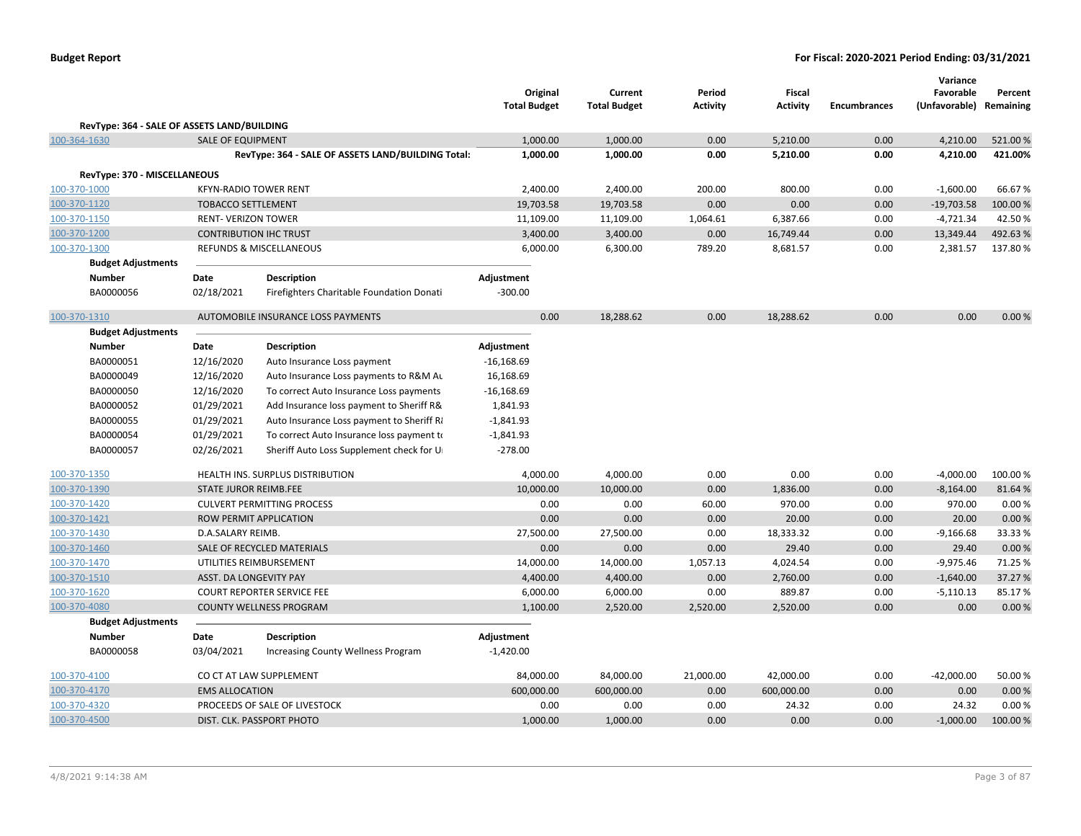|              |                                             |                               |                                                    | Original<br><b>Total Budget</b> | Current<br><b>Total Budget</b> | Period<br><b>Activity</b> | Fiscal<br><b>Activity</b> | <b>Encumbrances</b> | Variance<br>Favorable<br>(Unfavorable) Remaining | Percent  |
|--------------|---------------------------------------------|-------------------------------|----------------------------------------------------|---------------------------------|--------------------------------|---------------------------|---------------------------|---------------------|--------------------------------------------------|----------|
|              | RevType: 364 - SALE OF ASSETS LAND/BUILDING |                               |                                                    |                                 |                                |                           |                           |                     |                                                  |          |
| 100-364-1630 |                                             | <b>SALE OF EQUIPMENT</b>      |                                                    | 1,000.00                        | 1,000.00                       | 0.00                      | 5,210.00                  | 0.00                | 4,210.00                                         | 521.00%  |
|              |                                             |                               | RevType: 364 - SALE OF ASSETS LAND/BUILDING Total: | 1,000.00                        | 1,000.00                       | 0.00                      | 5,210.00                  | 0.00                | 4,210.00                                         | 421.00%  |
|              |                                             |                               |                                                    |                                 |                                |                           |                           |                     |                                                  |          |
|              | RevType: 370 - MISCELLANEOUS                |                               |                                                    |                                 |                                |                           |                           |                     |                                                  |          |
| 100-370-1000 |                                             | <b>KFYN-RADIO TOWER RENT</b>  |                                                    | 2,400.00                        | 2,400.00                       | 200.00                    | 800.00                    | 0.00                | $-1,600.00$                                      | 66.67%   |
| 100-370-1120 |                                             | <b>TOBACCO SETTLEMENT</b>     |                                                    | 19,703.58                       | 19,703.58                      | 0.00                      | 0.00                      | 0.00                | $-19,703.58$                                     | 100.00 % |
| 100-370-1150 |                                             | <b>RENT-VERIZON TOWER</b>     |                                                    | 11,109.00                       | 11,109.00                      | 1,064.61                  | 6,387.66                  | 0.00                | $-4,721.34$                                      | 42.50%   |
| 100-370-1200 |                                             | <b>CONTRIBUTION IHC TRUST</b> |                                                    | 3,400.00                        | 3,400.00                       | 0.00                      | 16,749.44                 | 0.00                | 13,349.44                                        | 492.63%  |
| 100-370-1300 |                                             |                               | REFUNDS & MISCELLANEOUS                            | 6,000.00                        | 6,300.00                       | 789.20                    | 8,681.57                  | 0.00                | 2,381.57                                         | 137.80%  |
|              | <b>Budget Adjustments</b>                   |                               |                                                    |                                 |                                |                           |                           |                     |                                                  |          |
|              | <b>Number</b><br>BA0000056                  | Date                          | <b>Description</b>                                 | Adjustment                      |                                |                           |                           |                     |                                                  |          |
|              |                                             | 02/18/2021                    | Firefighters Charitable Foundation Donati          | $-300.00$                       |                                |                           |                           |                     |                                                  |          |
| 100-370-1310 |                                             |                               | AUTOMOBILE INSURANCE LOSS PAYMENTS                 | 0.00                            | 18,288.62                      | 0.00                      | 18,288.62                 | 0.00                | 0.00                                             | 0.00%    |
|              | <b>Budget Adjustments</b>                   |                               |                                                    |                                 |                                |                           |                           |                     |                                                  |          |
|              | <b>Number</b>                               | Date                          | <b>Description</b>                                 | Adjustment                      |                                |                           |                           |                     |                                                  |          |
|              | BA0000051                                   | 12/16/2020                    | Auto Insurance Loss payment                        | $-16,168.69$                    |                                |                           |                           |                     |                                                  |          |
|              | BA0000049                                   | 12/16/2020                    | Auto Insurance Loss payments to R&M Au             | 16,168.69                       |                                |                           |                           |                     |                                                  |          |
|              | BA0000050                                   | 12/16/2020                    | To correct Auto Insurance Loss payments            | $-16,168.69$                    |                                |                           |                           |                     |                                                  |          |
|              | BA0000052                                   | 01/29/2021                    | Add Insurance loss payment to Sheriff R&           | 1,841.93                        |                                |                           |                           |                     |                                                  |          |
|              | BA0000055                                   | 01/29/2021                    | Auto Insurance Loss payment to Sheriff Ri          | $-1,841.93$                     |                                |                           |                           |                     |                                                  |          |
|              | BA0000054                                   | 01/29/2021                    | To correct Auto Insurance loss payment to          | $-1,841.93$                     |                                |                           |                           |                     |                                                  |          |
|              | BA0000057                                   | 02/26/2021                    | Sheriff Auto Loss Supplement check for U           | $-278.00$                       |                                |                           |                           |                     |                                                  |          |
|              |                                             |                               |                                                    |                                 |                                |                           |                           |                     |                                                  |          |
| 100-370-1350 |                                             |                               | HEALTH INS. SURPLUS DISTRIBUTION                   | 4,000.00                        | 4,000.00                       | 0.00                      | 0.00                      | 0.00                | $-4,000.00$                                      | 100.00%  |
| 100-370-1390 |                                             | STATE JUROR REIMB.FEE         |                                                    | 10,000.00                       | 10,000.00                      | 0.00                      | 1,836.00                  | 0.00                | $-8,164.00$                                      | 81.64%   |
| 100-370-1420 |                                             |                               | <b>CULVERT PERMITTING PROCESS</b>                  | 0.00                            | 0.00                           | 60.00                     | 970.00                    | 0.00                | 970.00                                           | 0.00%    |
| 100-370-1421 |                                             |                               | ROW PERMIT APPLICATION                             | 0.00                            | 0.00                           | 0.00                      | 20.00                     | 0.00                | 20.00                                            | 0.00%    |
| 100-370-1430 |                                             | D.A.SALARY REIMB.             |                                                    | 27,500.00                       | 27,500.00                      | 0.00                      | 18,333.32                 | 0.00                | $-9,166.68$                                      | 33.33%   |
| 100-370-1460 |                                             |                               | SALE OF RECYCLED MATERIALS                         | 0.00                            | 0.00                           | 0.00                      | 29.40                     | 0.00                | 29.40                                            | 0.00%    |
| 100-370-1470 |                                             |                               | UTILITIES REIMBURSEMENT                            | 14,000.00                       | 14,000.00                      | 1,057.13                  | 4,024.54                  | 0.00                | $-9,975.46$                                      | 71.25 %  |
| 100-370-1510 |                                             | ASST. DA LONGEVITY PAY        |                                                    | 4,400.00                        | 4,400.00                       | 0.00                      | 2,760.00                  | 0.00                | $-1,640.00$                                      | 37.27 %  |
| 100-370-1620 |                                             |                               | <b>COURT REPORTER SERVICE FEE</b>                  | 6,000.00                        | 6,000.00                       | 0.00                      | 889.87                    | 0.00                | $-5,110.13$                                      | 85.17%   |
| 100-370-4080 |                                             |                               | <b>COUNTY WELLNESS PROGRAM</b>                     | 1,100.00                        | 2,520.00                       | 2,520.00                  | 2,520.00                  | 0.00                | 0.00                                             | 0.00%    |
|              | <b>Budget Adjustments</b>                   |                               |                                                    |                                 |                                |                           |                           |                     |                                                  |          |
|              | <b>Number</b>                               | Date                          | <b>Description</b>                                 | Adjustment                      |                                |                           |                           |                     |                                                  |          |
|              | BA0000058                                   | 03/04/2021                    | Increasing County Wellness Program                 | $-1,420.00$                     |                                |                           |                           |                     |                                                  |          |
| 100-370-4100 |                                             |                               | CO CT AT LAW SUPPLEMENT                            | 84,000.00                       | 84,000.00                      | 21,000.00                 | 42,000.00                 | 0.00                | $-42,000.00$                                     | 50.00 %  |
| 100-370-4170 |                                             | <b>EMS ALLOCATION</b>         |                                                    | 600,000.00                      | 600,000.00                     | 0.00                      | 600,000.00                | 0.00                | 0.00                                             | 0.00%    |
| 100-370-4320 |                                             |                               | PROCEEDS OF SALE OF LIVESTOCK                      | 0.00                            | 0.00                           | 0.00                      | 24.32                     | 0.00                | 24.32                                            | 0.00%    |
| 100-370-4500 |                                             |                               | DIST. CLK. PASSPORT PHOTO                          | 1,000.00                        | 1,000.00                       | 0.00                      | 0.00                      | 0.00                | $-1,000.00$                                      | 100.00%  |
|              |                                             |                               |                                                    |                                 |                                |                           |                           |                     |                                                  |          |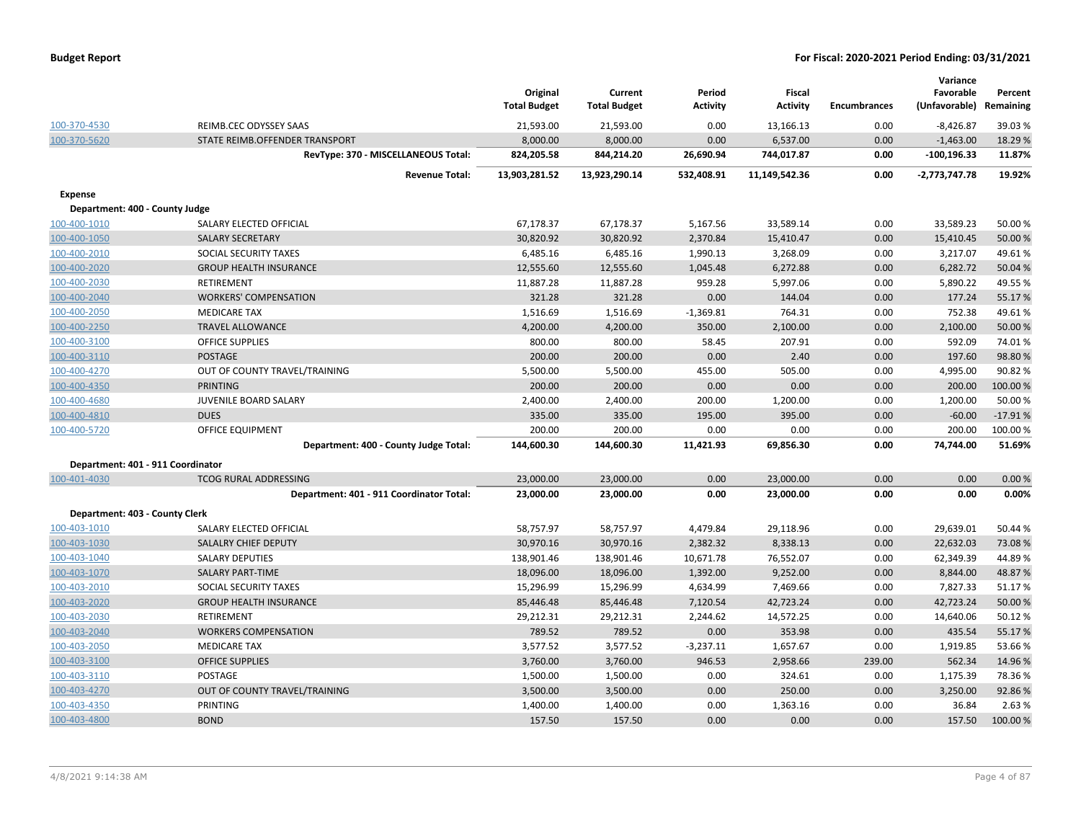| <b>Budget Report</b> |  |
|----------------------|--|
|----------------------|--|

|                                   |                                          | Original<br><b>Total Budget</b> | Current<br><b>Total Budget</b> | Period<br><b>Activity</b> | <b>Fiscal</b><br><b>Activity</b> | <b>Encumbrances</b> | Variance<br>Favorable<br>(Unfavorable) | Percent<br>Remaining |
|-----------------------------------|------------------------------------------|---------------------------------|--------------------------------|---------------------------|----------------------------------|---------------------|----------------------------------------|----------------------|
| 100-370-4530                      | REIMB.CEC ODYSSEY SAAS                   | 21,593.00                       | 21,593.00                      | 0.00                      | 13,166.13                        | 0.00                | $-8,426.87$                            | 39.03%               |
| 100-370-5620                      | STATE REIMB.OFFENDER TRANSPORT           | 8,000.00                        | 8,000.00                       | 0.00                      | 6,537.00                         | 0.00                | $-1,463.00$                            | 18.29 %              |
|                                   | RevType: 370 - MISCELLANEOUS Total:      | 824,205.58                      | 844,214.20                     | 26,690.94                 | 744,017.87                       | 0.00                | $-100, 196.33$                         | 11.87%               |
|                                   | <b>Revenue Total:</b>                    | 13,903,281.52                   | 13,923,290.14                  | 532,408.91                | 11,149,542.36                    | 0.00                | -2,773,747.78                          | 19.92%               |
| <b>Expense</b>                    |                                          |                                 |                                |                           |                                  |                     |                                        |                      |
| Department: 400 - County Judge    |                                          |                                 |                                |                           |                                  |                     |                                        |                      |
| 100-400-1010                      | SALARY ELECTED OFFICIAL                  | 67,178.37                       | 67,178.37                      | 5,167.56                  | 33,589.14                        | 0.00                | 33,589.23                              | 50.00%               |
| 100-400-1050                      | <b>SALARY SECRETARY</b>                  | 30,820.92                       | 30,820.92                      | 2,370.84                  | 15,410.47                        | 0.00                | 15,410.45                              | 50.00 %              |
| 100-400-2010                      | SOCIAL SECURITY TAXES                    | 6,485.16                        | 6,485.16                       | 1,990.13                  | 3,268.09                         | 0.00                | 3,217.07                               | 49.61%               |
| 100-400-2020                      | <b>GROUP HEALTH INSURANCE</b>            | 12,555.60                       | 12,555.60                      | 1,045.48                  | 6,272.88                         | 0.00                | 6,282.72                               | 50.04 %              |
| 100-400-2030                      | RETIREMENT                               | 11,887.28                       | 11,887.28                      | 959.28                    | 5,997.06                         | 0.00                | 5,890.22                               | 49.55%               |
| 100-400-2040                      | <b>WORKERS' COMPENSATION</b>             | 321.28                          | 321.28                         | 0.00                      | 144.04                           | 0.00                | 177.24                                 | 55.17%               |
| 100-400-2050                      | <b>MEDICARE TAX</b>                      | 1,516.69                        | 1,516.69                       | $-1,369.81$               | 764.31                           | 0.00                | 752.38                                 | 49.61%               |
| 100-400-2250                      | <b>TRAVEL ALLOWANCE</b>                  | 4,200.00                        | 4,200.00                       | 350.00                    | 2,100.00                         | 0.00                | 2,100.00                               | 50.00 %              |
| 100-400-3100                      | <b>OFFICE SUPPLIES</b>                   | 800.00                          | 800.00                         | 58.45                     | 207.91                           | 0.00                | 592.09                                 | 74.01%               |
| 100-400-3110                      | <b>POSTAGE</b>                           | 200.00                          | 200.00                         | 0.00                      | 2.40                             | 0.00                | 197.60                                 | 98.80%               |
| 100-400-4270                      | OUT OF COUNTY TRAVEL/TRAINING            | 5,500.00                        | 5,500.00                       | 455.00                    | 505.00                           | 0.00                | 4,995.00                               | 90.82%               |
| 100-400-4350                      | <b>PRINTING</b>                          | 200.00                          | 200.00                         | 0.00                      | 0.00                             | 0.00                | 200.00                                 | 100.00%              |
| 100-400-4680                      | JUVENILE BOARD SALARY                    | 2,400.00                        | 2,400.00                       | 200.00                    | 1,200.00                         | 0.00                | 1,200.00                               | 50.00 %              |
| 100-400-4810                      | <b>DUES</b>                              | 335.00                          | 335.00                         | 195.00                    | 395.00                           | 0.00                | $-60.00$                               | $-17.91%$            |
| 100-400-5720                      | <b>OFFICE EQUIPMENT</b>                  | 200.00                          | 200.00                         | 0.00                      | 0.00                             | 0.00                | 200.00                                 | 100.00 %             |
|                                   | Department: 400 - County Judge Total:    | 144,600.30                      | 144,600.30                     | 11,421.93                 | 69,856.30                        | 0.00                | 74,744.00                              | 51.69%               |
| Department: 401 - 911 Coordinator |                                          |                                 |                                |                           |                                  |                     |                                        |                      |
| 100-401-4030                      | <b>TCOG RURAL ADDRESSING</b>             | 23,000.00                       | 23,000.00                      | 0.00                      | 23,000.00                        | 0.00                | 0.00                                   | 0.00%                |
|                                   | Department: 401 - 911 Coordinator Total: | 23,000.00                       | 23,000.00                      | 0.00                      | 23,000.00                        | 0.00                | 0.00                                   | 0.00%                |
| Department: 403 - County Clerk    |                                          |                                 |                                |                           |                                  |                     |                                        |                      |
| 100-403-1010                      | SALARY ELECTED OFFICIAL                  | 58,757.97                       | 58,757.97                      | 4,479.84                  | 29,118.96                        | 0.00                | 29,639.01                              | 50.44 %              |
| 100-403-1030                      | SALALRY CHIEF DEPUTY                     | 30,970.16                       | 30,970.16                      | 2,382.32                  | 8,338.13                         | 0.00                | 22,632.03                              | 73.08%               |
| 100-403-1040                      | <b>SALARY DEPUTIES</b>                   | 138,901.46                      | 138,901.46                     | 10,671.78                 | 76,552.07                        | 0.00                | 62,349.39                              | 44.89%               |
| 100-403-1070                      | <b>SALARY PART-TIME</b>                  | 18,096.00                       | 18,096.00                      | 1,392.00                  | 9,252.00                         | 0.00                | 8,844.00                               | 48.87%               |
| 100-403-2010                      | SOCIAL SECURITY TAXES                    | 15,296.99                       | 15,296.99                      | 4,634.99                  | 7,469.66                         | 0.00                | 7,827.33                               | 51.17%               |
| 100-403-2020                      | <b>GROUP HEALTH INSURANCE</b>            | 85,446.48                       | 85,446.48                      | 7,120.54                  | 42,723.24                        | 0.00                | 42,723.24                              | 50.00 %              |
| 100-403-2030                      | <b>RETIREMENT</b>                        | 29,212.31                       | 29,212.31                      | 2,244.62                  | 14,572.25                        | 0.00                | 14,640.06                              | 50.12%               |
| 100-403-2040                      | <b>WORKERS COMPENSATION</b>              | 789.52                          | 789.52                         | 0.00                      | 353.98                           | 0.00                | 435.54                                 | 55.17%               |
| 100-403-2050                      | <b>MEDICARE TAX</b>                      | 3,577.52                        | 3,577.52                       | $-3,237.11$               | 1,657.67                         | 0.00                | 1,919.85                               | 53.66%               |
| 100-403-3100                      | <b>OFFICE SUPPLIES</b>                   | 3,760.00                        | 3,760.00                       | 946.53                    | 2,958.66                         | 239.00              | 562.34                                 | 14.96 %              |
| 100-403-3110                      | <b>POSTAGE</b>                           | 1,500.00                        | 1,500.00                       | 0.00                      | 324.61                           | 0.00                | 1,175.39                               | 78.36%               |
| 100-403-4270                      | OUT OF COUNTY TRAVEL/TRAINING            | 3,500.00                        | 3,500.00                       | 0.00                      | 250.00                           | 0.00                | 3,250.00                               | 92.86%               |
| 100-403-4350                      | PRINTING                                 | 1,400.00                        | 1,400.00                       | 0.00                      | 1,363.16                         | 0.00                | 36.84                                  | 2.63%                |
| 100-403-4800                      | <b>BOND</b>                              | 157.50                          | 157.50                         | 0.00                      | 0.00                             | 0.00                | 157.50                                 | 100.00 %             |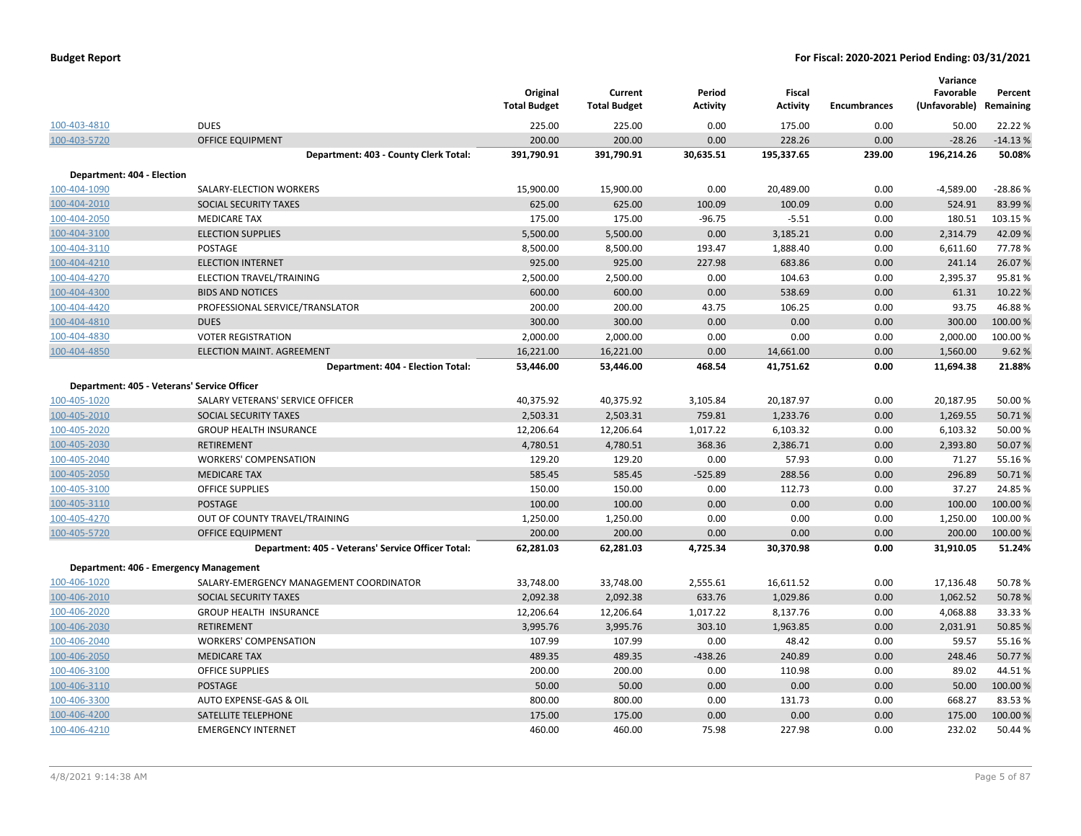|                            |                                                    | Original<br><b>Total Budget</b> | Current<br><b>Total Budget</b> | Period<br><b>Activity</b> | <b>Fiscal</b><br><b>Activity</b> | <b>Encumbrances</b> | Variance<br>Favorable<br>(Unfavorable) | Percent<br>Remaining |
|----------------------------|----------------------------------------------------|---------------------------------|--------------------------------|---------------------------|----------------------------------|---------------------|----------------------------------------|----------------------|
| 100-403-4810               | <b>DUES</b>                                        | 225.00                          | 225.00                         | 0.00                      | 175.00                           | 0.00                | 50.00                                  | 22.22 %              |
| 100-403-5720               | <b>OFFICE EQUIPMENT</b>                            | 200.00                          | 200.00                         | 0.00                      | 228.26                           | 0.00                | $-28.26$                               | $-14.13%$            |
|                            | Department: 403 - County Clerk Total:              | 391,790.91                      | 391,790.91                     | 30,635.51                 | 195,337.65                       | 239.00              | 196,214.26                             | 50.08%               |
| Department: 404 - Election |                                                    |                                 |                                |                           |                                  |                     |                                        |                      |
| 100-404-1090               | SALARY-ELECTION WORKERS                            | 15,900.00                       | 15,900.00                      | 0.00                      | 20,489.00                        | 0.00                | $-4,589.00$                            | $-28.86%$            |
| 100-404-2010               | SOCIAL SECURITY TAXES                              | 625.00                          | 625.00                         | 100.09                    | 100.09                           | 0.00                | 524.91                                 | 83.99%               |
| 100-404-2050               | <b>MEDICARE TAX</b>                                | 175.00                          | 175.00                         | $-96.75$                  | $-5.51$                          | 0.00                | 180.51                                 | 103.15%              |
| 100-404-3100               | <b>ELECTION SUPPLIES</b>                           | 5,500.00                        | 5,500.00                       | 0.00                      | 3,185.21                         | 0.00                | 2,314.79                               | 42.09%               |
| 100-404-3110               | POSTAGE                                            | 8,500.00                        | 8,500.00                       | 193.47                    | 1,888.40                         | 0.00                | 6,611.60                               | 77.78%               |
| 100-404-4210               | <b>ELECTION INTERNET</b>                           | 925.00                          | 925.00                         | 227.98                    | 683.86                           | 0.00                | 241.14                                 | 26.07%               |
| 100-404-4270               | ELECTION TRAVEL/TRAINING                           | 2,500.00                        | 2,500.00                       | 0.00                      | 104.63                           | 0.00                | 2,395.37                               | 95.81%               |
| 100-404-4300               | <b>BIDS AND NOTICES</b>                            | 600.00                          | 600.00                         | 0.00                      | 538.69                           | 0.00                | 61.31                                  | 10.22 %              |
| 100-404-4420               | PROFESSIONAL SERVICE/TRANSLATOR                    | 200.00                          | 200.00                         | 43.75                     | 106.25                           | 0.00                | 93.75                                  | 46.88%               |
| 100-404-4810               | <b>DUES</b>                                        | 300.00                          | 300.00                         | 0.00                      | 0.00                             | 0.00                | 300.00                                 | 100.00 %             |
| 100-404-4830               | <b>VOTER REGISTRATION</b>                          | 2,000.00                        | 2,000.00                       | 0.00                      | 0.00                             | 0.00                | 2,000.00                               | 100.00%              |
| 100-404-4850               | <b>ELECTION MAINT. AGREEMENT</b>                   | 16,221.00                       | 16,221.00                      | 0.00                      | 14,661.00                        | 0.00                | 1,560.00                               | 9.62 %               |
|                            | Department: 404 - Election Total:                  | 53,446.00                       | 53,446.00                      | 468.54                    | 41,751.62                        | 0.00                | 11,694.38                              | 21.88%               |
|                            | Department: 405 - Veterans' Service Officer        |                                 |                                |                           |                                  |                     |                                        |                      |
| 100-405-1020               | SALARY VETERANS' SERVICE OFFICER                   | 40,375.92                       | 40,375.92                      | 3,105.84                  | 20,187.97                        | 0.00                | 20,187.95                              | 50.00%               |
| 100-405-2010               | SOCIAL SECURITY TAXES                              | 2,503.31                        | 2,503.31                       | 759.81                    | 1,233.76                         | 0.00                | 1,269.55                               | 50.71%               |
| 100-405-2020               | <b>GROUP HEALTH INSURANCE</b>                      | 12,206.64                       | 12,206.64                      | 1,017.22                  | 6,103.32                         | 0.00                | 6,103.32                               | 50.00%               |
| 100-405-2030               | <b>RETIREMENT</b>                                  | 4,780.51                        | 4,780.51                       | 368.36                    | 2,386.71                         | 0.00                | 2,393.80                               | 50.07%               |
| 100-405-2040               | <b>WORKERS' COMPENSATION</b>                       | 129.20                          | 129.20                         | 0.00                      | 57.93                            | 0.00                | 71.27                                  | 55.16%               |
| 100-405-2050               | <b>MEDICARE TAX</b>                                | 585.45                          | 585.45                         | $-525.89$                 | 288.56                           | 0.00                | 296.89                                 | 50.71%               |
| 100-405-3100               | <b>OFFICE SUPPLIES</b>                             | 150.00                          | 150.00                         | 0.00                      | 112.73                           | 0.00                | 37.27                                  | 24.85%               |
| 100-405-3110               | <b>POSTAGE</b>                                     | 100.00                          | 100.00                         | 0.00                      | 0.00                             | 0.00                | 100.00                                 | 100.00 %             |
| 100-405-4270               | OUT OF COUNTY TRAVEL/TRAINING                      | 1,250.00                        | 1,250.00                       | 0.00                      | 0.00                             | 0.00                | 1,250.00                               | 100.00%              |
| 100-405-5720               | <b>OFFICE EQUIPMENT</b>                            | 200.00                          | 200.00                         | 0.00                      | 0.00                             | 0.00                | 200.00                                 | 100.00 %             |
|                            | Department: 405 - Veterans' Service Officer Total: | 62,281.03                       | 62,281.03                      | 4,725.34                  | 30,370.98                        | 0.00                | 31,910.05                              | 51.24%               |
|                            | Department: 406 - Emergency Management             |                                 |                                |                           |                                  |                     |                                        |                      |
| 100-406-1020               | SALARY-EMERGENCY MANAGEMENT COORDINATOR            | 33,748.00                       | 33,748.00                      | 2,555.61                  | 16,611.52                        | 0.00                | 17,136.48                              | 50.78%               |
| 100-406-2010               | SOCIAL SECURITY TAXES                              | 2,092.38                        | 2,092.38                       | 633.76                    | 1,029.86                         | 0.00                | 1,062.52                               | 50.78%               |
| 100-406-2020               | <b>GROUP HEALTH INSURANCE</b>                      | 12,206.64                       | 12,206.64                      | 1,017.22                  | 8,137.76                         | 0.00                | 4,068.88                               | 33.33 %              |
| 100-406-2030               | <b>RETIREMENT</b>                                  | 3,995.76                        | 3,995.76                       | 303.10                    | 1,963.85                         | 0.00                | 2,031.91                               | 50.85 %              |
| 100-406-2040               | <b>WORKERS' COMPENSATION</b>                       | 107.99                          | 107.99                         | 0.00                      | 48.42                            | 0.00                | 59.57                                  | 55.16%               |
| 100-406-2050               | <b>MEDICARE TAX</b>                                | 489.35                          | 489.35                         | $-438.26$                 | 240.89                           | 0.00                | 248.46                                 | 50.77%               |
| 100-406-3100               | <b>OFFICE SUPPLIES</b>                             | 200.00                          | 200.00                         | 0.00                      | 110.98                           | 0.00                | 89.02                                  | 44.51%               |
| 100-406-3110               | <b>POSTAGE</b>                                     | 50.00                           | 50.00                          | 0.00                      | 0.00                             | 0.00                | 50.00                                  | 100.00%              |
| 100-406-3300               | AUTO EXPENSE-GAS & OIL                             | 800.00                          | 800.00                         | 0.00                      | 131.73                           | 0.00                | 668.27                                 | 83.53%               |
| 100-406-4200               | <b>SATELLITE TELEPHONE</b>                         | 175.00                          | 175.00                         | 0.00                      | 0.00                             | 0.00                | 175.00                                 | 100.00 %             |
| 100-406-4210               | <b>EMERGENCY INTERNET</b>                          | 460.00                          | 460.00                         | 75.98                     | 227.98                           | 0.00                | 232.02                                 | 50.44 %              |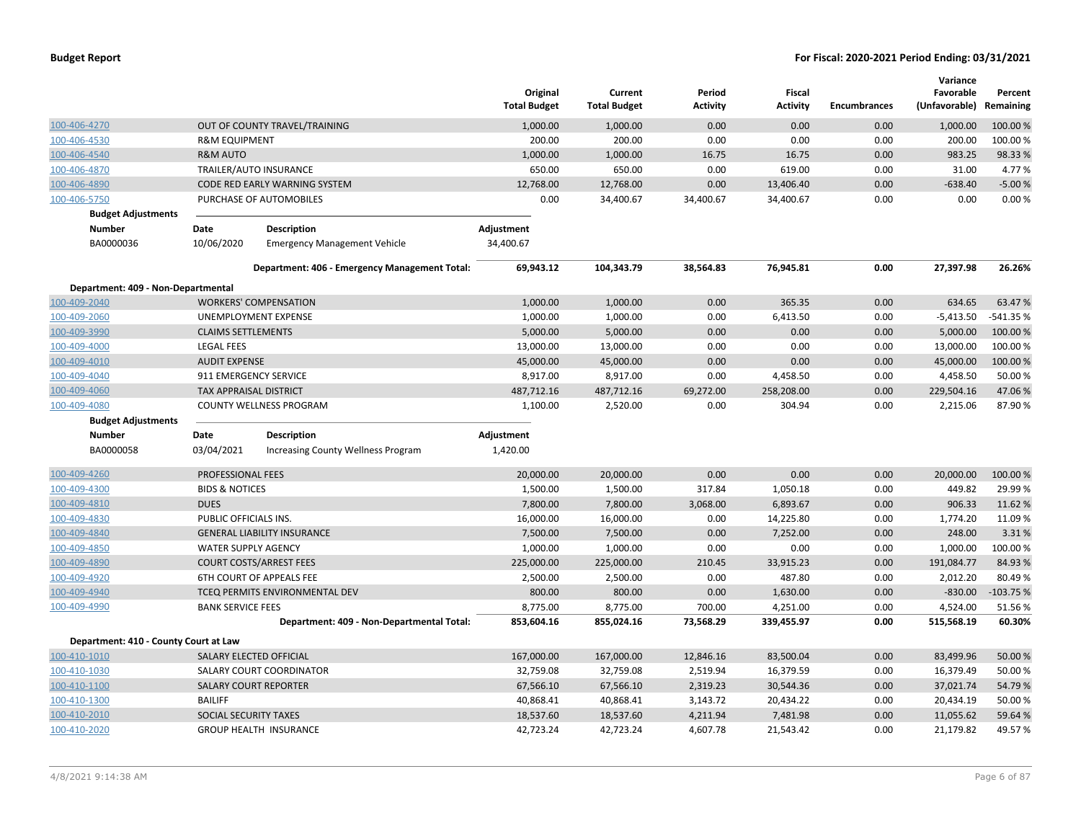|                                       |                               |                                               | Original<br><b>Total Budget</b> | Current<br><b>Total Budget</b> | Period<br>Activity | Fiscal<br><b>Activity</b> | <b>Encumbrances</b> | Variance<br>Favorable<br>(Unfavorable) Remaining | Percent    |
|---------------------------------------|-------------------------------|-----------------------------------------------|---------------------------------|--------------------------------|--------------------|---------------------------|---------------------|--------------------------------------------------|------------|
| 100-406-4270                          |                               | OUT OF COUNTY TRAVEL/TRAINING                 | 1,000.00                        | 1,000.00                       | 0.00               | 0.00                      | 0.00                | 1,000.00                                         | 100.00 %   |
| 100-406-4530                          | <b>R&amp;M EQUIPMENT</b>      |                                               | 200.00                          | 200.00                         | 0.00               | 0.00                      | 0.00                | 200.00                                           | 100.00%    |
| 100-406-4540                          | <b>R&amp;M AUTO</b>           |                                               | 1,000.00                        | 1,000.00                       | 16.75              | 16.75                     | 0.00                | 983.25                                           | 98.33%     |
| 100-406-4870                          |                               | TRAILER/AUTO INSURANCE                        | 650.00                          | 650.00                         | 0.00               | 619.00                    | 0.00                | 31.00                                            | 4.77 %     |
| 100-406-4890                          |                               | CODE RED EARLY WARNING SYSTEM                 | 12,768.00                       | 12,768.00                      | 0.00               | 13,406.40                 | 0.00                | $-638.40$                                        | $-5.00%$   |
| 100-406-5750                          |                               | PURCHASE OF AUTOMOBILES                       | 0.00                            | 34,400.67                      | 34,400.67          | 34,400.67                 | 0.00                | 0.00                                             | 0.00%      |
| <b>Budget Adjustments</b>             |                               |                                               |                                 |                                |                    |                           |                     |                                                  |            |
| <b>Number</b>                         | Date                          | <b>Description</b>                            | Adjustment                      |                                |                    |                           |                     |                                                  |            |
| BA0000036                             | 10/06/2020                    | <b>Emergency Management Vehicle</b>           | 34,400.67                       |                                |                    |                           |                     |                                                  |            |
|                                       |                               | Department: 406 - Emergency Management Total: | 69,943.12                       | 104,343.79                     | 38,564.83          | 76,945.81                 | 0.00                | 27,397.98                                        | 26.26%     |
| Department: 409 - Non-Departmental    |                               |                                               |                                 |                                |                    |                           |                     |                                                  |            |
| 100-409-2040                          |                               | <b>WORKERS' COMPENSATION</b>                  | 1,000.00                        | 1,000.00                       | 0.00               | 365.35                    | 0.00                | 634.65                                           | 63.47%     |
| 100-409-2060                          |                               | UNEMPLOYMENT EXPENSE                          | 1,000.00                        | 1,000.00                       | 0.00               | 6,413.50                  | 0.00                | $-5,413.50$                                      | -541.35 %  |
| 100-409-3990                          | <b>CLAIMS SETTLEMENTS</b>     |                                               | 5,000.00                        | 5,000.00                       | 0.00               | 0.00                      | 0.00                | 5,000.00                                         | 100.00 %   |
| 100-409-4000                          | <b>LEGAL FEES</b>             |                                               | 13,000.00                       | 13,000.00                      | 0.00               | 0.00                      | 0.00                | 13,000.00                                        | 100.00 %   |
| 100-409-4010                          | <b>AUDIT EXPENSE</b>          |                                               | 45,000.00                       | 45,000.00                      | 0.00               | 0.00                      | 0.00                | 45,000.00                                        | 100.00%    |
| 100-409-4040                          |                               | 911 EMERGENCY SERVICE                         | 8,917.00                        | 8,917.00                       | 0.00               | 4,458.50                  | 0.00                | 4,458.50                                         | 50.00%     |
| 100-409-4060                          | <b>TAX APPRAISAL DISTRICT</b> |                                               | 487,712.16                      | 487,712.16                     | 69,272.00          | 258,208.00                | 0.00                | 229,504.16                                       | 47.06%     |
| 100-409-4080                          |                               | COUNTY WELLNESS PROGRAM                       | 1,100.00                        | 2,520.00                       | 0.00               | 304.94                    | 0.00                | 2,215.06                                         | 87.90%     |
| <b>Budget Adjustments</b>             |                               |                                               |                                 |                                |                    |                           |                     |                                                  |            |
| <b>Number</b>                         | Date                          | <b>Description</b>                            | Adjustment                      |                                |                    |                           |                     |                                                  |            |
| BA0000058                             | 03/04/2021                    | <b>Increasing County Wellness Program</b>     | 1,420.00                        |                                |                    |                           |                     |                                                  |            |
| 100-409-4260                          | PROFESSIONAL FEES             |                                               | 20,000.00                       | 20,000.00                      | 0.00               | 0.00                      | 0.00                | 20,000.00                                        | 100.00%    |
| 100-409-4300                          | <b>BIDS &amp; NOTICES</b>     |                                               | 1,500.00                        | 1,500.00                       | 317.84             | 1,050.18                  | 0.00                | 449.82                                           | 29.99%     |
| 100-409-4810                          | <b>DUES</b>                   |                                               | 7,800.00                        | 7,800.00                       | 3,068.00           | 6,893.67                  | 0.00                | 906.33                                           | 11.62%     |
| 100-409-4830                          | PUBLIC OFFICIALS INS.         |                                               | 16,000.00                       | 16,000.00                      | 0.00               | 14,225.80                 | 0.00                | 1,774.20                                         | 11.09%     |
| 100-409-4840                          |                               | <b>GENERAL LIABILITY INSURANCE</b>            | 7,500.00                        | 7,500.00                       | 0.00               | 7,252.00                  | 0.00                | 248.00                                           | 3.31%      |
| 100-409-4850                          | <b>WATER SUPPLY AGENCY</b>    |                                               | 1,000.00                        | 1,000.00                       | 0.00               | 0.00                      | 0.00                | 1,000.00                                         | 100.00%    |
| 100-409-4890                          |                               | <b>COURT COSTS/ARREST FEES</b>                | 225,000.00                      | 225,000.00                     | 210.45             | 33,915.23                 | 0.00                | 191,084.77                                       | 84.93%     |
| 100-409-4920                          |                               | <b>6TH COURT OF APPEALS FEE</b>               | 2,500.00                        | 2,500.00                       | 0.00               | 487.80                    | 0.00                | 2,012.20                                         | 80.49%     |
| 100-409-4940                          |                               | TCEQ PERMITS ENVIRONMENTAL DEV                | 800.00                          | 800.00                         | 0.00               | 1,630.00                  | 0.00                | $-830.00$                                        | $-103.75%$ |
| 100-409-4990                          | <b>BANK SERVICE FEES</b>      |                                               | 8,775.00                        | 8,775.00                       | 700.00             | 4,251.00                  | 0.00                | 4,524.00                                         | 51.56%     |
|                                       |                               | Department: 409 - Non-Departmental Total:     | 853,604.16                      | 855,024.16                     | 73,568.29          | 339,455.97                | 0.00                | 515,568.19                                       | 60.30%     |
| Department: 410 - County Court at Law |                               |                                               |                                 |                                |                    |                           |                     |                                                  |            |
| 100-410-1010                          |                               | SALARY ELECTED OFFICIAL                       | 167,000.00                      | 167,000.00                     | 12,846.16          | 83,500.04                 | 0.00                | 83,499.96                                        | 50.00 %    |
| 100-410-1030                          |                               | SALARY COURT COORDINATOR                      | 32,759.08                       | 32,759.08                      | 2,519.94           | 16,379.59                 | 0.00                | 16,379.49                                        | 50.00%     |
| 100-410-1100                          |                               | <b>SALARY COURT REPORTER</b>                  | 67,566.10                       | 67,566.10                      | 2,319.23           | 30,544.36                 | 0.00                | 37,021.74                                        | 54.79 %    |
| 100-410-1300                          | <b>BAILIFF</b>                |                                               | 40,868.41                       | 40,868.41                      | 3,143.72           | 20,434.22                 | 0.00                | 20,434.19                                        | 50.00%     |
| 100-410-2010                          | SOCIAL SECURITY TAXES         |                                               | 18,537.60                       | 18,537.60                      | 4,211.94           | 7,481.98                  | 0.00                | 11,055.62                                        | 59.64%     |
| 100-410-2020                          |                               | <b>GROUP HEALTH INSURANCE</b>                 | 42,723.24                       | 42,723.24                      | 4,607.78           | 21,543.42                 | 0.00                | 21,179.82                                        | 49.57%     |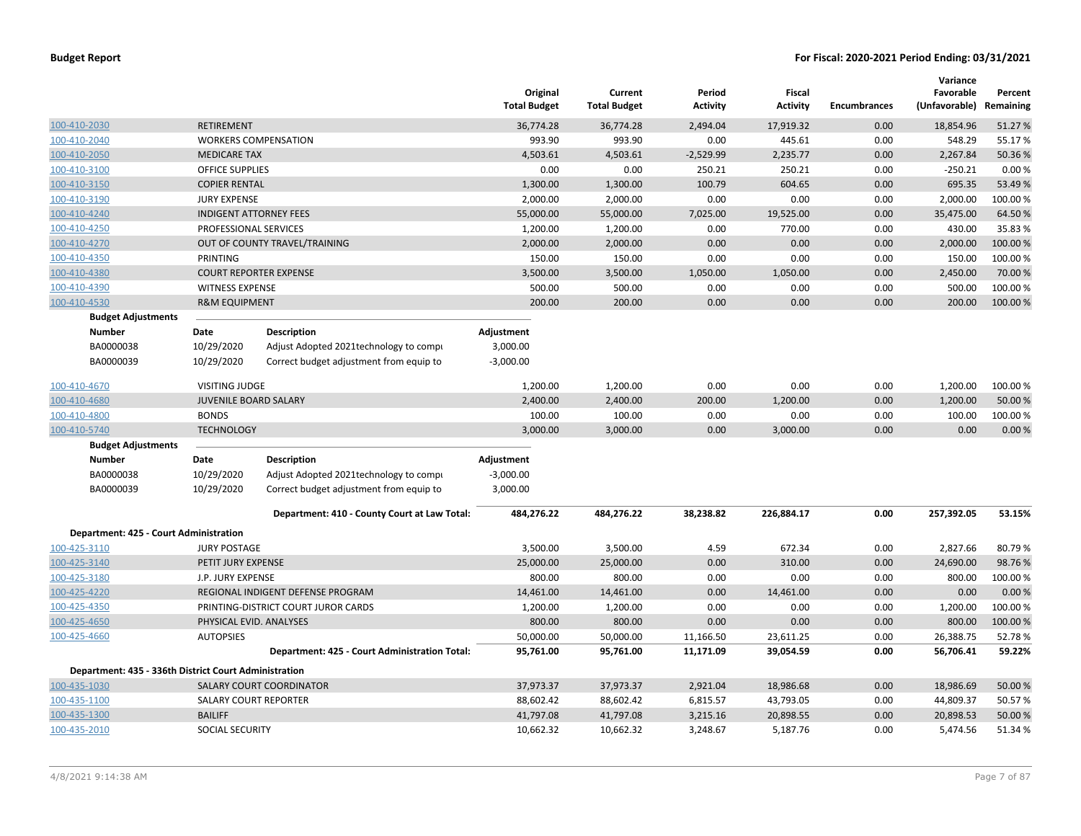|                                                       |                          |                                               | Original<br><b>Total Budget</b> | Current<br><b>Total Budget</b> | Period<br><b>Activity</b> | Fiscal<br><b>Activity</b> | <b>Encumbrances</b> | Variance<br>Favorable<br>(Unfavorable) Remaining | Percent  |
|-------------------------------------------------------|--------------------------|-----------------------------------------------|---------------------------------|--------------------------------|---------------------------|---------------------------|---------------------|--------------------------------------------------|----------|
| 100-410-2030                                          | <b>RETIREMENT</b>        |                                               | 36,774.28                       | 36,774.28                      | 2,494.04                  | 17,919.32                 | 0.00                | 18,854.96                                        | 51.27%   |
| 100-410-2040                                          |                          | <b>WORKERS COMPENSATION</b>                   | 993.90                          | 993.90                         | 0.00                      | 445.61                    | 0.00                | 548.29                                           | 55.17%   |
| 100-410-2050                                          | <b>MEDICARE TAX</b>      |                                               | 4,503.61                        | 4,503.61                       | $-2,529.99$               | 2,235.77                  | 0.00                | 2,267.84                                         | 50.36%   |
| 100-410-3100                                          | <b>OFFICE SUPPLIES</b>   |                                               | 0.00                            | 0.00                           | 250.21                    | 250.21                    | 0.00                | $-250.21$                                        | 0.00%    |
| 100-410-3150                                          | <b>COPIER RENTAL</b>     |                                               | 1,300.00                        | 1,300.00                       | 100.79                    | 604.65                    | 0.00                | 695.35                                           | 53.49%   |
| 100-410-3190                                          | <b>JURY EXPENSE</b>      |                                               | 2,000.00                        | 2,000.00                       | 0.00                      | 0.00                      | 0.00                | 2,000.00                                         | 100.00%  |
| 100-410-4240                                          |                          | <b>INDIGENT ATTORNEY FEES</b>                 | 55,000.00                       | 55,000.00                      | 7,025.00                  | 19,525.00                 | 0.00                | 35,475.00                                        | 64.50%   |
| 100-410-4250                                          |                          | PROFESSIONAL SERVICES                         | 1,200.00                        | 1,200.00                       | 0.00                      | 770.00                    | 0.00                | 430.00                                           | 35.83%   |
| 100-410-4270                                          |                          | OUT OF COUNTY TRAVEL/TRAINING                 | 2,000.00                        | 2,000.00                       | 0.00                      | 0.00                      | 0.00                | 2,000.00                                         | 100.00%  |
| 100-410-4350                                          | PRINTING                 |                                               | 150.00                          | 150.00                         | 0.00                      | 0.00                      | 0.00                | 150.00                                           | 100.00 % |
| 100-410-4380                                          |                          | <b>COURT REPORTER EXPENSE</b>                 | 3,500.00                        | 3,500.00                       | 1,050.00                  | 1,050.00                  | 0.00                | 2,450.00                                         | 70.00%   |
| 100-410-4390                                          | <b>WITNESS EXPENSE</b>   |                                               | 500.00                          | 500.00                         | 0.00                      | 0.00                      | 0.00                | 500.00                                           | 100.00%  |
| 100-410-4530                                          | <b>R&amp;M EQUIPMENT</b> |                                               | 200.00                          | 200.00                         | 0.00                      | 0.00                      | 0.00                | 200.00                                           | 100.00%  |
| <b>Budget Adjustments</b>                             |                          |                                               |                                 |                                |                           |                           |                     |                                                  |          |
| Number                                                | Date                     | <b>Description</b>                            | Adjustment                      |                                |                           |                           |                     |                                                  |          |
| BA0000038                                             | 10/29/2020               | Adjust Adopted 2021 technology to compi       | 3,000.00                        |                                |                           |                           |                     |                                                  |          |
| BA0000039                                             | 10/29/2020               | Correct budget adjustment from equip to       | $-3,000.00$                     |                                |                           |                           |                     |                                                  |          |
| 100-410-4670                                          | <b>VISITING JUDGE</b>    |                                               | 1,200.00                        | 1,200.00                       | 0.00                      | 0.00                      | 0.00                | 1,200.00                                         | 100.00%  |
| 100-410-4680                                          |                          | <b>JUVENILE BOARD SALARY</b>                  | 2,400.00                        | 2,400.00                       | 200.00                    | 1,200.00                  | 0.00                | 1,200.00                                         | 50.00 %  |
| 100-410-4800                                          | <b>BONDS</b>             |                                               | 100.00                          | 100.00                         | 0.00                      | 0.00                      | 0.00                | 100.00                                           | 100.00%  |
| 100-410-5740                                          | <b>TECHNOLOGY</b>        |                                               | 3,000.00                        | 3,000.00                       | 0.00                      | 3,000.00                  | 0.00                | 0.00                                             | 0.00%    |
| <b>Budget Adjustments</b>                             |                          |                                               |                                 |                                |                           |                           |                     |                                                  |          |
| <b>Number</b>                                         | Date                     | <b>Description</b>                            | Adjustment                      |                                |                           |                           |                     |                                                  |          |
| BA0000038                                             | 10/29/2020               | Adjust Adopted 2021technology to compr        | $-3,000.00$                     |                                |                           |                           |                     |                                                  |          |
| BA0000039                                             | 10/29/2020               | Correct budget adjustment from equip to       | 3,000.00                        |                                |                           |                           |                     |                                                  |          |
|                                                       |                          | Department: 410 - County Court at Law Total:  | 484,276.22                      | 484,276.22                     | 38,238.82                 | 226,884.17                | 0.00                | 257,392.05                                       | 53.15%   |
| Department: 425 - Court Administration                |                          |                                               |                                 |                                |                           |                           |                     |                                                  |          |
| 100-425-3110                                          | <b>JURY POSTAGE</b>      |                                               | 3,500.00                        | 3,500.00                       | 4.59                      | 672.34                    | 0.00                | 2,827.66                                         | 80.79%   |
| 100-425-3140                                          | PETIT JURY EXPENSE       |                                               | 25,000.00                       | 25,000.00                      | 0.00                      | 310.00                    | 0.00                | 24,690.00                                        | 98.76%   |
| 100-425-3180                                          | J.P. JURY EXPENSE        |                                               | 800.00                          | 800.00                         | 0.00                      | 0.00                      | 0.00                | 800.00                                           | 100.00%  |
| 100-425-4220                                          |                          | REGIONAL INDIGENT DEFENSE PROGRAM             | 14,461.00                       | 14,461.00                      | 0.00                      | 14,461.00                 | 0.00                | 0.00                                             | 0.00%    |
| 100-425-4350                                          |                          | PRINTING-DISTRICT COURT JUROR CARDS           | 1,200.00                        | 1,200.00                       | 0.00                      | 0.00                      | 0.00                | 1,200.00                                         | 100.00%  |
| 100-425-4650                                          |                          | PHYSICAL EVID. ANALYSES                       | 800.00                          | 800.00                         | 0.00                      | 0.00                      | 0.00                | 800.00                                           | 100.00%  |
| 100-425-4660                                          | <b>AUTOPSIES</b>         |                                               | 50,000.00                       | 50,000.00                      | 11,166.50                 | 23,611.25                 | 0.00                | 26,388.75                                        | 52.78%   |
|                                                       |                          | Department: 425 - Court Administration Total: | 95,761.00                       | 95,761.00                      | 11,171.09                 | 39,054.59                 | 0.00                | 56,706.41                                        | 59.22%   |
| Department: 435 - 336th District Court Administration |                          |                                               |                                 |                                |                           |                           |                     |                                                  |          |
| 100-435-1030                                          |                          | SALARY COURT COORDINATOR                      | 37,973.37                       | 37,973.37                      | 2,921.04                  | 18,986.68                 | 0.00                | 18,986.69                                        | 50.00 %  |
| 100-435-1100                                          |                          | SALARY COURT REPORTER                         | 88,602.42                       | 88,602.42                      | 6,815.57                  | 43,793.05                 | 0.00                | 44,809.37                                        | 50.57%   |
| 100-435-1300                                          | <b>BAILIFF</b>           |                                               | 41,797.08                       | 41,797.08                      | 3,215.16                  | 20,898.55                 | 0.00                | 20,898.53                                        | 50.00%   |
| 100-435-2010                                          | SOCIAL SECURITY          |                                               | 10,662.32                       | 10,662.32                      | 3,248.67                  | 5,187.76                  | 0.00                | 5,474.56                                         | 51.34%   |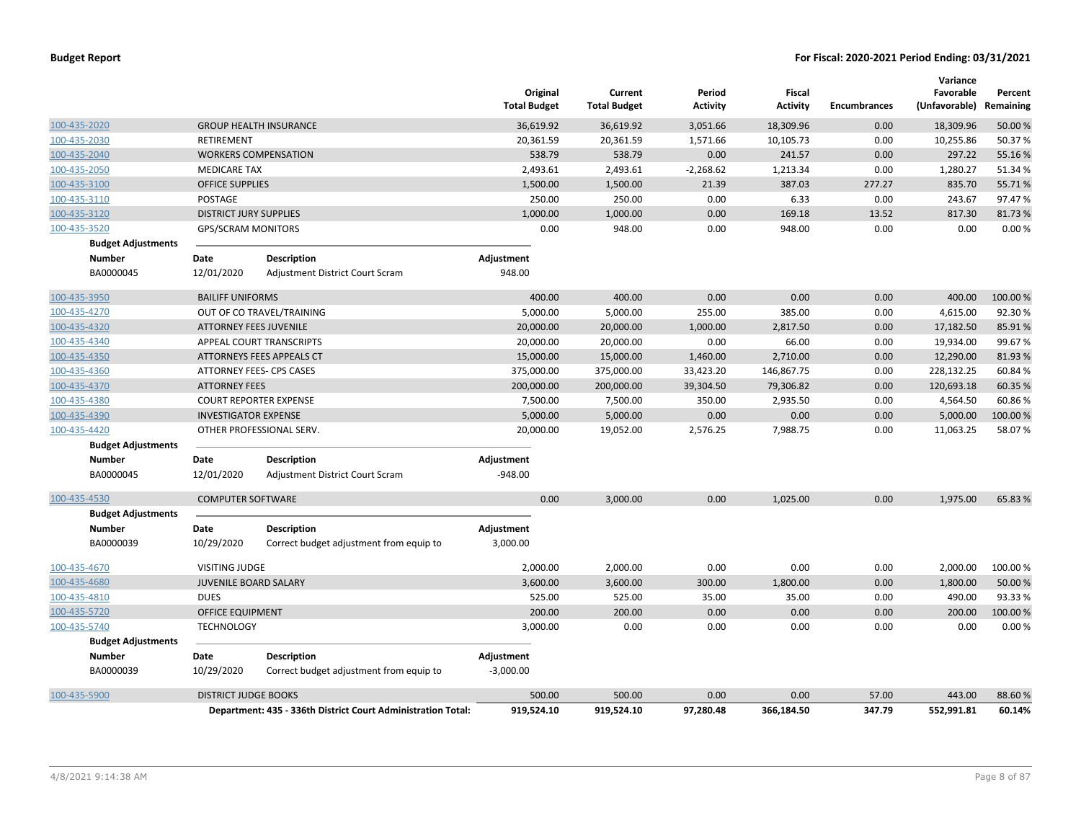|              |                           |                               |                                                              | Original<br><b>Total Budget</b> | Current<br><b>Total Budget</b> | Period<br>Activity | Fiscal<br><b>Activity</b> | <b>Encumbrances</b> | Variance<br>Favorable<br>(Unfavorable) | Percent<br>Remaining |
|--------------|---------------------------|-------------------------------|--------------------------------------------------------------|---------------------------------|--------------------------------|--------------------|---------------------------|---------------------|----------------------------------------|----------------------|
| 100-435-2020 |                           |                               | <b>GROUP HEALTH INSURANCE</b>                                | 36,619.92                       | 36,619.92                      | 3,051.66           | 18,309.96                 | 0.00                | 18,309.96                              | 50.00 %              |
| 100-435-2030 |                           | <b>RETIREMENT</b>             |                                                              | 20,361.59                       | 20,361.59                      | 1,571.66           | 10,105.73                 | 0.00                | 10,255.86                              | 50.37%               |
| 100-435-2040 |                           |                               | <b>WORKERS COMPENSATION</b>                                  | 538.79                          | 538.79                         | 0.00               | 241.57                    | 0.00                | 297.22                                 | 55.16%               |
| 100-435-2050 |                           | <b>MEDICARE TAX</b>           |                                                              | 2,493.61                        | 2,493.61                       | $-2,268.62$        | 1,213.34                  | 0.00                | 1,280.27                               | 51.34 %              |
| 100-435-3100 |                           | <b>OFFICE SUPPLIES</b>        |                                                              | 1,500.00                        | 1,500.00                       | 21.39              | 387.03                    | 277.27              | 835.70                                 | 55.71%               |
| 100-435-3110 |                           | POSTAGE                       |                                                              | 250.00                          | 250.00                         | 0.00               | 6.33                      | 0.00                | 243.67                                 | 97.47%               |
| 100-435-3120 |                           | <b>DISTRICT JURY SUPPLIES</b> |                                                              | 1,000.00                        | 1,000.00                       | 0.00               | 169.18                    | 13.52               | 817.30                                 | 81.73%               |
| 100-435-3520 |                           | <b>GPS/SCRAM MONITORS</b>     |                                                              | 0.00                            | 948.00                         | 0.00               | 948.00                    | 0.00                | 0.00                                   | 0.00%                |
|              | <b>Budget Adjustments</b> |                               |                                                              |                                 |                                |                    |                           |                     |                                        |                      |
|              | <b>Number</b>             | Date                          | Description                                                  | Adjustment                      |                                |                    |                           |                     |                                        |                      |
|              | BA0000045                 | 12/01/2020                    | Adjustment District Court Scram                              | 948.00                          |                                |                    |                           |                     |                                        |                      |
| 100-435-3950 |                           | <b>BAILIFF UNIFORMS</b>       |                                                              | 400.00                          | 400.00                         | 0.00               | 0.00                      | 0.00                | 400.00                                 | 100.00 %             |
| 100-435-4270 |                           |                               | OUT OF CO TRAVEL/TRAINING                                    | 5,000.00                        | 5,000.00                       | 255.00             | 385.00                    | 0.00                | 4,615.00                               | 92.30%               |
| 100-435-4320 |                           | <b>ATTORNEY FEES JUVENILE</b> |                                                              | 20,000.00                       | 20,000.00                      | 1,000.00           | 2,817.50                  | 0.00                | 17,182.50                              | 85.91%               |
| 100-435-4340 |                           |                               | APPEAL COURT TRANSCRIPTS                                     | 20,000.00                       | 20,000.00                      | 0.00               | 66.00                     | 0.00                | 19,934.00                              | 99.67%               |
| 100-435-4350 |                           |                               | ATTORNEYS FEES APPEALS CT                                    | 15,000.00                       | 15,000.00                      | 1,460.00           | 2,710.00                  | 0.00                | 12,290.00                              | 81.93%               |
| 100-435-4360 |                           |                               | ATTORNEY FEES- CPS CASES                                     | 375,000.00                      | 375,000.00                     | 33,423.20          | 146,867.75                | 0.00                | 228,132.25                             | 60.84%               |
| 100-435-4370 |                           | <b>ATTORNEY FEES</b>          |                                                              | 200,000.00                      | 200,000.00                     | 39,304.50          | 79,306.82                 | 0.00                | 120,693.18                             | 60.35 %              |
| 100-435-4380 |                           |                               | <b>COURT REPORTER EXPENSE</b>                                | 7,500.00                        | 7,500.00                       | 350.00             | 2,935.50                  | 0.00                | 4,564.50                               | 60.86%               |
| 100-435-4390 |                           | <b>INVESTIGATOR EXPENSE</b>   |                                                              | 5,000.00                        | 5,000.00                       | 0.00               | 0.00                      | 0.00                | 5,000.00                               | 100.00%              |
| 100-435-4420 |                           |                               | OTHER PROFESSIONAL SERV.                                     | 20,000.00                       | 19,052.00                      | 2,576.25           | 7,988.75                  | 0.00                | 11,063.25                              | 58.07%               |
|              | <b>Budget Adjustments</b> |                               |                                                              |                                 |                                |                    |                           |                     |                                        |                      |
|              | <b>Number</b>             | Date                          | <b>Description</b>                                           | Adjustment                      |                                |                    |                           |                     |                                        |                      |
|              | BA0000045                 | 12/01/2020                    | Adjustment District Court Scram                              | $-948.00$                       |                                |                    |                           |                     |                                        |                      |
| 100-435-4530 |                           | <b>COMPUTER SOFTWARE</b>      |                                                              | 0.00                            | 3,000.00                       | 0.00               | 1,025.00                  | 0.00                | 1,975.00                               | 65.83 %              |
|              | <b>Budget Adjustments</b> |                               |                                                              |                                 |                                |                    |                           |                     |                                        |                      |
|              | <b>Number</b>             | Date                          | <b>Description</b>                                           | Adjustment                      |                                |                    |                           |                     |                                        |                      |
|              | BA0000039                 | 10/29/2020                    | Correct budget adjustment from equip to                      | 3,000.00                        |                                |                    |                           |                     |                                        |                      |
| 100-435-4670 |                           | <b>VISITING JUDGE</b>         |                                                              | 2,000.00                        | 2,000.00                       | 0.00               | 0.00                      | 0.00                | 2,000.00                               | 100.00 %             |
| 100-435-4680 |                           | <b>JUVENILE BOARD SALARY</b>  |                                                              | 3,600.00                        | 3,600.00                       | 300.00             | 1,800.00                  | 0.00                | 1,800.00                               | 50.00 %              |
| 100-435-4810 |                           | <b>DUES</b>                   |                                                              | 525.00                          | 525.00                         | 35.00              | 35.00                     | 0.00                | 490.00                                 | 93.33%               |
| 100-435-5720 |                           | <b>OFFICE EQUIPMENT</b>       |                                                              | 200.00                          | 200.00                         | 0.00               | 0.00                      | 0.00                | 200.00                                 | 100.00%              |
| 100-435-5740 |                           | <b>TECHNOLOGY</b>             |                                                              | 3,000.00                        | 0.00                           | 0.00               | 0.00                      | 0.00                | 0.00                                   | 0.00%                |
|              | <b>Budget Adjustments</b> |                               |                                                              |                                 |                                |                    |                           |                     |                                        |                      |
|              | <b>Number</b>             | Date                          | <b>Description</b>                                           | Adjustment                      |                                |                    |                           |                     |                                        |                      |
|              | BA0000039                 | 10/29/2020                    | Correct budget adjustment from equip to                      | $-3,000.00$                     |                                |                    |                           |                     |                                        |                      |
| 100-435-5900 |                           | <b>DISTRICT JUDGE BOOKS</b>   |                                                              | 500.00                          | 500.00                         | 0.00               | 0.00                      | 57.00               | 443.00                                 | 88.60%               |
|              |                           |                               | Department: 435 - 336th District Court Administration Total: | 919,524.10                      | 919,524.10                     | 97,280.48          | 366.184.50                | 347.79              | 552,991.81                             | 60.14%               |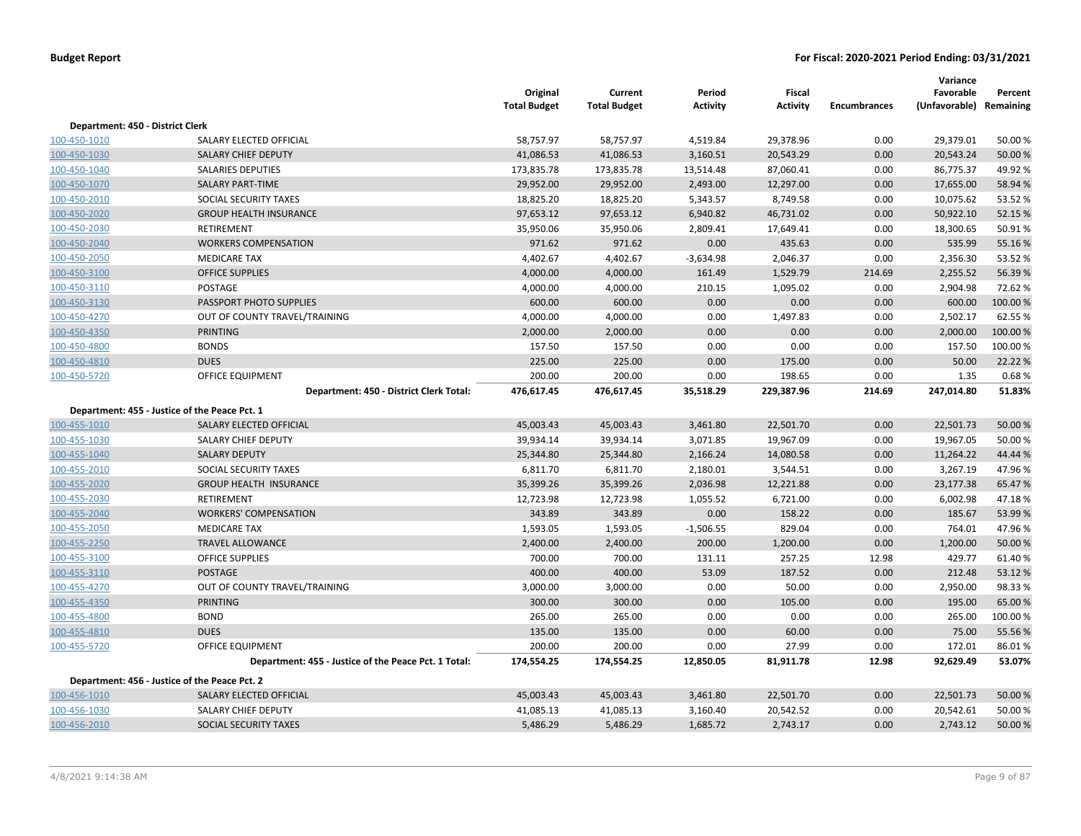|                                  |                                                      | Original<br><b>Total Budget</b> | Current<br><b>Total Budget</b> | Period<br><b>Activity</b> | Fiscal<br><b>Activity</b> | <b>Encumbrances</b> | Variance<br>Favorable<br>(Unfavorable) Remaining | Percent  |
|----------------------------------|------------------------------------------------------|---------------------------------|--------------------------------|---------------------------|---------------------------|---------------------|--------------------------------------------------|----------|
| Department: 450 - District Clerk |                                                      |                                 |                                |                           |                           |                     |                                                  |          |
| 100-450-1010                     | SALARY ELECTED OFFICIAL                              | 58,757.97                       | 58,757.97                      | 4,519.84                  | 29,378.96                 | 0.00                | 29,379.01                                        | 50.00%   |
| 100-450-1030                     | SALARY CHIEF DEPUTY                                  | 41,086.53                       | 41,086.53                      | 3,160.51                  | 20,543.29                 | 0.00                | 20,543.24                                        | 50.00 %  |
| 100-450-1040                     | <b>SALARIES DEPUTIES</b>                             | 173,835.78                      | 173,835.78                     | 13,514.48                 | 87,060.41                 | 0.00                | 86,775.37                                        | 49.92%   |
| 100-450-1070                     | <b>SALARY PART-TIME</b>                              | 29,952.00                       | 29,952.00                      | 2,493.00                  | 12,297.00                 | 0.00                | 17,655.00                                        | 58.94 %  |
| 100-450-2010                     | SOCIAL SECURITY TAXES                                | 18,825.20                       | 18,825.20                      | 5,343.57                  | 8,749.58                  | 0.00                | 10,075.62                                        | 53.52 %  |
| 100-450-2020                     | <b>GROUP HEALTH INSURANCE</b>                        | 97,653.12                       | 97,653.12                      | 6,940.82                  | 46,731.02                 | 0.00                | 50,922.10                                        | 52.15 %  |
| 100-450-2030                     | <b>RETIREMENT</b>                                    | 35,950.06                       | 35,950.06                      | 2,809.41                  | 17,649.41                 | 0.00                | 18,300.65                                        | 50.91%   |
| 100-450-2040                     | <b>WORKERS COMPENSATION</b>                          | 971.62                          | 971.62                         | 0.00                      | 435.63                    | 0.00                | 535.99                                           | 55.16%   |
| 100-450-2050                     | <b>MEDICARE TAX</b>                                  | 4,402.67                        | 4,402.67                       | $-3,634.98$               | 2,046.37                  | 0.00                | 2,356.30                                         | 53.52%   |
| 100-450-3100                     | <b>OFFICE SUPPLIES</b>                               | 4,000.00                        | 4,000.00                       | 161.49                    | 1,529.79                  | 214.69              | 2,255.52                                         | 56.39%   |
| 100-450-3110                     | POSTAGE                                              | 4,000.00                        | 4,000.00                       | 210.15                    | 1,095.02                  | 0.00                | 2,904.98                                         | 72.62%   |
| 100-450-3130                     | PASSPORT PHOTO SUPPLIES                              | 600.00                          | 600.00                         | 0.00                      | 0.00                      | 0.00                | 600.00                                           | 100.00 % |
| 100-450-4270                     | OUT OF COUNTY TRAVEL/TRAINING                        | 4,000.00                        | 4,000.00                       | 0.00                      | 1,497.83                  | 0.00                | 2,502.17                                         | 62.55%   |
| 100-450-4350                     | <b>PRINTING</b>                                      | 2,000.00                        | 2,000.00                       | 0.00                      | 0.00                      | 0.00                | 2,000.00                                         | 100.00 % |
| 100-450-4800                     | <b>BONDS</b>                                         | 157.50                          | 157.50                         | 0.00                      | 0.00                      | 0.00                | 157.50                                           | 100.00%  |
| 100-450-4810                     | <b>DUES</b>                                          | 225.00                          | 225.00                         | 0.00                      | 175.00                    | 0.00                | 50.00                                            | 22.22 %  |
| 100-450-5720                     | <b>OFFICE EQUIPMENT</b>                              | 200.00                          | 200.00                         | 0.00                      | 198.65                    | 0.00                | 1.35                                             | 0.68%    |
|                                  | Department: 450 - District Clerk Total:              | 476,617.45                      | 476,617.45                     | 35,518.29                 | 229,387.96                | 214.69              | 247,014.80                                       | 51.83%   |
|                                  | Department: 455 - Justice of the Peace Pct. 1        |                                 |                                |                           |                           |                     |                                                  |          |
| 100-455-1010                     | SALARY ELECTED OFFICIAL                              | 45,003.43                       | 45,003.43                      | 3,461.80                  | 22,501.70                 | 0.00                | 22,501.73                                        | 50.00 %  |
| 100-455-1030                     | SALARY CHIEF DEPUTY                                  | 39,934.14                       | 39,934.14                      | 3,071.85                  | 19,967.09                 | 0.00                | 19,967.05                                        | 50.00%   |
| 100-455-1040                     | <b>SALARY DEPUTY</b>                                 | 25,344.80                       | 25,344.80                      | 2,166.24                  | 14,080.58                 | 0.00                | 11,264.22                                        | 44.44 %  |
| 100-455-2010                     | SOCIAL SECURITY TAXES                                | 6,811.70                        | 6,811.70                       | 2,180.01                  | 3,544.51                  | 0.00                | 3,267.19                                         | 47.96%   |
| 100-455-2020                     | <b>GROUP HEALTH INSURANCE</b>                        | 35,399.26                       | 35,399.26                      | 2,036.98                  | 12,221.88                 | 0.00                | 23,177.38                                        | 65.47%   |
| 100-455-2030                     | RETIREMENT                                           | 12,723.98                       | 12,723.98                      | 1,055.52                  | 6,721.00                  | 0.00                | 6,002.98                                         | 47.18%   |
| 100-455-2040                     | <b>WORKERS' COMPENSATION</b>                         | 343.89                          | 343.89                         | 0.00                      | 158.22                    | 0.00                | 185.67                                           | 53.99 %  |
| 100-455-2050                     | <b>MEDICARE TAX</b>                                  | 1,593.05                        | 1,593.05                       | $-1,506.55$               | 829.04                    | 0.00                | 764.01                                           | 47.96%   |
| 100-455-2250                     | <b>TRAVEL ALLOWANCE</b>                              | 2,400.00                        | 2,400.00                       | 200.00                    | 1,200.00                  | 0.00                | 1,200.00                                         | 50.00 %  |
| 100-455-3100                     | <b>OFFICE SUPPLIES</b>                               | 700.00                          | 700.00                         | 131.11                    | 257.25                    | 12.98               | 429.77                                           | 61.40%   |
| 100-455-3110                     | <b>POSTAGE</b>                                       | 400.00                          | 400.00                         | 53.09                     | 187.52                    | 0.00                | 212.48                                           | 53.12 %  |
| 100-455-4270                     | OUT OF COUNTY TRAVEL/TRAINING                        | 3,000.00                        | 3,000.00                       | 0.00                      | 50.00                     | 0.00                | 2,950.00                                         | 98.33%   |
| 100-455-4350                     | <b>PRINTING</b>                                      | 300.00                          | 300.00                         | 0.00                      | 105.00                    | 0.00                | 195.00                                           | 65.00 %  |
| 100-455-4800                     | <b>BOND</b>                                          | 265.00                          | 265.00                         | 0.00                      | 0.00                      | 0.00                | 265.00                                           | 100.00%  |
| 100-455-4810                     | <b>DUES</b>                                          | 135.00                          | 135.00                         | 0.00                      | 60.00                     | 0.00                | 75.00                                            | 55.56 %  |
| 100-455-5720                     | OFFICE EQUIPMENT                                     | 200.00                          | 200.00                         | 0.00                      | 27.99                     | 0.00                | 172.01                                           | 86.01%   |
|                                  | Department: 455 - Justice of the Peace Pct. 1 Total: | 174,554.25                      | 174,554.25                     | 12,850.05                 | 81,911.78                 | 12.98               | 92,629.49                                        | 53.07%   |
|                                  | Department: 456 - Justice of the Peace Pct. 2        |                                 |                                |                           |                           |                     |                                                  |          |
| 100-456-1010                     | SALARY ELECTED OFFICIAL                              | 45,003.43                       | 45,003.43                      | 3,461.80                  | 22,501.70                 | 0.00                | 22,501.73                                        | 50.00 %  |
| 100-456-1030                     | <b>SALARY CHIEF DEPUTY</b>                           | 41,085.13                       | 41,085.13                      | 3,160.40                  | 20,542.52                 | 0.00                | 20,542.61                                        | 50.00%   |
| 100-456-2010                     | <b>SOCIAL SECURITY TAXES</b>                         | 5,486.29                        | 5,486.29                       | 1,685.72                  | 2,743.17                  | 0.00                | 2,743.12                                         | 50.00 %  |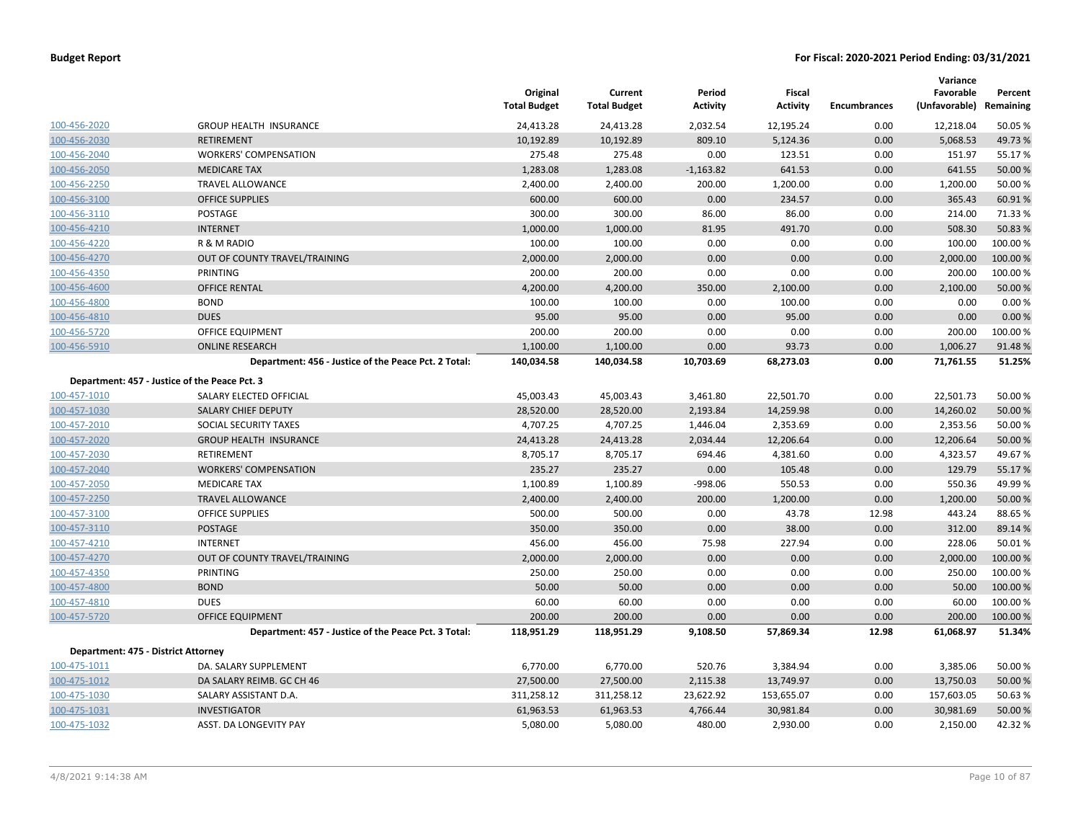|                                     |                                                      | Original<br><b>Total Budget</b> | Current<br><b>Total Budget</b> | Period<br><b>Activity</b> | Fiscal<br><b>Activity</b> | <b>Encumbrances</b> | Variance<br>Favorable<br>(Unfavorable) Remaining | Percent  |
|-------------------------------------|------------------------------------------------------|---------------------------------|--------------------------------|---------------------------|---------------------------|---------------------|--------------------------------------------------|----------|
| 100-456-2020                        | <b>GROUP HEALTH INSURANCE</b>                        | 24,413.28                       | 24,413.28                      | 2,032.54                  | 12,195.24                 | 0.00                | 12,218.04                                        | 50.05 %  |
| 100-456-2030                        | <b>RETIREMENT</b>                                    | 10,192.89                       | 10,192.89                      | 809.10                    | 5,124.36                  | 0.00                | 5,068.53                                         | 49.73 %  |
| 100-456-2040                        | <b>WORKERS' COMPENSATION</b>                         | 275.48                          | 275.48                         | 0.00                      | 123.51                    | 0.00                | 151.97                                           | 55.17%   |
| 100-456-2050                        | <b>MEDICARE TAX</b>                                  | 1,283.08                        | 1,283.08                       | $-1,163.82$               | 641.53                    | 0.00                | 641.55                                           | 50.00 %  |
| 100-456-2250                        | <b>TRAVEL ALLOWANCE</b>                              | 2,400.00                        | 2,400.00                       | 200.00                    | 1,200.00                  | 0.00                | 1,200.00                                         | 50.00 %  |
| 100-456-3100                        | <b>OFFICE SUPPLIES</b>                               | 600.00                          | 600.00                         | 0.00                      | 234.57                    | 0.00                | 365.43                                           | 60.91%   |
| 100-456-3110                        | <b>POSTAGE</b>                                       | 300.00                          | 300.00                         | 86.00                     | 86.00                     | 0.00                | 214.00                                           | 71.33 %  |
| 100-456-4210                        | <b>INTERNET</b>                                      | 1,000.00                        | 1,000.00                       | 81.95                     | 491.70                    | 0.00                | 508.30                                           | 50.83 %  |
| 100-456-4220                        | R & M RADIO                                          | 100.00                          | 100.00                         | 0.00                      | 0.00                      | 0.00                | 100.00                                           | 100.00 % |
| 100-456-4270                        | OUT OF COUNTY TRAVEL/TRAINING                        | 2,000.00                        | 2,000.00                       | 0.00                      | 0.00                      | 0.00                | 2,000.00                                         | 100.00 % |
| 100-456-4350                        | PRINTING                                             | 200.00                          | 200.00                         | 0.00                      | 0.00                      | 0.00                | 200.00                                           | 100.00%  |
| 100-456-4600                        | <b>OFFICE RENTAL</b>                                 | 4,200.00                        | 4,200.00                       | 350.00                    | 2,100.00                  | 0.00                | 2,100.00                                         | 50.00 %  |
| 100-456-4800                        | <b>BOND</b>                                          | 100.00                          | 100.00                         | 0.00                      | 100.00                    | 0.00                | 0.00                                             | 0.00%    |
| 100-456-4810                        | <b>DUES</b>                                          | 95.00                           | 95.00                          | 0.00                      | 95.00                     | 0.00                | 0.00                                             | 0.00%    |
| 100-456-5720                        | <b>OFFICE EQUIPMENT</b>                              | 200.00                          | 200.00                         | 0.00                      | 0.00                      | 0.00                | 200.00                                           | 100.00%  |
| 100-456-5910                        | <b>ONLINE RESEARCH</b>                               | 1,100.00                        | 1,100.00                       | 0.00                      | 93.73                     | 0.00                | 1,006.27                                         | 91.48%   |
|                                     | Department: 456 - Justice of the Peace Pct. 2 Total: | 140,034.58                      | 140,034.58                     | 10,703.69                 | 68,273.03                 | 0.00                | 71,761.55                                        | 51.25%   |
|                                     | Department: 457 - Justice of the Peace Pct. 3        |                                 |                                |                           |                           |                     |                                                  |          |
| 100-457-1010                        | SALARY ELECTED OFFICIAL                              | 45,003.43                       | 45,003.43                      | 3,461.80                  | 22,501.70                 | 0.00                | 22,501.73                                        | 50.00 %  |
| 100-457-1030                        | <b>SALARY CHIEF DEPUTY</b>                           | 28,520.00                       | 28,520.00                      | 2,193.84                  | 14,259.98                 | 0.00                | 14,260.02                                        | 50.00 %  |
| 100-457-2010                        | SOCIAL SECURITY TAXES                                | 4,707.25                        | 4,707.25                       | 1,446.04                  | 2,353.69                  | 0.00                | 2,353.56                                         | 50.00 %  |
| 100-457-2020                        | <b>GROUP HEALTH INSURANCE</b>                        | 24,413.28                       | 24,413.28                      | 2,034.44                  | 12,206.64                 | 0.00                | 12,206.64                                        | 50.00 %  |
| 100-457-2030                        | <b>RETIREMENT</b>                                    | 8,705.17                        | 8,705.17                       | 694.46                    | 4,381.60                  | 0.00                | 4,323.57                                         | 49.67%   |
| 100-457-2040                        | <b>WORKERS' COMPENSATION</b>                         | 235.27                          | 235.27                         | 0.00                      | 105.48                    | 0.00                | 129.79                                           | 55.17%   |
| 100-457-2050                        | <b>MEDICARE TAX</b>                                  | 1,100.89                        | 1,100.89                       | $-998.06$                 | 550.53                    | 0.00                | 550.36                                           | 49.99%   |
| 100-457-2250                        | <b>TRAVEL ALLOWANCE</b>                              | 2,400.00                        | 2,400.00                       | 200.00                    | 1,200.00                  | 0.00                | 1,200.00                                         | 50.00 %  |
| 100-457-3100                        | OFFICE SUPPLIES                                      | 500.00                          | 500.00                         | 0.00                      | 43.78                     | 12.98               | 443.24                                           | 88.65%   |
| 100-457-3110                        | <b>POSTAGE</b>                                       | 350.00                          | 350.00                         | 0.00                      | 38.00                     | 0.00                | 312.00                                           | 89.14 %  |
| 100-457-4210                        | <b>INTERNET</b>                                      | 456.00                          | 456.00                         | 75.98                     | 227.94                    | 0.00                | 228.06                                           | 50.01%   |
| 100-457-4270                        | OUT OF COUNTY TRAVEL/TRAINING                        | 2,000.00                        | 2,000.00                       | 0.00                      | 0.00                      | 0.00                | 2,000.00                                         | 100.00 % |
| 100-457-4350                        | PRINTING                                             | 250.00                          | 250.00                         | 0.00                      | 0.00                      | 0.00                | 250.00                                           | 100.00%  |
| 100-457-4800                        | <b>BOND</b>                                          | 50.00                           | 50.00                          | 0.00                      | 0.00                      | 0.00                | 50.00                                            | 100.00 % |
| 100-457-4810                        | <b>DUES</b>                                          | 60.00                           | 60.00                          | 0.00                      | 0.00                      | 0.00                | 60.00                                            | 100.00 % |
| 100-457-5720                        | <b>OFFICE EQUIPMENT</b>                              | 200.00                          | 200.00                         | 0.00                      | 0.00                      | 0.00                | 200.00                                           | 100.00 % |
|                                     | Department: 457 - Justice of the Peace Pct. 3 Total: | 118,951.29                      | 118,951.29                     | 9,108.50                  | 57,869.34                 | 12.98               | 61,068.97                                        | 51.34%   |
| Department: 475 - District Attorney |                                                      |                                 |                                |                           |                           |                     |                                                  |          |
| 100-475-1011                        | DA. SALARY SUPPLEMENT                                | 6,770.00                        | 6,770.00                       | 520.76                    | 3,384.94                  | 0.00                | 3,385.06                                         | 50.00 %  |
| 100-475-1012                        | DA SALARY REIMB. GC CH 46                            | 27,500.00                       | 27,500.00                      | 2,115.38                  | 13,749.97                 | 0.00                | 13,750.03                                        | 50.00 %  |
| 100-475-1030                        | SALARY ASSISTANT D.A.                                | 311,258.12                      | 311,258.12                     | 23,622.92                 | 153,655.07                | 0.00                | 157,603.05                                       | 50.63 %  |
| 100-475-1031                        | <b>INVESTIGATOR</b>                                  | 61,963.53                       | 61,963.53                      | 4,766.44                  | 30,981.84                 | 0.00                | 30,981.69                                        | 50.00 %  |
| 100-475-1032                        | ASST. DA LONGEVITY PAY                               | 5,080.00                        | 5,080.00                       | 480.00                    | 2,930.00                  | 0.00                | 2,150.00                                         | 42.32 %  |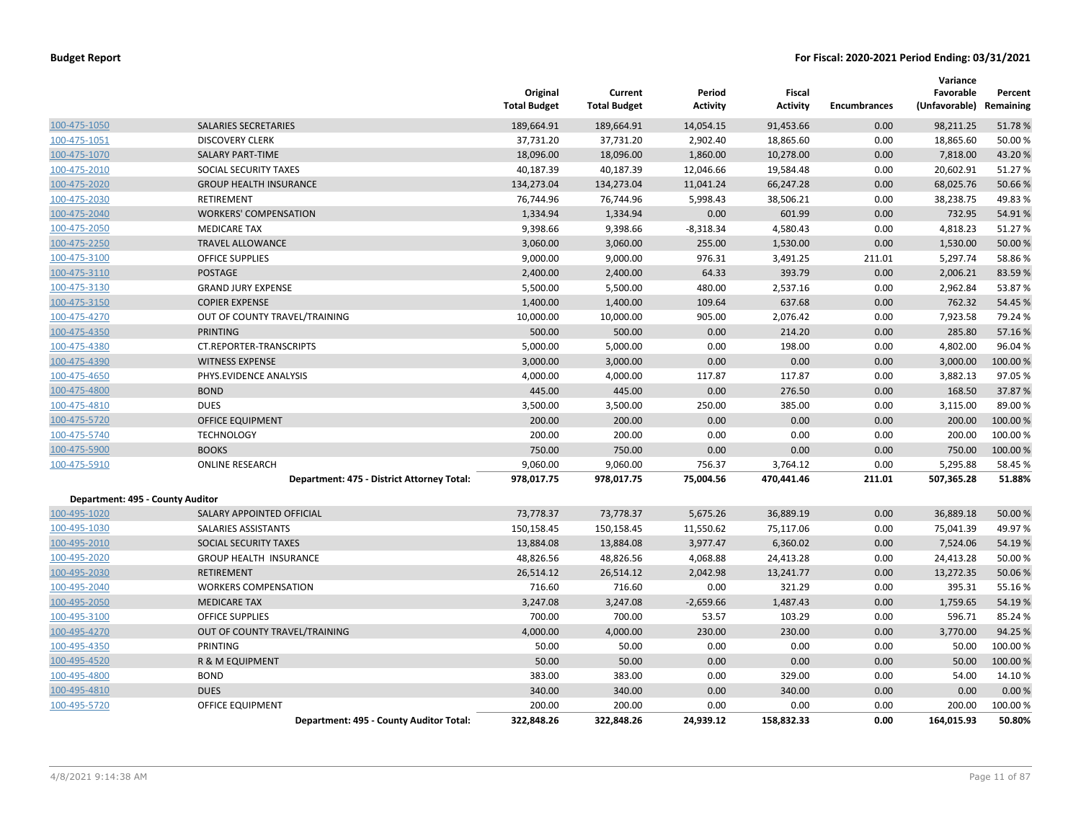|                                  |                                            | Original<br><b>Total Budget</b> | Current<br><b>Total Budget</b> | Period<br>Activity | <b>Fiscal</b><br><b>Activity</b> | <b>Encumbrances</b> | Variance<br>Favorable<br>(Unfavorable) | Percent<br>Remaining |
|----------------------------------|--------------------------------------------|---------------------------------|--------------------------------|--------------------|----------------------------------|---------------------|----------------------------------------|----------------------|
| 100-475-1050                     | <b>SALARIES SECRETARIES</b>                | 189,664.91                      | 189,664.91                     | 14,054.15          | 91,453.66                        | 0.00                | 98,211.25                              | 51.78%               |
| 100-475-1051                     | <b>DISCOVERY CLERK</b>                     | 37,731.20                       | 37,731.20                      | 2,902.40           | 18,865.60                        | 0.00                | 18,865.60                              | 50.00 %              |
| 100-475-1070                     | <b>SALARY PART-TIME</b>                    | 18,096.00                       | 18,096.00                      | 1,860.00           | 10,278.00                        | 0.00                | 7,818.00                               | 43.20%               |
| 100-475-2010                     | SOCIAL SECURITY TAXES                      | 40,187.39                       | 40,187.39                      | 12,046.66          | 19,584.48                        | 0.00                | 20,602.91                              | 51.27%               |
| 100-475-2020                     | <b>GROUP HEALTH INSURANCE</b>              | 134,273.04                      | 134,273.04                     | 11,041.24          | 66,247.28                        | 0.00                | 68,025.76                              | 50.66%               |
| 100-475-2030                     | RETIREMENT                                 | 76,744.96                       | 76,744.96                      | 5,998.43           | 38,506.21                        | 0.00                | 38,238.75                              | 49.83%               |
| 100-475-2040                     | <b>WORKERS' COMPENSATION</b>               | 1,334.94                        | 1,334.94                       | 0.00               | 601.99                           | 0.00                | 732.95                                 | 54.91%               |
| 100-475-2050                     | <b>MEDICARE TAX</b>                        | 9,398.66                        | 9,398.66                       | $-8,318.34$        | 4,580.43                         | 0.00                | 4,818.23                               | 51.27%               |
| 100-475-2250                     | <b>TRAVEL ALLOWANCE</b>                    | 3,060.00                        | 3,060.00                       | 255.00             | 1,530.00                         | 0.00                | 1,530.00                               | 50.00 %              |
| 100-475-3100                     | <b>OFFICE SUPPLIES</b>                     | 9,000.00                        | 9,000.00                       | 976.31             | 3,491.25                         | 211.01              | 5,297.74                               | 58.86%               |
| 100-475-3110                     | <b>POSTAGE</b>                             | 2,400.00                        | 2,400.00                       | 64.33              | 393.79                           | 0.00                | 2,006.21                               | 83.59%               |
| 100-475-3130                     | <b>GRAND JURY EXPENSE</b>                  | 5,500.00                        | 5,500.00                       | 480.00             | 2,537.16                         | 0.00                | 2,962.84                               | 53.87%               |
| 100-475-3150                     | <b>COPIER EXPENSE</b>                      | 1,400.00                        | 1,400.00                       | 109.64             | 637.68                           | 0.00                | 762.32                                 | 54.45 %              |
| 100-475-4270                     | OUT OF COUNTY TRAVEL/TRAINING              | 10,000.00                       | 10,000.00                      | 905.00             | 2,076.42                         | 0.00                | 7,923.58                               | 79.24 %              |
| 100-475-4350                     | <b>PRINTING</b>                            | 500.00                          | 500.00                         | 0.00               | 214.20                           | 0.00                | 285.80                                 | 57.16%               |
| 100-475-4380                     | CT.REPORTER-TRANSCRIPTS                    | 5,000.00                        | 5,000.00                       | 0.00               | 198.00                           | 0.00                | 4,802.00                               | 96.04%               |
| 100-475-4390                     | <b>WITNESS EXPENSE</b>                     | 3,000.00                        | 3,000.00                       | 0.00               | 0.00                             | 0.00                | 3,000.00                               | 100.00 %             |
| 100-475-4650                     | PHYS.EVIDENCE ANALYSIS                     | 4,000.00                        | 4,000.00                       | 117.87             | 117.87                           | 0.00                | 3,882.13                               | 97.05 %              |
| 100-475-4800                     | <b>BOND</b>                                | 445.00                          | 445.00                         | 0.00               | 276.50                           | 0.00                | 168.50                                 | 37.87%               |
| 100-475-4810                     | <b>DUES</b>                                | 3,500.00                        | 3,500.00                       | 250.00             | 385.00                           | 0.00                | 3,115.00                               | 89.00%               |
| 100-475-5720                     | <b>OFFICE EQUIPMENT</b>                    | 200.00                          | 200.00                         | 0.00               | 0.00                             | 0.00                | 200.00                                 | 100.00%              |
| 100-475-5740                     | <b>TECHNOLOGY</b>                          | 200.00                          | 200.00                         | 0.00               | 0.00                             | 0.00                | 200.00                                 | 100.00%              |
| 100-475-5900                     | <b>BOOKS</b>                               | 750.00                          | 750.00                         | 0.00               | 0.00                             | 0.00                | 750.00                                 | 100.00 %             |
| 100-475-5910                     | <b>ONLINE RESEARCH</b>                     | 9,060.00                        | 9,060.00                       | 756.37             | 3,764.12                         | 0.00                | 5,295.88                               | 58.45 %              |
|                                  | Department: 475 - District Attorney Total: | 978,017.75                      | 978,017.75                     | 75,004.56          | 470,441.46                       | 211.01              | 507,365.28                             | 51.88%               |
| Department: 495 - County Auditor |                                            |                                 |                                |                    |                                  |                     |                                        |                      |
| 100-495-1020                     | SALARY APPOINTED OFFICIAL                  | 73,778.37                       | 73,778.37                      | 5,675.26           | 36,889.19                        | 0.00                | 36,889.18                              | 50.00 %              |
| 100-495-1030                     | SALARIES ASSISTANTS                        | 150,158.45                      | 150,158.45                     | 11,550.62          | 75,117.06                        | 0.00                | 75,041.39                              | 49.97%               |
| 100-495-2010                     | SOCIAL SECURITY TAXES                      | 13,884.08                       | 13,884.08                      | 3,977.47           | 6,360.02                         | 0.00                | 7,524.06                               | 54.19%               |
| 100-495-2020                     | <b>GROUP HEALTH INSURANCE</b>              | 48,826.56                       | 48,826.56                      | 4,068.88           | 24,413.28                        | 0.00                | 24,413.28                              | 50.00 %              |
| 100-495-2030                     | <b>RETIREMENT</b>                          | 26,514.12                       | 26,514.12                      | 2,042.98           | 13,241.77                        | 0.00                | 13,272.35                              | 50.06 %              |
| 100-495-2040                     | <b>WORKERS COMPENSATION</b>                | 716.60                          | 716.60                         | 0.00               | 321.29                           | 0.00                | 395.31                                 | 55.16%               |
| 100-495-2050                     | <b>MEDICARE TAX</b>                        | 3,247.08                        | 3,247.08                       | $-2,659.66$        | 1,487.43                         | 0.00                | 1,759.65                               | 54.19%               |
| 100-495-3100                     | <b>OFFICE SUPPLIES</b>                     | 700.00                          | 700.00                         | 53.57              | 103.29                           | 0.00                | 596.71                                 | 85.24 %              |
| 100-495-4270                     | OUT OF COUNTY TRAVEL/TRAINING              | 4,000.00                        | 4,000.00                       | 230.00             | 230.00                           | 0.00                | 3,770.00                               | 94.25 %              |
| 100-495-4350                     | PRINTING                                   | 50.00                           | 50.00                          | 0.00               | 0.00                             | 0.00                | 50.00                                  | 100.00%              |
| 100-495-4520                     | R & M EQUIPMENT                            | 50.00                           | 50.00                          | 0.00               | 0.00                             | 0.00                | 50.00                                  | 100.00 %             |
| 100-495-4800                     | <b>BOND</b>                                | 383.00                          | 383.00                         | 0.00               | 329.00                           | 0.00                | 54.00                                  | 14.10%               |
| 100-495-4810                     | <b>DUES</b>                                | 340.00                          | 340.00                         | 0.00               | 340.00                           | 0.00                | 0.00                                   | 0.00%                |
| 100-495-5720                     | <b>OFFICE EQUIPMENT</b>                    | 200.00                          | 200.00                         | 0.00               | 0.00                             | 0.00                | 200.00                                 | 100.00%              |
|                                  | Department: 495 - County Auditor Total:    | 322,848.26                      | 322,848.26                     | 24,939.12          | 158,832.33                       | 0.00                | 164.015.93                             | 50.80%               |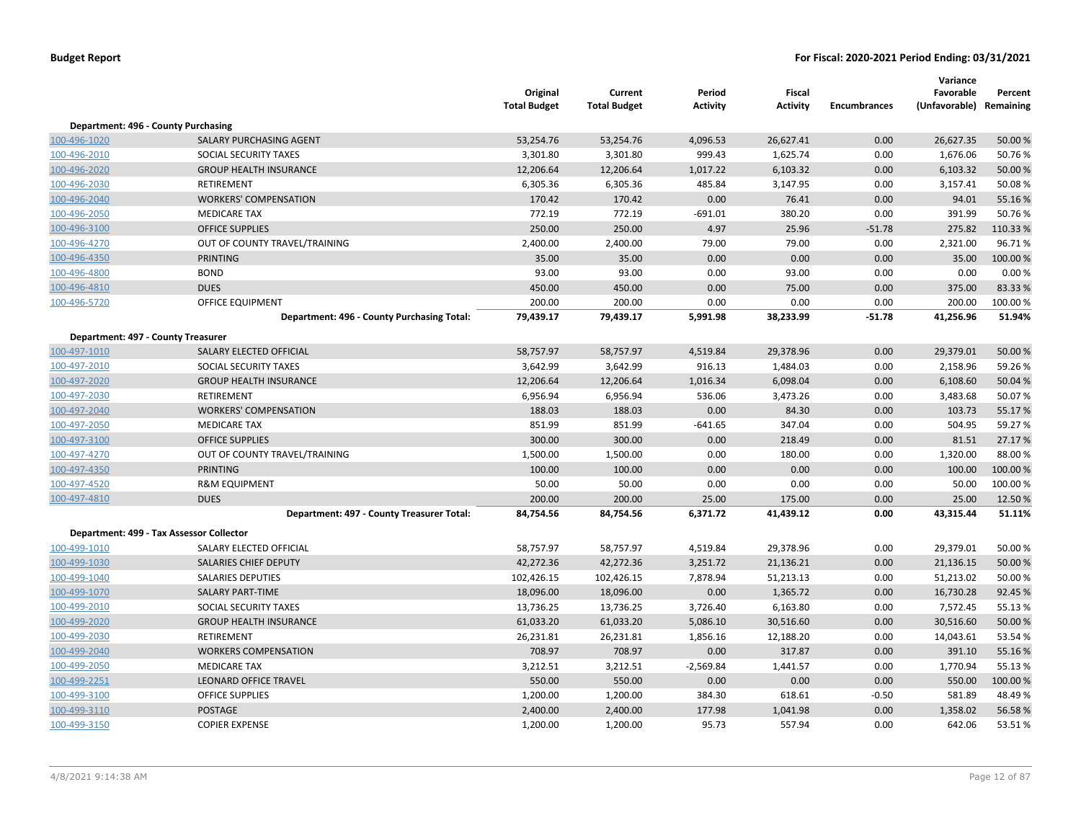|                                    |                                            | Original<br><b>Total Budget</b> | Current<br><b>Total Budget</b> | Period<br><b>Activity</b> | Fiscal<br><b>Activity</b> | <b>Encumbrances</b> | Variance<br>Favorable<br>(Unfavorable) Remaining | Percent  |
|------------------------------------|--------------------------------------------|---------------------------------|--------------------------------|---------------------------|---------------------------|---------------------|--------------------------------------------------|----------|
|                                    | Department: 496 - County Purchasing        |                                 |                                |                           |                           |                     |                                                  |          |
| 100-496-1020                       | SALARY PURCHASING AGENT                    | 53,254.76                       | 53,254.76                      | 4,096.53                  | 26,627.41                 | 0.00                | 26,627.35                                        | 50.00 %  |
| 100-496-2010                       | SOCIAL SECURITY TAXES                      | 3,301.80                        | 3,301.80                       | 999.43                    | 1,625.74                  | 0.00                | 1,676.06                                         | 50.76%   |
| 100-496-2020                       | <b>GROUP HEALTH INSURANCE</b>              | 12,206.64                       | 12,206.64                      | 1,017.22                  | 6,103.32                  | 0.00                | 6,103.32                                         | 50.00 %  |
| 100-496-2030                       | RETIREMENT                                 | 6,305.36                        | 6,305.36                       | 485.84                    | 3,147.95                  | 0.00                | 3,157.41                                         | 50.08%   |
| 100-496-2040                       | <b>WORKERS' COMPENSATION</b>               | 170.42                          | 170.42                         | 0.00                      | 76.41                     | 0.00                | 94.01                                            | 55.16%   |
| 100-496-2050                       | <b>MEDICARE TAX</b>                        | 772.19                          | 772.19                         | $-691.01$                 | 380.20                    | 0.00                | 391.99                                           | 50.76%   |
| 100-496-3100                       | <b>OFFICE SUPPLIES</b>                     | 250.00                          | 250.00                         | 4.97                      | 25.96                     | $-51.78$            | 275.82                                           | 110.33%  |
| 100-496-4270                       | OUT OF COUNTY TRAVEL/TRAINING              | 2,400.00                        | 2,400.00                       | 79.00                     | 79.00                     | 0.00                | 2,321.00                                         | 96.71%   |
| 100-496-4350                       | <b>PRINTING</b>                            | 35.00                           | 35.00                          | 0.00                      | 0.00                      | 0.00                | 35.00                                            | 100.00%  |
| 100-496-4800                       | <b>BOND</b>                                | 93.00                           | 93.00                          | 0.00                      | 93.00                     | 0.00                | 0.00                                             | 0.00%    |
| 100-496-4810                       | <b>DUES</b>                                | 450.00                          | 450.00                         | 0.00                      | 75.00                     | 0.00                | 375.00                                           | 83.33%   |
| 100-496-5720                       | <b>OFFICE EQUIPMENT</b>                    | 200.00                          | 200.00                         | 0.00                      | 0.00                      | 0.00                | 200.00                                           | 100.00%  |
|                                    | Department: 496 - County Purchasing Total: | 79,439.17                       | 79,439.17                      | 5,991.98                  | 38,233.99                 | $-51.78$            | 41,256.96                                        | 51.94%   |
| Department: 497 - County Treasurer |                                            |                                 |                                |                           |                           |                     |                                                  |          |
| 100-497-1010                       | SALARY ELECTED OFFICIAL                    | 58,757.97                       | 58,757.97                      | 4,519.84                  | 29,378.96                 | 0.00                | 29,379.01                                        | 50.00 %  |
| 100-497-2010                       | SOCIAL SECURITY TAXES                      | 3,642.99                        | 3,642.99                       | 916.13                    | 1,484.03                  | 0.00                | 2,158.96                                         | 59.26%   |
| 100-497-2020                       | <b>GROUP HEALTH INSURANCE</b>              | 12,206.64                       | 12,206.64                      | 1,016.34                  | 6,098.04                  | 0.00                | 6,108.60                                         | 50.04 %  |
| 100-497-2030                       | RETIREMENT                                 | 6,956.94                        | 6,956.94                       | 536.06                    | 3,473.26                  | 0.00                | 3,483.68                                         | 50.07%   |
| 100-497-2040                       | <b>WORKERS' COMPENSATION</b>               | 188.03                          | 188.03                         | 0.00                      | 84.30                     | 0.00                | 103.73                                           | 55.17%   |
| 100-497-2050                       | <b>MEDICARE TAX</b>                        | 851.99                          | 851.99                         | $-641.65$                 | 347.04                    | 0.00                | 504.95                                           | 59.27 %  |
| 100-497-3100                       | <b>OFFICE SUPPLIES</b>                     | 300.00                          | 300.00                         | 0.00                      | 218.49                    | 0.00                | 81.51                                            | 27.17 %  |
| 100-497-4270                       | OUT OF COUNTY TRAVEL/TRAINING              | 1,500.00                        | 1,500.00                       | 0.00                      | 180.00                    | 0.00                | 1,320.00                                         | 88.00%   |
| 100-497-4350                       | <b>PRINTING</b>                            | 100.00                          | 100.00                         | 0.00                      | 0.00                      | 0.00                | 100.00                                           | 100.00 % |
| 100-497-4520                       | <b>R&amp;M EQUIPMENT</b>                   | 50.00                           | 50.00                          | 0.00                      | 0.00                      | 0.00                | 50.00                                            | 100.00%  |
| 100-497-4810                       | <b>DUES</b>                                | 200.00                          | 200.00                         | 25.00                     | 175.00                    | 0.00                | 25.00                                            | 12.50%   |
|                                    | Department: 497 - County Treasurer Total:  | 84,754.56                       | 84,754.56                      | 6,371.72                  | 41,439.12                 | 0.00                | 43,315.44                                        | 51.11%   |
|                                    | Department: 499 - Tax Assessor Collector   |                                 |                                |                           |                           |                     |                                                  |          |
| 100-499-1010                       | SALARY ELECTED OFFICIAL                    | 58,757.97                       | 58,757.97                      | 4,519.84                  | 29,378.96                 | 0.00                | 29,379.01                                        | 50.00%   |
| 100-499-1030                       | SALARIES CHIEF DEPUTY                      | 42,272.36                       | 42,272.36                      | 3,251.72                  | 21,136.21                 | 0.00                | 21,136.15                                        | 50.00 %  |
| 100-499-1040                       | <b>SALARIES DEPUTIES</b>                   | 102,426.15                      | 102,426.15                     | 7,878.94                  | 51,213.13                 | 0.00                | 51,213.02                                        | 50.00 %  |
| 100-499-1070                       | <b>SALARY PART-TIME</b>                    | 18,096.00                       | 18,096.00                      | 0.00                      | 1,365.72                  | 0.00                | 16,730.28                                        | 92.45 %  |
| 100-499-2010                       | SOCIAL SECURITY TAXES                      | 13,736.25                       | 13,736.25                      | 3,726.40                  | 6,163.80                  | 0.00                | 7,572.45                                         | 55.13%   |
| 100-499-2020                       | <b>GROUP HEALTH INSURANCE</b>              | 61,033.20                       | 61,033.20                      | 5,086.10                  | 30,516.60                 | 0.00                | 30,516.60                                        | 50.00 %  |
| 100-499-2030                       | RETIREMENT                                 | 26,231.81                       | 26,231.81                      | 1,856.16                  | 12,188.20                 | 0.00                | 14,043.61                                        | 53.54 %  |
| 100-499-2040                       | <b>WORKERS COMPENSATION</b>                | 708.97                          | 708.97                         | 0.00                      | 317.87                    | 0.00                | 391.10                                           | 55.16%   |
| 100-499-2050                       | <b>MEDICARE TAX</b>                        | 3,212.51                        | 3,212.51                       | $-2,569.84$               | 1,441.57                  | 0.00                | 1,770.94                                         | 55.13%   |
| 100-499-2251                       | <b>LEONARD OFFICE TRAVEL</b>               | 550.00                          | 550.00                         | 0.00                      | 0.00                      | 0.00                | 550.00                                           | 100.00 % |
| 100-499-3100                       | <b>OFFICE SUPPLIES</b>                     | 1,200.00                        | 1,200.00                       | 384.30                    | 618.61                    | $-0.50$             | 581.89                                           | 48.49%   |
| 100-499-3110                       | <b>POSTAGE</b>                             | 2,400.00                        | 2,400.00                       | 177.98                    | 1,041.98                  | 0.00                | 1,358.02                                         | 56.58%   |
| 100-499-3150                       | <b>COPIER EXPENSE</b>                      | 1,200.00                        | 1,200.00                       | 95.73                     | 557.94                    | 0.00                | 642.06                                           | 53.51%   |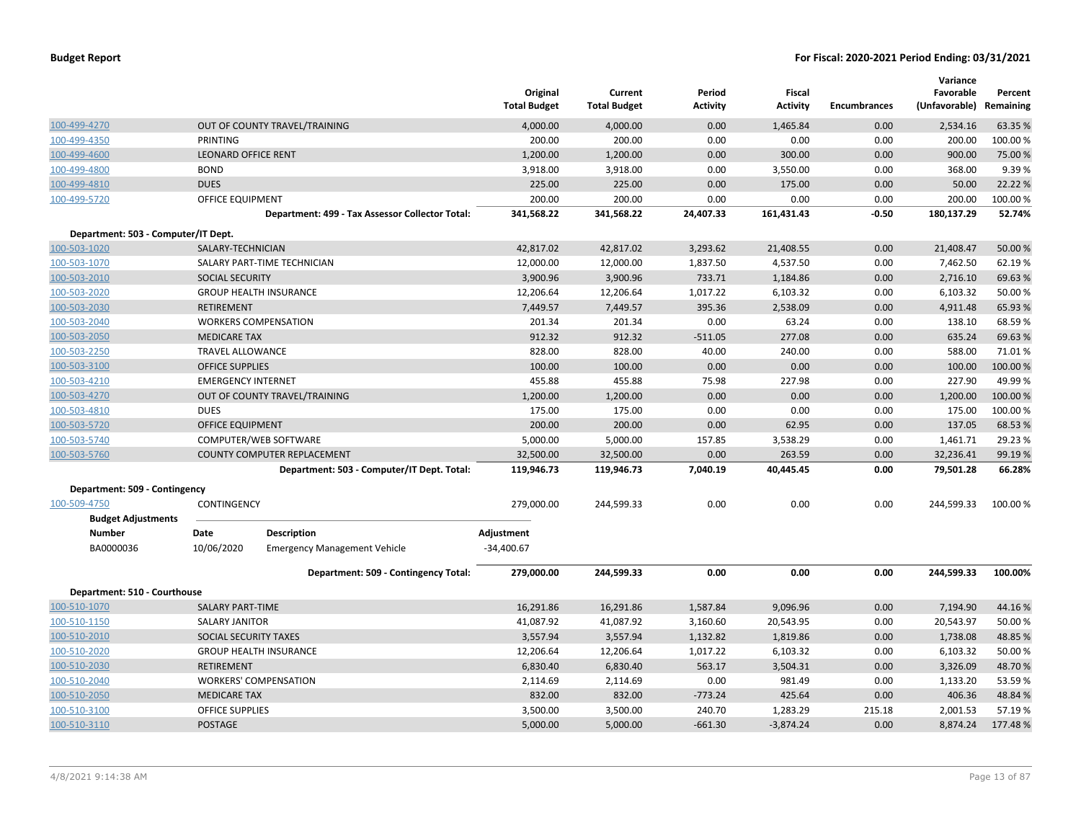|                                     |                            |                                                 | Original<br><b>Total Budget</b> | Current<br><b>Total Budget</b> | Period<br><b>Activity</b> | Fiscal<br><b>Activity</b> | <b>Encumbrances</b> | Variance<br>Favorable<br>(Unfavorable) | Percent<br>Remaining |
|-------------------------------------|----------------------------|-------------------------------------------------|---------------------------------|--------------------------------|---------------------------|---------------------------|---------------------|----------------------------------------|----------------------|
| 100-499-4270                        |                            | OUT OF COUNTY TRAVEL/TRAINING                   | 4,000.00                        | 4,000.00                       | 0.00                      | 1,465.84                  | 0.00                | 2,534.16                               | 63.35 %              |
| 100-499-4350                        | PRINTING                   |                                                 | 200.00                          | 200.00                         | 0.00                      | 0.00                      | 0.00                | 200.00                                 | 100.00%              |
| 100-499-4600                        | <b>LEONARD OFFICE RENT</b> |                                                 | 1,200.00                        | 1,200.00                       | 0.00                      | 300.00                    | 0.00                | 900.00                                 | 75.00 %              |
| 100-499-4800                        | <b>BOND</b>                |                                                 | 3,918.00                        | 3,918.00                       | 0.00                      | 3,550.00                  | 0.00                | 368.00                                 | 9.39%                |
| 100-499-4810                        | <b>DUES</b>                |                                                 | 225.00                          | 225.00                         | 0.00                      | 175.00                    | 0.00                | 50.00                                  | 22.22 %              |
| 100-499-5720                        | <b>OFFICE EQUIPMENT</b>    |                                                 | 200.00                          | 200.00                         | 0.00                      | 0.00                      | 0.00                | 200.00                                 | 100.00%              |
|                                     |                            | Department: 499 - Tax Assessor Collector Total: | 341,568.22                      | 341,568.22                     | 24,407.33                 | 161,431.43                | $-0.50$             | 180,137.29                             | 52.74%               |
| Department: 503 - Computer/IT Dept. |                            |                                                 |                                 |                                |                           |                           |                     |                                        |                      |
| 100-503-1020                        | SALARY-TECHNICIAN          |                                                 | 42,817.02                       | 42,817.02                      | 3,293.62                  | 21,408.55                 | 0.00                | 21,408.47                              | 50.00 %              |
| 100-503-1070                        |                            | SALARY PART-TIME TECHNICIAN                     | 12,000.00                       | 12,000.00                      | 1,837.50                  | 4,537.50                  | 0.00                | 7,462.50                               | 62.19%               |
| 100-503-2010                        | <b>SOCIAL SECURITY</b>     |                                                 | 3,900.96                        | 3,900.96                       | 733.71                    | 1,184.86                  | 0.00                | 2,716.10                               | 69.63%               |
| 100-503-2020                        |                            | <b>GROUP HEALTH INSURANCE</b>                   | 12,206.64                       | 12,206.64                      | 1,017.22                  | 6,103.32                  | 0.00                | 6,103.32                               | 50.00 %              |
| 100-503-2030                        | <b>RETIREMENT</b>          |                                                 | 7,449.57                        | 7,449.57                       | 395.36                    | 2,538.09                  | 0.00                | 4,911.48                               | 65.93 %              |
| 100-503-2040                        |                            | <b>WORKERS COMPENSATION</b>                     | 201.34                          | 201.34                         | 0.00                      | 63.24                     | 0.00                | 138.10                                 | 68.59%               |
| 100-503-2050                        | <b>MEDICARE TAX</b>        |                                                 | 912.32                          | 912.32                         | $-511.05$                 | 277.08                    | 0.00                | 635.24                                 | 69.63 %              |
| 100-503-2250                        | <b>TRAVEL ALLOWANCE</b>    |                                                 | 828.00                          | 828.00                         | 40.00                     | 240.00                    | 0.00                | 588.00                                 | 71.01%               |
| 100-503-3100                        | <b>OFFICE SUPPLIES</b>     |                                                 | 100.00                          | 100.00                         | 0.00                      | 0.00                      | 0.00                | 100.00                                 | 100.00 %             |
| 100-503-4210                        | <b>EMERGENCY INTERNET</b>  |                                                 | 455.88                          | 455.88                         | 75.98                     | 227.98                    | 0.00                | 227.90                                 | 49.99%               |
| 100-503-4270                        |                            | OUT OF COUNTY TRAVEL/TRAINING                   | 1,200.00                        | 1,200.00                       | 0.00                      | 0.00                      | 0.00                | 1,200.00                               | 100.00 %             |
| 100-503-4810                        | <b>DUES</b>                |                                                 | 175.00                          | 175.00                         | 0.00                      | 0.00                      | 0.00                | 175.00                                 | 100.00 %             |
| 100-503-5720                        | <b>OFFICE EQUIPMENT</b>    |                                                 | 200.00                          | 200.00                         | 0.00                      | 62.95                     | 0.00                | 137.05                                 | 68.53 %              |
| 100-503-5740                        |                            | COMPUTER/WEB SOFTWARE                           | 5,000.00                        | 5,000.00                       | 157.85                    | 3,538.29                  | 0.00                | 1,461.71                               | 29.23 %              |
| 100-503-5760                        |                            | <b>COUNTY COMPUTER REPLACEMENT</b>              | 32,500.00                       | 32,500.00                      | 0.00                      | 263.59                    | 0.00                | 32,236.41                              | 99.19 %              |
|                                     |                            | Department: 503 - Computer/IT Dept. Total:      | 119,946.73                      | 119,946.73                     | 7,040.19                  | 40,445.45                 | 0.00                | 79,501.28                              | 66.28%               |
| Department: 509 - Contingency       |                            |                                                 |                                 |                                |                           |                           |                     |                                        |                      |
| 100-509-4750                        | CONTINGENCY                |                                                 | 279,000.00                      | 244,599.33                     | 0.00                      | 0.00                      | 0.00                | 244,599.33                             | 100.00 %             |
| <b>Budget Adjustments</b>           |                            |                                                 |                                 |                                |                           |                           |                     |                                        |                      |
| <b>Number</b>                       | Date                       | <b>Description</b>                              | Adjustment                      |                                |                           |                           |                     |                                        |                      |
| BA0000036                           | 10/06/2020                 | <b>Emergency Management Vehicle</b>             | $-34,400.67$                    |                                |                           |                           |                     |                                        |                      |
|                                     |                            | Department: 509 - Contingency Total:            | 279,000.00                      | 244,599.33                     | 0.00                      | 0.00                      | 0.00                | 244,599.33                             | 100.00%              |
| Department: 510 - Courthouse        |                            |                                                 |                                 |                                |                           |                           |                     |                                        |                      |
| 100-510-1070                        | <b>SALARY PART-TIME</b>    |                                                 | 16,291.86                       | 16,291.86                      | 1,587.84                  | 9,096.96                  | 0.00                | 7,194.90                               | 44.16%               |
| 100-510-1150                        | <b>SALARY JANITOR</b>      |                                                 | 41,087.92                       | 41,087.92                      | 3,160.60                  | 20,543.95                 | 0.00                | 20,543.97                              | 50.00 %              |
| 100-510-2010                        | SOCIAL SECURITY TAXES      |                                                 | 3,557.94                        | 3,557.94                       | 1,132.82                  | 1,819.86                  | 0.00                | 1,738.08                               | 48.85 %              |
| 100-510-2020                        |                            | <b>GROUP HEALTH INSURANCE</b>                   | 12,206.64                       | 12,206.64                      | 1,017.22                  | 6,103.32                  | 0.00                | 6,103.32                               | 50.00 %              |
| 100-510-2030                        | <b>RETIREMENT</b>          |                                                 | 6,830.40                        | 6,830.40                       | 563.17                    | 3,504.31                  | 0.00                | 3,326.09                               | 48.70%               |
| 100-510-2040                        |                            | <b>WORKERS' COMPENSATION</b>                    | 2,114.69                        | 2,114.69                       | 0.00                      | 981.49                    | 0.00                | 1,133.20                               | 53.59 %              |
| 100-510-2050                        | <b>MEDICARE TAX</b>        |                                                 | 832.00                          | 832.00                         | $-773.24$                 | 425.64                    | 0.00                | 406.36                                 | 48.84 %              |
| 100-510-3100                        | <b>OFFICE SUPPLIES</b>     |                                                 | 3,500.00                        | 3,500.00                       | 240.70                    | 1,283.29                  | 215.18              | 2,001.53                               | 57.19 %              |
| 100-510-3110                        | <b>POSTAGE</b>             |                                                 | 5,000.00                        | 5,000.00                       | $-661.30$                 | $-3,874.24$               | 0.00                | 8,874.24                               | 177.48%              |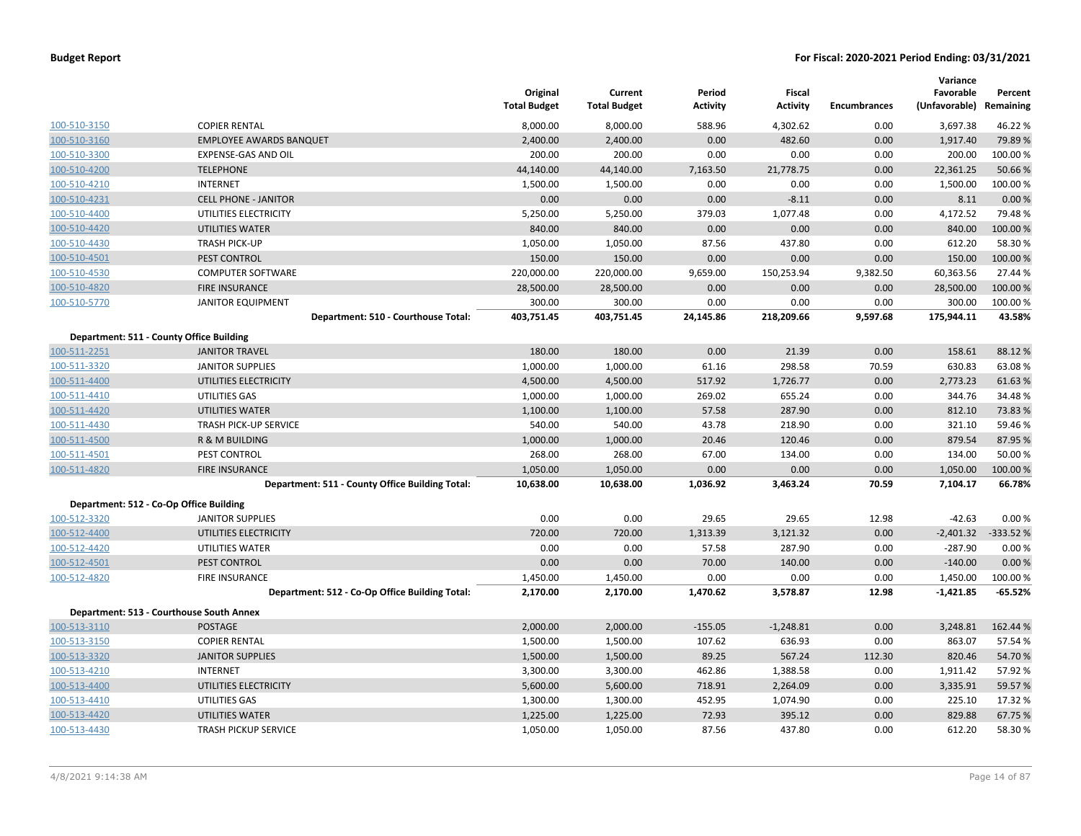| <b>Budget Report</b> |  |  |  |  |
|----------------------|--|--|--|--|
|----------------------|--|--|--|--|

|                                          |                                                 | Original            | Current             | Period          | Fiscal          |                     | Variance<br>Favorable   | Percent   |
|------------------------------------------|-------------------------------------------------|---------------------|---------------------|-----------------|-----------------|---------------------|-------------------------|-----------|
|                                          |                                                 | <b>Total Budget</b> | <b>Total Budget</b> | <b>Activity</b> | <b>Activity</b> | <b>Encumbrances</b> | (Unfavorable) Remaining |           |
| 100-510-3150                             | <b>COPIER RENTAL</b>                            | 8,000.00            | 8,000.00            | 588.96          | 4,302.62        | 0.00                | 3,697.38                | 46.22%    |
| 100-510-3160                             | <b>EMPLOYEE AWARDS BANQUET</b>                  | 2,400.00            | 2,400.00            | 0.00            | 482.60          | 0.00                | 1,917.40                | 79.89%    |
| 100-510-3300                             | EXPENSE-GAS AND OIL                             | 200.00              | 200.00              | 0.00            | 0.00            | 0.00                | 200.00                  | 100.00%   |
| 100-510-4200                             | <b>TELEPHONE</b>                                | 44,140.00           | 44,140.00           | 7,163.50        | 21,778.75       | 0.00                | 22,361.25               | 50.66%    |
| 100-510-4210                             | <b>INTERNET</b>                                 | 1,500.00            | 1,500.00            | 0.00            | 0.00            | 0.00                | 1,500.00                | 100.00%   |
| 100-510-4231                             | <b>CELL PHONE - JANITOR</b>                     | 0.00                | 0.00                | 0.00            | $-8.11$         | 0.00                | 8.11                    | 0.00%     |
| 100-510-4400                             | UTILITIES ELECTRICITY                           | 5,250.00            | 5,250.00            | 379.03          | 1,077.48        | 0.00                | 4,172.52                | 79.48%    |
| 100-510-4420                             | <b>UTILITIES WATER</b>                          | 840.00              | 840.00              | 0.00            | 0.00            | 0.00                | 840.00                  | 100.00 %  |
| 100-510-4430                             | <b>TRASH PICK-UP</b>                            | 1,050.00            | 1,050.00            | 87.56           | 437.80          | 0.00                | 612.20                  | 58.30%    |
| 100-510-4501                             | <b>PEST CONTROL</b>                             | 150.00              | 150.00              | 0.00            | 0.00            | 0.00                | 150.00                  | 100.00 %  |
| 100-510-4530                             | <b>COMPUTER SOFTWARE</b>                        | 220,000.00          | 220,000.00          | 9,659.00        | 150,253.94      | 9,382.50            | 60,363.56               | 27.44 %   |
| 100-510-4820                             | <b>FIRE INSURANCE</b>                           | 28,500.00           | 28,500.00           | 0.00            | 0.00            | 0.00                | 28,500.00               | 100.00 %  |
| 100-510-5770                             | <b>JANITOR EQUIPMENT</b>                        | 300.00              | 300.00              | 0.00            | 0.00            | 0.00                | 300.00                  | 100.00%   |
|                                          | Department: 510 - Courthouse Total:             | 403,751.45          | 403,751.45          | 24,145.86       | 218,209.66      | 9,597.68            | 175,944.11              | 43.58%    |
| Department: 511 - County Office Building |                                                 |                     |                     |                 |                 |                     |                         |           |
| 100-511-2251                             | <b>JANITOR TRAVEL</b>                           | 180.00              | 180.00              | 0.00            | 21.39           | 0.00                | 158.61                  | 88.12%    |
| 100-511-3320                             | <b>JANITOR SUPPLIES</b>                         | 1,000.00            | 1,000.00            | 61.16           | 298.58          | 70.59               | 630.83                  | 63.08%    |
| 100-511-4400                             | UTILITIES ELECTRICITY                           | 4,500.00            | 4,500.00            | 517.92          | 1,726.77        | 0.00                | 2,773.23                | 61.63%    |
| 100-511-4410                             | UTILITIES GAS                                   | 1,000.00            | 1,000.00            | 269.02          | 655.24          | 0.00                | 344.76                  | 34.48%    |
| 100-511-4420                             | UTILITIES WATER                                 | 1,100.00            | 1,100.00            | 57.58           | 287.90          | 0.00                | 812.10                  | 73.83%    |
| 100-511-4430                             | <b>TRASH PICK-UP SERVICE</b>                    | 540.00              | 540.00              | 43.78           | 218.90          | 0.00                | 321.10                  | 59.46%    |
| 100-511-4500                             | R & M BUILDING                                  | 1,000.00            | 1,000.00            | 20.46           | 120.46          | 0.00                | 879.54                  | 87.95%    |
| 100-511-4501                             | PEST CONTROL                                    | 268.00              | 268.00              | 67.00           | 134.00          | 0.00                | 134.00                  | 50.00%    |
| 100-511-4820                             | <b>FIRE INSURANCE</b>                           | 1,050.00            | 1,050.00            | 0.00            | 0.00            | 0.00                | 1,050.00                | 100.00 %  |
|                                          | Department: 511 - County Office Building Total: | 10,638.00           | 10,638.00           | 1,036.92        | 3,463.24        | 70.59               | 7,104.17                | 66.78%    |
| Department: 512 - Co-Op Office Building  |                                                 |                     |                     |                 |                 |                     |                         |           |
| 100-512-3320                             | <b>JANITOR SUPPLIES</b>                         | 0.00                | 0.00                | 29.65           | 29.65           | 12.98               | $-42.63$                | 0.00%     |
| 100-512-4400                             | UTILITIES ELECTRICITY                           | 720.00              | 720.00              | 1,313.39        | 3,121.32        | 0.00                | $-2,401.32$             | -333.52 % |
| 100-512-4420                             | UTILITIES WATER                                 | 0.00                | 0.00                | 57.58           | 287.90          | 0.00                | $-287.90$               | 0.00%     |
| 100-512-4501                             | PEST CONTROL                                    | 0.00                | 0.00                | 70.00           | 140.00          | 0.00                | $-140.00$               | 0.00%     |
| 100-512-4820                             | <b>FIRE INSURANCE</b>                           | 1,450.00            | 1,450.00            | 0.00            | 0.00            | 0.00                | 1,450.00                | 100.00 %  |
|                                          | Department: 512 - Co-Op Office Building Total:  | 2,170.00            | 2,170.00            | 1,470.62        | 3,578.87        | 12.98               | $-1,421.85$             | $-65.52%$ |
| Department: 513 - Courthouse South Annex |                                                 |                     |                     |                 |                 |                     |                         |           |
| 100-513-3110                             | <b>POSTAGE</b>                                  | 2,000.00            | 2,000.00            | $-155.05$       | $-1,248.81$     | 0.00                | 3,248.81                | 162.44 %  |
| 100-513-3150                             | <b>COPIER RENTAL</b>                            | 1,500.00            | 1,500.00            | 107.62          | 636.93          | 0.00                | 863.07                  | 57.54 %   |
| 100-513-3320                             | <b>JANITOR SUPPLIES</b>                         | 1,500.00            | 1,500.00            | 89.25           | 567.24          | 112.30              | 820.46                  | 54.70%    |
| 100-513-4210                             | <b>INTERNET</b>                                 | 3,300.00            | 3,300.00            | 462.86          | 1,388.58        | 0.00                | 1,911.42                | 57.92%    |
| 100-513-4400                             | UTILITIES ELECTRICITY                           | 5,600.00            | 5,600.00            | 718.91          | 2,264.09        | 0.00                | 3,335.91                | 59.57%    |
| 100-513-4410                             | UTILITIES GAS                                   | 1,300.00            | 1,300.00            | 452.95          | 1,074.90        | 0.00                | 225.10                  | 17.32%    |
| 100-513-4420                             | UTILITIES WATER                                 | 1,225.00            | 1,225.00            | 72.93           | 395.12          | 0.00                | 829.88                  | 67.75 %   |
| 100-513-4430                             | <b>TRASH PICKUP SERVICE</b>                     | 1,050.00            | 1,050.00            | 87.56           | 437.80          | 0.00                | 612.20                  | 58.30%    |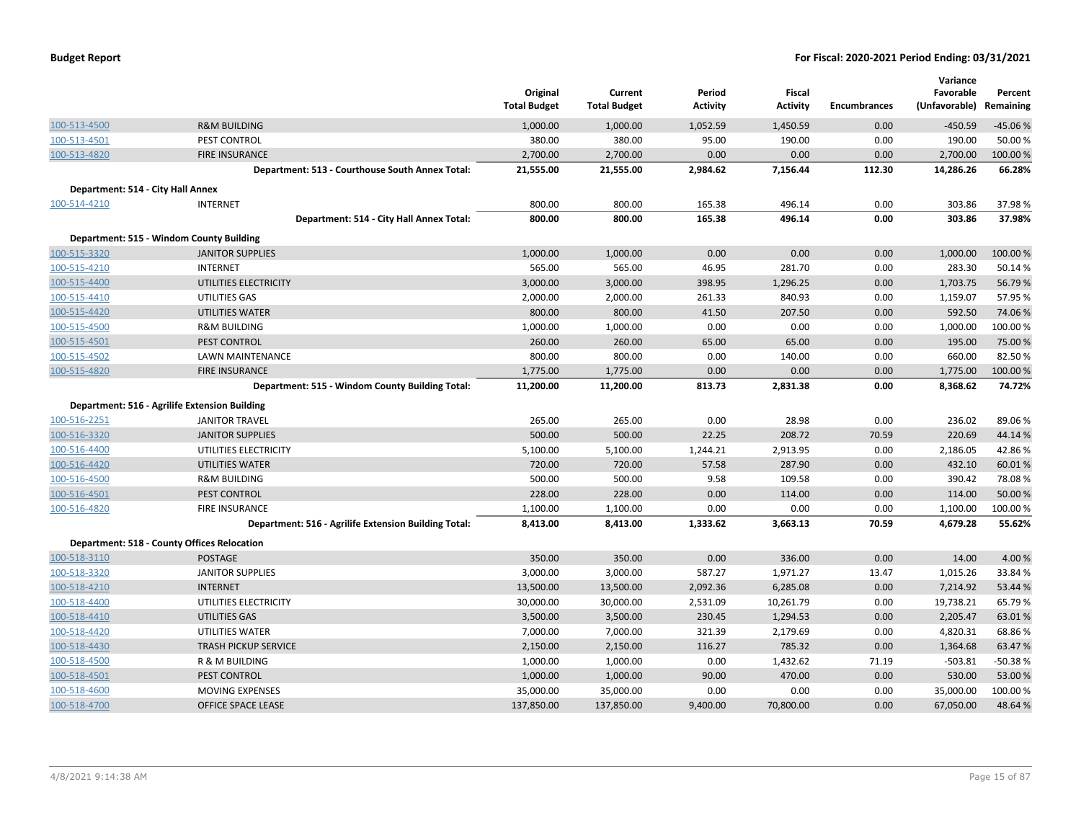|                                   |                                                      | Original<br><b>Total Budget</b> | Current<br><b>Total Budget</b> | Period<br><b>Activity</b> | Fiscal<br><b>Activity</b> | <b>Encumbrances</b> | Variance<br>Favorable<br>(Unfavorable) | Percent<br>Remaining |
|-----------------------------------|------------------------------------------------------|---------------------------------|--------------------------------|---------------------------|---------------------------|---------------------|----------------------------------------|----------------------|
| 100-513-4500                      | <b>R&amp;M BUILDING</b>                              | 1,000.00                        | 1,000.00                       | 1,052.59                  | 1,450.59                  | 0.00                | $-450.59$                              | $-45.06%$            |
| 100-513-4501                      | PEST CONTROL                                         | 380.00                          | 380.00                         | 95.00                     | 190.00                    | 0.00                | 190.00                                 | 50.00%               |
| 100-513-4820                      | <b>FIRE INSURANCE</b>                                | 2,700.00                        | 2,700.00                       | 0.00                      | 0.00                      | 0.00                | 2,700.00                               | 100.00%              |
|                                   | Department: 513 - Courthouse South Annex Total:      | 21,555.00                       | 21,555.00                      | 2,984.62                  | 7,156.44                  | 112.30              | 14,286.26                              | 66.28%               |
| Department: 514 - City Hall Annex |                                                      |                                 |                                |                           |                           |                     |                                        |                      |
| 100-514-4210                      | <b>INTERNET</b>                                      | 800.00                          | 800.00                         | 165.38                    | 496.14                    | 0.00                | 303.86                                 | 37.98%               |
|                                   | Department: 514 - City Hall Annex Total:             | 800.00                          | 800.00                         | 165.38                    | 496.14                    | 0.00                | 303.86                                 | 37.98%               |
|                                   | Department: 515 - Windom County Building             |                                 |                                |                           |                           |                     |                                        |                      |
| 100-515-3320                      | <b>JANITOR SUPPLIES</b>                              | 1,000.00                        | 1,000.00                       | 0.00                      | 0.00                      | 0.00                | 1,000.00                               | 100.00 %             |
| 100-515-4210                      | <b>INTERNET</b>                                      | 565.00                          | 565.00                         | 46.95                     | 281.70                    | 0.00                | 283.30                                 | 50.14 %              |
| 100-515-4400                      | UTILITIES ELECTRICITY                                | 3,000.00                        | 3,000.00                       | 398.95                    | 1,296.25                  | 0.00                | 1,703.75                               | 56.79%               |
| 100-515-4410                      | UTILITIES GAS                                        | 2,000.00                        | 2,000.00                       | 261.33                    | 840.93                    | 0.00                | 1,159.07                               | 57.95%               |
| 100-515-4420                      | <b>UTILITIES WATER</b>                               | 800.00                          | 800.00                         | 41.50                     | 207.50                    | 0.00                | 592.50                                 | 74.06%               |
| 100-515-4500                      | <b>R&amp;M BUILDING</b>                              | 1,000.00                        | 1,000.00                       | 0.00                      | 0.00                      | 0.00                | 1,000.00                               | 100.00%              |
| 100-515-4501                      | <b>PEST CONTROL</b>                                  | 260.00                          | 260.00                         | 65.00                     | 65.00                     | 0.00                | 195.00                                 | 75.00 %              |
| 100-515-4502                      | LAWN MAINTENANCE                                     | 800.00                          | 800.00                         | 0.00                      | 140.00                    | 0.00                | 660.00                                 | 82.50%               |
| 100-515-4820                      | <b>FIRE INSURANCE</b>                                | 1,775.00                        | 1,775.00                       | 0.00                      | 0.00                      | 0.00                | 1,775.00                               | 100.00%              |
|                                   | Department: 515 - Windom County Building Total:      | 11,200.00                       | 11,200.00                      | 813.73                    | 2,831.38                  | 0.00                | 8,368.62                               | 74.72%               |
|                                   | Department: 516 - Agrilife Extension Building        |                                 |                                |                           |                           |                     |                                        |                      |
| 100-516-2251                      | <b>JANITOR TRAVEL</b>                                | 265.00                          | 265.00                         | 0.00                      | 28.98                     | 0.00                | 236.02                                 | 89.06%               |
| 100-516-3320                      | <b>JANITOR SUPPLIES</b>                              | 500.00                          | 500.00                         | 22.25                     | 208.72                    | 70.59               | 220.69                                 | 44.14%               |
| 100-516-4400                      | UTILITIES ELECTRICITY                                | 5,100.00                        | 5,100.00                       | 1,244.21                  | 2,913.95                  | 0.00                | 2,186.05                               | 42.86%               |
| 100-516-4420                      | <b>UTILITIES WATER</b>                               | 720.00                          | 720.00                         | 57.58                     | 287.90                    | 0.00                | 432.10                                 | 60.01%               |
| 100-516-4500                      | <b>R&amp;M BUILDING</b>                              | 500.00                          | 500.00                         | 9.58                      | 109.58                    | 0.00                | 390.42                                 | 78.08%               |
| 100-516-4501                      | PEST CONTROL                                         | 228.00                          | 228.00                         | 0.00                      | 114.00                    | 0.00                | 114.00                                 | 50.00 %              |
| 100-516-4820                      | FIRE INSURANCE                                       | 1,100.00                        | 1,100.00                       | 0.00                      | 0.00                      | 0.00                | 1,100.00                               | 100.00%              |
|                                   | Department: 516 - Agrilife Extension Building Total: | 8,413.00                        | 8,413.00                       | 1,333.62                  | 3,663.13                  | 70.59               | 4,679.28                               | 55.62%               |
|                                   | <b>Department: 518 - County Offices Relocation</b>   |                                 |                                |                           |                           |                     |                                        |                      |
| 100-518-3110                      | <b>POSTAGE</b>                                       | 350.00                          | 350.00                         | 0.00                      | 336.00                    | 0.00                | 14.00                                  | 4.00 %               |
| 100-518-3320                      | <b>JANITOR SUPPLIES</b>                              | 3,000.00                        | 3,000.00                       | 587.27                    | 1,971.27                  | 13.47               | 1,015.26                               | 33.84 %              |
| 100-518-4210                      | <b>INTERNET</b>                                      | 13,500.00                       | 13,500.00                      | 2,092.36                  | 6,285.08                  | 0.00                | 7,214.92                               | 53.44 %              |
| 100-518-4400                      | UTILITIES ELECTRICITY                                | 30,000.00                       | 30,000.00                      | 2,531.09                  | 10,261.79                 | 0.00                | 19,738.21                              | 65.79%               |
| 100-518-4410                      | UTILITIES GAS                                        | 3,500.00                        | 3,500.00                       | 230.45                    | 1,294.53                  | 0.00                | 2,205.47                               | 63.01%               |
| 100-518-4420                      | UTILITIES WATER                                      | 7,000.00                        | 7,000.00                       | 321.39                    | 2,179.69                  | 0.00                | 4,820.31                               | 68.86%               |
| 100-518-4430                      | <b>TRASH PICKUP SERVICE</b>                          | 2,150.00                        | 2,150.00                       | 116.27                    | 785.32                    | 0.00                | 1,364.68                               | 63.47 %              |
| 100-518-4500                      | R & M BUILDING                                       | 1,000.00                        | 1,000.00                       | 0.00                      | 1,432.62                  | 71.19               | $-503.81$                              | -50.38%              |
| 100-518-4501                      | PEST CONTROL                                         | 1,000.00                        | 1,000.00                       | 90.00                     | 470.00                    | 0.00                | 530.00                                 | 53.00%               |
| 100-518-4600                      | <b>MOVING EXPENSES</b>                               | 35,000.00                       | 35,000.00                      | 0.00                      | 0.00                      | 0.00                | 35,000.00                              | 100.00%              |
| 100-518-4700                      | OFFICE SPACE LEASE                                   | 137,850.00                      | 137,850.00                     | 9.400.00                  | 70,800.00                 | 0.00                | 67,050.00                              | 48.64%               |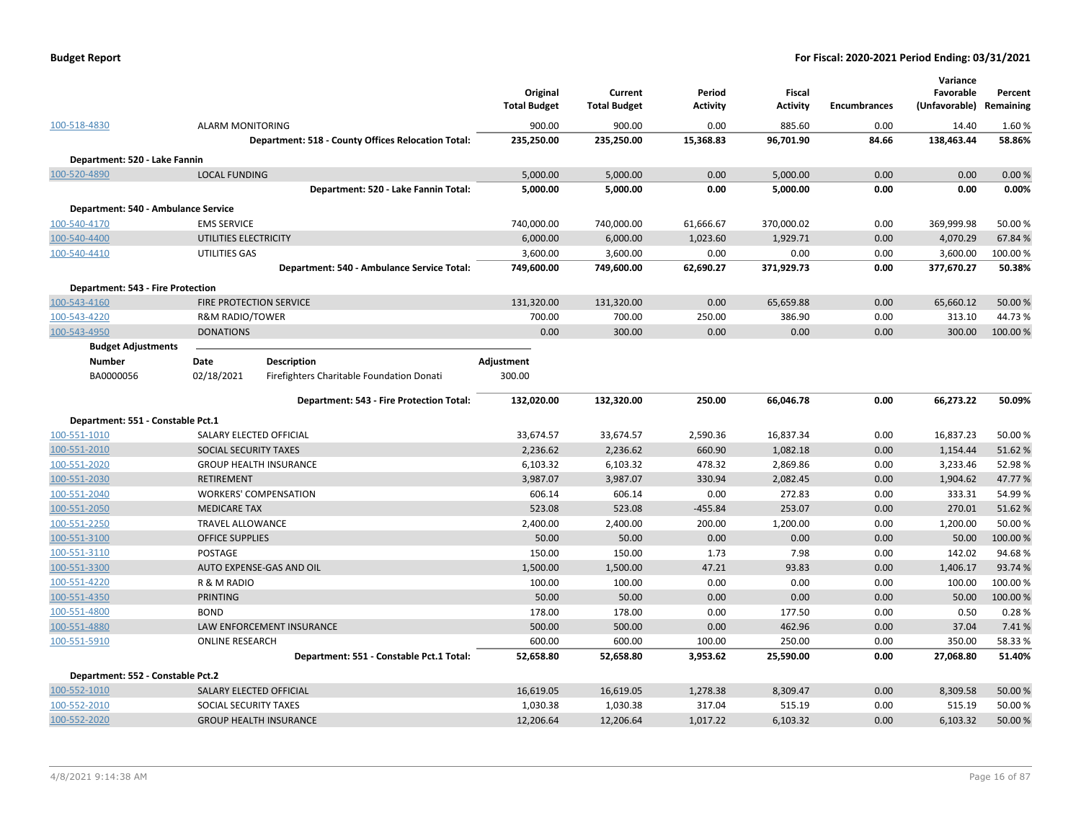|                                          |                            |                               |                                                    | Original<br><b>Total Budget</b> | Current<br><b>Total Budget</b> | Period<br><b>Activity</b> | <b>Fiscal</b><br><b>Activity</b> | <b>Encumbrances</b> | Variance<br>Favorable<br>(Unfavorable) | Percent<br>Remaining |
|------------------------------------------|----------------------------|-------------------------------|----------------------------------------------------|---------------------------------|--------------------------------|---------------------------|----------------------------------|---------------------|----------------------------------------|----------------------|
| 100-518-4830                             | <b>ALARM MONITORING</b>    |                               |                                                    | 900.00                          | 900.00                         | 0.00                      | 885.60                           | 0.00                | 14.40                                  | 1.60%                |
|                                          |                            |                               | Department: 518 - County Offices Relocation Total: | 235,250.00                      | 235,250.00                     | 15,368.83                 | 96,701.90                        | 84.66               | 138,463.44                             | 58.86%               |
| Department: 520 - Lake Fannin            |                            |                               |                                                    |                                 |                                |                           |                                  |                     |                                        |                      |
| 100-520-4890                             | <b>LOCAL FUNDING</b>       |                               |                                                    | 5,000.00                        | 5,000.00                       | 0.00                      | 5,000.00                         | 0.00                | 0.00                                   | 0.00%                |
|                                          |                            |                               | Department: 520 - Lake Fannin Total:               | 5,000.00                        | 5,000.00                       | 0.00                      | 5,000.00                         | 0.00                | 0.00                                   | 0.00%                |
| Department: 540 - Ambulance Service      |                            |                               |                                                    |                                 |                                |                           |                                  |                     |                                        |                      |
| 100-540-4170                             | <b>EMS SERVICE</b>         |                               |                                                    | 740,000.00                      | 740,000.00                     | 61,666.67                 | 370,000.02                       | 0.00                | 369,999.98                             | 50.00 %              |
| 100-540-4400                             | UTILITIES ELECTRICITY      |                               |                                                    | 6,000.00                        | 6,000.00                       | 1,023.60                  | 1,929.71                         | 0.00                | 4,070.29                               | 67.84 %              |
| 100-540-4410                             | UTILITIES GAS              |                               |                                                    | 3,600.00                        | 3,600.00                       | 0.00                      | 0.00                             | 0.00                | 3,600.00                               | 100.00%              |
|                                          |                            |                               | Department: 540 - Ambulance Service Total:         | 749,600.00                      | 749,600.00                     | 62,690.27                 | 371,929.73                       | 0.00                | 377,670.27                             | 50.38%               |
| <b>Department: 543 - Fire Protection</b> |                            |                               |                                                    |                                 |                                |                           |                                  |                     |                                        |                      |
| 100-543-4160                             |                            | FIRE PROTECTION SERVICE       |                                                    | 131,320.00                      | 131,320.00                     | 0.00                      | 65,659.88                        | 0.00                | 65,660.12                              | 50.00 %              |
| 100-543-4220                             | <b>R&amp;M RADIO/TOWER</b> |                               |                                                    | 700.00                          | 700.00                         | 250.00                    | 386.90                           | 0.00                | 313.10                                 | 44.73%               |
| 100-543-4950                             | <b>DONATIONS</b>           |                               |                                                    | 0.00                            | 300.00                         | 0.00                      | 0.00                             | 0.00                | 300.00                                 | 100.00 %             |
| <b>Budget Adjustments</b>                |                            |                               |                                                    |                                 |                                |                           |                                  |                     |                                        |                      |
| Number                                   | Date                       | <b>Description</b>            |                                                    | Adjustment                      |                                |                           |                                  |                     |                                        |                      |
| BA0000056                                | 02/18/2021                 |                               | Firefighters Charitable Foundation Donati          | 300.00                          |                                |                           |                                  |                     |                                        |                      |
|                                          |                            |                               | Department: 543 - Fire Protection Total:           | 132,020.00                      | 132,320.00                     | 250.00                    | 66,046.78                        | 0.00                | 66,273.22                              | 50.09%               |
| Department: 551 - Constable Pct.1        |                            |                               |                                                    |                                 |                                |                           |                                  |                     |                                        |                      |
| 100-551-1010                             |                            | SALARY ELECTED OFFICIAL       |                                                    | 33,674.57                       | 33,674.57                      | 2,590.36                  | 16,837.34                        | 0.00                | 16,837.23                              | 50.00 %              |
| 100-551-2010                             | SOCIAL SECURITY TAXES      |                               |                                                    | 2,236.62                        | 2,236.62                       | 660.90                    | 1,082.18                         | 0.00                | 1,154.44                               | 51.62%               |
| 100-551-2020                             |                            | <b>GROUP HEALTH INSURANCE</b> |                                                    | 6,103.32                        | 6,103.32                       | 478.32                    | 2,869.86                         | 0.00                | 3,233.46                               | 52.98%               |
| 100-551-2030                             | <b>RETIREMENT</b>          |                               |                                                    | 3,987.07                        | 3,987.07                       | 330.94                    | 2,082.45                         | 0.00                | 1,904.62                               | 47.77%               |
| 100-551-2040                             |                            | <b>WORKERS' COMPENSATION</b>  |                                                    | 606.14                          | 606.14                         | 0.00                      | 272.83                           | 0.00                | 333.31                                 | 54.99%               |
| 100-551-2050                             | <b>MEDICARE TAX</b>        |                               |                                                    | 523.08                          | 523.08                         | $-455.84$                 | 253.07                           | 0.00                | 270.01                                 | 51.62%               |
| 100-551-2250                             | <b>TRAVEL ALLOWANCE</b>    |                               |                                                    | 2,400.00                        | 2,400.00                       | 200.00                    | 1,200.00                         | 0.00                | 1,200.00                               | 50.00 %              |
| 100-551-3100                             | <b>OFFICE SUPPLIES</b>     |                               |                                                    | 50.00                           | 50.00                          | 0.00                      | 0.00                             | 0.00                | 50.00                                  | 100.00%              |
| 100-551-3110                             | POSTAGE                    |                               |                                                    | 150.00                          | 150.00                         | 1.73                      | 7.98                             | 0.00                | 142.02                                 | 94.68%               |
| 100-551-3300                             |                            | AUTO EXPENSE-GAS AND OIL      |                                                    | 1,500.00                        | 1,500.00                       | 47.21                     | 93.83                            | 0.00                | 1,406.17                               | 93.74 %              |
| 100-551-4220                             | R & M RADIO                |                               |                                                    | 100.00                          | 100.00                         | 0.00                      | 0.00                             | 0.00                | 100.00                                 | 100.00%              |
| 100-551-4350                             | <b>PRINTING</b>            |                               |                                                    | 50.00                           | 50.00                          | 0.00                      | 0.00                             | 0.00                | 50.00                                  | 100.00%              |
| 100-551-4800                             | <b>BOND</b>                |                               |                                                    | 178.00                          | 178.00                         | 0.00                      | 177.50                           | 0.00                | 0.50                                   | 0.28%                |
| 100-551-4880                             |                            | LAW ENFORCEMENT INSURANCE     |                                                    | 500.00                          | 500.00                         | 0.00                      | 462.96                           | 0.00                | 37.04                                  | 7.41%                |
| 100-551-5910                             | <b>ONLINE RESEARCH</b>     |                               |                                                    | 600.00                          | 600.00                         | 100.00                    | 250.00                           | 0.00                | 350.00                                 | 58.33 %              |
|                                          |                            |                               | Department: 551 - Constable Pct.1 Total:           | 52,658.80                       | 52,658.80                      | 3,953.62                  | 25,590.00                        | 0.00                | 27,068.80                              | 51.40%               |
| Department: 552 - Constable Pct.2        |                            |                               |                                                    |                                 |                                |                           |                                  |                     |                                        |                      |
| 100-552-1010                             |                            | SALARY ELECTED OFFICIAL       |                                                    | 16,619.05                       | 16,619.05                      | 1,278.38                  | 8,309.47                         | 0.00                | 8,309.58                               | 50.00 %              |
| 100-552-2010                             | SOCIAL SECURITY TAXES      |                               |                                                    | 1,030.38                        | 1,030.38                       | 317.04                    | 515.19                           | 0.00                | 515.19                                 | 50.00 %              |
| 100-552-2020                             |                            | <b>GROUP HEALTH INSURANCE</b> |                                                    | 12,206.64                       | 12,206.64                      | 1,017.22                  | 6,103.32                         | 0.00                | 6,103.32                               | 50.00 %              |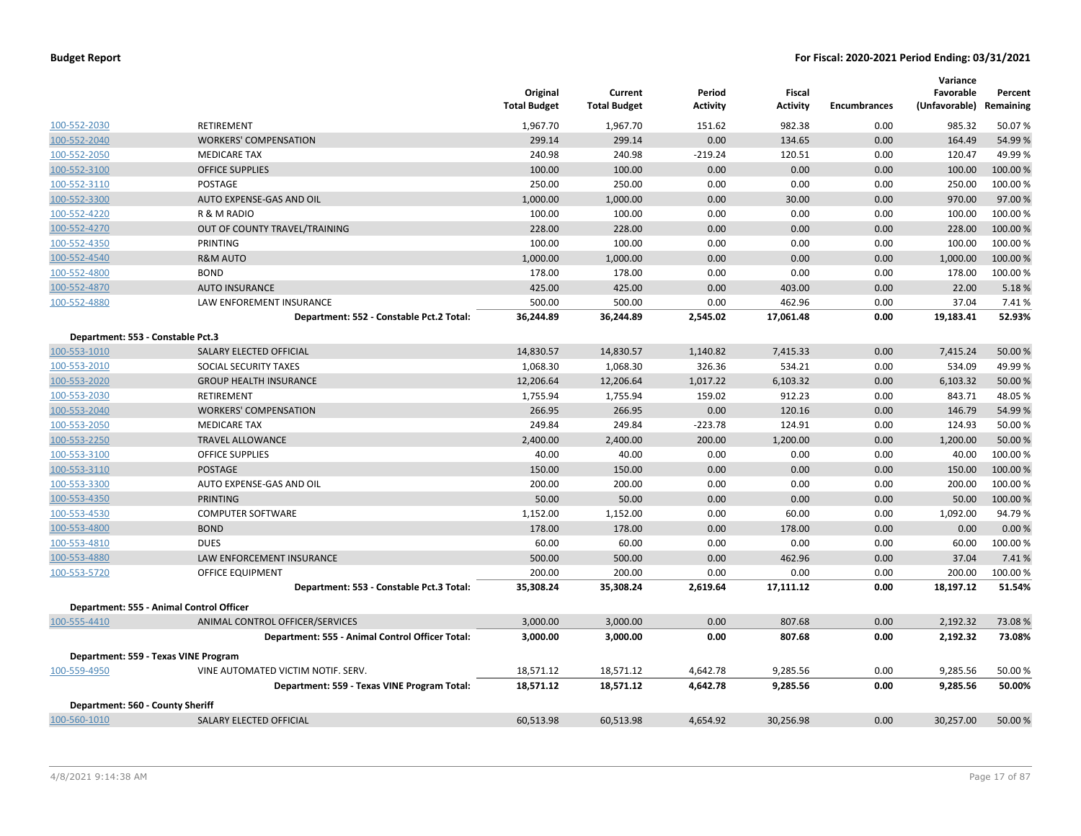|                                          |                                                 | Original<br><b>Total Budget</b> | Current<br><b>Total Budget</b> | Period<br><b>Activity</b> | <b>Fiscal</b><br><b>Activity</b> | <b>Encumbrances</b> | Variance<br>Favorable<br>(Unfavorable) Remaining | Percent  |
|------------------------------------------|-------------------------------------------------|---------------------------------|--------------------------------|---------------------------|----------------------------------|---------------------|--------------------------------------------------|----------|
| 100-552-2030                             | RETIREMENT                                      | 1,967.70                        | 1,967.70                       | 151.62                    | 982.38                           | 0.00                | 985.32                                           | 50.07%   |
| 100-552-2040                             | <b>WORKERS' COMPENSATION</b>                    | 299.14                          | 299.14                         | 0.00                      | 134.65                           | 0.00                | 164.49                                           | 54.99%   |
| 100-552-2050                             | <b>MEDICARE TAX</b>                             | 240.98                          | 240.98                         | $-219.24$                 | 120.51                           | 0.00                | 120.47                                           | 49.99%   |
| 100-552-3100                             | <b>OFFICE SUPPLIES</b>                          | 100.00                          | 100.00                         | 0.00                      | 0.00                             | 0.00                | 100.00                                           | 100.00 % |
| 100-552-3110                             | POSTAGE                                         | 250.00                          | 250.00                         | 0.00                      | 0.00                             | 0.00                | 250.00                                           | 100.00 % |
| 100-552-3300                             | AUTO EXPENSE-GAS AND OIL                        | 1,000.00                        | 1,000.00                       | 0.00                      | 30.00                            | 0.00                | 970.00                                           | 97.00%   |
| 100-552-4220                             | R & M RADIO                                     | 100.00                          | 100.00                         | 0.00                      | 0.00                             | 0.00                | 100.00                                           | 100.00%  |
| 100-552-4270                             | OUT OF COUNTY TRAVEL/TRAINING                   | 228.00                          | 228.00                         | 0.00                      | 0.00                             | 0.00                | 228.00                                           | 100.00%  |
| 100-552-4350                             | PRINTING                                        | 100.00                          | 100.00                         | 0.00                      | 0.00                             | 0.00                | 100.00                                           | 100.00 % |
| 100-552-4540                             | <b>R&amp;M AUTO</b>                             | 1,000.00                        | 1,000.00                       | 0.00                      | 0.00                             | 0.00                | 1,000.00                                         | 100.00%  |
| 100-552-4800                             | <b>BOND</b>                                     | 178.00                          | 178.00                         | 0.00                      | 0.00                             | 0.00                | 178.00                                           | 100.00 % |
| 100-552-4870                             | <b>AUTO INSURANCE</b>                           | 425.00                          | 425.00                         | 0.00                      | 403.00                           | 0.00                | 22.00                                            | 5.18%    |
| 100-552-4880                             | LAW ENFOREMENT INSURANCE                        | 500.00                          | 500.00                         | 0.00                      | 462.96                           | 0.00                | 37.04                                            | 7.41%    |
|                                          | Department: 552 - Constable Pct.2 Total:        | 36,244.89                       | 36,244.89                      | 2,545.02                  | 17,061.48                        | 0.00                | 19,183.41                                        | 52.93%   |
| Department: 553 - Constable Pct.3        |                                                 |                                 |                                |                           |                                  |                     |                                                  |          |
| 100-553-1010                             | SALARY ELECTED OFFICIAL                         | 14,830.57                       | 14,830.57                      | 1,140.82                  | 7,415.33                         | 0.00                | 7,415.24                                         | 50.00 %  |
| 100-553-2010                             | SOCIAL SECURITY TAXES                           | 1,068.30                        | 1,068.30                       | 326.36                    | 534.21                           | 0.00                | 534.09                                           | 49.99%   |
| 100-553-2020                             | <b>GROUP HEALTH INSURANCE</b>                   | 12,206.64                       | 12,206.64                      | 1,017.22                  | 6,103.32                         | 0.00                | 6,103.32                                         | 50.00 %  |
| 100-553-2030                             | RETIREMENT                                      | 1,755.94                        | 1,755.94                       | 159.02                    | 912.23                           | 0.00                | 843.71                                           | 48.05%   |
| 100-553-2040                             | <b>WORKERS' COMPENSATION</b>                    | 266.95                          | 266.95                         | 0.00                      | 120.16                           | 0.00                | 146.79                                           | 54.99%   |
| 100-553-2050                             | <b>MEDICARE TAX</b>                             | 249.84                          | 249.84                         | $-223.78$                 | 124.91                           | 0.00                | 124.93                                           | 50.00%   |
| 100-553-2250                             | <b>TRAVEL ALLOWANCE</b>                         | 2,400.00                        | 2,400.00                       | 200.00                    | 1,200.00                         | 0.00                | 1,200.00                                         | 50.00 %  |
| 100-553-3100                             | <b>OFFICE SUPPLIES</b>                          | 40.00                           | 40.00                          | 0.00                      | 0.00                             | 0.00                | 40.00                                            | 100.00 % |
| 100-553-3110                             | <b>POSTAGE</b>                                  | 150.00                          | 150.00                         | 0.00                      | 0.00                             | 0.00                | 150.00                                           | 100.00%  |
| 100-553-3300                             | AUTO EXPENSE-GAS AND OIL                        | 200.00                          | 200.00                         | 0.00                      | 0.00                             | 0.00                | 200.00                                           | 100.00 % |
| 100-553-4350                             | <b>PRINTING</b>                                 | 50.00                           | 50.00                          | 0.00                      | 0.00                             | 0.00                | 50.00                                            | 100.00%  |
| 100-553-4530                             | <b>COMPUTER SOFTWARE</b>                        | 1,152.00                        | 1,152.00                       | 0.00                      | 60.00                            | 0.00                | 1,092.00                                         | 94.79%   |
| 100-553-4800                             | <b>BOND</b>                                     | 178.00                          | 178.00                         | 0.00                      | 178.00                           | 0.00                | 0.00                                             | 0.00%    |
| 100-553-4810                             | <b>DUES</b>                                     | 60.00                           | 60.00                          | 0.00                      | 0.00                             | 0.00                | 60.00                                            | 100.00%  |
| 100-553-4880                             | <b>LAW ENFORCEMENT INSURANCE</b>                | 500.00                          | 500.00                         | 0.00                      | 462.96                           | 0.00                | 37.04                                            | 7.41%    |
| 100-553-5720                             | OFFICE EQUIPMENT                                | 200.00                          | 200.00                         | 0.00                      | 0.00                             | 0.00                | 200.00                                           | 100.00%  |
|                                          | Department: 553 - Constable Pct.3 Total:        | 35,308.24                       | 35,308.24                      | 2,619.64                  | 17,111.12                        | 0.00                | 18,197.12                                        | 51.54%   |
| Department: 555 - Animal Control Officer |                                                 |                                 |                                |                           |                                  |                     |                                                  |          |
| 100-555-4410                             | ANIMAL CONTROL OFFICER/SERVICES                 | 3,000.00                        | 3,000.00                       | 0.00                      | 807.68                           | 0.00                | 2,192.32                                         | 73.08%   |
|                                          | Department: 555 - Animal Control Officer Total: | 3,000.00                        | 3,000.00                       | 0.00                      | 807.68                           | 0.00                | 2,192.32                                         | 73.08%   |
|                                          |                                                 |                                 |                                |                           |                                  |                     |                                                  |          |
| Department: 559 - Texas VINE Program     |                                                 |                                 |                                |                           |                                  |                     |                                                  |          |
| 100-559-4950                             | VINE AUTOMATED VICTIM NOTIF. SERV.              | 18,571.12                       | 18,571.12                      | 4,642.78                  | 9,285.56                         | 0.00                | 9,285.56                                         | 50.00%   |
|                                          | Department: 559 - Texas VINE Program Total:     | 18,571.12                       | 18,571.12                      | 4,642.78                  | 9,285.56                         | 0.00                | 9,285.56                                         | 50.00%   |
| Department: 560 - County Sheriff         |                                                 |                                 |                                |                           |                                  |                     |                                                  |          |
| 100-560-1010                             | SALARY ELECTED OFFICIAL                         | 60,513.98                       | 60,513.98                      | 4,654.92                  | 30,256.98                        | 0.00                | 30,257.00                                        | 50.00 %  |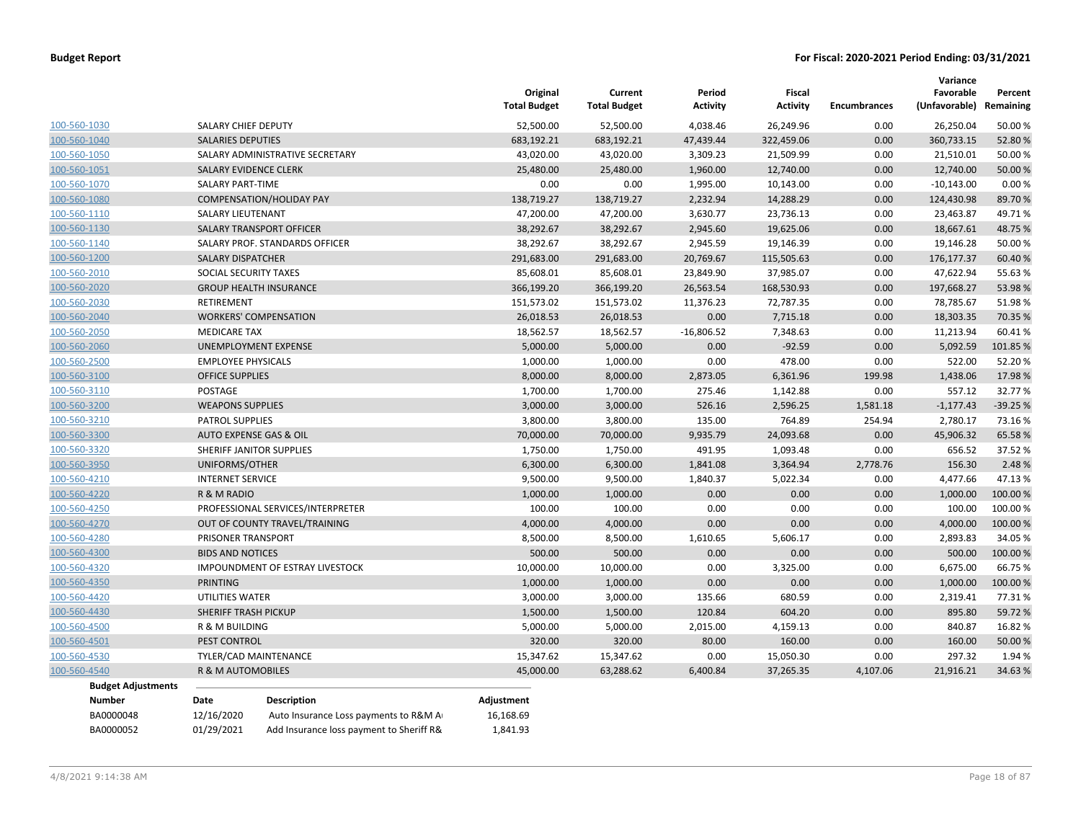|              |                           |                           |                                          | Original<br><b>Total Budget</b> | Current<br><b>Total Budget</b> | Period<br><b>Activity</b> | <b>Fiscal</b><br><b>Activity</b> | <b>Encumbrances</b> | Variance<br>Favorable<br>(Unfavorable) | Percent<br>Remaining |
|--------------|---------------------------|---------------------------|------------------------------------------|---------------------------------|--------------------------------|---------------------------|----------------------------------|---------------------|----------------------------------------|----------------------|
| 100-560-1030 |                           | SALARY CHIEF DEPUTY       |                                          | 52,500.00                       | 52,500.00                      | 4,038.46                  | 26,249.96                        | 0.00                | 26,250.04                              | 50.00%               |
| 100-560-1040 |                           | <b>SALARIES DEPUTIES</b>  |                                          | 683,192.21                      | 683,192.21                     | 47,439.44                 | 322,459.06                       | 0.00                | 360,733.15                             | 52.80%               |
| 100-560-1050 |                           |                           | SALARY ADMINISTRATIVE SECRETARY          | 43,020.00                       | 43,020.00                      | 3,309.23                  | 21,509.99                        | 0.00                | 21,510.01                              | 50.00%               |
| 100-560-1051 |                           | SALARY EVIDENCE CLERK     |                                          | 25,480.00                       | 25,480.00                      | 1,960.00                  | 12,740.00                        | 0.00                | 12,740.00                              | 50.00 %              |
| 100-560-1070 |                           | <b>SALARY PART-TIME</b>   |                                          | 0.00                            | 0.00                           | 1,995.00                  | 10,143.00                        | 0.00                | $-10,143.00$                           | 0.00%                |
| 100-560-1080 |                           |                           | <b>COMPENSATION/HOLIDAY PAY</b>          | 138,719.27                      | 138,719.27                     | 2,232.94                  | 14,288.29                        | 0.00                | 124,430.98                             | 89.70%               |
| 100-560-1110 |                           | <b>SALARY LIEUTENANT</b>  |                                          | 47,200.00                       | 47,200.00                      | 3,630.77                  | 23,736.13                        | 0.00                | 23,463.87                              | 49.71%               |
| 100-560-1130 |                           |                           | <b>SALARY TRANSPORT OFFICER</b>          | 38,292.67                       | 38,292.67                      | 2,945.60                  | 19,625.06                        | 0.00                | 18,667.61                              | 48.75%               |
| 100-560-1140 |                           |                           | SALARY PROF. STANDARDS OFFICER           | 38,292.67                       | 38,292.67                      | 2,945.59                  | 19,146.39                        | 0.00                | 19,146.28                              | 50.00%               |
| 100-560-1200 |                           | <b>SALARY DISPATCHER</b>  |                                          | 291,683.00                      | 291,683.00                     | 20,769.67                 | 115,505.63                       | 0.00                | 176, 177. 37                           | 60.40%               |
| 100-560-2010 |                           | SOCIAL SECURITY TAXES     |                                          | 85,608.01                       | 85,608.01                      | 23,849.90                 | 37,985.07                        | 0.00                | 47,622.94                              | 55.63%               |
| 100-560-2020 |                           |                           | <b>GROUP HEALTH INSURANCE</b>            | 366,199.20                      | 366,199.20                     | 26,563.54                 | 168,530.93                       | 0.00                | 197,668.27                             | 53.98%               |
| 100-560-2030 |                           | RETIREMENT                |                                          | 151,573.02                      | 151,573.02                     | 11,376.23                 | 72,787.35                        | 0.00                | 78,785.67                              | 51.98%               |
| 100-560-2040 |                           |                           | <b>WORKERS' COMPENSATION</b>             | 26,018.53                       | 26,018.53                      | 0.00                      | 7,715.18                         | 0.00                | 18,303.35                              | 70.35 %              |
| 100-560-2050 |                           | <b>MEDICARE TAX</b>       |                                          | 18,562.57                       | 18,562.57                      | $-16,806.52$              | 7,348.63                         | 0.00                | 11,213.94                              | 60.41%               |
| 100-560-2060 |                           |                           | UNEMPLOYMENT EXPENSE                     | 5,000.00                        | 5,000.00                       | 0.00                      | $-92.59$                         | 0.00                | 5,092.59                               | 101.85%              |
| 100-560-2500 |                           | <b>EMPLOYEE PHYSICALS</b> |                                          | 1,000.00                        | 1,000.00                       | 0.00                      | 478.00                           | 0.00                | 522.00                                 | 52.20%               |
| 100-560-3100 |                           | <b>OFFICE SUPPLIES</b>    |                                          | 8,000.00                        | 8,000.00                       | 2,873.05                  | 6,361.96                         | 199.98              | 1,438.06                               | 17.98%               |
| 100-560-3110 |                           | POSTAGE                   |                                          | 1,700.00                        | 1,700.00                       | 275.46                    | 1,142.88                         | 0.00                | 557.12                                 | 32.77%               |
| 100-560-3200 |                           | <b>WEAPONS SUPPLIES</b>   |                                          | 3,000.00                        | 3,000.00                       | 526.16                    | 2,596.25                         | 1,581.18            | $-1,177.43$                            | $-39.25%$            |
| 100-560-3210 |                           | <b>PATROL SUPPLIES</b>    |                                          | 3,800.00                        | 3,800.00                       | 135.00                    | 764.89                           | 254.94              | 2,780.17                               | 73.16%               |
| 100-560-3300 |                           | AUTO EXPENSE GAS & OIL    |                                          | 70,000.00                       | 70,000.00                      | 9,935.79                  | 24,093.68                        | 0.00                | 45,906.32                              | 65.58%               |
| 100-560-3320 |                           |                           | SHERIFF JANITOR SUPPLIES                 | 1,750.00                        | 1,750.00                       | 491.95                    | 1,093.48                         | 0.00                | 656.52                                 | 37.52%               |
| 100-560-3950 |                           | UNIFORMS/OTHER            |                                          | 6,300.00                        | 6,300.00                       | 1,841.08                  | 3,364.94                         | 2,778.76            | 156.30                                 | 2.48%                |
| 100-560-4210 |                           | <b>INTERNET SERVICE</b>   |                                          | 9,500.00                        | 9,500.00                       | 1,840.37                  | 5,022.34                         | 0.00                | 4,477.66                               | 47.13%               |
| 100-560-4220 |                           | R & M RADIO               |                                          | 1,000.00                        | 1,000.00                       | 0.00                      | 0.00                             | 0.00                | 1,000.00                               | 100.00 %             |
| 100-560-4250 |                           |                           | PROFESSIONAL SERVICES/INTERPRETER        | 100.00                          | 100.00                         | 0.00                      | 0.00                             | 0.00                | 100.00                                 | 100.00%              |
| 100-560-4270 |                           |                           | OUT OF COUNTY TRAVEL/TRAINING            | 4,000.00                        | 4,000.00                       | 0.00                      | 0.00                             | 0.00                | 4,000.00                               | 100.00 %             |
| 100-560-4280 |                           | PRISONER TRANSPORT        |                                          | 8,500.00                        | 8,500.00                       | 1,610.65                  | 5,606.17                         | 0.00                | 2,893.83                               | 34.05 %              |
| 100-560-4300 |                           | <b>BIDS AND NOTICES</b>   |                                          | 500.00                          | 500.00                         | 0.00                      | 0.00                             | 0.00                | 500.00                                 | 100.00%              |
| 100-560-4320 |                           |                           | IMPOUNDMENT OF ESTRAY LIVESTOCK          | 10,000.00                       | 10,000.00                      | 0.00                      | 3,325.00                         | 0.00                | 6,675.00                               | 66.75%               |
| 100-560-4350 |                           | PRINTING                  |                                          | 1,000.00                        | 1,000.00                       | 0.00                      | 0.00                             | 0.00                | 1,000.00                               | 100.00 %             |
| 100-560-4420 |                           | UTILITIES WATER           |                                          | 3,000.00                        | 3,000.00                       | 135.66                    | 680.59                           | 0.00                | 2,319.41                               | 77.31%               |
| 100-560-4430 |                           | SHERIFF TRASH PICKUP      |                                          | 1,500.00                        | 1,500.00                       | 120.84                    | 604.20                           | 0.00                | 895.80                                 | 59.72%               |
| 100-560-4500 |                           | R & M BUILDING            |                                          | 5,000.00                        | 5,000.00                       | 2,015.00                  | 4,159.13                         | 0.00                | 840.87                                 | 16.82%               |
| 100-560-4501 |                           | PEST CONTROL              |                                          | 320.00                          | 320.00                         | 80.00                     | 160.00                           | 0.00                | 160.00                                 | 50.00 %              |
| 100-560-4530 |                           |                           | TYLER/CAD MAINTENANCE                    | 15,347.62                       | 15,347.62                      | 0.00                      | 15,050.30                        | 0.00                | 297.32                                 | 1.94 %               |
| 100-560-4540 |                           | R & M AUTOMOBILES         |                                          | 45,000.00                       | 63,288.62                      | 6,400.84                  | 37,265.35                        | 4,107.06            | 21,916.21                              | 34.63%               |
|              | <b>Budget Adjustments</b> |                           |                                          |                                 |                                |                           |                                  |                     |                                        |                      |
|              | <b>Number</b>             | Date                      | <b>Description</b>                       | Adjustment                      |                                |                           |                                  |                     |                                        |                      |
|              | BA0000048                 | 12/16/2020                | Auto Insurance Loss payments to R&M A    | 16,168.69                       |                                |                           |                                  |                     |                                        |                      |
|              | BA0000052                 | 01/29/2021                | Add Insurance loss payment to Sheriff R& | 1,841.93                        |                                |                           |                                  |                     |                                        |                      |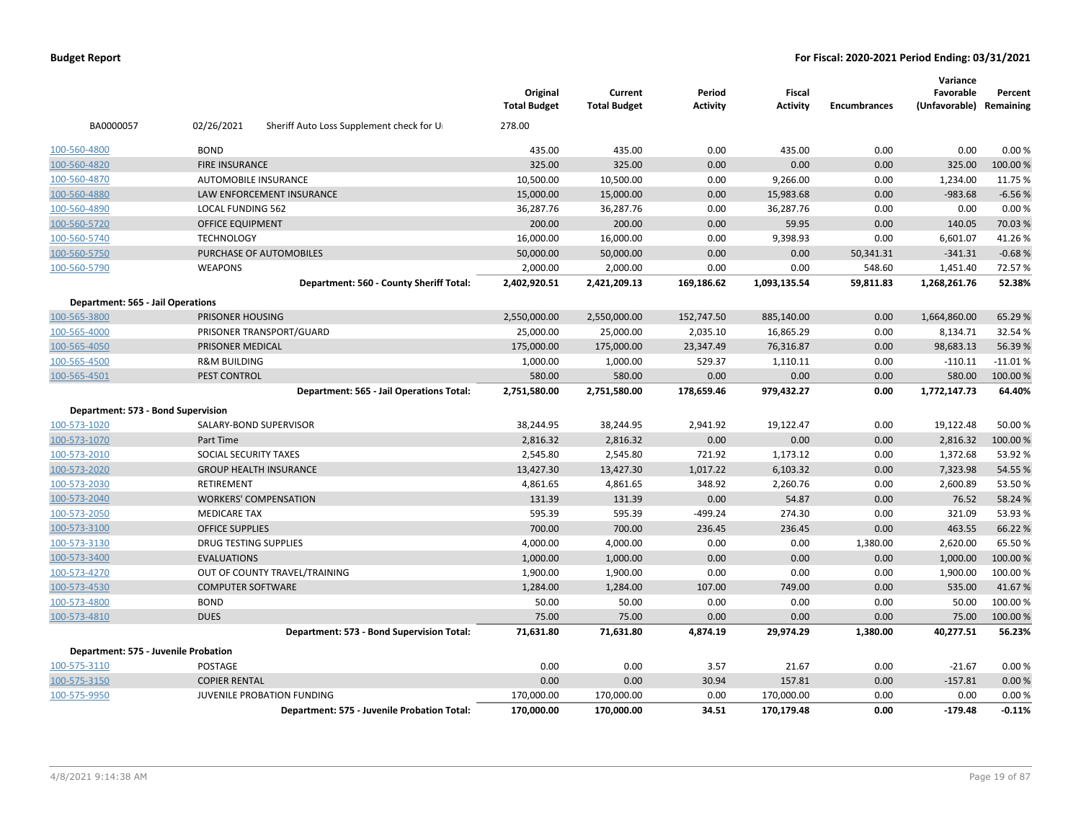|                                          |                                                        | Original<br><b>Total Budget</b> | Current<br><b>Total Budget</b> | Period<br><b>Activity</b> | Fiscal<br><b>Activity</b> | <b>Encumbrances</b> | Variance<br>Favorable<br>(Unfavorable) Remaining | Percent   |
|------------------------------------------|--------------------------------------------------------|---------------------------------|--------------------------------|---------------------------|---------------------------|---------------------|--------------------------------------------------|-----------|
| BA0000057                                | 02/26/2021<br>Sheriff Auto Loss Supplement check for U | 278.00                          |                                |                           |                           |                     |                                                  |           |
| 100-560-4800                             | <b>BOND</b>                                            | 435.00                          | 435.00                         | 0.00                      | 435.00                    | 0.00                | 0.00                                             | 0.00%     |
| 100-560-4820                             | <b>FIRE INSURANCE</b>                                  | 325.00                          | 325.00                         | 0.00                      | 0.00                      | 0.00                | 325.00                                           | 100.00%   |
| 100-560-4870                             | <b>AUTOMOBILE INSURANCE</b>                            | 10,500.00                       | 10,500.00                      | 0.00                      | 9,266.00                  | 0.00                | 1,234.00                                         | 11.75 %   |
| 100-560-4880                             | LAW ENFORCEMENT INSURANCE                              | 15,000.00                       | 15,000.00                      | 0.00                      | 15,983.68                 | 0.00                | $-983.68$                                        | $-6.56%$  |
| 100-560-4890                             | <b>LOCAL FUNDING 562</b>                               | 36,287.76                       | 36,287.76                      | 0.00                      | 36,287.76                 | 0.00                | 0.00                                             | 0.00%     |
| 100-560-5720                             | <b>OFFICE EQUIPMENT</b>                                | 200.00                          | 200.00                         | 0.00                      | 59.95                     | 0.00                | 140.05                                           | 70.03%    |
| 100-560-5740                             | <b>TECHNOLOGY</b>                                      | 16,000.00                       | 16,000.00                      | 0.00                      | 9,398.93                  | 0.00                | 6,601.07                                         | 41.26%    |
| 100-560-5750                             | PURCHASE OF AUTOMOBILES                                | 50,000.00                       | 50,000.00                      | 0.00                      | 0.00                      | 50,341.31           | $-341.31$                                        | $-0.68%$  |
| 100-560-5790                             | <b>WEAPONS</b>                                         | 2,000.00                        | 2,000.00                       | 0.00                      | 0.00                      | 548.60              | 1,451.40                                         | 72.57%    |
|                                          | Department: 560 - County Sheriff Total:                | 2,402,920.51                    | 2,421,209.13                   | 169,186.62                | 1,093,135.54              | 59,811.83           | 1,268,261.76                                     | 52.38%    |
| <b>Department: 565 - Jail Operations</b> |                                                        |                                 |                                |                           |                           |                     |                                                  |           |
| 100-565-3800                             | PRISONER HOUSING                                       | 2,550,000.00                    | 2,550,000.00                   | 152,747.50                | 885,140.00                | 0.00                | 1,664,860.00                                     | 65.29 %   |
| 100-565-4000                             | PRISONER TRANSPORT/GUARD                               | 25,000.00                       | 25,000.00                      | 2,035.10                  | 16,865.29                 | 0.00                | 8,134.71                                         | 32.54 %   |
| 100-565-4050                             | PRISONER MEDICAL                                       | 175,000.00                      | 175,000.00                     | 23,347.49                 | 76,316.87                 | 0.00                | 98,683.13                                        | 56.39%    |
| 100-565-4500                             | <b>R&amp;M BUILDING</b>                                | 1,000.00                        | 1,000.00                       | 529.37                    | 1,110.11                  | 0.00                | $-110.11$                                        | $-11.01%$ |
| 100-565-4501                             | PEST CONTROL                                           | 580.00                          | 580.00                         | 0.00                      | 0.00                      | 0.00                | 580.00                                           | 100.00%   |
|                                          | Department: 565 - Jail Operations Total:               | 2,751,580.00                    | 2,751,580.00                   | 178,659.46                | 979,432.27                | 0.00                | 1,772,147.73                                     | 64.40%    |
| Department: 573 - Bond Supervision       |                                                        |                                 |                                |                           |                           |                     |                                                  |           |
| 100-573-1020                             | SALARY-BOND SUPERVISOR                                 | 38,244.95                       | 38,244.95                      | 2,941.92                  | 19,122.47                 | 0.00                | 19,122.48                                        | 50.00 %   |
| 100-573-1070                             | Part Time                                              | 2,816.32                        | 2,816.32                       | 0.00                      | 0.00                      | 0.00                | 2,816.32                                         | 100.00%   |
| 100-573-2010                             | SOCIAL SECURITY TAXES                                  | 2,545.80                        | 2,545.80                       | 721.92                    | 1,173.12                  | 0.00                | 1,372.68                                         | 53.92 %   |
| 100-573-2020                             | <b>GROUP HEALTH INSURANCE</b>                          | 13,427.30                       | 13,427.30                      | 1,017.22                  | 6,103.32                  | 0.00                | 7,323.98                                         | 54.55 %   |
| 100-573-2030                             | <b>RETIREMENT</b>                                      | 4,861.65                        | 4,861.65                       | 348.92                    | 2,260.76                  | 0.00                | 2,600.89                                         | 53.50%    |
| 100-573-2040                             | <b>WORKERS' COMPENSATION</b>                           | 131.39                          | 131.39                         | 0.00                      | 54.87                     | 0.00                | 76.52                                            | 58.24 %   |
| 100-573-2050                             | <b>MEDICARE TAX</b>                                    | 595.39                          | 595.39                         | $-499.24$                 | 274.30                    | 0.00                | 321.09                                           | 53.93 %   |
| 100-573-3100                             | <b>OFFICE SUPPLIES</b>                                 | 700.00                          | 700.00                         | 236.45                    | 236.45                    | 0.00                | 463.55                                           | 66.22%    |
| 100-573-3130                             | <b>DRUG TESTING SUPPLIES</b>                           | 4,000.00                        | 4,000.00                       | 0.00                      | 0.00                      | 1,380.00            | 2,620.00                                         | 65.50%    |
| 100-573-3400                             | <b>EVALUATIONS</b>                                     | 1,000.00                        | 1,000.00                       | 0.00                      | 0.00                      | 0.00                | 1,000.00                                         | 100.00%   |
| 100-573-4270                             | OUT OF COUNTY TRAVEL/TRAINING                          | 1,900.00                        | 1,900.00                       | 0.00                      | 0.00                      | 0.00                | 1,900.00                                         | 100.00%   |
| 100-573-4530                             | <b>COMPUTER SOFTWARE</b>                               | 1,284.00                        | 1,284.00                       | 107.00                    | 749.00                    | 0.00                | 535.00                                           | 41.67%    |
| 100-573-4800                             | <b>BOND</b>                                            | 50.00                           | 50.00                          | 0.00                      | 0.00                      | 0.00                | 50.00                                            | 100.00%   |
| 100-573-4810                             | <b>DUES</b>                                            | 75.00                           | 75.00                          | 0.00                      | 0.00                      | 0.00                | 75.00                                            | 100.00%   |
|                                          | Department: 573 - Bond Supervision Total:              | 71,631.80                       | 71,631.80                      | 4,874.19                  | 29,974.29                 | 1,380.00            | 40,277.51                                        | 56.23%    |
| Department: 575 - Juvenile Probation     |                                                        |                                 |                                |                           |                           |                     |                                                  |           |
| 100-575-3110                             | POSTAGE                                                | 0.00                            | 0.00                           | 3.57                      | 21.67                     | 0.00                | $-21.67$                                         | 0.00%     |
| 100-575-3150                             | <b>COPIER RENTAL</b>                                   | 0.00                            | 0.00                           | 30.94                     | 157.81                    | 0.00                | $-157.81$                                        | 0.00%     |
| 100-575-9950                             | JUVENILE PROBATION FUNDING                             | 170,000.00                      | 170,000.00                     | 0.00                      | 170,000.00                | 0.00                | 0.00                                             | 0.00%     |
|                                          | Department: 575 - Juvenile Probation Total:            | 170,000.00                      | 170,000.00                     | 34.51                     | 170,179.48                | 0.00                | $-179.48$                                        | $-0.11%$  |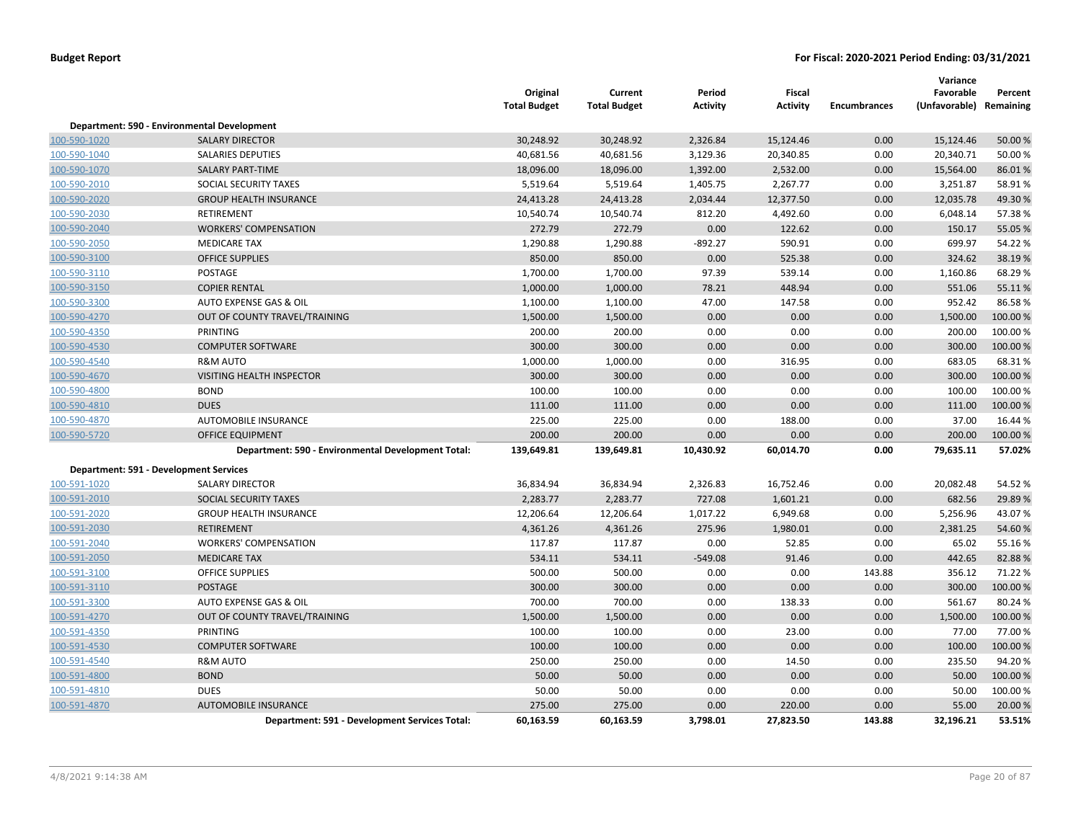|              |                                                    | Original<br><b>Total Budget</b> | Current<br><b>Total Budget</b> | Period<br><b>Activity</b> | <b>Fiscal</b><br><b>Activity</b> | <b>Encumbrances</b> | Variance<br>Favorable<br>(Unfavorable) Remaining | Percent  |
|--------------|----------------------------------------------------|---------------------------------|--------------------------------|---------------------------|----------------------------------|---------------------|--------------------------------------------------|----------|
|              | Department: 590 - Environmental Development        |                                 |                                |                           |                                  |                     |                                                  |          |
| 100-590-1020 | <b>SALARY DIRECTOR</b>                             | 30,248.92                       | 30,248.92                      | 2,326.84                  | 15,124.46                        | 0.00                | 15,124.46                                        | 50.00 %  |
| 100-590-1040 | <b>SALARIES DEPUTIES</b>                           | 40,681.56                       | 40,681.56                      | 3,129.36                  | 20,340.85                        | 0.00                | 20,340.71                                        | 50.00%   |
| 100-590-1070 | <b>SALARY PART-TIME</b>                            | 18,096.00                       | 18,096.00                      | 1,392.00                  | 2,532.00                         | 0.00                | 15,564.00                                        | 86.01%   |
| 100-590-2010 | SOCIAL SECURITY TAXES                              | 5,519.64                        | 5,519.64                       | 1,405.75                  | 2,267.77                         | 0.00                | 3,251.87                                         | 58.91%   |
| 100-590-2020 | <b>GROUP HEALTH INSURANCE</b>                      | 24,413.28                       | 24,413.28                      | 2,034.44                  | 12,377.50                        | 0.00                | 12,035.78                                        | 49.30%   |
| 100-590-2030 | <b>RETIREMENT</b>                                  | 10,540.74                       | 10,540.74                      | 812.20                    | 4,492.60                         | 0.00                | 6,048.14                                         | 57.38%   |
| 100-590-2040 | <b>WORKERS' COMPENSATION</b>                       | 272.79                          | 272.79                         | 0.00                      | 122.62                           | 0.00                | 150.17                                           | 55.05 %  |
| 100-590-2050 | <b>MEDICARE TAX</b>                                | 1,290.88                        | 1,290.88                       | $-892.27$                 | 590.91                           | 0.00                | 699.97                                           | 54.22%   |
| 100-590-3100 | <b>OFFICE SUPPLIES</b>                             | 850.00                          | 850.00                         | 0.00                      | 525.38                           | 0.00                | 324.62                                           | 38.19%   |
| 100-590-3110 | POSTAGE                                            | 1,700.00                        | 1,700.00                       | 97.39                     | 539.14                           | 0.00                | 1,160.86                                         | 68.29%   |
| 100-590-3150 | <b>COPIER RENTAL</b>                               | 1,000.00                        | 1,000.00                       | 78.21                     | 448.94                           | 0.00                | 551.06                                           | 55.11%   |
| 100-590-3300 | AUTO EXPENSE GAS & OIL                             | 1,100.00                        | 1,100.00                       | 47.00                     | 147.58                           | 0.00                | 952.42                                           | 86.58%   |
| 100-590-4270 | OUT OF COUNTY TRAVEL/TRAINING                      | 1,500.00                        | 1,500.00                       | 0.00                      | 0.00                             | 0.00                | 1,500.00                                         | 100.00%  |
| 100-590-4350 | PRINTING                                           | 200.00                          | 200.00                         | 0.00                      | 0.00                             | 0.00                | 200.00                                           | 100.00%  |
| 100-590-4530 | <b>COMPUTER SOFTWARE</b>                           | 300.00                          | 300.00                         | 0.00                      | 0.00                             | 0.00                | 300.00                                           | 100.00%  |
| 100-590-4540 | <b>R&amp;M AUTO</b>                                | 1,000.00                        | 1,000.00                       | 0.00                      | 316.95                           | 0.00                | 683.05                                           | 68.31%   |
| 100-590-4670 | <b>VISITING HEALTH INSPECTOR</b>                   | 300.00                          | 300.00                         | 0.00                      | 0.00                             | 0.00                | 300.00                                           | 100.00%  |
| 100-590-4800 | <b>BOND</b>                                        | 100.00                          | 100.00                         | 0.00                      | 0.00                             | 0.00                | 100.00                                           | 100.00%  |
| 100-590-4810 | <b>DUES</b>                                        | 111.00                          | 111.00                         | 0.00                      | 0.00                             | 0.00                | 111.00                                           | 100.00 % |
| 100-590-4870 | AUTOMOBILE INSURANCE                               | 225.00                          | 225.00                         | 0.00                      | 188.00                           | 0.00                | 37.00                                            | 16.44 %  |
| 100-590-5720 | <b>OFFICE EQUIPMENT</b>                            | 200.00                          | 200.00                         | 0.00                      | 0.00                             | 0.00                | 200.00                                           | 100.00 % |
|              | Department: 590 - Environmental Development Total: | 139,649.81                      | 139,649.81                     | 10,430.92                 | 60,014.70                        | 0.00                | 79,635.11                                        | 57.02%   |
|              | <b>Department: 591 - Development Services</b>      |                                 |                                |                           |                                  |                     |                                                  |          |
| 100-591-1020 | <b>SALARY DIRECTOR</b>                             | 36,834.94                       | 36,834.94                      | 2,326.83                  | 16,752.46                        | 0.00                | 20,082.48                                        | 54.52 %  |
| 100-591-2010 | SOCIAL SECURITY TAXES                              | 2,283.77                        | 2,283.77                       | 727.08                    | 1,601.21                         | 0.00                | 682.56                                           | 29.89%   |
| 100-591-2020 | <b>GROUP HEALTH INSURANCE</b>                      | 12,206.64                       | 12,206.64                      | 1,017.22                  | 6,949.68                         | 0.00                | 5,256.96                                         | 43.07%   |
| 100-591-2030 | <b>RETIREMENT</b>                                  | 4,361.26                        | 4,361.26                       | 275.96                    | 1,980.01                         | 0.00                | 2,381.25                                         | 54.60%   |
| 100-591-2040 | <b>WORKERS' COMPENSATION</b>                       | 117.87                          | 117.87                         | 0.00                      | 52.85                            | 0.00                | 65.02                                            | 55.16%   |
| 100-591-2050 | <b>MEDICARE TAX</b>                                | 534.11                          | 534.11                         | $-549.08$                 | 91.46                            | 0.00                | 442.65                                           | 82.88%   |
| 100-591-3100 | <b>OFFICE SUPPLIES</b>                             | 500.00                          | 500.00                         | 0.00                      | 0.00                             | 143.88              | 356.12                                           | 71.22%   |
| 100-591-3110 | POSTAGE                                            | 300.00                          | 300.00                         | 0.00                      | 0.00                             | 0.00                | 300.00                                           | 100.00%  |
| 100-591-3300 | AUTO EXPENSE GAS & OIL                             | 700.00                          | 700.00                         | 0.00                      | 138.33                           | 0.00                | 561.67                                           | 80.24%   |
| 100-591-4270 | OUT OF COUNTY TRAVEL/TRAINING                      | 1,500.00                        | 1,500.00                       | 0.00                      | 0.00                             | 0.00                | 1,500.00                                         | 100.00%  |
| 100-591-4350 | PRINTING                                           | 100.00                          | 100.00                         | 0.00                      | 23.00                            | 0.00                | 77.00                                            | 77.00 %  |
| 100-591-4530 | <b>COMPUTER SOFTWARE</b>                           | 100.00                          | 100.00                         | 0.00                      | 0.00                             | 0.00                | 100.00                                           | 100.00%  |
| 100-591-4540 | <b>R&amp;M AUTO</b>                                | 250.00                          | 250.00                         | 0.00                      | 14.50                            | 0.00                | 235.50                                           | 94.20%   |
| 100-591-4800 | <b>BOND</b>                                        | 50.00                           | 50.00                          | 0.00                      | 0.00                             | 0.00                | 50.00                                            | 100.00%  |
| 100-591-4810 | <b>DUES</b>                                        | 50.00                           | 50.00                          | 0.00                      | 0.00                             | 0.00                | 50.00                                            | 100.00%  |
| 100-591-4870 | <b>AUTOMOBILE INSURANCE</b>                        | 275.00                          | 275.00                         | 0.00                      | 220.00                           | 0.00                | 55.00                                            | 20.00 %  |
|              | Department: 591 - Development Services Total:      | 60,163.59                       | 60,163.59                      | 3,798.01                  | 27,823.50                        | 143.88              | 32,196.21                                        | 53.51%   |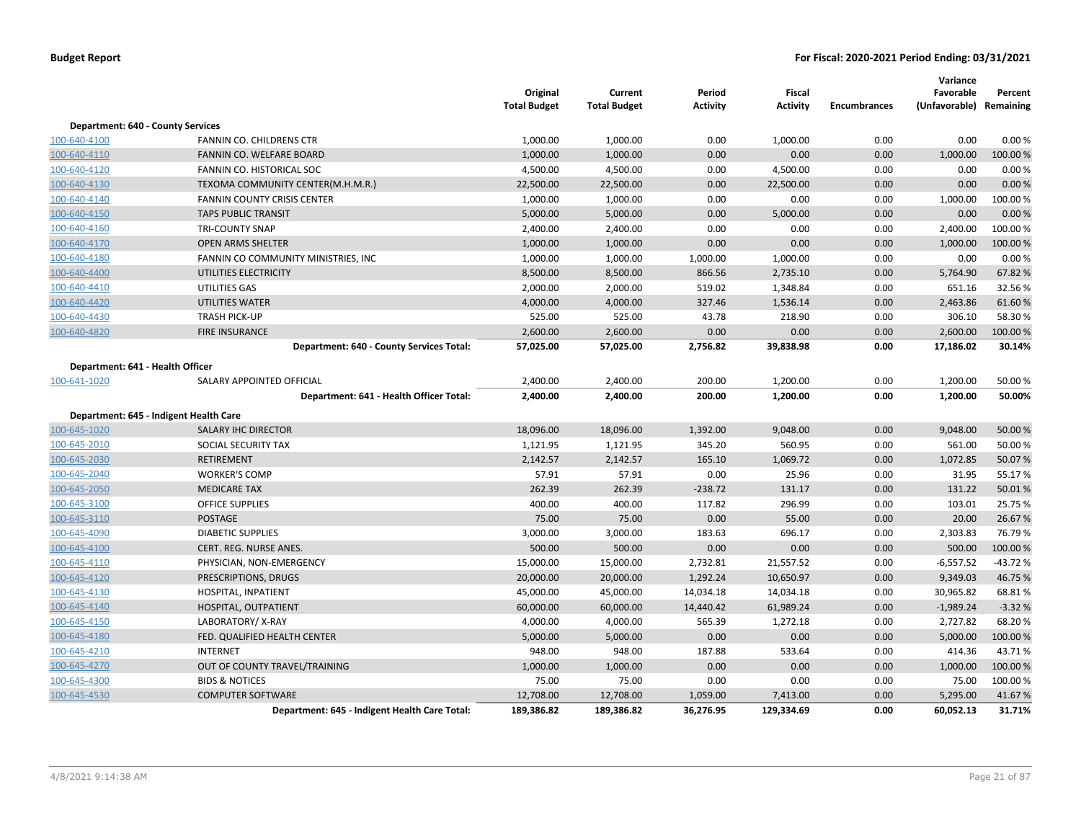|                                          |                                               | Original<br><b>Total Budget</b> | Current<br><b>Total Budget</b> | Period<br><b>Activity</b> | Fiscal<br>Activity | <b>Encumbrances</b> | Variance<br>Favorable<br>(Unfavorable) Remaining | Percent   |
|------------------------------------------|-----------------------------------------------|---------------------------------|--------------------------------|---------------------------|--------------------|---------------------|--------------------------------------------------|-----------|
| <b>Department: 640 - County Services</b> |                                               |                                 |                                |                           |                    |                     |                                                  |           |
| 100-640-4100                             | FANNIN CO. CHILDRENS CTR                      | 1,000.00                        | 1,000.00                       | 0.00                      | 1,000.00           | 0.00                | 0.00                                             | 0.00%     |
| 100-640-4110                             | FANNIN CO. WELFARE BOARD                      | 1,000.00                        | 1,000.00                       | 0.00                      | 0.00               | 0.00                | 1,000.00                                         | 100.00%   |
| 100-640-4120                             | FANNIN CO. HISTORICAL SOC                     | 4,500.00                        | 4,500.00                       | 0.00                      | 4,500.00           | 0.00                | 0.00                                             | 0.00%     |
| 100-640-4130                             | TEXOMA COMMUNITY CENTER(M.H.M.R.)             | 22,500.00                       | 22,500.00                      | 0.00                      | 22,500.00          | 0.00                | 0.00                                             | 0.00%     |
| 100-640-4140                             | <b>FANNIN COUNTY CRISIS CENTER</b>            | 1,000.00                        | 1,000.00                       | 0.00                      | 0.00               | 0.00                | 1,000.00                                         | 100.00%   |
| 100-640-4150                             | <b>TAPS PUBLIC TRANSIT</b>                    | 5,000.00                        | 5,000.00                       | 0.00                      | 5,000.00           | 0.00                | 0.00                                             | 0.00%     |
| 100-640-4160                             | <b>TRI-COUNTY SNAP</b>                        | 2,400.00                        | 2,400.00                       | 0.00                      | 0.00               | 0.00                | 2,400.00                                         | 100.00%   |
| 100-640-4170                             | <b>OPEN ARMS SHELTER</b>                      | 1,000.00                        | 1,000.00                       | 0.00                      | 0.00               | 0.00                | 1,000.00                                         | 100.00 %  |
| 100-640-4180                             | FANNIN CO COMMUNITY MINISTRIES, INC           | 1,000.00                        | 1,000.00                       | 1,000.00                  | 1,000.00           | 0.00                | 0.00                                             | 0.00%     |
| 100-640-4400                             | UTILITIES ELECTRICITY                         | 8,500.00                        | 8,500.00                       | 866.56                    | 2,735.10           | 0.00                | 5,764.90                                         | 67.82%    |
| 100-640-4410                             | UTILITIES GAS                                 | 2,000.00                        | 2,000.00                       | 519.02                    | 1,348.84           | 0.00                | 651.16                                           | 32.56%    |
| 100-640-4420                             | <b>UTILITIES WATER</b>                        | 4,000.00                        | 4,000.00                       | 327.46                    | 1,536.14           | 0.00                | 2,463.86                                         | 61.60%    |
| 100-640-4430                             | <b>TRASH PICK-UP</b>                          | 525.00                          | 525.00                         | 43.78                     | 218.90             | 0.00                | 306.10                                           | 58.30%    |
| 100-640-4820                             | <b>FIRE INSURANCE</b>                         | 2,600.00                        | 2,600.00                       | 0.00                      | 0.00               | 0.00                | 2,600.00                                         | 100.00 %  |
|                                          | Department: 640 - County Services Total:      | 57,025.00                       | 57,025.00                      | 2,756.82                  | 39,838.98          | 0.00                | 17,186.02                                        | 30.14%    |
| Department: 641 - Health Officer         |                                               |                                 |                                |                           |                    |                     |                                                  |           |
| 100-641-1020                             | SALARY APPOINTED OFFICIAL                     | 2,400.00                        | 2,400.00                       | 200.00                    | 1,200.00           | 0.00                | 1,200.00                                         | 50.00 %   |
|                                          | Department: 641 - Health Officer Total:       | 2,400.00                        | 2,400.00                       | 200.00                    | 1,200.00           | 0.00                | 1,200.00                                         | 50.00%    |
|                                          | Department: 645 - Indigent Health Care        |                                 |                                |                           |                    |                     |                                                  |           |
| 100-645-1020                             | <b>SALARY IHC DIRECTOR</b>                    | 18,096.00                       | 18,096.00                      | 1,392.00                  | 9,048.00           | 0.00                | 9,048.00                                         | 50.00 %   |
| 100-645-2010                             | SOCIAL SECURITY TAX                           | 1,121.95                        | 1,121.95                       | 345.20                    | 560.95             | 0.00                | 561.00                                           | 50.00 %   |
| 100-645-2030                             | <b>RETIREMENT</b>                             | 2,142.57                        | 2,142.57                       | 165.10                    | 1,069.72           | 0.00                | 1,072.85                                         | 50.07%    |
| 100-645-2040                             | <b>WORKER'S COMP</b>                          | 57.91                           | 57.91                          | 0.00                      | 25.96              | 0.00                | 31.95                                            | 55.17%    |
| 100-645-2050                             | <b>MEDICARE TAX</b>                           | 262.39                          | 262.39                         | $-238.72$                 | 131.17             | 0.00                | 131.22                                           | 50.01%    |
| 100-645-3100                             | <b>OFFICE SUPPLIES</b>                        | 400.00                          | 400.00                         | 117.82                    | 296.99             | 0.00                | 103.01                                           | 25.75 %   |
| 100-645-3110                             | <b>POSTAGE</b>                                | 75.00                           | 75.00                          | 0.00                      | 55.00              | 0.00                | 20.00                                            | 26.67%    |
| 100-645-4090                             | <b>DIABETIC SUPPLIES</b>                      | 3,000.00                        | 3,000.00                       | 183.63                    | 696.17             | 0.00                | 2,303.83                                         | 76.79%    |
| 100-645-4100                             | CERT. REG. NURSE ANES.                        | 500.00                          | 500.00                         | 0.00                      | 0.00               | 0.00                | 500.00                                           | 100.00 %  |
| 100-645-4110                             | PHYSICIAN, NON-EMERGENCY                      | 15,000.00                       | 15,000.00                      | 2,732.81                  | 21,557.52          | 0.00                | $-6,557.52$                                      | $-43.72%$ |
| 100-645-4120                             | PRESCRIPTIONS, DRUGS                          | 20,000.00                       | 20,000.00                      | 1,292.24                  | 10,650.97          | 0.00                | 9,349.03                                         | 46.75%    |
| 100-645-4130                             | HOSPITAL, INPATIENT                           | 45,000.00                       | 45,000.00                      | 14,034.18                 | 14,034.18          | 0.00                | 30,965.82                                        | 68.81%    |
| 100-645-4140                             | HOSPITAL, OUTPATIENT                          | 60,000.00                       | 60,000.00                      | 14,440.42                 | 61,989.24          | 0.00                | $-1,989.24$                                      | $-3.32%$  |
| 100-645-4150                             | LABORATORY/X-RAY                              | 4,000.00                        | 4,000.00                       | 565.39                    | 1,272.18           | 0.00                | 2,727.82                                         | 68.20%    |
| 100-645-4180                             | FED. QUALIFIED HEALTH CENTER                  | 5,000.00                        | 5,000.00                       | 0.00                      | 0.00               | 0.00                | 5,000.00                                         | 100.00 %  |
| 100-645-4210                             | <b>INTERNET</b>                               | 948.00                          | 948.00                         | 187.88                    | 533.64             | 0.00                | 414.36                                           | 43.71%    |
| 100-645-4270                             | OUT OF COUNTY TRAVEL/TRAINING                 | 1,000.00                        | 1,000.00                       | 0.00                      | 0.00               | 0.00                | 1,000.00                                         | 100.00 %  |
| 100-645-4300                             | <b>BIDS &amp; NOTICES</b>                     | 75.00                           | 75.00                          | 0.00                      | 0.00               | 0.00                | 75.00                                            | 100.00%   |
| 100-645-4530                             | <b>COMPUTER SOFTWARE</b>                      | 12,708.00                       | 12,708.00                      | 1,059.00                  | 7,413.00           | 0.00                | 5,295.00                                         | 41.67%    |
|                                          | Department: 645 - Indigent Health Care Total: | 189,386.82                      | 189,386.82                     | 36,276.95                 | 129,334.69         | 0.00                | 60,052.13                                        | 31.71%    |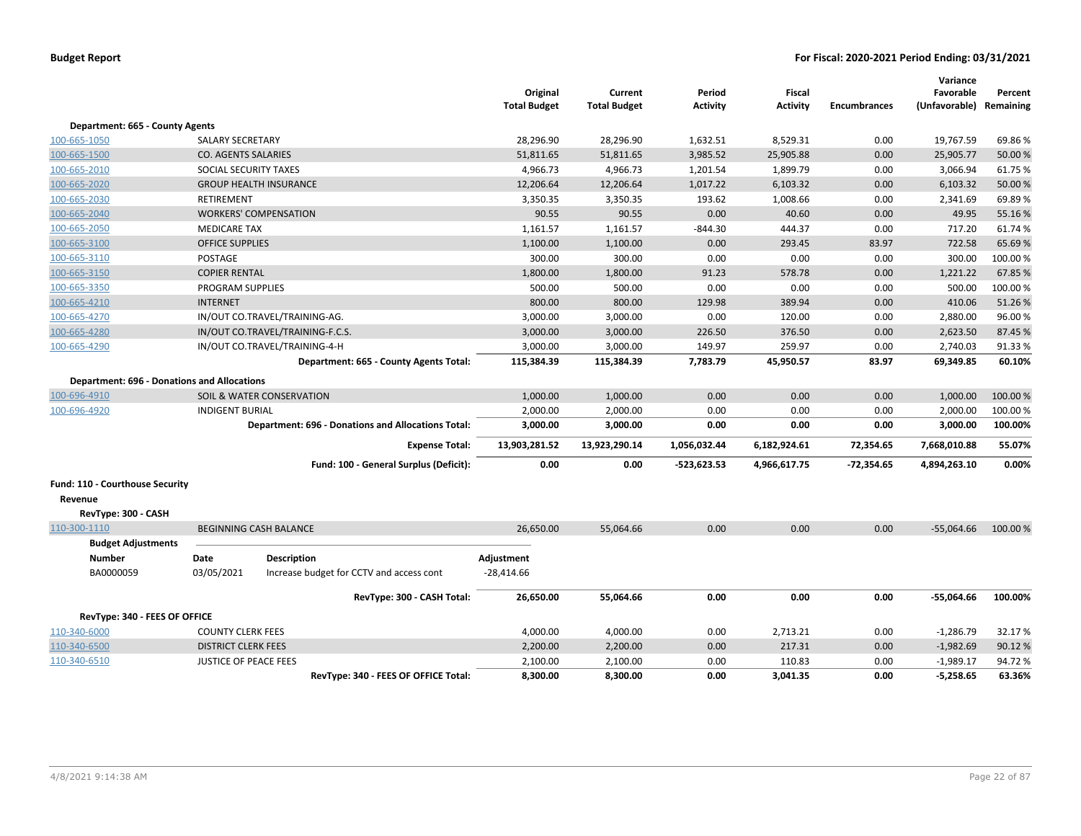|                                                    |                              |                                                    | Original<br><b>Total Budget</b> | Current<br><b>Total Budget</b> | Period<br><b>Activity</b> | Fiscal<br><b>Activity</b> | <b>Encumbrances</b> | Variance<br>Favorable<br>(Unfavorable) Remaining | Percent  |
|----------------------------------------------------|------------------------------|----------------------------------------------------|---------------------------------|--------------------------------|---------------------------|---------------------------|---------------------|--------------------------------------------------|----------|
| Department: 665 - County Agents                    |                              |                                                    |                                 |                                |                           |                           |                     |                                                  |          |
| 100-665-1050                                       | SALARY SECRETARY             |                                                    | 28,296.90                       | 28,296.90                      | 1,632.51                  | 8,529.31                  | 0.00                | 19,767.59                                        | 69.86%   |
| 100-665-1500                                       | <b>CO. AGENTS SALARIES</b>   |                                                    | 51,811.65                       | 51,811.65                      | 3,985.52                  | 25,905.88                 | 0.00                | 25,905.77                                        | 50.00 %  |
| 100-665-2010                                       | SOCIAL SECURITY TAXES        |                                                    | 4,966.73                        | 4,966.73                       | 1,201.54                  | 1,899.79                  | 0.00                | 3,066.94                                         | 61.75%   |
| 100-665-2020                                       |                              | <b>GROUP HEALTH INSURANCE</b>                      | 12,206.64                       | 12,206.64                      | 1,017.22                  | 6,103.32                  | 0.00                | 6,103.32                                         | 50.00 %  |
| 100-665-2030                                       | RETIREMENT                   |                                                    | 3,350.35                        | 3,350.35                       | 193.62                    | 1,008.66                  | 0.00                | 2,341.69                                         | 69.89%   |
| 100-665-2040                                       |                              | <b>WORKERS' COMPENSATION</b>                       | 90.55                           | 90.55                          | 0.00                      | 40.60                     | 0.00                | 49.95                                            | 55.16 %  |
| 100-665-2050                                       | <b>MEDICARE TAX</b>          |                                                    | 1,161.57                        | 1,161.57                       | $-844.30$                 | 444.37                    | 0.00                | 717.20                                           | 61.74%   |
| 100-665-3100                                       | <b>OFFICE SUPPLIES</b>       |                                                    | 1,100.00                        | 1,100.00                       | 0.00                      | 293.45                    | 83.97               | 722.58                                           | 65.69%   |
| 100-665-3110                                       | POSTAGE                      |                                                    | 300.00                          | 300.00                         | 0.00                      | 0.00                      | 0.00                | 300.00                                           | 100.00%  |
| 100-665-3150                                       | <b>COPIER RENTAL</b>         |                                                    | 1,800.00                        | 1,800.00                       | 91.23                     | 578.78                    | 0.00                | 1,221.22                                         | 67.85 %  |
| 100-665-3350                                       | <b>PROGRAM SUPPLIES</b>      |                                                    | 500.00                          | 500.00                         | 0.00                      | 0.00                      | 0.00                | 500.00                                           | 100.00 % |
| 100-665-4210                                       | <b>INTERNET</b>              |                                                    | 800.00                          | 800.00                         | 129.98                    | 389.94                    | 0.00                | 410.06                                           | 51.26%   |
| 100-665-4270                                       |                              | IN/OUT CO.TRAVEL/TRAINING-AG.                      | 3,000.00                        | 3,000.00                       | 0.00                      | 120.00                    | 0.00                | 2,880.00                                         | 96.00%   |
| 100-665-4280                                       |                              | IN/OUT CO.TRAVEL/TRAINING-F.C.S.                   | 3,000.00                        | 3,000.00                       | 226.50                    | 376.50                    | 0.00                | 2,623.50                                         | 87.45 %  |
| 100-665-4290                                       |                              | IN/OUT CO.TRAVEL/TRAINING-4-H                      | 3,000.00                        | 3,000.00                       | 149.97                    | 259.97                    | 0.00                | 2,740.03                                         | 91.33%   |
|                                                    |                              | Department: 665 - County Agents Total:             | 115,384.39                      | 115,384.39                     | 7,783.79                  | 45,950.57                 | 83.97               | 69,349.85                                        | 60.10%   |
| <b>Department: 696 - Donations and Allocations</b> |                              |                                                    |                                 |                                |                           |                           |                     |                                                  |          |
| 100-696-4910                                       |                              | SOIL & WATER CONSERVATION                          | 1,000.00                        | 1,000.00                       | 0.00                      | 0.00                      | 0.00                | 1,000.00                                         | 100.00 % |
| 100-696-4920                                       | <b>INDIGENT BURIAL</b>       |                                                    | 2,000.00                        | 2,000.00                       | 0.00                      | 0.00                      | 0.00                | 2,000.00                                         | 100.00%  |
|                                                    |                              | Department: 696 - Donations and Allocations Total: | 3,000.00                        | 3,000.00                       | 0.00                      | 0.00                      | 0.00                | 3,000.00                                         | 100.00%  |
|                                                    |                              | <b>Expense Total:</b>                              | 13,903,281.52                   | 13,923,290.14                  | 1,056,032.44              | 6,182,924.61              | 72,354.65           | 7,668,010.88                                     | 55.07%   |
|                                                    |                              |                                                    |                                 |                                |                           |                           |                     |                                                  |          |
|                                                    |                              | Fund: 100 - General Surplus (Deficit):             | 0.00                            | 0.00                           | $-523,623.53$             | 4,966,617.75              | $-72,354.65$        | 4,894,263.10                                     | $0.00\%$ |
| Fund: 110 - Courthouse Security                    |                              |                                                    |                                 |                                |                           |                           |                     |                                                  |          |
| Revenue                                            |                              |                                                    |                                 |                                |                           |                           |                     |                                                  |          |
| RevType: 300 - CASH                                |                              |                                                    |                                 |                                |                           |                           |                     |                                                  |          |
| 110-300-1110                                       |                              | <b>BEGINNING CASH BALANCE</b>                      | 26,650.00                       | 55,064.66                      | 0.00                      | 0.00                      | 0.00                | $-55,064.66$                                     | 100.00 % |
| <b>Budget Adjustments</b>                          |                              |                                                    |                                 |                                |                           |                           |                     |                                                  |          |
| <b>Number</b>                                      | Date                         | <b>Description</b>                                 | Adjustment                      |                                |                           |                           |                     |                                                  |          |
| BA0000059                                          | 03/05/2021                   | Increase budget for CCTV and access cont           | $-28,414.66$                    |                                |                           |                           |                     |                                                  |          |
|                                                    |                              | RevType: 300 - CASH Total:                         | 26,650.00                       | 55,064.66                      | 0.00                      | 0.00                      | 0.00                | $-55,064.66$                                     | 100.00%  |
| RevType: 340 - FEES OF OFFICE                      |                              |                                                    |                                 |                                |                           |                           |                     |                                                  |          |
| 110-340-6000                                       | <b>COUNTY CLERK FEES</b>     |                                                    | 4,000.00                        | 4,000.00                       | 0.00                      | 2,713.21                  | 0.00                | $-1,286.79$                                      | 32.17%   |
| 110-340-6500                                       | <b>DISTRICT CLERK FEES</b>   |                                                    | 2,200.00                        | 2,200.00                       | 0.00                      | 217.31                    | 0.00                | $-1,982.69$                                      | 90.12%   |
| 110-340-6510                                       | <b>JUSTICE OF PEACE FEES</b> |                                                    | 2,100.00                        | 2,100.00                       | 0.00                      | 110.83                    | 0.00                | $-1,989.17$                                      | 94.72%   |
|                                                    |                              | RevType: 340 - FEES OF OFFICE Total:               | 8,300.00                        | 8,300.00                       | 0.00                      | 3,041.35                  | 0.00                | $-5,258.65$                                      | 63.36%   |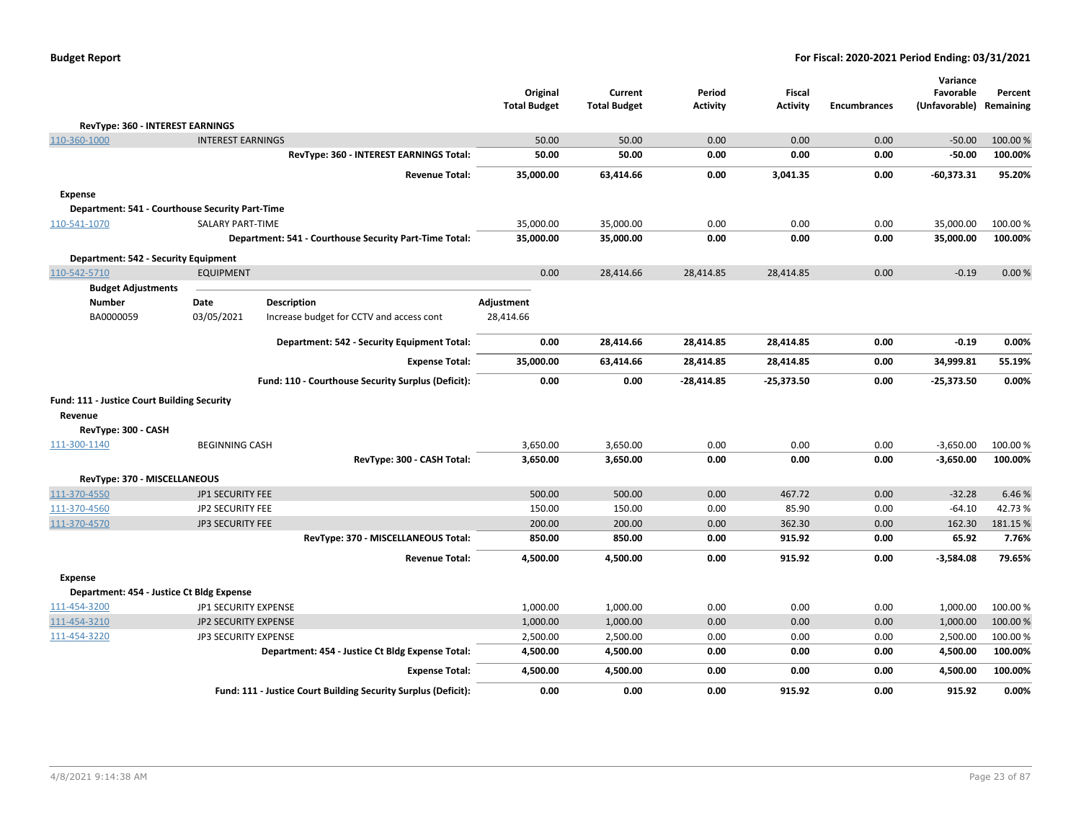| <b>Budget Report</b> |  |
|----------------------|--|
|----------------------|--|

|                                                 |                             |                                                                | Original            | Current             | Period          | <b>Fiscal</b>   |                     | Variance<br>Favorable | Percent   |
|-------------------------------------------------|-----------------------------|----------------------------------------------------------------|---------------------|---------------------|-----------------|-----------------|---------------------|-----------------------|-----------|
|                                                 |                             |                                                                | <b>Total Budget</b> | <b>Total Budget</b> | <b>Activity</b> | <b>Activity</b> | <b>Encumbrances</b> | (Unfavorable)         | Remaining |
| RevType: 360 - INTEREST EARNINGS                |                             |                                                                |                     |                     |                 |                 |                     |                       |           |
| 110-360-1000                                    | <b>INTEREST EARNINGS</b>    |                                                                | 50.00               | 50.00               | 0.00            | 0.00            | 0.00                | $-50.00$              | 100.00 %  |
|                                                 |                             | RevType: 360 - INTEREST EARNINGS Total:                        | 50.00               | 50.00               | 0.00            | 0.00            | 0.00                | $-50.00$              | 100.00%   |
|                                                 |                             | <b>Revenue Total:</b>                                          | 35,000.00           | 63,414.66           | 0.00            | 3,041.35        | 0.00                | $-60,373.31$          | 95.20%    |
| Expense                                         |                             |                                                                |                     |                     |                 |                 |                     |                       |           |
| Department: 541 - Courthouse Security Part-Time |                             |                                                                |                     |                     |                 |                 |                     |                       |           |
| 110-541-1070                                    | SALARY PART-TIME            |                                                                | 35,000.00           | 35,000.00           | 0.00            | 0.00            | 0.00                | 35,000.00             | 100.00 %  |
|                                                 |                             | Department: 541 - Courthouse Security Part-Time Total:         | 35,000.00           | 35,000.00           | 0.00            | 0.00            | 0.00                | 35,000.00             | 100.00%   |
| <b>Department: 542 - Security Equipment</b>     |                             |                                                                |                     |                     |                 |                 |                     |                       |           |
| 110-542-5710                                    | <b>EQUIPMENT</b>            |                                                                | 0.00                | 28,414.66           | 28,414.85       | 28,414.85       | 0.00                | $-0.19$               | 0.00%     |
| <b>Budget Adjustments</b>                       |                             |                                                                |                     |                     |                 |                 |                     |                       |           |
| <b>Number</b>                                   | Date                        | <b>Description</b>                                             | Adjustment          |                     |                 |                 |                     |                       |           |
| BA0000059                                       | 03/05/2021                  | Increase budget for CCTV and access cont                       | 28,414.66           |                     |                 |                 |                     |                       |           |
|                                                 |                             | Department: 542 - Security Equipment Total:                    | 0.00                | 28,414.66           | 28,414.85       | 28,414.85       | 0.00                | $-0.19$               | 0.00%     |
|                                                 |                             | <b>Expense Total:</b>                                          | 35,000.00           | 63,414.66           | 28,414.85       | 28,414.85       | 0.00                | 34,999.81             | 55.19%    |
|                                                 |                             | Fund: 110 - Courthouse Security Surplus (Deficit):             | 0.00                | 0.00                | $-28,414.85$    | $-25,373.50$    | 0.00                | $-25,373.50$          | 0.00%     |
| Fund: 111 - Justice Court Building Security     |                             |                                                                |                     |                     |                 |                 |                     |                       |           |
| Revenue                                         |                             |                                                                |                     |                     |                 |                 |                     |                       |           |
| RevType: 300 - CASH                             |                             |                                                                |                     |                     |                 |                 |                     |                       |           |
| 111-300-1140                                    | <b>BEGINNING CASH</b>       |                                                                | 3,650.00            | 3,650.00            | 0.00            | 0.00            | 0.00                | $-3,650.00$           | 100.00 %  |
|                                                 |                             | RevType: 300 - CASH Total:                                     | 3,650.00            | 3,650.00            | 0.00            | 0.00            | 0.00                | $-3,650.00$           | 100.00%   |
| RevType: 370 - MISCELLANEOUS                    |                             |                                                                |                     |                     |                 |                 |                     |                       |           |
| 111-370-4550                                    | <b>JP1 SECURITY FEE</b>     |                                                                | 500.00              | 500.00              | 0.00            | 467.72          | 0.00                | $-32.28$              | 6.46%     |
| 111-370-4560                                    | <b>JP2 SECURITY FEE</b>     |                                                                | 150.00              | 150.00              | 0.00            | 85.90           | 0.00                | $-64.10$              | 42.73%    |
| 111-370-4570                                    | JP3 SECURITY FEE            |                                                                | 200.00              | 200.00              | 0.00            | 362.30          | 0.00                | 162.30                | 181.15 %  |
|                                                 |                             | RevType: 370 - MISCELLANEOUS Total:                            | 850.00              | 850.00              | 0.00            | 915.92          | 0.00                | 65.92                 | 7.76%     |
|                                                 |                             | <b>Revenue Total:</b>                                          | 4,500.00            | 4,500.00            | 0.00            | 915.92          | 0.00                | $-3,584.08$           | 79.65%    |
| <b>Expense</b>                                  |                             |                                                                |                     |                     |                 |                 |                     |                       |           |
| Department: 454 - Justice Ct Bldg Expense       |                             |                                                                |                     |                     |                 |                 |                     |                       |           |
| 111-454-3200                                    | JP1 SECURITY EXPENSE        |                                                                | 1,000.00            | 1,000.00            | 0.00            | 0.00            | 0.00                | 1,000.00              | 100.00%   |
| 111-454-3210                                    | <b>JP2 SECURITY EXPENSE</b> |                                                                | 1,000.00            | 1,000.00            | 0.00            | 0.00            | 0.00                | 1,000.00              | 100.00 %  |
| 111-454-3220                                    | JP3 SECURITY EXPENSE        |                                                                | 2,500.00            | 2,500.00            | 0.00            | 0.00            | 0.00                | 2,500.00              | 100.00 %  |
|                                                 |                             | Department: 454 - Justice Ct Bldg Expense Total:               | 4,500.00            | 4,500.00            | 0.00            | 0.00            | 0.00                | 4,500.00              | 100.00%   |
|                                                 |                             | <b>Expense Total:</b>                                          | 4,500.00            | 4,500.00            | 0.00            | 0.00            | 0.00                | 4,500.00              | 100.00%   |
|                                                 |                             | Fund: 111 - Justice Court Building Security Surplus (Deficit): | 0.00                | 0.00                | 0.00            | 915.92          | 0.00                | 915.92                | 0.00%     |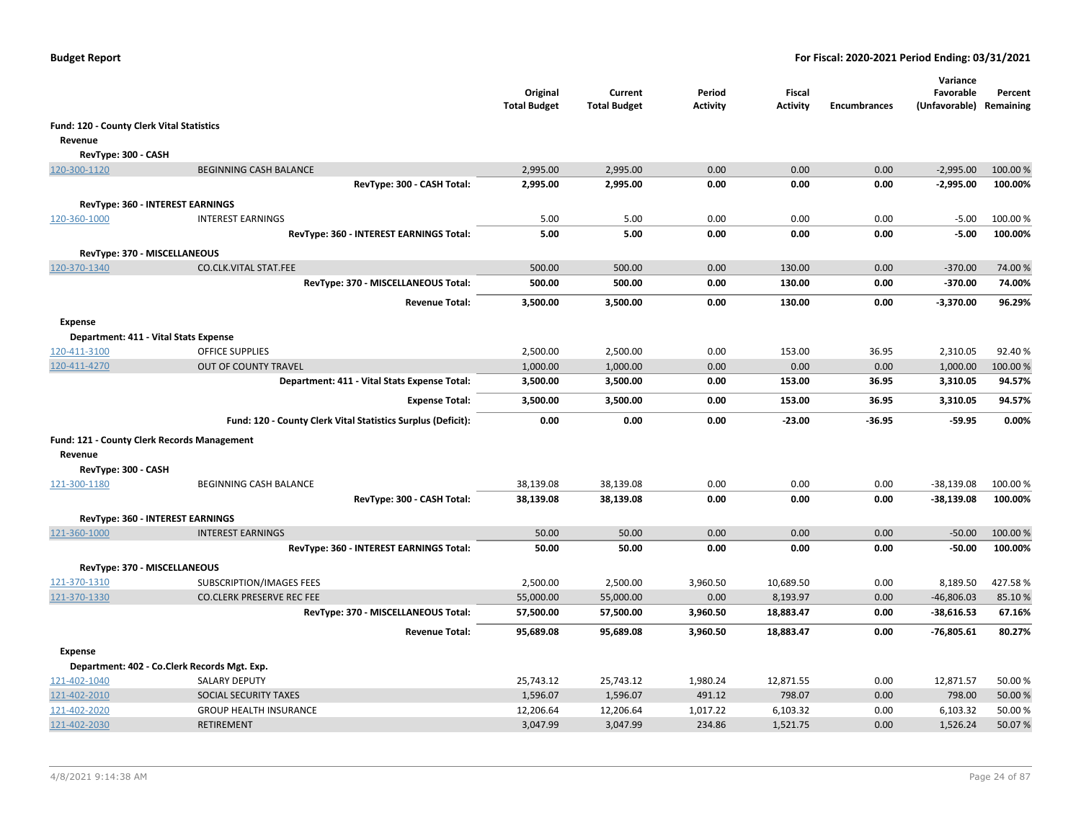|                                           |                                                              | Original<br><b>Total Budget</b> | Current<br><b>Total Budget</b> | Period<br><b>Activity</b> | <b>Fiscal</b><br><b>Activity</b> | <b>Encumbrances</b> | Variance<br>Favorable<br>(Unfavorable) Remaining | Percent  |
|-------------------------------------------|--------------------------------------------------------------|---------------------------------|--------------------------------|---------------------------|----------------------------------|---------------------|--------------------------------------------------|----------|
| Fund: 120 - County Clerk Vital Statistics |                                                              |                                 |                                |                           |                                  |                     |                                                  |          |
| Revenue                                   |                                                              |                                 |                                |                           |                                  |                     |                                                  |          |
| RevType: 300 - CASH                       |                                                              |                                 |                                |                           |                                  |                     |                                                  |          |
| 120-300-1120                              | <b>BEGINNING CASH BALANCE</b>                                | 2,995.00                        | 2,995.00                       | 0.00                      | 0.00                             | 0.00                | $-2,995.00$                                      | 100.00%  |
|                                           | RevType: 300 - CASH Total:                                   | 2,995.00                        | 2,995.00                       | 0.00                      | 0.00                             | 0.00                | $-2,995.00$                                      | 100.00%  |
|                                           | <b>RevType: 360 - INTEREST EARNINGS</b>                      |                                 |                                |                           |                                  |                     |                                                  |          |
| 120-360-1000                              | <b>INTEREST EARNINGS</b>                                     | 5.00                            | 5.00                           | 0.00                      | 0.00                             | 0.00                | $-5.00$                                          | 100.00 % |
|                                           | RevType: 360 - INTEREST EARNINGS Total:                      | 5.00                            | 5.00                           | 0.00                      | 0.00                             | 0.00                | $-5.00$                                          | 100.00%  |
|                                           |                                                              |                                 |                                |                           |                                  |                     |                                                  |          |
| RevType: 370 - MISCELLANEOUS              |                                                              |                                 |                                |                           |                                  |                     |                                                  |          |
| 120-370-1340                              | CO.CLK.VITAL STAT.FEE                                        | 500.00                          | 500.00                         | 0.00                      | 130.00                           | 0.00                | $-370.00$                                        | 74.00%   |
|                                           | RevType: 370 - MISCELLANEOUS Total:                          | 500.00                          | 500.00                         | 0.00                      | 130.00                           | 0.00                | $-370.00$                                        | 74.00%   |
|                                           | <b>Revenue Total:</b>                                        | 3,500.00                        | 3,500.00                       | 0.00                      | 130.00                           | 0.00                | $-3,370.00$                                      | 96.29%   |
| <b>Expense</b>                            |                                                              |                                 |                                |                           |                                  |                     |                                                  |          |
| Department: 411 - Vital Stats Expense     |                                                              |                                 |                                |                           |                                  |                     |                                                  |          |
| 120-411-3100                              | <b>OFFICE SUPPLIES</b>                                       | 2,500.00                        | 2,500.00                       | 0.00                      | 153.00                           | 36.95               | 2,310.05                                         | 92.40%   |
| 120-411-4270                              | OUT OF COUNTY TRAVEL                                         | 1,000.00                        | 1,000.00                       | 0.00                      | 0.00                             | 0.00                | 1,000.00                                         | 100.00%  |
|                                           | Department: 411 - Vital Stats Expense Total:                 | 3,500.00                        | 3,500.00                       | 0.00                      | 153.00                           | 36.95               | 3,310.05                                         | 94.57%   |
|                                           | <b>Expense Total:</b>                                        | 3,500.00                        | 3,500.00                       | 0.00                      | 153.00                           | 36.95               | 3,310.05                                         | 94.57%   |
|                                           | Fund: 120 - County Clerk Vital Statistics Surplus (Deficit): | 0.00                            | 0.00                           | 0.00                      | $-23.00$                         | $-36.95$            | $-59.95$                                         | 0.00%    |
|                                           | Fund: 121 - County Clerk Records Management                  |                                 |                                |                           |                                  |                     |                                                  |          |
| Revenue                                   |                                                              |                                 |                                |                           |                                  |                     |                                                  |          |
| RevType: 300 - CASH<br>121-300-1180       | <b>BEGINNING CASH BALANCE</b>                                | 38,139.08                       | 38,139.08                      | 0.00                      | 0.00                             | 0.00                | $-38,139.08$                                     | 100.00 % |
|                                           | RevType: 300 - CASH Total:                                   | 38,139.08                       | 38,139.08                      | 0.00                      | 0.00                             | 0.00                | $-38,139.08$                                     | 100.00%  |
|                                           |                                                              |                                 |                                |                           |                                  |                     |                                                  |          |
|                                           | RevType: 360 - INTEREST EARNINGS                             |                                 |                                |                           |                                  |                     |                                                  |          |
| 121-360-1000                              | <b>INTEREST EARNINGS</b>                                     | 50.00                           | 50.00                          | 0.00                      | 0.00                             | 0.00                | $-50.00$                                         | 100.00 % |
|                                           | RevType: 360 - INTEREST EARNINGS Total:                      | 50.00                           | 50.00                          | 0.00                      | 0.00                             | 0.00                | $-50.00$                                         | 100.00%  |
| RevType: 370 - MISCELLANEOUS              |                                                              |                                 |                                |                           |                                  |                     |                                                  |          |
| 121-370-1310                              | SUBSCRIPTION/IMAGES FEES                                     | 2,500.00                        | 2,500.00                       | 3,960.50                  | 10,689.50                        | 0.00                | 8,189.50                                         | 427.58%  |
| 121-370-1330                              | <b>CO.CLERK PRESERVE REC FEE</b>                             | 55,000.00                       | 55,000.00                      | 0.00                      | 8,193.97                         | 0.00                | $-46,806.03$                                     | 85.10%   |
|                                           | RevType: 370 - MISCELLANEOUS Total:                          | 57,500.00                       | 57,500.00                      | 3,960.50                  | 18,883.47                        | 0.00                | $-38,616.53$                                     | 67.16%   |
|                                           | <b>Revenue Total:</b>                                        | 95,689.08                       | 95,689.08                      | 3,960.50                  | 18,883.47                        | 0.00                | $-76,805.61$                                     | 80.27%   |
| <b>Expense</b>                            |                                                              |                                 |                                |                           |                                  |                     |                                                  |          |
|                                           | Department: 402 - Co.Clerk Records Mgt. Exp.                 |                                 |                                |                           |                                  |                     |                                                  |          |
| 121-402-1040                              | <b>SALARY DEPUTY</b>                                         | 25,743.12                       | 25,743.12                      | 1,980.24                  | 12,871.55                        | 0.00                | 12,871.57                                        | 50.00%   |
| 121-402-2010                              | SOCIAL SECURITY TAXES                                        | 1,596.07                        | 1,596.07                       | 491.12                    | 798.07                           | 0.00                | 798.00                                           | 50.00 %  |
| 121-402-2020                              | <b>GROUP HEALTH INSURANCE</b>                                | 12,206.64                       | 12,206.64                      | 1,017.22                  | 6,103.32                         | 0.00                | 6,103.32                                         | 50.00%   |
| 121-402-2030                              | <b>RETIREMENT</b>                                            | 3,047.99                        | 3,047.99                       | 234.86                    | 1,521.75                         | 0.00                | 1,526.24                                         | 50.07%   |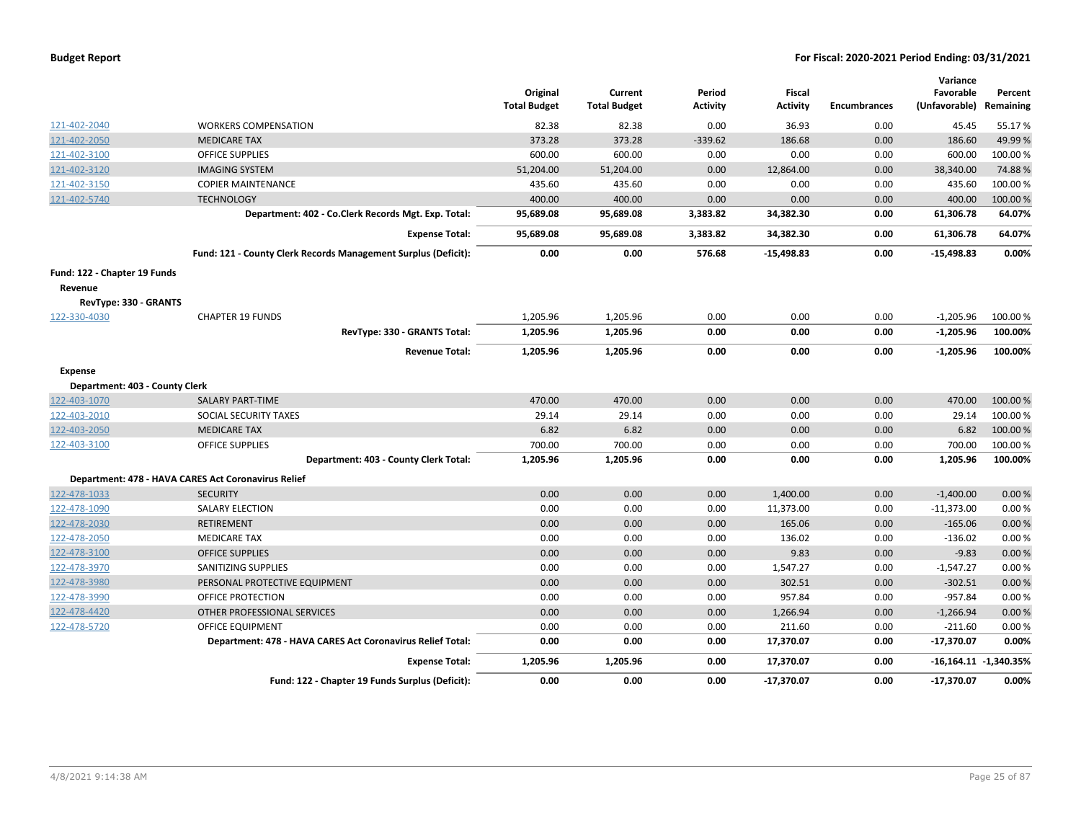| <b>Budget Report</b> |  |
|----------------------|--|
|----------------------|--|

|                                |                                                                | Original<br><b>Total Budget</b> | Current<br><b>Total Budget</b> | Period<br><b>Activity</b> | <b>Fiscal</b><br><b>Activity</b> | <b>Encumbrances</b> | Variance<br>Favorable<br>(Unfavorable) | Percent<br>Remaining    |
|--------------------------------|----------------------------------------------------------------|---------------------------------|--------------------------------|---------------------------|----------------------------------|---------------------|----------------------------------------|-------------------------|
| 121-402-2040                   | <b>WORKERS COMPENSATION</b>                                    | 82.38                           | 82.38                          | 0.00                      | 36.93                            | 0.00                | 45.45                                  | 55.17%                  |
| 121-402-2050                   | <b>MEDICARE TAX</b>                                            | 373.28                          | 373.28                         | $-339.62$                 | 186.68                           | 0.00                | 186.60                                 | 49.99%                  |
| 121-402-3100                   | <b>OFFICE SUPPLIES</b>                                         | 600.00                          | 600.00                         | 0.00                      | 0.00                             | 0.00                | 600.00                                 | 100.00%                 |
| 121-402-3120                   | <b>IMAGING SYSTEM</b>                                          | 51,204.00                       | 51,204.00                      | 0.00                      | 12,864.00                        | 0.00                | 38,340.00                              | 74.88%                  |
| 121-402-3150                   | <b>COPIER MAINTENANCE</b>                                      | 435.60                          | 435.60                         | 0.00                      | 0.00                             | 0.00                | 435.60                                 | 100.00 %                |
| 121-402-5740                   | <b>TECHNOLOGY</b>                                              | 400.00                          | 400.00                         | 0.00                      | 0.00                             | 0.00                | 400.00                                 | 100.00%                 |
|                                | Department: 402 - Co.Clerk Records Mgt. Exp. Total:            | 95,689.08                       | 95,689.08                      | 3,383.82                  | 34,382.30                        | 0.00                | 61,306.78                              | 64.07%                  |
|                                | <b>Expense Total:</b>                                          | 95,689.08                       | 95,689.08                      | 3,383.82                  | 34,382.30                        | 0.00                | 61,306.78                              | 64.07%                  |
|                                | Fund: 121 - County Clerk Records Management Surplus (Deficit): | 0.00                            | 0.00                           | 576.68                    | $-15,498.83$                     | 0.00                | $-15,498.83$                           | 0.00%                   |
| Fund: 122 - Chapter 19 Funds   |                                                                |                                 |                                |                           |                                  |                     |                                        |                         |
| Revenue                        |                                                                |                                 |                                |                           |                                  |                     |                                        |                         |
| RevType: 330 - GRANTS          |                                                                |                                 |                                |                           |                                  |                     |                                        |                         |
| 122-330-4030                   | <b>CHAPTER 19 FUNDS</b>                                        | 1,205.96                        | 1,205.96                       | 0.00                      | 0.00                             | 0.00                | $-1,205.96$                            | 100.00 %                |
|                                | RevType: 330 - GRANTS Total:                                   | 1,205.96                        | 1,205.96                       | 0.00                      | 0.00                             | 0.00                | $-1,205.96$                            | 100.00%                 |
|                                | <b>Revenue Total:</b>                                          | 1,205.96                        | 1,205.96                       | 0.00                      | 0.00                             | 0.00                | $-1,205.96$                            | 100.00%                 |
| <b>Expense</b>                 |                                                                |                                 |                                |                           |                                  |                     |                                        |                         |
| Department: 403 - County Clerk |                                                                |                                 |                                |                           |                                  |                     |                                        |                         |
| 122-403-1070                   | <b>SALARY PART-TIME</b>                                        | 470.00                          | 470.00                         | 0.00                      | 0.00                             | 0.00                | 470.00                                 | 100.00 %                |
| 122-403-2010                   | SOCIAL SECURITY TAXES                                          | 29.14                           | 29.14                          | 0.00                      | 0.00                             | 0.00                | 29.14                                  | 100.00%                 |
| 122-403-2050                   | <b>MEDICARE TAX</b>                                            | 6.82                            | 6.82                           | 0.00                      | 0.00                             | 0.00                | 6.82                                   | 100.00 %                |
| 122-403-3100                   | <b>OFFICE SUPPLIES</b>                                         | 700.00                          | 700.00                         | 0.00                      | 0.00                             | 0.00                | 700.00                                 | 100.00%                 |
|                                | Department: 403 - County Clerk Total:                          | 1,205.96                        | 1,205.96                       | 0.00                      | 0.00                             | 0.00                | 1,205.96                               | 100.00%                 |
|                                | Department: 478 - HAVA CARES Act Coronavirus Relief            |                                 |                                |                           |                                  |                     |                                        |                         |
| 122-478-1033                   | <b>SECURITY</b>                                                | 0.00                            | 0.00                           | 0.00                      | 1,400.00                         | 0.00                | $-1,400.00$                            | 0.00%                   |
| 122-478-1090                   | <b>SALARY ELECTION</b>                                         | 0.00                            | 0.00                           | 0.00                      | 11,373.00                        | 0.00                | $-11,373.00$                           | 0.00%                   |
| 122-478-2030                   | <b>RETIREMENT</b>                                              | 0.00                            | 0.00                           | 0.00                      | 165.06                           | 0.00                | $-165.06$                              | 0.00%                   |
| 122-478-2050                   | <b>MEDICARE TAX</b>                                            | 0.00                            | 0.00                           | 0.00                      | 136.02                           | 0.00                | $-136.02$                              | 0.00%                   |
| 122-478-3100                   | <b>OFFICE SUPPLIES</b>                                         | 0.00                            | 0.00                           | 0.00                      | 9.83                             | 0.00                | $-9.83$                                | 0.00%                   |
| 122-478-3970                   | SANITIZING SUPPLIES                                            | 0.00                            | 0.00                           | 0.00                      | 1,547.27                         | 0.00                | $-1,547.27$                            | 0.00%                   |
| 122-478-3980                   | PERSONAL PROTECTIVE EQUIPMENT                                  | 0.00                            | 0.00                           | 0.00                      | 302.51                           | 0.00                | $-302.51$                              | 0.00%                   |
| 122-478-3990                   | OFFICE PROTECTION                                              | 0.00                            | 0.00                           | 0.00                      | 957.84                           | 0.00                | $-957.84$                              | 0.00%                   |
| 122-478-4420                   | OTHER PROFESSIONAL SERVICES                                    | 0.00                            | 0.00                           | 0.00                      | 1,266.94                         | 0.00                | $-1,266.94$                            | 0.00%                   |
| 122-478-5720                   | <b>OFFICE EQUIPMENT</b>                                        | 0.00                            | 0.00                           | 0.00                      | 211.60                           | 0.00                | $-211.60$                              | 0.00%                   |
|                                | Department: 478 - HAVA CARES Act Coronavirus Relief Total:     | 0.00                            | 0.00                           | 0.00                      | 17,370.07                        | 0.00                | $-17,370.07$                           | 0.00%                   |
|                                | <b>Expense Total:</b>                                          | 1,205.96                        | 1,205.96                       | 0.00                      | 17,370.07                        | 0.00                |                                        | $-16,164.11 -1,340.35%$ |
|                                | Fund: 122 - Chapter 19 Funds Surplus (Deficit):                | 0.00                            | 0.00                           | 0.00                      | $-17,370.07$                     | 0.00                | $-17,370.07$                           | 0.00%                   |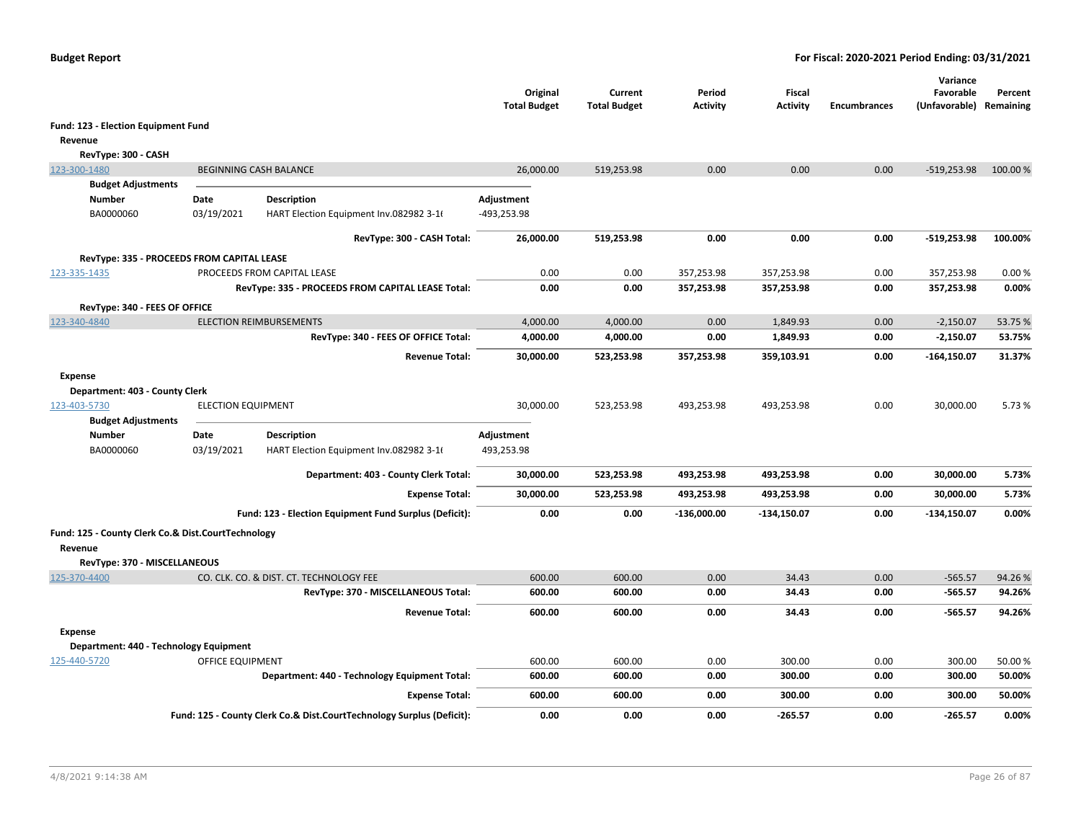|                                                    |                           |                                                                       | Original<br><b>Total Budget</b> | Current<br><b>Total Budget</b> | Period<br><b>Activity</b> | Fiscal<br><b>Activity</b> | <b>Encumbrances</b> | Variance<br>Favorable<br>(Unfavorable) Remaining | Percent  |
|----------------------------------------------------|---------------------------|-----------------------------------------------------------------------|---------------------------------|--------------------------------|---------------------------|---------------------------|---------------------|--------------------------------------------------|----------|
| Fund: 123 - Election Equipment Fund                |                           |                                                                       |                                 |                                |                           |                           |                     |                                                  |          |
| Revenue                                            |                           |                                                                       |                                 |                                |                           |                           |                     |                                                  |          |
| RevType: 300 - CASH                                |                           |                                                                       |                                 |                                |                           |                           |                     |                                                  |          |
| 123-300-1480                                       |                           | <b>BEGINNING CASH BALANCE</b>                                         | 26,000.00                       | 519,253.98                     | 0.00                      | 0.00                      | 0.00                | $-519,253.98$                                    | 100.00 % |
| <b>Budget Adjustments</b>                          |                           |                                                                       |                                 |                                |                           |                           |                     |                                                  |          |
| <b>Number</b>                                      | Date                      | <b>Description</b>                                                    | Adjustment                      |                                |                           |                           |                     |                                                  |          |
| BA0000060                                          | 03/19/2021                | HART Election Equipment Inv.082982 3-16                               | -493,253.98                     |                                |                           |                           |                     |                                                  |          |
|                                                    |                           | RevType: 300 - CASH Total:                                            | 26,000.00                       | 519,253.98                     | 0.00                      | 0.00                      | 0.00                | $-519,253.98$                                    | 100.00%  |
| RevType: 335 - PROCEEDS FROM CAPITAL LEASE         |                           |                                                                       |                                 |                                |                           |                           |                     |                                                  |          |
| 123-335-1435                                       |                           | PROCEEDS FROM CAPITAL LEASE                                           | 0.00                            | 0.00                           | 357,253.98                | 357,253.98                | 0.00                | 357,253.98                                       | 0.00%    |
|                                                    |                           | RevType: 335 - PROCEEDS FROM CAPITAL LEASE Total:                     | 0.00                            | 0.00                           | 357,253.98                | 357,253.98                | 0.00                | 357,253.98                                       | 0.00%    |
| RevType: 340 - FEES OF OFFICE                      |                           |                                                                       |                                 |                                |                           |                           |                     |                                                  |          |
| 123-340-4840                                       |                           | <b>ELECTION REIMBURSEMENTS</b>                                        | 4,000.00                        | 4,000.00                       | 0.00                      | 1,849.93                  | 0.00                | $-2,150.07$                                      | 53.75 %  |
|                                                    |                           | RevType: 340 - FEES OF OFFICE Total:                                  | 4,000.00                        | 4,000.00                       | 0.00                      | 1,849.93                  | 0.00                | $-2,150.07$                                      | 53.75%   |
|                                                    |                           | <b>Revenue Total:</b>                                                 | 30,000.00                       | 523,253.98                     | 357,253.98                | 359,103.91                | 0.00                | $-164, 150.07$                                   | 31.37%   |
| <b>Expense</b>                                     |                           |                                                                       |                                 |                                |                           |                           |                     |                                                  |          |
| Department: 403 - County Clerk                     |                           |                                                                       |                                 |                                |                           |                           |                     |                                                  |          |
| 123-403-5730                                       | <b>ELECTION EQUIPMENT</b> |                                                                       | 30,000.00                       | 523,253.98                     | 493,253.98                | 493,253.98                | 0.00                | 30,000.00                                        | 5.73 %   |
| <b>Budget Adjustments</b>                          |                           |                                                                       |                                 |                                |                           |                           |                     |                                                  |          |
| <b>Number</b><br>BA0000060                         | Date<br>03/19/2021        | <b>Description</b><br>HART Election Equipment Inv.082982 3-16         | Adjustment<br>493,253.98        |                                |                           |                           |                     |                                                  |          |
|                                                    |                           |                                                                       |                                 |                                |                           |                           |                     |                                                  |          |
|                                                    |                           | Department: 403 - County Clerk Total:                                 | 30,000.00                       | 523,253.98                     | 493,253.98                | 493,253.98                | 0.00                | 30,000.00                                        | 5.73%    |
|                                                    |                           | <b>Expense Total:</b>                                                 | 30,000.00                       | 523,253.98                     | 493,253.98                | 493,253.98                | 0.00                | 30,000.00                                        | 5.73%    |
|                                                    |                           | Fund: 123 - Election Equipment Fund Surplus (Deficit):                | 0.00                            | 0.00                           | $-136,000.00$             | $-134,150.07$             | 0.00                | $-134,150.07$                                    | 0.00%    |
| Fund: 125 - County Clerk Co.& Dist.CourtTechnology |                           |                                                                       |                                 |                                |                           |                           |                     |                                                  |          |
| Revenue                                            |                           |                                                                       |                                 |                                |                           |                           |                     |                                                  |          |
| RevType: 370 - MISCELLANEOUS                       |                           |                                                                       |                                 |                                |                           |                           |                     |                                                  |          |
| 125-370-4400                                       |                           | CO. CLK. CO. & DIST. CT. TECHNOLOGY FEE                               | 600.00                          | 600.00                         | 0.00                      | 34.43                     | 0.00                | $-565.57$                                        | 94.26%   |
|                                                    |                           | RevType: 370 - MISCELLANEOUS Total:                                   | 600.00                          | 600.00                         | 0.00                      | 34.43                     | 0.00                | $-565.57$                                        | 94.26%   |
|                                                    |                           | <b>Revenue Total:</b>                                                 | 600.00                          | 600.00                         | 0.00                      | 34.43                     | 0.00                | $-565.57$                                        | 94.26%   |
| Expense                                            |                           |                                                                       |                                 |                                |                           |                           |                     |                                                  |          |
| Department: 440 - Technology Equipment             |                           |                                                                       |                                 |                                |                           |                           |                     |                                                  |          |
| 125-440-5720                                       | OFFICE EQUIPMENT          |                                                                       | 600.00                          | 600.00                         | 0.00                      | 300.00                    | 0.00                | 300.00                                           | 50.00%   |
|                                                    |                           | Department: 440 - Technology Equipment Total:                         | 600.00                          | 600.00                         | 0.00                      | 300.00                    | 0.00                | 300.00                                           | 50.00%   |
|                                                    |                           | <b>Expense Total:</b>                                                 | 600.00                          | 600.00                         | 0.00                      | 300.00                    | 0.00                | 300.00                                           | 50.00%   |
|                                                    |                           | Fund: 125 - County Clerk Co.& Dist.CourtTechnology Surplus (Deficit): | 0.00                            | 0.00                           | 0.00                      | $-265.57$                 | 0.00                | $-265.57$                                        | 0.00%    |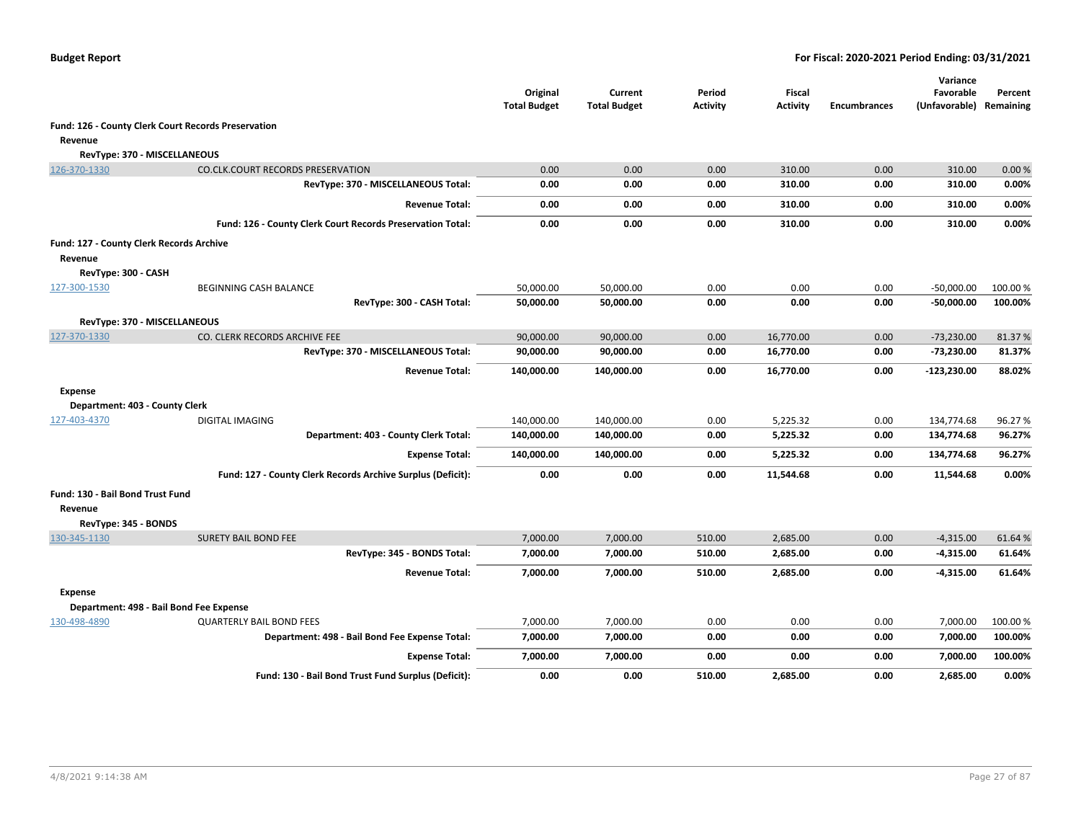|                                          |                                                             | Original<br><b>Total Budget</b> | Current<br><b>Total Budget</b> | Period<br><b>Activity</b> | Fiscal<br><b>Activity</b> | <b>Encumbrances</b> | Variance<br>Favorable<br>(Unfavorable) | Percent<br>Remaining |
|------------------------------------------|-------------------------------------------------------------|---------------------------------|--------------------------------|---------------------------|---------------------------|---------------------|----------------------------------------|----------------------|
|                                          | Fund: 126 - County Clerk Court Records Preservation         |                                 |                                |                           |                           |                     |                                        |                      |
| Revenue                                  |                                                             |                                 |                                |                           |                           |                     |                                        |                      |
| RevType: 370 - MISCELLANEOUS             |                                                             |                                 |                                |                           |                           |                     |                                        |                      |
| 126-370-1330                             | <b>CO.CLK.COURT RECORDS PRESERVATION</b>                    | 0.00                            | 0.00                           | 0.00                      | 310.00                    | 0.00                | 310.00                                 | 0.00%                |
|                                          | RevType: 370 - MISCELLANEOUS Total:                         | 0.00                            | 0.00                           | 0.00                      | 310.00                    | 0.00                | 310.00                                 | 0.00%                |
|                                          | <b>Revenue Total:</b>                                       | 0.00                            | 0.00                           | 0.00                      | 310.00                    | 0.00                | 310.00                                 | 0.00%                |
|                                          | Fund: 126 - County Clerk Court Records Preservation Total:  | 0.00                            | 0.00                           | 0.00                      | 310.00                    | 0.00                | 310.00                                 | 0.00%                |
| Fund: 127 - County Clerk Records Archive |                                                             |                                 |                                |                           |                           |                     |                                        |                      |
| Revenue                                  |                                                             |                                 |                                |                           |                           |                     |                                        |                      |
| RevType: 300 - CASH                      |                                                             |                                 |                                |                           |                           |                     |                                        |                      |
| 127-300-1530                             | <b>BEGINNING CASH BALANCE</b>                               | 50,000.00                       | 50,000.00                      | 0.00                      | 0.00                      | 0.00                | $-50,000.00$                           | 100.00 %             |
|                                          | RevType: 300 - CASH Total:                                  | 50,000.00                       | 50,000.00                      | 0.00                      | 0.00                      | 0.00                | $-50,000.00$                           | 100.00%              |
| RevType: 370 - MISCELLANEOUS             |                                                             |                                 |                                |                           |                           |                     |                                        |                      |
| 127-370-1330                             | CO. CLERK RECORDS ARCHIVE FEE                               | 90,000.00                       | 90,000.00                      | 0.00                      | 16,770.00                 | 0.00                | $-73,230.00$                           | 81.37%               |
|                                          | RevType: 370 - MISCELLANEOUS Total:                         | 90,000.00                       | 90,000.00                      | 0.00                      | 16,770.00                 | 0.00                | -73,230.00                             | 81.37%               |
|                                          | <b>Revenue Total:</b>                                       | 140,000.00                      | 140,000.00                     | 0.00                      | 16,770.00                 | 0.00                | -123,230.00                            | 88.02%               |
| <b>Expense</b>                           |                                                             |                                 |                                |                           |                           |                     |                                        |                      |
| Department: 403 - County Clerk           |                                                             |                                 |                                |                           |                           |                     |                                        |                      |
| 127-403-4370                             | <b>DIGITAL IMAGING</b>                                      | 140,000.00                      | 140,000.00                     | 0.00                      | 5,225.32                  | 0.00                | 134,774.68                             | 96.27%               |
|                                          | Department: 403 - County Clerk Total:                       | 140,000.00                      | 140,000.00                     | 0.00                      | 5,225.32                  | 0.00                | 134,774.68                             | 96.27%               |
|                                          | <b>Expense Total:</b>                                       | 140,000.00                      | 140,000.00                     | 0.00                      | 5,225.32                  | 0.00                | 134,774.68                             | 96.27%               |
|                                          | Fund: 127 - County Clerk Records Archive Surplus (Deficit): | 0.00                            | 0.00                           | 0.00                      | 11,544.68                 | 0.00                | 11,544.68                              | $0.00\%$             |
| Fund: 130 - Bail Bond Trust Fund         |                                                             |                                 |                                |                           |                           |                     |                                        |                      |
| Revenue                                  |                                                             |                                 |                                |                           |                           |                     |                                        |                      |
| RevType: 345 - BONDS                     |                                                             |                                 |                                |                           |                           |                     |                                        |                      |
| 130-345-1130                             | <b>SURETY BAIL BOND FEE</b>                                 | 7,000.00                        | 7,000.00                       | 510.00                    | 2,685.00                  | 0.00                | $-4,315.00$                            | 61.64%               |
|                                          | RevType: 345 - BONDS Total:                                 | 7,000.00                        | 7,000.00                       | 510.00                    | 2,685.00                  | 0.00                | $-4,315.00$                            | 61.64%               |
|                                          | <b>Revenue Total:</b>                                       | 7,000.00                        | 7,000.00                       | 510.00                    | 2,685.00                  | 0.00                | -4,315.00                              | 61.64%               |
| <b>Expense</b>                           |                                                             |                                 |                                |                           |                           |                     |                                        |                      |
|                                          | Department: 498 - Bail Bond Fee Expense                     |                                 |                                |                           |                           |                     |                                        |                      |
| 130-498-4890                             | <b>QUARTERLY BAIL BOND FEES</b>                             | 7,000.00                        | 7,000.00                       | 0.00                      | 0.00                      | 0.00                | 7,000.00                               | 100.00%              |
|                                          | Department: 498 - Bail Bond Fee Expense Total:              | 7,000.00                        | 7,000.00                       | 0.00                      | 0.00                      | 0.00                | 7,000.00                               | 100.00%              |
|                                          | <b>Expense Total:</b>                                       | 7,000.00                        | 7,000.00                       | 0.00                      | 0.00                      | 0.00                | 7,000.00                               | 100.00%              |
|                                          | Fund: 130 - Bail Bond Trust Fund Surplus (Deficit):         | 0.00                            | 0.00                           | 510.00                    | 2,685.00                  | 0.00                | 2,685.00                               | 0.00%                |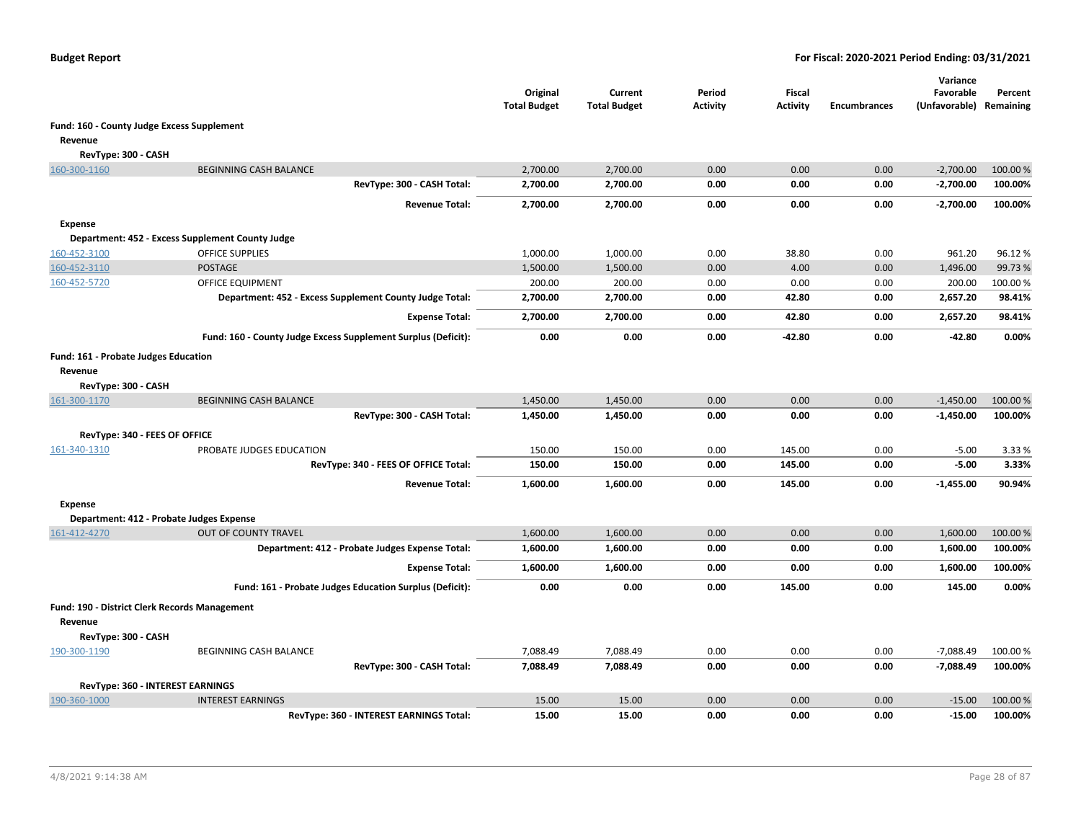|                                               |                                                               | Original<br><b>Total Budget</b> | Current<br><b>Total Budget</b> | Period<br><b>Activity</b> | <b>Fiscal</b><br><b>Activity</b> | <b>Encumbrances</b> | Variance<br>Favorable<br>(Unfavorable) Remaining | Percent  |
|-----------------------------------------------|---------------------------------------------------------------|---------------------------------|--------------------------------|---------------------------|----------------------------------|---------------------|--------------------------------------------------|----------|
| Fund: 160 - County Judge Excess Supplement    |                                                               |                                 |                                |                           |                                  |                     |                                                  |          |
| Revenue                                       |                                                               |                                 |                                |                           |                                  |                     |                                                  |          |
| RevType: 300 - CASH                           |                                                               |                                 |                                |                           |                                  |                     |                                                  |          |
| 160-300-1160                                  | <b>BEGINNING CASH BALANCE</b>                                 | 2,700.00                        | 2,700.00                       | 0.00                      | 0.00                             | 0.00                | $-2,700.00$                                      | 100.00 % |
|                                               | RevType: 300 - CASH Total:                                    | 2,700.00                        | 2,700.00                       | 0.00                      | 0.00                             | 0.00                | $-2,700.00$                                      | 100.00%  |
|                                               | <b>Revenue Total:</b>                                         | 2,700.00                        | 2,700.00                       | 0.00                      | 0.00                             | 0.00                | $-2,700.00$                                      | 100.00%  |
| <b>Expense</b>                                |                                                               |                                 |                                |                           |                                  |                     |                                                  |          |
|                                               | Department: 452 - Excess Supplement County Judge              |                                 |                                |                           |                                  |                     |                                                  |          |
| 160-452-3100                                  | <b>OFFICE SUPPLIES</b>                                        | 1,000.00                        | 1,000.00                       | 0.00                      | 38.80                            | 0.00                | 961.20                                           | 96.12%   |
| 160-452-3110                                  | <b>POSTAGE</b>                                                | 1,500.00                        | 1,500.00                       | 0.00                      | 4.00                             | 0.00                | 1,496.00                                         | 99.73%   |
| 160-452-5720                                  | <b>OFFICE EQUIPMENT</b>                                       | 200.00                          | 200.00                         | 0.00                      | 0.00                             | 0.00                | 200.00                                           | 100.00%  |
|                                               | Department: 452 - Excess Supplement County Judge Total:       | 2,700.00                        | 2,700.00                       | 0.00                      | 42.80                            | 0.00                | 2,657.20                                         | 98.41%   |
|                                               | <b>Expense Total:</b>                                         | 2,700.00                        | 2,700.00                       | 0.00                      | 42.80                            | 0.00                | 2,657.20                                         | 98.41%   |
|                                               | Fund: 160 - County Judge Excess Supplement Surplus (Deficit): | 0.00                            | 0.00                           | 0.00                      | $-42.80$                         | 0.00                | $-42.80$                                         | 0.00%    |
| Fund: 161 - Probate Judges Education          |                                                               |                                 |                                |                           |                                  |                     |                                                  |          |
| Revenue                                       |                                                               |                                 |                                |                           |                                  |                     |                                                  |          |
| RevType: 300 - CASH                           |                                                               |                                 |                                |                           |                                  |                     |                                                  |          |
| 161-300-1170                                  | <b>BEGINNING CASH BALANCE</b>                                 | 1,450.00                        | 1,450.00                       | 0.00                      | 0.00                             | 0.00                | $-1,450.00$                                      | 100.00%  |
|                                               | RevType: 300 - CASH Total:                                    | 1,450.00                        | 1,450.00                       | 0.00                      | 0.00                             | 0.00                | $-1,450.00$                                      | 100.00%  |
| RevType: 340 - FEES OF OFFICE                 |                                                               |                                 |                                |                           |                                  |                     |                                                  |          |
| 161-340-1310                                  | PROBATE JUDGES EDUCATION                                      | 150.00                          | 150.00                         | 0.00                      | 145.00                           | 0.00                | $-5.00$                                          | 3.33 %   |
|                                               | RevType: 340 - FEES OF OFFICE Total:                          | 150.00                          | 150.00                         | 0.00                      | 145.00                           | 0.00                | $-5.00$                                          | 3.33%    |
|                                               | <b>Revenue Total:</b>                                         | 1,600.00                        | 1,600.00                       | 0.00                      | 145.00                           | 0.00                | $-1,455.00$                                      | 90.94%   |
|                                               |                                                               |                                 |                                |                           |                                  |                     |                                                  |          |
| <b>Expense</b>                                |                                                               |                                 |                                |                           |                                  |                     |                                                  |          |
| Department: 412 - Probate Judges Expense      |                                                               |                                 |                                |                           |                                  |                     |                                                  |          |
| 161-412-4270                                  | <b>OUT OF COUNTY TRAVEL</b>                                   | 1,600.00                        | 1,600.00                       | 0.00                      | 0.00                             | 0.00                | 1,600.00                                         | 100.00 % |
|                                               | Department: 412 - Probate Judges Expense Total:               | 1,600.00                        | 1,600.00                       | 0.00                      | 0.00                             | 0.00                | 1,600.00                                         | 100.00%  |
|                                               | <b>Expense Total:</b>                                         | 1,600.00                        | 1,600.00                       | 0.00                      | 0.00                             | 0.00                | 1,600.00                                         | 100.00%  |
|                                               | Fund: 161 - Probate Judges Education Surplus (Deficit):       | 0.00                            | 0.00                           | 0.00                      | 145.00                           | 0.00                | 145.00                                           | 0.00%    |
| Fund: 190 - District Clerk Records Management |                                                               |                                 |                                |                           |                                  |                     |                                                  |          |
| Revenue                                       |                                                               |                                 |                                |                           |                                  |                     |                                                  |          |
| RevType: 300 - CASH                           |                                                               |                                 |                                |                           |                                  |                     |                                                  |          |
| 190-300-1190                                  | BEGINNING CASH BALANCE                                        | 7,088.49                        | 7,088.49                       | 0.00                      | 0.00                             | 0.00                | $-7,088.49$                                      | 100.00 % |
|                                               | RevType: 300 - CASH Total:                                    | 7,088.49                        | 7,088.49                       | 0.00                      | 0.00                             | 0.00                | $-7,088.49$                                      | 100.00%  |
| RevType: 360 - INTEREST EARNINGS              |                                                               |                                 |                                |                           |                                  |                     |                                                  |          |
| 190-360-1000                                  | <b>INTEREST EARNINGS</b>                                      | 15.00                           | 15.00                          | 0.00                      | 0.00                             | 0.00                | $-15.00$                                         | 100.00 % |
|                                               | RevType: 360 - INTEREST EARNINGS Total:                       | 15.00                           | 15.00                          | 0.00                      | 0.00                             | 0.00                | $-15.00$                                         | 100.00%  |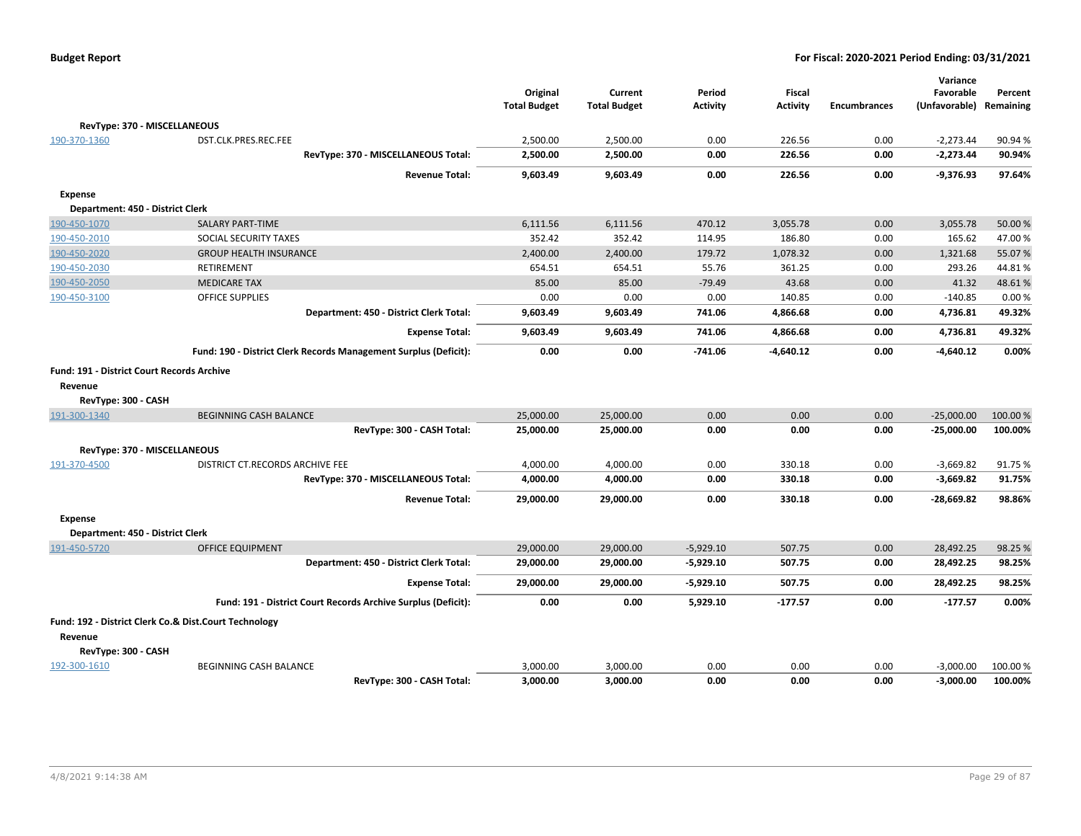|                                                   |                                                                  | Original<br><b>Total Budget</b> | Current<br><b>Total Budget</b> | Period<br>Activity | <b>Fiscal</b><br><b>Activity</b> | <b>Encumbrances</b> | Variance<br>Favorable<br>(Unfavorable) | Percent<br>Remaining |
|---------------------------------------------------|------------------------------------------------------------------|---------------------------------|--------------------------------|--------------------|----------------------------------|---------------------|----------------------------------------|----------------------|
| RevType: 370 - MISCELLANEOUS                      |                                                                  |                                 |                                |                    |                                  |                     |                                        |                      |
| 190-370-1360                                      | DST.CLK.PRES.REC.FEE                                             | 2,500.00                        | 2,500.00                       | 0.00               | 226.56                           | 0.00                | $-2,273.44$                            | 90.94%               |
|                                                   | RevType: 370 - MISCELLANEOUS Total:                              | 2,500.00                        | 2,500.00                       | 0.00               | 226.56                           | 0.00                | $-2,273.44$                            | 90.94%               |
|                                                   | <b>Revenue Total:</b>                                            | 9,603.49                        | 9,603.49                       | 0.00               | 226.56                           | 0.00                | $-9,376.93$                            | 97.64%               |
| <b>Expense</b>                                    |                                                                  |                                 |                                |                    |                                  |                     |                                        |                      |
| Department: 450 - District Clerk                  |                                                                  |                                 |                                |                    |                                  |                     |                                        |                      |
| 190-450-1070                                      | <b>SALARY PART-TIME</b>                                          | 6,111.56                        | 6,111.56                       | 470.12             | 3,055.78                         | 0.00                | 3,055.78                               | 50.00 %              |
| 190-450-2010                                      | SOCIAL SECURITY TAXES                                            | 352.42                          | 352.42                         | 114.95             | 186.80                           | 0.00                | 165.62                                 | 47.00%               |
| 190-450-2020                                      | <b>GROUP HEALTH INSURANCE</b>                                    | 2,400.00                        | 2,400.00                       | 179.72             | 1,078.32                         | 0.00                | 1,321.68                               | 55.07%               |
| 190-450-2030                                      | <b>RETIREMENT</b>                                                | 654.51                          | 654.51                         | 55.76              | 361.25                           | 0.00                | 293.26                                 | 44.81%               |
| 190-450-2050                                      | <b>MEDICARE TAX</b>                                              | 85.00                           | 85.00                          | $-79.49$           | 43.68                            | 0.00                | 41.32                                  | 48.61%               |
| 190-450-3100                                      | <b>OFFICE SUPPLIES</b>                                           | 0.00                            | 0.00                           | 0.00               | 140.85                           | 0.00                | $-140.85$                              | 0.00%                |
|                                                   | Department: 450 - District Clerk Total:                          | 9,603.49                        | 9,603.49                       | 741.06             | 4,866.68                         | 0.00                | 4,736.81                               | 49.32%               |
|                                                   | <b>Expense Total:</b>                                            | 9,603.49                        | 9,603.49                       | 741.06             | 4,866.68                         | 0.00                | 4,736.81                               | 49.32%               |
|                                                   | Fund: 190 - District Clerk Records Management Surplus (Deficit): | 0.00                            | 0.00                           | $-741.06$          | $-4,640.12$                      | 0.00                | $-4,640.12$                            | 0.00%                |
| <b>Fund: 191 - District Court Records Archive</b> |                                                                  |                                 |                                |                    |                                  |                     |                                        |                      |
| Revenue                                           |                                                                  |                                 |                                |                    |                                  |                     |                                        |                      |
| RevType: 300 - CASH                               |                                                                  |                                 |                                |                    |                                  |                     |                                        |                      |
| 191-300-1340                                      | <b>BEGINNING CASH BALANCE</b>                                    | 25,000.00                       | 25,000.00                      | 0.00               | 0.00                             | 0.00                | $-25,000.00$                           | 100.00 %             |
|                                                   | RevType: 300 - CASH Total:                                       | 25,000.00                       | 25,000.00                      | 0.00               | 0.00                             | 0.00                | $-25,000.00$                           | 100.00%              |
| RevType: 370 - MISCELLANEOUS                      |                                                                  |                                 |                                |                    |                                  |                     |                                        |                      |
| 191-370-4500                                      | DISTRICT CT.RECORDS ARCHIVE FEE                                  | 4,000.00                        | 4,000.00                       | 0.00               | 330.18                           | 0.00                | $-3,669.82$                            | 91.75%               |
|                                                   | RevType: 370 - MISCELLANEOUS Total:                              | 4,000.00                        | 4,000.00                       | 0.00               | 330.18                           | 0.00                | $-3,669.82$                            | 91.75%               |
|                                                   | <b>Revenue Total:</b>                                            | 29,000.00                       | 29,000.00                      | 0.00               | 330.18                           | 0.00                | -28,669.82                             | 98.86%               |
|                                                   |                                                                  |                                 |                                |                    |                                  |                     |                                        |                      |
| <b>Expense</b>                                    |                                                                  |                                 |                                |                    |                                  |                     |                                        |                      |
| Department: 450 - District Clerk                  |                                                                  |                                 |                                |                    |                                  |                     |                                        |                      |
| 191-450-5720                                      | <b>OFFICE EQUIPMENT</b>                                          | 29,000.00                       | 29,000.00                      | $-5,929.10$        | 507.75                           | 0.00                | 28,492.25                              | 98.25 %              |
|                                                   | Department: 450 - District Clerk Total:                          | 29,000.00                       | 29,000.00                      | $-5,929.10$        | 507.75                           | 0.00                | 28,492.25                              | 98.25%               |
|                                                   | <b>Expense Total:</b>                                            | 29,000.00                       | 29,000.00                      | $-5,929.10$        | 507.75                           | 0.00                | 28,492.25                              | 98.25%               |
|                                                   | Fund: 191 - District Court Records Archive Surplus (Deficit):    | 0.00                            | 0.00                           | 5,929.10           | $-177.57$                        | 0.00                | $-177.57$                              | 0.00%                |
|                                                   | Fund: 192 - District Clerk Co.& Dist.Court Technology            |                                 |                                |                    |                                  |                     |                                        |                      |
| Revenue                                           |                                                                  |                                 |                                |                    |                                  |                     |                                        |                      |
| RevType: 300 - CASH                               |                                                                  |                                 |                                |                    |                                  |                     |                                        |                      |
| 192-300-1610                                      | <b>BEGINNING CASH BALANCE</b>                                    | 3,000.00                        | 3,000.00                       | 0.00               | 0.00                             | 0.00                | $-3,000.00$                            | 100.00 %             |
|                                                   | RevTvpe: 300 - CASH Total:                                       | 3,000.00                        | 3.000.00                       | 0.00               | 0.00                             | 0.00                | $-3.000.00$                            | 100.00%              |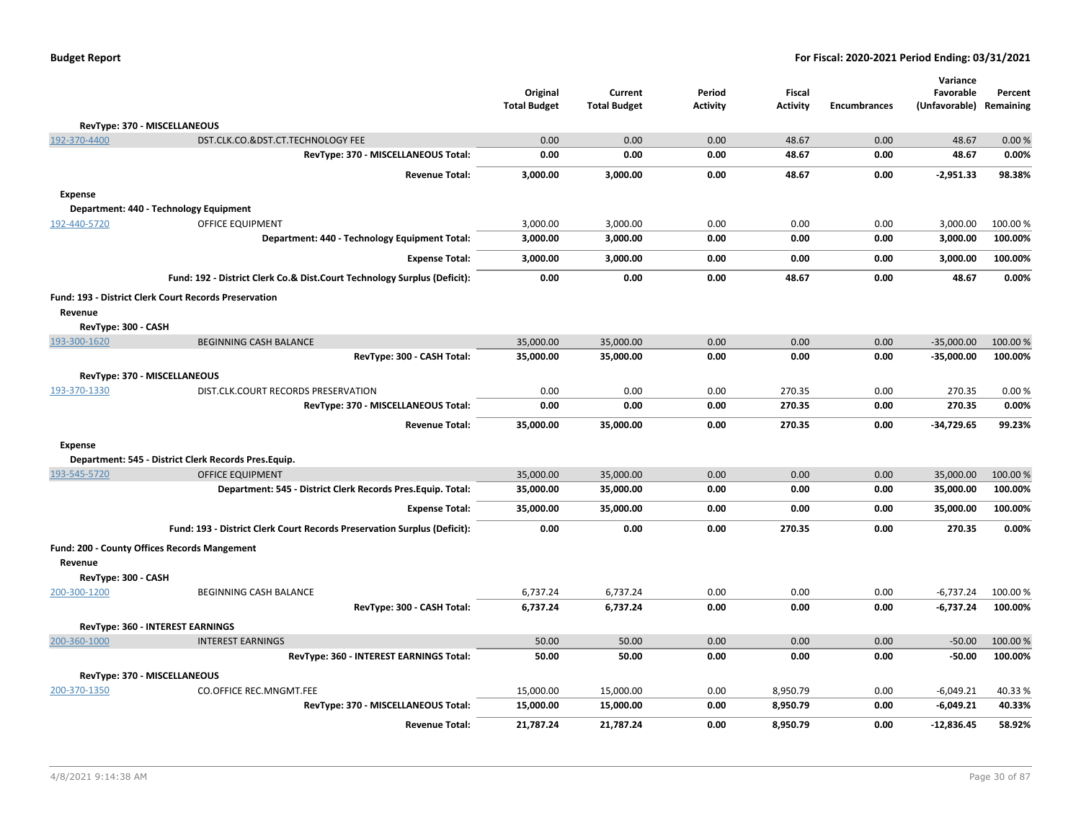|  | <b>Budget Report</b> |
|--|----------------------|
|--|----------------------|

|                     |                                                                          | Original            | Current             | Period          | <b>Fiscal</b>   |                     | Variance<br>Favorable      | Percent   |
|---------------------|--------------------------------------------------------------------------|---------------------|---------------------|-----------------|-----------------|---------------------|----------------------------|-----------|
|                     |                                                                          | <b>Total Budget</b> | <b>Total Budget</b> | <b>Activity</b> | <b>Activity</b> | <b>Encumbrances</b> | (Unfavorable)              | Remaining |
|                     | RevType: 370 - MISCELLANEOUS                                             |                     |                     |                 |                 |                     |                            |           |
| 192-370-4400        | DST.CLK.CO.&DST.CT.TECHNOLOGY FEE                                        | 0.00                | 0.00                | 0.00            | 48.67           | 0.00                | 48.67                      | 0.00%     |
|                     | RevType: 370 - MISCELLANEOUS Total:                                      | 0.00                | 0.00                | 0.00            | 48.67           | 0.00                | 48.67                      | 0.00%     |
|                     | <b>Revenue Total:</b>                                                    | 3,000.00            | 3,000.00            | 0.00            | 48.67           | 0.00                | $-2,951.33$                | 98.38%    |
| <b>Expense</b>      |                                                                          |                     |                     |                 |                 |                     |                            |           |
|                     | Department: 440 - Technology Equipment                                   |                     |                     |                 |                 |                     |                            |           |
| 192-440-5720        | OFFICE EQUIPMENT                                                         | 3,000.00            | 3,000.00            | 0.00            | 0.00            | 0.00                | 3,000.00                   | 100.00%   |
|                     | Department: 440 - Technology Equipment Total:                            | 3,000.00            | 3,000.00            | 0.00            | 0.00            | 0.00                | 3,000.00                   | 100.00%   |
|                     | <b>Expense Total:</b>                                                    | 3,000.00            | 3,000.00            | 0.00            | 0.00            | 0.00                | 3,000.00                   | 100.00%   |
|                     | Fund: 192 - District Clerk Co.& Dist.Court Technology Surplus (Deficit): | 0.00                | 0.00                | 0.00            | 48.67           | 0.00                | 48.67                      | 0.00%     |
|                     | <b>Fund: 193 - District Clerk Court Records Preservation</b>             |                     |                     |                 |                 |                     |                            |           |
| Revenue             |                                                                          |                     |                     |                 |                 |                     |                            |           |
| RevType: 300 - CASH |                                                                          |                     |                     |                 |                 |                     |                            |           |
| 193-300-1620        | <b>BEGINNING CASH BALANCE</b>                                            | 35,000.00           | 35,000.00           | 0.00            | 0.00            | 0.00                | $-35,000.00$               | 100.00%   |
|                     | RevType: 300 - CASH Total:                                               | 35,000.00           | 35,000.00           | 0.00            | 0.00            | 0.00                | $-35,000.00$               | 100.00%   |
|                     | RevType: 370 - MISCELLANEOUS                                             |                     |                     |                 |                 |                     |                            |           |
| 193-370-1330        | DIST.CLK.COURT RECORDS PRESERVATION                                      | 0.00                | 0.00                | 0.00            | 270.35          | 0.00                | 270.35                     | 0.00%     |
|                     | RevType: 370 - MISCELLANEOUS Total:                                      | 0.00                | 0.00                | 0.00            | 270.35          | 0.00                | 270.35                     | 0.00%     |
|                     | <b>Revenue Total:</b>                                                    | 35,000.00           | 35,000.00           | 0.00            | 270.35          | 0.00                | $-34,729.65$               | 99.23%    |
| <b>Expense</b>      |                                                                          |                     |                     |                 |                 |                     |                            |           |
|                     | Department: 545 - District Clerk Records Pres.Equip.                     |                     |                     |                 |                 |                     |                            |           |
| 193-545-5720        | <b>OFFICE EQUIPMENT</b>                                                  | 35,000.00           | 35,000.00           | 0.00            | 0.00            | 0.00                | 35,000.00                  | 100.00 %  |
|                     | Department: 545 - District Clerk Records Pres. Equip. Total:             | 35,000.00           | 35,000.00           | 0.00            | 0.00            | 0.00                | 35,000.00                  | 100.00%   |
|                     | <b>Expense Total:</b>                                                    | 35,000.00           | 35,000.00           | 0.00            | 0.00            | 0.00                | 35,000.00                  | 100.00%   |
|                     | Fund: 193 - District Clerk Court Records Preservation Surplus (Deficit): | 0.00                | 0.00                | 0.00            | 270.35          | 0.00                | 270.35                     | 0.00%     |
|                     | Fund: 200 - County Offices Records Mangement                             |                     |                     |                 |                 |                     |                            |           |
| Revenue             |                                                                          |                     |                     |                 |                 |                     |                            |           |
| RevType: 300 - CASH |                                                                          | 6,737.24            | 6,737.24            | 0.00            | 0.00            | 0.00                |                            | 100.00 %  |
| 200-300-1200        | <b>BEGINNING CASH BALANCE</b><br>RevType: 300 - CASH Total:              | 6,737.24            | 6,737.24            | 0.00            | 0.00            | 0.00                | $-6,737.24$<br>$-6,737.24$ | 100.00%   |
|                     |                                                                          |                     |                     |                 |                 |                     |                            |           |
|                     | RevType: 360 - INTEREST EARNINGS                                         |                     |                     |                 |                 |                     |                            |           |
| 200-360-1000        | <b>INTEREST EARNINGS</b>                                                 | 50.00               | 50.00               | 0.00            | 0.00            | 0.00                | $-50.00$                   | 100.00 %  |
|                     | RevType: 360 - INTEREST EARNINGS Total:                                  | 50.00               | 50.00               | 0.00            | 0.00            | 0.00                | $-50.00$                   | 100.00%   |
|                     | RevType: 370 - MISCELLANEOUS                                             |                     |                     |                 |                 |                     |                            |           |
| 200-370-1350        | <b>CO.OFFICE REC.MNGMT.FEE</b>                                           | 15,000.00           | 15,000.00           | 0.00            | 8,950.79        | 0.00                | $-6,049.21$                | 40.33%    |
|                     | RevType: 370 - MISCELLANEOUS Total:                                      | 15,000.00           | 15,000.00           | 0.00            | 8,950.79        | 0.00                | $-6,049.21$                | 40.33%    |
|                     | <b>Revenue Total:</b>                                                    | 21,787.24           | 21,787.24           | 0.00            | 8,950.79        | 0.00                | $-12.836.45$               | 58.92%    |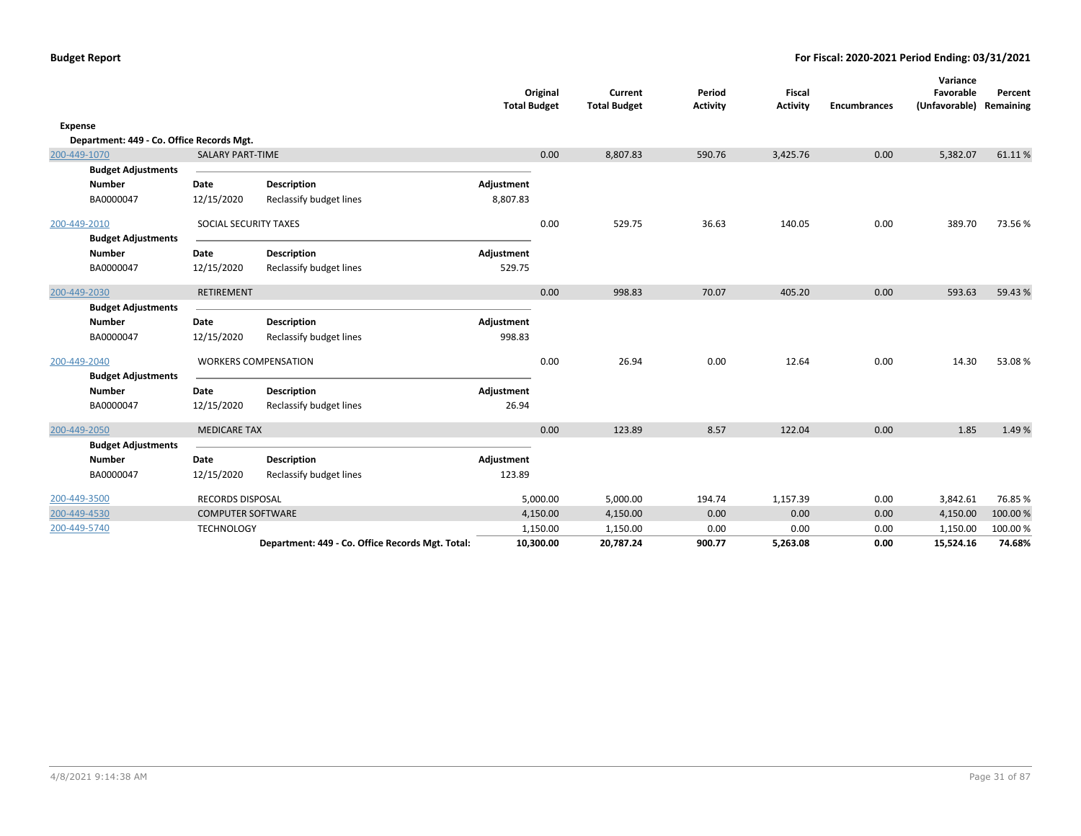|         |                                           |                          |                                                  | <b>Total Budget</b> | Original  | Current<br><b>Total Budget</b> | Period<br><b>Activity</b> | Fiscal<br><b>Activity</b> | <b>Encumbrances</b> | Variance<br>Favorable<br>(Unfavorable) Remaining | Percent  |
|---------|-------------------------------------------|--------------------------|--------------------------------------------------|---------------------|-----------|--------------------------------|---------------------------|---------------------------|---------------------|--------------------------------------------------|----------|
| Expense |                                           |                          |                                                  |                     |           |                                |                           |                           |                     |                                                  |          |
|         | Department: 449 - Co. Office Records Mgt. |                          |                                                  |                     |           |                                |                           |                           |                     |                                                  |          |
|         | 200-449-1070                              | <b>SALARY PART-TIME</b>  |                                                  |                     | 0.00      | 8,807.83                       | 590.76                    | 3,425.76                  | 0.00                | 5,382.07                                         | 61.11%   |
|         | <b>Budget Adjustments</b>                 |                          |                                                  |                     |           |                                |                           |                           |                     |                                                  |          |
|         | <b>Number</b>                             | Date                     | <b>Description</b>                               | Adjustment          |           |                                |                           |                           |                     |                                                  |          |
|         | BA0000047                                 | 12/15/2020               | Reclassify budget lines                          | 8,807.83            |           |                                |                           |                           |                     |                                                  |          |
|         | 200-449-2010                              | SOCIAL SECURITY TAXES    |                                                  |                     | 0.00      | 529.75                         | 36.63                     | 140.05                    | 0.00                | 389.70                                           | 73.56%   |
|         | <b>Budget Adjustments</b>                 |                          |                                                  |                     |           |                                |                           |                           |                     |                                                  |          |
|         | <b>Number</b>                             | Date                     | <b>Description</b>                               | Adjustment          |           |                                |                           |                           |                     |                                                  |          |
|         | BA0000047                                 | 12/15/2020               | Reclassify budget lines                          | 529.75              |           |                                |                           |                           |                     |                                                  |          |
|         | 200-449-2030                              | RETIREMENT               |                                                  |                     | 0.00      | 998.83                         | 70.07                     | 405.20                    | 0.00                | 593.63                                           | 59.43 %  |
|         | <b>Budget Adjustments</b>                 |                          |                                                  |                     |           |                                |                           |                           |                     |                                                  |          |
|         | Number                                    | Date                     | <b>Description</b>                               | Adjustment          |           |                                |                           |                           |                     |                                                  |          |
|         | BA0000047                                 | 12/15/2020               | Reclassify budget lines                          | 998.83              |           |                                |                           |                           |                     |                                                  |          |
|         | 200-449-2040                              |                          | <b>WORKERS COMPENSATION</b>                      |                     | 0.00      | 26.94                          | 0.00                      | 12.64                     | 0.00                | 14.30                                            | 53.08%   |
|         | <b>Budget Adjustments</b>                 |                          |                                                  |                     |           |                                |                           |                           |                     |                                                  |          |
|         | <b>Number</b>                             | Date                     | <b>Description</b>                               | Adjustment          |           |                                |                           |                           |                     |                                                  |          |
|         | BA0000047                                 | 12/15/2020               | Reclassify budget lines                          | 26.94               |           |                                |                           |                           |                     |                                                  |          |
|         | 200-449-2050                              | <b>MEDICARE TAX</b>      |                                                  |                     | 0.00      | 123.89                         | 8.57                      | 122.04                    | 0.00                | 1.85                                             | 1.49%    |
|         | <b>Budget Adjustments</b>                 |                          |                                                  |                     |           |                                |                           |                           |                     |                                                  |          |
|         | <b>Number</b>                             | Date                     | <b>Description</b>                               | Adjustment          |           |                                |                           |                           |                     |                                                  |          |
|         | BA0000047                                 | 12/15/2020               | Reclassify budget lines                          | 123.89              |           |                                |                           |                           |                     |                                                  |          |
|         | 200-449-3500                              | <b>RECORDS DISPOSAL</b>  |                                                  |                     | 5,000.00  | 5,000.00                       | 194.74                    | 1,157.39                  | 0.00                | 3,842.61                                         | 76.85%   |
|         | 200-449-4530                              | <b>COMPUTER SOFTWARE</b> |                                                  |                     | 4,150.00  | 4,150.00                       | 0.00                      | 0.00                      | 0.00                | 4,150.00                                         | 100.00 % |
|         | 200-449-5740                              | <b>TECHNOLOGY</b>        |                                                  |                     | 1,150.00  | 1,150.00                       | 0.00                      | 0.00                      | 0.00                | 1,150.00                                         | 100.00%  |
|         |                                           |                          | Department: 449 - Co. Office Records Mgt. Total: |                     | 10,300.00 | 20,787.24                      | 900.77                    | 5,263.08                  | 0.00                | 15,524.16                                        | 74.68%   |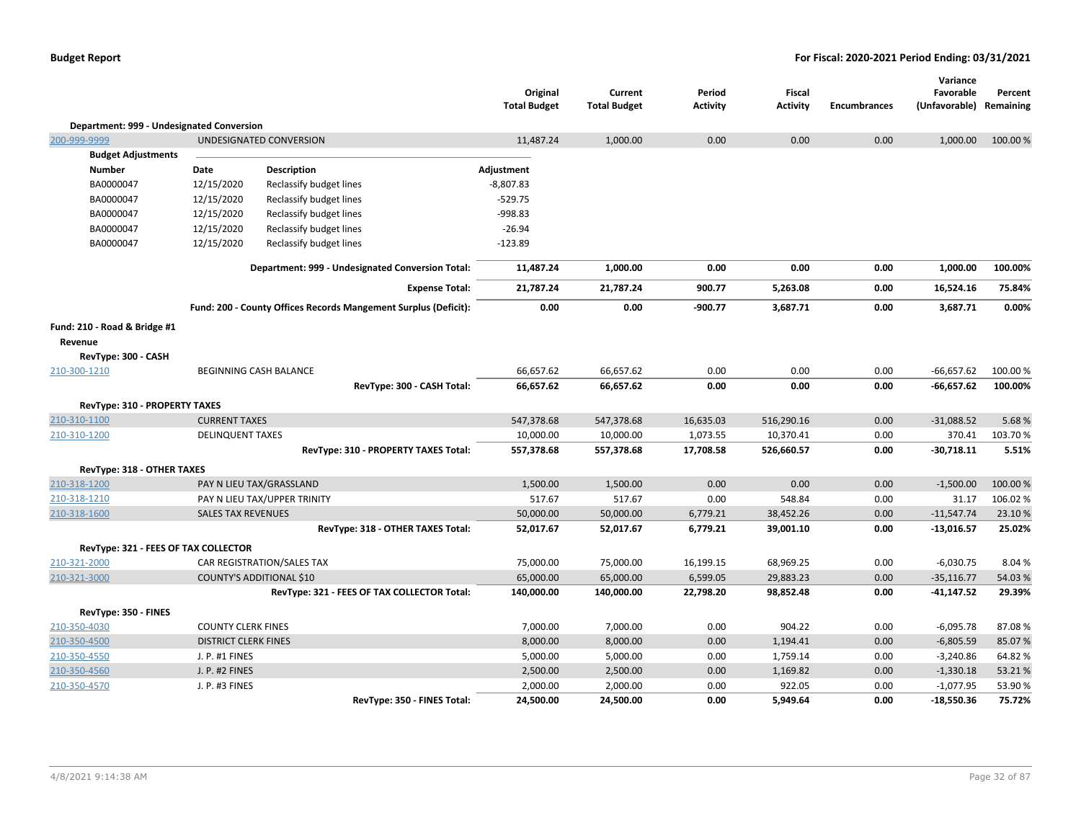|                                           |                             |                                                                 | Original<br><b>Total Budget</b> | Current<br><b>Total Budget</b> | Period<br><b>Activity</b> | Fiscal<br><b>Activity</b> | <b>Encumbrances</b> | Variance<br>Favorable<br>(Unfavorable) | Percent<br>Remaining |
|-------------------------------------------|-----------------------------|-----------------------------------------------------------------|---------------------------------|--------------------------------|---------------------------|---------------------------|---------------------|----------------------------------------|----------------------|
| Department: 999 - Undesignated Conversion |                             |                                                                 |                                 |                                |                           |                           |                     |                                        |                      |
| 200-999-9999                              |                             | UNDESIGNATED CONVERSION                                         | 11,487.24                       | 1,000.00                       | 0.00                      | 0.00                      | 0.00                | 1,000.00                               | 100.00 %             |
| <b>Budget Adjustments</b>                 |                             |                                                                 |                                 |                                |                           |                           |                     |                                        |                      |
| <b>Number</b>                             | Date                        | <b>Description</b>                                              | Adjustment                      |                                |                           |                           |                     |                                        |                      |
| BA0000047                                 | 12/15/2020                  | Reclassify budget lines                                         | $-8,807.83$                     |                                |                           |                           |                     |                                        |                      |
| BA0000047                                 | 12/15/2020                  | Reclassify budget lines                                         | $-529.75$                       |                                |                           |                           |                     |                                        |                      |
| BA0000047                                 | 12/15/2020                  | Reclassify budget lines                                         | -998.83                         |                                |                           |                           |                     |                                        |                      |
| BA0000047                                 | 12/15/2020                  | Reclassify budget lines                                         | $-26.94$                        |                                |                           |                           |                     |                                        |                      |
| BA0000047                                 | 12/15/2020                  | Reclassify budget lines                                         | $-123.89$                       |                                |                           |                           |                     |                                        |                      |
|                                           |                             | Department: 999 - Undesignated Conversion Total:                | 11,487.24                       | 1,000.00                       | 0.00                      | 0.00                      | 0.00                | 1,000.00                               | 100.00%              |
|                                           |                             | <b>Expense Total:</b>                                           | 21,787.24                       | 21,787.24                      | 900.77                    | 5,263.08                  | 0.00                | 16,524.16                              | 75.84%               |
|                                           |                             | Fund: 200 - County Offices Records Mangement Surplus (Deficit): | 0.00                            | 0.00                           | $-900.77$                 | 3,687.71                  | 0.00                | 3,687.71                               | 0.00%                |
| Fund: 210 - Road & Bridge #1              |                             |                                                                 |                                 |                                |                           |                           |                     |                                        |                      |
| Revenue                                   |                             |                                                                 |                                 |                                |                           |                           |                     |                                        |                      |
| RevType: 300 - CASH                       |                             |                                                                 |                                 |                                |                           |                           |                     |                                        |                      |
| 210-300-1210                              |                             | BEGINNING CASH BALANCE                                          | 66,657.62                       | 66,657.62                      | 0.00                      | 0.00                      | 0.00                | $-66,657.62$                           | 100.00 %             |
|                                           |                             | RevType: 300 - CASH Total:                                      | 66,657.62                       | 66,657.62                      | 0.00                      | 0.00                      | 0.00                | $-66,657.62$                           | 100.00%              |
| <b>RevType: 310 - PROPERTY TAXES</b>      |                             |                                                                 |                                 |                                |                           |                           |                     |                                        |                      |
| 210-310-1100                              | <b>CURRENT TAXES</b>        |                                                                 | 547,378.68                      | 547,378.68                     | 16,635.03                 | 516,290.16                | 0.00                | $-31,088.52$                           | 5.68%                |
| 210-310-1200                              | <b>DELINQUENT TAXES</b>     |                                                                 | 10,000.00                       | 10,000.00                      | 1,073.55                  | 10,370.41                 | 0.00                | 370.41                                 | 103.70%              |
|                                           |                             | RevType: 310 - PROPERTY TAXES Total:                            | 557,378.68                      | 557,378.68                     | 17,708.58                 | 526,660.57                | 0.00                | $-30,718.11$                           | 5.51%                |
| RevType: 318 - OTHER TAXES                |                             |                                                                 |                                 |                                |                           |                           |                     |                                        |                      |
| 210-318-1200                              |                             | PAY N LIEU TAX/GRASSLAND                                        | 1,500.00                        | 1,500.00                       | 0.00                      | 0.00                      | 0.00                | $-1,500.00$                            | 100.00 %             |
| 210-318-1210                              |                             | PAY N LIEU TAX/UPPER TRINITY                                    | 517.67                          | 517.67                         | 0.00                      | 548.84                    | 0.00                | 31.17                                  | 106.02%              |
| 210-318-1600                              | <b>SALES TAX REVENUES</b>   |                                                                 | 50,000.00                       | 50,000.00                      | 6,779.21                  | 38,452.26                 | 0.00                | $-11,547.74$                           | 23.10%               |
|                                           |                             | RevType: 318 - OTHER TAXES Total:                               | 52,017.67                       | 52,017.67                      | 6,779.21                  | 39,001.10                 | 0.00                | $-13,016.57$                           | 25.02%               |
| RevType: 321 - FEES OF TAX COLLECTOR      |                             |                                                                 |                                 |                                |                           |                           |                     |                                        |                      |
| 210-321-2000                              |                             | CAR REGISTRATION/SALES TAX                                      | 75,000.00                       | 75,000.00                      | 16,199.15                 | 68,969.25                 | 0.00                | $-6,030.75$                            | 8.04%                |
| 210-321-3000                              |                             | <b>COUNTY'S ADDITIONAL \$10</b>                                 | 65,000.00                       | 65,000.00                      | 6,599.05                  | 29,883.23                 | 0.00                | $-35,116.77$                           | 54.03%               |
|                                           |                             | RevType: 321 - FEES OF TAX COLLECTOR Total:                     | 140,000.00                      | 140,000.00                     | 22,798.20                 | 98,852.48                 | 0.00                | $-41,147.52$                           | 29.39%               |
| RevType: 350 - FINES                      |                             |                                                                 |                                 |                                |                           |                           |                     |                                        |                      |
| 210-350-4030                              | <b>COUNTY CLERK FINES</b>   |                                                                 | 7,000.00                        | 7,000.00                       | 0.00                      | 904.22                    | 0.00                | $-6,095.78$                            | 87.08%               |
| 210-350-4500                              | <b>DISTRICT CLERK FINES</b> |                                                                 | 8,000.00                        | 8,000.00                       | 0.00                      | 1,194.41                  | 0.00                | $-6,805.59$                            | 85.07%               |
| 210-350-4550                              | J. P. #1 FINES              |                                                                 | 5,000.00                        | 5,000.00                       | 0.00                      | 1,759.14                  | 0.00                | $-3,240.86$                            | 64.82%               |
| 210-350-4560                              | J. P. #2 FINES              |                                                                 | 2,500.00                        | 2,500.00                       | 0.00                      | 1,169.82                  | 0.00                | $-1,330.18$                            | 53.21%               |
| 210-350-4570                              | J. P. #3 FINES              |                                                                 | 2,000.00                        | 2,000.00                       | 0.00                      | 922.05                    | 0.00                | $-1,077.95$                            | 53.90 %              |
|                                           |                             | RevType: 350 - FINES Total:                                     | 24,500.00                       | 24,500.00                      | 0.00                      | 5,949.64                  | 0.00                | $-18,550.36$                           | 75.72%               |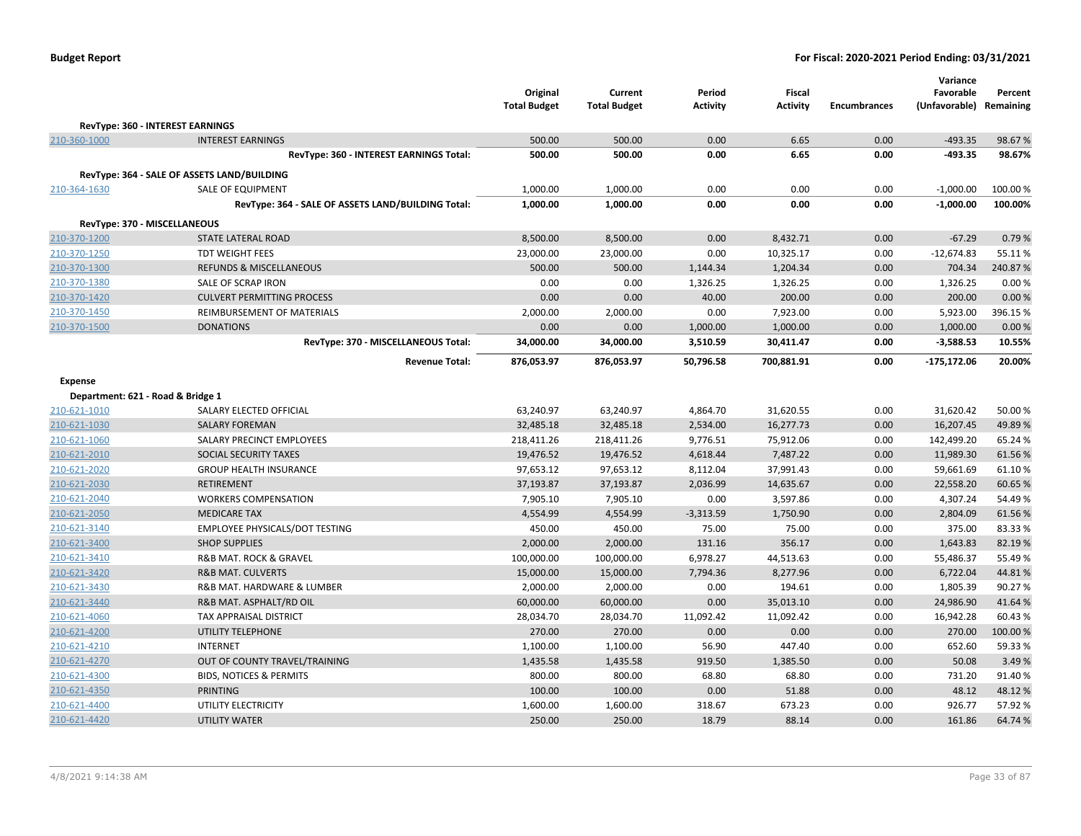|                                              |                                                           | Original<br><b>Total Budget</b> | Current<br><b>Total Budget</b> | Period<br><b>Activity</b> | <b>Fiscal</b><br><b>Activity</b> | <b>Encumbrances</b> | Variance<br>Favorable<br>(Unfavorable) | Percent<br>Remaining |
|----------------------------------------------|-----------------------------------------------------------|---------------------------------|--------------------------------|---------------------------|----------------------------------|---------------------|----------------------------------------|----------------------|
|                                              | RevType: 360 - INTEREST EARNINGS                          |                                 |                                |                           |                                  |                     |                                        |                      |
| 210-360-1000                                 | <b>INTEREST EARNINGS</b>                                  | 500.00                          | 500.00                         | 0.00                      | 6.65                             | 0.00                | $-493.35$                              | 98.67%               |
|                                              | RevType: 360 - INTEREST EARNINGS Total:                   | 500.00                          | 500.00                         | 0.00                      | 6.65                             | 0.00                | $-493.35$                              | 98.67%               |
|                                              | RevType: 364 - SALE OF ASSETS LAND/BUILDING               |                                 |                                |                           |                                  |                     |                                        |                      |
| 210-364-1630                                 | SALE OF EQUIPMENT                                         | 1,000.00                        | 1,000.00                       | 0.00                      | 0.00                             | 0.00                | $-1,000.00$                            | 100.00%              |
|                                              | RevType: 364 - SALE OF ASSETS LAND/BUILDING Total:        | 1,000.00                        | 1,000.00                       | 0.00                      | 0.00                             | 0.00                | $-1,000.00$                            | 100.00%              |
|                                              |                                                           |                                 |                                |                           |                                  |                     |                                        |                      |
| 210-370-1200                                 | RevType: 370 - MISCELLANEOUS<br><b>STATE LATERAL ROAD</b> | 8,500.00                        | 8,500.00                       | 0.00                      | 8,432.71                         | 0.00                | $-67.29$                               | 0.79%                |
| 210-370-1250                                 | <b>TDT WEIGHT FEES</b>                                    | 23,000.00                       | 23,000.00                      | 0.00                      | 10,325.17                        | 0.00                | $-12,674.83$                           | 55.11%               |
| 210-370-1300                                 | REFUNDS & MISCELLANEOUS                                   | 500.00                          | 500.00                         | 1,144.34                  | 1,204.34                         | 0.00                | 704.34                                 | 240.87%              |
| 210-370-1380                                 | SALE OF SCRAP IRON                                        | 0.00                            | 0.00                           | 1,326.25                  | 1,326.25                         | 0.00                | 1,326.25                               | 0.00%                |
| 210-370-1420                                 | <b>CULVERT PERMITTING PROCESS</b>                         | 0.00                            | 0.00                           | 40.00                     | 200.00                           | 0.00                | 200.00                                 | 0.00%                |
| 210-370-1450                                 | REIMBURSEMENT OF MATERIALS                                | 2,000.00                        | 2,000.00                       | 0.00                      | 7,923.00                         | 0.00                | 5,923.00                               | 396.15%              |
| 210-370-1500                                 | <b>DONATIONS</b>                                          | 0.00                            | 0.00                           | 1,000.00                  | 1,000.00                         | 0.00                | 1,000.00                               | 0.00 %               |
|                                              | RevType: 370 - MISCELLANEOUS Total:                       | 34,000.00                       | 34,000.00                      | 3,510.59                  | 30,411.47                        | 0.00                | $-3,588.53$                            | 10.55%               |
|                                              | <b>Revenue Total:</b>                                     | 876,053.97                      | 876,053.97                     | 50,796.58                 | 700,881.91                       | 0.00                | $-175,172.06$                          | 20.00%               |
|                                              |                                                           |                                 |                                |                           |                                  |                     |                                        |                      |
| Expense<br>Department: 621 - Road & Bridge 1 |                                                           |                                 |                                |                           |                                  |                     |                                        |                      |
| 210-621-1010                                 | SALARY ELECTED OFFICIAL                                   | 63,240.97                       | 63,240.97                      | 4,864.70                  | 31,620.55                        | 0.00                | 31,620.42                              | 50.00 %              |
| 210-621-1030                                 | <b>SALARY FOREMAN</b>                                     | 32,485.18                       | 32,485.18                      | 2,534.00                  | 16,277.73                        | 0.00                | 16,207.45                              | 49.89%               |
| 210-621-1060                                 | SALARY PRECINCT EMPLOYEES                                 | 218,411.26                      | 218,411.26                     | 9,776.51                  | 75,912.06                        | 0.00                | 142,499.20                             | 65.24 %              |
| 210-621-2010                                 | SOCIAL SECURITY TAXES                                     | 19,476.52                       | 19,476.52                      | 4,618.44                  | 7,487.22                         | 0.00                | 11,989.30                              | 61.56%               |
| 210-621-2020                                 | <b>GROUP HEALTH INSURANCE</b>                             | 97,653.12                       | 97,653.12                      | 8,112.04                  | 37,991.43                        | 0.00                | 59,661.69                              | 61.10%               |
| 210-621-2030                                 | RETIREMENT                                                | 37,193.87                       | 37,193.87                      | 2,036.99                  | 14,635.67                        | 0.00                | 22,558.20                              | 60.65%               |
| 210-621-2040                                 | <b>WORKERS COMPENSATION</b>                               | 7,905.10                        | 7,905.10                       | 0.00                      | 3,597.86                         | 0.00                | 4,307.24                               | 54.49%               |
| 210-621-2050                                 | <b>MEDICARE TAX</b>                                       | 4,554.99                        | 4,554.99                       | $-3,313.59$               | 1,750.90                         | 0.00                | 2,804.09                               | 61.56%               |
| 210-621-3140                                 | EMPLOYEE PHYSICALS/DOT TESTING                            | 450.00                          | 450.00                         | 75.00                     | 75.00                            | 0.00                | 375.00                                 | 83.33%               |
| 210-621-3400                                 | <b>SHOP SUPPLIES</b>                                      | 2,000.00                        | 2,000.00                       | 131.16                    | 356.17                           | 0.00                | 1,643.83                               | 82.19%               |
| 210-621-3410                                 | <b>R&amp;B MAT. ROCK &amp; GRAVEL</b>                     | 100,000.00                      | 100,000.00                     | 6,978.27                  | 44,513.63                        | 0.00                | 55,486.37                              | 55.49 %              |
| 210-621-3420                                 | <b>R&amp;B MAT. CULVERTS</b>                              | 15,000.00                       | 15,000.00                      | 7,794.36                  | 8,277.96                         | 0.00                | 6,722.04                               | 44.81%               |
| 210-621-3430                                 | R&B MAT. HARDWARE & LUMBER                                | 2,000.00                        | 2,000.00                       | 0.00                      | 194.61                           | 0.00                | 1,805.39                               | 90.27%               |
| 210-621-3440                                 | R&B MAT. ASPHALT/RD OIL                                   | 60,000.00                       | 60,000.00                      | 0.00                      | 35,013.10                        | 0.00                | 24,986.90                              | 41.64%               |
| 210-621-4060                                 | TAX APPRAISAL DISTRICT                                    | 28,034.70                       | 28,034.70                      | 11,092.42                 | 11,092.42                        | 0.00                | 16,942.28                              | 60.43 %              |
| 210-621-4200                                 | <b>UTILITY TELEPHONE</b>                                  | 270.00                          | 270.00                         | 0.00                      | 0.00                             | 0.00                | 270.00                                 | 100.00%              |
| 210-621-4210                                 | <b>INTERNET</b>                                           | 1,100.00                        | 1,100.00                       | 56.90                     | 447.40                           | 0.00                | 652.60                                 | 59.33 %              |
| 210-621-4270                                 | OUT OF COUNTY TRAVEL/TRAINING                             | 1,435.58                        | 1,435.58                       | 919.50                    | 1,385.50                         | 0.00                | 50.08                                  | 3.49%                |
| 210-621-4300                                 | <b>BIDS, NOTICES &amp; PERMITS</b>                        | 800.00                          | 800.00                         | 68.80                     | 68.80                            | 0.00                | 731.20                                 | 91.40%               |
| 210-621-4350                                 | <b>PRINTING</b>                                           | 100.00                          | 100.00                         | 0.00                      | 51.88                            | 0.00                | 48.12                                  | 48.12%               |
| 210-621-4400                                 | UTILITY ELECTRICITY                                       | 1,600.00                        | 1,600.00                       | 318.67                    | 673.23                           | 0.00                | 926.77                                 | 57.92%               |
| 210-621-4420                                 | <b>UTILITY WATER</b>                                      | 250.00                          | 250.00                         | 18.79                     | 88.14                            | 0.00                | 161.86                                 | 64.74 %              |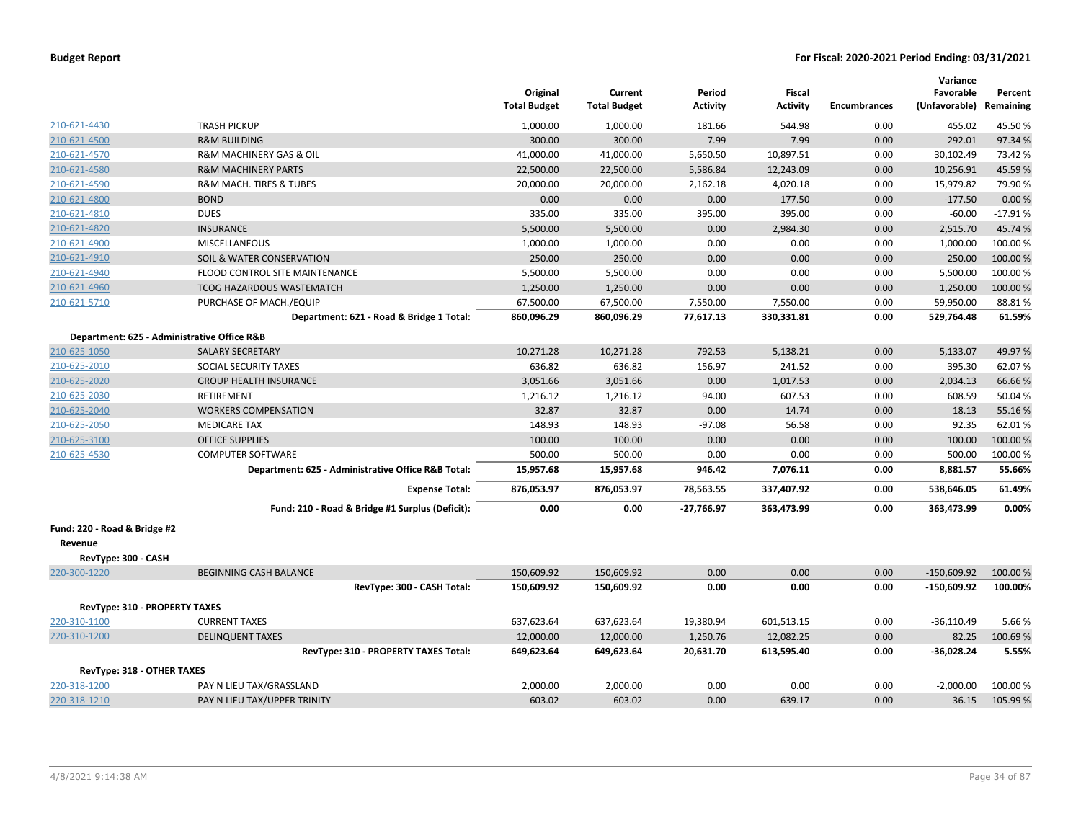| <b>Budget Report</b> |  |  |  |  |
|----------------------|--|--|--|--|
|----------------------|--|--|--|--|

|                                             |                                                    | Original<br><b>Total Budget</b> | Current<br><b>Total Budget</b> | Period<br><b>Activity</b> | Fiscal<br><b>Activity</b> | <b>Encumbrances</b> | Variance<br>Favorable<br>(Unfavorable) Remaining | Percent   |
|---------------------------------------------|----------------------------------------------------|---------------------------------|--------------------------------|---------------------------|---------------------------|---------------------|--------------------------------------------------|-----------|
| 210-621-4430                                | <b>TRASH PICKUP</b>                                | 1,000.00                        | 1,000.00                       | 181.66                    | 544.98                    | 0.00                | 455.02                                           | 45.50%    |
| 210-621-4500                                | <b>R&amp;M BUILDING</b>                            | 300.00                          | 300.00                         | 7.99                      | 7.99                      | 0.00                | 292.01                                           | 97.34%    |
| 210-621-4570                                | <b>R&amp;M MACHINERY GAS &amp; OIL</b>             | 41,000.00                       | 41,000.00                      | 5,650.50                  | 10,897.51                 | 0.00                | 30,102.49                                        | 73.42 %   |
| 210-621-4580                                | <b>R&amp;M MACHINERY PARTS</b>                     | 22,500.00                       | 22,500.00                      | 5,586.84                  | 12,243.09                 | 0.00                | 10,256.91                                        | 45.59%    |
| 210-621-4590                                | R&M MACH. TIRES & TUBES                            | 20,000.00                       | 20,000.00                      | 2,162.18                  | 4,020.18                  | 0.00                | 15,979.82                                        | 79.90%    |
| 210-621-4800                                | <b>BOND</b>                                        | 0.00                            | 0.00                           | 0.00                      | 177.50                    | 0.00                | $-177.50$                                        | 0.00%     |
| 210-621-4810                                | <b>DUES</b>                                        | 335.00                          | 335.00                         | 395.00                    | 395.00                    | 0.00                | $-60.00$                                         | $-17.91%$ |
| 210-621-4820                                | <b>INSURANCE</b>                                   | 5,500.00                        | 5,500.00                       | 0.00                      | 2,984.30                  | 0.00                | 2,515.70                                         | 45.74%    |
| 210-621-4900                                | MISCELLANEOUS                                      | 1,000.00                        | 1,000.00                       | 0.00                      | 0.00                      | 0.00                | 1,000.00                                         | 100.00%   |
| 210-621-4910                                | SOIL & WATER CONSERVATION                          | 250.00                          | 250.00                         | 0.00                      | 0.00                      | 0.00                | 250.00                                           | 100.00 %  |
| 210-621-4940                                | FLOOD CONTROL SITE MAINTENANCE                     | 5,500.00                        | 5,500.00                       | 0.00                      | 0.00                      | 0.00                | 5,500.00                                         | 100.00%   |
| 210-621-4960                                | <b>TCOG HAZARDOUS WASTEMATCH</b>                   | 1,250.00                        | 1,250.00                       | 0.00                      | 0.00                      | 0.00                | 1,250.00                                         | 100.00%   |
| 210-621-5710                                | PURCHASE OF MACH./EQUIP                            | 67,500.00                       | 67,500.00                      | 7,550.00                  | 7,550.00                  | 0.00                | 59,950.00                                        | 88.81%    |
|                                             | Department: 621 - Road & Bridge 1 Total:           | 860,096.29                      | 860,096.29                     | 77,617.13                 | 330,331.81                | 0.00                | 529,764.48                                       | 61.59%    |
| Department: 625 - Administrative Office R&B |                                                    |                                 |                                |                           |                           |                     |                                                  |           |
| 210-625-1050                                | <b>SALARY SECRETARY</b>                            | 10,271.28                       | 10,271.28                      | 792.53                    | 5,138.21                  | 0.00                | 5,133.07                                         | 49.97%    |
| 210-625-2010                                | SOCIAL SECURITY TAXES                              | 636.82                          | 636.82                         | 156.97                    | 241.52                    | 0.00                | 395.30                                           | 62.07%    |
| 210-625-2020                                | <b>GROUP HEALTH INSURANCE</b>                      | 3,051.66                        | 3,051.66                       | 0.00                      | 1,017.53                  | 0.00                | 2,034.13                                         | 66.66%    |
| 210-625-2030                                | <b>RETIREMENT</b>                                  | 1,216.12                        | 1,216.12                       | 94.00                     | 607.53                    | 0.00                | 608.59                                           | 50.04%    |
| 210-625-2040                                | <b>WORKERS COMPENSATION</b>                        | 32.87                           | 32.87                          | 0.00                      | 14.74                     | 0.00                | 18.13                                            | 55.16%    |
| 210-625-2050                                | <b>MEDICARE TAX</b>                                | 148.93                          | 148.93                         | $-97.08$                  | 56.58                     | 0.00                | 92.35                                            | 62.01%    |
| 210-625-3100                                | <b>OFFICE SUPPLIES</b>                             | 100.00                          | 100.00                         | 0.00                      | 0.00                      | 0.00                | 100.00                                           | 100.00%   |
| 210-625-4530                                | <b>COMPUTER SOFTWARE</b>                           | 500.00                          | 500.00                         | 0.00                      | 0.00                      | 0.00                | 500.00                                           | 100.00%   |
|                                             | Department: 625 - Administrative Office R&B Total: | 15,957.68                       | 15,957.68                      | 946.42                    | 7,076.11                  | 0.00                | 8,881.57                                         | 55.66%    |
|                                             | <b>Expense Total:</b>                              | 876,053.97                      | 876,053.97                     | 78,563.55                 | 337,407.92                | 0.00                | 538,646.05                                       | 61.49%    |
|                                             | Fund: 210 - Road & Bridge #1 Surplus (Deficit):    | 0.00                            | 0.00                           | $-27,766.97$              | 363,473.99                | 0.00                | 363,473.99                                       | 0.00%     |
| Fund: 220 - Road & Bridge #2                |                                                    |                                 |                                |                           |                           |                     |                                                  |           |
| Revenue                                     |                                                    |                                 |                                |                           |                           |                     |                                                  |           |
| RevType: 300 - CASH                         |                                                    |                                 |                                |                           |                           |                     |                                                  |           |
| 220-300-1220                                | <b>BEGINNING CASH BALANCE</b>                      | 150,609.92                      | 150,609.92                     | 0.00                      | 0.00                      | 0.00                | $-150,609.92$                                    | 100.00%   |
|                                             | RevType: 300 - CASH Total:                         | 150,609.92                      | 150,609.92                     | 0.00                      | 0.00                      | 0.00                | $-150,609.92$                                    | 100.00%   |
| RevType: 310 - PROPERTY TAXES               |                                                    |                                 |                                |                           |                           |                     |                                                  |           |
| 220-310-1100                                | <b>CURRENT TAXES</b>                               | 637,623.64                      | 637,623.64                     | 19,380.94                 | 601,513.15                | 0.00                | $-36,110.49$                                     | 5.66%     |
| 220-310-1200                                | <b>DELINQUENT TAXES</b>                            | 12,000.00                       | 12,000.00                      | 1,250.76                  | 12,082.25                 | 0.00                | 82.25                                            | 100.69%   |
|                                             | RevType: 310 - PROPERTY TAXES Total:               | 649,623.64                      | 649,623.64                     | 20,631.70                 | 613,595.40                | 0.00                | $-36,028.24$                                     | 5.55%     |
| RevType: 318 - OTHER TAXES                  |                                                    |                                 |                                |                           |                           |                     |                                                  |           |
| 220-318-1200                                | PAY N LIEU TAX/GRASSLAND                           | 2,000.00                        | 2,000.00                       | 0.00                      | 0.00                      | 0.00                | $-2,000.00$                                      | 100.00 %  |
| 220-318-1210                                | PAY N LIEU TAX/UPPER TRINITY                       | 603.02                          | 603.02                         | 0.00                      | 639.17                    | 0.00                | 36.15                                            | 105.99%   |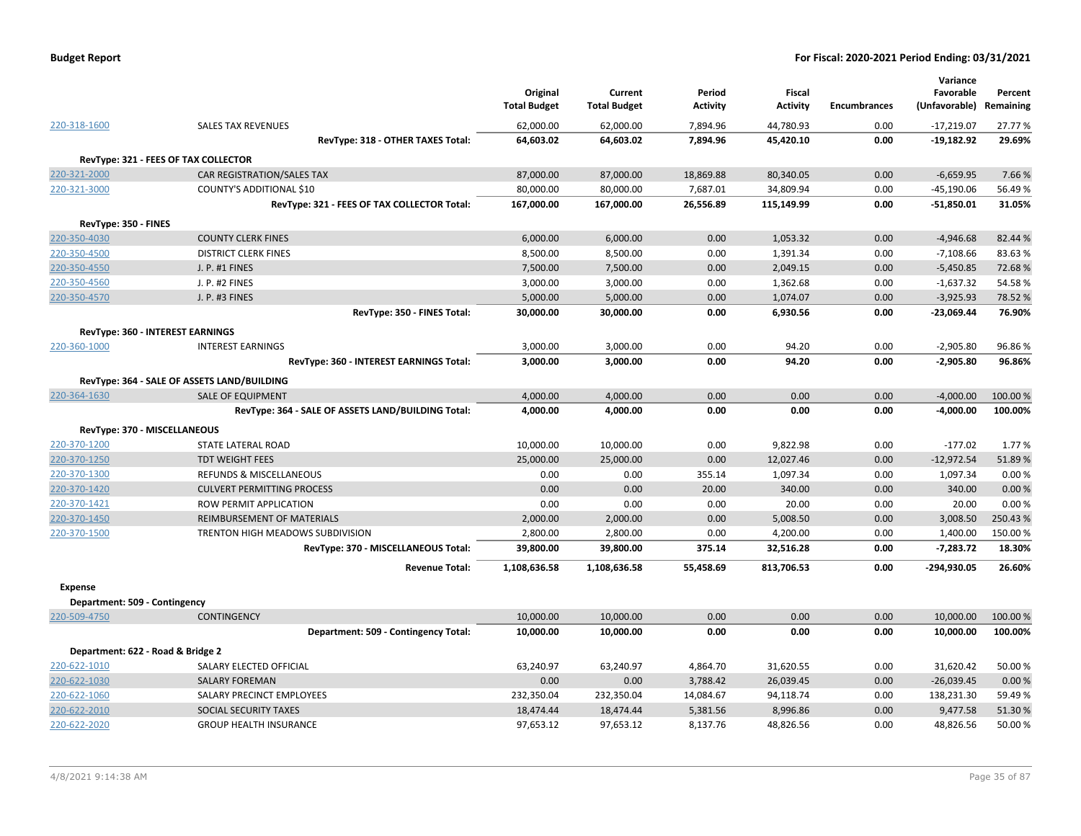| <b>Budget Report</b> |  |
|----------------------|--|
|----------------------|--|

|                      |                                                    | Original<br><b>Total Budget</b> | Current<br><b>Total Budget</b> | Period<br><b>Activity</b> | Fiscal<br><b>Activity</b> | <b>Encumbrances</b> | Variance<br>Favorable<br>(Unfavorable) | Percent<br>Remaining |
|----------------------|----------------------------------------------------|---------------------------------|--------------------------------|---------------------------|---------------------------|---------------------|----------------------------------------|----------------------|
| 220-318-1600         | <b>SALES TAX REVENUES</b>                          | 62,000.00                       | 62,000.00                      | 7,894.96                  | 44,780.93                 | 0.00                | $-17,219.07$                           | 27.77 %              |
|                      | RevType: 318 - OTHER TAXES Total:                  | 64,603.02                       | 64,603.02                      | 7,894.96                  | 45,420.10                 | 0.00                | $-19,182.92$                           | 29.69%               |
|                      | RevType: 321 - FEES OF TAX COLLECTOR               |                                 |                                |                           |                           |                     |                                        |                      |
| 220-321-2000         | <b>CAR REGISTRATION/SALES TAX</b>                  | 87,000.00                       | 87,000.00                      | 18,869.88                 | 80,340.05                 | 0.00                | $-6,659.95$                            | 7.66%                |
| 220-321-3000         | COUNTY'S ADDITIONAL \$10                           | 80,000.00                       | 80,000.00                      | 7,687.01                  | 34,809.94                 | 0.00                | $-45,190.06$                           | 56.49%               |
|                      | RevType: 321 - FEES OF TAX COLLECTOR Total:        | 167,000.00                      | 167,000.00                     | 26,556.89                 | 115,149.99                | 0.00                | $-51,850.01$                           | 31.05%               |
| RevType: 350 - FINES |                                                    |                                 |                                |                           |                           |                     |                                        |                      |
| 220-350-4030         | <b>COUNTY CLERK FINES</b>                          | 6,000.00                        | 6,000.00                       | 0.00                      | 1,053.32                  | 0.00                | $-4,946.68$                            | 82.44 %              |
| 220-350-4500         | <b>DISTRICT CLERK FINES</b>                        | 8,500.00                        | 8,500.00                       | 0.00                      | 1,391.34                  | 0.00                | $-7,108.66$                            | 83.63%               |
| 220-350-4550         | J. P. #1 FINES                                     | 7,500.00                        | 7,500.00                       | 0.00                      | 2,049.15                  | 0.00                | $-5,450.85$                            | 72.68%               |
| 220-350-4560         | J. P. #2 FINES                                     | 3,000.00                        | 3,000.00                       | 0.00                      | 1,362.68                  | 0.00                | $-1,637.32$                            | 54.58%               |
| 220-350-4570         | J. P. #3 FINES                                     | 5,000.00                        | 5,000.00                       | 0.00                      | 1,074.07                  | 0.00                | $-3,925.93$                            | 78.52 %              |
|                      | RevType: 350 - FINES Total:                        | 30,000.00                       | 30,000.00                      | 0.00                      | 6,930.56                  | 0.00                | $-23,069.44$                           | 76.90%               |
|                      | RevType: 360 - INTEREST EARNINGS                   |                                 |                                |                           |                           |                     |                                        |                      |
| 220-360-1000         | <b>INTEREST EARNINGS</b>                           | 3,000.00                        | 3,000.00                       | 0.00                      | 94.20                     | 0.00                | $-2,905.80$                            | 96.86%               |
|                      | RevType: 360 - INTEREST EARNINGS Total:            | 3,000.00                        | 3,000.00                       | 0.00                      | 94.20                     | 0.00                | $-2,905.80$                            | 96.86%               |
|                      | RevType: 364 - SALE OF ASSETS LAND/BUILDING        |                                 |                                |                           |                           |                     |                                        |                      |
| 220-364-1630         | <b>SALE OF EQUIPMENT</b>                           | 4,000.00                        | 4,000.00                       | 0.00                      | 0.00                      | 0.00                | $-4,000.00$                            | 100.00%              |
|                      | RevType: 364 - SALE OF ASSETS LAND/BUILDING Total: | 4,000.00                        | 4,000.00                       | 0.00                      | 0.00                      | 0.00                | $-4,000.00$                            | 100.00%              |
|                      | RevType: 370 - MISCELLANEOUS                       |                                 |                                |                           |                           |                     |                                        |                      |
| 220-370-1200         | STATE LATERAL ROAD                                 | 10,000.00                       | 10,000.00                      | 0.00                      | 9,822.98                  | 0.00                | $-177.02$                              | 1.77 %               |
| 220-370-1250         | <b>TDT WEIGHT FEES</b>                             | 25,000.00                       | 25,000.00                      | 0.00                      | 12,027.46                 | 0.00                | $-12,972.54$                           | 51.89%               |
| 220-370-1300         | <b>REFUNDS &amp; MISCELLANEOUS</b>                 | 0.00                            | 0.00                           | 355.14                    | 1,097.34                  | 0.00                | 1,097.34                               | 0.00%                |
| 220-370-1420         | <b>CULVERT PERMITTING PROCESS</b>                  | 0.00                            | 0.00                           | 20.00                     | 340.00                    | 0.00                | 340.00                                 | 0.00%                |
| 220-370-1421         | <b>ROW PERMIT APPLICATION</b>                      | 0.00                            | 0.00                           | 0.00                      | 20.00                     | 0.00                | 20.00                                  | 0.00%                |
| 220-370-1450         | <b>REIMBURSEMENT OF MATERIALS</b>                  | 2,000.00                        | 2,000.00                       | 0.00                      | 5,008.50                  | 0.00                | 3,008.50                               | 250.43%              |
| 220-370-1500         | TRENTON HIGH MEADOWS SUBDIVISION                   | 2,800.00                        | 2,800.00                       | 0.00                      | 4,200.00                  | 0.00                | 1,400.00                               | 150.00%              |
|                      | RevType: 370 - MISCELLANEOUS Total:                | 39,800.00                       | 39,800.00                      | 375.14                    | 32,516.28                 | 0.00                | $-7,283.72$                            | 18.30%               |
|                      | <b>Revenue Total:</b>                              | 1,108,636.58                    | 1,108,636.58                   | 55,458.69                 | 813,706.53                | 0.00                | -294,930.05                            | 26.60%               |
| <b>Expense</b>       |                                                    |                                 |                                |                           |                           |                     |                                        |                      |
|                      | Department: 509 - Contingency                      |                                 |                                |                           |                           |                     |                                        |                      |
| 220-509-4750         | <b>CONTINGENCY</b>                                 | 10,000.00                       | 10,000.00                      | 0.00                      | 0.00                      | 0.00                | 10,000.00                              | 100.00 %             |
|                      | Department: 509 - Contingency Total:               | 10,000.00                       | 10,000.00                      | 0.00                      | 0.00                      | 0.00                | 10,000.00                              | 100.00%              |
|                      | Department: 622 - Road & Bridge 2                  |                                 |                                |                           |                           |                     |                                        |                      |
| 220-622-1010         | SALARY ELECTED OFFICIAL                            | 63,240.97                       | 63,240.97                      | 4,864.70                  | 31,620.55                 | 0.00                | 31,620.42                              | 50.00 %              |
| 220-622-1030         | <b>SALARY FOREMAN</b>                              | 0.00                            | 0.00                           | 3,788.42                  | 26,039.45                 | 0.00                | $-26,039.45$                           | 0.00%                |
| 220-622-1060         | SALARY PRECINCT EMPLOYEES                          | 232,350.04                      | 232,350.04                     | 14,084.67                 | 94,118.74                 | 0.00                | 138,231.30                             | 59.49%               |
| 220-622-2010         | SOCIAL SECURITY TAXES                              | 18,474.44                       | 18,474.44                      | 5,381.56                  | 8,996.86                  | 0.00                | 9,477.58                               | 51.30%               |
| 220-622-2020         | <b>GROUP HEALTH INSURANCE</b>                      | 97,653.12                       | 97,653.12                      | 8,137.76                  | 48,826.56                 | 0.00                | 48,826.56                              | 50.00%               |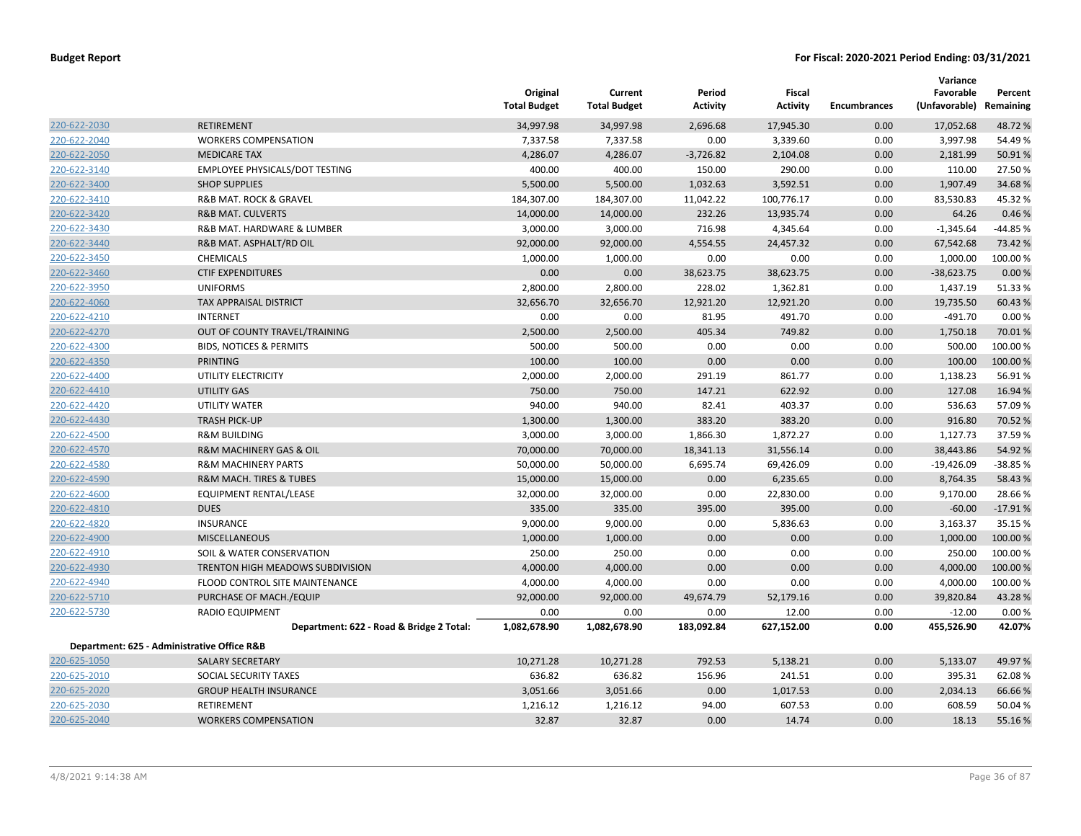|              |                                             | Original<br><b>Total Budget</b> | Current<br><b>Total Budget</b> | Period<br><b>Activity</b> | Fiscal<br><b>Activity</b> | <b>Encumbrances</b> | Variance<br>Favorable<br>(Unfavorable) Remaining | Percent   |
|--------------|---------------------------------------------|---------------------------------|--------------------------------|---------------------------|---------------------------|---------------------|--------------------------------------------------|-----------|
| 220-622-2030 | <b>RETIREMENT</b>                           | 34,997.98                       | 34,997.98                      | 2,696.68                  | 17,945.30                 | 0.00                | 17,052.68                                        | 48.72 %   |
| 220-622-2040 | <b>WORKERS COMPENSATION</b>                 | 7,337.58                        | 7,337.58                       | 0.00                      | 3,339.60                  | 0.00                | 3,997.98                                         | 54.49 %   |
| 220-622-2050 | <b>MEDICARE TAX</b>                         | 4,286.07                        | 4,286.07                       | $-3,726.82$               | 2,104.08                  | 0.00                | 2,181.99                                         | 50.91%    |
| 220-622-3140 | EMPLOYEE PHYSICALS/DOT TESTING              | 400.00                          | 400.00                         | 150.00                    | 290.00                    | 0.00                | 110.00                                           | 27.50 %   |
| 220-622-3400 | <b>SHOP SUPPLIES</b>                        | 5,500.00                        | 5,500.00                       | 1,032.63                  | 3,592.51                  | 0.00                | 1,907.49                                         | 34.68%    |
| 220-622-3410 | R&B MAT. ROCK & GRAVEL                      | 184,307.00                      | 184,307.00                     | 11,042.22                 | 100,776.17                | 0.00                | 83,530.83                                        | 45.32 %   |
| 220-622-3420 | <b>R&amp;B MAT. CULVERTS</b>                | 14,000.00                       | 14,000.00                      | 232.26                    | 13,935.74                 | 0.00                | 64.26                                            | 0.46 %    |
| 220-622-3430 | R&B MAT. HARDWARE & LUMBER                  | 3,000.00                        | 3,000.00                       | 716.98                    | 4,345.64                  | 0.00                | $-1,345.64$                                      | $-44.85%$ |
| 220-622-3440 | R&B MAT. ASPHALT/RD OIL                     | 92,000.00                       | 92,000.00                      | 4,554.55                  | 24,457.32                 | 0.00                | 67,542.68                                        | 73.42 %   |
| 220-622-3450 | <b>CHEMICALS</b>                            | 1,000.00                        | 1,000.00                       | 0.00                      | 0.00                      | 0.00                | 1,000.00                                         | 100.00 %  |
| 220-622-3460 | <b>CTIF EXPENDITURES</b>                    | 0.00                            | 0.00                           | 38,623.75                 | 38,623.75                 | 0.00                | $-38,623.75$                                     | 0.00%     |
| 220-622-3950 | <b>UNIFORMS</b>                             | 2,800.00                        | 2,800.00                       | 228.02                    | 1,362.81                  | 0.00                | 1,437.19                                         | 51.33 %   |
| 220-622-4060 | TAX APPRAISAL DISTRICT                      | 32,656.70                       | 32,656.70                      | 12,921.20                 | 12,921.20                 | 0.00                | 19,735.50                                        | 60.43 %   |
| 220-622-4210 | <b>INTERNET</b>                             | 0.00                            | 0.00                           | 81.95                     | 491.70                    | 0.00                | $-491.70$                                        | 0.00%     |
| 220-622-4270 | OUT OF COUNTY TRAVEL/TRAINING               | 2,500.00                        | 2,500.00                       | 405.34                    | 749.82                    | 0.00                | 1,750.18                                         | 70.01%    |
| 220-622-4300 | <b>BIDS, NOTICES &amp; PERMITS</b>          | 500.00                          | 500.00                         | 0.00                      | 0.00                      | 0.00                | 500.00                                           | 100.00 %  |
| 220-622-4350 | <b>PRINTING</b>                             | 100.00                          | 100.00                         | 0.00                      | 0.00                      | 0.00                | 100.00                                           | 100.00 %  |
| 220-622-4400 | UTILITY ELECTRICITY                         | 2,000.00                        | 2,000.00                       | 291.19                    | 861.77                    | 0.00                | 1,138.23                                         | 56.91%    |
| 220-622-4410 | UTILITY GAS                                 | 750.00                          | 750.00                         | 147.21                    | 622.92                    | 0.00                | 127.08                                           | 16.94 %   |
| 220-622-4420 | UTILITY WATER                               | 940.00                          | 940.00                         | 82.41                     | 403.37                    | 0.00                | 536.63                                           | 57.09 %   |
| 220-622-4430 | <b>TRASH PICK-UP</b>                        | 1,300.00                        | 1,300.00                       | 383.20                    | 383.20                    | 0.00                | 916.80                                           | 70.52 %   |
| 220-622-4500 | <b>R&amp;M BUILDING</b>                     | 3,000.00                        | 3,000.00                       | 1,866.30                  | 1,872.27                  | 0.00                | 1,127.73                                         | 37.59 %   |
| 220-622-4570 | R&M MACHINERY GAS & OIL                     | 70,000.00                       | 70,000.00                      | 18,341.13                 | 31,556.14                 | 0.00                | 38,443.86                                        | 54.92 %   |
| 220-622-4580 | <b>R&amp;M MACHINERY PARTS</b>              | 50,000.00                       | 50,000.00                      | 6,695.74                  | 69,426.09                 | 0.00                | $-19,426.09$                                     | $-38.85%$ |
| 220-622-4590 | R&M MACH. TIRES & TUBES                     | 15,000.00                       | 15,000.00                      | 0.00                      | 6,235.65                  | 0.00                | 8,764.35                                         | 58.43 %   |
| 220-622-4600 | EQUIPMENT RENTAL/LEASE                      | 32,000.00                       | 32,000.00                      | 0.00                      | 22,830.00                 | 0.00                | 9,170.00                                         | 28.66%    |
| 220-622-4810 | <b>DUES</b>                                 | 335.00                          | 335.00                         | 395.00                    | 395.00                    | 0.00                | $-60.00$                                         | $-17.91%$ |
| 220-622-4820 | <b>INSURANCE</b>                            | 9,000.00                        | 9,000.00                       | 0.00                      | 5,836.63                  | 0.00                | 3,163.37                                         | 35.15 %   |
| 220-622-4900 | MISCELLANEOUS                               | 1,000.00                        | 1,000.00                       | 0.00                      | 0.00                      | 0.00                | 1,000.00                                         | 100.00 %  |
| 220-622-4910 | SOIL & WATER CONSERVATION                   | 250.00                          | 250.00                         | 0.00                      | 0.00                      | 0.00                | 250.00                                           | 100.00 %  |
| 220-622-4930 | TRENTON HIGH MEADOWS SUBDIVISION            | 4,000.00                        | 4,000.00                       | 0.00                      | 0.00                      | 0.00                | 4,000.00                                         | 100.00 %  |
| 220-622-4940 | FLOOD CONTROL SITE MAINTENANCE              | 4,000.00                        | 4,000.00                       | 0.00                      | 0.00                      | 0.00                | 4,000.00                                         | 100.00 %  |
| 220-622-5710 | PURCHASE OF MACH./EQUIP                     | 92,000.00                       | 92,000.00                      | 49,674.79                 | 52,179.16                 | 0.00                | 39,820.84                                        | 43.28%    |
| 220-622-5730 | RADIO EQUIPMENT                             | 0.00                            | 0.00                           | 0.00                      | 12.00                     | 0.00                | $-12.00$                                         | 0.00%     |
|              | Department: 622 - Road & Bridge 2 Total:    | 1,082,678.90                    | 1,082,678.90                   | 183,092.84                | 627,152.00                | 0.00                | 455,526.90                                       | 42.07%    |
|              | Department: 625 - Administrative Office R&B |                                 |                                |                           |                           |                     |                                                  |           |
| 220-625-1050 | <b>SALARY SECRETARY</b>                     | 10,271.28                       | 10,271.28                      | 792.53                    | 5,138.21                  | 0.00                | 5,133.07                                         | 49.97 %   |
| 220-625-2010 | SOCIAL SECURITY TAXES                       | 636.82                          | 636.82                         | 156.96                    | 241.51                    | 0.00                | 395.31                                           | 62.08%    |
| 220-625-2020 | <b>GROUP HEALTH INSURANCE</b>               | 3,051.66                        | 3,051.66                       | 0.00                      | 1,017.53                  | 0.00                | 2,034.13                                         | 66.66%    |
| 220-625-2030 | RETIREMENT                                  | 1,216.12                        | 1,216.12                       | 94.00                     | 607.53                    | 0.00                | 608.59                                           | 50.04 %   |
| 220-625-2040 | <b>WORKERS COMPENSATION</b>                 | 32.87                           | 32.87                          | 0.00                      | 14.74                     | 0.00                | 18.13                                            | 55.16%    |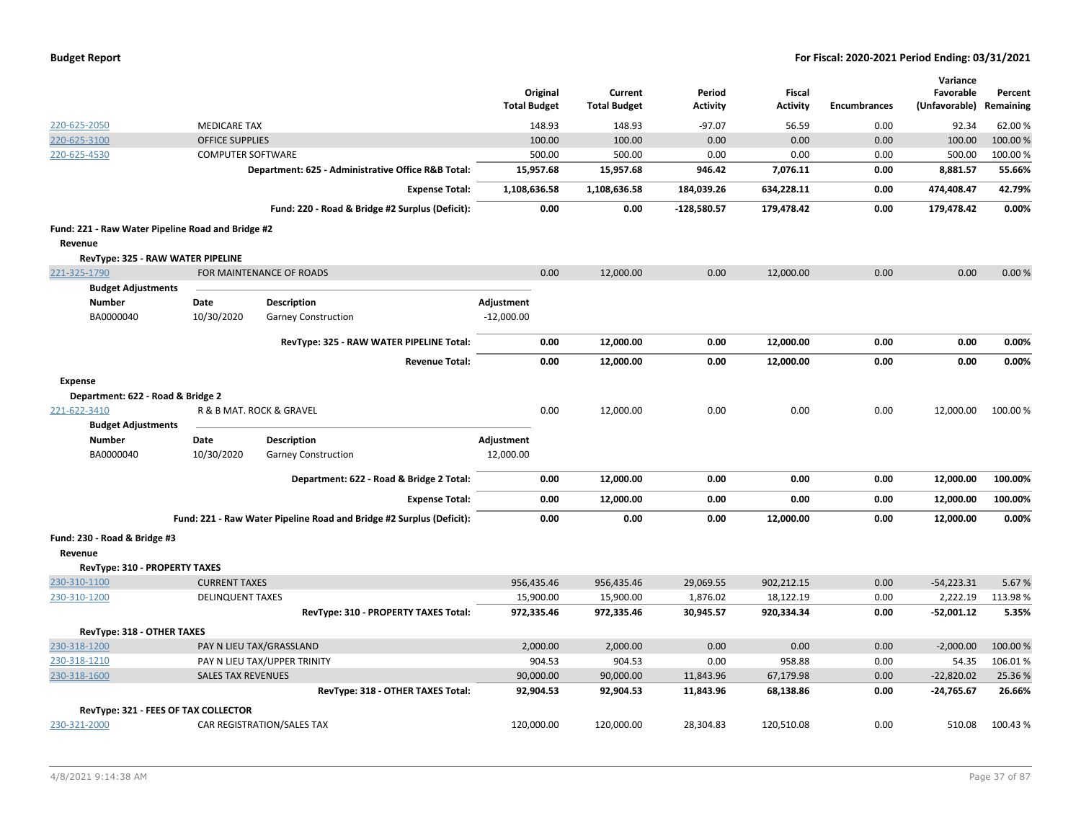| <b>Budget Report</b> |  |
|----------------------|--|
|----------------------|--|

|                                                   |                           |                                                                      |                                 |                                |                           |                           |                     | Variance                   |                      |
|---------------------------------------------------|---------------------------|----------------------------------------------------------------------|---------------------------------|--------------------------------|---------------------------|---------------------------|---------------------|----------------------------|----------------------|
|                                                   |                           |                                                                      | Original<br><b>Total Budget</b> | Current<br><b>Total Budget</b> | Period<br><b>Activity</b> | Fiscal<br><b>Activity</b> | <b>Encumbrances</b> | Favorable<br>(Unfavorable) | Percent<br>Remaining |
| 220-625-2050                                      | <b>MEDICARE TAX</b>       |                                                                      | 148.93                          | 148.93                         | $-97.07$                  | 56.59                     | 0.00                | 92.34                      | 62.00 %              |
| 220-625-3100                                      | <b>OFFICE SUPPLIES</b>    |                                                                      | 100.00                          | 100.00                         | 0.00                      | 0.00                      | 0.00                | 100.00                     | 100.00%              |
| 220-625-4530                                      | <b>COMPUTER SOFTWARE</b>  |                                                                      | 500.00                          | 500.00                         | 0.00                      | 0.00                      | 0.00                | 500.00                     | 100.00%              |
|                                                   |                           | Department: 625 - Administrative Office R&B Total:                   | 15,957.68                       | 15,957.68                      | 946.42                    | 7,076.11                  | 0.00                | 8,881.57                   | 55.66%               |
|                                                   |                           | <b>Expense Total:</b>                                                | 1,108,636.58                    | 1,108,636.58                   | 184,039.26                | 634,228.11                | 0.00                | 474,408.47                 | 42.79%               |
|                                                   |                           | Fund: 220 - Road & Bridge #2 Surplus (Deficit):                      | 0.00                            | 0.00                           | $-128,580.57$             | 179,478.42                | 0.00                | 179,478.42                 | 0.00%                |
| Fund: 221 - Raw Water Pipeline Road and Bridge #2 |                           |                                                                      |                                 |                                |                           |                           |                     |                            |                      |
| Revenue                                           |                           |                                                                      |                                 |                                |                           |                           |                     |                            |                      |
| RevType: 325 - RAW WATER PIPELINE                 |                           |                                                                      |                                 |                                |                           |                           |                     |                            |                      |
| 221-325-1790                                      |                           | FOR MAINTENANCE OF ROADS                                             | 0.00                            | 12,000.00                      | 0.00                      | 12,000.00                 | 0.00                | 0.00                       | 0.00%                |
| <b>Budget Adjustments</b>                         |                           |                                                                      |                                 |                                |                           |                           |                     |                            |                      |
| <b>Number</b>                                     | Date                      | Description                                                          | Adjustment                      |                                |                           |                           |                     |                            |                      |
| BA0000040                                         | 10/30/2020                | <b>Garney Construction</b>                                           | $-12,000.00$                    |                                |                           |                           |                     |                            |                      |
|                                                   |                           | RevType: 325 - RAW WATER PIPELINE Total:                             | 0.00                            | 12,000.00                      | 0.00                      | 12,000.00                 | 0.00                | 0.00                       | 0.00%                |
|                                                   |                           | <b>Revenue Total:</b>                                                | 0.00                            | 12,000.00                      | 0.00                      | 12,000.00                 | 0.00                | 0.00                       | 0.00%                |
| <b>Expense</b>                                    |                           |                                                                      |                                 |                                |                           |                           |                     |                            |                      |
| Department: 622 - Road & Bridge 2                 |                           |                                                                      |                                 |                                |                           |                           |                     |                            |                      |
| 221-622-3410                                      |                           | R & B MAT. ROCK & GRAVEL                                             | 0.00                            | 12,000.00                      | 0.00                      | 0.00                      | 0.00                | 12,000.00                  | 100.00%              |
| <b>Budget Adjustments</b>                         |                           |                                                                      |                                 |                                |                           |                           |                     |                            |                      |
| <b>Number</b>                                     | Date                      | <b>Description</b>                                                   | <b>Adjustment</b>               |                                |                           |                           |                     |                            |                      |
| BA0000040                                         | 10/30/2020                | <b>Garney Construction</b>                                           | 12,000.00                       |                                |                           |                           |                     |                            |                      |
|                                                   |                           | Department: 622 - Road & Bridge 2 Total:                             | 0.00                            | 12,000.00                      | 0.00                      | 0.00                      | 0.00                | 12,000.00                  | 100.00%              |
|                                                   |                           | <b>Expense Total:</b>                                                | 0.00                            | 12,000.00                      | 0.00                      | 0.00                      | 0.00                | 12,000.00                  | 100.00%              |
|                                                   |                           | Fund: 221 - Raw Water Pipeline Road and Bridge #2 Surplus (Deficit): | 0.00                            | 0.00                           | 0.00                      | 12,000.00                 | 0.00                | 12,000.00                  | 0.00%                |
| Fund: 230 - Road & Bridge #3<br>Revenue           |                           |                                                                      |                                 |                                |                           |                           |                     |                            |                      |
| RevType: 310 - PROPERTY TAXES                     |                           |                                                                      |                                 |                                |                           |                           |                     |                            |                      |
| 230-310-1100                                      | <b>CURRENT TAXES</b>      |                                                                      | 956,435.46                      | 956,435.46                     | 29,069.55                 | 902,212.15                | 0.00                | $-54,223.31$               | 5.67%                |
| 230-310-1200                                      | <b>DELINQUENT TAXES</b>   |                                                                      | 15,900.00                       | 15,900.00                      | 1,876.02                  | 18,122.19                 | 0.00                | 2,222.19                   | 113.98%              |
|                                                   |                           | RevType: 310 - PROPERTY TAXES Total:                                 | 972,335.46                      | 972,335.46                     | 30,945.57                 | 920,334.34                | 0.00                | $-52,001.12$               | 5.35%                |
| RevType: 318 - OTHER TAXES                        |                           |                                                                      |                                 |                                |                           |                           |                     |                            |                      |
| 230-318-1200                                      |                           | PAY N LIEU TAX/GRASSLAND                                             | 2,000.00                        | 2,000.00                       | 0.00                      | 0.00                      | 0.00                | $-2,000.00$                | 100.00%              |
| 230-318-1210                                      |                           | PAY N LIEU TAX/UPPER TRINITY                                         | 904.53                          | 904.53                         | 0.00                      | 958.88                    | 0.00                | 54.35                      | 106.01%              |
| 230-318-1600                                      | <b>SALES TAX REVENUES</b> |                                                                      | 90,000.00                       | 90,000.00                      | 11,843.96                 | 67,179.98                 | 0.00                | $-22,820.02$               | 25.36%               |
|                                                   |                           | RevType: 318 - OTHER TAXES Total:                                    | 92,904.53                       | 92,904.53                      | 11,843.96                 | 68,138.86                 | 0.00                | $-24,765.67$               | 26.66%               |
| RevType: 321 - FEES OF TAX COLLECTOR              |                           |                                                                      |                                 |                                |                           |                           |                     |                            |                      |
| 230-321-2000                                      |                           | CAR REGISTRATION/SALES TAX                                           | 120,000.00                      | 120,000.00                     | 28,304.83                 | 120,510.08                | 0.00                | 510.08                     | 100.43%              |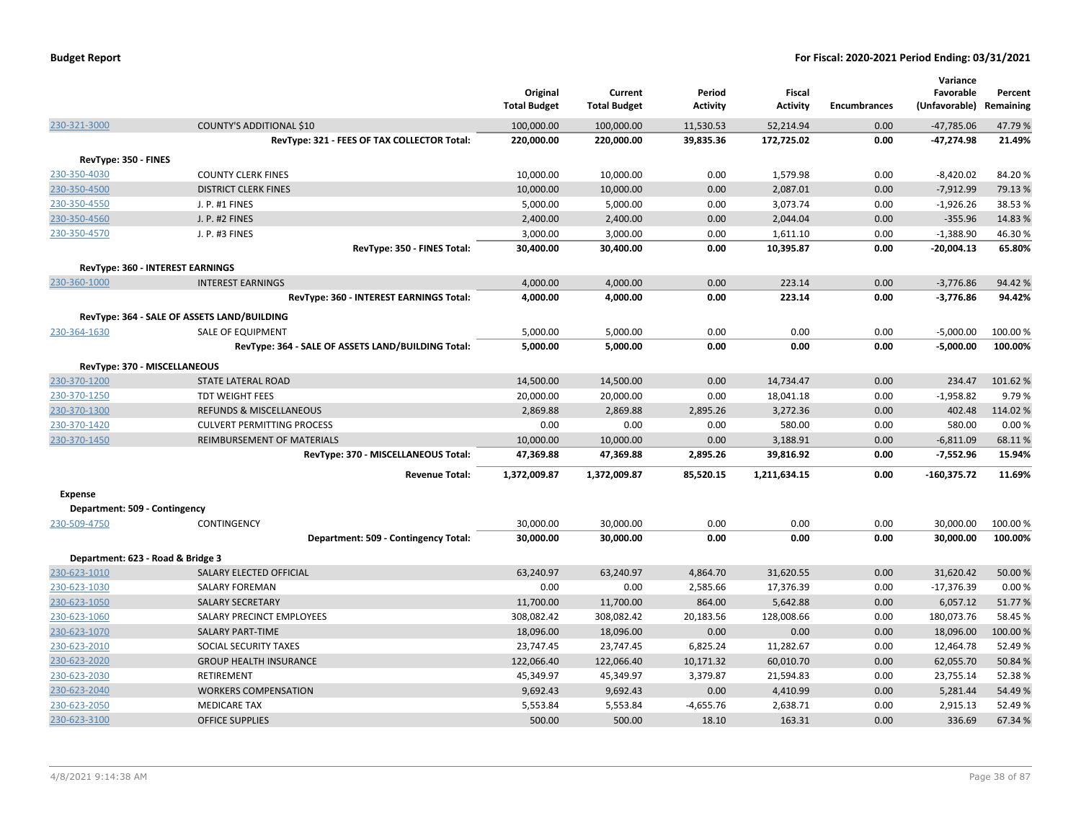|                                   |                                                                 | Original<br><b>Total Budget</b> | Current<br><b>Total Budget</b> | Period<br><b>Activity</b> | <b>Fiscal</b><br><b>Activity</b> | Encumbrances | Variance<br>Favorable<br>(Unfavorable) | Percent<br>Remaining |
|-----------------------------------|-----------------------------------------------------------------|---------------------------------|--------------------------------|---------------------------|----------------------------------|--------------|----------------------------------------|----------------------|
| 230-321-3000                      | <b>COUNTY'S ADDITIONAL \$10</b>                                 | 100,000.00                      | 100,000.00                     | 11,530.53                 | 52,214.94                        | 0.00         | $-47,785.06$                           | 47.79%               |
|                                   | RevType: 321 - FEES OF TAX COLLECTOR Total:                     | 220,000.00                      | 220,000.00                     | 39,835.36                 | 172,725.02                       | 0.00         | $-47,274.98$                           | 21.49%               |
| RevType: 350 - FINES              |                                                                 |                                 |                                |                           |                                  |              |                                        |                      |
| 230-350-4030                      | <b>COUNTY CLERK FINES</b>                                       | 10,000.00                       | 10,000.00                      | 0.00                      | 1,579.98                         | 0.00         | $-8,420.02$                            | 84.20%               |
| 230-350-4500                      | <b>DISTRICT CLERK FINES</b>                                     | 10,000.00                       | 10,000.00                      | 0.00                      | 2,087.01                         | 0.00         | $-7,912.99$                            | 79.13 %              |
| 230-350-4550                      | J. P. #1 FINES                                                  | 5,000.00                        | 5,000.00                       | 0.00                      | 3,073.74                         | 0.00         | $-1,926.26$                            | 38.53 %              |
| 230-350-4560                      | J. P. #2 FINES                                                  | 2,400.00                        | 2,400.00                       | 0.00                      | 2,044.04                         | 0.00         | $-355.96$                              | 14.83%               |
| 230-350-4570                      | J. P. #3 FINES                                                  | 3,000.00                        | 3,000.00                       | 0.00                      | 1,611.10                         | 0.00         | $-1,388.90$                            | 46.30%               |
|                                   | RevType: 350 - FINES Total:                                     | 30,400.00                       | 30,400.00                      | 0.00                      | 10,395.87                        | 0.00         | $-20,004.13$                           | 65.80%               |
|                                   | <b>RevType: 360 - INTEREST EARNINGS</b>                         |                                 |                                |                           |                                  |              |                                        |                      |
| 230-360-1000                      | <b>INTEREST EARNINGS</b>                                        | 4,000.00                        | 4,000.00                       | 0.00                      | 223.14                           | 0.00         | $-3,776.86$                            | 94.42%               |
|                                   | RevType: 360 - INTEREST EARNINGS Total:                         | 4,000.00                        | 4,000.00                       | 0.00                      | 223.14                           | 0.00         | $-3,776.86$                            | 94.42%               |
|                                   | RevType: 364 - SALE OF ASSETS LAND/BUILDING                     |                                 |                                |                           |                                  |              |                                        |                      |
| 230-364-1630                      | SALE OF EQUIPMENT                                               | 5,000.00                        | 5,000.00                       | 0.00                      | 0.00                             | 0.00         | $-5,000.00$                            | 100.00%              |
|                                   | RevType: 364 - SALE OF ASSETS LAND/BUILDING Total:              | 5,000.00                        | 5,000.00                       | 0.00                      | 0.00                             | 0.00         | $-5,000.00$                            | 100.00%              |
|                                   |                                                                 |                                 |                                |                           |                                  |              |                                        |                      |
| RevType: 370 - MISCELLANEOUS      |                                                                 |                                 |                                |                           |                                  |              |                                        |                      |
| 230-370-1200                      | STATE LATERAL ROAD                                              | 14,500.00                       | 14,500.00                      | 0.00                      | 14,734.47                        | 0.00         | 234.47                                 | 101.62%              |
| 230-370-1250                      | TDT WEIGHT FEES                                                 | 20,000.00                       | 20,000.00                      | 0.00                      | 18,041.18                        | 0.00         | $-1,958.82$                            | 9.79%                |
| 230-370-1300                      | <b>REFUNDS &amp; MISCELLANEOUS</b>                              | 2,869.88                        | 2,869.88                       | 2,895.26                  | 3,272.36                         | 0.00         | 402.48<br>580.00                       | 114.02%              |
| 230-370-1420                      | <b>CULVERT PERMITTING PROCESS</b><br>REIMBURSEMENT OF MATERIALS | 0.00                            | 0.00                           | 0.00<br>0.00              | 580.00                           | 0.00<br>0.00 |                                        | 0.00%                |
| 230-370-1450                      |                                                                 | 10,000.00                       | 10,000.00                      |                           | 3,188.91                         | 0.00         | $-6,811.09$                            | 68.11%               |
|                                   | RevType: 370 - MISCELLANEOUS Total:                             | 47,369.88                       | 47,369.88                      | 2,895.26                  | 39,816.92                        |              | $-7,552.96$                            | 15.94%               |
|                                   | <b>Revenue Total:</b>                                           | 1,372,009.87                    | 1,372,009.87                   | 85,520.15                 | 1,211,634.15                     | 0.00         | $-160,375.72$                          | 11.69%               |
| Expense                           |                                                                 |                                 |                                |                           |                                  |              |                                        |                      |
| Department: 509 - Contingency     |                                                                 |                                 |                                |                           |                                  |              |                                        |                      |
| 230-509-4750                      | CONTINGENCY                                                     | 30,000.00                       | 30,000.00                      | 0.00                      | 0.00                             | 0.00         | 30,000.00                              | 100.00%              |
|                                   | Department: 509 - Contingency Total:                            | 30,000.00                       | 30,000.00                      | 0.00                      | 0.00                             | 0.00         | 30,000.00                              | 100.00%              |
| Department: 623 - Road & Bridge 3 |                                                                 |                                 |                                |                           |                                  |              |                                        |                      |
| 230-623-1010                      | SALARY ELECTED OFFICIAL                                         | 63,240.97                       | 63,240.97                      | 4,864.70                  | 31,620.55                        | 0.00         | 31,620.42                              | 50.00 %              |
| 230-623-1030                      | <b>SALARY FOREMAN</b>                                           | 0.00                            | 0.00                           | 2,585.66                  | 17,376.39                        | 0.00         | $-17,376.39$                           | 0.00%                |
| 230-623-1050                      | <b>SALARY SECRETARY</b>                                         | 11,700.00                       | 11,700.00                      | 864.00                    | 5,642.88                         | 0.00         | 6,057.12                               | 51.77%               |
| 230-623-1060                      | SALARY PRECINCT EMPLOYEES                                       | 308,082.42                      | 308,082.42                     | 20,183.56                 | 128,008.66                       | 0.00         | 180,073.76                             | 58.45 %              |
| 230-623-1070                      | <b>SALARY PART-TIME</b>                                         | 18,096.00                       | 18,096.00                      | 0.00                      | 0.00                             | 0.00         | 18,096.00                              | 100.00%              |
| 230-623-2010                      | SOCIAL SECURITY TAXES                                           | 23,747.45                       | 23,747.45                      | 6,825.24                  | 11,282.67                        | 0.00         | 12,464.78                              | 52.49%               |
| 230-623-2020                      | <b>GROUP HEALTH INSURANCE</b>                                   | 122,066.40                      | 122,066.40                     | 10,171.32                 | 60,010.70                        | 0.00         | 62,055.70                              | 50.84 %              |
| 230-623-2030                      | RETIREMENT                                                      | 45,349.97                       | 45,349.97                      | 3,379.87                  | 21,594.83                        | 0.00         | 23,755.14                              | 52.38%               |
| 230-623-2040                      | <b>WORKERS COMPENSATION</b>                                     | 9,692.43                        | 9,692.43                       | 0.00                      | 4,410.99                         | 0.00         | 5,281.44                               | 54.49%               |
| 230-623-2050                      | <b>MEDICARE TAX</b>                                             | 5,553.84                        | 5,553.84                       | $-4,655.76$               | 2,638.71                         | 0.00         | 2,915.13                               | 52.49%               |
| 230-623-3100                      | <b>OFFICE SUPPLIES</b>                                          | 500.00                          | 500.00                         | 18.10                     | 163.31                           | 0.00         | 336.69                                 | 67.34 %              |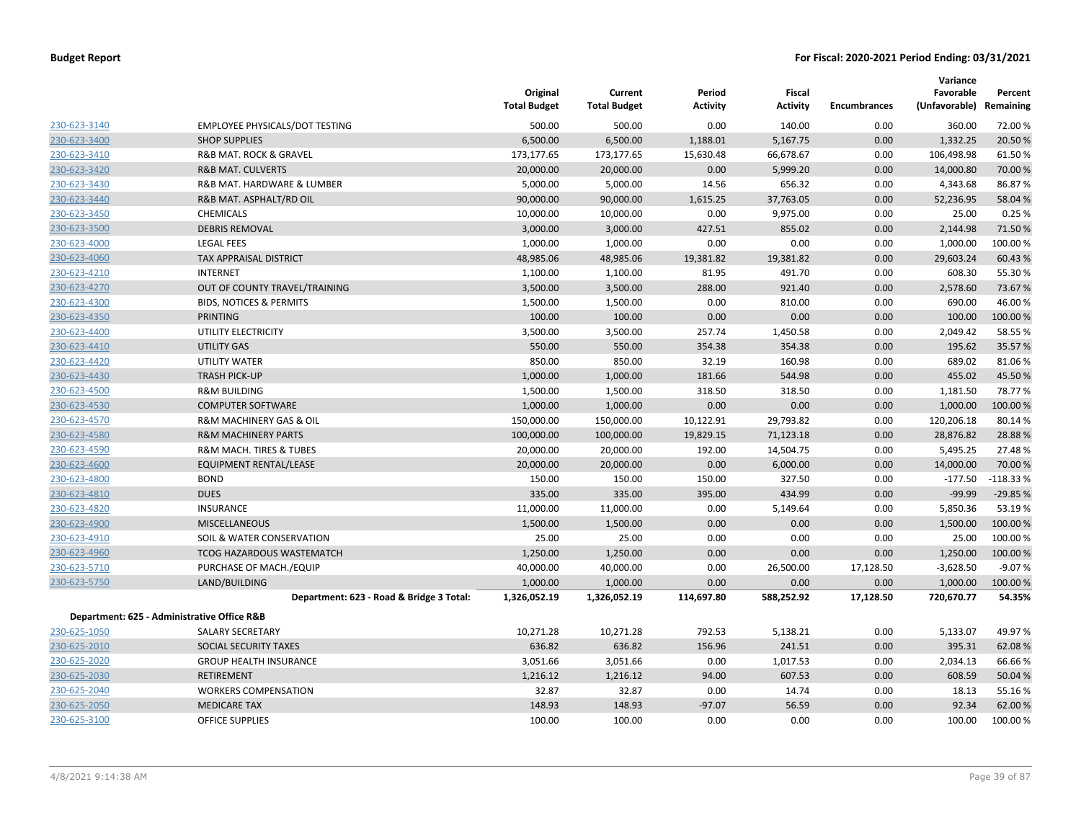|              |                                             | Original<br><b>Total Budget</b> | Current<br><b>Total Budget</b> | Period<br>Activity | <b>Fiscal</b><br>Activity | <b>Encumbrances</b> | Variance<br>Favorable<br>(Unfavorable) | Percent<br>Remaining |
|--------------|---------------------------------------------|---------------------------------|--------------------------------|--------------------|---------------------------|---------------------|----------------------------------------|----------------------|
| 230-623-3140 | EMPLOYEE PHYSICALS/DOT TESTING              | 500.00                          | 500.00                         | 0.00               | 140.00                    | 0.00                | 360.00                                 | 72.00%               |
| 230-623-3400 | <b>SHOP SUPPLIES</b>                        | 6,500.00                        | 6,500.00                       | 1,188.01           | 5,167.75                  | 0.00                | 1,332.25                               | 20.50 %              |
| 230-623-3410 | R&B MAT. ROCK & GRAVEL                      | 173,177.65                      | 173,177.65                     | 15,630.48          | 66,678.67                 | 0.00                | 106,498.98                             | 61.50%               |
| 230-623-3420 | <b>R&amp;B MAT. CULVERTS</b>                | 20,000.00                       | 20,000.00                      | 0.00               | 5,999.20                  | 0.00                | 14,000.80                              | 70.00 %              |
| 230-623-3430 | R&B MAT. HARDWARE & LUMBER                  | 5,000.00                        | 5,000.00                       | 14.56              | 656.32                    | 0.00                | 4,343.68                               | 86.87%               |
| 230-623-3440 | R&B MAT. ASPHALT/RD OIL                     | 90,000.00                       | 90,000.00                      | 1,615.25           | 37,763.05                 | 0.00                | 52,236.95                              | 58.04 %              |
| 230-623-3450 | <b>CHEMICALS</b>                            | 10,000.00                       | 10,000.00                      | 0.00               | 9,975.00                  | 0.00                | 25.00                                  | 0.25%                |
| 230-623-3500 | <b>DEBRIS REMOVAL</b>                       | 3,000.00                        | 3,000.00                       | 427.51             | 855.02                    | 0.00                | 2,144.98                               | 71.50 %              |
| 230-623-4000 | <b>LEGAL FEES</b>                           | 1,000.00                        | 1,000.00                       | 0.00               | 0.00                      | 0.00                | 1,000.00                               | 100.00%              |
| 230-623-4060 | TAX APPRAISAL DISTRICT                      | 48,985.06                       | 48,985.06                      | 19,381.82          | 19,381.82                 | 0.00                | 29,603.24                              | 60.43%               |
| 230-623-4210 | <b>INTERNET</b>                             | 1,100.00                        | 1,100.00                       | 81.95              | 491.70                    | 0.00                | 608.30                                 | 55.30 %              |
| 230-623-4270 | OUT OF COUNTY TRAVEL/TRAINING               | 3,500.00                        | 3,500.00                       | 288.00             | 921.40                    | 0.00                | 2,578.60                               | 73.67%               |
| 230-623-4300 | <b>BIDS, NOTICES &amp; PERMITS</b>          | 1,500.00                        | 1,500.00                       | 0.00               | 810.00                    | 0.00                | 690.00                                 | 46.00%               |
| 230-623-4350 | <b>PRINTING</b>                             | 100.00                          | 100.00                         | 0.00               | 0.00                      | 0.00                | 100.00                                 | 100.00 %             |
| 230-623-4400 | UTILITY ELECTRICITY                         | 3,500.00                        | 3,500.00                       | 257.74             | 1,450.58                  | 0.00                | 2,049.42                               | 58.55 %              |
| 230-623-4410 | UTILITY GAS                                 | 550.00                          | 550.00                         | 354.38             | 354.38                    | 0.00                | 195.62                                 | 35.57 %              |
| 230-623-4420 | UTILITY WATER                               | 850.00                          | 850.00                         | 32.19              | 160.98                    | 0.00                | 689.02                                 | 81.06%               |
| 230-623-4430 | <b>TRASH PICK-UP</b>                        | 1,000.00                        | 1,000.00                       | 181.66             | 544.98                    | 0.00                | 455.02                                 | 45.50 %              |
| 230-623-4500 | <b>R&amp;M BUILDING</b>                     | 1,500.00                        | 1,500.00                       | 318.50             | 318.50                    | 0.00                | 1,181.50                               | 78.77%               |
| 230-623-4530 | <b>COMPUTER SOFTWARE</b>                    | 1,000.00                        | 1,000.00                       | 0.00               | 0.00                      | 0.00                | 1,000.00                               | 100.00 %             |
| 230-623-4570 | R&M MACHINERY GAS & OIL                     | 150,000.00                      | 150,000.00                     | 10,122.91          | 29,793.82                 | 0.00                | 120,206.18                             | 80.14%               |
| 230-623-4580 | <b>R&amp;M MACHINERY PARTS</b>              | 100,000.00                      | 100,000.00                     | 19,829.15          | 71,123.18                 | 0.00                | 28,876.82                              | 28.88%               |
| 230-623-4590 | R&M MACH. TIRES & TUBES                     | 20,000.00                       | 20,000.00                      | 192.00             | 14,504.75                 | 0.00                | 5,495.25                               | 27.48%               |
| 230-623-4600 | EQUIPMENT RENTAL/LEASE                      | 20,000.00                       | 20,000.00                      | 0.00               | 6,000.00                  | 0.00                | 14,000.00                              | 70.00 %              |
| 230-623-4800 | <b>BOND</b>                                 | 150.00                          | 150.00                         | 150.00             | 327.50                    | 0.00                | $-177.50$                              | $-118.33%$           |
| 230-623-4810 | <b>DUES</b>                                 | 335.00                          | 335.00                         | 395.00             | 434.99                    | 0.00                | $-99.99$                               | $-29.85%$            |
| 230-623-4820 | <b>INSURANCE</b>                            | 11,000.00                       | 11,000.00                      | 0.00               | 5,149.64                  | 0.00                | 5,850.36                               | 53.19%               |
| 230-623-4900 | <b>MISCELLANEOUS</b>                        | 1,500.00                        | 1,500.00                       | 0.00               | 0.00                      | 0.00                | 1,500.00                               | 100.00 %             |
| 230-623-4910 | SOIL & WATER CONSERVATION                   | 25.00                           | 25.00                          | 0.00               | 0.00                      | 0.00                | 25.00                                  | 100.00%              |
| 230-623-4960 | <b>TCOG HAZARDOUS WASTEMATCH</b>            | 1,250.00                        | 1,250.00                       | 0.00               | 0.00                      | 0.00                | 1,250.00                               | 100.00 %             |
| 230-623-5710 | PURCHASE OF MACH./EQUIP                     | 40,000.00                       | 40,000.00                      | 0.00               | 26,500.00                 | 17,128.50           | $-3,628.50$                            | $-9.07%$             |
| 230-623-5750 | LAND/BUILDING                               | 1,000.00                        | 1,000.00                       | 0.00               | 0.00                      | 0.00                | 1,000.00                               | 100.00 %             |
|              | Department: 623 - Road & Bridge 3 Total:    | 1,326,052.19                    | 1,326,052.19                   | 114,697.80         | 588,252.92                | 17,128.50           | 720,670.77                             | 54.35%               |
|              | Department: 625 - Administrative Office R&B |                                 |                                |                    |                           |                     |                                        |                      |
| 230-625-1050 | SALARY SECRETARY                            | 10,271.28                       | 10,271.28                      | 792.53             | 5,138.21                  | 0.00                | 5,133.07                               | 49.97%               |
| 230-625-2010 | SOCIAL SECURITY TAXES                       | 636.82                          | 636.82                         | 156.96             | 241.51                    | 0.00                | 395.31                                 | 62.08%               |
| 230-625-2020 | <b>GROUP HEALTH INSURANCE</b>               | 3,051.66                        | 3,051.66                       | 0.00               | 1,017.53                  | 0.00                | 2,034.13                               | 66.66%               |
| 230-625-2030 | <b>RETIREMENT</b>                           | 1,216.12                        | 1,216.12                       | 94.00              | 607.53                    | 0.00                | 608.59                                 | 50.04 %              |
| 230-625-2040 | <b>WORKERS COMPENSATION</b>                 | 32.87                           | 32.87                          | 0.00               | 14.74                     | 0.00                | 18.13                                  | 55.16%               |
| 230-625-2050 | <b>MEDICARE TAX</b>                         | 148.93                          | 148.93                         | $-97.07$           | 56.59                     | 0.00                | 92.34                                  | 62.00%               |
| 230-625-3100 | <b>OFFICE SUPPLIES</b>                      | 100.00                          | 100.00                         | 0.00               | 0.00                      | 0.00                | 100.00                                 | 100.00%              |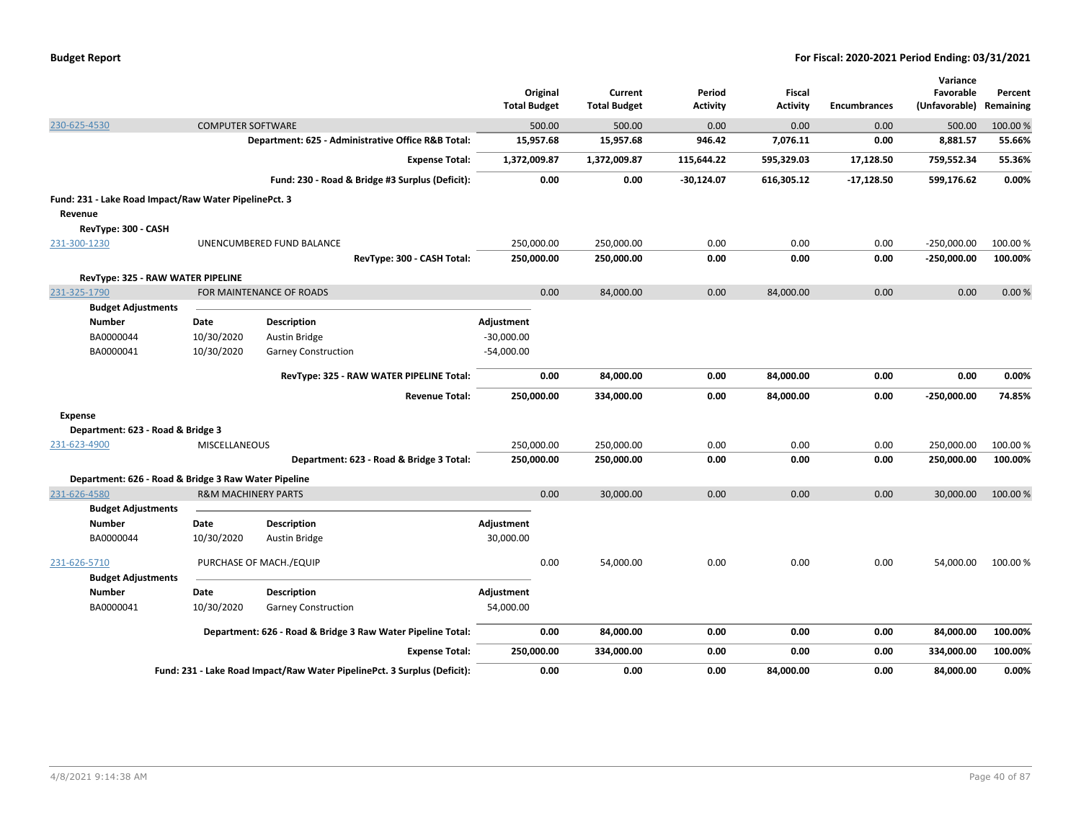| 500.00<br>0.00<br>230-625-4530<br><b>COMPUTER SOFTWARE</b><br>500.00<br>0.00<br>0.00<br>500.00<br>15,957.68<br>946.42<br>7,076.11<br>0.00<br>8,881.57<br>Department: 625 - Administrative Office R&B Total:<br>15,957.68<br>1,372,009.87<br>595,329.03<br>17,128.50<br>759,552.34<br><b>Expense Total:</b><br>1,372,009.87<br>115,644.22<br>Fund: 230 - Road & Bridge #3 Surplus (Deficit):<br>0.00<br>0.00<br>$-30,124.07$<br>599,176.62<br>616,305.12<br>$-17,128.50$<br>Fund: 231 - Lake Road Impact/Raw Water PipelinePct. 3<br>Revenue<br>RevType: 300 - CASH<br>250,000.00<br>250,000.00<br>0.00<br>0.00<br>0.00<br>$-250,000.00$<br>231-300-1230<br>UNENCUMBERED FUND BALANCE<br>0.00<br>0.00<br>RevType: 300 - CASH Total:<br>250,000.00<br>250,000.00<br>0.00<br>-250,000.00<br>RevType: 325 - RAW WATER PIPELINE<br>FOR MAINTENANCE OF ROADS<br>0.00<br>84,000.00<br>0.00<br>84,000.00<br>0.00<br>0.00<br>231-325-1790<br><b>Budget Adjustments</b><br><b>Description</b><br><b>Number</b><br>Date<br>Adjustment<br>10/30/2020<br>$-30,000.00$<br>BA0000044<br><b>Austin Bridge</b><br>BA0000041<br>10/30/2020<br>$-54,000.00$<br><b>Garney Construction</b><br>RevType: 325 - RAW WATER PIPELINE Total:<br>0.00<br>84,000.00<br>84,000.00<br>0.00<br>0.00<br>0.00<br>250,000.00<br>334,000.00<br>84,000.00<br>0.00<br>$-250,000.00$<br><b>Revenue Total:</b><br>0.00<br><b>Expense</b><br>Department: 623 - Road & Bridge 3<br>250,000.00<br>250,000.00<br>0.00<br>0.00<br>250,000.00<br>MISCELLANEOUS<br>0.00<br>231-623-4900<br>Department: 623 - Road & Bridge 3 Total:<br>250,000.00<br>250,000.00<br>0.00<br>0.00<br>0.00<br>250,000.00<br>Department: 626 - Road & Bridge 3 Raw Water Pipeline<br>0.00<br>0.00<br>30,000.00<br>0.00<br>0.00<br>231-626-4580<br><b>R&amp;M MACHINERY PARTS</b><br>30,000.00<br><b>Budget Adjustments</b><br><b>Description</b><br>Adjustment<br><b>Number</b><br>Date<br>BA0000044<br>10/30/2020<br>30,000.00<br>Austin Bridge<br>0.00<br>231-626-5710<br>PURCHASE OF MACH./EQUIP<br>0.00<br>54,000.00<br>0.00<br>0.00<br>54,000.00<br><b>Budget Adjustments</b><br><b>Description</b><br>Adjustment<br><b>Number</b><br>Date<br>BA0000041<br>10/30/2020<br><b>Garney Construction</b><br>54,000.00<br>0.00<br>0.00<br>0.00<br>Department: 626 - Road & Bridge 3 Raw Water Pipeline Total:<br>84,000.00<br>0.00<br>84,000.00<br>250,000.00<br>334,000.00<br>0.00<br>334,000.00<br><b>Expense Total:</b><br>0.00<br>0.00<br>Fund: 231 - Lake Road Impact/Raw Water PipelinePct. 3 Surplus (Deficit):<br>0.00<br>0.00<br>0.00<br>84,000.00<br>0.00<br>84,000.00 |  |  | <b>Total Budget</b> | Original | Current<br><b>Total Budget</b> | Period<br><b>Activity</b> | Fiscal<br><b>Activity</b> | <b>Encumbrances</b> | Variance<br>Favorable<br>(Unfavorable) Remaining | Percent  |
|---------------------------------------------------------------------------------------------------------------------------------------------------------------------------------------------------------------------------------------------------------------------------------------------------------------------------------------------------------------------------------------------------------------------------------------------------------------------------------------------------------------------------------------------------------------------------------------------------------------------------------------------------------------------------------------------------------------------------------------------------------------------------------------------------------------------------------------------------------------------------------------------------------------------------------------------------------------------------------------------------------------------------------------------------------------------------------------------------------------------------------------------------------------------------------------------------------------------------------------------------------------------------------------------------------------------------------------------------------------------------------------------------------------------------------------------------------------------------------------------------------------------------------------------------------------------------------------------------------------------------------------------------------------------------------------------------------------------------------------------------------------------------------------------------------------------------------------------------------------------------------------------------------------------------------------------------------------------------------------------------------------------------------------------------------------------------------------------------------------------------------------------------------------------------------------------------------------------------------------------------------------------------------------------------------------------------------------------------------------------------------------------------------------------------------------------------------------------------------------------------------------------------------------------------------------------------------------------------------------|--|--|---------------------|----------|--------------------------------|---------------------------|---------------------------|---------------------|--------------------------------------------------|----------|
|                                                                                                                                                                                                                                                                                                                                                                                                                                                                                                                                                                                                                                                                                                                                                                                                                                                                                                                                                                                                                                                                                                                                                                                                                                                                                                                                                                                                                                                                                                                                                                                                                                                                                                                                                                                                                                                                                                                                                                                                                                                                                                                                                                                                                                                                                                                                                                                                                                                                                                                                                                                                               |  |  |                     |          |                                |                           |                           |                     |                                                  | 100.00 % |
|                                                                                                                                                                                                                                                                                                                                                                                                                                                                                                                                                                                                                                                                                                                                                                                                                                                                                                                                                                                                                                                                                                                                                                                                                                                                                                                                                                                                                                                                                                                                                                                                                                                                                                                                                                                                                                                                                                                                                                                                                                                                                                                                                                                                                                                                                                                                                                                                                                                                                                                                                                                                               |  |  |                     |          |                                |                           |                           |                     |                                                  | 55.66%   |
|                                                                                                                                                                                                                                                                                                                                                                                                                                                                                                                                                                                                                                                                                                                                                                                                                                                                                                                                                                                                                                                                                                                                                                                                                                                                                                                                                                                                                                                                                                                                                                                                                                                                                                                                                                                                                                                                                                                                                                                                                                                                                                                                                                                                                                                                                                                                                                                                                                                                                                                                                                                                               |  |  |                     |          |                                |                           |                           |                     |                                                  | 55.36%   |
|                                                                                                                                                                                                                                                                                                                                                                                                                                                                                                                                                                                                                                                                                                                                                                                                                                                                                                                                                                                                                                                                                                                                                                                                                                                                                                                                                                                                                                                                                                                                                                                                                                                                                                                                                                                                                                                                                                                                                                                                                                                                                                                                                                                                                                                                                                                                                                                                                                                                                                                                                                                                               |  |  |                     |          |                                |                           |                           |                     |                                                  | 0.00%    |
|                                                                                                                                                                                                                                                                                                                                                                                                                                                                                                                                                                                                                                                                                                                                                                                                                                                                                                                                                                                                                                                                                                                                                                                                                                                                                                                                                                                                                                                                                                                                                                                                                                                                                                                                                                                                                                                                                                                                                                                                                                                                                                                                                                                                                                                                                                                                                                                                                                                                                                                                                                                                               |  |  |                     |          |                                |                           |                           |                     |                                                  |          |
|                                                                                                                                                                                                                                                                                                                                                                                                                                                                                                                                                                                                                                                                                                                                                                                                                                                                                                                                                                                                                                                                                                                                                                                                                                                                                                                                                                                                                                                                                                                                                                                                                                                                                                                                                                                                                                                                                                                                                                                                                                                                                                                                                                                                                                                                                                                                                                                                                                                                                                                                                                                                               |  |  |                     |          |                                |                           |                           |                     |                                                  |          |
|                                                                                                                                                                                                                                                                                                                                                                                                                                                                                                                                                                                                                                                                                                                                                                                                                                                                                                                                                                                                                                                                                                                                                                                                                                                                                                                                                                                                                                                                                                                                                                                                                                                                                                                                                                                                                                                                                                                                                                                                                                                                                                                                                                                                                                                                                                                                                                                                                                                                                                                                                                                                               |  |  |                     |          |                                |                           |                           |                     |                                                  |          |
|                                                                                                                                                                                                                                                                                                                                                                                                                                                                                                                                                                                                                                                                                                                                                                                                                                                                                                                                                                                                                                                                                                                                                                                                                                                                                                                                                                                                                                                                                                                                                                                                                                                                                                                                                                                                                                                                                                                                                                                                                                                                                                                                                                                                                                                                                                                                                                                                                                                                                                                                                                                                               |  |  |                     |          |                                |                           |                           |                     |                                                  | 100.00%  |
|                                                                                                                                                                                                                                                                                                                                                                                                                                                                                                                                                                                                                                                                                                                                                                                                                                                                                                                                                                                                                                                                                                                                                                                                                                                                                                                                                                                                                                                                                                                                                                                                                                                                                                                                                                                                                                                                                                                                                                                                                                                                                                                                                                                                                                                                                                                                                                                                                                                                                                                                                                                                               |  |  |                     |          |                                |                           |                           |                     |                                                  | 100.00%  |
|                                                                                                                                                                                                                                                                                                                                                                                                                                                                                                                                                                                                                                                                                                                                                                                                                                                                                                                                                                                                                                                                                                                                                                                                                                                                                                                                                                                                                                                                                                                                                                                                                                                                                                                                                                                                                                                                                                                                                                                                                                                                                                                                                                                                                                                                                                                                                                                                                                                                                                                                                                                                               |  |  |                     |          |                                |                           |                           |                     |                                                  |          |
|                                                                                                                                                                                                                                                                                                                                                                                                                                                                                                                                                                                                                                                                                                                                                                                                                                                                                                                                                                                                                                                                                                                                                                                                                                                                                                                                                                                                                                                                                                                                                                                                                                                                                                                                                                                                                                                                                                                                                                                                                                                                                                                                                                                                                                                                                                                                                                                                                                                                                                                                                                                                               |  |  |                     |          |                                |                           |                           |                     |                                                  | 0.00%    |
|                                                                                                                                                                                                                                                                                                                                                                                                                                                                                                                                                                                                                                                                                                                                                                                                                                                                                                                                                                                                                                                                                                                                                                                                                                                                                                                                                                                                                                                                                                                                                                                                                                                                                                                                                                                                                                                                                                                                                                                                                                                                                                                                                                                                                                                                                                                                                                                                                                                                                                                                                                                                               |  |  |                     |          |                                |                           |                           |                     |                                                  |          |
|                                                                                                                                                                                                                                                                                                                                                                                                                                                                                                                                                                                                                                                                                                                                                                                                                                                                                                                                                                                                                                                                                                                                                                                                                                                                                                                                                                                                                                                                                                                                                                                                                                                                                                                                                                                                                                                                                                                                                                                                                                                                                                                                                                                                                                                                                                                                                                                                                                                                                                                                                                                                               |  |  |                     |          |                                |                           |                           |                     |                                                  |          |
|                                                                                                                                                                                                                                                                                                                                                                                                                                                                                                                                                                                                                                                                                                                                                                                                                                                                                                                                                                                                                                                                                                                                                                                                                                                                                                                                                                                                                                                                                                                                                                                                                                                                                                                                                                                                                                                                                                                                                                                                                                                                                                                                                                                                                                                                                                                                                                                                                                                                                                                                                                                                               |  |  |                     |          |                                |                           |                           |                     |                                                  |          |
|                                                                                                                                                                                                                                                                                                                                                                                                                                                                                                                                                                                                                                                                                                                                                                                                                                                                                                                                                                                                                                                                                                                                                                                                                                                                                                                                                                                                                                                                                                                                                                                                                                                                                                                                                                                                                                                                                                                                                                                                                                                                                                                                                                                                                                                                                                                                                                                                                                                                                                                                                                                                               |  |  |                     |          |                                |                           |                           |                     |                                                  |          |
|                                                                                                                                                                                                                                                                                                                                                                                                                                                                                                                                                                                                                                                                                                                                                                                                                                                                                                                                                                                                                                                                                                                                                                                                                                                                                                                                                                                                                                                                                                                                                                                                                                                                                                                                                                                                                                                                                                                                                                                                                                                                                                                                                                                                                                                                                                                                                                                                                                                                                                                                                                                                               |  |  |                     |          |                                |                           |                           |                     |                                                  | 0.00%    |
|                                                                                                                                                                                                                                                                                                                                                                                                                                                                                                                                                                                                                                                                                                                                                                                                                                                                                                                                                                                                                                                                                                                                                                                                                                                                                                                                                                                                                                                                                                                                                                                                                                                                                                                                                                                                                                                                                                                                                                                                                                                                                                                                                                                                                                                                                                                                                                                                                                                                                                                                                                                                               |  |  |                     |          |                                |                           |                           |                     |                                                  | 74.85%   |
|                                                                                                                                                                                                                                                                                                                                                                                                                                                                                                                                                                                                                                                                                                                                                                                                                                                                                                                                                                                                                                                                                                                                                                                                                                                                                                                                                                                                                                                                                                                                                                                                                                                                                                                                                                                                                                                                                                                                                                                                                                                                                                                                                                                                                                                                                                                                                                                                                                                                                                                                                                                                               |  |  |                     |          |                                |                           |                           |                     |                                                  |          |
|                                                                                                                                                                                                                                                                                                                                                                                                                                                                                                                                                                                                                                                                                                                                                                                                                                                                                                                                                                                                                                                                                                                                                                                                                                                                                                                                                                                                                                                                                                                                                                                                                                                                                                                                                                                                                                                                                                                                                                                                                                                                                                                                                                                                                                                                                                                                                                                                                                                                                                                                                                                                               |  |  |                     |          |                                |                           |                           |                     |                                                  |          |
|                                                                                                                                                                                                                                                                                                                                                                                                                                                                                                                                                                                                                                                                                                                                                                                                                                                                                                                                                                                                                                                                                                                                                                                                                                                                                                                                                                                                                                                                                                                                                                                                                                                                                                                                                                                                                                                                                                                                                                                                                                                                                                                                                                                                                                                                                                                                                                                                                                                                                                                                                                                                               |  |  |                     |          |                                |                           |                           |                     |                                                  | 100.00%  |
|                                                                                                                                                                                                                                                                                                                                                                                                                                                                                                                                                                                                                                                                                                                                                                                                                                                                                                                                                                                                                                                                                                                                                                                                                                                                                                                                                                                                                                                                                                                                                                                                                                                                                                                                                                                                                                                                                                                                                                                                                                                                                                                                                                                                                                                                                                                                                                                                                                                                                                                                                                                                               |  |  |                     |          |                                |                           |                           |                     |                                                  | 100.00%  |
|                                                                                                                                                                                                                                                                                                                                                                                                                                                                                                                                                                                                                                                                                                                                                                                                                                                                                                                                                                                                                                                                                                                                                                                                                                                                                                                                                                                                                                                                                                                                                                                                                                                                                                                                                                                                                                                                                                                                                                                                                                                                                                                                                                                                                                                                                                                                                                                                                                                                                                                                                                                                               |  |  |                     |          |                                |                           |                           |                     |                                                  |          |
|                                                                                                                                                                                                                                                                                                                                                                                                                                                                                                                                                                                                                                                                                                                                                                                                                                                                                                                                                                                                                                                                                                                                                                                                                                                                                                                                                                                                                                                                                                                                                                                                                                                                                                                                                                                                                                                                                                                                                                                                                                                                                                                                                                                                                                                                                                                                                                                                                                                                                                                                                                                                               |  |  |                     |          |                                |                           |                           |                     |                                                  | 100.00 % |
|                                                                                                                                                                                                                                                                                                                                                                                                                                                                                                                                                                                                                                                                                                                                                                                                                                                                                                                                                                                                                                                                                                                                                                                                                                                                                                                                                                                                                                                                                                                                                                                                                                                                                                                                                                                                                                                                                                                                                                                                                                                                                                                                                                                                                                                                                                                                                                                                                                                                                                                                                                                                               |  |  |                     |          |                                |                           |                           |                     |                                                  |          |
|                                                                                                                                                                                                                                                                                                                                                                                                                                                                                                                                                                                                                                                                                                                                                                                                                                                                                                                                                                                                                                                                                                                                                                                                                                                                                                                                                                                                                                                                                                                                                                                                                                                                                                                                                                                                                                                                                                                                                                                                                                                                                                                                                                                                                                                                                                                                                                                                                                                                                                                                                                                                               |  |  |                     |          |                                |                           |                           |                     |                                                  |          |
|                                                                                                                                                                                                                                                                                                                                                                                                                                                                                                                                                                                                                                                                                                                                                                                                                                                                                                                                                                                                                                                                                                                                                                                                                                                                                                                                                                                                                                                                                                                                                                                                                                                                                                                                                                                                                                                                                                                                                                                                                                                                                                                                                                                                                                                                                                                                                                                                                                                                                                                                                                                                               |  |  |                     |          |                                |                           |                           |                     |                                                  |          |
|                                                                                                                                                                                                                                                                                                                                                                                                                                                                                                                                                                                                                                                                                                                                                                                                                                                                                                                                                                                                                                                                                                                                                                                                                                                                                                                                                                                                                                                                                                                                                                                                                                                                                                                                                                                                                                                                                                                                                                                                                                                                                                                                                                                                                                                                                                                                                                                                                                                                                                                                                                                                               |  |  |                     |          |                                |                           |                           |                     |                                                  | 100.00%  |
|                                                                                                                                                                                                                                                                                                                                                                                                                                                                                                                                                                                                                                                                                                                                                                                                                                                                                                                                                                                                                                                                                                                                                                                                                                                                                                                                                                                                                                                                                                                                                                                                                                                                                                                                                                                                                                                                                                                                                                                                                                                                                                                                                                                                                                                                                                                                                                                                                                                                                                                                                                                                               |  |  |                     |          |                                |                           |                           |                     |                                                  |          |
|                                                                                                                                                                                                                                                                                                                                                                                                                                                                                                                                                                                                                                                                                                                                                                                                                                                                                                                                                                                                                                                                                                                                                                                                                                                                                                                                                                                                                                                                                                                                                                                                                                                                                                                                                                                                                                                                                                                                                                                                                                                                                                                                                                                                                                                                                                                                                                                                                                                                                                                                                                                                               |  |  |                     |          |                                |                           |                           |                     |                                                  |          |
|                                                                                                                                                                                                                                                                                                                                                                                                                                                                                                                                                                                                                                                                                                                                                                                                                                                                                                                                                                                                                                                                                                                                                                                                                                                                                                                                                                                                                                                                                                                                                                                                                                                                                                                                                                                                                                                                                                                                                                                                                                                                                                                                                                                                                                                                                                                                                                                                                                                                                                                                                                                                               |  |  |                     |          |                                |                           |                           |                     |                                                  |          |
|                                                                                                                                                                                                                                                                                                                                                                                                                                                                                                                                                                                                                                                                                                                                                                                                                                                                                                                                                                                                                                                                                                                                                                                                                                                                                                                                                                                                                                                                                                                                                                                                                                                                                                                                                                                                                                                                                                                                                                                                                                                                                                                                                                                                                                                                                                                                                                                                                                                                                                                                                                                                               |  |  |                     |          |                                |                           |                           |                     |                                                  | 100.00%  |
|                                                                                                                                                                                                                                                                                                                                                                                                                                                                                                                                                                                                                                                                                                                                                                                                                                                                                                                                                                                                                                                                                                                                                                                                                                                                                                                                                                                                                                                                                                                                                                                                                                                                                                                                                                                                                                                                                                                                                                                                                                                                                                                                                                                                                                                                                                                                                                                                                                                                                                                                                                                                               |  |  |                     |          |                                |                           |                           |                     |                                                  | 100.00%  |
|                                                                                                                                                                                                                                                                                                                                                                                                                                                                                                                                                                                                                                                                                                                                                                                                                                                                                                                                                                                                                                                                                                                                                                                                                                                                                                                                                                                                                                                                                                                                                                                                                                                                                                                                                                                                                                                                                                                                                                                                                                                                                                                                                                                                                                                                                                                                                                                                                                                                                                                                                                                                               |  |  |                     |          |                                |                           |                           |                     |                                                  | 0.00%    |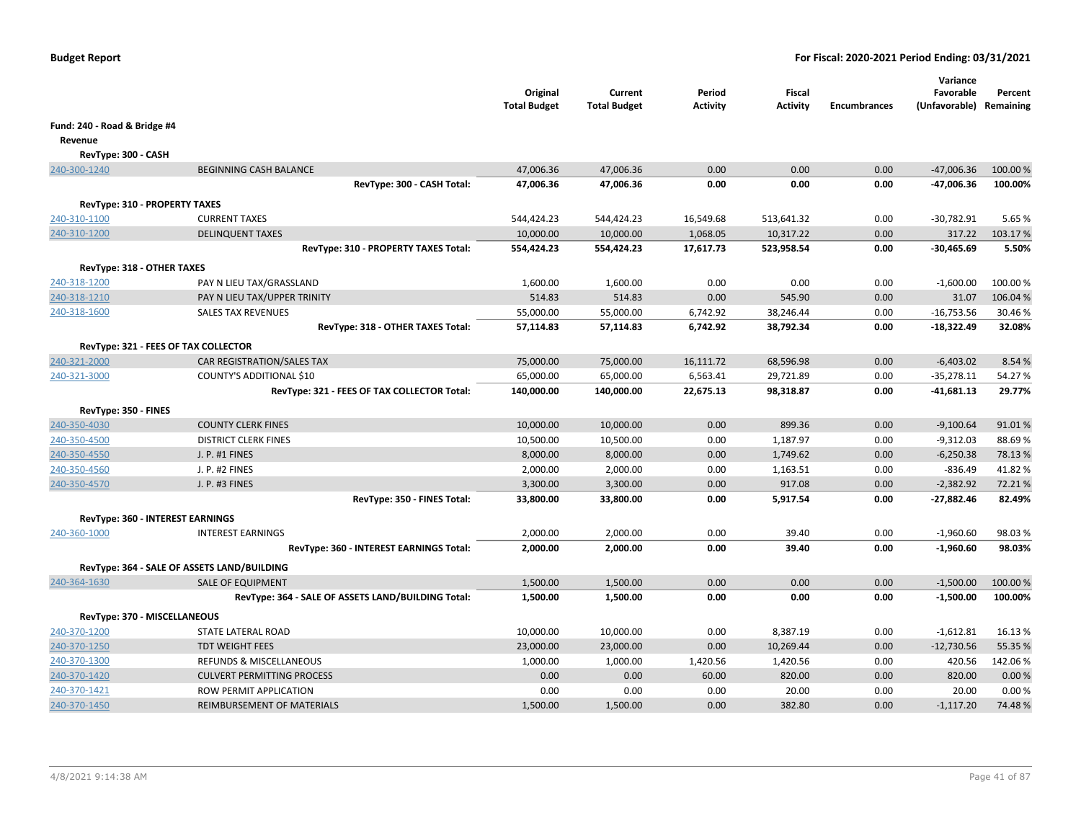|                                             |                                                    | Original<br><b>Total Budget</b> | Current<br><b>Total Budget</b> | Period<br><b>Activity</b> | Fiscal<br><b>Activity</b> | <b>Encumbrances</b> | Variance<br>Favorable<br>(Unfavorable) Remaining | Percent  |
|---------------------------------------------|----------------------------------------------------|---------------------------------|--------------------------------|---------------------------|---------------------------|---------------------|--------------------------------------------------|----------|
| Fund: 240 - Road & Bridge #4                |                                                    |                                 |                                |                           |                           |                     |                                                  |          |
| Revenue                                     |                                                    |                                 |                                |                           |                           |                     |                                                  |          |
| RevType: 300 - CASH                         |                                                    |                                 |                                |                           |                           |                     |                                                  |          |
| 240-300-1240                                | <b>BEGINNING CASH BALANCE</b>                      | 47,006.36                       | 47,006.36                      | 0.00                      | 0.00                      | 0.00                | $-47,006.36$                                     | 100.00%  |
|                                             | RevType: 300 - CASH Total:                         | 47,006.36                       | 47,006.36                      | 0.00                      | 0.00                      | 0.00                | $-47,006.36$                                     | 100.00%  |
| <b>RevType: 310 - PROPERTY TAXES</b>        |                                                    |                                 |                                |                           |                           |                     |                                                  |          |
| 240-310-1100                                | <b>CURRENT TAXES</b>                               | 544,424.23                      | 544,424.23                     | 16,549.68                 | 513,641.32                | 0.00                | $-30,782.91$                                     | 5.65 %   |
| 240-310-1200                                | <b>DELINQUENT TAXES</b>                            | 10,000.00                       | 10,000.00                      | 1,068.05                  | 10,317.22                 | 0.00                | 317.22                                           | 103.17%  |
|                                             | RevType: 310 - PROPERTY TAXES Total:               | 554,424.23                      | 554,424.23                     | 17,617.73                 | 523,958.54                | 0.00                | $-30,465.69$                                     | 5.50%    |
|                                             |                                                    |                                 |                                |                           |                           |                     |                                                  |          |
| RevType: 318 - OTHER TAXES<br>240-318-1200  | PAY N LIEU TAX/GRASSLAND                           |                                 |                                | 0.00                      | 0.00                      | 0.00                | $-1,600.00$                                      | 100.00 % |
| 240-318-1210                                | PAY N LIEU TAX/UPPER TRINITY                       | 1,600.00<br>514.83              | 1,600.00<br>514.83             | 0.00                      | 545.90                    | 0.00                | 31.07                                            | 106.04 % |
| 240-318-1600                                | <b>SALES TAX REVENUES</b>                          | 55,000.00                       | 55,000.00                      | 6,742.92                  | 38,246.44                 | 0.00                | $-16,753.56$                                     | 30.46%   |
|                                             | RevType: 318 - OTHER TAXES Total:                  | 57,114.83                       | 57,114.83                      | 6,742.92                  | 38,792.34                 | 0.00                | $-18,322.49$                                     | 32.08%   |
|                                             |                                                    |                                 |                                |                           |                           |                     |                                                  |          |
| RevType: 321 - FEES OF TAX COLLECTOR        |                                                    |                                 |                                |                           |                           |                     |                                                  |          |
| 240-321-2000                                | CAR REGISTRATION/SALES TAX                         | 75,000.00                       | 75,000.00                      | 16,111.72                 | 68,596.98                 | 0.00                | $-6,403.02$                                      | 8.54 %   |
| 240-321-3000                                | COUNTY'S ADDITIONAL \$10                           | 65,000.00                       | 65,000.00                      | 6,563.41                  | 29,721.89                 | 0.00                | $-35,278.11$                                     | 54.27%   |
|                                             | RevType: 321 - FEES OF TAX COLLECTOR Total:        | 140,000.00                      | 140,000.00                     | 22,675.13                 | 98,318.87                 | 0.00                | $-41,681.13$                                     | 29.77%   |
| RevType: 350 - FINES                        |                                                    |                                 |                                |                           |                           |                     |                                                  |          |
| 240-350-4030                                | <b>COUNTY CLERK FINES</b>                          | 10,000.00                       | 10,000.00                      | 0.00                      | 899.36                    | 0.00                | $-9,100.64$                                      | 91.01%   |
| 240-350-4500                                | <b>DISTRICT CLERK FINES</b>                        | 10,500.00                       | 10,500.00                      | 0.00                      | 1,187.97                  | 0.00                | $-9,312.03$                                      | 88.69%   |
| 240-350-4550                                | J. P. #1 FINES                                     | 8,000.00                        | 8,000.00                       | 0.00                      | 1,749.62                  | 0.00                | $-6,250.38$                                      | 78.13%   |
| 240-350-4560                                | J. P. #2 FINES                                     | 2,000.00                        | 2,000.00                       | 0.00                      | 1,163.51                  | 0.00                | $-836.49$                                        | 41.82%   |
| 240-350-4570                                | J. P. #3 FINES                                     | 3,300.00                        | 3,300.00                       | 0.00                      | 917.08                    | 0.00                | $-2,382.92$                                      | 72.21%   |
|                                             | RevType: 350 - FINES Total:                        | 33,800.00                       | 33,800.00                      | 0.00                      | 5,917.54                  | 0.00                | $-27,882.46$                                     | 82.49%   |
| RevType: 360 - INTEREST EARNINGS            |                                                    |                                 |                                |                           |                           |                     |                                                  |          |
| 240-360-1000                                | <b>INTEREST EARNINGS</b>                           | 2,000.00                        | 2,000.00                       | 0.00                      | 39.40                     | 0.00                | $-1,960.60$                                      | 98.03%   |
|                                             | RevType: 360 - INTEREST EARNINGS Total:            | 2,000.00                        | 2,000.00                       | 0.00                      | 39.40                     | 0.00                | $-1,960.60$                                      | 98.03%   |
| RevType: 364 - SALE OF ASSETS LAND/BUILDING |                                                    |                                 |                                |                           |                           |                     |                                                  |          |
| 240-364-1630                                | <b>SALE OF EQUIPMENT</b>                           | 1,500.00                        | 1,500.00                       | 0.00                      | 0.00                      | 0.00                | $-1,500.00$                                      | 100.00 % |
|                                             | RevType: 364 - SALE OF ASSETS LAND/BUILDING Total: | 1,500.00                        | 1,500.00                       | 0.00                      | 0.00                      | 0.00                | $-1,500.00$                                      | 100.00%  |
| RevType: 370 - MISCELLANEOUS                |                                                    |                                 |                                |                           |                           |                     |                                                  |          |
|                                             | STATE LATERAL ROAD                                 |                                 | 10,000.00                      | 0.00                      | 8,387.19                  | 0.00                | $-1,612.81$                                      | 16.13%   |
| 240-370-1200<br>240-370-1250                | <b>TDT WEIGHT FEES</b>                             | 10,000.00                       |                                | 0.00                      | 10,269.44                 | 0.00                | $-12,730.56$                                     | 55.35 %  |
| 240-370-1300                                | <b>REFUNDS &amp; MISCELLANEOUS</b>                 | 23,000.00<br>1,000.00           | 23,000.00<br>1,000.00          | 1,420.56                  | 1,420.56                  | 0.00                | 420.56                                           | 142.06%  |
| 240-370-1420                                | <b>CULVERT PERMITTING PROCESS</b>                  | 0.00                            | 0.00                           | 60.00                     | 820.00                    | 0.00                | 820.00                                           | 0.00%    |
| 240-370-1421                                | ROW PERMIT APPLICATION                             | 0.00                            | 0.00                           | 0.00                      | 20.00                     | 0.00                | 20.00                                            | 0.00%    |
| 240-370-1450                                | REIMBURSEMENT OF MATERIALS                         | 1,500.00                        | 1,500.00                       | 0.00                      | 382.80                    | 0.00                | $-1,117.20$                                      | 74.48%   |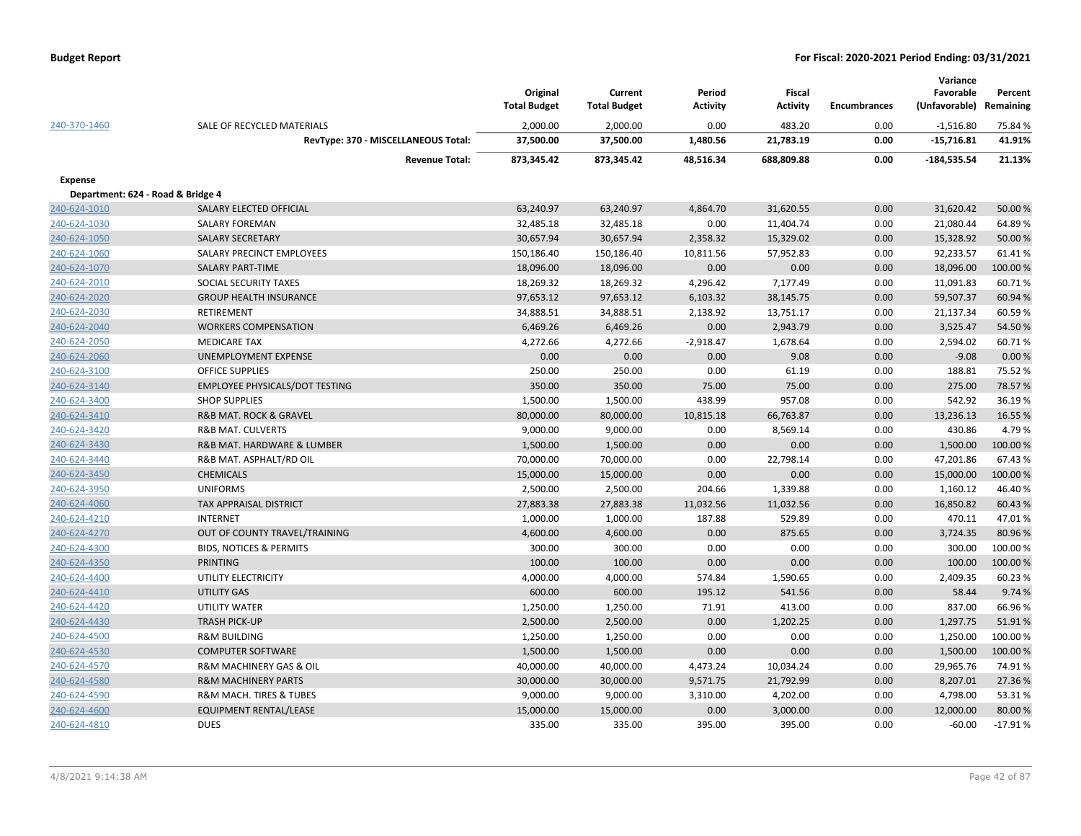|                                   |                                           | Original<br><b>Total Budget</b> | Current<br><b>Total Budget</b> | Period<br><b>Activity</b> | Fiscal<br><b>Activity</b> | <b>Encumbrances</b> | Variance<br>Favorable<br>(Unfavorable) | Percent<br>Remaining |
|-----------------------------------|-------------------------------------------|---------------------------------|--------------------------------|---------------------------|---------------------------|---------------------|----------------------------------------|----------------------|
| 240-370-1460                      | SALE OF RECYCLED MATERIALS                | 2,000.00                        | 2,000.00                       | 0.00                      | 483.20                    | 0.00                | $-1,516.80$                            | 75.84 %              |
|                                   | RevType: 370 - MISCELLANEOUS Total:       | 37,500.00                       | 37,500.00                      | 1,480.56                  | 21,783.19                 | 0.00                | $-15,716.81$                           | 41.91%               |
|                                   | <b>Revenue Total:</b>                     | 873,345.42                      | 873,345.42                     | 48,516.34                 | 688,809.88                | 0.00                | $-184,535.54$                          | 21.13%               |
| <b>Expense</b>                    |                                           |                                 |                                |                           |                           |                     |                                        |                      |
| Department: 624 - Road & Bridge 4 |                                           |                                 |                                |                           |                           |                     |                                        |                      |
| 240-624-1010                      | SALARY ELECTED OFFICIAL                   | 63,240.97                       | 63,240.97                      | 4,864.70                  | 31,620.55                 | 0.00                | 31,620.42                              | 50.00%               |
| 240-624-1030                      | <b>SALARY FOREMAN</b>                     | 32,485.18                       | 32,485.18                      | 0.00                      | 11,404.74                 | 0.00                | 21,080.44                              | 64.89%               |
| 240-624-1050                      | <b>SALARY SECRETARY</b>                   | 30,657.94                       | 30,657.94                      | 2,358.32                  | 15,329.02                 | 0.00                | 15,328.92                              | 50.00 %              |
| 240-624-1060                      | SALARY PRECINCT EMPLOYEES                 | 150,186.40                      | 150,186.40                     | 10,811.56                 | 57,952.83                 | 0.00                | 92,233.57                              | 61.41%               |
| 240-624-1070                      | <b>SALARY PART-TIME</b>                   | 18,096.00                       | 18,096.00                      | 0.00                      | 0.00                      | 0.00                | 18,096.00                              | 100.00 %             |
| 240-624-2010                      | <b>SOCIAL SECURITY TAXES</b>              | 18,269.32                       | 18,269.32                      | 4,296.42                  | 7,177.49                  | 0.00                | 11,091.83                              | 60.71%               |
| 240-624-2020                      | <b>GROUP HEALTH INSURANCE</b>             | 97,653.12                       | 97,653.12                      | 6,103.32                  | 38,145.75                 | 0.00                | 59,507.37                              | 60.94 %              |
| 240-624-2030                      | <b>RETIREMENT</b>                         | 34,888.51                       | 34,888.51                      | 2,138.92                  | 13,751.17                 | 0.00                | 21,137.34                              | 60.59%               |
| 240-624-2040                      | <b>WORKERS COMPENSATION</b>               | 6,469.26                        | 6,469.26                       | 0.00                      | 2,943.79                  | 0.00                | 3,525.47                               | 54.50%               |
| 240-624-2050                      | <b>MEDICARE TAX</b>                       | 4,272.66                        | 4,272.66                       | $-2,918.47$               | 1,678.64                  | 0.00                | 2,594.02                               | 60.71%               |
| 240-624-2060                      | <b>UNEMPLOYMENT EXPENSE</b>               | 0.00                            | 0.00                           | 0.00                      | 9.08                      | 0.00                | $-9.08$                                | 0.00 %               |
| 240-624-3100                      | <b>OFFICE SUPPLIES</b>                    | 250.00                          | 250.00                         | 0.00                      | 61.19                     | 0.00                | 188.81                                 | 75.52 %              |
| 240-624-3140                      | <b>EMPLOYEE PHYSICALS/DOT TESTING</b>     | 350.00                          | 350.00                         | 75.00                     | 75.00                     | 0.00                | 275.00                                 | 78.57%               |
| 240-624-3400                      | <b>SHOP SUPPLIES</b>                      | 1,500.00                        | 1,500.00                       | 438.99                    | 957.08                    | 0.00                | 542.92                                 | 36.19%               |
| 240-624-3410                      | R&B MAT. ROCK & GRAVEL                    | 80,000.00                       | 80,000.00                      | 10,815.18                 | 66,763.87                 | 0.00                | 13,236.13                              | 16.55 %              |
| 240-624-3420                      | <b>R&amp;B MAT. CULVERTS</b>              | 9,000.00                        | 9,000.00                       | 0.00                      | 8,569.14                  | 0.00                | 430.86                                 | 4.79%                |
| 240-624-3430                      | <b>R&amp;B MAT. HARDWARE &amp; LUMBER</b> | 1,500.00                        | 1,500.00                       | 0.00                      | 0.00                      | 0.00                | 1,500.00                               | 100.00%              |
| 240-624-3440                      | R&B MAT. ASPHALT/RD OIL                   | 70,000.00                       | 70,000.00                      | 0.00                      | 22,798.14                 | 0.00                | 47,201.86                              | 67.43%               |
| 240-624-3450                      | <b>CHEMICALS</b>                          | 15,000.00                       | 15,000.00                      | 0.00                      | 0.00                      | 0.00                | 15,000.00                              | 100.00 %             |
| 240-624-3950                      | <b>UNIFORMS</b>                           | 2,500.00                        | 2,500.00                       | 204.66                    | 1,339.88                  | 0.00                | 1,160.12                               | 46.40%               |
| 240-624-4060                      | <b>TAX APPRAISAL DISTRICT</b>             | 27,883.38                       | 27,883.38                      | 11,032.56                 | 11,032.56                 | 0.00                | 16,850.82                              | 60.43%               |
| 240-624-4210                      | <b>INTERNET</b>                           | 1,000.00                        | 1,000.00                       | 187.88                    | 529.89                    | 0.00                | 470.11                                 | 47.01%               |
| 240-624-4270                      | OUT OF COUNTY TRAVEL/TRAINING             | 4,600.00                        | 4,600.00                       | 0.00                      | 875.65                    | 0.00                | 3,724.35                               | 80.96%               |
| 240-624-4300                      | <b>BIDS, NOTICES &amp; PERMITS</b>        | 300.00                          | 300.00                         | 0.00                      | 0.00                      | 0.00                | 300.00                                 | 100.00%              |
| 240-624-4350                      | <b>PRINTING</b>                           | 100.00                          | 100.00                         | 0.00                      | 0.00                      | 0.00                | 100.00                                 | 100.00 %             |
| 240-624-4400                      | UTILITY ELECTRICITY                       | 4,000.00                        | 4,000.00                       | 574.84                    | 1,590.65                  | 0.00                | 2,409.35                               | 60.23%               |
| 240-624-4410                      | UTILITY GAS                               | 600.00                          | 600.00                         | 195.12                    | 541.56                    | 0.00                | 58.44                                  | 9.74 %               |
| 240-624-4420                      | <b>UTILITY WATER</b>                      | 1,250.00                        | 1,250.00                       | 71.91                     | 413.00                    | 0.00                | 837.00                                 | 66.96%               |
| 240-624-4430                      | <b>TRASH PICK-UP</b>                      | 2,500.00                        | 2,500.00                       | 0.00                      | 1,202.25                  | 0.00                | 1,297.75                               | 51.91%               |
| 240-624-4500                      | <b>R&amp;M BUILDING</b>                   | 1,250.00                        | 1,250.00                       | 0.00                      | 0.00                      | 0.00                | 1,250.00                               | 100.00%              |
| 240-624-4530                      | <b>COMPUTER SOFTWARE</b>                  | 1,500.00                        | 1,500.00                       | 0.00                      | 0.00                      | 0.00                | 1,500.00                               | 100.00 %             |
| 240-624-4570                      | <b>R&amp;M MACHINERY GAS &amp; OIL</b>    | 40,000.00                       | 40,000.00                      | 4,473.24                  | 10,034.24                 | 0.00                | 29,965.76                              | 74.91%               |
| 240-624-4580                      | <b>R&amp;M MACHINERY PARTS</b>            | 30,000.00                       | 30,000.00                      | 9,571.75                  | 21,792.99                 | 0.00                | 8,207.01                               | 27.36 %              |
| 240-624-4590                      | R&M MACH. TIRES & TUBES                   | 9,000.00                        | 9,000.00                       | 3,310.00                  | 4,202.00                  | 0.00                | 4,798.00                               | 53.31%               |
| 240-624-4600                      | <b>EQUIPMENT RENTAL/LEASE</b>             | 15,000.00                       | 15,000.00                      | 0.00                      | 3,000.00                  | 0.00                | 12,000.00                              | 80.00 %              |
| 240-624-4810                      | <b>DUES</b>                               | 335.00                          | 335.00                         | 395.00                    | 395.00                    | 0.00                | $-60.00$                               | $-17.91%$            |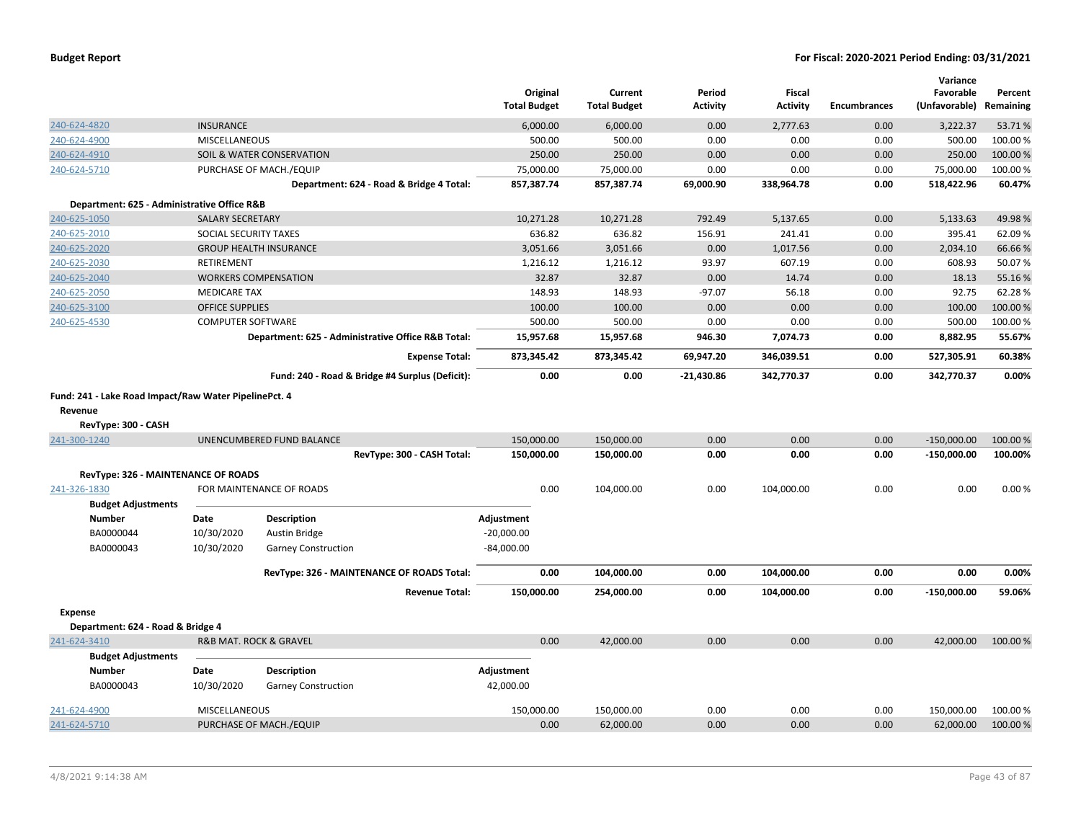|                                                       |                          |                                                    | Original<br><b>Total Budget</b> | Current<br><b>Total Budget</b> | Period<br><b>Activity</b> | <b>Fiscal</b><br><b>Activity</b> | <b>Encumbrances</b> | Variance<br>Favorable<br>(Unfavorable) | Percent<br>Remaining |
|-------------------------------------------------------|--------------------------|----------------------------------------------------|---------------------------------|--------------------------------|---------------------------|----------------------------------|---------------------|----------------------------------------|----------------------|
| 240-624-4820                                          | <b>INSURANCE</b>         |                                                    | 6,000.00                        | 6,000.00                       | 0.00                      | 2,777.63                         | 0.00                | 3,222.37                               | 53.71%               |
| 240-624-4900                                          | <b>MISCELLANEOUS</b>     |                                                    | 500.00                          | 500.00                         | 0.00                      | 0.00                             | 0.00                | 500.00                                 | 100.00%              |
| 240-624-4910                                          |                          | SOIL & WATER CONSERVATION                          | 250.00                          | 250.00                         | 0.00                      | 0.00                             | 0.00                | 250.00                                 | 100.00%              |
| 240-624-5710                                          |                          | PURCHASE OF MACH./EQUIP                            | 75,000.00                       | 75,000.00                      | 0.00                      | 0.00                             | 0.00                | 75,000.00                              | 100.00%              |
|                                                       |                          | Department: 624 - Road & Bridge 4 Total:           | 857,387.74                      | 857,387.74                     | 69,000.90                 | 338,964.78                       | 0.00                | 518,422.96                             | 60.47%               |
| Department: 625 - Administrative Office R&B           |                          |                                                    |                                 |                                |                           |                                  |                     |                                        |                      |
| 240-625-1050                                          | <b>SALARY SECRETARY</b>  |                                                    | 10,271.28                       | 10,271.28                      | 792.49                    | 5,137.65                         | 0.00                | 5,133.63                               | 49.98%               |
| 240-625-2010                                          | SOCIAL SECURITY TAXES    |                                                    | 636.82                          | 636.82                         | 156.91                    | 241.41                           | 0.00                | 395.41                                 | 62.09%               |
| 240-625-2020                                          |                          | <b>GROUP HEALTH INSURANCE</b>                      | 3,051.66                        | 3,051.66                       | 0.00                      | 1,017.56                         | 0.00                | 2,034.10                               | 66.66%               |
| 240-625-2030                                          | RETIREMENT               |                                                    | 1,216.12                        | 1,216.12                       | 93.97                     | 607.19                           | 0.00                | 608.93                                 | 50.07%               |
| 240-625-2040                                          |                          | <b>WORKERS COMPENSATION</b>                        | 32.87                           | 32.87                          | 0.00                      | 14.74                            | 0.00                | 18.13                                  | 55.16%               |
| 240-625-2050                                          | <b>MEDICARE TAX</b>      |                                                    | 148.93                          | 148.93                         | $-97.07$                  | 56.18                            | 0.00                | 92.75                                  | 62.28%               |
| 240-625-3100                                          | <b>OFFICE SUPPLIES</b>   |                                                    | 100.00                          | 100.00                         | 0.00                      | 0.00                             | 0.00                | 100.00                                 | 100.00%              |
| 240-625-4530                                          | <b>COMPUTER SOFTWARE</b> |                                                    | 500.00                          | 500.00                         | 0.00                      | 0.00                             | 0.00                | 500.00                                 | 100.00 %             |
|                                                       |                          | Department: 625 - Administrative Office R&B Total: | 15,957.68                       | 15,957.68                      | 946.30                    | 7,074.73                         | 0.00                | 8,882.95                               | 55.67%               |
|                                                       |                          | <b>Expense Total:</b>                              | 873,345.42                      | 873,345.42                     | 69,947.20                 | 346,039.51                       | 0.00                | 527,305.91                             | 60.38%               |
|                                                       |                          | Fund: 240 - Road & Bridge #4 Surplus (Deficit):    | 0.00                            | 0.00                           | $-21,430.86$              | 342,770.37                       | 0.00                | 342,770.37                             | 0.00%                |
| Fund: 241 - Lake Road Impact/Raw Water PipelinePct. 4 |                          |                                                    |                                 |                                |                           |                                  |                     |                                        |                      |
| Revenue                                               |                          |                                                    |                                 |                                |                           |                                  |                     |                                        |                      |
| RevType: 300 - CASH                                   |                          |                                                    |                                 |                                |                           |                                  |                     |                                        |                      |
| 241-300-1240                                          |                          | UNENCUMBERED FUND BALANCE                          | 150,000.00                      | 150,000.00                     | 0.00                      | 0.00                             | 0.00                | $-150,000.00$                          | 100.00 %             |
|                                                       |                          | RevType: 300 - CASH Total:                         | 150,000.00                      | 150,000.00                     | 0.00                      | 0.00                             | 0.00                | $-150,000.00$                          | 100.00%              |
| RevType: 326 - MAINTENANCE OF ROADS                   |                          |                                                    |                                 |                                |                           |                                  |                     |                                        |                      |
| 241-326-1830                                          |                          | FOR MAINTENANCE OF ROADS                           | 0.00                            | 104,000.00                     | 0.00                      | 104,000.00                       | 0.00                | 0.00                                   | 0.00%                |
| <b>Budget Adjustments</b>                             |                          |                                                    |                                 |                                |                           |                                  |                     |                                        |                      |
| <b>Number</b>                                         | Date                     | <b>Description</b>                                 | Adjustment                      |                                |                           |                                  |                     |                                        |                      |
| BA0000044                                             | 10/30/2020               | Austin Bridge                                      | $-20,000.00$                    |                                |                           |                                  |                     |                                        |                      |
| BA0000043                                             | 10/30/2020               | <b>Garney Construction</b>                         | $-84,000.00$                    |                                |                           |                                  |                     |                                        |                      |
|                                                       |                          | RevType: 326 - MAINTENANCE OF ROADS Total:         | 0.00                            | 104,000.00                     | 0.00                      | 104,000.00                       | 0.00                | 0.00                                   | 0.00%                |
|                                                       |                          | <b>Revenue Total:</b>                              | 150,000.00                      | 254,000.00                     | 0.00                      | 104,000.00                       | 0.00                | $-150,000.00$                          | 59.06%               |
| <b>Expense</b>                                        |                          |                                                    |                                 |                                |                           |                                  |                     |                                        |                      |
| Department: 624 - Road & Bridge 4                     |                          |                                                    |                                 |                                |                           |                                  |                     |                                        |                      |
| 241-624-3410                                          |                          | <b>R&amp;B MAT. ROCK &amp; GRAVEL</b>              | 0.00                            | 42,000.00                      | 0.00                      | 0.00                             | 0.00                | 42,000.00                              | 100.00 %             |
| <b>Budget Adjustments</b>                             |                          |                                                    |                                 |                                |                           |                                  |                     |                                        |                      |
| <b>Number</b>                                         | Date                     | <b>Description</b>                                 | Adjustment                      |                                |                           |                                  |                     |                                        |                      |
| BA0000043                                             | 10/30/2020               | <b>Garney Construction</b>                         | 42,000.00                       |                                |                           |                                  |                     |                                        |                      |
| 241-624-4900                                          | <b>MISCELLANEOUS</b>     |                                                    | 150,000.00                      | 150,000.00                     | 0.00                      | 0.00                             | 0.00                | 150,000.00                             | 100.00%              |
| 241-624-5710                                          |                          | PURCHASE OF MACH./EQUIP                            | 0.00                            | 62,000.00                      | 0.00                      | 0.00                             | 0.00                | 62,000.00                              | 100.00 %             |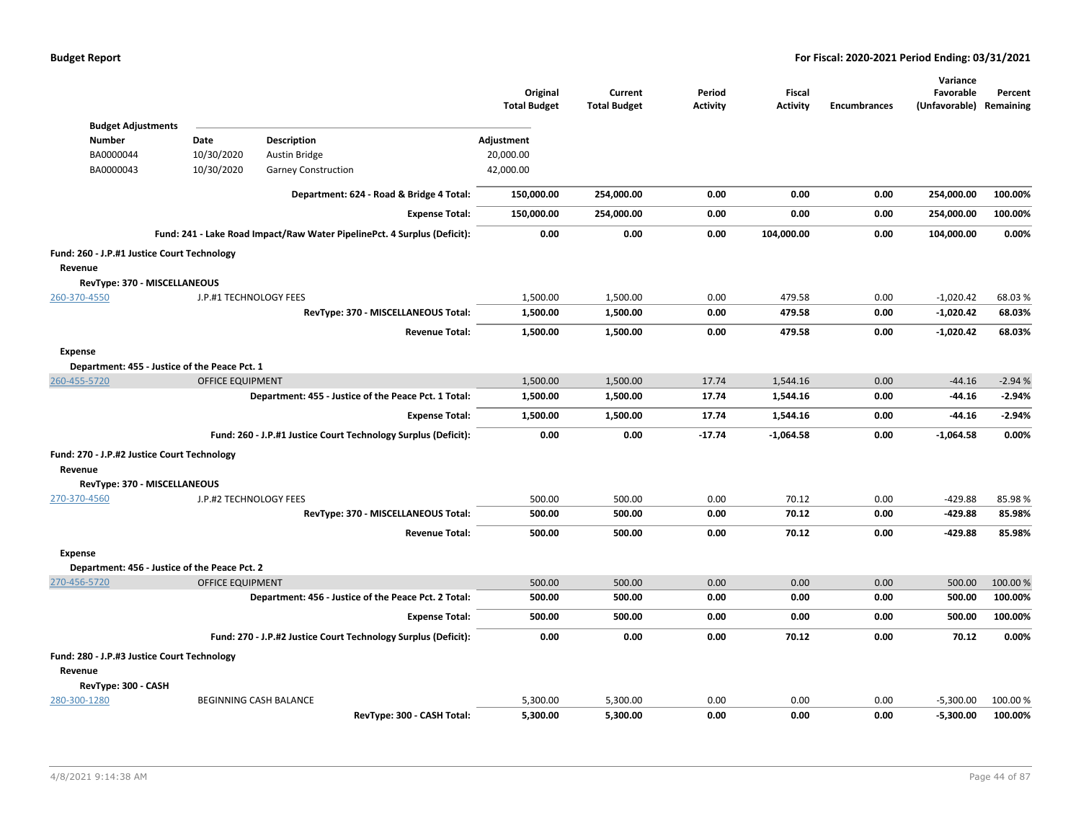|                                                        |                         |                                                                          | Original<br><b>Total Budget</b> | Current<br><b>Total Budget</b> | Period<br><b>Activity</b> | <b>Fiscal</b><br><b>Activity</b> | <b>Encumbrances</b> | Variance<br>Favorable<br>(Unfavorable) Remaining | Percent  |
|--------------------------------------------------------|-------------------------|--------------------------------------------------------------------------|---------------------------------|--------------------------------|---------------------------|----------------------------------|---------------------|--------------------------------------------------|----------|
| <b>Budget Adjustments</b><br><b>Number</b>             | Date                    | Description                                                              | Adjustment                      |                                |                           |                                  |                     |                                                  |          |
| BA0000044                                              | 10/30/2020              | <b>Austin Bridge</b>                                                     | 20,000.00                       |                                |                           |                                  |                     |                                                  |          |
| BA0000043                                              | 10/30/2020              | <b>Garney Construction</b>                                               | 42,000.00                       |                                |                           |                                  |                     |                                                  |          |
|                                                        |                         |                                                                          |                                 |                                |                           |                                  |                     |                                                  |          |
|                                                        |                         | Department: 624 - Road & Bridge 4 Total:                                 | 150,000.00                      | 254,000.00                     | 0.00                      | 0.00                             | 0.00                | 254,000.00                                       | 100.00%  |
|                                                        |                         | <b>Expense Total:</b>                                                    | 150,000.00                      | 254,000.00                     | 0.00                      | 0.00                             | 0.00                | 254,000.00                                       | 100.00%  |
|                                                        |                         | Fund: 241 - Lake Road Impact/Raw Water PipelinePct. 4 Surplus (Deficit): | 0.00                            | 0.00                           | 0.00                      | 104,000.00                       | 0.00                | 104,000.00                                       | 0.00%    |
| Fund: 260 - J.P.#1 Justice Court Technology<br>Revenue |                         |                                                                          |                                 |                                |                           |                                  |                     |                                                  |          |
| RevType: 370 - MISCELLANEOUS                           |                         |                                                                          |                                 |                                |                           |                                  |                     |                                                  |          |
| 260-370-4550                                           | J.P.#1 TECHNOLOGY FEES  |                                                                          | 1,500.00                        | 1,500.00                       | 0.00                      | 479.58                           | 0.00                | $-1,020.42$                                      | 68.03%   |
|                                                        |                         | RevType: 370 - MISCELLANEOUS Total:                                      | 1,500.00                        | 1,500.00                       | 0.00                      | 479.58                           | 0.00                | $-1,020.42$                                      | 68.03%   |
|                                                        |                         | <b>Revenue Total:</b>                                                    | 1,500.00                        | 1,500.00                       | 0.00                      | 479.58                           | 0.00                | $-1,020.42$                                      | 68.03%   |
| <b>Expense</b>                                         |                         |                                                                          |                                 |                                |                           |                                  |                     |                                                  |          |
| Department: 455 - Justice of the Peace Pct. 1          |                         |                                                                          |                                 |                                |                           |                                  |                     |                                                  |          |
| 260-455-5720                                           | <b>OFFICE EQUIPMENT</b> |                                                                          | 1,500.00                        | 1,500.00                       | 17.74                     | 1,544.16                         | 0.00                | $-44.16$                                         | $-2.94%$ |
|                                                        |                         | Department: 455 - Justice of the Peace Pct. 1 Total:                     | 1,500.00                        | 1,500.00                       | 17.74                     | 1,544.16                         | 0.00                | $-44.16$                                         | $-2.94%$ |
|                                                        |                         | <b>Expense Total:</b>                                                    | 1,500.00                        | 1,500.00                       | 17.74                     | 1,544.16                         | 0.00                | $-44.16$                                         | $-2.94%$ |
|                                                        |                         | Fund: 260 - J.P.#1 Justice Court Technology Surplus (Deficit):           | 0.00                            | 0.00                           | $-17.74$                  | $-1,064.58$                      | 0.00                | $-1,064.58$                                      | 0.00%    |
| Fund: 270 - J.P.#2 Justice Court Technology<br>Revenue |                         |                                                                          |                                 |                                |                           |                                  |                     |                                                  |          |
| RevType: 370 - MISCELLANEOUS                           |                         |                                                                          |                                 |                                |                           |                                  |                     |                                                  |          |
| 270-370-4560                                           | J.P.#2 TECHNOLOGY FEES  |                                                                          | 500.00                          | 500.00                         | 0.00                      | 70.12                            | 0.00                | $-429.88$                                        | 85.98%   |
|                                                        |                         | RevType: 370 - MISCELLANEOUS Total:                                      | 500.00                          | 500.00                         | 0.00                      | 70.12                            | 0.00                | $-429.88$                                        | 85.98%   |
|                                                        |                         | <b>Revenue Total:</b>                                                    | 500.00                          | 500.00                         | 0.00                      | 70.12                            | 0.00                | $-429.88$                                        | 85.98%   |
| <b>Expense</b>                                         |                         |                                                                          |                                 |                                |                           |                                  |                     |                                                  |          |
| Department: 456 - Justice of the Peace Pct. 2          |                         |                                                                          |                                 |                                |                           |                                  |                     |                                                  |          |
| 270-456-5720                                           | <b>OFFICE EQUIPMENT</b> |                                                                          | 500.00                          | 500.00                         | 0.00                      | 0.00                             | 0.00                | 500.00                                           | 100.00 % |
|                                                        |                         | Department: 456 - Justice of the Peace Pct. 2 Total:                     | 500.00                          | 500.00                         | 0.00                      | 0.00                             | 0.00                | 500.00                                           | 100.00%  |
|                                                        |                         | <b>Expense Total:</b>                                                    | 500.00                          | 500.00                         | 0.00                      | 0.00                             | 0.00                | 500.00                                           | 100.00%  |
|                                                        |                         | Fund: 270 - J.P.#2 Justice Court Technology Surplus (Deficit):           | 0.00                            | 0.00                           | 0.00                      | 70.12                            | 0.00                | 70.12                                            | 0.00%    |
| Fund: 280 - J.P.#3 Justice Court Technology            |                         |                                                                          |                                 |                                |                           |                                  |                     |                                                  |          |
| Revenue                                                |                         |                                                                          |                                 |                                |                           |                                  |                     |                                                  |          |
| RevType: 300 - CASH                                    |                         |                                                                          |                                 |                                |                           |                                  |                     |                                                  |          |
| 280-300-1280                                           |                         | <b>BEGINNING CASH BALANCE</b>                                            | 5,300.00                        | 5,300.00                       | 0.00                      | 0.00                             | 0.00                | $-5,300.00$                                      | 100.00 % |
|                                                        |                         | RevType: 300 - CASH Total:                                               | 5,300.00                        | 5,300.00                       | 0.00                      | 0.00                             | 0.00                | $-5,300.00$                                      | 100.00%  |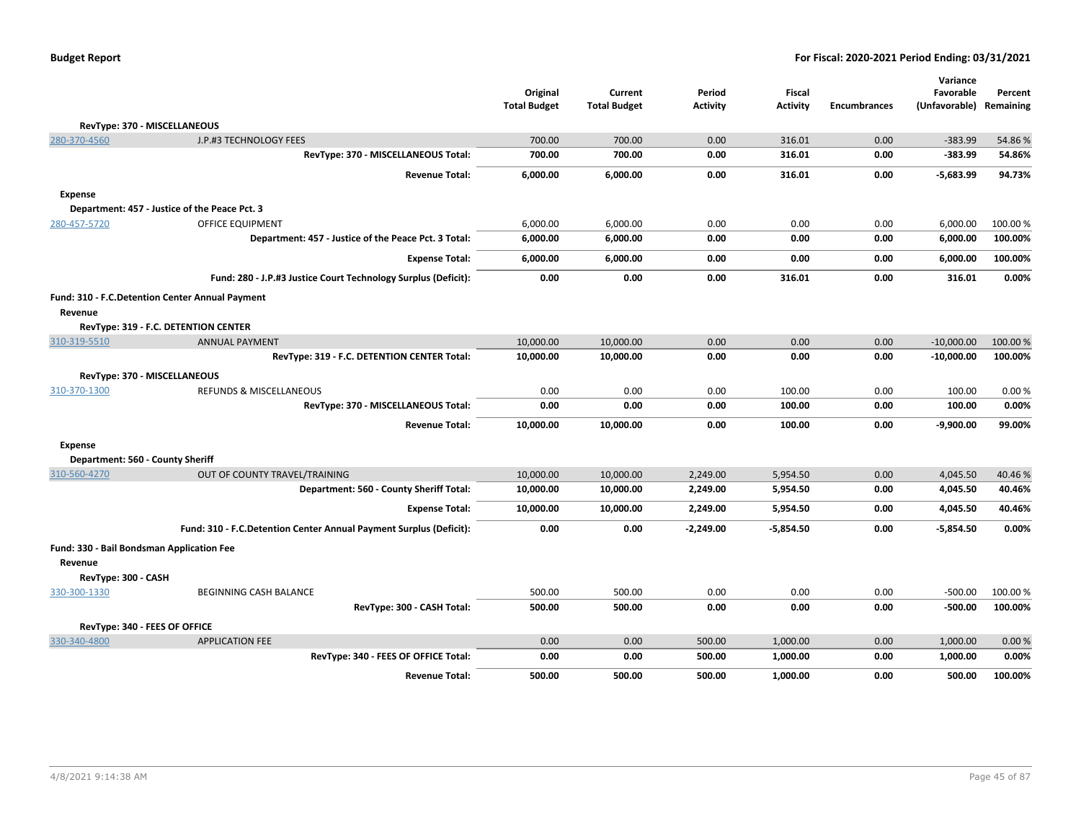|                                                            |                                                                    | Original            | Current             | Period          | <b>Fiscal</b>   |                     | Variance<br>Favorable | Percent   |
|------------------------------------------------------------|--------------------------------------------------------------------|---------------------|---------------------|-----------------|-----------------|---------------------|-----------------------|-----------|
|                                                            |                                                                    | <b>Total Budget</b> | <b>Total Budget</b> | <b>Activity</b> | <b>Activity</b> | <b>Encumbrances</b> | (Unfavorable)         | Remaining |
| RevType: 370 - MISCELLANEOUS                               |                                                                    |                     |                     |                 |                 |                     |                       |           |
| 280-370-4560                                               | J.P.#3 TECHNOLOGY FEES                                             | 700.00              | 700.00              | 0.00            | 316.01          | 0.00                | $-383.99$             | 54.86%    |
|                                                            | RevType: 370 - MISCELLANEOUS Total:                                | 700.00              | 700.00              | 0.00            | 316.01          | 0.00                | $-383.99$             | 54.86%    |
|                                                            | <b>Revenue Total:</b>                                              | 6,000.00            | 6,000.00            | 0.00            | 316.01          | 0.00                | $-5,683.99$           | 94.73%    |
| <b>Expense</b>                                             |                                                                    |                     |                     |                 |                 |                     |                       |           |
|                                                            | Department: 457 - Justice of the Peace Pct. 3                      |                     |                     |                 |                 |                     |                       |           |
| 280-457-5720                                               | <b>OFFICE EQUIPMENT</b>                                            | 6,000.00            | 6,000.00            | 0.00            | 0.00            | 0.00                | 6,000.00              | 100.00%   |
|                                                            | Department: 457 - Justice of the Peace Pct. 3 Total:               | 6,000.00            | 6,000.00            | 0.00            | 0.00            | 0.00                | 6,000.00              | 100.00%   |
|                                                            | <b>Expense Total:</b>                                              | 6,000.00            | 6,000.00            | 0.00            | 0.00            | 0.00                | 6,000.00              | 100.00%   |
|                                                            | Fund: 280 - J.P.#3 Justice Court Technology Surplus (Deficit):     | 0.00                | 0.00                | 0.00            | 316.01          | 0.00                | 316.01                | 0.00%     |
| Fund: 310 - F.C.Detention Center Annual Payment<br>Revenue |                                                                    |                     |                     |                 |                 |                     |                       |           |
| RevType: 319 - F.C. DETENTION CENTER                       |                                                                    |                     |                     |                 |                 |                     |                       |           |
| 310-319-5510                                               | <b>ANNUAL PAYMENT</b>                                              | 10,000.00           | 10,000.00           | 0.00            | 0.00            | 0.00                | $-10,000.00$          | 100.00 %  |
|                                                            | RevType: 319 - F.C. DETENTION CENTER Total:                        | 10,000.00           | 10,000.00           | 0.00            | 0.00            | 0.00                | $-10,000.00$          | 100.00%   |
| RevType: 370 - MISCELLANEOUS                               |                                                                    |                     |                     |                 |                 |                     |                       |           |
| 310-370-1300                                               | <b>REFUNDS &amp; MISCELLANEOUS</b>                                 | 0.00                | 0.00                | 0.00            | 100.00          | 0.00                | 100.00                | 0.00%     |
|                                                            | RevType: 370 - MISCELLANEOUS Total:                                | 0.00                | 0.00                | 0.00            | 100.00          | 0.00                | 100.00                | 0.00%     |
|                                                            | <b>Revenue Total:</b>                                              | 10,000.00           | 10,000.00           | 0.00            | 100.00          | 0.00                | $-9,900.00$           | 99.00%    |
| <b>Expense</b>                                             |                                                                    |                     |                     |                 |                 |                     |                       |           |
| Department: 560 - County Sheriff                           |                                                                    |                     |                     |                 |                 |                     |                       |           |
| 310-560-4270                                               | OUT OF COUNTY TRAVEL/TRAINING                                      | 10,000.00           | 10,000.00           | 2,249.00        | 5,954.50        | 0.00                | 4,045.50              | 40.46%    |
|                                                            | Department: 560 - County Sheriff Total:                            | 10,000.00           | 10,000.00           | 2,249.00        | 5,954.50        | 0.00                | 4,045.50              | 40.46%    |
|                                                            | <b>Expense Total:</b>                                              | 10,000.00           | 10,000.00           | 2,249.00        | 5,954.50        | 0.00                | 4,045.50              | 40.46%    |
|                                                            | Fund: 310 - F.C.Detention Center Annual Payment Surplus (Deficit): | 0.00                | 0.00                | $-2,249.00$     | $-5,854.50$     | 0.00                | $-5,854.50$           | 0.00%     |
| Fund: 330 - Bail Bondsman Application Fee<br>Revenue       |                                                                    |                     |                     |                 |                 |                     |                       |           |
| RevType: 300 - CASH                                        |                                                                    |                     |                     |                 |                 |                     |                       |           |
| 330-300-1330                                               | <b>BEGINNING CASH BALANCE</b>                                      | 500.00              | 500.00              | 0.00            | 0.00            | 0.00                | $-500.00$             | 100.00%   |
|                                                            | RevType: 300 - CASH Total:                                         | 500.00              | 500.00              | 0.00            | 0.00            | 0.00                | $-500.00$             | 100.00%   |
| RevType: 340 - FEES OF OFFICE                              |                                                                    |                     |                     |                 |                 |                     |                       |           |
| 330-340-4800                                               | <b>APPLICATION FEE</b>                                             | 0.00                | 0.00                | 500.00          | 1,000.00        | 0.00                | 1,000.00              | 0.00%     |
|                                                            | RevType: 340 - FEES OF OFFICE Total:                               | 0.00                | 0.00                | 500.00          | 1,000.00        | 0.00                | 1,000.00              | 0.00%     |
|                                                            | <b>Revenue Total:</b>                                              | 500.00              | 500.00              | 500.00          | 1,000.00        | 0.00                | 500.00                | 100.00%   |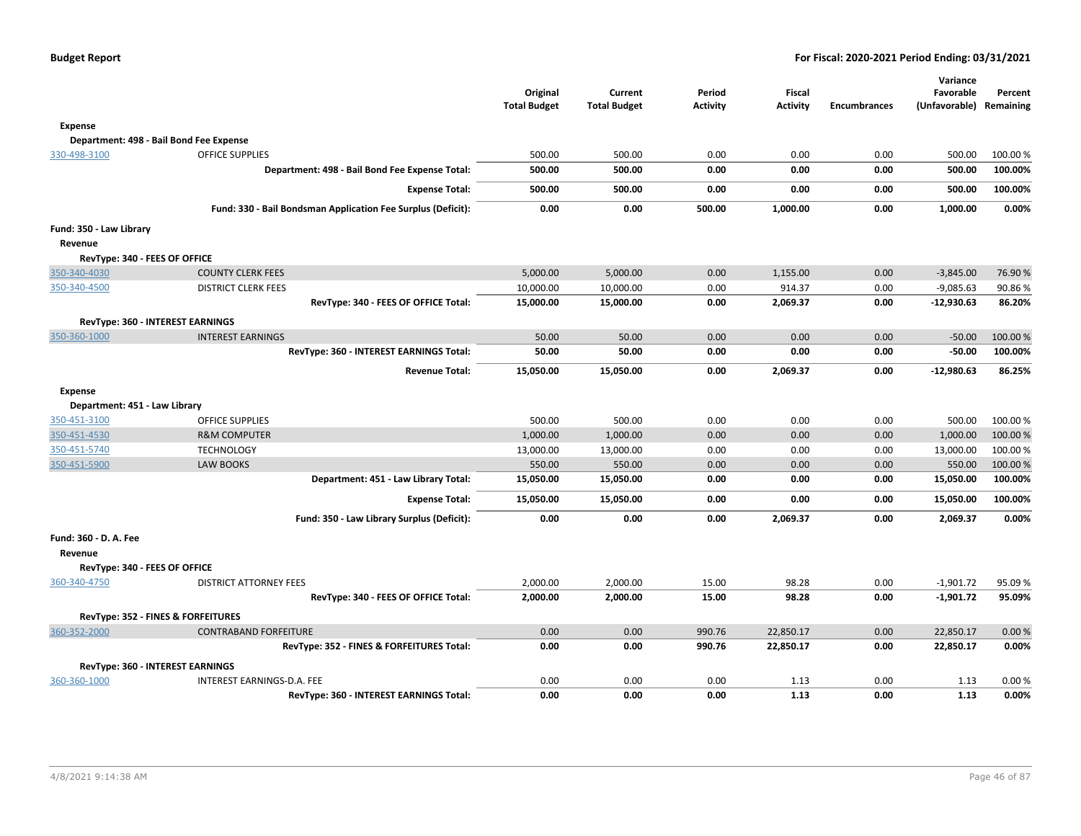|                               |                                                              | Original<br><b>Total Budget</b> | Current<br><b>Total Budget</b> | Period<br><b>Activity</b> | <b>Fiscal</b><br><b>Activity</b> | <b>Encumbrances</b> | Variance<br>Favorable<br>(Unfavorable) Remaining | Percent  |
|-------------------------------|--------------------------------------------------------------|---------------------------------|--------------------------------|---------------------------|----------------------------------|---------------------|--------------------------------------------------|----------|
| Expense                       |                                                              |                                 |                                |                           |                                  |                     |                                                  |          |
|                               | Department: 498 - Bail Bond Fee Expense                      |                                 |                                |                           |                                  |                     |                                                  |          |
| 330-498-3100                  | <b>OFFICE SUPPLIES</b>                                       | 500.00                          | 500.00                         | 0.00                      | 0.00                             | 0.00                | 500.00                                           | 100.00 % |
|                               | Department: 498 - Bail Bond Fee Expense Total:               | 500.00                          | 500.00                         | 0.00                      | 0.00                             | 0.00                | 500.00                                           | 100.00%  |
|                               | <b>Expense Total:</b>                                        | 500.00                          | 500.00                         | 0.00                      | 0.00                             | 0.00                | 500.00                                           | 100.00%  |
|                               | Fund: 330 - Bail Bondsman Application Fee Surplus (Deficit): | 0.00                            | 0.00                           | 500.00                    | 1,000.00                         | 0.00                | 1,000.00                                         | 0.00%    |
| Fund: 350 - Law Library       |                                                              |                                 |                                |                           |                                  |                     |                                                  |          |
| Revenue                       |                                                              |                                 |                                |                           |                                  |                     |                                                  |          |
| RevType: 340 - FEES OF OFFICE |                                                              |                                 |                                |                           |                                  |                     |                                                  |          |
| 350-340-4030                  | <b>COUNTY CLERK FEES</b>                                     | 5,000.00                        | 5,000.00                       | 0.00                      | 1,155.00                         | 0.00                | $-3,845.00$                                      | 76.90%   |
| 350-340-4500                  | <b>DISTRICT CLERK FEES</b>                                   | 10,000.00                       | 10,000.00                      | 0.00                      | 914.37                           | 0.00                | $-9,085.63$                                      | 90.86%   |
|                               | RevType: 340 - FEES OF OFFICE Total:                         | 15,000.00                       | 15,000.00                      | 0.00                      | 2,069.37                         | 0.00                | $-12,930.63$                                     | 86.20%   |
|                               | RevType: 360 - INTEREST EARNINGS                             |                                 |                                |                           |                                  |                     |                                                  |          |
| 350-360-1000                  | <b>INTEREST EARNINGS</b>                                     | 50.00                           | 50.00                          | 0.00                      | 0.00                             | 0.00                | $-50.00$                                         | 100.00%  |
|                               | RevType: 360 - INTEREST EARNINGS Total:                      | 50.00                           | 50.00                          | 0.00                      | 0.00                             | 0.00                | $-50.00$                                         | 100.00%  |
|                               | <b>Revenue Total:</b>                                        | 15,050.00                       | 15,050.00                      | 0.00                      | 2,069.37                         | 0.00                | $-12,980.63$                                     | 86.25%   |
| <b>Expense</b>                |                                                              |                                 |                                |                           |                                  |                     |                                                  |          |
| Department: 451 - Law Library |                                                              |                                 |                                |                           |                                  |                     |                                                  |          |
| 350-451-3100                  | <b>OFFICE SUPPLIES</b>                                       | 500.00                          | 500.00                         | 0.00                      | 0.00                             | 0.00                | 500.00                                           | 100.00 % |
| 350-451-4530                  | <b>R&amp;M COMPUTER</b>                                      | 1,000.00                        | 1,000.00                       | 0.00                      | 0.00                             | 0.00                | 1,000.00                                         | 100.00 % |
| 350-451-5740                  | <b>TECHNOLOGY</b>                                            | 13,000.00                       | 13,000.00                      | 0.00                      | 0.00                             | 0.00                | 13,000.00                                        | 100.00 % |
| 350-451-5900                  | <b>LAW BOOKS</b>                                             | 550.00                          | 550.00                         | 0.00                      | 0.00                             | 0.00                | 550.00                                           | 100.00 % |
|                               | Department: 451 - Law Library Total:                         | 15,050.00                       | 15,050.00                      | 0.00                      | 0.00                             | 0.00                | 15,050.00                                        | 100.00%  |
|                               | <b>Expense Total:</b>                                        | 15,050.00                       | 15,050.00                      | 0.00                      | 0.00                             | 0.00                | 15,050.00                                        | 100.00%  |
|                               | Fund: 350 - Law Library Surplus (Deficit):                   | 0.00                            | 0.00                           | 0.00                      | 2,069.37                         | 0.00                | 2,069.37                                         | 0.00%    |
| Fund: 360 - D. A. Fee         |                                                              |                                 |                                |                           |                                  |                     |                                                  |          |
| Revenue                       |                                                              |                                 |                                |                           |                                  |                     |                                                  |          |
| RevType: 340 - FEES OF OFFICE |                                                              |                                 |                                |                           |                                  |                     |                                                  |          |
| 360-340-4750                  | <b>DISTRICT ATTORNEY FEES</b>                                | 2,000.00                        | 2,000.00                       | 15.00                     | 98.28                            | 0.00                | $-1,901.72$                                      | 95.09%   |
|                               | RevType: 340 - FEES OF OFFICE Total:                         | 2,000.00                        | 2,000.00                       | 15.00                     | 98.28                            | 0.00                | $-1,901.72$                                      | 95.09%   |
|                               | RevType: 352 - FINES & FORFEITURES                           |                                 |                                |                           |                                  |                     |                                                  |          |
| 360-352-2000                  | <b>CONTRABAND FORFEITURE</b>                                 | 0.00                            | 0.00                           | 990.76                    | 22,850.17                        | 0.00                | 22,850.17                                        | 0.00%    |
|                               | RevType: 352 - FINES & FORFEITURES Total:                    | 0.00                            | 0.00                           | 990.76                    | 22,850.17                        | 0.00                | 22,850.17                                        | 0.00%    |
|                               | RevType: 360 - INTEREST EARNINGS                             |                                 |                                |                           |                                  |                     |                                                  |          |
| 360-360-1000                  | INTEREST EARNINGS-D.A. FEE                                   | 0.00                            | 0.00                           | 0.00                      | 1.13                             | 0.00                | 1.13                                             | 0.00%    |
|                               | RevType: 360 - INTEREST EARNINGS Total:                      | 0.00                            | 0.00                           | 0.00                      | 1.13                             | 0.00                | 1.13                                             | 0.00%    |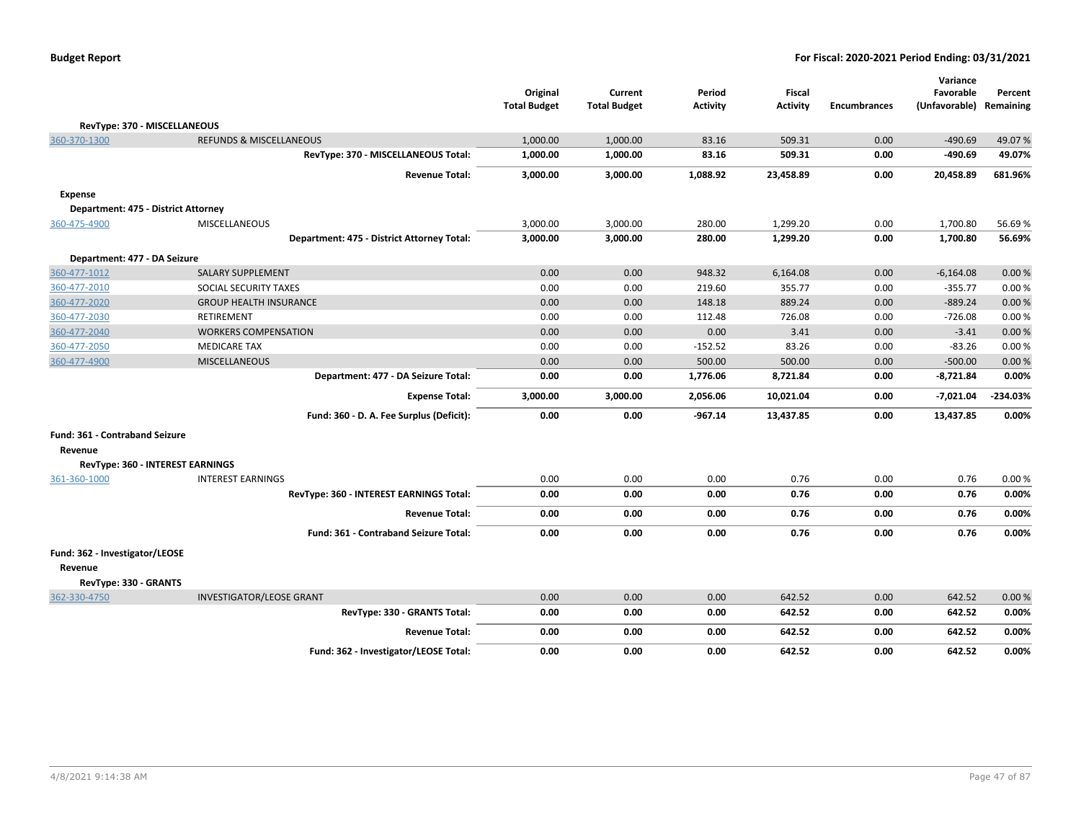| <b>Budget Report</b> |  |
|----------------------|--|
|----------------------|--|

|                                     |                                            |                     |                     |                 |                 |                     | Variance      |            |
|-------------------------------------|--------------------------------------------|---------------------|---------------------|-----------------|-----------------|---------------------|---------------|------------|
|                                     |                                            | Original            | Current             | Period          | <b>Fiscal</b>   |                     | Favorable     | Percent    |
|                                     |                                            | <b>Total Budget</b> | <b>Total Budget</b> | <b>Activity</b> | <b>Activity</b> | <b>Encumbrances</b> | (Unfavorable) | Remaining  |
| RevType: 370 - MISCELLANEOUS        |                                            |                     |                     |                 |                 |                     |               |            |
| 360-370-1300                        | <b>REFUNDS &amp; MISCELLANEOUS</b>         | 1,000.00            | 1,000.00            | 83.16           | 509.31          | 0.00                | $-490.69$     | 49.07%     |
|                                     | RevType: 370 - MISCELLANEOUS Total:        | 1,000.00            | 1,000.00            | 83.16           | 509.31          | 0.00                | $-490.69$     | 49.07%     |
|                                     | <b>Revenue Total:</b>                      | 3,000.00            | 3,000.00            | 1,088.92        | 23,458.89       | 0.00                | 20,458.89     | 681.96%    |
| <b>Expense</b>                      |                                            |                     |                     |                 |                 |                     |               |            |
| Department: 475 - District Attorney |                                            |                     |                     |                 |                 |                     |               |            |
| 360-475-4900                        | <b>MISCELLANEOUS</b>                       | 3,000.00            | 3,000.00            | 280.00          | 1,299.20        | 0.00                | 1,700.80      | 56.69%     |
|                                     | Department: 475 - District Attorney Total: | 3,000.00            | 3,000.00            | 280.00          | 1,299.20        | 0.00                | 1,700.80      | 56.69%     |
| Department: 477 - DA Seizure        |                                            |                     |                     |                 |                 |                     |               |            |
| 360-477-1012                        | <b>SALARY SUPPLEMENT</b>                   | 0.00                | 0.00                | 948.32          | 6,164.08        | 0.00                | $-6,164.08$   | 0.00%      |
| 360-477-2010                        | SOCIAL SECURITY TAXES                      | 0.00                | 0.00                | 219.60          | 355.77          | 0.00                | $-355.77$     | 0.00%      |
| 360-477-2020                        | <b>GROUP HEALTH INSURANCE</b>              | 0.00                | 0.00                | 148.18          | 889.24          | 0.00                | $-889.24$     | 0.00%      |
| 360-477-2030                        | <b>RETIREMENT</b>                          | 0.00                | 0.00                | 112.48          | 726.08          | 0.00                | $-726.08$     | 0.00%      |
| 360-477-2040                        | <b>WORKERS COMPENSATION</b>                | 0.00                | 0.00                | 0.00            | 3.41            | 0.00                | $-3.41$       | 0.00%      |
| 360-477-2050                        | <b>MEDICARE TAX</b>                        | 0.00                | 0.00                | $-152.52$       | 83.26           | 0.00                | $-83.26$      | 0.00%      |
| 360-477-4900                        | <b>MISCELLANEOUS</b>                       | 0.00                | 0.00                | 500.00          | 500.00          | 0.00                | $-500.00$     | 0.00%      |
|                                     | Department: 477 - DA Seizure Total:        | 0.00                | 0.00                | 1,776.06        | 8,721.84        | 0.00                | $-8,721.84$   | 0.00%      |
|                                     | <b>Expense Total:</b>                      | 3,000.00            | 3,000.00            | 2,056.06        | 10,021.04       | 0.00                | $-7,021.04$   | $-234.03%$ |
|                                     | Fund: 360 - D. A. Fee Surplus (Deficit):   | 0.00                | 0.00                | $-967.14$       | 13,437.85       | 0.00                | 13,437.85     | 0.00%      |
| Fund: 361 - Contraband Seizure      |                                            |                     |                     |                 |                 |                     |               |            |
| Revenue                             |                                            |                     |                     |                 |                 |                     |               |            |
| RevType: 360 - INTEREST EARNINGS    |                                            |                     |                     |                 |                 |                     |               |            |
| 361-360-1000                        | <b>INTEREST EARNINGS</b>                   | 0.00                | 0.00                | 0.00            | 0.76            | 0.00                | 0.76          | 0.00%      |
|                                     | RevType: 360 - INTEREST EARNINGS Total:    | 0.00                | 0.00                | 0.00            | 0.76            | 0.00                | 0.76          | 0.00%      |
|                                     | <b>Revenue Total:</b>                      | 0.00                | 0.00                | 0.00            | 0.76            | 0.00                | 0.76          | 0.00%      |
|                                     | Fund: 361 - Contraband Seizure Total:      | 0.00                | 0.00                | 0.00            | 0.76            | 0.00                | 0.76          | 0.00%      |
| Fund: 362 - Investigator/LEOSE      |                                            |                     |                     |                 |                 |                     |               |            |
| Revenue                             |                                            |                     |                     |                 |                 |                     |               |            |
| RevType: 330 - GRANTS               |                                            |                     |                     |                 |                 |                     |               |            |
| 362-330-4750                        | <b>INVESTIGATOR/LEOSE GRANT</b>            | 0.00                | 0.00                | 0.00            | 642.52          | 0.00                | 642.52        | 0.00%      |
|                                     | RevType: 330 - GRANTS Total:               | 0.00                | 0.00                | 0.00            | 642.52          | 0.00                | 642.52        | 0.00%      |
|                                     | <b>Revenue Total:</b>                      | 0.00                | 0.00                | 0.00            | 642.52          | 0.00                | 642.52        | 0.00%      |
|                                     | Fund: 362 - Investigator/LEOSE Total:      | 0.00                | 0.00                | 0.00            | 642.52          | 0.00                | 642.52        | 0.00%      |
|                                     |                                            |                     |                     |                 |                 |                     |               |            |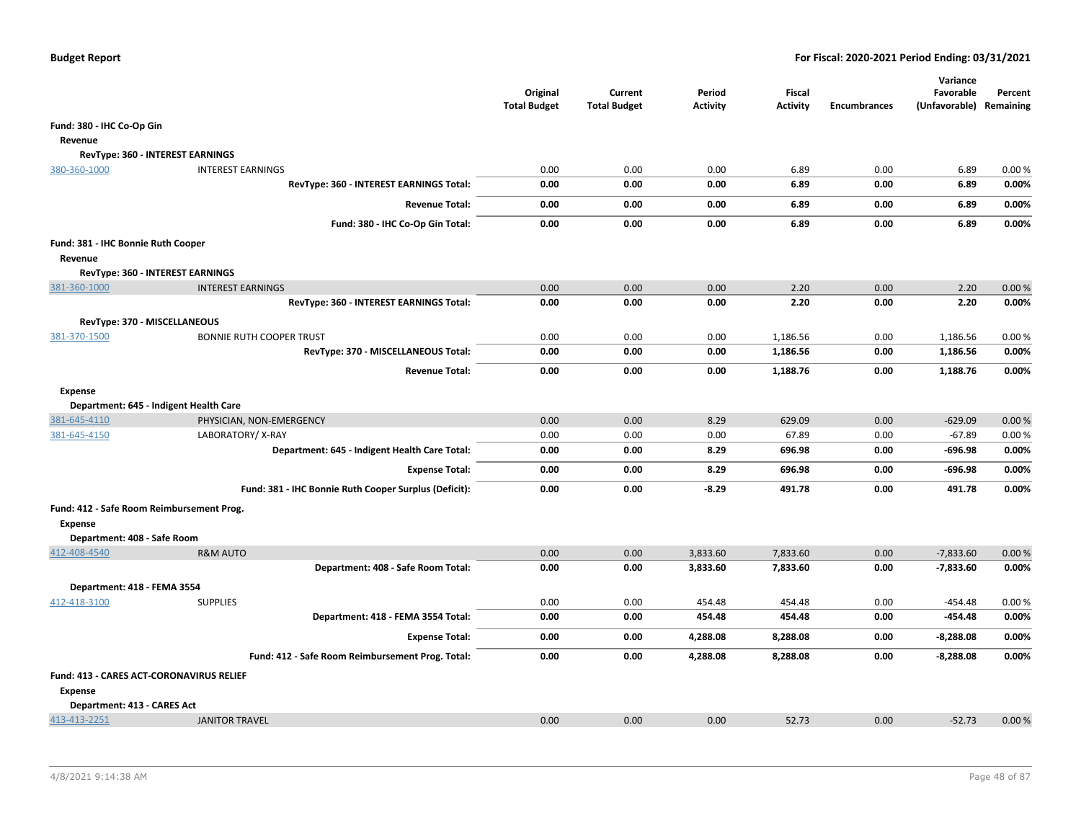|                                                             |                                                       | Original<br><b>Total Budget</b> | Current<br><b>Total Budget</b> | Period<br>Activity | Fiscal<br><b>Activity</b> | <b>Encumbrances</b> | Variance<br>Favorable<br>(Unfavorable) Remaining | Percent |
|-------------------------------------------------------------|-------------------------------------------------------|---------------------------------|--------------------------------|--------------------|---------------------------|---------------------|--------------------------------------------------|---------|
| Fund: 380 - IHC Co-Op Gin                                   |                                                       |                                 |                                |                    |                           |                     |                                                  |         |
| Revenue                                                     |                                                       |                                 |                                |                    |                           |                     |                                                  |         |
|                                                             | RevType: 360 - INTEREST EARNINGS                      |                                 |                                |                    |                           |                     |                                                  |         |
| 380-360-1000                                                | <b>INTEREST EARNINGS</b>                              | 0.00                            | 0.00                           | 0.00               | 6.89                      | 0.00                | 6.89                                             | 0.00%   |
|                                                             | RevType: 360 - INTEREST EARNINGS Total:               | 0.00                            | 0.00                           | 0.00               | 6.89                      | 0.00                | 6.89                                             | 0.00%   |
|                                                             | <b>Revenue Total:</b>                                 | 0.00                            | 0.00                           | 0.00               | 6.89                      | 0.00                | 6.89                                             | 0.00%   |
|                                                             | Fund: 380 - IHC Co-Op Gin Total:                      | 0.00                            | 0.00                           | 0.00               | 6.89                      | 0.00                | 6.89                                             | 0.00%   |
| Fund: 381 - IHC Bonnie Ruth Cooper                          |                                                       |                                 |                                |                    |                           |                     |                                                  |         |
| Revenue                                                     |                                                       |                                 |                                |                    |                           |                     |                                                  |         |
|                                                             | RevType: 360 - INTEREST EARNINGS                      |                                 |                                |                    |                           |                     |                                                  |         |
| 381-360-1000                                                | <b>INTEREST EARNINGS</b>                              | 0.00                            | 0.00                           | 0.00               | 2.20                      | 0.00                | 2.20                                             | 0.00%   |
|                                                             | RevType: 360 - INTEREST EARNINGS Total:               | 0.00                            | 0.00                           | 0.00               | 2.20                      | 0.00                | 2.20                                             | 0.00%   |
| RevType: 370 - MISCELLANEOUS                                |                                                       |                                 |                                |                    |                           |                     |                                                  |         |
| 381-370-1500                                                | <b>BONNIE RUTH COOPER TRUST</b>                       | 0.00                            | 0.00                           | 0.00               | 1,186.56                  | 0.00                | 1,186.56                                         | 0.00%   |
|                                                             | RevType: 370 - MISCELLANEOUS Total:                   | 0.00                            | 0.00                           | 0.00               | 1,186.56                  | 0.00                | 1,186.56                                         | 0.00%   |
|                                                             | <b>Revenue Total:</b>                                 | 0.00                            | 0.00                           | 0.00               | 1,188.76                  | 0.00                | 1,188.76                                         | 0.00%   |
| <b>Expense</b>                                              |                                                       |                                 |                                |                    |                           |                     |                                                  |         |
|                                                             | Department: 645 - Indigent Health Care                |                                 |                                |                    |                           |                     |                                                  |         |
| 381-645-4110                                                | PHYSICIAN, NON-EMERGENCY                              | 0.00                            | 0.00                           | 8.29               | 629.09                    | 0.00                | $-629.09$                                        | 0.00%   |
| 381-645-4150                                                | LABORATORY/X-RAY                                      | 0.00                            | 0.00                           | 0.00               | 67.89                     | 0.00                | $-67.89$                                         | 0.00%   |
|                                                             | Department: 645 - Indigent Health Care Total:         | 0.00                            | 0.00                           | 8.29               | 696.98                    | 0.00                | $-696.98$                                        | 0.00%   |
|                                                             | <b>Expense Total:</b>                                 | 0.00                            | 0.00                           | 8.29               | 696.98                    | 0.00                | $-696.98$                                        | 0.00%   |
|                                                             | Fund: 381 - IHC Bonnie Ruth Cooper Surplus (Deficit): | 0.00                            | 0.00                           | $-8.29$            | 491.78                    | 0.00                | 491.78                                           | 0.00%   |
| Fund: 412 - Safe Room Reimbursement Prog.<br><b>Expense</b> |                                                       |                                 |                                |                    |                           |                     |                                                  |         |
| Department: 408 - Safe Room                                 |                                                       |                                 |                                |                    |                           |                     |                                                  |         |
| 412-408-4540                                                | <b>R&amp;M AUTO</b>                                   | 0.00                            | 0.00                           | 3,833.60           | 7,833.60                  | 0.00                | $-7,833.60$                                      | 0.00%   |
|                                                             | Department: 408 - Safe Room Total:                    | 0.00                            | 0.00                           | 3,833.60           | 7,833.60                  | 0.00                | $-7,833.60$                                      | 0.00%   |
| Department: 418 - FEMA 3554                                 |                                                       |                                 |                                |                    |                           |                     |                                                  |         |
| 412-418-3100                                                | <b>SUPPLIES</b>                                       | 0.00                            | 0.00                           | 454.48             | 454.48                    | 0.00                | $-454.48$                                        | 0.00%   |
|                                                             | Department: 418 - FEMA 3554 Total:                    | 0.00                            | 0.00                           | 454.48             | 454.48                    | 0.00                | $-454.48$                                        | 0.00%   |
|                                                             | <b>Expense Total:</b>                                 | 0.00                            | 0.00                           | 4,288.08           | 8,288.08                  | 0.00                | $-8,288.08$                                      | 0.00%   |
|                                                             | Fund: 412 - Safe Room Reimbursement Prog. Total:      | 0.00                            | 0.00                           | 4,288.08           | 8,288.08                  | 0.00                | $-8,288.08$                                      | 0.00%   |
| Fund: 413 - CARES ACT-CORONAVIRUS RELIEF<br><b>Expense</b>  |                                                       |                                 |                                |                    |                           |                     |                                                  |         |
| Department: 413 - CARES Act                                 |                                                       |                                 |                                |                    |                           |                     |                                                  |         |
| 413-413-2251                                                | <b>JANITOR TRAVEL</b>                                 | 0.00                            | 0.00                           | 0.00               | 52.73                     | 0.00                | $-52.73$                                         | 0.00%   |
|                                                             |                                                       |                                 |                                |                    |                           |                     |                                                  |         |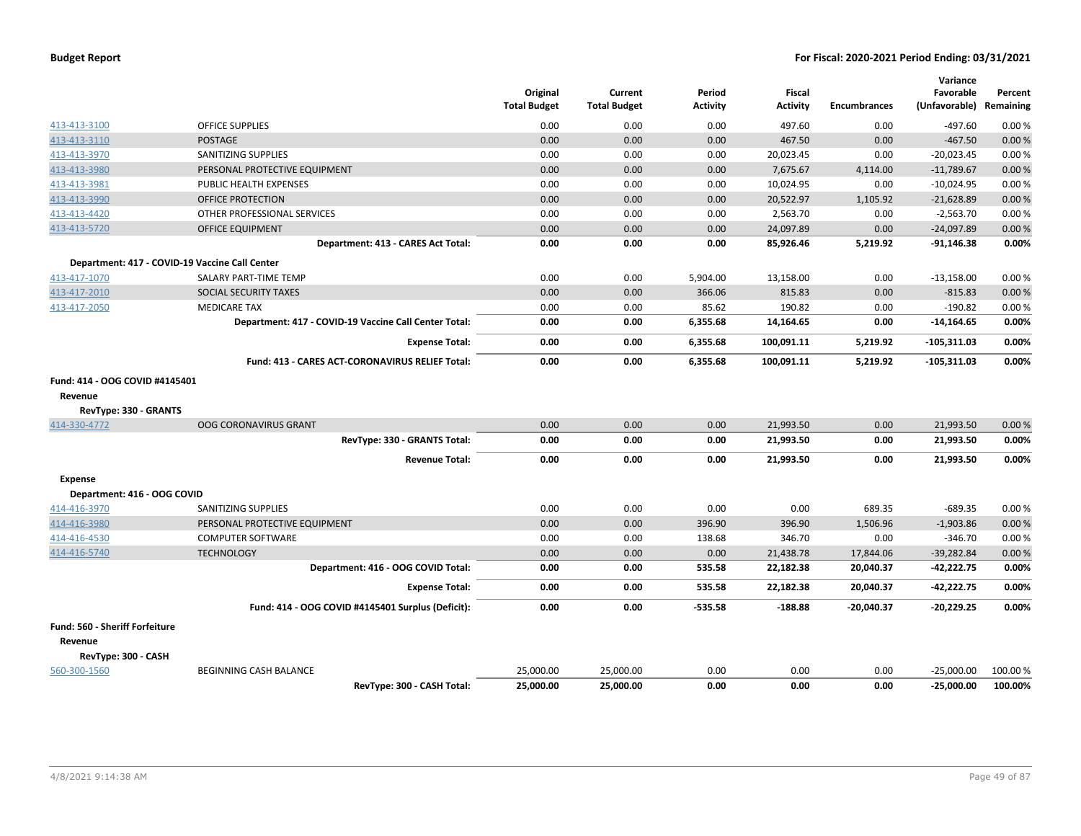| <b>Budget Report</b> |  |  |  |  |
|----------------------|--|--|--|--|
|----------------------|--|--|--|--|

|                                |                                                        | Original<br><b>Total Budget</b> | Current<br><b>Total Budget</b> | Period<br><b>Activity</b> | <b>Fiscal</b><br><b>Activity</b> | <b>Encumbrances</b> | Variance<br>Favorable<br>(Unfavorable) | Percent<br>Remaining |
|--------------------------------|--------------------------------------------------------|---------------------------------|--------------------------------|---------------------------|----------------------------------|---------------------|----------------------------------------|----------------------|
| 413-413-3100                   | <b>OFFICE SUPPLIES</b>                                 | 0.00                            | 0.00                           | 0.00                      | 497.60                           | 0.00                | $-497.60$                              | 0.00%                |
| 413-413-3110                   | <b>POSTAGE</b>                                         | 0.00                            | 0.00                           | 0.00                      | 467.50                           | 0.00                | $-467.50$                              | 0.00%                |
| 413-413-3970                   | SANITIZING SUPPLIES                                    | 0.00                            | 0.00                           | 0.00                      | 20,023.45                        | 0.00                | $-20,023.45$                           | 0.00%                |
| 413-413-3980                   | PERSONAL PROTECTIVE EQUIPMENT                          | 0.00                            | 0.00                           | 0.00                      | 7,675.67                         | 4,114.00            | $-11,789.67$                           | 0.00%                |
| 413-413-3981                   | PUBLIC HEALTH EXPENSES                                 | 0.00                            | 0.00                           | 0.00                      | 10,024.95                        | 0.00                | $-10,024.95$                           | 0.00%                |
| 413-413-3990                   | <b>OFFICE PROTECTION</b>                               | 0.00                            | 0.00                           | 0.00                      | 20,522.97                        | 1,105.92            | $-21,628.89$                           | 0.00%                |
| 413-413-4420                   | OTHER PROFESSIONAL SERVICES                            | 0.00                            | 0.00                           | 0.00                      | 2,563.70                         | 0.00                | $-2,563.70$                            | 0.00%                |
| 413-413-5720                   | <b>OFFICE EQUIPMENT</b>                                | 0.00                            | 0.00                           | 0.00                      | 24,097.89                        | 0.00                | $-24,097.89$                           | 0.00%                |
|                                | Department: 413 - CARES Act Total:                     | 0.00                            | 0.00                           | 0.00                      | 85,926.46                        | 5,219.92            | $-91,146.38$                           | 0.00%                |
|                                | Department: 417 - COVID-19 Vaccine Call Center         |                                 |                                |                           |                                  |                     |                                        |                      |
| 413-417-1070                   | SALARY PART-TIME TEMP                                  | 0.00                            | 0.00                           | 5,904.00                  | 13,158.00                        | 0.00                | $-13,158.00$                           | 0.00%                |
| 413-417-2010                   | SOCIAL SECURITY TAXES                                  | 0.00                            | 0.00                           | 366.06                    | 815.83                           | 0.00                | $-815.83$                              | 0.00%                |
| 413-417-2050                   | <b>MEDICARE TAX</b>                                    | 0.00                            | 0.00                           | 85.62                     | 190.82                           | 0.00                | $-190.82$                              | 0.00%                |
|                                | Department: 417 - COVID-19 Vaccine Call Center Total:  | 0.00                            | 0.00                           | 6,355.68                  | 14,164.65                        | 0.00                | $-14,164.65$                           | 0.00%                |
|                                | <b>Expense Total:</b>                                  | 0.00                            | 0.00                           | 6,355.68                  | 100,091.11                       | 5,219.92            | $-105,311.03$                          | 0.00%                |
|                                | <b>Fund: 413 - CARES ACT-CORONAVIRUS RELIEF Total:</b> | 0.00                            | 0.00                           | 6,355.68                  | 100,091.11                       | 5,219.92            | $-105,311.03$                          | 0.00%                |
| Fund: 414 - OOG COVID #4145401 |                                                        |                                 |                                |                           |                                  |                     |                                        |                      |
| Revenue                        |                                                        |                                 |                                |                           |                                  |                     |                                        |                      |
| RevType: 330 - GRANTS          |                                                        |                                 |                                |                           |                                  |                     |                                        |                      |
| 414-330-4772                   | <b>OOG CORONAVIRUS GRANT</b>                           | 0.00                            | 0.00                           | 0.00                      | 21,993.50                        | 0.00                | 21,993.50                              | 0.00%                |
|                                | RevType: 330 - GRANTS Total:                           | 0.00                            | 0.00                           | 0.00                      | 21,993.50                        | 0.00                | 21,993.50                              | 0.00%                |
|                                | <b>Revenue Total:</b>                                  | 0.00                            | 0.00                           | 0.00                      | 21,993.50                        | 0.00                | 21,993.50                              | 0.00%                |
| <b>Expense</b>                 |                                                        |                                 |                                |                           |                                  |                     |                                        |                      |
| Department: 416 - OOG COVID    |                                                        |                                 |                                |                           |                                  |                     |                                        |                      |
| 414-416-3970                   | SANITIZING SUPPLIES                                    | 0.00                            | 0.00                           | 0.00                      | 0.00                             | 689.35              | $-689.35$                              | 0.00%                |
| 414-416-3980                   | PERSONAL PROTECTIVE EQUIPMENT                          | 0.00                            | 0.00                           | 396.90                    | 396.90                           | 1,506.96            | $-1,903.86$                            | 0.00%                |
| 414-416-4530                   | <b>COMPUTER SOFTWARE</b>                               | 0.00                            | 0.00                           | 138.68                    | 346.70                           | 0.00                | $-346.70$                              | 0.00%                |
| 414-416-5740                   | <b>TECHNOLOGY</b>                                      | 0.00                            | 0.00                           | 0.00                      | 21,438.78                        | 17,844.06           | $-39,282.84$                           | 0.00 %               |
|                                | Department: 416 - OOG COVID Total:                     | 0.00                            | 0.00                           | 535.58                    | 22,182.38                        | 20,040.37           | $-42,222.75$                           | 0.00%                |
|                                | <b>Expense Total:</b>                                  | 0.00                            | 0.00                           | 535.58                    | 22,182.38                        | 20,040.37           | $-42,222.75$                           | 0.00%                |
|                                | Fund: 414 - OOG COVID #4145401 Surplus (Deficit):      | 0.00                            | 0.00                           | $-535.58$                 | $-188.88$                        | $-20,040.37$        | $-20,229.25$                           | 0.00%                |
| Fund: 560 - Sheriff Forfeiture |                                                        |                                 |                                |                           |                                  |                     |                                        |                      |
| Revenue                        |                                                        |                                 |                                |                           |                                  |                     |                                        |                      |
| RevType: 300 - CASH            |                                                        |                                 |                                |                           |                                  |                     |                                        |                      |
| 560-300-1560                   | <b>BEGINNING CASH BALANCE</b>                          | 25,000.00                       | 25,000.00                      | 0.00                      | 0.00                             | 0.00                | $-25,000.00$                           | 100.00 %             |
|                                | RevTvpe: 300 - CASH Total:                             | 25.000.00                       | 25.000.00                      | 0.00                      | 0.00                             | 0.00                | $-25.000.00$                           | 100.00%              |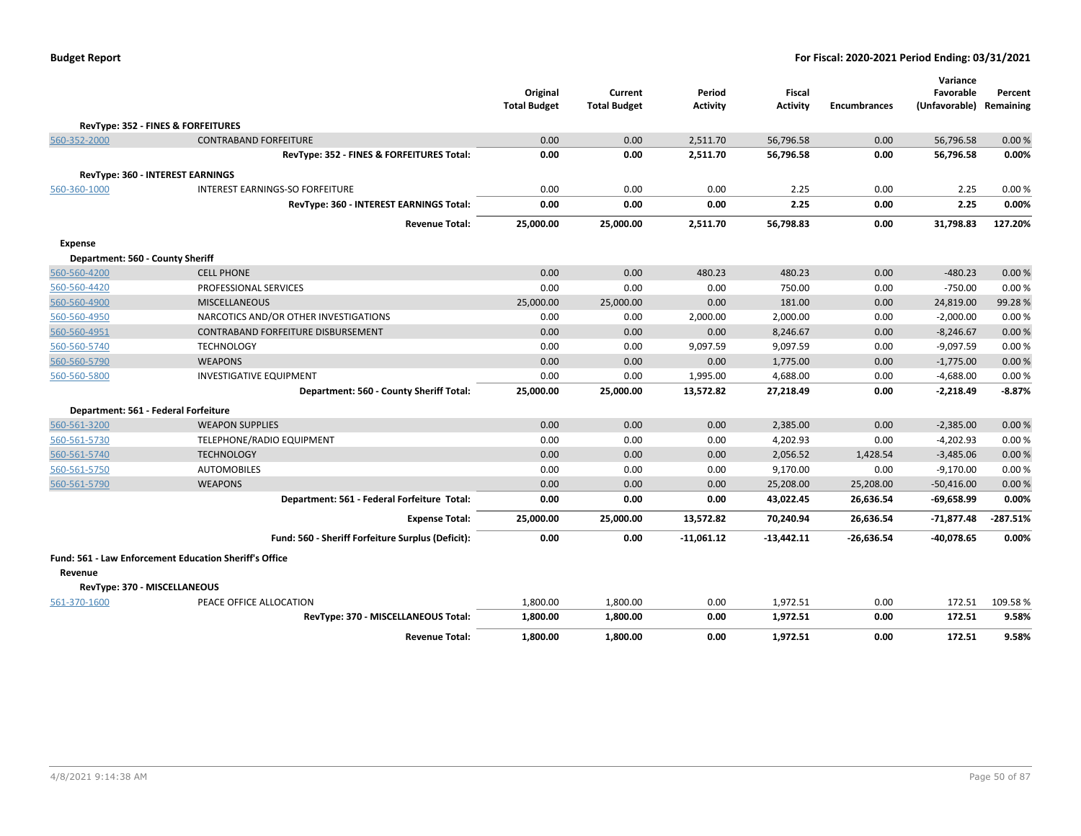|                                                               |                                                   | Original<br><b>Total Budget</b> | Current<br><b>Total Budget</b> | Period<br><b>Activity</b> | <b>Fiscal</b><br><b>Activity</b> | <b>Encumbrances</b> | Variance<br>Favorable<br>(Unfavorable) Remaining | Percent    |
|---------------------------------------------------------------|---------------------------------------------------|---------------------------------|--------------------------------|---------------------------|----------------------------------|---------------------|--------------------------------------------------|------------|
| RevType: 352 - FINES & FORFEITURES                            |                                                   |                                 |                                |                           |                                  |                     |                                                  |            |
| 560-352-2000                                                  | <b>CONTRABAND FORFEITURE</b>                      | 0.00                            | 0.00                           | 2.511.70                  | 56,796.58                        | 0.00                | 56,796.58                                        | 0.00%      |
|                                                               | RevType: 352 - FINES & FORFEITURES Total:         | 0.00                            | 0.00                           | 2,511.70                  | 56,796.58                        | 0.00                | 56,796.58                                        | 0.00%      |
| <b>RevType: 360 - INTEREST EARNINGS</b>                       |                                                   |                                 |                                |                           |                                  |                     |                                                  |            |
| 560-360-1000                                                  | INTEREST EARNINGS-SO FORFEITURE                   | 0.00                            | 0.00                           | 0.00                      | 2.25                             | 0.00                | 2.25                                             | 0.00%      |
|                                                               | RevType: 360 - INTEREST EARNINGS Total:           | 0.00                            | 0.00                           | 0.00                      | 2.25                             | 0.00                | 2.25                                             | 0.00%      |
|                                                               | <b>Revenue Total:</b>                             | 25,000.00                       | 25,000.00                      | 2,511.70                  | 56,798.83                        | 0.00                | 31,798.83                                        | 127.20%    |
| <b>Expense</b>                                                |                                                   |                                 |                                |                           |                                  |                     |                                                  |            |
| Department: 560 - County Sheriff                              |                                                   |                                 |                                |                           |                                  |                     |                                                  |            |
| 560-560-4200                                                  | <b>CELL PHONE</b>                                 | 0.00                            | 0.00                           | 480.23                    | 480.23                           | 0.00                | $-480.23$                                        | 0.00%      |
| 560-560-4420                                                  | PROFESSIONAL SERVICES                             | 0.00                            | 0.00                           | 0.00                      | 750.00                           | 0.00                | $-750.00$                                        | 0.00%      |
| 560-560-4900                                                  | <b>MISCELLANEOUS</b>                              | 25,000.00                       | 25,000.00                      | 0.00                      | 181.00                           | 0.00                | 24,819.00                                        | 99.28%     |
| 560-560-4950                                                  | NARCOTICS AND/OR OTHER INVESTIGATIONS             | 0.00                            | 0.00                           | 2,000.00                  | 2,000.00                         | 0.00                | $-2,000.00$                                      | 0.00%      |
| 560-560-4951                                                  | CONTRABAND FORFEITURE DISBURSEMENT                | 0.00                            | 0.00                           | 0.00                      | 8,246.67                         | 0.00                | $-8,246.67$                                      | 0.00 %     |
| 560-560-5740                                                  | <b>TECHNOLOGY</b>                                 | 0.00                            | 0.00                           | 9,097.59                  | 9,097.59                         | 0.00                | $-9,097.59$                                      | 0.00%      |
| 560-560-5790                                                  | <b>WEAPONS</b>                                    | 0.00                            | 0.00                           | 0.00                      | 1,775.00                         | 0.00                | $-1,775.00$                                      | 0.00 %     |
| 560-560-5800                                                  | <b>INVESTIGATIVE EQUIPMENT</b>                    | 0.00                            | 0.00                           | 1,995.00                  | 4,688.00                         | 0.00                | $-4,688.00$                                      | 0.00%      |
|                                                               | Department: 560 - County Sheriff Total:           | 25,000.00                       | 25.000.00                      | 13,572.82                 | 27,218.49                        | 0.00                | $-2,218.49$                                      | $-8.87%$   |
| Department: 561 - Federal Forfeiture                          |                                                   |                                 |                                |                           |                                  |                     |                                                  |            |
| 560-561-3200                                                  | <b>WEAPON SUPPLIES</b>                            | 0.00                            | 0.00                           | 0.00                      | 2,385.00                         | 0.00                | $-2,385.00$                                      | 0.00 %     |
| 560-561-5730                                                  | TELEPHONE/RADIO EQUIPMENT                         | 0.00                            | 0.00                           | 0.00                      | 4,202.93                         | 0.00                | $-4,202.93$                                      | 0.00%      |
| 560-561-5740                                                  | <b>TECHNOLOGY</b>                                 | 0.00                            | 0.00                           | 0.00                      | 2,056.52                         | 1,428.54            | $-3,485.06$                                      | 0.00 %     |
| 560-561-5750                                                  | <b>AUTOMOBILES</b>                                | 0.00                            | 0.00                           | 0.00                      | 9,170.00                         | 0.00                | $-9,170.00$                                      | 0.00%      |
| 560-561-5790                                                  | <b>WEAPONS</b>                                    | 0.00                            | 0.00                           | 0.00                      | 25,208.00                        | 25,208.00           | $-50,416.00$                                     | 0.00 %     |
|                                                               | Department: 561 - Federal Forfeiture Total:       | 0.00                            | 0.00                           | 0.00                      | 43,022.45                        | 26,636.54           | $-69,658.99$                                     | 0.00%      |
|                                                               | <b>Expense Total:</b>                             | 25,000.00                       | 25,000.00                      | 13,572.82                 | 70,240.94                        | 26,636.54           | $-71,877.48$                                     | $-287.51%$ |
|                                                               | Fund: 560 - Sheriff Forfeiture Surplus (Deficit): | 0.00                            | 0.00                           | $-11,061.12$              | $-13,442.11$                     | $-26,636.54$        | $-40,078.65$                                     | 0.00%      |
| <b>Fund: 561 - Law Enforcement Education Sheriff's Office</b> |                                                   |                                 |                                |                           |                                  |                     |                                                  |            |
| Revenue                                                       |                                                   |                                 |                                |                           |                                  |                     |                                                  |            |
| RevType: 370 - MISCELLANEOUS                                  |                                                   |                                 |                                |                           |                                  |                     |                                                  |            |
| 561-370-1600                                                  | PEACE OFFICE ALLOCATION                           | 1,800.00                        | 1,800.00                       | 0.00                      | 1,972.51                         | 0.00                | 172.51                                           | 109.58%    |
|                                                               | RevType: 370 - MISCELLANEOUS Total:               | 1,800.00                        | 1,800.00                       | 0.00                      | 1,972.51                         | 0.00                | 172.51                                           | 9.58%      |
|                                                               | <b>Revenue Total:</b>                             | 1,800.00                        | 1.800.00                       | 0.00                      | 1,972.51                         | 0.00                | 172.51                                           | 9.58%      |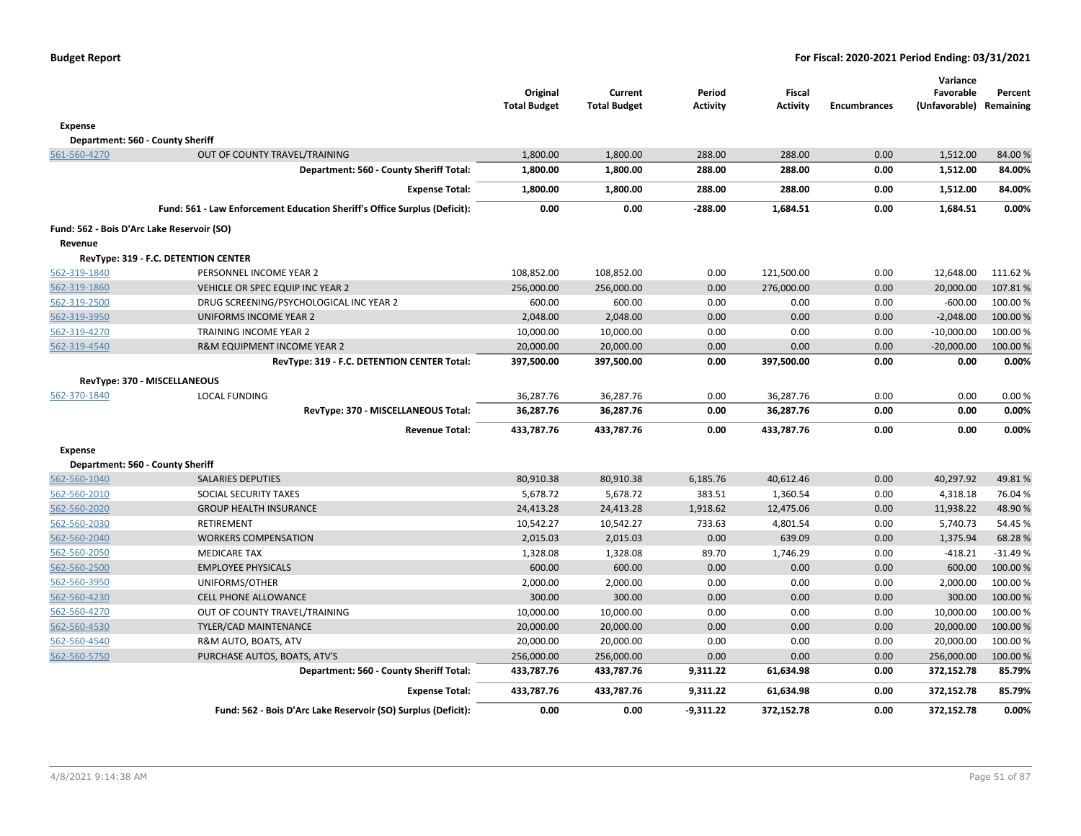|                |                                                                           | Original<br><b>Total Budget</b> | Current<br><b>Total Budget</b> | Period<br><b>Activity</b> | <b>Fiscal</b><br>Activity | <b>Encumbrances</b> | Variance<br>Favorable<br>(Unfavorable) | Percent<br>Remaining |
|----------------|---------------------------------------------------------------------------|---------------------------------|--------------------------------|---------------------------|---------------------------|---------------------|----------------------------------------|----------------------|
| <b>Expense</b> |                                                                           |                                 |                                |                           |                           |                     |                                        |                      |
|                | Department: 560 - County Sheriff                                          |                                 |                                |                           |                           |                     |                                        |                      |
| 561-560-4270   | OUT OF COUNTY TRAVEL/TRAINING                                             | 1,800.00                        | 1,800.00                       | 288.00                    | 288.00                    | 0.00                | 1,512.00                               | 84.00%               |
|                | Department: 560 - County Sheriff Total:                                   | 1,800.00                        | 1,800.00                       | 288.00                    | 288.00                    | 0.00                | 1,512.00                               | 84.00%               |
|                | <b>Expense Total:</b>                                                     | 1,800.00                        | 1,800.00                       | 288.00                    | 288.00                    | 0.00                | 1,512.00                               | 84.00%               |
|                | Fund: 561 - Law Enforcement Education Sheriff's Office Surplus (Deficit): | 0.00                            | 0.00                           | $-288.00$                 | 1,684.51                  | 0.00                | 1,684.51                               | 0.00%                |
| Revenue        | Fund: 562 - Bois D'Arc Lake Reservoir (SO)                                |                                 |                                |                           |                           |                     |                                        |                      |
|                | RevType: 319 - F.C. DETENTION CENTER                                      |                                 |                                |                           |                           |                     |                                        |                      |
| 562-319-1840   | PERSONNEL INCOME YEAR 2                                                   | 108,852.00                      | 108,852.00                     | 0.00                      | 121,500.00                | 0.00                | 12,648.00                              | 111.62%              |
| 562-319-1860   | VEHICLE OR SPEC EQUIP INC YEAR 2                                          | 256,000.00                      | 256,000.00                     | 0.00                      | 276,000.00                | 0.00                | 20,000.00                              | 107.81%              |
| 562-319-2500   | DRUG SCREENING/PSYCHOLOGICAL INC YEAR 2                                   | 600.00                          | 600.00                         | 0.00                      | 0.00                      | 0.00                | $-600.00$                              | 100.00 %             |
| 562-319-3950   | <b>UNIFORMS INCOME YEAR 2</b>                                             | 2,048.00                        | 2,048.00                       | 0.00                      | 0.00                      | 0.00                | $-2,048.00$                            | 100.00 %             |
| 562-319-4270   | TRAINING INCOME YEAR 2                                                    | 10,000.00                       | 10,000.00                      | 0.00                      | 0.00                      | 0.00                | $-10,000.00$                           | 100.00 %             |
| 562-319-4540   | R&M EQUIPMENT INCOME YEAR 2                                               | 20,000.00                       | 20,000.00                      | 0.00                      | 0.00                      | 0.00                | $-20,000.00$                           | 100.00 %             |
|                | RevType: 319 - F.C. DETENTION CENTER Total:                               | 397,500.00                      | 397,500.00                     | 0.00                      | 397,500.00                | 0.00                | 0.00                                   | 0.00%                |
|                | RevType: 370 - MISCELLANEOUS                                              |                                 |                                |                           |                           |                     |                                        |                      |
| 562-370-1840   | <b>LOCAL FUNDING</b>                                                      | 36,287.76                       | 36,287.76                      | 0.00                      | 36,287.76                 | 0.00                | 0.00                                   | 0.00%                |
|                | RevType: 370 - MISCELLANEOUS Total:                                       | 36,287.76                       | 36,287.76                      | 0.00                      | 36,287.76                 | 0.00                | 0.00                                   | 0.00%                |
|                | <b>Revenue Total:</b>                                                     | 433,787.76                      | 433,787.76                     | 0.00                      | 433,787.76                | 0.00                | 0.00                                   | 0.00%                |
| <b>Expense</b> |                                                                           |                                 |                                |                           |                           |                     |                                        |                      |
|                | Department: 560 - County Sheriff                                          |                                 |                                |                           |                           |                     |                                        |                      |
| 562-560-1040   | <b>SALARIES DEPUTIES</b>                                                  | 80,910.38                       | 80,910.38                      | 6,185.76                  | 40,612.46                 | 0.00                | 40,297.92                              | 49.81%               |
| 562-560-2010   | SOCIAL SECURITY TAXES                                                     | 5,678.72                        | 5,678.72                       | 383.51                    | 1,360.54                  | 0.00                | 4,318.18                               | 76.04%               |
| 562-560-2020   | <b>GROUP HEALTH INSURANCE</b>                                             | 24,413.28                       | 24,413.28                      | 1,918.62                  | 12,475.06                 | 0.00                | 11,938.22                              | 48.90%               |
| 562-560-2030   | RETIREMENT                                                                | 10,542.27                       | 10,542.27                      | 733.63                    | 4,801.54                  | 0.00                | 5,740.73                               | 54.45 %              |
| 562-560-2040   | <b>WORKERS COMPENSATION</b>                                               | 2,015.03                        | 2,015.03                       | 0.00                      | 639.09                    | 0.00                | 1,375.94                               | 68.28%               |
| 562-560-2050   | <b>MEDICARE TAX</b>                                                       | 1,328.08                        | 1,328.08                       | 89.70                     | 1,746.29                  | 0.00                | $-418.21$                              | $-31.49%$            |
| 562-560-2500   | <b>EMPLOYEE PHYSICALS</b>                                                 | 600.00                          | 600.00                         | 0.00                      | 0.00                      | 0.00                | 600.00                                 | 100.00 %             |
| 562-560-3950   | UNIFORMS/OTHER                                                            | 2,000.00                        | 2,000.00                       | 0.00                      | 0.00                      | 0.00                | 2,000.00                               | 100.00%              |
| 562-560-4230   | <b>CELL PHONE ALLOWANCE</b>                                               | 300.00                          | 300.00                         | 0.00                      | 0.00                      | 0.00                | 300.00                                 | 100.00 %             |
| 562-560-4270   | OUT OF COUNTY TRAVEL/TRAINING                                             | 10,000.00                       | 10,000.00                      | 0.00                      | 0.00                      | 0.00                | 10,000.00                              | 100.00 %             |
| 562-560-4530   | <b>TYLER/CAD MAINTENANCE</b>                                              | 20,000.00                       | 20,000.00                      | 0.00                      | 0.00                      | 0.00                | 20,000.00                              | 100.00%              |
| 562-560-4540   | R&M AUTO, BOATS, ATV                                                      | 20,000.00                       | 20,000.00                      | 0.00                      | 0.00                      | 0.00                | 20,000.00                              | 100.00%              |
| 562-560-5750   | PURCHASE AUTOS, BOATS, ATV'S                                              | 256,000.00                      | 256,000.00                     | 0.00                      | 0.00                      | 0.00                | 256,000.00                             | 100.00 %             |
|                | Department: 560 - County Sheriff Total:                                   | 433,787.76                      | 433,787.76                     | 9,311.22                  | 61,634.98                 | 0.00                | 372,152.78                             | 85.79%               |
|                | <b>Expense Total:</b>                                                     | 433,787.76                      | 433,787.76                     | 9,311.22                  | 61,634.98                 | 0.00                | 372,152.78                             | 85.79%               |
|                | Fund: 562 - Bois D'Arc Lake Reservoir (SO) Surplus (Deficit):             | 0.00                            | 0.00                           | $-9,311.22$               | 372,152.78                | 0.00                | 372,152.78                             | 0.00%                |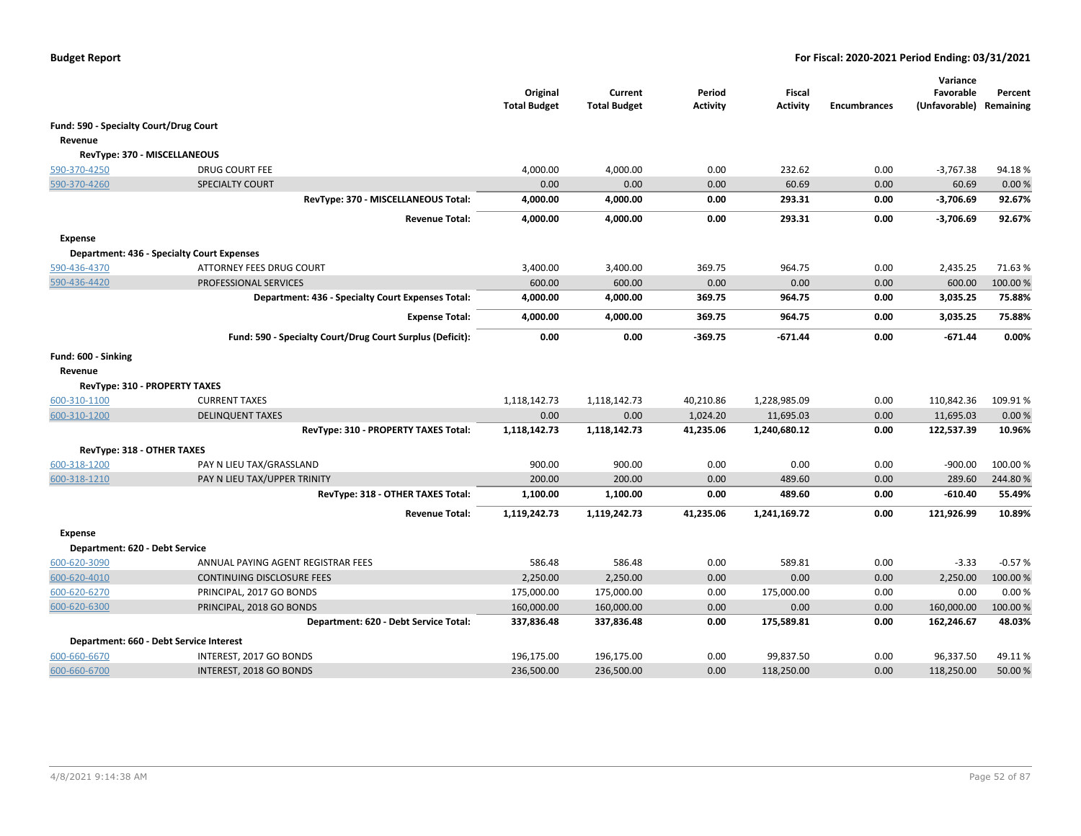|                                        |                                                           | Original<br><b>Total Budget</b> | Current<br><b>Total Budget</b> | Period<br><b>Activity</b> | <b>Fiscal</b><br><b>Activity</b> | <b>Encumbrances</b> | Variance<br>Favorable<br>(Unfavorable) | Percent<br>Remaining |
|----------------------------------------|-----------------------------------------------------------|---------------------------------|--------------------------------|---------------------------|----------------------------------|---------------------|----------------------------------------|----------------------|
| Fund: 590 - Specialty Court/Drug Court |                                                           |                                 |                                |                           |                                  |                     |                                        |                      |
| Revenue                                |                                                           |                                 |                                |                           |                                  |                     |                                        |                      |
| RevType: 370 - MISCELLANEOUS           |                                                           |                                 |                                |                           |                                  |                     |                                        |                      |
| 590-370-4250                           | DRUG COURT FEE                                            | 4,000.00                        | 4,000.00                       | 0.00                      | 232.62                           | 0.00                | -3,767.38                              | 94.18%               |
| 590-370-4260                           | SPECIALTY COURT                                           | 0.00                            | 0.00                           | 0.00                      | 60.69                            | 0.00                | 60.69                                  | 0.00%                |
|                                        | RevType: 370 - MISCELLANEOUS Total:                       | 4,000.00                        | 4,000.00                       | 0.00                      | 293.31                           | 0.00                | -3,706.69                              | 92.67%               |
|                                        | <b>Revenue Total:</b>                                     | 4,000.00                        | 4,000.00                       | 0.00                      | 293.31                           | 0.00                | $-3,706.69$                            | 92.67%               |
| <b>Expense</b>                         |                                                           |                                 |                                |                           |                                  |                     |                                        |                      |
|                                        | <b>Department: 436 - Specialty Court Expenses</b>         |                                 |                                |                           |                                  |                     |                                        |                      |
| 590-436-4370                           | ATTORNEY FEES DRUG COURT                                  | 3,400.00                        | 3,400.00                       | 369.75                    | 964.75                           | 0.00                | 2,435.25                               | 71.63%               |
| 590-436-4420                           | PROFESSIONAL SERVICES                                     | 600.00                          | 600.00                         | 0.00                      | 0.00                             | 0.00                | 600.00                                 | 100.00%              |
|                                        | Department: 436 - Specialty Court Expenses Total:         | 4,000.00                        | 4,000.00                       | 369.75                    | 964.75                           | 0.00                | 3,035.25                               | 75.88%               |
|                                        | <b>Expense Total:</b>                                     | 4,000.00                        | 4,000.00                       | 369.75                    | 964.75                           | 0.00                | 3,035.25                               | 75.88%               |
|                                        | Fund: 590 - Specialty Court/Drug Court Surplus (Deficit): | 0.00                            | 0.00                           | $-369.75$                 | $-671.44$                        | 0.00                | $-671.44$                              | 0.00%                |
| Fund: 600 - Sinking                    |                                                           |                                 |                                |                           |                                  |                     |                                        |                      |
| Revenue                                |                                                           |                                 |                                |                           |                                  |                     |                                        |                      |
| RevType: 310 - PROPERTY TAXES          |                                                           |                                 |                                |                           |                                  |                     |                                        |                      |
| 600-310-1100                           | <b>CURRENT TAXES</b>                                      | 1,118,142.73                    | 1,118,142.73                   | 40,210.86                 | 1,228,985.09                     | 0.00                | 110,842.36                             | 109.91%              |
| 600-310-1200                           | <b>DELINQUENT TAXES</b>                                   | 0.00                            | 0.00                           | 1,024.20                  | 11,695.03                        | 0.00                | 11,695.03                              | 0.00%                |
|                                        | RevType: 310 - PROPERTY TAXES Total:                      | 1,118,142.73                    | 1,118,142.73                   | 41,235.06                 | 1,240,680.12                     | 0.00                | 122,537.39                             | 10.96%               |
| RevType: 318 - OTHER TAXES             |                                                           |                                 |                                |                           |                                  |                     |                                        |                      |
| 600-318-1200                           | PAY N LIEU TAX/GRASSLAND                                  | 900.00                          | 900.00                         | 0.00                      | 0.00                             | 0.00                | $-900.00$                              | 100.00 %             |
| 600-318-1210                           | PAY N LIEU TAX/UPPER TRINITY                              | 200.00                          | 200.00                         | 0.00                      | 489.60                           | 0.00                | 289.60                                 | 244.80%              |
|                                        | RevType: 318 - OTHER TAXES Total:                         | 1,100.00                        | 1,100.00                       | 0.00                      | 489.60                           | 0.00                | $-610.40$                              | 55.49%               |
|                                        | <b>Revenue Total:</b>                                     | 1,119,242.73                    | 1,119,242.73                   | 41,235.06                 | 1,241,169.72                     | 0.00                | 121,926.99                             | 10.89%               |
| <b>Expense</b>                         |                                                           |                                 |                                |                           |                                  |                     |                                        |                      |
| Department: 620 - Debt Service         |                                                           |                                 |                                |                           |                                  |                     |                                        |                      |
| 600-620-3090                           | ANNUAL PAYING AGENT REGISTRAR FEES                        | 586.48                          | 586.48                         | 0.00                      | 589.81                           | 0.00                | $-3.33$                                | $-0.57%$             |
| 600-620-4010                           | CONTINUING DISCLOSURE FEES                                | 2,250.00                        | 2,250.00                       | 0.00                      | 0.00                             | 0.00                | 2,250.00                               | 100.00%              |
| 600-620-6270                           | PRINCIPAL, 2017 GO BONDS                                  | 175,000.00                      | 175,000.00                     | 0.00                      | 175,000.00                       | 0.00                | 0.00                                   | 0.00%                |
| 600-620-6300                           | PRINCIPAL, 2018 GO BONDS                                  | 160,000.00                      | 160,000.00                     | 0.00                      | 0.00                             | 0.00                | 160,000.00                             | 100.00%              |
|                                        | Department: 620 - Debt Service Total:                     | 337,836.48                      | 337,836.48                     | 0.00                      | 175,589.81                       | 0.00                | 162,246.67                             | 48.03%               |
|                                        | Department: 660 - Debt Service Interest                   |                                 |                                |                           |                                  |                     |                                        |                      |
| 600-660-6670                           | INTEREST, 2017 GO BONDS                                   | 196,175.00                      | 196,175.00                     | 0.00                      | 99,837.50                        | 0.00                | 96,337.50                              | 49.11%               |
| 600-660-6700                           | INTEREST, 2018 GO BONDS                                   | 236,500.00                      | 236,500.00                     | 0.00                      | 118,250.00                       | 0.00                | 118,250.00                             | 50.00 %              |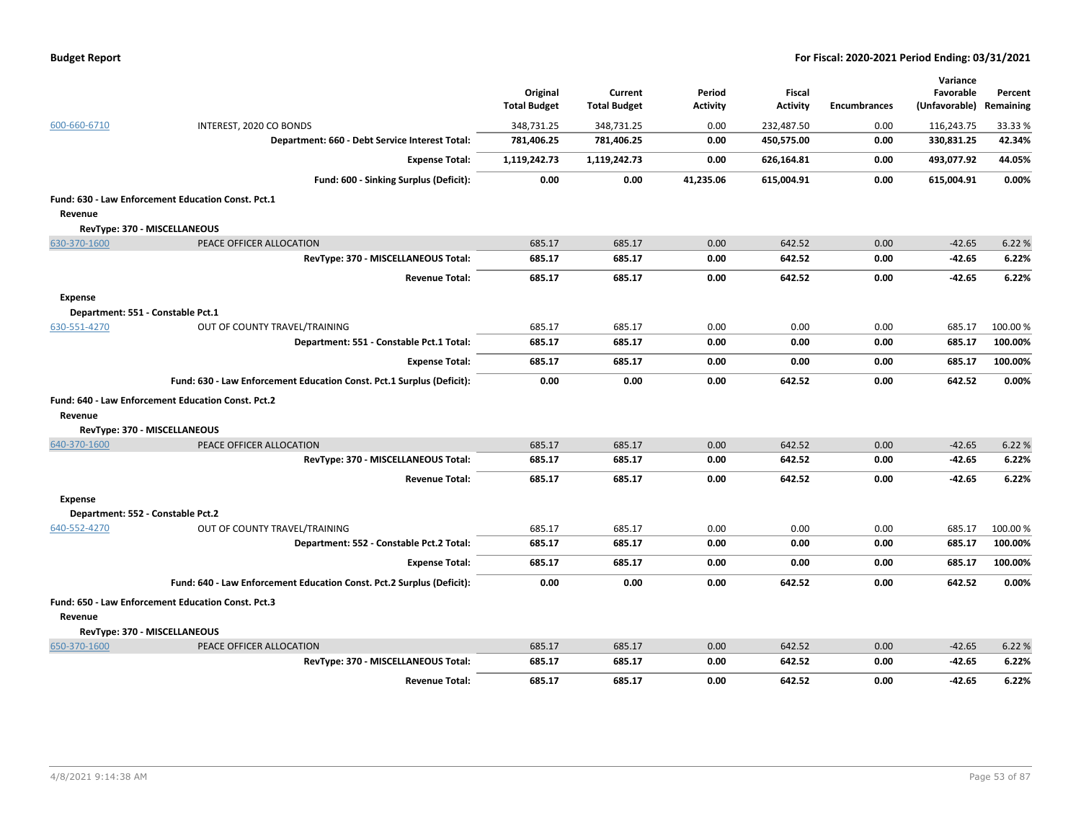| <b>Budget Report</b> |  |
|----------------------|--|
|----------------------|--|

|                |                                                                       | Original<br><b>Total Budget</b> | Current<br><b>Total Budget</b> | Period<br><b>Activity</b> | Fiscal<br><b>Activity</b> | <b>Encumbrances</b> | Variance<br>Favorable<br>(Unfavorable) | Percent<br>Remaining |
|----------------|-----------------------------------------------------------------------|---------------------------------|--------------------------------|---------------------------|---------------------------|---------------------|----------------------------------------|----------------------|
| 600-660-6710   | INTEREST, 2020 CO BONDS                                               | 348,731.25                      | 348,731.25                     | 0.00                      | 232,487.50                | 0.00                | 116,243.75                             | 33.33 %              |
|                | Department: 660 - Debt Service Interest Total:                        | 781,406.25                      | 781,406.25                     | 0.00                      | 450,575.00                | 0.00                | 330,831.25                             | 42.34%               |
|                | <b>Expense Total:</b>                                                 | 1,119,242.73                    | 1,119,242.73                   | 0.00                      | 626,164.81                | 0.00                | 493,077.92                             | 44.05%               |
|                | Fund: 600 - Sinking Surplus (Deficit):                                | 0.00                            | 0.00                           | 41,235.06                 | 615,004.91                | 0.00                | 615,004.91                             | 0.00%                |
|                | Fund: 630 - Law Enforcement Education Const. Pct.1                    |                                 |                                |                           |                           |                     |                                        |                      |
| Revenue        |                                                                       |                                 |                                |                           |                           |                     |                                        |                      |
|                | RevType: 370 - MISCELLANEOUS                                          |                                 |                                |                           |                           |                     |                                        |                      |
| 630-370-1600   | PEACE OFFICER ALLOCATION                                              | 685.17                          | 685.17                         | 0.00                      | 642.52                    | 0.00                | $-42.65$                               | 6.22 %               |
|                | RevType: 370 - MISCELLANEOUS Total:                                   | 685.17                          | 685.17                         | 0.00                      | 642.52                    | 0.00                | $-42.65$                               | 6.22%                |
|                | <b>Revenue Total:</b>                                                 | 685.17                          | 685.17                         | 0.00                      | 642.52                    | 0.00                | $-42.65$                               | 6.22%                |
| <b>Expense</b> |                                                                       |                                 |                                |                           |                           |                     |                                        |                      |
|                | Department: 551 - Constable Pct.1                                     |                                 |                                |                           |                           |                     |                                        |                      |
| 630-551-4270   | OUT OF COUNTY TRAVEL/TRAINING                                         | 685.17                          | 685.17                         | 0.00                      | 0.00                      | 0.00                | 685.17                                 | 100.00%              |
|                | Department: 551 - Constable Pct.1 Total:                              | 685.17                          | 685.17                         | 0.00                      | 0.00                      | 0.00                | 685.17                                 | 100.00%              |
|                | <b>Expense Total:</b>                                                 | 685.17                          | 685.17                         | 0.00                      | 0.00                      | 0.00                | 685.17                                 | 100.00%              |
|                | Fund: 630 - Law Enforcement Education Const. Pct.1 Surplus (Deficit): | 0.00                            | 0.00                           | 0.00                      | 642.52                    | 0.00                | 642.52                                 | 0.00%                |
| Revenue        | Fund: 640 - Law Enforcement Education Const. Pct.2                    |                                 |                                |                           |                           |                     |                                        |                      |
|                | RevType: 370 - MISCELLANEOUS                                          |                                 |                                |                           |                           |                     |                                        |                      |
| 640-370-1600   | PEACE OFFICER ALLOCATION                                              | 685.17                          | 685.17                         | 0.00                      | 642.52                    | 0.00                | $-42.65$                               | 6.22 %               |
|                | RevType: 370 - MISCELLANEOUS Total:                                   | 685.17                          | 685.17                         | 0.00                      | 642.52                    | 0.00                | $-42.65$                               | 6.22%                |
|                | <b>Revenue Total:</b>                                                 | 685.17                          | 685.17                         | 0.00                      | 642.52                    | 0.00                | -42.65                                 | 6.22%                |
| <b>Expense</b> | Department: 552 - Constable Pct.2                                     |                                 |                                |                           |                           |                     |                                        |                      |
| 640-552-4270   | OUT OF COUNTY TRAVEL/TRAINING                                         | 685.17                          | 685.17                         | 0.00                      | 0.00                      | 0.00                | 685.17                                 | 100.00%              |
|                | Department: 552 - Constable Pct.2 Total:                              | 685.17                          | 685.17                         | 0.00                      | 0.00                      | 0.00                | 685.17                                 | 100.00%              |
|                | <b>Expense Total:</b>                                                 | 685.17                          | 685.17                         | 0.00                      | 0.00                      | 0.00                | 685.17                                 | 100.00%              |
|                | Fund: 640 - Law Enforcement Education Const. Pct.2 Surplus (Deficit): | 0.00                            | 0.00                           | 0.00                      | 642.52                    | 0.00                | 642.52                                 | 0.00%                |
|                | Fund: 650 - Law Enforcement Education Const. Pct.3                    |                                 |                                |                           |                           |                     |                                        |                      |
| Revenue        |                                                                       |                                 |                                |                           |                           |                     |                                        |                      |
|                | RevType: 370 - MISCELLANEOUS                                          |                                 |                                |                           |                           |                     |                                        |                      |
| 650-370-1600   | PEACE OFFICER ALLOCATION                                              | 685.17                          | 685.17                         | 0.00                      | 642.52                    | 0.00                | $-42.65$                               | 6.22 %               |
|                | RevType: 370 - MISCELLANEOUS Total:                                   | 685.17                          | 685.17                         | 0.00                      | 642.52                    | 0.00                | $-42.65$                               | 6.22%                |
|                | <b>Revenue Total:</b>                                                 | 685.17                          | 685.17                         | 0.00                      | 642.52                    | 0.00                | $-42.65$                               | 6.22%                |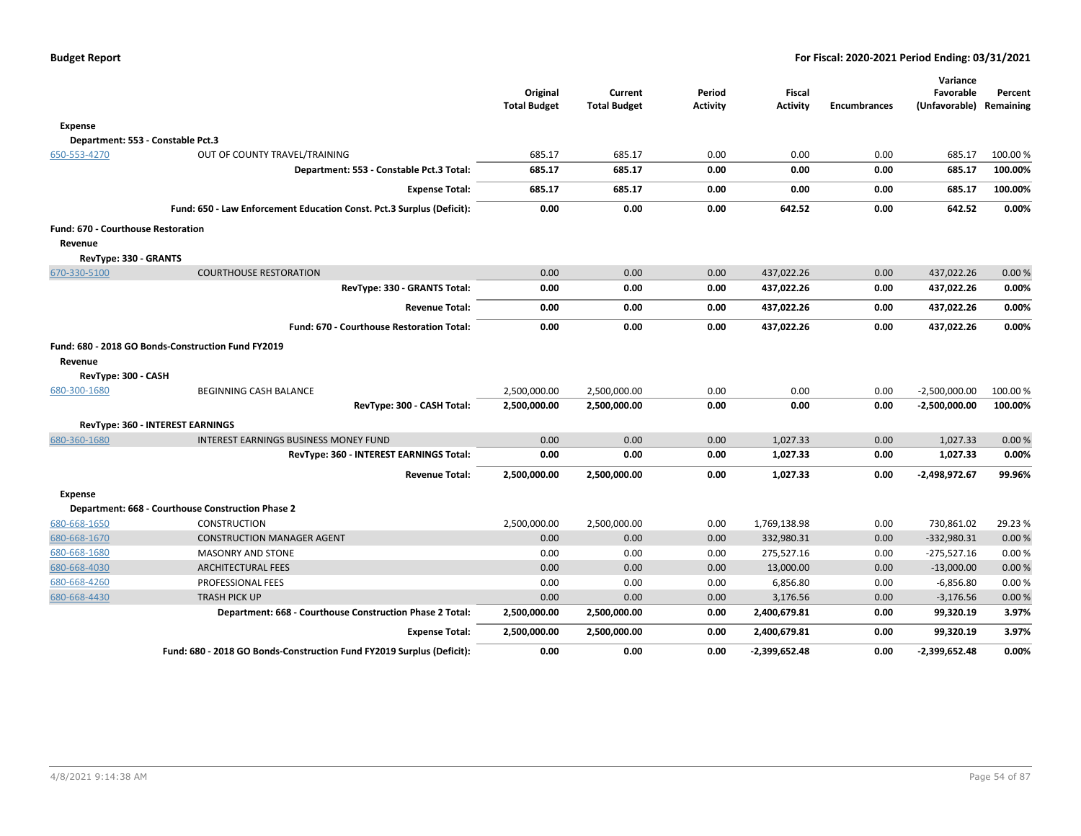|                                    |                                                                       | Original<br><b>Total Budget</b> | Current<br><b>Total Budget</b> | Period<br><b>Activity</b> | <b>Fiscal</b><br><b>Activity</b> | <b>Encumbrances</b> | Variance<br>Favorable<br>(Unfavorable) Remaining | Percent |
|------------------------------------|-----------------------------------------------------------------------|---------------------------------|--------------------------------|---------------------------|----------------------------------|---------------------|--------------------------------------------------|---------|
| <b>Expense</b>                     |                                                                       |                                 |                                |                           |                                  |                     |                                                  |         |
|                                    | Department: 553 - Constable Pct.3                                     |                                 |                                |                           |                                  |                     |                                                  |         |
| 650-553-4270                       | OUT OF COUNTY TRAVEL/TRAINING                                         | 685.17                          | 685.17                         | 0.00                      | 0.00                             | 0.00                | 685.17                                           | 100.00% |
|                                    | Department: 553 - Constable Pct.3 Total:                              | 685.17                          | 685.17                         | 0.00                      | 0.00                             | 0.00                | 685.17                                           | 100.00% |
|                                    | <b>Expense Total:</b>                                                 | 685.17                          | 685.17                         | 0.00                      | 0.00                             | 0.00                | 685.17                                           | 100.00% |
|                                    | Fund: 650 - Law Enforcement Education Const. Pct.3 Surplus (Deficit): | 0.00                            | 0.00                           | 0.00                      | 642.52                           | 0.00                | 642.52                                           | 0.00%   |
| Fund: 670 - Courthouse Restoration |                                                                       |                                 |                                |                           |                                  |                     |                                                  |         |
| Revenue                            |                                                                       |                                 |                                |                           |                                  |                     |                                                  |         |
| RevType: 330 - GRANTS              |                                                                       |                                 |                                |                           |                                  |                     |                                                  |         |
| 670-330-5100                       | <b>COURTHOUSE RESTORATION</b>                                         | 0.00                            | 0.00                           | 0.00                      | 437,022.26                       | 0.00                | 437,022.26                                       | 0.00%   |
|                                    | RevType: 330 - GRANTS Total:                                          | 0.00                            | 0.00                           | 0.00                      | 437,022.26                       | 0.00                | 437,022.26                                       | 0.00%   |
|                                    | <b>Revenue Total:</b>                                                 | 0.00                            | 0.00                           | 0.00                      | 437,022.26                       | 0.00                | 437,022.26                                       | 0.00%   |
|                                    | Fund: 670 - Courthouse Restoration Total:                             | 0.00                            | 0.00                           | 0.00                      | 437,022.26                       | 0.00                | 437,022.26                                       | 0.00%   |
|                                    | Fund: 680 - 2018 GO Bonds-Construction Fund FY2019                    |                                 |                                |                           |                                  |                     |                                                  |         |
| Revenue                            |                                                                       |                                 |                                |                           |                                  |                     |                                                  |         |
| RevType: 300 - CASH                |                                                                       |                                 |                                |                           |                                  |                     |                                                  |         |
| 680-300-1680                       | BEGINNING CASH BALANCE                                                | 2,500,000.00                    | 2,500,000.00                   | 0.00                      | 0.00                             | 0.00                | $-2,500,000.00$                                  | 100.00% |
|                                    | RevType: 300 - CASH Total:                                            | 2,500,000.00                    | 2,500,000.00                   | 0.00                      | 0.00                             | 0.00                | -2,500,000.00                                    | 100.00% |
|                                    | RevType: 360 - INTEREST EARNINGS                                      |                                 |                                |                           |                                  |                     |                                                  |         |
| 680-360-1680                       | <b>INTEREST EARNINGS BUSINESS MONEY FUND</b>                          | 0.00                            | 0.00                           | 0.00                      | 1,027.33                         | 0.00                | 1,027.33                                         | 0.00%   |
|                                    | RevType: 360 - INTEREST EARNINGS Total:                               | 0.00                            | 0.00                           | 0.00                      | 1,027.33                         | 0.00                | 1,027.33                                         | 0.00%   |
|                                    | <b>Revenue Total:</b>                                                 | 2,500,000.00                    | 2,500,000.00                   | 0.00                      | 1,027.33                         | 0.00                | -2,498,972.67                                    | 99.96%  |
| <b>Expense</b>                     |                                                                       |                                 |                                |                           |                                  |                     |                                                  |         |
|                                    | Department: 668 - Courthouse Construction Phase 2                     |                                 |                                |                           |                                  |                     |                                                  |         |
| 680-668-1650                       | <b>CONSTRUCTION</b>                                                   | 2,500,000.00                    | 2,500,000.00                   | 0.00                      | 1,769,138.98                     | 0.00                | 730,861.02                                       | 29.23 % |
| 680-668-1670                       | <b>CONSTRUCTION MANAGER AGENT</b>                                     | 0.00                            | 0.00                           | 0.00                      | 332,980.31                       | 0.00                | $-332,980.31$                                    | 0.00%   |
| 680-668-1680                       | <b>MASONRY AND STONE</b>                                              | 0.00                            | 0.00                           | 0.00                      | 275,527.16                       | 0.00                | $-275,527.16$                                    | 0.00%   |
| 680-668-4030                       | <b>ARCHITECTURAL FEES</b>                                             | 0.00                            | 0.00                           | 0.00                      | 13,000.00                        | 0.00                | $-13,000.00$                                     | 0.00%   |
| 680-668-4260                       | PROFESSIONAL FEES                                                     | 0.00                            | 0.00                           | 0.00                      | 6,856.80                         | 0.00                | $-6,856.80$                                      | 0.00%   |
| 680-668-4430                       | <b>TRASH PICK UP</b>                                                  | 0.00                            | 0.00                           | 0.00                      | 3,176.56                         | 0.00                | $-3,176.56$                                      | 0.00%   |
|                                    | Department: 668 - Courthouse Construction Phase 2 Total:              | 2,500,000.00                    | 2,500,000.00                   | 0.00                      | 2,400,679.81                     | 0.00                | 99,320.19                                        | 3.97%   |
|                                    | <b>Expense Total:</b>                                                 | 2,500,000.00                    | 2,500,000.00                   | 0.00                      | 2,400,679.81                     | 0.00                | 99,320.19                                        | 3.97%   |
|                                    | Fund: 680 - 2018 GO Bonds-Construction Fund FY2019 Surplus (Deficit): | 0.00                            | 0.00                           | 0.00                      | $-2,399,652.48$                  | 0.00                | -2,399,652.48                                    | 0.00%   |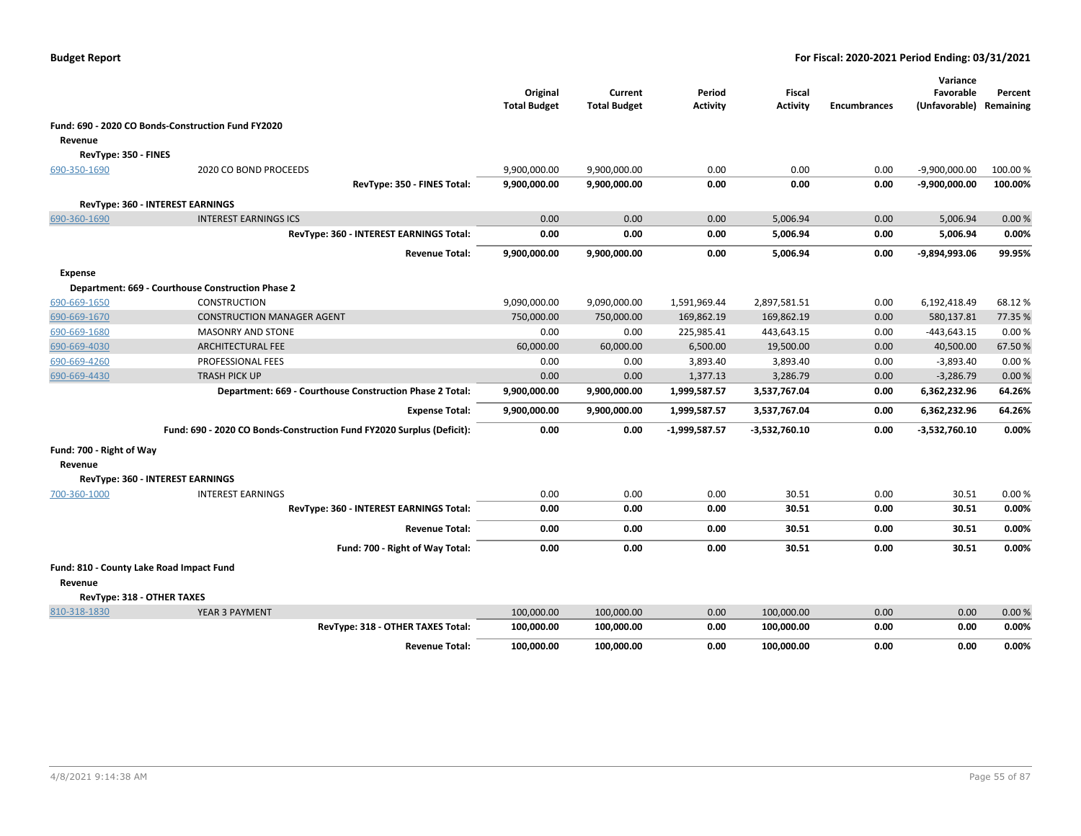|                          |                                                                       | Original<br><b>Total Budget</b> | Current<br><b>Total Budget</b> | Period<br><b>Activity</b> | Fiscal<br><b>Activity</b> | <b>Encumbrances</b> | Variance<br>Favorable<br>(Unfavorable) | Percent<br>Remaining |
|--------------------------|-----------------------------------------------------------------------|---------------------------------|--------------------------------|---------------------------|---------------------------|---------------------|----------------------------------------|----------------------|
|                          | Fund: 690 - 2020 CO Bonds-Construction Fund FY2020                    |                                 |                                |                           |                           |                     |                                        |                      |
| Revenue                  |                                                                       |                                 |                                |                           |                           |                     |                                        |                      |
| RevType: 350 - FINES     |                                                                       |                                 |                                |                           |                           |                     |                                        |                      |
| 690-350-1690             | 2020 CO BOND PROCEEDS                                                 | 9,900,000.00                    | 9,900,000.00                   | 0.00                      | 0.00                      | 0.00                | $-9,900,000.00$                        | 100.00 %             |
|                          | RevType: 350 - FINES Total:                                           | 9,900,000.00                    | 9,900,000.00                   | 0.00                      | 0.00                      | 0.00                | $-9,900,000.00$                        | 100.00%              |
|                          | RevType: 360 - INTEREST EARNINGS                                      |                                 |                                |                           |                           |                     |                                        |                      |
| 690-360-1690             | <b>INTEREST EARNINGS ICS</b>                                          | 0.00                            | 0.00                           | 0.00                      | 5,006.94                  | 0.00                | 5,006.94                               | 0.00%                |
|                          | RevType: 360 - INTEREST EARNINGS Total:                               | 0.00                            | 0.00                           | 0.00                      | 5,006.94                  | 0.00                | 5,006.94                               | 0.00%                |
|                          | <b>Revenue Total:</b>                                                 | 9,900,000.00                    | 9,900,000.00                   | 0.00                      | 5,006.94                  | 0.00                | -9,894,993.06                          | 99.95%               |
| <b>Expense</b>           |                                                                       |                                 |                                |                           |                           |                     |                                        |                      |
|                          | Department: 669 - Courthouse Construction Phase 2                     |                                 |                                |                           |                           |                     |                                        |                      |
| 690-669-1650             | <b>CONSTRUCTION</b>                                                   | 9,090,000.00                    | 9,090,000.00                   | 1,591,969.44              | 2,897,581.51              | 0.00                | 6,192,418.49                           | 68.12%               |
| 690-669-1670             | <b>CONSTRUCTION MANAGER AGENT</b>                                     | 750,000.00                      | 750,000.00                     | 169,862.19                | 169,862.19                | 0.00                | 580,137.81                             | 77.35 %              |
| 690-669-1680             | <b>MASONRY AND STONE</b>                                              | 0.00                            | 0.00                           | 225,985.41                | 443,643.15                | 0.00                | -443,643.15                            | 0.00%                |
| 690-669-4030             | <b>ARCHITECTURAL FEE</b>                                              | 60,000.00                       | 60,000.00                      | 6,500.00                  | 19,500.00                 | 0.00                | 40,500.00                              | 67.50%               |
| 690-669-4260             | PROFESSIONAL FEES                                                     | 0.00                            | 0.00                           | 3,893.40                  | 3,893.40                  | 0.00                | $-3,893.40$                            | 0.00%                |
| 690-669-4430             | <b>TRASH PICK UP</b>                                                  | 0.00                            | 0.00                           | 1,377.13                  | 3,286.79                  | 0.00                | $-3,286.79$                            | 0.00%                |
|                          | Department: 669 - Courthouse Construction Phase 2 Total:              | 9,900,000.00                    | 9,900,000.00                   | 1,999,587.57              | 3,537,767.04              | 0.00                | 6,362,232.96                           | 64.26%               |
|                          | <b>Expense Total:</b>                                                 | 9,900,000.00                    | 9,900,000.00                   | 1,999,587.57              | 3,537,767.04              | 0.00                | 6,362,232.96                           | 64.26%               |
|                          | Fund: 690 - 2020 CO Bonds-Construction Fund FY2020 Surplus (Deficit): | 0.00                            | 0.00                           | $-1,999,587.57$           | -3,532,760.10             | 0.00                | $-3,532,760.10$                        | 0.00%                |
| Fund: 700 - Right of Way |                                                                       |                                 |                                |                           |                           |                     |                                        |                      |
| Revenue                  |                                                                       |                                 |                                |                           |                           |                     |                                        |                      |
|                          | RevType: 360 - INTEREST EARNINGS                                      |                                 |                                |                           |                           |                     |                                        |                      |
| 700-360-1000             | <b>INTEREST EARNINGS</b>                                              | 0.00                            | 0.00                           | 0.00                      | 30.51                     | 0.00                | 30.51                                  | 0.00%                |
|                          | RevType: 360 - INTEREST EARNINGS Total:                               | 0.00                            | 0.00                           | 0.00                      | 30.51                     | 0.00                | 30.51                                  | 0.00%                |
|                          | <b>Revenue Total:</b>                                                 | 0.00                            | 0.00                           | 0.00                      | 30.51                     | 0.00                | 30.51                                  | 0.00%                |
|                          | Fund: 700 - Right of Way Total:                                       | 0.00                            | 0.00                           | 0.00                      | 30.51                     | 0.00                | 30.51                                  | 0.00%                |
| Revenue                  | Fund: 810 - County Lake Road Impact Fund                              |                                 |                                |                           |                           |                     |                                        |                      |
|                          | RevType: 318 - OTHER TAXES                                            |                                 |                                |                           |                           |                     |                                        |                      |
| 810-318-1830             | YEAR 3 PAYMENT                                                        | 100,000.00                      | 100,000.00                     | 0.00                      | 100,000.00                | 0.00                | 0.00                                   | 0.00%                |
|                          | RevType: 318 - OTHER TAXES Total:                                     | 100,000.00                      | 100,000.00                     | 0.00                      | 100,000.00                | 0.00                | 0.00                                   | 0.00%                |
|                          | <b>Revenue Total:</b>                                                 | 100,000.00                      | 100,000.00                     | 0.00                      | 100,000.00                | 0.00                | 0.00                                   | 0.00%                |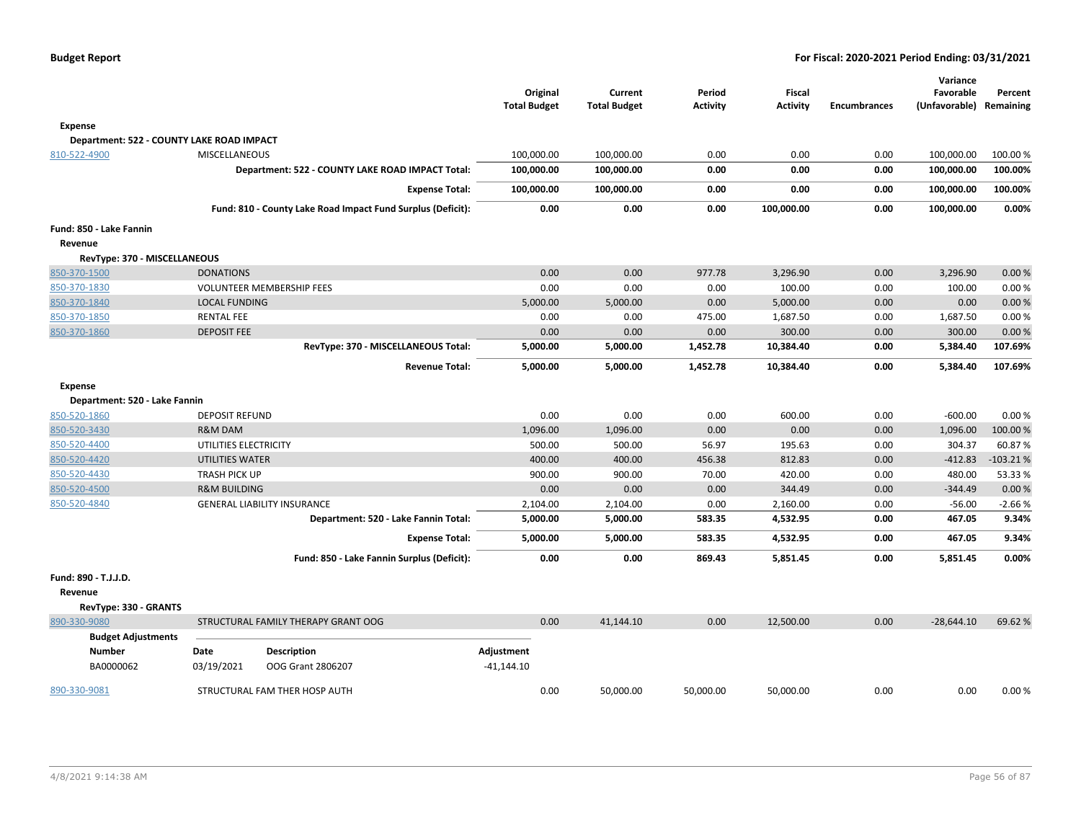| Budget Report |  |
|---------------|--|
|---------------|--|

|                                           |                         |                                                             |                     |                     |                 |                 |                     | Variance                |            |
|-------------------------------------------|-------------------------|-------------------------------------------------------------|---------------------|---------------------|-----------------|-----------------|---------------------|-------------------------|------------|
|                                           |                         |                                                             | Original            | Current             | Period          | Fiscal          |                     | Favorable               | Percent    |
|                                           |                         |                                                             | <b>Total Budget</b> | <b>Total Budget</b> | <b>Activity</b> | <b>Activity</b> | <b>Encumbrances</b> | (Unfavorable) Remaining |            |
| Expense                                   |                         |                                                             |                     |                     |                 |                 |                     |                         |            |
| Department: 522 - COUNTY LAKE ROAD IMPACT |                         |                                                             |                     |                     |                 |                 |                     |                         |            |
| 810-522-4900                              | MISCELLANEOUS           |                                                             | 100,000.00          | 100,000.00          | 0.00            | 0.00            | 0.00                | 100,000.00              | 100.00%    |
|                                           |                         | Department: 522 - COUNTY LAKE ROAD IMPACT Total:            | 100,000.00          | 100,000.00          | 0.00            | 0.00            | 0.00                | 100,000.00              | 100.00%    |
|                                           |                         | <b>Expense Total:</b>                                       | 100,000.00          | 100,000.00          | 0.00            | 0.00            | 0.00                | 100,000.00              | 100.00%    |
|                                           |                         | Fund: 810 - County Lake Road Impact Fund Surplus (Deficit): | 0.00                | 0.00                | 0.00            | 100,000.00      | 0.00                | 100,000.00              | 0.00%      |
| Fund: 850 - Lake Fannin                   |                         |                                                             |                     |                     |                 |                 |                     |                         |            |
| Revenue                                   |                         |                                                             |                     |                     |                 |                 |                     |                         |            |
| RevType: 370 - MISCELLANEOUS              |                         |                                                             |                     |                     |                 |                 |                     |                         |            |
| 850-370-1500                              | <b>DONATIONS</b>        |                                                             | 0.00                | 0.00                | 977.78          | 3,296.90        | 0.00                | 3,296.90                | 0.00%      |
| 850-370-1830                              |                         | <b>VOLUNTEER MEMBERSHIP FEES</b>                            | 0.00                | 0.00                | 0.00            | 100.00          | 0.00                | 100.00                  | 0.00%      |
| 850-370-1840                              | <b>LOCAL FUNDING</b>    |                                                             | 5,000.00            | 5,000.00            | 0.00            | 5,000.00        | 0.00                | 0.00                    | 0.00%      |
| 850-370-1850                              | <b>RENTAL FEE</b>       |                                                             | 0.00                | 0.00                | 475.00          | 1,687.50        | 0.00                | 1,687.50                | 0.00%      |
| 850-370-1860                              | <b>DEPOSIT FEE</b>      |                                                             | 0.00                | 0.00                | 0.00            | 300.00          | 0.00                | 300.00                  | 0.00%      |
|                                           |                         | RevType: 370 - MISCELLANEOUS Total:                         | 5,000.00            | 5,000.00            | 1,452.78        | 10,384.40       | 0.00                | 5,384.40                | 107.69%    |
|                                           |                         | <b>Revenue Total:</b>                                       | 5,000.00            | 5,000.00            | 1,452.78        | 10,384.40       | 0.00                | 5,384.40                | 107.69%    |
| Expense                                   |                         |                                                             |                     |                     |                 |                 |                     |                         |            |
| Department: 520 - Lake Fannin             |                         |                                                             |                     |                     |                 |                 |                     |                         |            |
| 850-520-1860                              | <b>DEPOSIT REFUND</b>   |                                                             | 0.00                | 0.00                | 0.00            | 600.00          | 0.00                | $-600.00$               | 0.00%      |
| 850-520-3430                              | <b>R&amp;M DAM</b>      |                                                             | 1,096.00            | 1,096.00            | 0.00            | 0.00            | 0.00                | 1,096.00                | 100.00%    |
| 850-520-4400                              | UTILITIES ELECTRICITY   |                                                             | 500.00              | 500.00              | 56.97           | 195.63          | 0.00                | 304.37                  | 60.87%     |
| 850-520-4420                              | UTILITIES WATER         |                                                             | 400.00              | 400.00              | 456.38          | 812.83          | 0.00                | $-412.83$               | $-103.21%$ |
| 850-520-4430                              | <b>TRASH PICK UP</b>    |                                                             | 900.00              | 900.00              | 70.00           | 420.00          | 0.00                | 480.00                  | 53.33 %    |
| 850-520-4500                              | <b>R&amp;M BUILDING</b> |                                                             | 0.00                | 0.00                | 0.00            | 344.49          | 0.00                | $-344.49$               | 0.00%      |
| 850-520-4840                              |                         | <b>GENERAL LIABILITY INSURANCE</b>                          | 2,104.00            | 2,104.00            | 0.00            | 2,160.00        | 0.00                | $-56.00$                | $-2.66%$   |
|                                           |                         | Department: 520 - Lake Fannin Total:                        | 5,000.00            | 5,000.00            | 583.35          | 4,532.95        | 0.00                | 467.05                  | 9.34%      |
|                                           |                         | <b>Expense Total:</b>                                       | 5,000.00            | 5,000.00            | 583.35          | 4,532.95        | 0.00                | 467.05                  | 9.34%      |
|                                           |                         | Fund: 850 - Lake Fannin Surplus (Deficit):                  | 0.00                | 0.00                | 869.43          | 5,851.45        | 0.00                | 5,851.45                | $0.00\%$   |
| Fund: 890 - T.J.J.D.                      |                         |                                                             |                     |                     |                 |                 |                     |                         |            |
| Revenue                                   |                         |                                                             |                     |                     |                 |                 |                     |                         |            |
| RevType: 330 - GRANTS                     |                         |                                                             |                     |                     |                 |                 |                     |                         |            |
| 890-330-9080                              |                         | STRUCTURAL FAMILY THERAPY GRANT OOG                         | 0.00                | 41,144.10           | 0.00            | 12,500.00       | 0.00                | $-28,644.10$            | 69.62 %    |
| <b>Budget Adjustments</b>                 |                         |                                                             |                     |                     |                 |                 |                     |                         |            |
| <b>Number</b>                             | Date                    | <b>Description</b>                                          | Adjustment          |                     |                 |                 |                     |                         |            |
| BA0000062                                 | 03/19/2021              | OOG Grant 2806207                                           | $-41,144.10$        |                     |                 |                 |                     |                         |            |
| 890-330-9081                              |                         | STRUCTURAL FAM THER HOSP AUTH                               | 0.00                | 50,000.00           | 50,000.00       | 50,000.00       | 0.00                | 0.00                    | 0.00%      |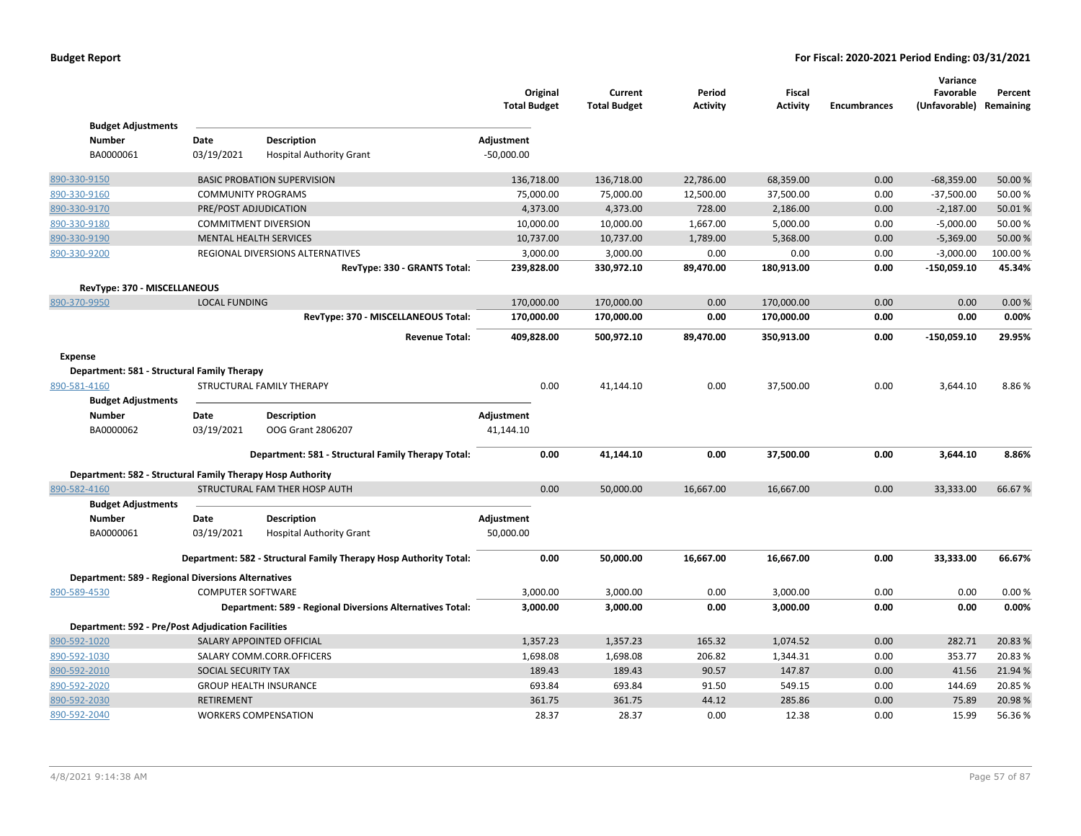|                                                               |                            |                                                                   | Original<br><b>Total Budget</b> | Current<br><b>Total Budget</b> | Period<br><b>Activity</b> | Fiscal<br><b>Activity</b> | <b>Encumbrances</b> | Variance<br>Favorable<br>(Unfavorable) Remaining | Percent |
|---------------------------------------------------------------|----------------------------|-------------------------------------------------------------------|---------------------------------|--------------------------------|---------------------------|---------------------------|---------------------|--------------------------------------------------|---------|
| <b>Budget Adjustments</b>                                     |                            |                                                                   |                                 |                                |                           |                           |                     |                                                  |         |
| <b>Number</b><br>BA0000061                                    | Date<br>03/19/2021         | <b>Description</b><br><b>Hospital Authority Grant</b>             | Adjustment<br>$-50,000.00$      |                                |                           |                           |                     |                                                  |         |
| 890-330-9150                                                  |                            | <b>BASIC PROBATION SUPERVISION</b>                                | 136,718.00                      | 136,718.00                     | 22,786.00                 | 68,359.00                 | 0.00                | $-68,359.00$                                     | 50.00%  |
| 890-330-9160                                                  | <b>COMMUNITY PROGRAMS</b>  |                                                                   | 75,000.00                       | 75,000.00                      | 12,500.00                 | 37,500.00                 | 0.00                | $-37,500.00$                                     | 50.00 % |
| 890-330-9170                                                  |                            | PRE/POST ADJUDICATION                                             | 4,373.00                        | 4,373.00                       | 728.00                    | 2,186.00                  | 0.00                | $-2,187.00$                                      | 50.01%  |
| 890-330-9180                                                  |                            | <b>COMMITMENT DIVERSION</b>                                       | 10,000.00                       | 10,000.00                      | 1,667.00                  | 5,000.00                  | 0.00                | $-5,000.00$                                      | 50.00 % |
| 890-330-9190                                                  |                            | <b>MENTAL HEALTH SERVICES</b>                                     | 10,737.00                       | 10,737.00                      | 1,789.00                  | 5,368.00                  | 0.00                | $-5,369.00$                                      | 50.00 % |
| 890-330-9200                                                  |                            | REGIONAL DIVERSIONS ALTERNATIVES                                  | 3,000.00                        | 3,000.00                       | 0.00                      | 0.00                      | 0.00                | $-3,000.00$                                      | 100.00% |
|                                                               |                            | RevType: 330 - GRANTS Total:                                      | 239,828.00                      | 330,972.10                     | 89,470.00                 | 180,913.00                | 0.00                | $-150,059.10$                                    | 45.34%  |
| RevType: 370 - MISCELLANEOUS                                  |                            |                                                                   |                                 |                                |                           |                           |                     |                                                  |         |
| 890-370-9950                                                  | <b>LOCAL FUNDING</b>       |                                                                   | 170,000.00                      | 170,000.00                     | 0.00                      | 170,000.00                | 0.00                | 0.00                                             | 0.00%   |
|                                                               |                            | RevType: 370 - MISCELLANEOUS Total:                               | 170,000.00                      | 170,000.00                     | 0.00                      | 170,000.00                | 0.00                | 0.00                                             | 0.00%   |
|                                                               |                            | <b>Revenue Total:</b>                                             | 409,828.00                      | 500,972.10                     | 89,470.00                 | 350,913.00                | 0.00                | $-150,059.10$                                    | 29.95%  |
| <b>Expense</b><br>Department: 581 - Structural Family Therapy |                            |                                                                   |                                 |                                |                           |                           |                     |                                                  |         |
| 890-581-4160                                                  |                            | STRUCTURAL FAMILY THERAPY                                         | 0.00                            | 41,144.10                      | 0.00                      | 37,500.00                 | 0.00                | 3,644.10                                         | 8.86%   |
| <b>Budget Adjustments</b>                                     |                            |                                                                   |                                 |                                |                           |                           |                     |                                                  |         |
| <b>Number</b>                                                 | Date                       | <b>Description</b>                                                | Adjustment                      |                                |                           |                           |                     |                                                  |         |
| BA0000062                                                     | 03/19/2021                 | OOG Grant 2806207                                                 | 41,144.10                       |                                |                           |                           |                     |                                                  |         |
|                                                               |                            | Department: 581 - Structural Family Therapy Total:                | 0.00                            | 41,144.10                      | 0.00                      | 37,500.00                 | 0.00                | 3,644.10                                         | 8.86%   |
| Department: 582 - Structural Family Therapy Hosp Authority    |                            |                                                                   |                                 |                                |                           |                           |                     |                                                  |         |
| 890-582-4160                                                  |                            | STRUCTURAL FAM THER HOSP AUTH                                     | 0.00                            | 50,000.00                      | 16,667.00                 | 16,667.00                 | 0.00                | 33,333.00                                        | 66.67%  |
| <b>Budget Adjustments</b>                                     |                            |                                                                   |                                 |                                |                           |                           |                     |                                                  |         |
| <b>Number</b>                                                 | Date                       | <b>Description</b>                                                | Adjustment                      |                                |                           |                           |                     |                                                  |         |
| BA0000061                                                     | 03/19/2021                 | <b>Hospital Authority Grant</b>                                   | 50,000.00                       |                                |                           |                           |                     |                                                  |         |
|                                                               |                            | Department: 582 - Structural Family Therapy Hosp Authority Total: | 0.00                            | 50,000.00                      | 16,667.00                 | 16,667.00                 | 0.00                | 33,333.00                                        | 66.67%  |
| <b>Department: 589 - Regional Diversions Alternatives</b>     |                            |                                                                   |                                 |                                |                           |                           |                     |                                                  |         |
| 890-589-4530                                                  | <b>COMPUTER SOFTWARE</b>   |                                                                   | 3,000.00                        | 3,000.00                       | 0.00                      | 3,000.00                  | 0.00                | 0.00                                             | 0.00%   |
|                                                               |                            | Department: 589 - Regional Diversions Alternatives Total:         | 3,000.00                        | 3,000.00                       | 0.00                      | 3,000.00                  | 0.00                | 0.00                                             | 0.00%   |
| <b>Department: 592 - Pre/Post Adjudication Facilities</b>     |                            |                                                                   |                                 |                                |                           |                           |                     |                                                  |         |
| 890-592-1020                                                  |                            | SALARY APPOINTED OFFICIAL                                         | 1,357.23                        | 1,357.23                       | 165.32                    | 1,074.52                  | 0.00                | 282.71                                           | 20.83 % |
| 890-592-1030                                                  |                            | SALARY COMM.CORR.OFFICERS                                         | 1,698.08                        | 1,698.08                       | 206.82                    | 1,344.31                  | 0.00                | 353.77                                           | 20.83%  |
| 890-592-2010                                                  | <b>SOCIAL SECURITY TAX</b> |                                                                   | 189.43                          | 189.43                         | 90.57                     | 147.87                    | 0.00                | 41.56                                            | 21.94 % |
| 890-592-2020                                                  |                            | <b>GROUP HEALTH INSURANCE</b>                                     | 693.84                          | 693.84                         | 91.50                     | 549.15                    | 0.00                | 144.69                                           | 20.85%  |
| 890-592-2030                                                  | <b>RETIREMENT</b>          |                                                                   | 361.75                          | 361.75                         | 44.12                     | 285.86                    | 0.00                | 75.89                                            | 20.98%  |
| 890-592-2040                                                  |                            | <b>WORKERS COMPENSATION</b>                                       | 28.37                           | 28.37                          | 0.00                      | 12.38                     | 0.00                | 15.99                                            | 56.36%  |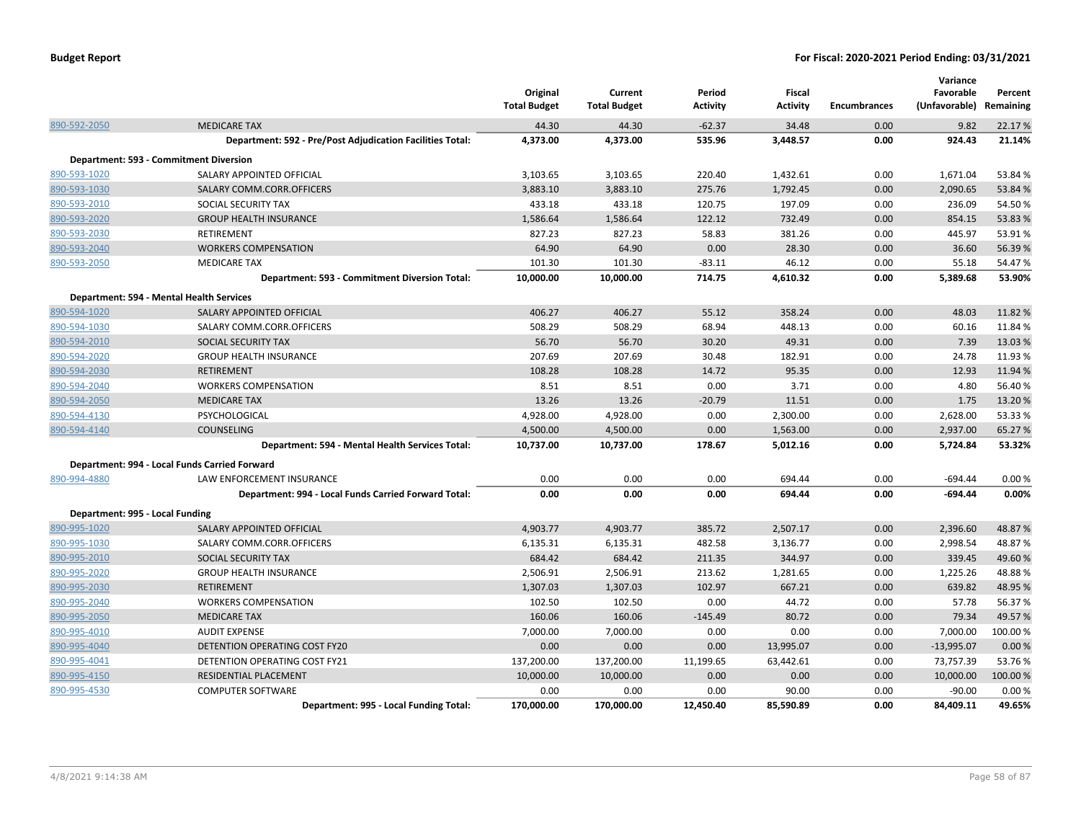|                                 |                                                           | Original<br><b>Total Budget</b> | Current<br><b>Total Budget</b> | Period<br><b>Activity</b> | <b>Fiscal</b><br><b>Activity</b> | <b>Encumbrances</b> | Variance<br>Favorable<br>(Unfavorable) Remaining | Percent  |
|---------------------------------|-----------------------------------------------------------|---------------------------------|--------------------------------|---------------------------|----------------------------------|---------------------|--------------------------------------------------|----------|
| 890-592-2050                    | <b>MEDICARE TAX</b>                                       | 44.30                           | 44.30                          | $-62.37$                  | 34.48                            | 0.00                | 9.82                                             | 22.17 %  |
|                                 | Department: 592 - Pre/Post Adjudication Facilities Total: | 4,373.00                        | 4,373.00                       | 535.96                    | 3,448.57                         | 0.00                | 924.43                                           | 21.14%   |
|                                 | Department: 593 - Commitment Diversion                    |                                 |                                |                           |                                  |                     |                                                  |          |
| 890-593-1020                    | SALARY APPOINTED OFFICIAL                                 | 3,103.65                        | 3,103.65                       | 220.40                    | 1,432.61                         | 0.00                | 1,671.04                                         | 53.84 %  |
| 890-593-1030                    | SALARY COMM.CORR.OFFICERS                                 | 3,883.10                        | 3,883.10                       | 275.76                    | 1,792.45                         | 0.00                | 2,090.65                                         | 53.84 %  |
| 890-593-2010                    | SOCIAL SECURITY TAX                                       | 433.18                          | 433.18                         | 120.75                    | 197.09                           | 0.00                | 236.09                                           | 54.50%   |
| 890-593-2020                    | <b>GROUP HEALTH INSURANCE</b>                             | 1,586.64                        | 1,586.64                       | 122.12                    | 732.49                           | 0.00                | 854.15                                           | 53.83 %  |
| 890-593-2030                    | <b>RETIREMENT</b>                                         | 827.23                          | 827.23                         | 58.83                     | 381.26                           | 0.00                | 445.97                                           | 53.91%   |
| 890-593-2040                    | <b>WORKERS COMPENSATION</b>                               | 64.90                           | 64.90                          | 0.00                      | 28.30                            | 0.00                | 36.60                                            | 56.39%   |
| 890-593-2050                    | <b>MEDICARE TAX</b>                                       | 101.30                          | 101.30                         | $-83.11$                  | 46.12                            | 0.00                | 55.18                                            | 54.47%   |
|                                 | Department: 593 - Commitment Diversion Total:             | 10,000.00                       | 10,000.00                      | 714.75                    | 4,610.32                         | 0.00                | 5,389.68                                         | 53.90%   |
|                                 | Department: 594 - Mental Health Services                  |                                 |                                |                           |                                  |                     |                                                  |          |
| 890-594-1020                    | SALARY APPOINTED OFFICIAL                                 | 406.27                          | 406.27                         | 55.12                     | 358.24                           | 0.00                | 48.03                                            | 11.82%   |
| 890-594-1030                    | SALARY COMM.CORR.OFFICERS                                 | 508.29                          | 508.29                         | 68.94                     | 448.13                           | 0.00                | 60.16                                            | 11.84 %  |
| 890-594-2010                    | SOCIAL SECURITY TAX                                       | 56.70                           | 56.70                          | 30.20                     | 49.31                            | 0.00                | 7.39                                             | 13.03 %  |
| 890-594-2020                    | <b>GROUP HEALTH INSURANCE</b>                             | 207.69                          | 207.69                         | 30.48                     | 182.91                           | 0.00                | 24.78                                            | 11.93 %  |
| 890-594-2030                    | <b>RETIREMENT</b>                                         | 108.28                          | 108.28                         | 14.72                     | 95.35                            | 0.00                | 12.93                                            | 11.94 %  |
| 890-594-2040                    | <b>WORKERS COMPENSATION</b>                               | 8.51                            | 8.51                           | 0.00                      | 3.71                             | 0.00                | 4.80                                             | 56.40%   |
| 890-594-2050                    | <b>MEDICARE TAX</b>                                       | 13.26                           | 13.26                          | $-20.79$                  | 11.51                            | 0.00                | 1.75                                             | 13.20%   |
| 890-594-4130                    | PSYCHOLOGICAL                                             | 4,928.00                        | 4,928.00                       | 0.00                      | 2,300.00                         | 0.00                | 2,628.00                                         | 53.33 %  |
| 890-594-4140                    | <b>COUNSELING</b>                                         | 4,500.00                        | 4,500.00                       | 0.00                      | 1,563.00                         | 0.00                | 2,937.00                                         | 65.27 %  |
|                                 | Department: 594 - Mental Health Services Total:           | 10,737.00                       | 10,737.00                      | 178.67                    | 5,012.16                         | 0.00                | 5,724.84                                         | 53.32%   |
|                                 | Department: 994 - Local Funds Carried Forward             |                                 |                                |                           |                                  |                     |                                                  |          |
| 890-994-4880                    | LAW ENFORCEMENT INSURANCE                                 | 0.00                            | 0.00                           | 0.00                      | 694.44                           | 0.00                | $-694.44$                                        | 0.00%    |
|                                 | Department: 994 - Local Funds Carried Forward Total:      | 0.00                            | 0.00                           | 0.00                      | 694.44                           | 0.00                | $-694.44$                                        | 0.00%    |
| Department: 995 - Local Funding |                                                           |                                 |                                |                           |                                  |                     |                                                  |          |
| 890-995-1020                    | SALARY APPOINTED OFFICIAL                                 | 4,903.77                        | 4,903.77                       | 385.72                    | 2,507.17                         | 0.00                | 2,396.60                                         | 48.87%   |
| 890-995-1030                    | SALARY COMM.CORR.OFFICERS                                 | 6,135.31                        | 6,135.31                       | 482.58                    | 3,136.77                         | 0.00                | 2,998.54                                         | 48.87%   |
| 890-995-2010                    | SOCIAL SECURITY TAX                                       | 684.42                          | 684.42                         | 211.35                    | 344.97                           | 0.00                | 339.45                                           | 49.60%   |
| 890-995-2020                    | <b>GROUP HEALTH INSURANCE</b>                             | 2,506.91                        | 2,506.91                       | 213.62                    | 1,281.65                         | 0.00                | 1,225.26                                         | 48.88%   |
| 890-995-2030                    | <b>RETIREMENT</b>                                         | 1,307.03                        | 1,307.03                       | 102.97                    | 667.21                           | 0.00                | 639.82                                           | 48.95%   |
| 890-995-2040                    | <b>WORKERS COMPENSATION</b>                               | 102.50                          | 102.50                         | 0.00                      | 44.72                            | 0.00                | 57.78                                            | 56.37%   |
| 890-995-2050                    | <b>MEDICARE TAX</b>                                       | 160.06                          | 160.06                         | $-145.49$                 | 80.72                            | 0.00                | 79.34                                            | 49.57%   |
| 890-995-4010                    | <b>AUDIT EXPENSE</b>                                      | 7,000.00                        | 7,000.00                       | 0.00                      | 0.00                             | 0.00                | 7,000.00                                         | 100.00%  |
| 890-995-4040                    | DETENTION OPERATING COST FY20                             | 0.00                            | 0.00                           | 0.00                      | 13,995.07                        | 0.00                | $-13,995.07$                                     | 0.00%    |
| 890-995-4041                    | DETENTION OPERATING COST FY21                             | 137,200.00                      | 137,200.00                     | 11,199.65                 | 63,442.61                        | 0.00                | 73,757.39                                        | 53.76%   |
| 890-995-4150                    | RESIDENTIAL PLACEMENT                                     | 10,000.00                       | 10,000.00                      | 0.00                      | 0.00                             | 0.00                | 10,000.00                                        | 100.00 % |
| 890-995-4530                    | <b>COMPUTER SOFTWARE</b>                                  | 0.00                            | 0.00                           | 0.00                      | 90.00                            | 0.00                | $-90.00$                                         | 0.00%    |
|                                 | Department: 995 - Local Funding Total:                    | 170,000.00                      | 170,000.00                     | 12,450.40                 | 85,590.89                        | 0.00                | 84,409.11                                        | 49.65%   |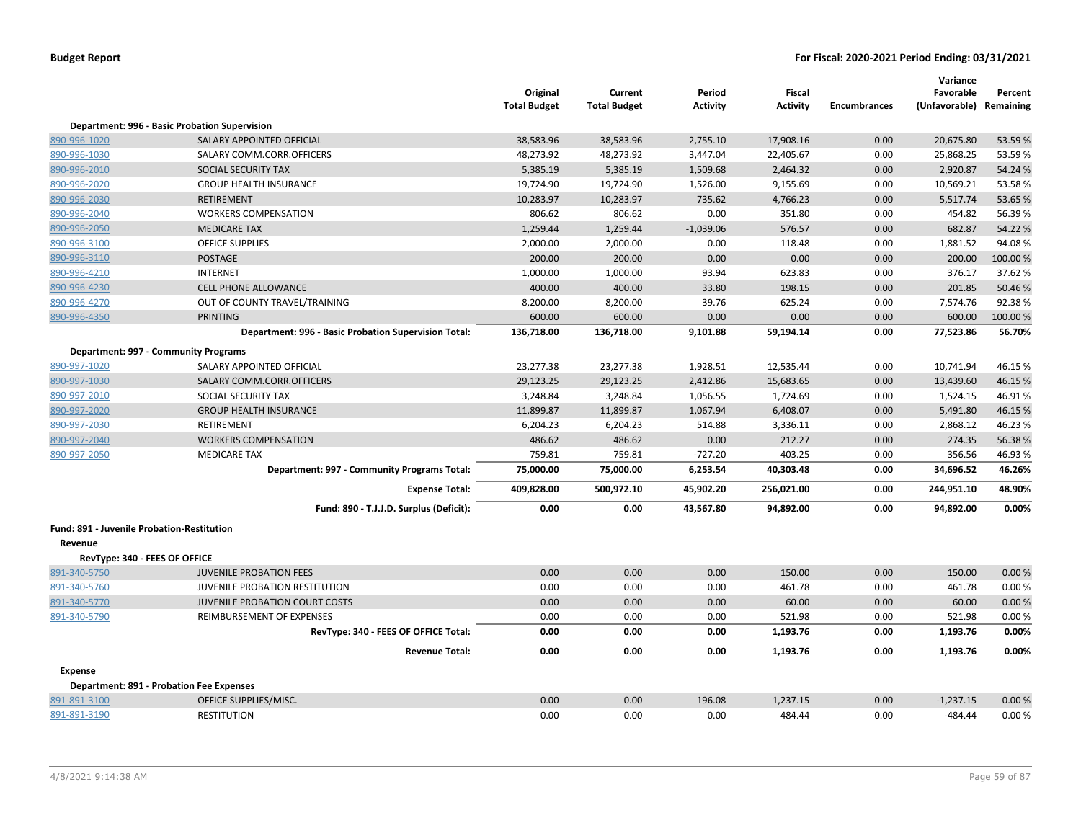|                                            |                                                      | Original<br><b>Total Budget</b> | Current<br><b>Total Budget</b> | Period<br><b>Activity</b> | <b>Fiscal</b><br><b>Activity</b> | <b>Encumbrances</b> | Variance<br>Favorable<br>(Unfavorable) Remaining | Percent  |
|--------------------------------------------|------------------------------------------------------|---------------------------------|--------------------------------|---------------------------|----------------------------------|---------------------|--------------------------------------------------|----------|
|                                            | Department: 996 - Basic Probation Supervision        |                                 |                                |                           |                                  |                     |                                                  |          |
| 890-996-1020                               | SALARY APPOINTED OFFICIAL                            | 38,583.96                       | 38,583.96                      | 2,755.10                  | 17,908.16                        | 0.00                | 20,675.80                                        | 53.59%   |
| 890-996-1030                               | SALARY COMM.CORR.OFFICERS                            | 48,273.92                       | 48,273.92                      | 3,447.04                  | 22,405.67                        | 0.00                | 25,868.25                                        | 53.59%   |
| 890-996-2010                               | SOCIAL SECURITY TAX                                  | 5,385.19                        | 5,385.19                       | 1,509.68                  | 2,464.32                         | 0.00                | 2,920.87                                         | 54.24 %  |
| 890-996-2020                               | <b>GROUP HEALTH INSURANCE</b>                        | 19,724.90                       | 19,724.90                      | 1,526.00                  | 9,155.69                         | 0.00                | 10,569.21                                        | 53.58%   |
| 890-996-2030                               | <b>RETIREMENT</b>                                    | 10,283.97                       | 10,283.97                      | 735.62                    | 4,766.23                         | 0.00                | 5,517.74                                         | 53.65%   |
| 890-996-2040                               | <b>WORKERS COMPENSATION</b>                          | 806.62                          | 806.62                         | 0.00                      | 351.80                           | 0.00                | 454.82                                           | 56.39%   |
| 890-996-2050                               | <b>MEDICARE TAX</b>                                  | 1,259.44                        | 1,259.44                       | $-1,039.06$               | 576.57                           | 0.00                | 682.87                                           | 54.22 %  |
| 890-996-3100                               | <b>OFFICE SUPPLIES</b>                               | 2,000.00                        | 2,000.00                       | 0.00                      | 118.48                           | 0.00                | 1,881.52                                         | 94.08%   |
| 890-996-3110                               | <b>POSTAGE</b>                                       | 200.00                          | 200.00                         | 0.00                      | 0.00                             | 0.00                | 200.00                                           | 100.00 % |
| 890-996-4210                               | <b>INTERNET</b>                                      | 1,000.00                        | 1,000.00                       | 93.94                     | 623.83                           | 0.00                | 376.17                                           | 37.62%   |
| 890-996-4230                               | <b>CELL PHONE ALLOWANCE</b>                          | 400.00                          | 400.00                         | 33.80                     | 198.15                           | 0.00                | 201.85                                           | 50.46 %  |
| 890-996-4270                               | OUT OF COUNTY TRAVEL/TRAINING                        | 8,200.00                        | 8,200.00                       | 39.76                     | 625.24                           | 0.00                | 7,574.76                                         | 92.38%   |
| 890-996-4350                               | <b>PRINTING</b>                                      | 600.00                          | 600.00                         | 0.00                      | 0.00                             | 0.00                | 600.00                                           | 100.00%  |
|                                            | Department: 996 - Basic Probation Supervision Total: | 136,718.00                      | 136,718.00                     | 9,101.88                  | 59,194.14                        | 0.00                | 77,523.86                                        | 56.70%   |
|                                            | Department: 997 - Community Programs                 |                                 |                                |                           |                                  |                     |                                                  |          |
| 890-997-1020                               | SALARY APPOINTED OFFICIAL                            | 23,277.38                       | 23,277.38                      | 1,928.51                  | 12,535.44                        | 0.00                | 10,741.94                                        | 46.15%   |
| 890-997-1030                               | SALARY COMM.CORR.OFFICERS                            | 29,123.25                       | 29,123.25                      | 2,412.86                  | 15,683.65                        | 0.00                | 13,439.60                                        | 46.15%   |
| 890-997-2010                               | SOCIAL SECURITY TAX                                  | 3,248.84                        | 3,248.84                       | 1,056.55                  | 1,724.69                         | 0.00                | 1,524.15                                         | 46.91%   |
| 890-997-2020                               | <b>GROUP HEALTH INSURANCE</b>                        | 11,899.87                       | 11,899.87                      | 1,067.94                  | 6,408.07                         | 0.00                | 5,491.80                                         | 46.15%   |
| 890-997-2030                               | <b>RETIREMENT</b>                                    | 6,204.23                        | 6,204.23                       | 514.88                    | 3,336.11                         | 0.00                | 2,868.12                                         | 46.23%   |
| 890-997-2040                               | <b>WORKERS COMPENSATION</b>                          | 486.62                          | 486.62                         | 0.00                      | 212.27                           | 0.00                | 274.35                                           | 56.38%   |
| 890-997-2050                               | <b>MEDICARE TAX</b>                                  | 759.81                          | 759.81                         | $-727.20$                 | 403.25                           | 0.00                | 356.56                                           | 46.93%   |
|                                            | Department: 997 - Community Programs Total:          | 75,000.00                       | 75,000.00                      | 6,253.54                  | 40,303.48                        | 0.00                | 34,696.52                                        | 46.26%   |
|                                            | <b>Expense Total:</b>                                | 409,828.00                      | 500,972.10                     | 45,902.20                 | 256,021.00                       | 0.00                | 244,951.10                                       | 48.90%   |
|                                            | Fund: 890 - T.J.J.D. Surplus (Deficit):              | 0.00                            | 0.00                           | 43,567.80                 | 94,892.00                        | 0.00                | 94,892.00                                        | 0.00%    |
| Fund: 891 - Juvenile Probation-Restitution |                                                      |                                 |                                |                           |                                  |                     |                                                  |          |
| Revenue                                    |                                                      |                                 |                                |                           |                                  |                     |                                                  |          |
| RevType: 340 - FEES OF OFFICE              |                                                      |                                 |                                |                           |                                  |                     |                                                  |          |
| 891-340-5750                               | <b>JUVENILE PROBATION FEES</b>                       | 0.00                            | 0.00                           | 0.00                      | 150.00                           | 0.00                | 150.00                                           | 0.00%    |
| 891-340-5760                               | JUVENILE PROBATION RESTITUTION                       | 0.00                            | 0.00                           | 0.00                      | 461.78                           | 0.00                | 461.78                                           | 0.00%    |
| 891-340-5770                               | JUVENILE PROBATION COURT COSTS                       | 0.00                            | 0.00                           | 0.00                      | 60.00                            | 0.00                | 60.00                                            | 0.00%    |
| 891-340-5790                               | REIMBURSEMENT OF EXPENSES                            | 0.00                            | 0.00                           | 0.00                      | 521.98                           | 0.00                | 521.98                                           | 0.00%    |
|                                            | RevType: 340 - FEES OF OFFICE Total:                 | 0.00                            | 0.00                           | 0.00                      | 1,193.76                         | 0.00                | 1,193.76                                         | 0.00%    |
|                                            | <b>Revenue Total:</b>                                | 0.00                            | 0.00                           | 0.00                      | 1,193.76                         | 0.00                | 1,193.76                                         | 0.00%    |
| <b>Expense</b>                             |                                                      |                                 |                                |                           |                                  |                     |                                                  |          |
|                                            | <b>Department: 891 - Probation Fee Expenses</b>      |                                 |                                |                           |                                  |                     |                                                  |          |
| 891-891-3100                               | OFFICE SUPPLIES/MISC.                                | 0.00                            | 0.00                           | 196.08                    | 1,237.15                         | 0.00                | $-1,237.15$                                      | 0.00%    |
| 891-891-3190                               | <b>RESTITUTION</b>                                   | 0.00                            | 0.00                           | 0.00                      | 484.44                           | 0.00                | $-484.44$                                        | 0.00%    |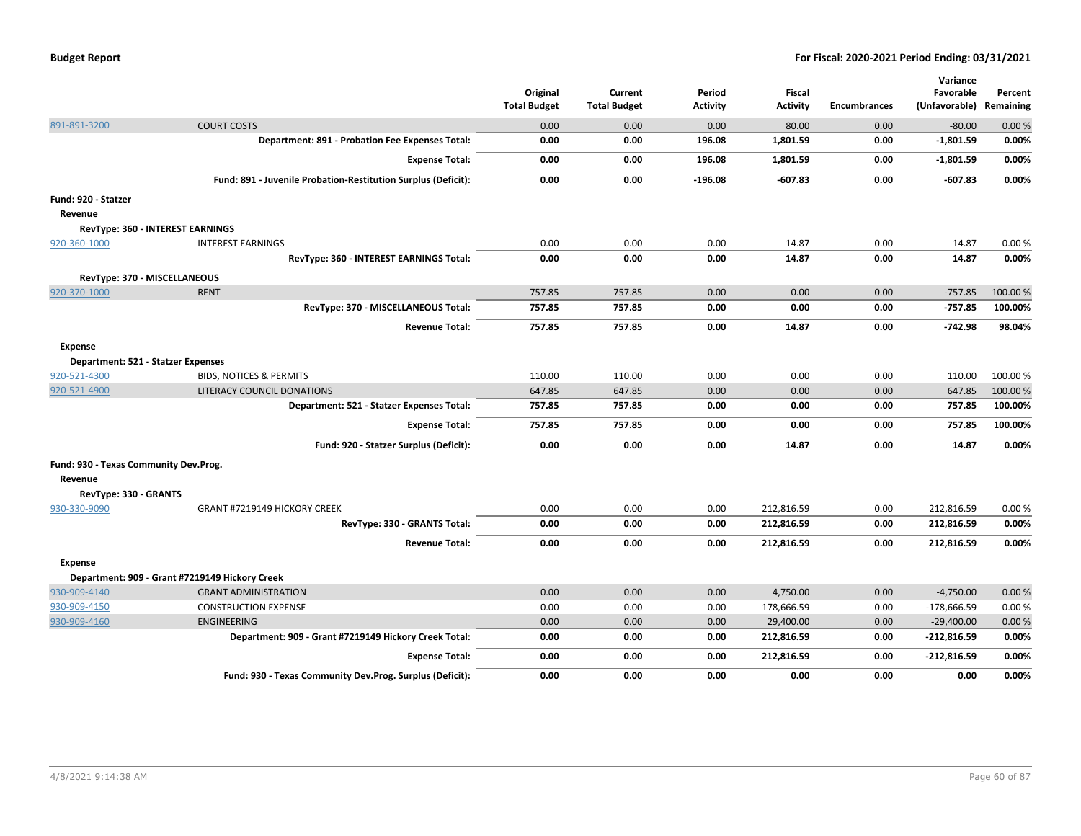|                                       |                                                               | Original<br><b>Total Budget</b> | Current<br><b>Total Budget</b> | Period<br><b>Activity</b> | <b>Fiscal</b><br><b>Activity</b> | <b>Encumbrances</b> | Variance<br>Favorable<br>(Unfavorable) | Percent<br>Remaining |
|---------------------------------------|---------------------------------------------------------------|---------------------------------|--------------------------------|---------------------------|----------------------------------|---------------------|----------------------------------------|----------------------|
| 891-891-3200                          | <b>COURT COSTS</b>                                            | 0.00                            | 0.00                           | 0.00                      | 80.00                            | 0.00                | $-80.00$                               | 0.00%                |
|                                       | Department: 891 - Probation Fee Expenses Total:               | 0.00                            | 0.00                           | 196.08                    | 1,801.59                         | 0.00                | $-1,801.59$                            | 0.00%                |
|                                       | <b>Expense Total:</b>                                         | 0.00                            | 0.00                           | 196.08                    | 1,801.59                         | 0.00                | $-1,801.59$                            | 0.00%                |
|                                       | Fund: 891 - Juvenile Probation-Restitution Surplus (Deficit): | 0.00                            | 0.00                           | $-196.08$                 | $-607.83$                        | 0.00                | $-607.83$                              | 0.00%                |
| Fund: 920 - Statzer                   |                                                               |                                 |                                |                           |                                  |                     |                                        |                      |
| Revenue                               |                                                               |                                 |                                |                           |                                  |                     |                                        |                      |
|                                       | RevType: 360 - INTEREST EARNINGS                              |                                 |                                |                           |                                  |                     |                                        |                      |
| 920-360-1000                          | <b>INTEREST EARNINGS</b>                                      | 0.00                            | 0.00                           | 0.00                      | 14.87                            | 0.00                | 14.87                                  | 0.00%                |
|                                       | RevType: 360 - INTEREST EARNINGS Total:                       | 0.00                            | 0.00                           | 0.00                      | 14.87                            | 0.00                | 14.87                                  | 0.00%                |
| RevType: 370 - MISCELLANEOUS          |                                                               |                                 |                                |                           |                                  |                     |                                        |                      |
| 920-370-1000                          | <b>RENT</b>                                                   | 757.85                          | 757.85                         | 0.00                      | 0.00                             | 0.00                | $-757.85$                              | 100.00 %             |
|                                       | RevType: 370 - MISCELLANEOUS Total:                           | 757.85                          | 757.85                         | 0.00                      | 0.00                             | 0.00                | $-757.85$                              | 100.00%              |
|                                       | <b>Revenue Total:</b>                                         | 757.85                          | 757.85                         | 0.00                      | 14.87                            | 0.00                | $-742.98$                              | 98.04%               |
| <b>Expense</b>                        |                                                               |                                 |                                |                           |                                  |                     |                                        |                      |
| Department: 521 - Statzer Expenses    |                                                               |                                 |                                |                           |                                  |                     |                                        |                      |
| 920-521-4300                          | <b>BIDS, NOTICES &amp; PERMITS</b>                            | 110.00                          | 110.00                         | 0.00                      | 0.00                             | 0.00                | 110.00                                 | 100.00 %             |
| 920-521-4900                          | LITERACY COUNCIL DONATIONS                                    | 647.85                          | 647.85                         | 0.00                      | 0.00                             | 0.00                | 647.85                                 | 100.00%              |
|                                       | Department: 521 - Statzer Expenses Total:                     | 757.85                          | 757.85                         | 0.00                      | 0.00                             | 0.00                | 757.85                                 | 100.00%              |
|                                       | <b>Expense Total:</b>                                         | 757.85                          | 757.85                         | 0.00                      | 0.00                             | 0.00                | 757.85                                 | 100.00%              |
|                                       | Fund: 920 - Statzer Surplus (Deficit):                        | 0.00                            | 0.00                           | 0.00                      | 14.87                            | 0.00                | 14.87                                  | 0.00%                |
| Fund: 930 - Texas Community Dev.Prog. |                                                               |                                 |                                |                           |                                  |                     |                                        |                      |
| Revenue                               |                                                               |                                 |                                |                           |                                  |                     |                                        |                      |
| RevType: 330 - GRANTS                 |                                                               |                                 |                                |                           |                                  |                     |                                        |                      |
| 930-330-9090                          | GRANT #7219149 HICKORY CREEK                                  | 0.00                            | 0.00                           | 0.00                      | 212,816.59                       | 0.00                | 212,816.59                             | 0.00%                |
|                                       | RevType: 330 - GRANTS Total:                                  | 0.00                            | 0.00                           | 0.00                      | 212,816.59                       | 0.00                | 212,816.59                             | 0.00%                |
|                                       | <b>Revenue Total:</b>                                         | 0.00                            | 0.00                           | 0.00                      | 212,816.59                       | 0.00                | 212,816.59                             | 0.00%                |
| <b>Expense</b>                        |                                                               |                                 |                                |                           |                                  |                     |                                        |                      |
|                                       | Department: 909 - Grant #7219149 Hickory Creek                |                                 |                                |                           |                                  |                     |                                        |                      |
| 930-909-4140                          | <b>GRANT ADMINISTRATION</b>                                   | 0.00                            | 0.00                           | 0.00                      | 4,750.00                         | 0.00                | $-4,750.00$                            | 0.00%                |
| 930-909-4150                          | <b>CONSTRUCTION EXPENSE</b>                                   | 0.00                            | 0.00                           | 0.00                      | 178,666.59                       | 0.00                | $-178,666.59$                          | 0.00%                |
| 930-909-4160                          | ENGINEERING                                                   | 0.00                            | 0.00                           | 0.00                      | 29,400.00                        | 0.00                | $-29,400.00$                           | 0.00%                |
|                                       | Department: 909 - Grant #7219149 Hickory Creek Total:         | 0.00                            | 0.00                           | 0.00                      | 212,816.59                       | 0.00                | $-212,816.59$                          | 0.00%                |
|                                       | <b>Expense Total:</b>                                         | 0.00                            | 0.00                           | 0.00                      | 212,816.59                       | 0.00                | $-212,816.59$                          | 0.00%                |
|                                       | Fund: 930 - Texas Community Dev.Prog. Surplus (Deficit):      | 0.00                            | 0.00                           | 0.00                      | 0.00                             | 0.00                | 0.00                                   | 0.00%                |
|                                       |                                                               |                                 |                                |                           |                                  |                     |                                        |                      |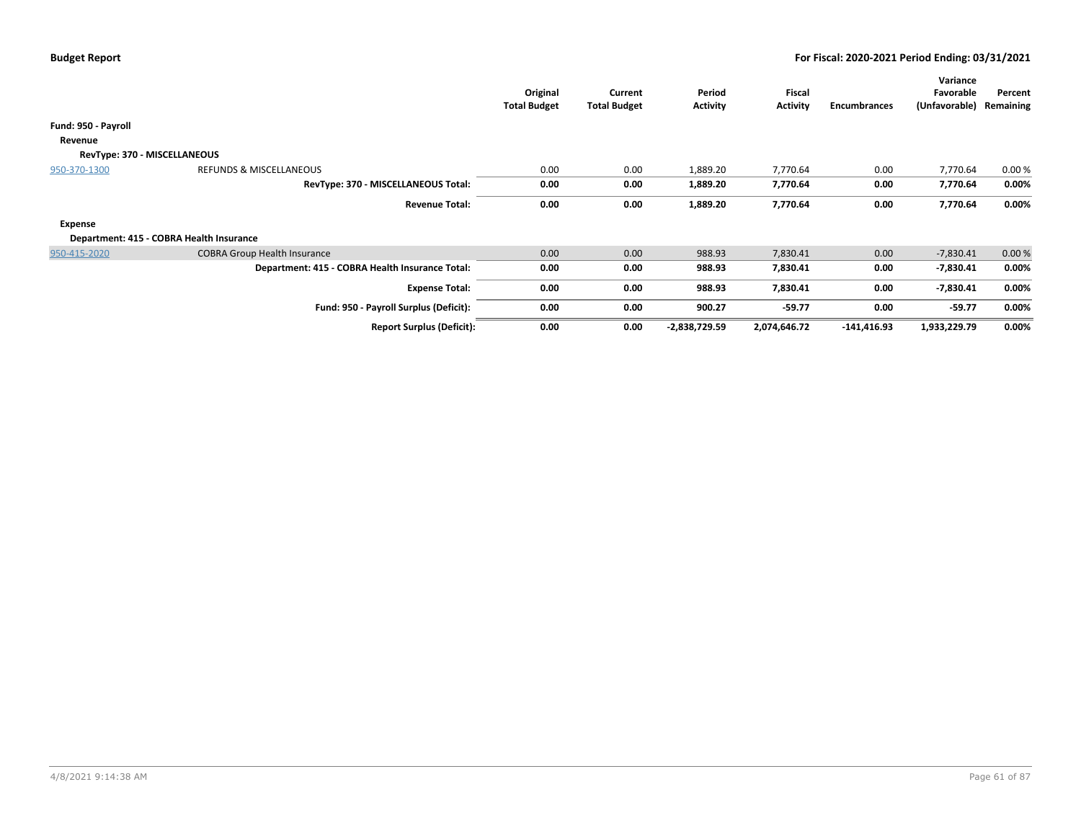|                              |                                                 | Original<br><b>Total Budget</b> | Current<br><b>Total Budget</b> | Period<br>Activity | Fiscal<br><b>Activity</b> | Encumbrances  | Variance<br>Favorable<br>(Unfavorable) | Percent<br>Remaining |
|------------------------------|-------------------------------------------------|---------------------------------|--------------------------------|--------------------|---------------------------|---------------|----------------------------------------|----------------------|
| Fund: 950 - Payroll          |                                                 |                                 |                                |                    |                           |               |                                        |                      |
| Revenue                      |                                                 |                                 |                                |                    |                           |               |                                        |                      |
| RevType: 370 - MISCELLANEOUS |                                                 |                                 |                                |                    |                           |               |                                        |                      |
| 950-370-1300                 | REFUNDS & MISCELLANEOUS                         | 0.00                            | 0.00                           | 1,889.20           | 7,770.64                  | 0.00          | 7,770.64                               | 0.00%                |
|                              | RevType: 370 - MISCELLANEOUS Total:             | 0.00                            | 0.00                           | 1,889.20           | 7,770.64                  | 0.00          | 7,770.64                               | 0.00%                |
|                              | <b>Revenue Total:</b>                           | 0.00                            | 0.00                           | 1,889.20           | 7,770.64                  | 0.00          | 7,770.64                               | 0.00%                |
| <b>Expense</b>               |                                                 |                                 |                                |                    |                           |               |                                        |                      |
|                              | Department: 415 - COBRA Health Insurance        |                                 |                                |                    |                           |               |                                        |                      |
| 950-415-2020                 | <b>COBRA Group Health Insurance</b>             | 0.00                            | 0.00                           | 988.93             | 7,830.41                  | 0.00          | $-7,830.41$                            | 0.00%                |
|                              | Department: 415 - COBRA Health Insurance Total: | 0.00                            | 0.00                           | 988.93             | 7,830.41                  | 0.00          | $-7,830.41$                            | 0.00%                |
|                              | <b>Expense Total:</b>                           | 0.00                            | 0.00                           | 988.93             | 7,830.41                  | 0.00          | $-7,830.41$                            | 0.00%                |
|                              | Fund: 950 - Payroll Surplus (Deficit):          | 0.00                            | 0.00                           | 900.27             | $-59.77$                  | 0.00          | $-59.77$                               | 0.00%                |
|                              | <b>Report Surplus (Deficit):</b>                | 0.00                            | 0.00                           | -2,838,729.59      | 2,074,646.72              | $-141,416.93$ | 1,933,229.79                           | 0.00%                |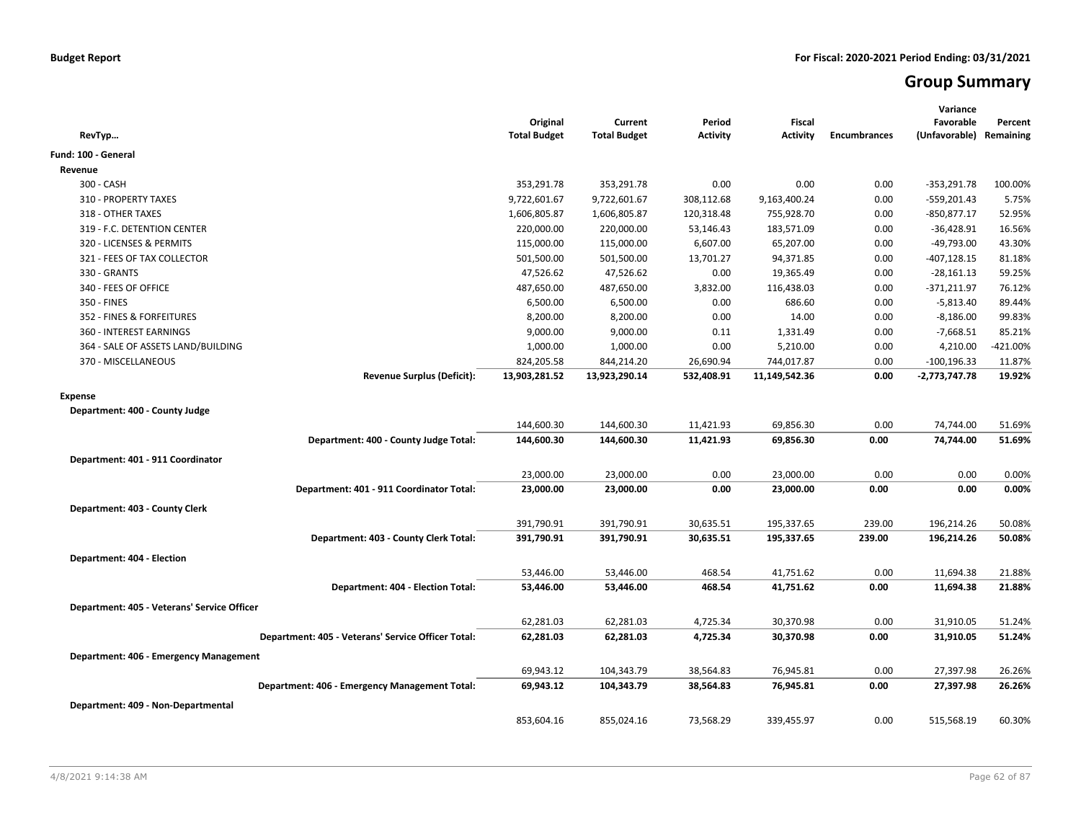# **Group Summary**

| RevTyp                                             | Original<br><b>Total Budget</b> | Current<br><b>Total Budget</b> | Period<br><b>Activity</b> | <b>Fiscal</b><br>Activity | <b>Encumbrances</b> | Variance<br>Favorable<br>(Unfavorable) Remaining | Percent  |
|----------------------------------------------------|---------------------------------|--------------------------------|---------------------------|---------------------------|---------------------|--------------------------------------------------|----------|
| Fund: 100 - General                                |                                 |                                |                           |                           |                     |                                                  |          |
| Revenue                                            |                                 |                                |                           |                           |                     |                                                  |          |
| 300 - CASH                                         | 353,291.78                      | 353,291.78                     | 0.00                      | 0.00                      | 0.00                | $-353,291.78$                                    | 100.00%  |
| 310 - PROPERTY TAXES                               | 9,722,601.67                    | 9,722,601.67                   | 308,112.68                | 9,163,400.24              | 0.00                | $-559,201.43$                                    | 5.75%    |
| 318 - OTHER TAXES                                  | 1,606,805.87                    | 1,606,805.87                   | 120,318.48                | 755,928.70                | 0.00                | $-850,877.17$                                    | 52.95%   |
| 319 - F.C. DETENTION CENTER                        | 220,000.00                      | 220,000.00                     | 53,146.43                 | 183,571.09                | 0.00                | $-36,428.91$                                     | 16.56%   |
| 320 - LICENSES & PERMITS                           | 115,000.00                      | 115,000.00                     | 6,607.00                  | 65,207.00                 | 0.00                | -49,793.00                                       | 43.30%   |
| 321 - FEES OF TAX COLLECTOR                        | 501,500.00                      | 501,500.00                     | 13,701.27                 | 94,371.85                 | 0.00                | $-407,128.15$                                    | 81.18%   |
| 330 - GRANTS                                       | 47,526.62                       | 47,526.62                      | 0.00                      | 19,365.49                 | 0.00                | $-28,161.13$                                     | 59.25%   |
| 340 - FEES OF OFFICE                               | 487,650.00                      | 487,650.00                     | 3,832.00                  | 116,438.03                | 0.00                | $-371,211.97$                                    | 76.12%   |
| 350 - FINES                                        | 6,500.00                        | 6,500.00                       | 0.00                      | 686.60                    | 0.00                | $-5,813.40$                                      | 89.44%   |
| 352 - FINES & FORFEITURES                          | 8,200.00                        | 8,200.00                       | 0.00                      | 14.00                     | 0.00                | $-8,186.00$                                      | 99.83%   |
| 360 - INTEREST EARNINGS                            | 9,000.00                        | 9,000.00                       | 0.11                      | 1,331.49                  | 0.00                | $-7,668.51$                                      | 85.21%   |
| 364 - SALE OF ASSETS LAND/BUILDING                 | 1,000.00                        | 1,000.00                       | 0.00                      | 5,210.00                  | 0.00                | 4,210.00                                         | -421.00% |
| 370 - MISCELLANEOUS                                | 824,205.58                      | 844,214.20                     | 26,690.94                 | 744,017.87                | 0.00                | $-100, 196.33$                                   | 11.87%   |
| <b>Revenue Surplus (Deficit):</b>                  | 13,903,281.52                   | 13,923,290.14                  | 532,408.91                | 11,149,542.36             | 0.00                | -2,773,747.78                                    | 19.92%   |
| <b>Expense</b>                                     |                                 |                                |                           |                           |                     |                                                  |          |
| Department: 400 - County Judge                     |                                 |                                |                           |                           |                     |                                                  |          |
|                                                    | 144,600.30                      | 144,600.30                     | 11,421.93                 | 69,856.30                 | 0.00                | 74,744.00                                        | 51.69%   |
| Department: 400 - County Judge Total:              | 144,600.30                      | 144,600.30                     | 11,421.93                 | 69,856.30                 | 0.00                | 74,744.00                                        | 51.69%   |
| Department: 401 - 911 Coordinator                  |                                 |                                |                           |                           |                     |                                                  |          |
|                                                    | 23,000.00                       | 23,000.00                      | 0.00                      | 23,000.00                 | 0.00                | 0.00                                             | 0.00%    |
| Department: 401 - 911 Coordinator Total:           | 23,000.00                       | 23,000.00                      | 0.00                      | 23,000.00                 | 0.00                | 0.00                                             | 0.00%    |
|                                                    |                                 |                                |                           |                           |                     |                                                  |          |
| Department: 403 - County Clerk                     |                                 |                                |                           |                           |                     |                                                  |          |
|                                                    | 391,790.91                      | 391,790.91                     | 30,635.51                 | 195,337.65                | 239.00              | 196,214.26                                       | 50.08%   |
| Department: 403 - County Clerk Total:              | 391,790.91                      | 391,790.91                     | 30,635.51                 | 195,337.65                | 239.00              | 196,214.26                                       | 50.08%   |
| Department: 404 - Election                         |                                 |                                |                           |                           |                     |                                                  |          |
|                                                    | 53,446.00                       | 53,446.00                      | 468.54                    | 41,751.62                 | 0.00                | 11,694.38                                        | 21.88%   |
| Department: 404 - Election Total:                  | 53,446.00                       | 53,446.00                      | 468.54                    | 41,751.62                 | 0.00                | 11,694.38                                        | 21.88%   |
| Department: 405 - Veterans' Service Officer        |                                 |                                |                           |                           |                     |                                                  |          |
|                                                    | 62,281.03                       | 62,281.03                      | 4,725.34                  | 30,370.98                 | 0.00                | 31,910.05                                        | 51.24%   |
| Department: 405 - Veterans' Service Officer Total: | 62,281.03                       | 62,281.03                      | 4,725.34                  | 30,370.98                 | 0.00                | 31,910.05                                        | 51.24%   |
|                                                    |                                 |                                |                           |                           |                     |                                                  |          |
| Department: 406 - Emergency Management             |                                 |                                |                           |                           |                     |                                                  |          |
|                                                    | 69,943.12                       | 104,343.79                     | 38,564.83                 | 76,945.81                 | 0.00                | 27,397.98                                        | 26.26%   |
| Department: 406 - Emergency Management Total:      | 69,943.12                       | 104,343.79                     | 38,564.83                 | 76,945.81                 | 0.00                | 27,397.98                                        | 26.26%   |
| Department: 409 - Non-Departmental                 |                                 |                                |                           |                           |                     |                                                  |          |
|                                                    | 853,604.16                      | 855,024.16                     | 73,568.29                 | 339,455.97                | 0.00                | 515,568.19                                       | 60.30%   |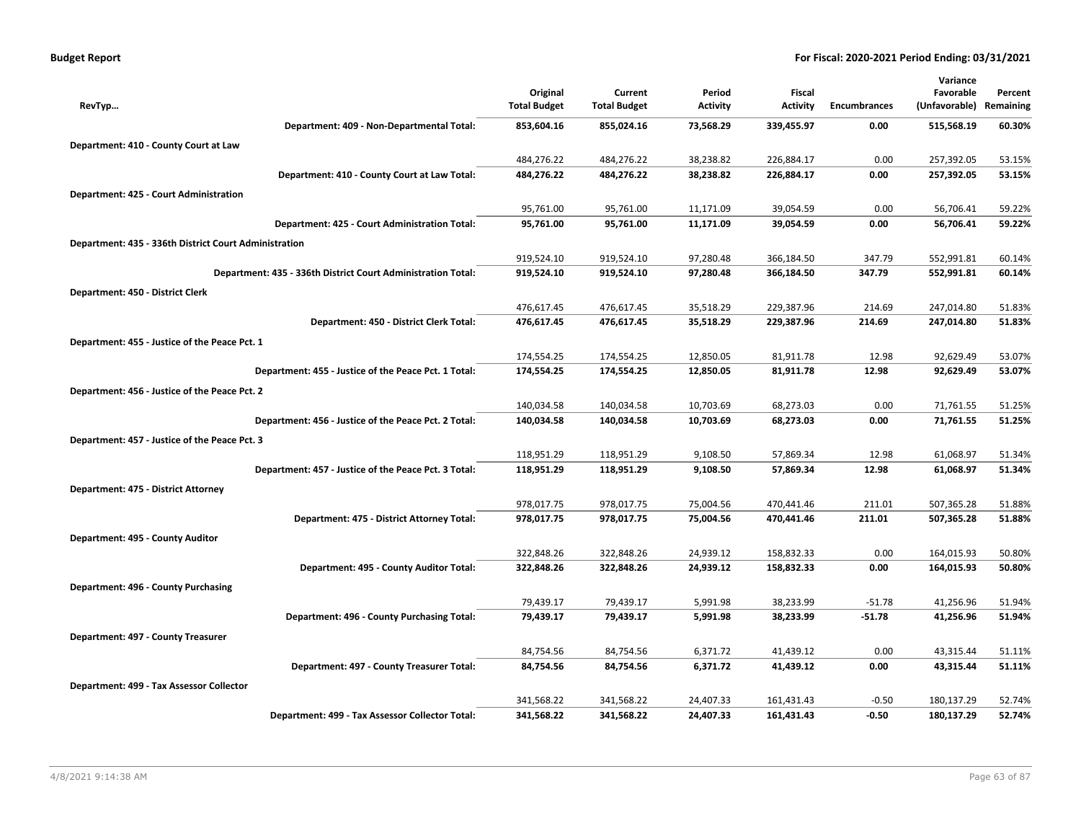| <b>Budget Report</b> |  |
|----------------------|--|
|----------------------|--|

| Original<br>Current<br>Period<br>Fiscal<br>Favorable<br>Percent<br>(Unfavorable)<br><b>Total Budget</b><br><b>Total Budget</b><br><b>Activity</b><br><b>Activity</b><br><b>Encumbrances</b><br>Remaining<br>RevTyp<br>853,604.16<br>60.30%<br>Department: 409 - Non-Departmental Total:<br>855,024.16<br>73,568.29<br>339,455.97<br>0.00<br>515,568.19<br>Department: 410 - County Court at Law<br>484,276.22<br>484,276.22<br>38,238.82<br>226,884.17<br>0.00<br>257,392.05<br>53.15%<br>257,392.05<br>53.15%<br>Department: 410 - County Court at Law Total:<br>484,276.22<br>484,276.22<br>38,238.82<br>226,884.17<br>0.00<br>Department: 425 - Court Administration<br>11,171.09<br>39,054.59<br>95,761.00<br>95,761.00<br>0.00<br>56,706.41<br>59.22%<br>95,761.00<br>95,761.00<br>11,171.09<br>39,054.59<br>56,706.41<br>59.22%<br>Department: 425 - Court Administration Total:<br>0.00<br>Department: 435 - 336th District Court Administration<br>919,524.10<br>919,524.10<br>97,280.48<br>366,184.50<br>347.79<br>552,991.81<br>60.14%<br>97,280.48<br>366,184.50<br>347.79<br>60.14%<br>Department: 435 - 336th District Court Administration Total:<br>919,524.10<br>919,524.10<br>552,991.81<br>Department: 450 - District Clerk<br>476,617.45<br>476,617.45<br>35,518.29<br>229,387.96<br>247,014.80<br>214.69<br>51.83%<br>51.83%<br>Department: 450 - District Clerk Total:<br>476,617.45<br>476,617.45<br>35,518.29<br>229,387.96<br>214.69<br>247,014.80<br>Department: 455 - Justice of the Peace Pct. 1<br>174,554.25<br>174,554.25<br>12,850.05<br>81,911.78<br>12.98<br>92,629.49<br>53.07%<br>174,554.25<br>81,911.78<br>92,629.49<br>53.07%<br>Department: 455 - Justice of the Peace Pct. 1 Total:<br>174,554.25<br>12,850.05<br>12.98<br>Department: 456 - Justice of the Peace Pct. 2<br>140,034.58<br>140,034.58<br>10,703.69<br>68,273.03<br>0.00<br>71,761.55<br>51.25%<br>51.25%<br>140,034.58<br>10,703.69<br>68,273.03<br>71,761.55<br>Department: 456 - Justice of the Peace Pct. 2 Total:<br>140,034.58<br>0.00<br>Department: 457 - Justice of the Peace Pct. 3<br>118,951.29<br>118,951.29<br>9,108.50<br>57,869.34<br>12.98<br>61,068.97<br>51.34%<br>Department: 457 - Justice of the Peace Pct. 3 Total:<br>118,951.29<br>9,108.50<br>57,869.34<br>12.98<br>61,068.97<br>51.34%<br>118,951.29<br>Department: 475 - District Attorney<br>978,017.75<br>978,017.75<br>75,004.56<br>470,441.46<br>507,365.28<br>51.88%<br>211.01<br>978,017.75<br>75,004.56<br>470,441.46<br>507,365.28<br>51.88%<br>Department: 475 - District Attorney Total:<br>978,017.75<br>211.01<br>Department: 495 - County Auditor<br>322,848.26<br>322,848.26<br>24,939.12<br>158,832.33<br>0.00<br>164,015.93<br>50.80%<br>Department: 495 - County Auditor Total:<br>322,848.26<br>322,848.26<br>24,939.12<br>158,832.33<br>0.00<br>164,015.93<br>50.80%<br>Department: 496 - County Purchasing<br>79,439.17<br>79,439.17<br>5,991.98<br>38,233.99<br>$-51.78$<br>41,256.96<br>51.94%<br>51.94%<br>Department: 496 - County Purchasing Total:<br>79,439.17<br>79,439.17<br>5,991.98<br>38,233.99<br>$-51.78$<br>41,256.96<br>Department: 497 - County Treasurer<br>41,439.12<br>0.00<br>84,754.56<br>84,754.56<br>6,371.72<br>43,315.44<br>51.11%<br>Department: 497 - County Treasurer Total:<br>84,754.56<br>84,754.56<br>6,371.72<br>41,439.12<br>0.00<br>43,315.44<br>51.11%<br>Department: 499 - Tax Assessor Collector<br>341,568.22<br>341,568.22<br>24,407.33<br>161,431.43<br>$-0.50$<br>180,137.29<br>52.74%<br>341,568.22<br>341,568.22<br>24,407.33<br>161,431.43<br>$-0.50$<br>180,137.29<br>52.74%<br>Department: 499 - Tax Assessor Collector Total: |  |  |  | Variance |  |
|--------------------------------------------------------------------------------------------------------------------------------------------------------------------------------------------------------------------------------------------------------------------------------------------------------------------------------------------------------------------------------------------------------------------------------------------------------------------------------------------------------------------------------------------------------------------------------------------------------------------------------------------------------------------------------------------------------------------------------------------------------------------------------------------------------------------------------------------------------------------------------------------------------------------------------------------------------------------------------------------------------------------------------------------------------------------------------------------------------------------------------------------------------------------------------------------------------------------------------------------------------------------------------------------------------------------------------------------------------------------------------------------------------------------------------------------------------------------------------------------------------------------------------------------------------------------------------------------------------------------------------------------------------------------------------------------------------------------------------------------------------------------------------------------------------------------------------------------------------------------------------------------------------------------------------------------------------------------------------------------------------------------------------------------------------------------------------------------------------------------------------------------------------------------------------------------------------------------------------------------------------------------------------------------------------------------------------------------------------------------------------------------------------------------------------------------------------------------------------------------------------------------------------------------------------------------------------------------------------------------------------------------------------------------------------------------------------------------------------------------------------------------------------------------------------------------------------------------------------------------------------------------------------------------------------------------------------------------------------------------------------------------------------------------------------------------------------------------------------------------------------------------------------------------------------------------------------------------------------------------------------------------------------------------------------------------------------------------------------------------------------------------------------------------------------------------------------------------------------------------------------------------------------------------------------------------------------------------------------------------------------------------------------------------------------------|--|--|--|----------|--|
|                                                                                                                                                                                                                                                                                                                                                                                                                                                                                                                                                                                                                                                                                                                                                                                                                                                                                                                                                                                                                                                                                                                                                                                                                                                                                                                                                                                                                                                                                                                                                                                                                                                                                                                                                                                                                                                                                                                                                                                                                                                                                                                                                                                                                                                                                                                                                                                                                                                                                                                                                                                                                                                                                                                                                                                                                                                                                                                                                                                                                                                                                                                                                                                                                                                                                                                                                                                                                                                                                                                                                                                                                                                                                      |  |  |  |          |  |
|                                                                                                                                                                                                                                                                                                                                                                                                                                                                                                                                                                                                                                                                                                                                                                                                                                                                                                                                                                                                                                                                                                                                                                                                                                                                                                                                                                                                                                                                                                                                                                                                                                                                                                                                                                                                                                                                                                                                                                                                                                                                                                                                                                                                                                                                                                                                                                                                                                                                                                                                                                                                                                                                                                                                                                                                                                                                                                                                                                                                                                                                                                                                                                                                                                                                                                                                                                                                                                                                                                                                                                                                                                                                                      |  |  |  |          |  |
|                                                                                                                                                                                                                                                                                                                                                                                                                                                                                                                                                                                                                                                                                                                                                                                                                                                                                                                                                                                                                                                                                                                                                                                                                                                                                                                                                                                                                                                                                                                                                                                                                                                                                                                                                                                                                                                                                                                                                                                                                                                                                                                                                                                                                                                                                                                                                                                                                                                                                                                                                                                                                                                                                                                                                                                                                                                                                                                                                                                                                                                                                                                                                                                                                                                                                                                                                                                                                                                                                                                                                                                                                                                                                      |  |  |  |          |  |
|                                                                                                                                                                                                                                                                                                                                                                                                                                                                                                                                                                                                                                                                                                                                                                                                                                                                                                                                                                                                                                                                                                                                                                                                                                                                                                                                                                                                                                                                                                                                                                                                                                                                                                                                                                                                                                                                                                                                                                                                                                                                                                                                                                                                                                                                                                                                                                                                                                                                                                                                                                                                                                                                                                                                                                                                                                                                                                                                                                                                                                                                                                                                                                                                                                                                                                                                                                                                                                                                                                                                                                                                                                                                                      |  |  |  |          |  |
|                                                                                                                                                                                                                                                                                                                                                                                                                                                                                                                                                                                                                                                                                                                                                                                                                                                                                                                                                                                                                                                                                                                                                                                                                                                                                                                                                                                                                                                                                                                                                                                                                                                                                                                                                                                                                                                                                                                                                                                                                                                                                                                                                                                                                                                                                                                                                                                                                                                                                                                                                                                                                                                                                                                                                                                                                                                                                                                                                                                                                                                                                                                                                                                                                                                                                                                                                                                                                                                                                                                                                                                                                                                                                      |  |  |  |          |  |
|                                                                                                                                                                                                                                                                                                                                                                                                                                                                                                                                                                                                                                                                                                                                                                                                                                                                                                                                                                                                                                                                                                                                                                                                                                                                                                                                                                                                                                                                                                                                                                                                                                                                                                                                                                                                                                                                                                                                                                                                                                                                                                                                                                                                                                                                                                                                                                                                                                                                                                                                                                                                                                                                                                                                                                                                                                                                                                                                                                                                                                                                                                                                                                                                                                                                                                                                                                                                                                                                                                                                                                                                                                                                                      |  |  |  |          |  |
|                                                                                                                                                                                                                                                                                                                                                                                                                                                                                                                                                                                                                                                                                                                                                                                                                                                                                                                                                                                                                                                                                                                                                                                                                                                                                                                                                                                                                                                                                                                                                                                                                                                                                                                                                                                                                                                                                                                                                                                                                                                                                                                                                                                                                                                                                                                                                                                                                                                                                                                                                                                                                                                                                                                                                                                                                                                                                                                                                                                                                                                                                                                                                                                                                                                                                                                                                                                                                                                                                                                                                                                                                                                                                      |  |  |  |          |  |
|                                                                                                                                                                                                                                                                                                                                                                                                                                                                                                                                                                                                                                                                                                                                                                                                                                                                                                                                                                                                                                                                                                                                                                                                                                                                                                                                                                                                                                                                                                                                                                                                                                                                                                                                                                                                                                                                                                                                                                                                                                                                                                                                                                                                                                                                                                                                                                                                                                                                                                                                                                                                                                                                                                                                                                                                                                                                                                                                                                                                                                                                                                                                                                                                                                                                                                                                                                                                                                                                                                                                                                                                                                                                                      |  |  |  |          |  |
|                                                                                                                                                                                                                                                                                                                                                                                                                                                                                                                                                                                                                                                                                                                                                                                                                                                                                                                                                                                                                                                                                                                                                                                                                                                                                                                                                                                                                                                                                                                                                                                                                                                                                                                                                                                                                                                                                                                                                                                                                                                                                                                                                                                                                                                                                                                                                                                                                                                                                                                                                                                                                                                                                                                                                                                                                                                                                                                                                                                                                                                                                                                                                                                                                                                                                                                                                                                                                                                                                                                                                                                                                                                                                      |  |  |  |          |  |
|                                                                                                                                                                                                                                                                                                                                                                                                                                                                                                                                                                                                                                                                                                                                                                                                                                                                                                                                                                                                                                                                                                                                                                                                                                                                                                                                                                                                                                                                                                                                                                                                                                                                                                                                                                                                                                                                                                                                                                                                                                                                                                                                                                                                                                                                                                                                                                                                                                                                                                                                                                                                                                                                                                                                                                                                                                                                                                                                                                                                                                                                                                                                                                                                                                                                                                                                                                                                                                                                                                                                                                                                                                                                                      |  |  |  |          |  |
|                                                                                                                                                                                                                                                                                                                                                                                                                                                                                                                                                                                                                                                                                                                                                                                                                                                                                                                                                                                                                                                                                                                                                                                                                                                                                                                                                                                                                                                                                                                                                                                                                                                                                                                                                                                                                                                                                                                                                                                                                                                                                                                                                                                                                                                                                                                                                                                                                                                                                                                                                                                                                                                                                                                                                                                                                                                                                                                                                                                                                                                                                                                                                                                                                                                                                                                                                                                                                                                                                                                                                                                                                                                                                      |  |  |  |          |  |
|                                                                                                                                                                                                                                                                                                                                                                                                                                                                                                                                                                                                                                                                                                                                                                                                                                                                                                                                                                                                                                                                                                                                                                                                                                                                                                                                                                                                                                                                                                                                                                                                                                                                                                                                                                                                                                                                                                                                                                                                                                                                                                                                                                                                                                                                                                                                                                                                                                                                                                                                                                                                                                                                                                                                                                                                                                                                                                                                                                                                                                                                                                                                                                                                                                                                                                                                                                                                                                                                                                                                                                                                                                                                                      |  |  |  |          |  |
|                                                                                                                                                                                                                                                                                                                                                                                                                                                                                                                                                                                                                                                                                                                                                                                                                                                                                                                                                                                                                                                                                                                                                                                                                                                                                                                                                                                                                                                                                                                                                                                                                                                                                                                                                                                                                                                                                                                                                                                                                                                                                                                                                                                                                                                                                                                                                                                                                                                                                                                                                                                                                                                                                                                                                                                                                                                                                                                                                                                                                                                                                                                                                                                                                                                                                                                                                                                                                                                                                                                                                                                                                                                                                      |  |  |  |          |  |
|                                                                                                                                                                                                                                                                                                                                                                                                                                                                                                                                                                                                                                                                                                                                                                                                                                                                                                                                                                                                                                                                                                                                                                                                                                                                                                                                                                                                                                                                                                                                                                                                                                                                                                                                                                                                                                                                                                                                                                                                                                                                                                                                                                                                                                                                                                                                                                                                                                                                                                                                                                                                                                                                                                                                                                                                                                                                                                                                                                                                                                                                                                                                                                                                                                                                                                                                                                                                                                                                                                                                                                                                                                                                                      |  |  |  |          |  |
|                                                                                                                                                                                                                                                                                                                                                                                                                                                                                                                                                                                                                                                                                                                                                                                                                                                                                                                                                                                                                                                                                                                                                                                                                                                                                                                                                                                                                                                                                                                                                                                                                                                                                                                                                                                                                                                                                                                                                                                                                                                                                                                                                                                                                                                                                                                                                                                                                                                                                                                                                                                                                                                                                                                                                                                                                                                                                                                                                                                                                                                                                                                                                                                                                                                                                                                                                                                                                                                                                                                                                                                                                                                                                      |  |  |  |          |  |
|                                                                                                                                                                                                                                                                                                                                                                                                                                                                                                                                                                                                                                                                                                                                                                                                                                                                                                                                                                                                                                                                                                                                                                                                                                                                                                                                                                                                                                                                                                                                                                                                                                                                                                                                                                                                                                                                                                                                                                                                                                                                                                                                                                                                                                                                                                                                                                                                                                                                                                                                                                                                                                                                                                                                                                                                                                                                                                                                                                                                                                                                                                                                                                                                                                                                                                                                                                                                                                                                                                                                                                                                                                                                                      |  |  |  |          |  |
|                                                                                                                                                                                                                                                                                                                                                                                                                                                                                                                                                                                                                                                                                                                                                                                                                                                                                                                                                                                                                                                                                                                                                                                                                                                                                                                                                                                                                                                                                                                                                                                                                                                                                                                                                                                                                                                                                                                                                                                                                                                                                                                                                                                                                                                                                                                                                                                                                                                                                                                                                                                                                                                                                                                                                                                                                                                                                                                                                                                                                                                                                                                                                                                                                                                                                                                                                                                                                                                                                                                                                                                                                                                                                      |  |  |  |          |  |
|                                                                                                                                                                                                                                                                                                                                                                                                                                                                                                                                                                                                                                                                                                                                                                                                                                                                                                                                                                                                                                                                                                                                                                                                                                                                                                                                                                                                                                                                                                                                                                                                                                                                                                                                                                                                                                                                                                                                                                                                                                                                                                                                                                                                                                                                                                                                                                                                                                                                                                                                                                                                                                                                                                                                                                                                                                                                                                                                                                                                                                                                                                                                                                                                                                                                                                                                                                                                                                                                                                                                                                                                                                                                                      |  |  |  |          |  |
|                                                                                                                                                                                                                                                                                                                                                                                                                                                                                                                                                                                                                                                                                                                                                                                                                                                                                                                                                                                                                                                                                                                                                                                                                                                                                                                                                                                                                                                                                                                                                                                                                                                                                                                                                                                                                                                                                                                                                                                                                                                                                                                                                                                                                                                                                                                                                                                                                                                                                                                                                                                                                                                                                                                                                                                                                                                                                                                                                                                                                                                                                                                                                                                                                                                                                                                                                                                                                                                                                                                                                                                                                                                                                      |  |  |  |          |  |
|                                                                                                                                                                                                                                                                                                                                                                                                                                                                                                                                                                                                                                                                                                                                                                                                                                                                                                                                                                                                                                                                                                                                                                                                                                                                                                                                                                                                                                                                                                                                                                                                                                                                                                                                                                                                                                                                                                                                                                                                                                                                                                                                                                                                                                                                                                                                                                                                                                                                                                                                                                                                                                                                                                                                                                                                                                                                                                                                                                                                                                                                                                                                                                                                                                                                                                                                                                                                                                                                                                                                                                                                                                                                                      |  |  |  |          |  |
|                                                                                                                                                                                                                                                                                                                                                                                                                                                                                                                                                                                                                                                                                                                                                                                                                                                                                                                                                                                                                                                                                                                                                                                                                                                                                                                                                                                                                                                                                                                                                                                                                                                                                                                                                                                                                                                                                                                                                                                                                                                                                                                                                                                                                                                                                                                                                                                                                                                                                                                                                                                                                                                                                                                                                                                                                                                                                                                                                                                                                                                                                                                                                                                                                                                                                                                                                                                                                                                                                                                                                                                                                                                                                      |  |  |  |          |  |
|                                                                                                                                                                                                                                                                                                                                                                                                                                                                                                                                                                                                                                                                                                                                                                                                                                                                                                                                                                                                                                                                                                                                                                                                                                                                                                                                                                                                                                                                                                                                                                                                                                                                                                                                                                                                                                                                                                                                                                                                                                                                                                                                                                                                                                                                                                                                                                                                                                                                                                                                                                                                                                                                                                                                                                                                                                                                                                                                                                                                                                                                                                                                                                                                                                                                                                                                                                                                                                                                                                                                                                                                                                                                                      |  |  |  |          |  |
|                                                                                                                                                                                                                                                                                                                                                                                                                                                                                                                                                                                                                                                                                                                                                                                                                                                                                                                                                                                                                                                                                                                                                                                                                                                                                                                                                                                                                                                                                                                                                                                                                                                                                                                                                                                                                                                                                                                                                                                                                                                                                                                                                                                                                                                                                                                                                                                                                                                                                                                                                                                                                                                                                                                                                                                                                                                                                                                                                                                                                                                                                                                                                                                                                                                                                                                                                                                                                                                                                                                                                                                                                                                                                      |  |  |  |          |  |
|                                                                                                                                                                                                                                                                                                                                                                                                                                                                                                                                                                                                                                                                                                                                                                                                                                                                                                                                                                                                                                                                                                                                                                                                                                                                                                                                                                                                                                                                                                                                                                                                                                                                                                                                                                                                                                                                                                                                                                                                                                                                                                                                                                                                                                                                                                                                                                                                                                                                                                                                                                                                                                                                                                                                                                                                                                                                                                                                                                                                                                                                                                                                                                                                                                                                                                                                                                                                                                                                                                                                                                                                                                                                                      |  |  |  |          |  |
|                                                                                                                                                                                                                                                                                                                                                                                                                                                                                                                                                                                                                                                                                                                                                                                                                                                                                                                                                                                                                                                                                                                                                                                                                                                                                                                                                                                                                                                                                                                                                                                                                                                                                                                                                                                                                                                                                                                                                                                                                                                                                                                                                                                                                                                                                                                                                                                                                                                                                                                                                                                                                                                                                                                                                                                                                                                                                                                                                                                                                                                                                                                                                                                                                                                                                                                                                                                                                                                                                                                                                                                                                                                                                      |  |  |  |          |  |
|                                                                                                                                                                                                                                                                                                                                                                                                                                                                                                                                                                                                                                                                                                                                                                                                                                                                                                                                                                                                                                                                                                                                                                                                                                                                                                                                                                                                                                                                                                                                                                                                                                                                                                                                                                                                                                                                                                                                                                                                                                                                                                                                                                                                                                                                                                                                                                                                                                                                                                                                                                                                                                                                                                                                                                                                                                                                                                                                                                                                                                                                                                                                                                                                                                                                                                                                                                                                                                                                                                                                                                                                                                                                                      |  |  |  |          |  |
|                                                                                                                                                                                                                                                                                                                                                                                                                                                                                                                                                                                                                                                                                                                                                                                                                                                                                                                                                                                                                                                                                                                                                                                                                                                                                                                                                                                                                                                                                                                                                                                                                                                                                                                                                                                                                                                                                                                                                                                                                                                                                                                                                                                                                                                                                                                                                                                                                                                                                                                                                                                                                                                                                                                                                                                                                                                                                                                                                                                                                                                                                                                                                                                                                                                                                                                                                                                                                                                                                                                                                                                                                                                                                      |  |  |  |          |  |
|                                                                                                                                                                                                                                                                                                                                                                                                                                                                                                                                                                                                                                                                                                                                                                                                                                                                                                                                                                                                                                                                                                                                                                                                                                                                                                                                                                                                                                                                                                                                                                                                                                                                                                                                                                                                                                                                                                                                                                                                                                                                                                                                                                                                                                                                                                                                                                                                                                                                                                                                                                                                                                                                                                                                                                                                                                                                                                                                                                                                                                                                                                                                                                                                                                                                                                                                                                                                                                                                                                                                                                                                                                                                                      |  |  |  |          |  |
|                                                                                                                                                                                                                                                                                                                                                                                                                                                                                                                                                                                                                                                                                                                                                                                                                                                                                                                                                                                                                                                                                                                                                                                                                                                                                                                                                                                                                                                                                                                                                                                                                                                                                                                                                                                                                                                                                                                                                                                                                                                                                                                                                                                                                                                                                                                                                                                                                                                                                                                                                                                                                                                                                                                                                                                                                                                                                                                                                                                                                                                                                                                                                                                                                                                                                                                                                                                                                                                                                                                                                                                                                                                                                      |  |  |  |          |  |
|                                                                                                                                                                                                                                                                                                                                                                                                                                                                                                                                                                                                                                                                                                                                                                                                                                                                                                                                                                                                                                                                                                                                                                                                                                                                                                                                                                                                                                                                                                                                                                                                                                                                                                                                                                                                                                                                                                                                                                                                                                                                                                                                                                                                                                                                                                                                                                                                                                                                                                                                                                                                                                                                                                                                                                                                                                                                                                                                                                                                                                                                                                                                                                                                                                                                                                                                                                                                                                                                                                                                                                                                                                                                                      |  |  |  |          |  |
|                                                                                                                                                                                                                                                                                                                                                                                                                                                                                                                                                                                                                                                                                                                                                                                                                                                                                                                                                                                                                                                                                                                                                                                                                                                                                                                                                                                                                                                                                                                                                                                                                                                                                                                                                                                                                                                                                                                                                                                                                                                                                                                                                                                                                                                                                                                                                                                                                                                                                                                                                                                                                                                                                                                                                                                                                                                                                                                                                                                                                                                                                                                                                                                                                                                                                                                                                                                                                                                                                                                                                                                                                                                                                      |  |  |  |          |  |
|                                                                                                                                                                                                                                                                                                                                                                                                                                                                                                                                                                                                                                                                                                                                                                                                                                                                                                                                                                                                                                                                                                                                                                                                                                                                                                                                                                                                                                                                                                                                                                                                                                                                                                                                                                                                                                                                                                                                                                                                                                                                                                                                                                                                                                                                                                                                                                                                                                                                                                                                                                                                                                                                                                                                                                                                                                                                                                                                                                                                                                                                                                                                                                                                                                                                                                                                                                                                                                                                                                                                                                                                                                                                                      |  |  |  |          |  |
|                                                                                                                                                                                                                                                                                                                                                                                                                                                                                                                                                                                                                                                                                                                                                                                                                                                                                                                                                                                                                                                                                                                                                                                                                                                                                                                                                                                                                                                                                                                                                                                                                                                                                                                                                                                                                                                                                                                                                                                                                                                                                                                                                                                                                                                                                                                                                                                                                                                                                                                                                                                                                                                                                                                                                                                                                                                                                                                                                                                                                                                                                                                                                                                                                                                                                                                                                                                                                                                                                                                                                                                                                                                                                      |  |  |  |          |  |
|                                                                                                                                                                                                                                                                                                                                                                                                                                                                                                                                                                                                                                                                                                                                                                                                                                                                                                                                                                                                                                                                                                                                                                                                                                                                                                                                                                                                                                                                                                                                                                                                                                                                                                                                                                                                                                                                                                                                                                                                                                                                                                                                                                                                                                                                                                                                                                                                                                                                                                                                                                                                                                                                                                                                                                                                                                                                                                                                                                                                                                                                                                                                                                                                                                                                                                                                                                                                                                                                                                                                                                                                                                                                                      |  |  |  |          |  |
|                                                                                                                                                                                                                                                                                                                                                                                                                                                                                                                                                                                                                                                                                                                                                                                                                                                                                                                                                                                                                                                                                                                                                                                                                                                                                                                                                                                                                                                                                                                                                                                                                                                                                                                                                                                                                                                                                                                                                                                                                                                                                                                                                                                                                                                                                                                                                                                                                                                                                                                                                                                                                                                                                                                                                                                                                                                                                                                                                                                                                                                                                                                                                                                                                                                                                                                                                                                                                                                                                                                                                                                                                                                                                      |  |  |  |          |  |
|                                                                                                                                                                                                                                                                                                                                                                                                                                                                                                                                                                                                                                                                                                                                                                                                                                                                                                                                                                                                                                                                                                                                                                                                                                                                                                                                                                                                                                                                                                                                                                                                                                                                                                                                                                                                                                                                                                                                                                                                                                                                                                                                                                                                                                                                                                                                                                                                                                                                                                                                                                                                                                                                                                                                                                                                                                                                                                                                                                                                                                                                                                                                                                                                                                                                                                                                                                                                                                                                                                                                                                                                                                                                                      |  |  |  |          |  |
|                                                                                                                                                                                                                                                                                                                                                                                                                                                                                                                                                                                                                                                                                                                                                                                                                                                                                                                                                                                                                                                                                                                                                                                                                                                                                                                                                                                                                                                                                                                                                                                                                                                                                                                                                                                                                                                                                                                                                                                                                                                                                                                                                                                                                                                                                                                                                                                                                                                                                                                                                                                                                                                                                                                                                                                                                                                                                                                                                                                                                                                                                                                                                                                                                                                                                                                                                                                                                                                                                                                                                                                                                                                                                      |  |  |  |          |  |
|                                                                                                                                                                                                                                                                                                                                                                                                                                                                                                                                                                                                                                                                                                                                                                                                                                                                                                                                                                                                                                                                                                                                                                                                                                                                                                                                                                                                                                                                                                                                                                                                                                                                                                                                                                                                                                                                                                                                                                                                                                                                                                                                                                                                                                                                                                                                                                                                                                                                                                                                                                                                                                                                                                                                                                                                                                                                                                                                                                                                                                                                                                                                                                                                                                                                                                                                                                                                                                                                                                                                                                                                                                                                                      |  |  |  |          |  |
|                                                                                                                                                                                                                                                                                                                                                                                                                                                                                                                                                                                                                                                                                                                                                                                                                                                                                                                                                                                                                                                                                                                                                                                                                                                                                                                                                                                                                                                                                                                                                                                                                                                                                                                                                                                                                                                                                                                                                                                                                                                                                                                                                                                                                                                                                                                                                                                                                                                                                                                                                                                                                                                                                                                                                                                                                                                                                                                                                                                                                                                                                                                                                                                                                                                                                                                                                                                                                                                                                                                                                                                                                                                                                      |  |  |  |          |  |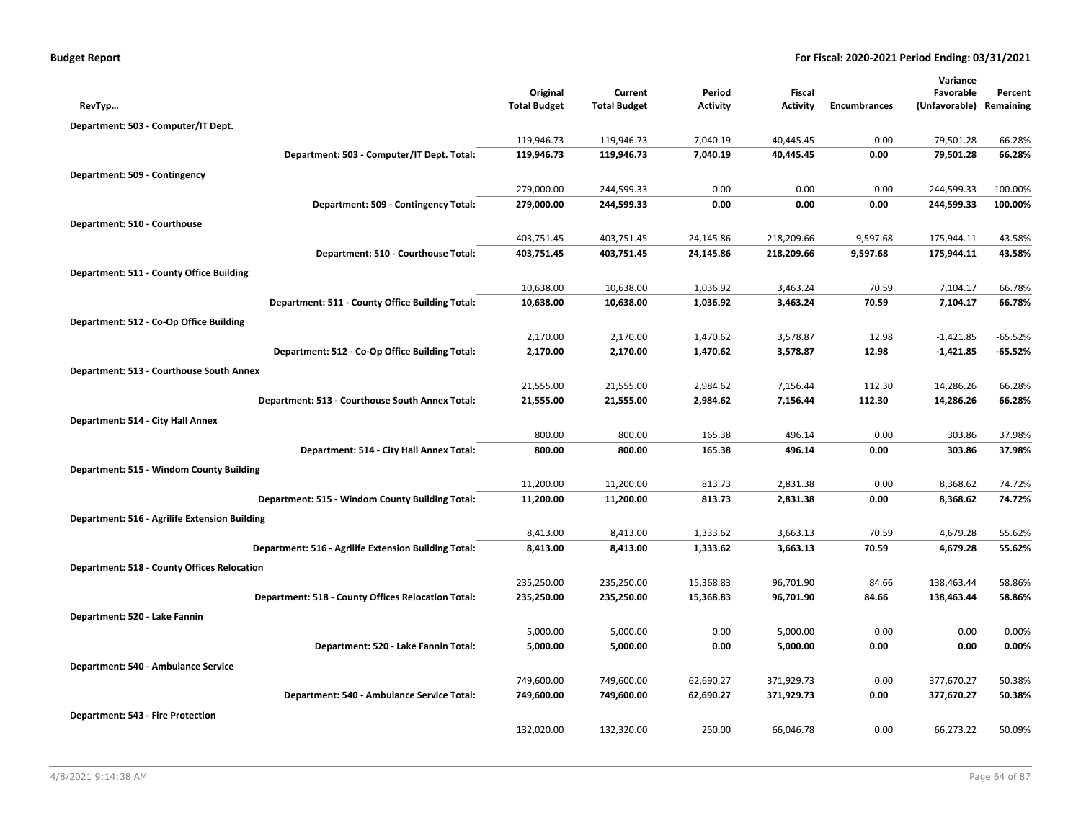| <b>Budget Report</b> |  |  |  |  |
|----------------------|--|--|--|--|
|----------------------|--|--|--|--|

|                                                      |                     |                     |                 |                 |                     | Variance      |           |
|------------------------------------------------------|---------------------|---------------------|-----------------|-----------------|---------------------|---------------|-----------|
|                                                      | Original            | Current             | Period          | Fiscal          |                     | Favorable     | Percent   |
| RevTyp                                               | <b>Total Budget</b> | <b>Total Budget</b> | <b>Activity</b> | <b>Activity</b> | <b>Encumbrances</b> | (Unfavorable) | Remaining |
| Department: 503 - Computer/IT Dept.                  |                     |                     |                 |                 |                     |               |           |
|                                                      | 119,946.73          | 119,946.73          | 7,040.19        | 40,445.45       | 0.00                | 79,501.28     | 66.28%    |
| Department: 503 - Computer/IT Dept. Total:           | 119,946.73          | 119,946.73          | 7,040.19        | 40,445.45       | 0.00                | 79,501.28     | 66.28%    |
| Department: 509 - Contingency                        |                     |                     |                 |                 |                     |               |           |
|                                                      | 279,000.00          | 244,599.33          | 0.00            | 0.00            | 0.00                | 244,599.33    | 100.00%   |
| Department: 509 - Contingency Total:                 | 279,000.00          | 244,599.33          | 0.00            | 0.00            | 0.00                | 244,599.33    | 100.00%   |
| Department: 510 - Courthouse                         |                     |                     |                 |                 |                     |               |           |
|                                                      | 403,751.45          | 403,751.45          | 24,145.86       | 218,209.66      | 9,597.68            | 175,944.11    | 43.58%    |
| Department: 510 - Courthouse Total:                  | 403,751.45          | 403,751.45          | 24,145.86       | 218,209.66      | 9,597.68            | 175,944.11    | 43.58%    |
| Department: 511 - County Office Building             |                     |                     |                 |                 |                     |               |           |
|                                                      | 10,638.00           | 10,638.00           | 1,036.92        | 3,463.24        | 70.59               | 7,104.17      | 66.78%    |
| Department: 511 - County Office Building Total:      | 10,638.00           | 10,638.00           | 1,036.92        | 3,463.24        | 70.59               | 7,104.17      | 66.78%    |
| Department: 512 - Co-Op Office Building              |                     |                     |                 |                 |                     |               |           |
|                                                      | 2,170.00            | 2,170.00            | 1,470.62        | 3,578.87        | 12.98               | $-1,421.85$   | -65.52%   |
| Department: 512 - Co-Op Office Building Total:       | 2,170.00            | 2,170.00            | 1,470.62        | 3,578.87        | 12.98               | $-1,421.85$   | $-65.52%$ |
| Department: 513 - Courthouse South Annex             |                     |                     |                 |                 |                     |               |           |
|                                                      | 21,555.00           | 21,555.00           | 2,984.62        | 7,156.44        | 112.30              | 14,286.26     | 66.28%    |
| Department: 513 - Courthouse South Annex Total:      | 21,555.00           | 21,555.00           | 2,984.62        | 7,156.44        | 112.30              | 14,286.26     | 66.28%    |
| Department: 514 - City Hall Annex                    |                     |                     |                 |                 |                     |               |           |
|                                                      | 800.00              | 800.00              | 165.38          | 496.14          | 0.00                | 303.86        | 37.98%    |
| Department: 514 - City Hall Annex Total:             | 800.00              | 800.00              | 165.38          | 496.14          | 0.00                | 303.86        | 37.98%    |
| Department: 515 - Windom County Building             |                     |                     |                 |                 |                     |               |           |
|                                                      | 11,200.00           | 11,200.00           | 813.73          | 2,831.38        | 0.00                | 8,368.62      | 74.72%    |
| Department: 515 - Windom County Building Total:      | 11,200.00           | 11,200.00           | 813.73          | 2,831.38        | 0.00                | 8,368.62      | 74.72%    |
| Department: 516 - Agrilife Extension Building        |                     |                     |                 |                 |                     |               |           |
|                                                      | 8,413.00            | 8,413.00            | 1,333.62        | 3,663.13        | 70.59               | 4,679.28      | 55.62%    |
| Department: 516 - Agrilife Extension Building Total: | 8,413.00            | 8,413.00            | 1,333.62        | 3,663.13        | 70.59               | 4,679.28      | 55.62%    |
| <b>Department: 518 - County Offices Relocation</b>   |                     |                     |                 |                 |                     |               |           |
|                                                      | 235,250.00          | 235,250.00          | 15,368.83       | 96,701.90       | 84.66               | 138,463.44    | 58.86%    |
| Department: 518 - County Offices Relocation Total:   | 235,250.00          | 235,250.00          | 15,368.83       | 96,701.90       | 84.66               | 138,463.44    | 58.86%    |
| Department: 520 - Lake Fannin                        |                     |                     |                 |                 |                     |               |           |
|                                                      | 5,000.00            | 5,000.00            | 0.00            | 5,000.00        | 0.00                | 0.00          | 0.00%     |
| Department: 520 - Lake Fannin Total:                 | 5,000.00            | 5,000.00            | 0.00            | 5,000.00        | 0.00                | 0.00          | 0.00%     |
|                                                      |                     |                     |                 |                 |                     |               |           |
| Department: 540 - Ambulance Service                  | 749,600.00          | 749,600.00          | 62,690.27       | 371,929.73      | 0.00                | 377,670.27    | 50.38%    |
| Department: 540 - Ambulance Service Total:           | 749,600.00          | 749,600.00          | 62,690.27       | 371,929.73      | 0.00                | 377,670.27    | 50.38%    |
|                                                      |                     |                     |                 |                 |                     |               |           |
| Department: 543 - Fire Protection                    |                     |                     |                 |                 |                     |               |           |
|                                                      | 132,020.00          | 132,320.00          | 250.00          | 66,046.78       | 0.00                | 66,273.22     | 50.09%    |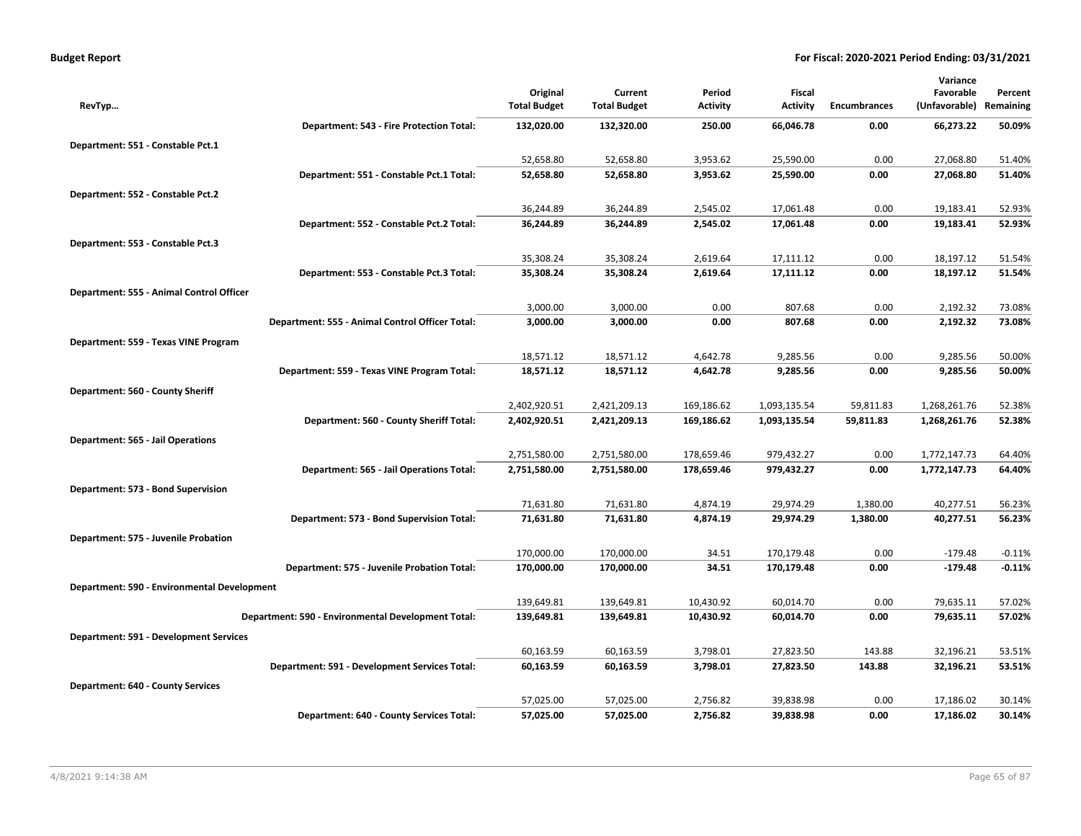| <b>Budget Report</b> |
|----------------------|
|----------------------|

|                                             |                                                    |                     |                     |                 |                 |                     | Variance      |           |
|---------------------------------------------|----------------------------------------------------|---------------------|---------------------|-----------------|-----------------|---------------------|---------------|-----------|
|                                             |                                                    | Original            | Current             | Period          | Fiscal          |                     | Favorable     | Percent   |
| RevTyp                                      |                                                    | <b>Total Budget</b> | <b>Total Budget</b> | <b>Activity</b> | <b>Activity</b> | <b>Encumbrances</b> | (Unfavorable) | Remaining |
|                                             | Department: 543 - Fire Protection Total:           | 132,020.00          | 132,320.00          | 250.00          | 66,046.78       | 0.00                | 66,273.22     | 50.09%    |
| Department: 551 - Constable Pct.1           |                                                    |                     |                     |                 |                 |                     |               |           |
|                                             |                                                    | 52,658.80           | 52,658.80           | 3,953.62        | 25,590.00       | 0.00                | 27,068.80     | 51.40%    |
|                                             | Department: 551 - Constable Pct.1 Total:           | 52,658.80           | 52,658.80           | 3,953.62        | 25,590.00       | 0.00                | 27,068.80     | 51.40%    |
| Department: 552 - Constable Pct.2           |                                                    |                     |                     |                 |                 |                     |               |           |
|                                             |                                                    | 36,244.89           | 36,244.89           | 2,545.02        | 17,061.48       | 0.00                | 19,183.41     | 52.93%    |
|                                             | Department: 552 - Constable Pct.2 Total:           | 36,244.89           | 36,244.89           | 2,545.02        | 17,061.48       | 0.00                | 19,183.41     | 52.93%    |
| Department: 553 - Constable Pct.3           |                                                    |                     |                     |                 |                 |                     |               |           |
|                                             |                                                    | 35,308.24           | 35,308.24           | 2,619.64        | 17,111.12       | 0.00                | 18,197.12     | 51.54%    |
|                                             | Department: 553 - Constable Pct.3 Total:           | 35,308.24           | 35,308.24           | 2,619.64        | 17,111.12       | 0.00                | 18,197.12     | 51.54%    |
| Department: 555 - Animal Control Officer    |                                                    |                     |                     |                 |                 |                     |               |           |
|                                             |                                                    | 3,000.00            | 3,000.00            | 0.00            | 807.68          | 0.00                | 2,192.32      | 73.08%    |
|                                             | Department: 555 - Animal Control Officer Total:    | 3,000.00            | 3,000.00            | 0.00            | 807.68          | 0.00                | 2,192.32      | 73.08%    |
| Department: 559 - Texas VINE Program        |                                                    |                     |                     |                 |                 |                     |               |           |
|                                             |                                                    | 18,571.12           | 18,571.12           | 4,642.78        | 9,285.56        | 0.00                | 9,285.56      | 50.00%    |
|                                             | Department: 559 - Texas VINE Program Total:        | 18,571.12           | 18,571.12           | 4,642.78        | 9,285.56        | 0.00                | 9,285.56      | 50.00%    |
| Department: 560 - County Sheriff            |                                                    |                     |                     |                 |                 |                     |               |           |
|                                             |                                                    | 2,402,920.51        | 2,421,209.13        | 169,186.62      | 1,093,135.54    | 59,811.83           | 1,268,261.76  | 52.38%    |
|                                             | Department: 560 - County Sheriff Total:            | 2,402,920.51        | 2,421,209.13        | 169,186.62      | 1,093,135.54    | 59,811.83           | 1,268,261.76  | 52.38%    |
| <b>Department: 565 - Jail Operations</b>    |                                                    |                     |                     |                 |                 |                     |               |           |
|                                             |                                                    | 2,751,580.00        | 2,751,580.00        | 178,659.46      | 979,432.27      | 0.00                | 1,772,147.73  | 64.40%    |
|                                             | Department: 565 - Jail Operations Total:           | 2,751,580.00        | 2,751,580.00        | 178,659.46      | 979,432.27      | 0.00                | 1,772,147.73  | 64.40%    |
| Department: 573 - Bond Supervision          |                                                    |                     |                     |                 |                 |                     |               |           |
|                                             |                                                    | 71,631.80           | 71,631.80           | 4,874.19        | 29,974.29       | 1,380.00            | 40,277.51     | 56.23%    |
|                                             | Department: 573 - Bond Supervision Total:          | 71,631.80           | 71,631.80           | 4,874.19        | 29,974.29       | 1,380.00            | 40,277.51     | 56.23%    |
| Department: 575 - Juvenile Probation        |                                                    |                     |                     |                 |                 |                     |               |           |
|                                             |                                                    | 170,000.00          | 170,000.00          | 34.51           | 170,179.48      | 0.00                | $-179.48$     | $-0.11%$  |
|                                             | Department: 575 - Juvenile Probation Total:        | 170,000.00          | 170,000.00          | 34.51           | 170,179.48      | 0.00                | $-179.48$     | $-0.11%$  |
| Department: 590 - Environmental Development |                                                    |                     |                     |                 |                 |                     |               |           |
|                                             |                                                    | 139,649.81          | 139,649.81          | 10,430.92       | 60,014.70       | 0.00                | 79,635.11     | 57.02%    |
|                                             | Department: 590 - Environmental Development Total: | 139,649.81          | 139,649.81          | 10,430.92       | 60,014.70       | 0.00                | 79,635.11     | 57.02%    |
| Department: 591 - Development Services      |                                                    |                     |                     |                 |                 |                     |               |           |
|                                             |                                                    | 60,163.59           | 60,163.59           | 3,798.01        | 27,823.50       | 143.88              | 32,196.21     | 53.51%    |
|                                             | Department: 591 - Development Services Total:      | 60,163.59           | 60,163.59           | 3,798.01        | 27,823.50       | 143.88              | 32,196.21     | 53.51%    |
| <b>Department: 640 - County Services</b>    |                                                    |                     |                     |                 |                 |                     |               |           |
|                                             |                                                    | 57,025.00           | 57,025.00           | 2,756.82        | 39,838.98       | 0.00                | 17,186.02     | 30.14%    |
|                                             | Department: 640 - County Services Total:           | 57,025.00           | 57,025.00           | 2,756.82        | 39,838.98       | 0.00                | 17,186.02     | 30.14%    |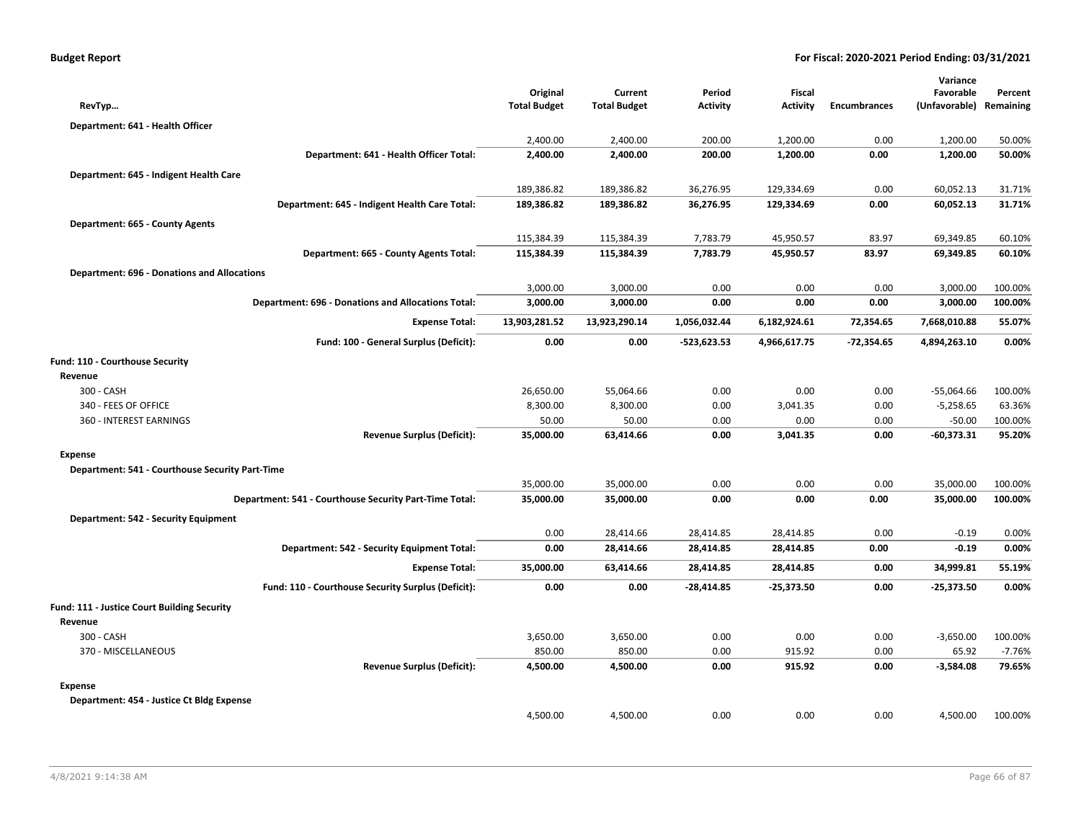|                                                    |                                                           |                                 |                                |                    |                                  |                     | Variance                   |                      |
|----------------------------------------------------|-----------------------------------------------------------|---------------------------------|--------------------------------|--------------------|----------------------------------|---------------------|----------------------------|----------------------|
| RevTyp                                             |                                                           | Original<br><b>Total Budget</b> | Current<br><b>Total Budget</b> | Period<br>Activity | <b>Fiscal</b><br><b>Activity</b> | <b>Encumbrances</b> | Favorable<br>(Unfavorable) | Percent<br>Remaining |
|                                                    |                                                           |                                 |                                |                    |                                  |                     |                            |                      |
| Department: 641 - Health Officer                   |                                                           |                                 |                                |                    |                                  |                     |                            |                      |
|                                                    |                                                           | 2,400.00                        | 2,400.00                       | 200.00             | 1,200.00                         | 0.00                | 1,200.00                   | 50.00%               |
|                                                    | Department: 641 - Health Officer Total:                   | 2,400.00                        | 2,400.00                       | 200.00             | 1,200.00                         | 0.00                | 1,200.00                   | 50.00%               |
| Department: 645 - Indigent Health Care             |                                                           |                                 |                                |                    |                                  |                     |                            |                      |
|                                                    |                                                           | 189,386.82                      | 189,386.82                     | 36,276.95          | 129,334.69                       | 0.00                | 60,052.13                  | 31.71%               |
|                                                    | Department: 645 - Indigent Health Care Total:             | 189,386.82                      | 189,386.82                     | 36,276.95          | 129,334.69                       | 0.00                | 60,052.13                  | 31.71%               |
| Department: 665 - County Agents                    |                                                           |                                 |                                |                    |                                  |                     |                            |                      |
|                                                    |                                                           | 115,384.39                      | 115,384.39                     | 7,783.79           | 45,950.57                        | 83.97               | 69,349.85                  | 60.10%               |
|                                                    | Department: 665 - County Agents Total:                    | 115,384.39                      | 115,384.39                     | 7,783.79           | 45,950.57                        | 83.97               | 69,349.85                  | 60.10%               |
| <b>Department: 696 - Donations and Allocations</b> |                                                           |                                 |                                |                    |                                  |                     |                            |                      |
|                                                    |                                                           | 3,000.00                        | 3,000.00                       | 0.00               | 0.00                             | 0.00                | 3,000.00                   | 100.00%              |
|                                                    | <b>Department: 696 - Donations and Allocations Total:</b> | 3,000.00                        | 3,000.00                       | 0.00               | 0.00                             | 0.00                | 3,000.00                   | 100.00%              |
|                                                    | <b>Expense Total:</b>                                     | 13,903,281.52                   | 13,923,290.14                  | 1,056,032.44       | 6,182,924.61                     | 72,354.65           | 7,668,010.88               | 55.07%               |
|                                                    | Fund: 100 - General Surplus (Deficit):                    | 0.00                            | 0.00                           | $-523,623.53$      | 4,966,617.75                     | $-72,354.65$        | 4,894,263.10               | 0.00%                |
| Fund: 110 - Courthouse Security                    |                                                           |                                 |                                |                    |                                  |                     |                            |                      |
| Revenue                                            |                                                           |                                 |                                |                    |                                  |                     |                            |                      |
| 300 - CASH                                         |                                                           | 26,650.00                       | 55,064.66                      | 0.00               | 0.00                             | 0.00                | $-55,064.66$               | 100.00%              |
| 340 - FEES OF OFFICE                               |                                                           | 8,300.00                        | 8,300.00                       | 0.00               | 3,041.35                         | 0.00                | $-5,258.65$                | 63.36%               |
| 360 - INTEREST EARNINGS                            |                                                           | 50.00                           | 50.00                          | 0.00               | 0.00                             | 0.00                | $-50.00$                   | 100.00%              |
|                                                    | <b>Revenue Surplus (Deficit):</b>                         | 35,000.00                       | 63,414.66                      | 0.00               | 3,041.35                         | 0.00                | $-60,373.31$               | 95.20%               |
| <b>Expense</b>                                     |                                                           |                                 |                                |                    |                                  |                     |                            |                      |
| Department: 541 - Courthouse Security Part-Time    |                                                           |                                 |                                |                    |                                  |                     |                            |                      |
|                                                    |                                                           | 35,000.00                       | 35,000.00                      | 0.00               | 0.00                             | 0.00                | 35,000.00                  | 100.00%              |
|                                                    | Department: 541 - Courthouse Security Part-Time Total:    | 35,000.00                       | 35,000.00                      | 0.00               | 0.00                             | 0.00                | 35,000.00                  | 100.00%              |
| Department: 542 - Security Equipment               |                                                           |                                 |                                |                    |                                  |                     |                            |                      |
|                                                    |                                                           | 0.00                            | 28,414.66                      | 28,414.85          | 28,414.85                        | 0.00                | $-0.19$                    | 0.00%                |
|                                                    | Department: 542 - Security Equipment Total:               | 0.00                            | 28,414.66                      | 28,414.85          | 28,414.85                        | 0.00                | $-0.19$                    | 0.00%                |
|                                                    | <b>Expense Total:</b>                                     | 35,000.00                       | 63,414.66                      | 28,414.85          | 28,414.85                        | 0.00                | 34,999.81                  | 55.19%               |
|                                                    | Fund: 110 - Courthouse Security Surplus (Deficit):        | 0.00                            | 0.00                           | $-28,414.85$       | $-25,373.50$                     | 0.00                | $-25,373.50$               | 0.00%                |
| Fund: 111 - Justice Court Building Security        |                                                           |                                 |                                |                    |                                  |                     |                            |                      |
| Revenue                                            |                                                           |                                 |                                |                    |                                  |                     |                            |                      |
| 300 - CASH                                         |                                                           | 3,650.00                        | 3,650.00                       | 0.00               | 0.00                             | 0.00                | $-3,650.00$                | 100.00%              |
| 370 - MISCELLANEOUS                                |                                                           | 850.00                          | 850.00                         | 0.00               | 915.92                           | 0.00                | 65.92                      | $-7.76%$             |
|                                                    | <b>Revenue Surplus (Deficit):</b>                         | 4,500.00                        | 4,500.00                       | 0.00               | 915.92                           | 0.00                | $-3,584.08$                | 79.65%               |
| Expense                                            |                                                           |                                 |                                |                    |                                  |                     |                            |                      |
| Department: 454 - Justice Ct Bldg Expense          |                                                           |                                 |                                |                    |                                  |                     |                            |                      |
|                                                    |                                                           | 4,500.00                        | 4,500.00                       | 0.00               | 0.00                             | 0.00                | 4,500.00                   | 100.00%              |
|                                                    |                                                           |                                 |                                |                    |                                  |                     |                            |                      |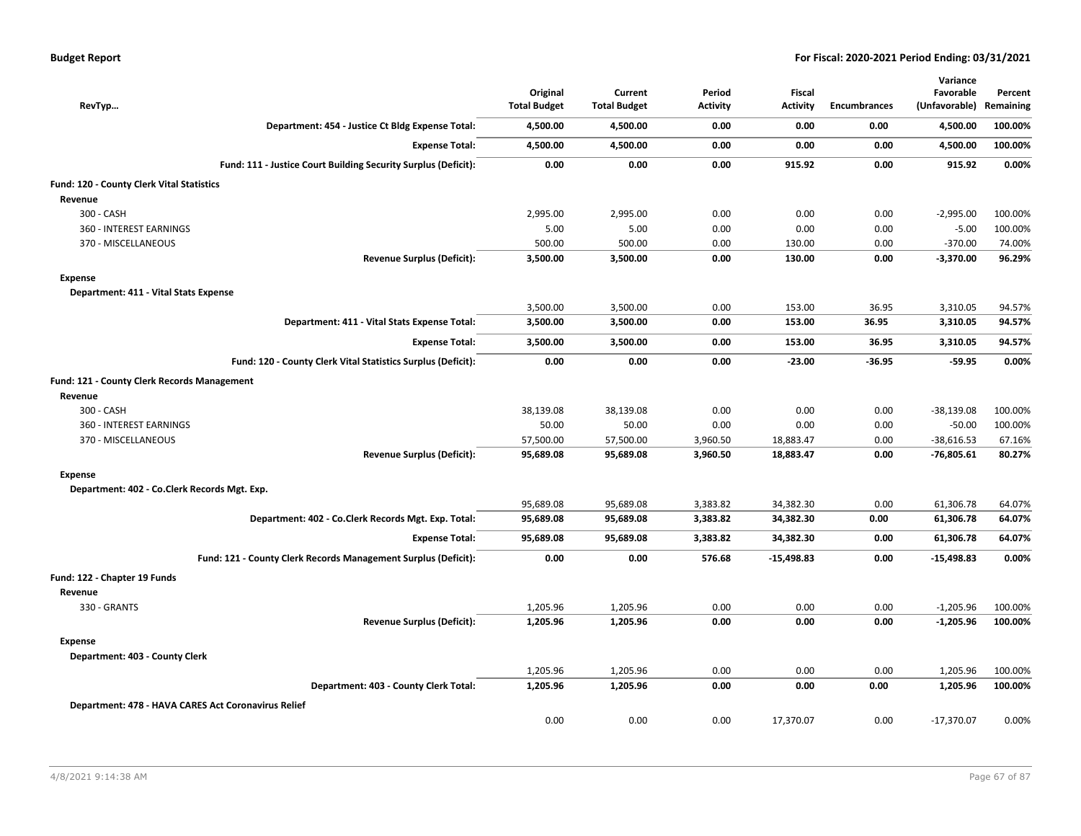| RevTyp                                              |                                                                | Original<br><b>Total Budget</b> | Current<br><b>Total Budget</b> | Period<br>Activity | <b>Fiscal</b><br><b>Activity</b> | <b>Encumbrances</b> | Variance<br>Favorable<br>(Unfavorable) | Percent<br>Remaining |
|-----------------------------------------------------|----------------------------------------------------------------|---------------------------------|--------------------------------|--------------------|----------------------------------|---------------------|----------------------------------------|----------------------|
|                                                     | Department: 454 - Justice Ct Bldg Expense Total:               | 4,500.00                        | 4,500.00                       | 0.00               | 0.00                             | 0.00                | 4,500.00                               | 100.00%              |
|                                                     | <b>Expense Total:</b>                                          | 4,500.00                        | 4,500.00                       | 0.00               | 0.00                             | 0.00                | 4,500.00                               | 100.00%              |
|                                                     | Fund: 111 - Justice Court Building Security Surplus (Deficit): | 0.00                            | 0.00                           | 0.00               | 915.92                           | 0.00                | 915.92                                 | 0.00%                |
| Fund: 120 - County Clerk Vital Statistics           |                                                                |                                 |                                |                    |                                  |                     |                                        |                      |
| Revenue                                             |                                                                |                                 |                                |                    |                                  |                     |                                        |                      |
| 300 - CASH                                          |                                                                | 2,995.00                        | 2,995.00                       | 0.00               | 0.00                             | 0.00                | $-2,995.00$                            | 100.00%              |
| 360 - INTEREST EARNINGS                             |                                                                | 5.00                            | 5.00                           | 0.00               | 0.00                             | 0.00                | $-5.00$                                | 100.00%              |
| 370 - MISCELLANEOUS                                 |                                                                | 500.00                          | 500.00                         | 0.00               | 130.00                           | 0.00                | $-370.00$                              | 74.00%               |
|                                                     | <b>Revenue Surplus (Deficit):</b>                              | 3,500.00                        | 3,500.00                       | 0.00               | 130.00                           | 0.00                | $-3,370.00$                            | 96.29%               |
| <b>Expense</b>                                      |                                                                |                                 |                                |                    |                                  |                     |                                        |                      |
| Department: 411 - Vital Stats Expense               |                                                                |                                 |                                |                    |                                  |                     |                                        |                      |
|                                                     |                                                                | 3,500.00                        | 3,500.00                       | 0.00               | 153.00                           | 36.95               | 3,310.05                               | 94.57%               |
|                                                     | Department: 411 - Vital Stats Expense Total:                   | 3,500.00                        | 3,500.00                       | 0.00               | 153.00                           | 36.95               | 3,310.05                               | 94.57%               |
|                                                     | <b>Expense Total:</b>                                          | 3,500.00                        | 3,500.00                       | 0.00               | 153.00                           | 36.95               | 3,310.05                               | 94.57%               |
|                                                     | Fund: 120 - County Clerk Vital Statistics Surplus (Deficit):   | 0.00                            | 0.00                           | 0.00               | $-23.00$                         | $-36.95$            | $-59.95$                               | 0.00%                |
| <b>Fund: 121 - County Clerk Records Management</b>  |                                                                |                                 |                                |                    |                                  |                     |                                        |                      |
| Revenue                                             |                                                                |                                 |                                |                    |                                  |                     |                                        |                      |
| 300 - CASH                                          |                                                                | 38,139.08                       | 38,139.08                      | 0.00               | 0.00                             | 0.00                | $-38,139.08$                           | 100.00%              |
| 360 - INTEREST EARNINGS                             |                                                                | 50.00                           | 50.00                          | 0.00               | 0.00                             | 0.00                | $-50.00$                               | 100.00%              |
| 370 - MISCELLANEOUS                                 |                                                                | 57,500.00                       | 57,500.00                      | 3,960.50           | 18,883.47                        | 0.00                | $-38,616.53$                           | 67.16%               |
|                                                     | <b>Revenue Surplus (Deficit):</b>                              | 95,689.08                       | 95,689.08                      | 3,960.50           | 18,883.47                        | 0.00                | -76,805.61                             | 80.27%               |
| Expense                                             |                                                                |                                 |                                |                    |                                  |                     |                                        |                      |
| Department: 402 - Co.Clerk Records Mgt. Exp.        |                                                                |                                 |                                |                    |                                  |                     |                                        |                      |
|                                                     |                                                                | 95,689.08                       | 95,689.08                      | 3,383.82           | 34,382.30                        | 0.00                | 61,306.78                              | 64.07%               |
|                                                     | Department: 402 - Co.Clerk Records Mgt. Exp. Total:            | 95,689.08                       | 95,689.08                      | 3,383.82           | 34,382.30                        | 0.00                | 61,306.78                              | 64.07%               |
|                                                     | <b>Expense Total:</b>                                          | 95,689.08                       | 95,689.08                      | 3,383.82           | 34,382.30                        | 0.00                | 61,306.78                              | 64.07%               |
|                                                     | Fund: 121 - County Clerk Records Management Surplus (Deficit): | 0.00                            | 0.00                           | 576.68             | $-15,498.83$                     | 0.00                | $-15,498.83$                           | 0.00%                |
| Fund: 122 - Chapter 19 Funds                        |                                                                |                                 |                                |                    |                                  |                     |                                        |                      |
| Revenue                                             |                                                                |                                 |                                |                    |                                  |                     |                                        |                      |
| 330 - GRANTS                                        |                                                                | 1,205.96                        | 1,205.96                       | 0.00               | 0.00                             | 0.00                | $-1,205.96$                            | 100.00%              |
|                                                     | <b>Revenue Surplus (Deficit):</b>                              | 1,205.96                        | 1,205.96                       | 0.00               | 0.00                             | 0.00                | $-1,205.96$                            | 100.00%              |
| Expense                                             |                                                                |                                 |                                |                    |                                  |                     |                                        |                      |
| Department: 403 - County Clerk                      |                                                                |                                 |                                |                    |                                  |                     |                                        |                      |
|                                                     |                                                                | 1,205.96                        | 1,205.96                       | 0.00               | 0.00                             | 0.00                | 1,205.96                               | 100.00%              |
|                                                     | Department: 403 - County Clerk Total:                          | 1,205.96                        | 1,205.96                       | 0.00               | 0.00                             | 0.00                | 1,205.96                               | 100.00%              |
| Department: 478 - HAVA CARES Act Coronavirus Relief |                                                                |                                 |                                |                    |                                  |                     |                                        |                      |
|                                                     |                                                                | 0.00                            | 0.00                           | 0.00               | 17,370.07                        | 0.00                | $-17,370.07$                           | 0.00%                |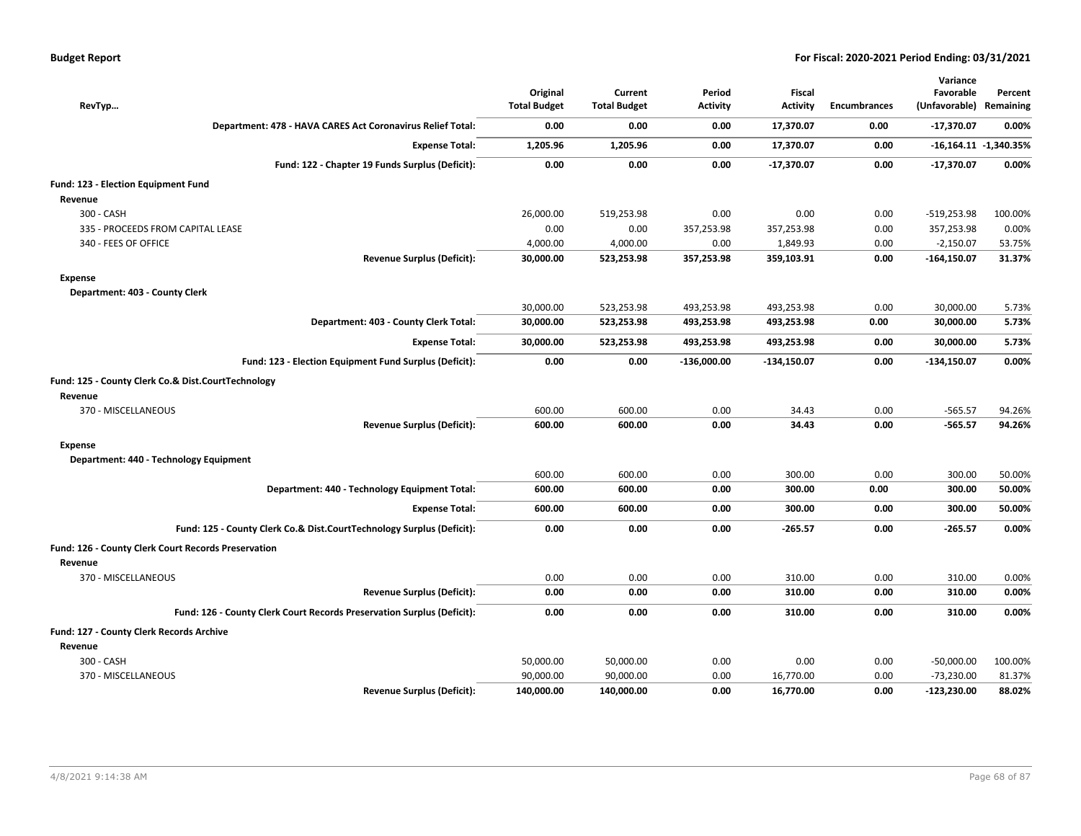| RevTyp                                                                 | Original<br><b>Total Budget</b> | Current<br><b>Total Budget</b> | Period<br><b>Activity</b> | Fiscal<br><b>Activity</b> | <b>Encumbrances</b> | Variance<br>Favorable<br>(Unfavorable) Remaining | Percent               |
|------------------------------------------------------------------------|---------------------------------|--------------------------------|---------------------------|---------------------------|---------------------|--------------------------------------------------|-----------------------|
| Department: 478 - HAVA CARES Act Coronavirus Relief Total:             | 0.00                            | 0.00                           | 0.00                      | 17,370.07                 | 0.00                | -17,370.07                                       | 0.00%                 |
| <b>Expense Total:</b>                                                  | 1,205.96                        | 1,205.96                       | 0.00                      | 17,370.07                 | 0.00                |                                                  | -16,164.11 -1,340.35% |
| Fund: 122 - Chapter 19 Funds Surplus (Deficit):                        | 0.00                            | 0.00                           | 0.00                      | $-17,370.07$              | 0.00                | $-17,370.07$                                     | 0.00%                 |
| Fund: 123 - Election Equipment Fund                                    |                                 |                                |                           |                           |                     |                                                  |                       |
| Revenue                                                                |                                 |                                |                           |                           |                     |                                                  |                       |
| 300 - CASH                                                             | 26,000.00                       | 519,253.98                     | 0.00                      | 0.00                      | 0.00                | $-519,253.98$                                    | 100.00%               |
| 335 - PROCEEDS FROM CAPITAL LEASE                                      | 0.00                            | 0.00                           | 357,253.98                | 357,253.98                | 0.00                | 357,253.98                                       | 0.00%                 |
| 340 - FEES OF OFFICE                                                   | 4,000.00                        | 4,000.00                       | 0.00                      | 1,849.93                  | 0.00                | $-2,150.07$                                      | 53.75%                |
| <b>Revenue Surplus (Deficit):</b>                                      | 30,000.00                       | 523,253.98                     | 357,253.98                | 359,103.91                | 0.00                | $-164,150.07$                                    | 31.37%                |
| Expense                                                                |                                 |                                |                           |                           |                     |                                                  |                       |
| Department: 403 - County Clerk                                         |                                 |                                |                           |                           |                     |                                                  |                       |
|                                                                        | 30,000.00                       | 523,253.98                     | 493,253.98                | 493,253.98                | 0.00                | 30,000.00                                        | 5.73%                 |
| Department: 403 - County Clerk Total:                                  | 30,000.00                       | 523,253.98                     | 493,253.98                | 493,253.98                | 0.00                | 30,000.00                                        | 5.73%                 |
| <b>Expense Total:</b>                                                  | 30,000.00                       | 523,253.98                     | 493,253.98                | 493,253.98                | 0.00                | 30,000.00                                        | 5.73%                 |
| Fund: 123 - Election Equipment Fund Surplus (Deficit):                 | 0.00                            | 0.00                           | $-136,000.00$             | $-134,150.07$             | 0.00                | $-134,150.07$                                    | 0.00%                 |
| Fund: 125 - County Clerk Co.& Dist.CourtTechnology                     |                                 |                                |                           |                           |                     |                                                  |                       |
| Revenue                                                                |                                 |                                |                           |                           |                     |                                                  |                       |
| 370 - MISCELLANEOUS                                                    | 600.00                          | 600.00                         | 0.00                      | 34.43                     | 0.00                | $-565.57$                                        | 94.26%                |
| <b>Revenue Surplus (Deficit):</b>                                      | 600.00                          | 600.00                         | 0.00                      | 34.43                     | 0.00                | $-565.57$                                        | 94.26%                |
| Expense                                                                |                                 |                                |                           |                           |                     |                                                  |                       |
| Department: 440 - Technology Equipment                                 |                                 |                                |                           |                           |                     |                                                  |                       |
|                                                                        | 600.00                          | 600.00                         | 0.00                      | 300.00                    | 0.00                | 300.00                                           | 50.00%                |
| Department: 440 - Technology Equipment Total:                          | 600.00                          | 600.00                         | 0.00                      | 300.00                    | 0.00                | 300.00                                           | 50.00%                |
| <b>Expense Total:</b>                                                  | 600.00                          | 600.00                         | 0.00                      | 300.00                    | 0.00                | 300.00                                           | 50.00%                |
| Fund: 125 - County Clerk Co.& Dist.CourtTechnology Surplus (Deficit):  | 0.00                            | 0.00                           | 0.00                      | $-265.57$                 | 0.00                | $-265.57$                                        | 0.00%                 |
| <b>Fund: 126 - County Clerk Court Records Preservation</b>             |                                 |                                |                           |                           |                     |                                                  |                       |
| Revenue                                                                |                                 |                                |                           |                           |                     |                                                  |                       |
| 370 - MISCELLANEOUS                                                    | 0.00                            | 0.00                           | 0.00                      | 310.00                    | 0.00                | 310.00                                           | 0.00%                 |
| <b>Revenue Surplus (Deficit):</b>                                      | 0.00                            | 0.00                           | 0.00                      | 310.00                    | 0.00                | 310.00                                           | 0.00%                 |
| Fund: 126 - County Clerk Court Records Preservation Surplus (Deficit): | 0.00                            | 0.00                           | 0.00                      | 310.00                    | 0.00                | 310.00                                           | 0.00%                 |
| Fund: 127 - County Clerk Records Archive                               |                                 |                                |                           |                           |                     |                                                  |                       |
| Revenue                                                                |                                 |                                |                           |                           |                     |                                                  |                       |
| 300 - CASH                                                             | 50,000.00                       | 50,000.00                      | 0.00                      | 0.00                      | 0.00                | $-50,000.00$                                     | 100.00%               |
| 370 - MISCELLANEOUS                                                    | 90,000.00                       | 90,000.00                      | 0.00                      | 16,770.00                 | 0.00                | $-73,230.00$                                     | 81.37%                |
| <b>Revenue Surplus (Deficit):</b>                                      | 140,000.00                      | 140,000.00                     | 0.00                      | 16,770.00                 | 0.00                | $-123,230.00$                                    | 88.02%                |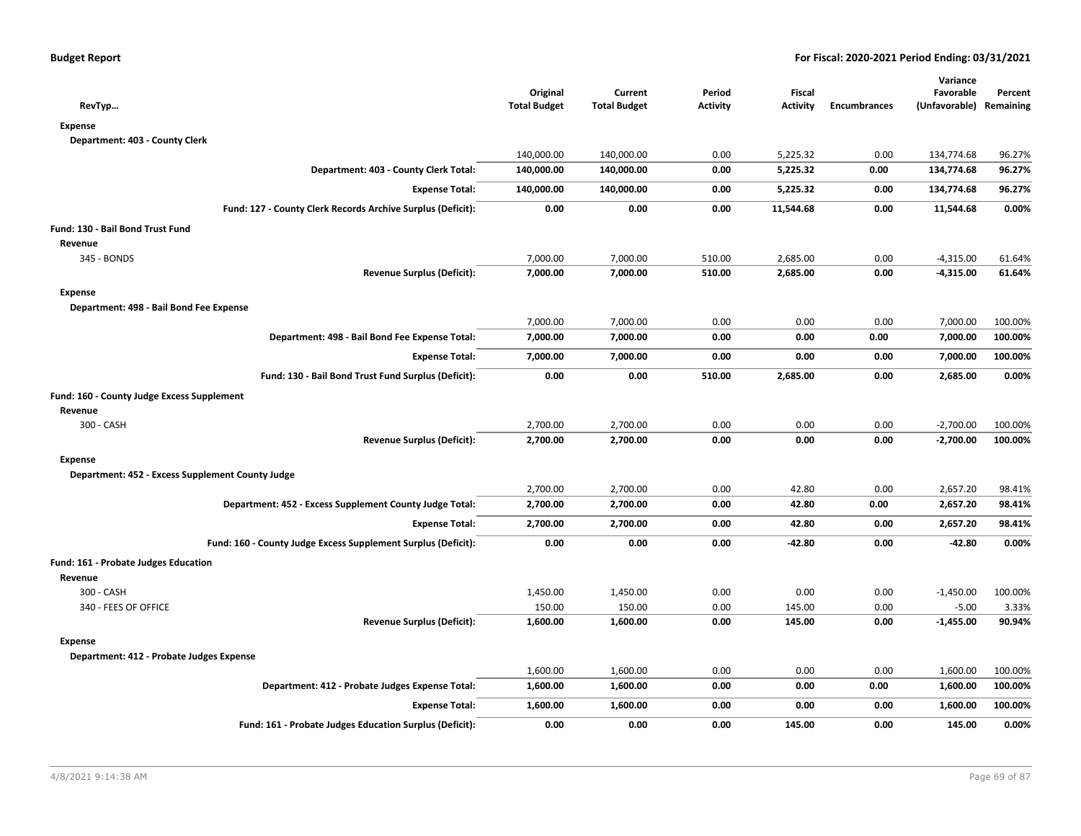| RevTyp                                                        | Original<br><b>Total Budget</b> | Current<br><b>Total Budget</b> | Period<br><b>Activity</b> | Fiscal<br><b>Activity</b> | <b>Encumbrances</b> | Variance<br>Favorable<br>(Unfavorable) | Percent<br>Remaining |
|---------------------------------------------------------------|---------------------------------|--------------------------------|---------------------------|---------------------------|---------------------|----------------------------------------|----------------------|
| <b>Expense</b>                                                |                                 |                                |                           |                           |                     |                                        |                      |
| Department: 403 - County Clerk                                |                                 |                                |                           |                           |                     |                                        |                      |
|                                                               | 140,000.00                      | 140,000.00                     | 0.00                      | 5,225.32                  | 0.00                | 134,774.68                             | 96.27%               |
| Department: 403 - County Clerk Total:                         | 140,000.00                      | 140,000.00                     | 0.00                      | 5,225.32                  | 0.00                | 134,774.68                             | 96.27%               |
| <b>Expense Total:</b>                                         | 140,000.00                      | 140,000.00                     | 0.00                      | 5,225.32                  | 0.00                | 134,774.68                             | 96.27%               |
| Fund: 127 - County Clerk Records Archive Surplus (Deficit):   | 0.00                            | 0.00                           | 0.00                      | 11,544.68                 | 0.00                | 11,544.68                              | 0.00%                |
| Fund: 130 - Bail Bond Trust Fund                              |                                 |                                |                           |                           |                     |                                        |                      |
| Revenue                                                       |                                 |                                |                           |                           |                     |                                        |                      |
| 345 - BONDS                                                   | 7,000.00                        | 7,000.00                       | 510.00                    | 2,685.00                  | 0.00                | $-4,315.00$                            | 61.64%               |
| <b>Revenue Surplus (Deficit):</b>                             | 7,000.00                        | 7,000.00                       | 510.00                    | 2,685.00                  | 0.00                | $-4,315.00$                            | 61.64%               |
| <b>Expense</b>                                                |                                 |                                |                           |                           |                     |                                        |                      |
| Department: 498 - Bail Bond Fee Expense                       |                                 |                                |                           |                           |                     |                                        |                      |
|                                                               | 7,000.00                        | 7,000.00                       | 0.00                      | 0.00                      | 0.00                | 7,000.00                               | 100.00%              |
| Department: 498 - Bail Bond Fee Expense Total:                | 7,000.00                        | 7,000.00                       | 0.00                      | 0.00                      | 0.00                | 7,000.00                               | 100.00%              |
| <b>Expense Total:</b>                                         | 7,000.00                        | 7,000.00                       | 0.00                      | 0.00                      | 0.00                | 7,000.00                               | 100.00%              |
| Fund: 130 - Bail Bond Trust Fund Surplus (Deficit):           | 0.00                            | 0.00                           | 510.00                    | 2,685.00                  | 0.00                | 2,685.00                               | 0.00%                |
| Fund: 160 - County Judge Excess Supplement                    |                                 |                                |                           |                           |                     |                                        |                      |
| Revenue                                                       |                                 |                                |                           |                           |                     |                                        |                      |
| 300 - CASH                                                    | 2,700.00                        | 2,700.00                       | 0.00                      | 0.00                      | 0.00                | $-2,700.00$                            | 100.00%              |
| <b>Revenue Surplus (Deficit):</b>                             | 2,700.00                        | 2,700.00                       | 0.00                      | 0.00                      | 0.00                | $-2,700.00$                            | 100.00%              |
| <b>Expense</b>                                                |                                 |                                |                           |                           |                     |                                        |                      |
| Department: 452 - Excess Supplement County Judge              |                                 |                                |                           |                           |                     |                                        |                      |
| Department: 452 - Excess Supplement County Judge Total:       | 2,700.00<br>2,700.00            | 2,700.00<br>2,700.00           | 0.00<br>0.00              | 42.80<br>42.80            | 0.00<br>0.00        | 2,657.20<br>2,657.20                   | 98.41%<br>98.41%     |
|                                                               |                                 |                                |                           |                           |                     |                                        |                      |
| <b>Expense Total:</b>                                         | 2,700.00                        | 2,700.00                       | 0.00                      | 42.80                     | 0.00                | 2,657.20                               | 98.41%               |
| Fund: 160 - County Judge Excess Supplement Surplus (Deficit): | 0.00                            | 0.00                           | 0.00                      | $-42.80$                  | 0.00                | $-42.80$                               | 0.00%                |
| Fund: 161 - Probate Judges Education                          |                                 |                                |                           |                           |                     |                                        |                      |
| Revenue                                                       |                                 |                                |                           |                           |                     |                                        |                      |
| 300 - CASH                                                    | 1,450.00                        | 1,450.00<br>150.00             | 0.00                      | 0.00                      | 0.00<br>0.00        | $-1,450.00$                            | 100.00%              |
| 340 - FEES OF OFFICE<br><b>Revenue Surplus (Deficit):</b>     | 150.00<br>1,600.00              | 1,600.00                       | 0.00<br>0.00              | 145.00<br>145.00          | 0.00                | $-5.00$<br>$-1,455.00$                 | 3.33%<br>90.94%      |
|                                                               |                                 |                                |                           |                           |                     |                                        |                      |
| <b>Expense</b><br>Department: 412 - Probate Judges Expense    |                                 |                                |                           |                           |                     |                                        |                      |
|                                                               | 1,600.00                        | 1,600.00                       | 0.00                      | 0.00                      | 0.00                | 1,600.00                               | 100.00%              |
| Department: 412 - Probate Judges Expense Total:               | 1,600.00                        | 1,600.00                       | 0.00                      | 0.00                      | 0.00                | 1,600.00                               | 100.00%              |
| <b>Expense Total:</b>                                         | 1,600.00                        | 1,600.00                       | 0.00                      | 0.00                      | 0.00                | 1,600.00                               | 100.00%              |
| Fund: 161 - Probate Judges Education Surplus (Deficit):       | 0.00                            | 0.00                           | 0.00                      | 145.00                    | 0.00                | 145.00                                 | 0.00%                |
|                                                               |                                 |                                |                           |                           |                     |                                        |                      |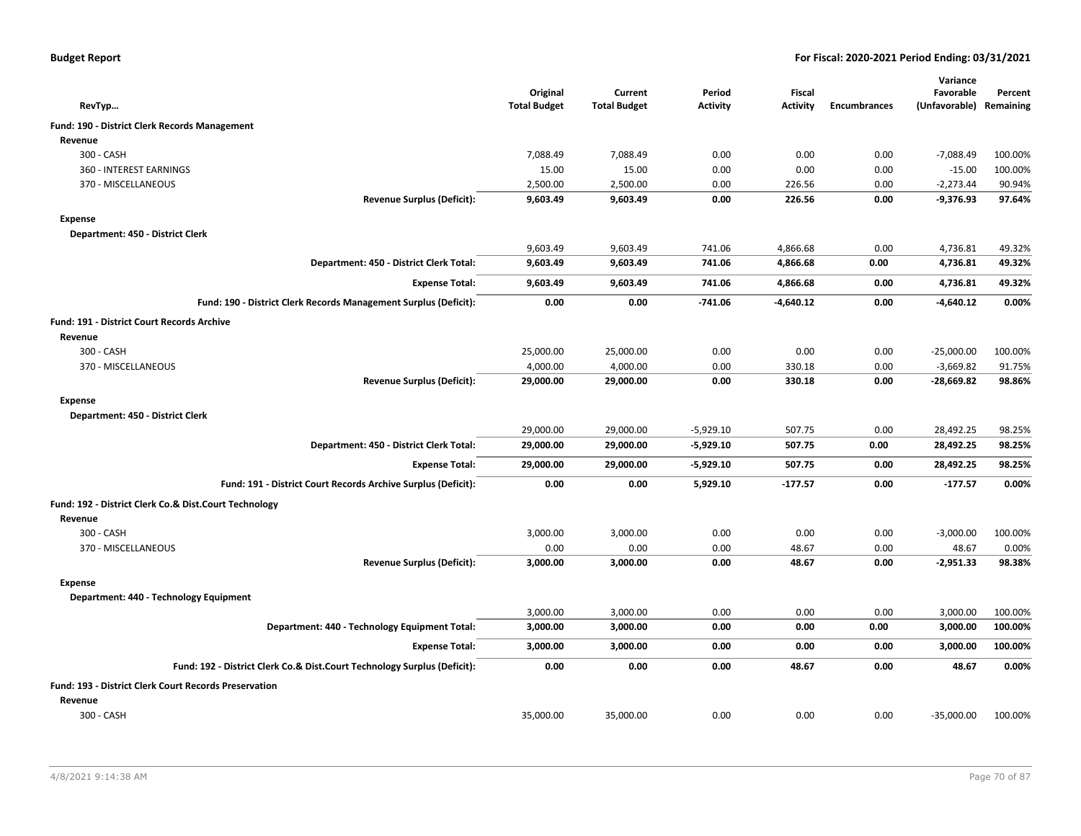|  |  |  | <b>Budget Report</b> |
|--|--|--|----------------------|
|--|--|--|----------------------|

|                                                                          |                                 |                                |                           |                    |                     | Variance                             |         |
|--------------------------------------------------------------------------|---------------------------------|--------------------------------|---------------------------|--------------------|---------------------|--------------------------------------|---------|
| RevTyp                                                                   | Original<br><b>Total Budget</b> | Current<br><b>Total Budget</b> | Period<br><b>Activity</b> | Fiscal<br>Activity | <b>Encumbrances</b> | Favorable<br>(Unfavorable) Remaining | Percent |
| Fund: 190 - District Clerk Records Management                            |                                 |                                |                           |                    |                     |                                      |         |
| Revenue                                                                  |                                 |                                |                           |                    |                     |                                      |         |
| 300 - CASH                                                               | 7,088.49                        | 7,088.49                       | 0.00                      | 0.00               | 0.00                | $-7,088.49$                          | 100.00% |
| 360 - INTEREST EARNINGS                                                  | 15.00                           | 15.00                          | 0.00                      | 0.00               | 0.00                | $-15.00$                             | 100.00% |
| 370 - MISCELLANEOUS                                                      | 2,500.00                        | 2,500.00                       | 0.00                      | 226.56             | 0.00                | $-2,273.44$                          | 90.94%  |
| <b>Revenue Surplus (Deficit):</b>                                        | 9,603.49                        | 9,603.49                       | 0.00                      | 226.56             | 0.00                | $-9,376.93$                          | 97.64%  |
| Expense                                                                  |                                 |                                |                           |                    |                     |                                      |         |
| Department: 450 - District Clerk                                         |                                 |                                |                           |                    |                     |                                      |         |
|                                                                          | 9,603.49                        | 9,603.49                       | 741.06                    | 4,866.68           | 0.00                | 4,736.81                             | 49.32%  |
| Department: 450 - District Clerk Total:                                  | 9,603.49                        | 9,603.49                       | 741.06                    | 4,866.68           | 0.00                | 4,736.81                             | 49.32%  |
| <b>Expense Total:</b>                                                    | 9,603.49                        | 9,603.49                       | 741.06                    | 4,866.68           | 0.00                | 4,736.81                             | 49.32%  |
| Fund: 190 - District Clerk Records Management Surplus (Deficit):         | 0.00                            | 0.00                           | $-741.06$                 | $-4,640.12$        | 0.00                | $-4,640.12$                          | 0.00%   |
| <b>Fund: 191 - District Court Records Archive</b>                        |                                 |                                |                           |                    |                     |                                      |         |
| Revenue                                                                  |                                 |                                |                           |                    |                     |                                      |         |
| 300 - CASH                                                               | 25,000.00                       | 25,000.00                      | 0.00                      | 0.00               | 0.00                | $-25,000.00$                         | 100.00% |
| 370 - MISCELLANEOUS                                                      | 4,000.00                        | 4,000.00                       | 0.00                      | 330.18             | 0.00                | $-3,669.82$                          | 91.75%  |
| <b>Revenue Surplus (Deficit):</b>                                        | 29,000.00                       | 29,000.00                      | 0.00                      | 330.18             | 0.00                | -28,669.82                           | 98.86%  |
| <b>Expense</b>                                                           |                                 |                                |                           |                    |                     |                                      |         |
| Department: 450 - District Clerk                                         |                                 |                                |                           |                    |                     |                                      |         |
|                                                                          | 29,000.00                       | 29,000.00                      | $-5.929.10$               | 507.75             | 0.00                | 28,492.25                            | 98.25%  |
| Department: 450 - District Clerk Total:                                  | 29,000.00                       | 29,000.00                      | $-5,929.10$               | 507.75             | 0.00                | 28,492.25                            | 98.25%  |
| <b>Expense Total:</b>                                                    | 29,000.00                       | 29,000.00                      | $-5,929.10$               | 507.75             | 0.00                | 28,492.25                            | 98.25%  |
| Fund: 191 - District Court Records Archive Surplus (Deficit):            | 0.00                            | 0.00                           | 5,929.10                  | $-177.57$          | 0.00                | $-177.57$                            | 0.00%   |
| Fund: 192 - District Clerk Co.& Dist.Court Technology                    |                                 |                                |                           |                    |                     |                                      |         |
| Revenue                                                                  |                                 |                                |                           |                    |                     |                                      |         |
| 300 - CASH                                                               | 3,000.00                        | 3,000.00                       | 0.00                      | 0.00               | 0.00                | $-3,000.00$                          | 100.00% |
| 370 - MISCELLANEOUS                                                      | 0.00                            | 0.00                           | 0.00                      | 48.67              | 0.00                | 48.67                                | 0.00%   |
| <b>Revenue Surplus (Deficit):</b>                                        | 3,000.00                        | 3,000.00                       | 0.00                      | 48.67              | 0.00                | $-2,951.33$                          | 98.38%  |
| Expense                                                                  |                                 |                                |                           |                    |                     |                                      |         |
| Department: 440 - Technology Equipment                                   |                                 |                                |                           |                    |                     |                                      |         |
|                                                                          | 3,000.00                        | 3,000.00                       | 0.00                      | 0.00               | 0.00                | 3,000.00                             | 100.00% |
| Department: 440 - Technology Equipment Total:                            | 3,000.00                        | 3,000.00                       | 0.00                      | 0.00               | 0.00                | 3,000.00                             | 100.00% |
| <b>Expense Total:</b>                                                    | 3,000.00                        | 3,000.00                       | 0.00                      | 0.00               | 0.00                | 3,000.00                             | 100.00% |
| Fund: 192 - District Clerk Co.& Dist.Court Technology Surplus (Deficit): | 0.00                            | 0.00                           | 0.00                      | 48.67              | 0.00                | 48.67                                | 0.00%   |
| <b>Fund: 193 - District Clerk Court Records Preservation</b>             |                                 |                                |                           |                    |                     |                                      |         |
| Revenue                                                                  |                                 |                                |                           |                    |                     |                                      |         |
| 300 - CASH                                                               | 35,000.00                       | 35,000.00                      | 0.00                      | 0.00               | 0.00                | $-35,000.00$                         | 100.00% |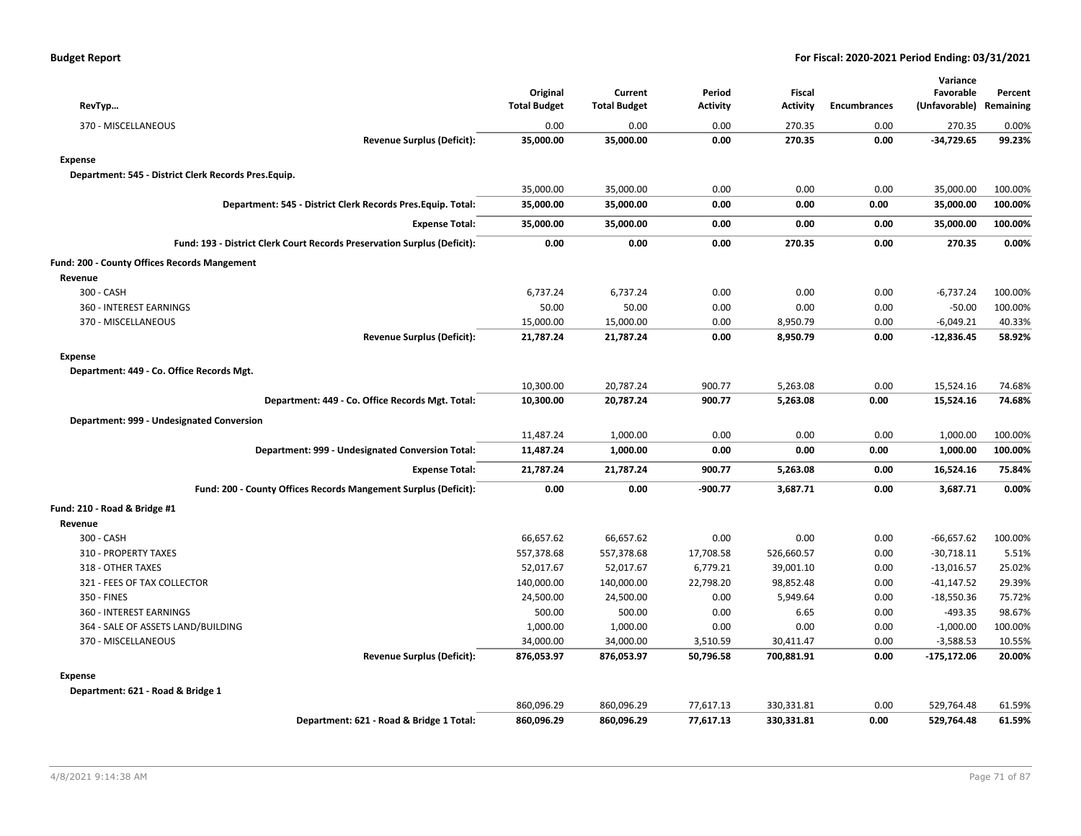| RevTyp                                                                   | Original<br><b>Total Budget</b> | Current<br><b>Total Budget</b> | Period<br>Activity | Fiscal<br><b>Activity</b> | <b>Encumbrances</b> | Variance<br>Favorable<br>(Unfavorable) Remaining | Percent |
|--------------------------------------------------------------------------|---------------------------------|--------------------------------|--------------------|---------------------------|---------------------|--------------------------------------------------|---------|
| 370 - MISCELLANEOUS                                                      | 0.00                            | 0.00                           | 0.00               | 270.35                    | 0.00                | 270.35                                           | 0.00%   |
| <b>Revenue Surplus (Deficit):</b>                                        | 35,000.00                       | 35,000.00                      | 0.00               | 270.35                    | 0.00                | $-34,729.65$                                     | 99.23%  |
| <b>Expense</b>                                                           |                                 |                                |                    |                           |                     |                                                  |         |
| Department: 545 - District Clerk Records Pres.Equip.                     |                                 |                                |                    |                           |                     |                                                  |         |
|                                                                          | 35,000.00                       | 35,000.00                      | 0.00               | 0.00                      | 0.00                | 35,000.00                                        | 100.00% |
| Department: 545 - District Clerk Records Pres. Equip. Total:             | 35,000.00                       | 35,000.00                      | 0.00               | 0.00                      | 0.00                | 35,000.00                                        | 100.00% |
| <b>Expense Total:</b>                                                    | 35,000.00                       | 35,000.00                      | 0.00               | 0.00                      | 0.00                | 35,000.00                                        | 100.00% |
| Fund: 193 - District Clerk Court Records Preservation Surplus (Deficit): | 0.00                            | 0.00                           | 0.00               | 270.35                    | 0.00                | 270.35                                           | 0.00%   |
| Fund: 200 - County Offices Records Mangement                             |                                 |                                |                    |                           |                     |                                                  |         |
| Revenue                                                                  |                                 |                                |                    |                           |                     |                                                  |         |
| 300 - CASH                                                               | 6,737.24                        | 6,737.24                       | 0.00               | 0.00                      | 0.00                | $-6,737.24$                                      | 100.00% |
| 360 - INTEREST EARNINGS                                                  | 50.00                           | 50.00                          | 0.00               | 0.00                      | 0.00                | $-50.00$                                         | 100.00% |
| 370 - MISCELLANEOUS                                                      | 15,000.00                       | 15,000.00                      | 0.00               | 8,950.79                  | 0.00                | $-6,049.21$                                      | 40.33%  |
| <b>Revenue Surplus (Deficit):</b>                                        | 21,787.24                       | 21,787.24                      | 0.00               | 8,950.79                  | 0.00                | $-12,836.45$                                     | 58.92%  |
| <b>Expense</b>                                                           |                                 |                                |                    |                           |                     |                                                  |         |
| Department: 449 - Co. Office Records Mgt.                                |                                 |                                |                    |                           |                     |                                                  |         |
|                                                                          | 10,300.00                       | 20,787.24                      | 900.77             | 5,263.08                  | 0.00                | 15,524.16                                        | 74.68%  |
| Department: 449 - Co. Office Records Mgt. Total:                         | 10,300.00                       | 20,787.24                      | 900.77             | 5,263.08                  | 0.00                | 15,524.16                                        | 74.68%  |
| Department: 999 - Undesignated Conversion                                |                                 |                                |                    |                           |                     |                                                  |         |
|                                                                          | 11,487.24                       | 1,000.00                       | 0.00               | 0.00                      | 0.00                | 1,000.00                                         | 100.00% |
| Department: 999 - Undesignated Conversion Total:                         | 11,487.24                       | 1,000.00                       | 0.00               | 0.00                      | 0.00                | 1,000.00                                         | 100.00% |
| <b>Expense Total:</b>                                                    | 21,787.24                       | 21,787.24                      | 900.77             | 5,263.08                  | 0.00                | 16,524.16                                        | 75.84%  |
| Fund: 200 - County Offices Records Mangement Surplus (Deficit):          | 0.00                            | 0.00                           | $-900.77$          | 3,687.71                  | 0.00                | 3,687.71                                         | 0.00%   |
| Fund: 210 - Road & Bridge #1                                             |                                 |                                |                    |                           |                     |                                                  |         |
| Revenue                                                                  |                                 |                                |                    |                           |                     |                                                  |         |
| 300 - CASH                                                               | 66,657.62                       | 66,657.62                      | 0.00               | 0.00                      | 0.00                | $-66,657.62$                                     | 100.00% |
| 310 - PROPERTY TAXES                                                     | 557,378.68                      | 557,378.68                     | 17,708.58          | 526,660.57                | 0.00                | $-30,718.11$                                     | 5.51%   |
| 318 - OTHER TAXES                                                        | 52,017.67                       | 52,017.67                      | 6,779.21           | 39,001.10                 | 0.00                | $-13,016.57$                                     | 25.02%  |
| 321 - FEES OF TAX COLLECTOR                                              | 140,000.00                      | 140,000.00                     | 22,798.20          | 98,852.48                 | 0.00                | $-41,147.52$                                     | 29.39%  |
| 350 - FINES                                                              | 24,500.00                       | 24,500.00                      | 0.00               | 5,949.64                  | 0.00                | $-18,550.36$                                     | 75.72%  |
| 360 - INTEREST EARNINGS                                                  | 500.00                          | 500.00                         | 0.00               | 6.65                      | 0.00                | $-493.35$                                        | 98.67%  |
| 364 - SALE OF ASSETS LAND/BUILDING                                       | 1,000.00                        | 1,000.00                       | 0.00               | 0.00                      | 0.00                | $-1,000.00$                                      | 100.00% |
| 370 - MISCELLANEOUS                                                      | 34,000.00                       | 34,000.00                      | 3,510.59           | 30,411.47                 | 0.00                | $-3,588.53$                                      | 10.55%  |
| <b>Revenue Surplus (Deficit):</b>                                        | 876,053.97                      | 876,053.97                     | 50,796.58          | 700,881.91                | 0.00                | $-175, 172.06$                                   | 20.00%  |
| Expense                                                                  |                                 |                                |                    |                           |                     |                                                  |         |
| Department: 621 - Road & Bridge 1                                        |                                 |                                |                    |                           |                     |                                                  |         |
|                                                                          | 860,096.29                      | 860,096.29                     | 77,617.13          | 330,331.81                | 0.00                | 529,764.48                                       | 61.59%  |
| Department: 621 - Road & Bridge 1 Total:                                 | 860,096.29                      | 860,096.29                     | 77,617.13          | 330,331.81                | 0.00                | 529,764.48                                       | 61.59%  |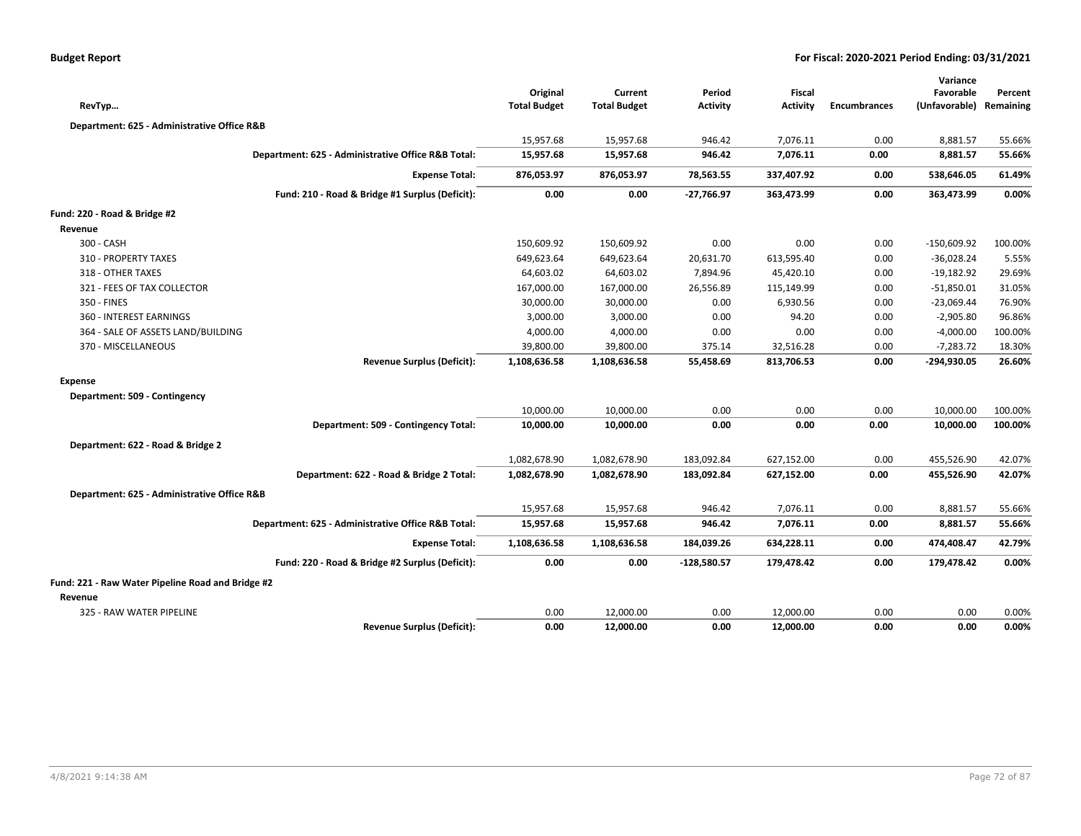| RevTyp                                            |                                                    | Original<br><b>Total Budget</b> | Current<br><b>Total Budget</b> | Period<br><b>Activity</b> | Fiscal<br>Activity | <b>Encumbrances</b> | Variance<br>Favorable<br>(Unfavorable) | Percent<br>Remaining |
|---------------------------------------------------|----------------------------------------------------|---------------------------------|--------------------------------|---------------------------|--------------------|---------------------|----------------------------------------|----------------------|
|                                                   |                                                    |                                 |                                |                           |                    |                     |                                        |                      |
| Department: 625 - Administrative Office R&B       |                                                    |                                 |                                |                           |                    |                     |                                        |                      |
|                                                   |                                                    | 15,957.68                       | 15,957.68                      | 946.42                    | 7,076.11           | 0.00                | 8,881.57                               | 55.66%               |
|                                                   | Department: 625 - Administrative Office R&B Total: | 15,957.68                       | 15,957.68                      | 946.42                    | 7,076.11           | 0.00                | 8,881.57                               | 55.66%               |
|                                                   | <b>Expense Total:</b>                              | 876,053.97                      | 876,053.97                     | 78,563.55                 | 337,407.92         | 0.00                | 538,646.05                             | 61.49%               |
|                                                   | Fund: 210 - Road & Bridge #1 Surplus (Deficit):    | 0.00                            | 0.00                           | -27,766.97                | 363,473.99         | 0.00                | 363,473.99                             | 0.00%                |
| Fund: 220 - Road & Bridge #2                      |                                                    |                                 |                                |                           |                    |                     |                                        |                      |
| Revenue                                           |                                                    |                                 |                                |                           |                    |                     |                                        |                      |
| 300 - CASH                                        |                                                    | 150,609.92                      | 150,609.92                     | 0.00                      | 0.00               | 0.00                | $-150,609.92$                          | 100.00%              |
| 310 - PROPERTY TAXES                              |                                                    | 649,623.64                      | 649,623.64                     | 20,631.70                 | 613,595.40         | 0.00                | $-36,028.24$                           | 5.55%                |
| 318 - OTHER TAXES                                 |                                                    | 64,603.02                       | 64,603.02                      | 7,894.96                  | 45,420.10          | 0.00                | $-19,182.92$                           | 29.69%               |
| 321 - FEES OF TAX COLLECTOR                       |                                                    | 167,000.00                      | 167,000.00                     | 26,556.89                 | 115,149.99         | 0.00                | $-51,850.01$                           | 31.05%               |
| 350 - FINES                                       |                                                    | 30,000.00                       | 30,000.00                      | 0.00                      | 6,930.56           | 0.00                | $-23,069.44$                           | 76.90%               |
| 360 - INTEREST EARNINGS                           |                                                    | 3,000.00                        | 3,000.00                       | 0.00                      | 94.20              | 0.00                | $-2,905.80$                            | 96.86%               |
| 364 - SALE OF ASSETS LAND/BUILDING                |                                                    | 4,000.00                        | 4,000.00                       | 0.00                      | 0.00               | 0.00                | $-4,000.00$                            | 100.00%              |
| 370 - MISCELLANEOUS                               |                                                    | 39,800.00                       | 39,800.00                      | 375.14                    | 32,516.28          | 0.00                | $-7,283.72$                            | 18.30%               |
|                                                   | <b>Revenue Surplus (Deficit):</b>                  | 1,108,636.58                    | 1,108,636.58                   | 55,458.69                 | 813,706.53         | 0.00                | $-294,930.05$                          | 26.60%               |
| <b>Expense</b>                                    |                                                    |                                 |                                |                           |                    |                     |                                        |                      |
| Department: 509 - Contingency                     |                                                    |                                 |                                |                           |                    |                     |                                        |                      |
|                                                   |                                                    | 10,000.00                       | 10,000.00                      | 0.00                      | 0.00               | 0.00                | 10,000.00                              | 100.00%              |
|                                                   | Department: 509 - Contingency Total:               | 10,000.00                       | 10,000.00                      | 0.00                      | 0.00               | 0.00                | 10,000.00                              | 100.00%              |
| Department: 622 - Road & Bridge 2                 |                                                    |                                 |                                |                           |                    |                     |                                        |                      |
|                                                   |                                                    | 1,082,678.90                    | 1,082,678.90                   | 183,092.84                | 627,152.00         | 0.00                | 455,526.90                             | 42.07%               |
|                                                   | Department: 622 - Road & Bridge 2 Total:           | 1,082,678.90                    | 1,082,678.90                   | 183,092.84                | 627,152.00         | 0.00                | 455,526.90                             | 42.07%               |
| Department: 625 - Administrative Office R&B       |                                                    |                                 |                                |                           |                    |                     |                                        |                      |
|                                                   |                                                    | 15,957.68                       | 15,957.68                      | 946.42                    | 7,076.11           | 0.00                | 8,881.57                               | 55.66%               |
|                                                   | Department: 625 - Administrative Office R&B Total: | 15,957.68                       | 15,957.68                      | 946.42                    | 7,076.11           | 0.00                | 8,881.57                               | 55.66%               |
|                                                   | <b>Expense Total:</b>                              | 1,108,636.58                    | 1,108,636.58                   | 184,039.26                | 634,228.11         | 0.00                | 474,408.47                             | 42.79%               |
|                                                   | Fund: 220 - Road & Bridge #2 Surplus (Deficit):    | 0.00                            | 0.00                           | $-128,580.57$             | 179,478.42         | 0.00                | 179,478.42                             | 0.00%                |
| Fund: 221 - Raw Water Pipeline Road and Bridge #2 |                                                    |                                 |                                |                           |                    |                     |                                        |                      |
| Revenue                                           |                                                    |                                 |                                |                           |                    |                     |                                        |                      |
| 325 - RAW WATER PIPELINE                          |                                                    | 0.00                            | 12,000.00                      | 0.00                      | 12,000.00          | 0.00                | 0.00                                   | 0.00%                |
|                                                   | <b>Revenue Surplus (Deficit):</b>                  | 0.00                            | 12,000.00                      | 0.00                      | 12,000.00          | 0.00                | 0.00                                   | 0.00%                |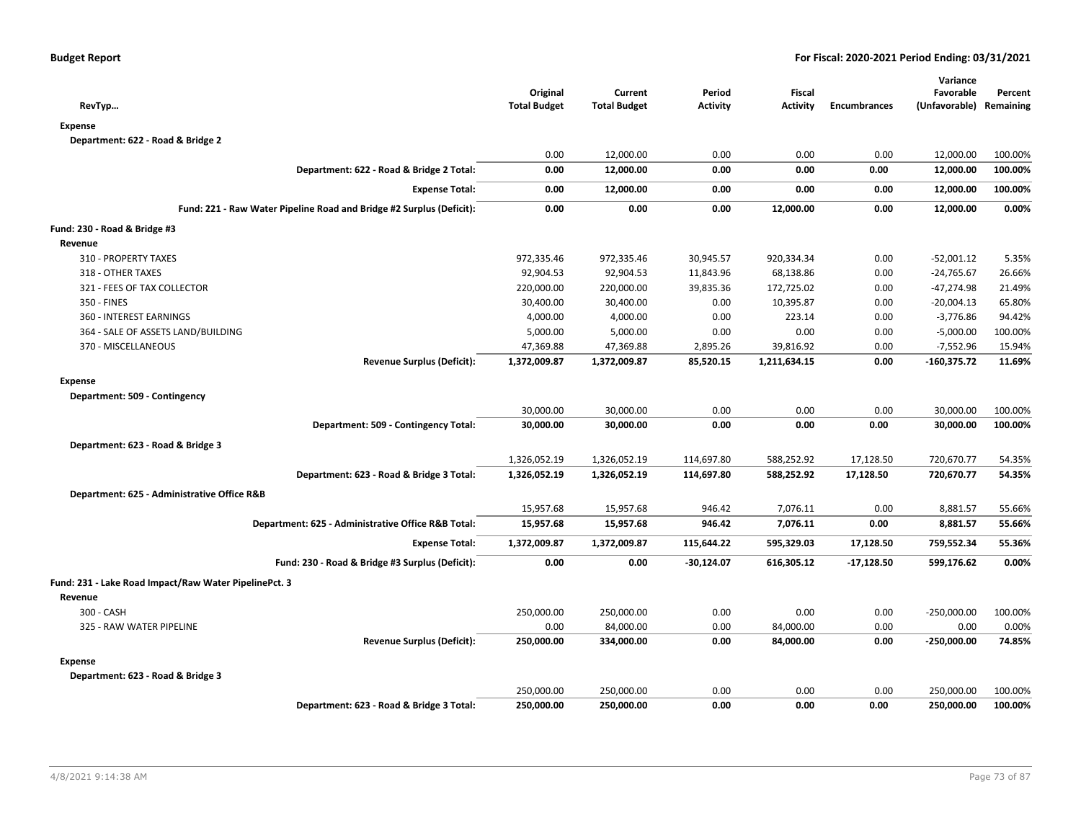| RevTyp                                                               | Original<br><b>Total Budget</b> | Current<br><b>Total Budget</b> | Period<br><b>Activity</b> | Fiscal<br><b>Activity</b> | <b>Encumbrances</b> | Variance<br>Favorable<br>(Unfavorable) Remaining | Percent |
|----------------------------------------------------------------------|---------------------------------|--------------------------------|---------------------------|---------------------------|---------------------|--------------------------------------------------|---------|
| <b>Expense</b>                                                       |                                 |                                |                           |                           |                     |                                                  |         |
| Department: 622 - Road & Bridge 2                                    |                                 |                                |                           |                           |                     |                                                  |         |
|                                                                      | 0.00                            | 12,000.00                      | 0.00                      | 0.00                      | 0.00                | 12,000.00                                        | 100.00% |
| Department: 622 - Road & Bridge 2 Total:                             | 0.00                            | 12,000.00                      | 0.00                      | 0.00                      | 0.00                | 12,000.00                                        | 100.00% |
| <b>Expense Total:</b>                                                | 0.00                            | 12,000.00                      | 0.00                      | 0.00                      | 0.00                | 12,000.00                                        | 100.00% |
| Fund: 221 - Raw Water Pipeline Road and Bridge #2 Surplus (Deficit): | 0.00                            | 0.00                           | 0.00                      | 12,000.00                 | 0.00                | 12,000.00                                        | 0.00%   |
| Fund: 230 - Road & Bridge #3                                         |                                 |                                |                           |                           |                     |                                                  |         |
| Revenue                                                              |                                 |                                |                           |                           |                     |                                                  |         |
| 310 - PROPERTY TAXES                                                 | 972,335.46                      | 972,335.46                     | 30,945.57                 | 920,334.34                | 0.00                | $-52,001.12$                                     | 5.35%   |
| 318 - OTHER TAXES                                                    | 92,904.53                       | 92,904.53                      | 11,843.96                 | 68,138.86                 | 0.00                | $-24,765.67$                                     | 26.66%  |
| 321 - FEES OF TAX COLLECTOR                                          | 220,000.00                      | 220,000.00                     | 39,835.36                 | 172,725.02                | 0.00                | -47,274.98                                       | 21.49%  |
| 350 - FINES                                                          | 30,400.00                       | 30,400.00                      | 0.00                      | 10,395.87                 | 0.00                | $-20,004.13$                                     | 65.80%  |
| 360 - INTEREST EARNINGS                                              | 4,000.00                        | 4,000.00                       | 0.00                      | 223.14                    | 0.00                | $-3,776.86$                                      | 94.42%  |
| 364 - SALE OF ASSETS LAND/BUILDING                                   | 5,000.00                        | 5,000.00                       | 0.00                      | 0.00                      | 0.00                | $-5,000.00$                                      | 100.00% |
| 370 - MISCELLANEOUS                                                  | 47,369.88                       | 47,369.88                      | 2,895.26                  | 39,816.92                 | 0.00                | $-7,552.96$                                      | 15.94%  |
| <b>Revenue Surplus (Deficit):</b>                                    | 1,372,009.87                    | 1,372,009.87                   | 85,520.15                 | 1,211,634.15              | 0.00                | $-160,375.72$                                    | 11.69%  |
| <b>Expense</b>                                                       |                                 |                                |                           |                           |                     |                                                  |         |
| Department: 509 - Contingency                                        |                                 |                                |                           |                           |                     |                                                  |         |
|                                                                      | 30,000.00                       | 30,000.00                      | 0.00                      | 0.00                      | 0.00                | 30,000.00                                        | 100.00% |
| Department: 509 - Contingency Total:                                 | 30,000.00                       | 30,000.00                      | 0.00                      | 0.00                      | 0.00                | 30,000.00                                        | 100.00% |
| Department: 623 - Road & Bridge 3                                    |                                 |                                |                           |                           |                     |                                                  |         |
|                                                                      | 1,326,052.19                    | 1,326,052.19                   | 114,697.80                | 588,252.92                | 17,128.50           | 720,670.77                                       | 54.35%  |
| Department: 623 - Road & Bridge 3 Total:                             | 1,326,052.19                    | 1,326,052.19                   | 114,697.80                | 588,252.92                | 17,128.50           | 720,670.77                                       | 54.35%  |
| Department: 625 - Administrative Office R&B                          |                                 |                                |                           |                           |                     |                                                  |         |
|                                                                      | 15,957.68                       | 15,957.68                      | 946.42                    | 7,076.11                  | 0.00                | 8,881.57                                         | 55.66%  |
| Department: 625 - Administrative Office R&B Total:                   | 15,957.68                       | 15,957.68                      | 946.42                    | 7,076.11                  | 0.00                | 8,881.57                                         | 55.66%  |
| <b>Expense Total:</b>                                                | 1,372,009.87                    | 1,372,009.87                   | 115,644.22                | 595,329.03                | 17,128.50           | 759,552.34                                       | 55.36%  |
| Fund: 230 - Road & Bridge #3 Surplus (Deficit):                      | 0.00                            | 0.00                           | $-30,124.07$              | 616,305.12                | $-17,128.50$        | 599,176.62                                       | 0.00%   |
|                                                                      |                                 |                                |                           |                           |                     |                                                  |         |
| Fund: 231 - Lake Road Impact/Raw Water PipelinePct. 3                |                                 |                                |                           |                           |                     |                                                  |         |
| Revenue                                                              |                                 |                                |                           |                           |                     |                                                  |         |
| 300 - CASH                                                           | 250,000.00                      | 250,000.00                     | 0.00                      | 0.00                      | 0.00                | $-250,000.00$                                    | 100.00% |
| 325 - RAW WATER PIPELINE                                             | 0.00                            | 84,000.00                      | 0.00                      | 84,000.00                 | 0.00                | 0.00                                             | 0.00%   |
| <b>Revenue Surplus (Deficit):</b>                                    | 250,000.00                      | 334,000.00                     | 0.00                      | 84,000.00                 | 0.00                | $-250,000.00$                                    | 74.85%  |
| <b>Expense</b>                                                       |                                 |                                |                           |                           |                     |                                                  |         |
| Department: 623 - Road & Bridge 3                                    |                                 |                                |                           |                           |                     |                                                  |         |
|                                                                      | 250,000.00                      | 250,000.00                     | 0.00                      | 0.00                      | 0.00                | 250,000.00                                       | 100.00% |
| Department: 623 - Road & Bridge 3 Total:                             | 250,000.00                      | 250,000.00                     | 0.00                      | 0.00                      | 0.00                | 250,000.00                                       | 100.00% |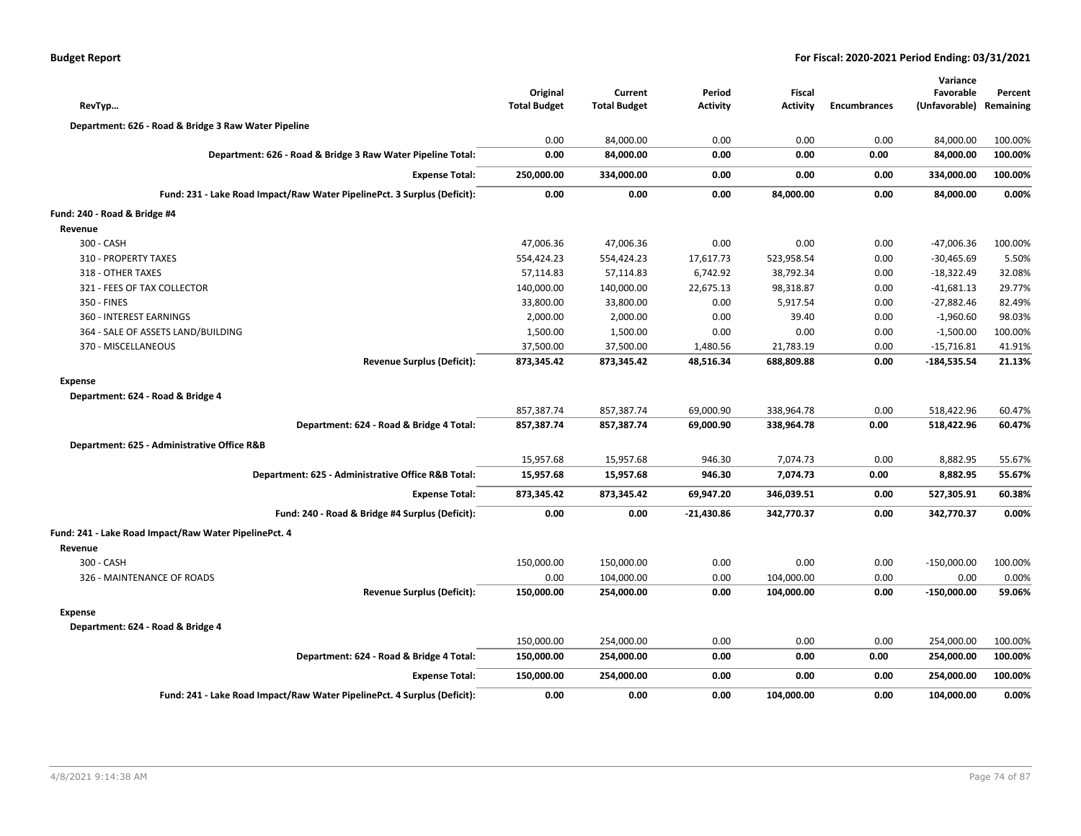| <b>Budget Report</b> |  |
|----------------------|--|
|----------------------|--|

| RevTyp                                                                   | Original<br><b>Total Budget</b> | Current<br><b>Total Budget</b> | Period<br><b>Activity</b> | <b>Fiscal</b><br><b>Activity</b> | <b>Encumbrances</b> | Variance<br>Favorable<br>(Unfavorable) | Percent<br>Remaining |
|--------------------------------------------------------------------------|---------------------------------|--------------------------------|---------------------------|----------------------------------|---------------------|----------------------------------------|----------------------|
| Department: 626 - Road & Bridge 3 Raw Water Pipeline                     |                                 |                                |                           |                                  |                     |                                        |                      |
|                                                                          | 0.00                            | 84,000.00                      | 0.00                      | 0.00                             | 0.00                | 84,000.00                              | 100.00%              |
| Department: 626 - Road & Bridge 3 Raw Water Pipeline Total:              | 0.00                            | 84,000.00                      | 0.00                      | 0.00                             | 0.00                | 84,000.00                              | 100.00%              |
| <b>Expense Total:</b>                                                    | 250,000.00                      | 334,000.00                     | 0.00                      | 0.00                             | 0.00                | 334,000.00                             | 100.00%              |
| Fund: 231 - Lake Road Impact/Raw Water PipelinePct. 3 Surplus (Deficit): | 0.00                            | 0.00                           | 0.00                      | 84,000.00                        | 0.00                | 84,000.00                              | 0.00%                |
| Fund: 240 - Road & Bridge #4                                             |                                 |                                |                           |                                  |                     |                                        |                      |
| Revenue                                                                  |                                 |                                |                           |                                  |                     |                                        |                      |
| 300 - CASH                                                               | 47,006.36                       | 47,006.36                      | 0.00                      | 0.00                             | 0.00                | $-47,006.36$                           | 100.00%              |
| 310 - PROPERTY TAXES                                                     | 554,424.23                      | 554,424.23                     | 17,617.73                 | 523,958.54                       | 0.00                | $-30,465.69$                           | 5.50%                |
| 318 - OTHER TAXES                                                        | 57,114.83                       | 57,114.83                      | 6,742.92                  | 38,792.34                        | 0.00                | $-18,322.49$                           | 32.08%               |
| 321 - FEES OF TAX COLLECTOR                                              | 140,000.00                      | 140,000.00                     | 22,675.13                 | 98,318.87                        | 0.00                | $-41,681.13$                           | 29.77%               |
| 350 - FINES                                                              | 33,800.00                       | 33,800.00                      | 0.00                      | 5,917.54                         | 0.00                | $-27,882.46$                           | 82.49%               |
| 360 - INTEREST EARNINGS                                                  | 2,000.00                        | 2,000.00                       | 0.00                      | 39.40                            | 0.00                | $-1,960.60$                            | 98.03%               |
| 364 - SALE OF ASSETS LAND/BUILDING                                       | 1,500.00                        | 1,500.00                       | 0.00                      | 0.00                             | 0.00                | $-1,500.00$                            | 100.00%              |
| 370 - MISCELLANEOUS                                                      | 37,500.00                       | 37,500.00                      | 1,480.56                  | 21,783.19                        | 0.00                | $-15,716.81$                           | 41.91%               |
| <b>Revenue Surplus (Deficit):</b>                                        | 873,345.42                      | 873,345.42                     | 48,516.34                 | 688,809.88                       | 0.00                | $-184,535.54$                          | 21.13%               |
| <b>Expense</b>                                                           |                                 |                                |                           |                                  |                     |                                        |                      |
| Department: 624 - Road & Bridge 4                                        |                                 |                                |                           |                                  |                     |                                        |                      |
|                                                                          | 857,387.74                      | 857,387.74                     | 69,000.90                 | 338,964.78                       | 0.00                | 518,422.96                             | 60.47%               |
| Department: 624 - Road & Bridge 4 Total:                                 | 857,387.74                      | 857,387.74                     | 69,000.90                 | 338,964.78                       | 0.00                | 518,422.96                             | 60.47%               |
| Department: 625 - Administrative Office R&B                              |                                 |                                |                           |                                  |                     |                                        |                      |
|                                                                          | 15,957.68                       | 15,957.68                      | 946.30                    | 7,074.73                         | 0.00                | 8,882.95                               | 55.67%               |
| Department: 625 - Administrative Office R&B Total:                       | 15,957.68                       | 15,957.68                      | 946.30                    | 7,074.73                         | 0.00                | 8,882.95                               | 55.67%               |
| <b>Expense Total:</b>                                                    | 873,345.42                      | 873,345.42                     | 69,947.20                 | 346,039.51                       | 0.00                | 527,305.91                             | 60.38%               |
| Fund: 240 - Road & Bridge #4 Surplus (Deficit):                          | 0.00                            | 0.00                           | $-21,430.86$              | 342,770.37                       | 0.00                | 342,770.37                             | 0.00%                |
| Fund: 241 - Lake Road Impact/Raw Water PipelinePct. 4                    |                                 |                                |                           |                                  |                     |                                        |                      |
| Revenue                                                                  |                                 |                                |                           |                                  |                     |                                        |                      |
| 300 - CASH                                                               | 150,000.00                      | 150,000.00                     | 0.00                      | 0.00                             | 0.00                | $-150,000.00$                          | 100.00%              |
| 326 - MAINTENANCE OF ROADS                                               | 0.00                            | 104,000.00                     | 0.00                      | 104,000.00                       | 0.00                | 0.00                                   | 0.00%                |
| <b>Revenue Surplus (Deficit):</b>                                        | 150,000.00                      | 254,000.00                     | 0.00                      | 104,000.00                       | 0.00                | $-150,000.00$                          | 59.06%               |
| <b>Expense</b>                                                           |                                 |                                |                           |                                  |                     |                                        |                      |
| Department: 624 - Road & Bridge 4                                        |                                 |                                |                           |                                  |                     |                                        |                      |
|                                                                          | 150,000.00                      | 254,000.00                     | 0.00                      | 0.00                             | 0.00                | 254,000.00                             | 100.00%              |
| Department: 624 - Road & Bridge 4 Total:                                 | 150,000.00                      | 254,000.00                     | 0.00                      | 0.00                             | 0.00                | 254,000.00                             | 100.00%              |
| <b>Expense Total:</b>                                                    | 150,000.00                      | 254,000.00                     | 0.00                      | 0.00                             | 0.00                | 254,000.00                             | 100.00%              |
| Fund: 241 - Lake Road Impact/Raw Water PipelinePct. 4 Surplus (Deficit): | 0.00                            | 0.00                           | 0.00                      | 104,000.00                       | 0.00                | 104,000.00                             | 0.00%                |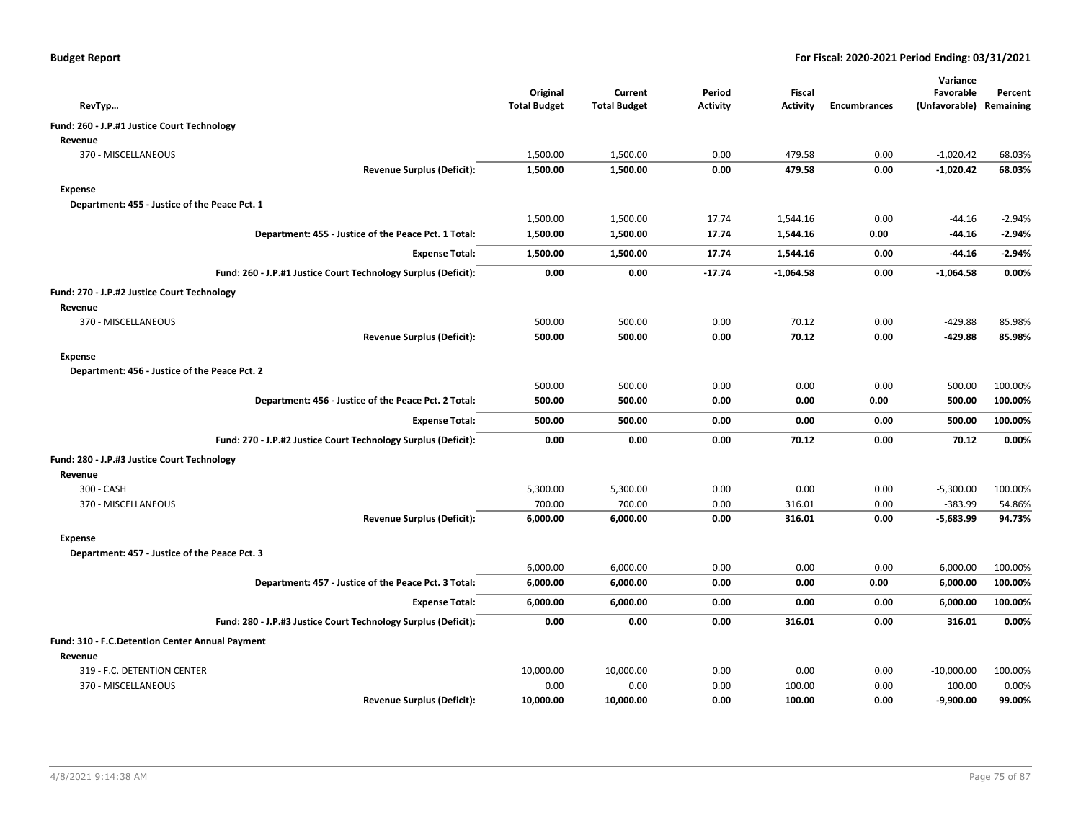| RevTyp                                          |                                                                | Original<br><b>Total Budget</b> | Current<br><b>Total Budget</b> | Period<br><b>Activity</b> | <b>Fiscal</b><br><b>Activity</b> | <b>Encumbrances</b> | Variance<br>Favorable<br>(Unfavorable) Remaining | Percent  |
|-------------------------------------------------|----------------------------------------------------------------|---------------------------------|--------------------------------|---------------------------|----------------------------------|---------------------|--------------------------------------------------|----------|
| Fund: 260 - J.P.#1 Justice Court Technology     |                                                                |                                 |                                |                           |                                  |                     |                                                  |          |
| Revenue                                         |                                                                |                                 |                                |                           |                                  |                     |                                                  |          |
| 370 - MISCELLANEOUS                             |                                                                | 1,500.00                        | 1,500.00                       | 0.00                      | 479.58                           | 0.00                | $-1,020.42$                                      | 68.03%   |
|                                                 | <b>Revenue Surplus (Deficit):</b>                              | 1,500.00                        | 1,500.00                       | 0.00                      | 479.58                           | 0.00                | $-1,020.42$                                      | 68.03%   |
| Expense                                         |                                                                |                                 |                                |                           |                                  |                     |                                                  |          |
| Department: 455 - Justice of the Peace Pct. 1   |                                                                |                                 |                                |                           |                                  |                     |                                                  |          |
|                                                 |                                                                | 1,500.00                        | 1,500.00                       | 17.74                     | 1,544.16                         | 0.00                | -44.16                                           | $-2.94%$ |
|                                                 | Department: 455 - Justice of the Peace Pct. 1 Total:           | 1,500.00                        | 1,500.00                       | 17.74                     | 1,544.16                         | 0.00                | -44.16                                           | $-2.94%$ |
|                                                 | <b>Expense Total:</b>                                          | 1,500.00                        | 1,500.00                       | 17.74                     | 1,544.16                         | 0.00                | -44.16                                           | $-2.94%$ |
|                                                 | Fund: 260 - J.P.#1 Justice Court Technology Surplus (Deficit): | 0.00                            | 0.00                           | $-17.74$                  | $-1,064.58$                      | 0.00                | $-1,064.58$                                      | 0.00%    |
| Fund: 270 - J.P.#2 Justice Court Technology     |                                                                |                                 |                                |                           |                                  |                     |                                                  |          |
| Revenue                                         |                                                                |                                 |                                |                           |                                  |                     |                                                  |          |
| 370 - MISCELLANEOUS                             |                                                                | 500.00                          | 500.00                         | 0.00                      | 70.12                            | 0.00                | $-429.88$                                        | 85.98%   |
|                                                 | <b>Revenue Surplus (Deficit):</b>                              | 500.00                          | 500.00                         | 0.00                      | 70.12                            | 0.00                | $-429.88$                                        | 85.98%   |
| Expense                                         |                                                                |                                 |                                |                           |                                  |                     |                                                  |          |
| Department: 456 - Justice of the Peace Pct. 2   |                                                                |                                 |                                |                           |                                  |                     |                                                  |          |
|                                                 |                                                                | 500.00                          | 500.00                         | 0.00                      | 0.00                             | 0.00                | 500.00                                           | 100.00%  |
|                                                 | Department: 456 - Justice of the Peace Pct. 2 Total:           | 500.00                          | 500.00                         | 0.00                      | 0.00                             | 0.00                | 500.00                                           | 100.00%  |
|                                                 | <b>Expense Total:</b>                                          | 500.00                          | 500.00                         | 0.00                      | 0.00                             | 0.00                | 500.00                                           | 100.00%  |
|                                                 | Fund: 270 - J.P.#2 Justice Court Technology Surplus (Deficit): | 0.00                            | 0.00                           | 0.00                      | 70.12                            | 0.00                | 70.12                                            | 0.00%    |
| Fund: 280 - J.P.#3 Justice Court Technology     |                                                                |                                 |                                |                           |                                  |                     |                                                  |          |
| Revenue                                         |                                                                |                                 |                                |                           |                                  |                     |                                                  |          |
| 300 - CASH                                      |                                                                | 5,300.00                        | 5,300.00                       | 0.00                      | 0.00                             | 0.00                | $-5,300.00$                                      | 100.00%  |
| 370 - MISCELLANEOUS                             |                                                                | 700.00                          | 700.00                         | 0.00                      | 316.01                           | 0.00                | $-383.99$                                        | 54.86%   |
|                                                 | <b>Revenue Surplus (Deficit):</b>                              | 6,000.00                        | 6,000.00                       | 0.00                      | 316.01                           | 0.00                | $-5,683.99$                                      | 94.73%   |
| <b>Expense</b>                                  |                                                                |                                 |                                |                           |                                  |                     |                                                  |          |
| Department: 457 - Justice of the Peace Pct. 3   |                                                                |                                 |                                |                           |                                  |                     |                                                  |          |
|                                                 |                                                                | 6,000.00                        | 6,000.00                       | 0.00                      | 0.00                             | 0.00                | 6,000.00                                         | 100.00%  |
|                                                 | Department: 457 - Justice of the Peace Pct. 3 Total:           | 6,000.00                        | 6,000.00                       | 0.00                      | 0.00                             | 0.00                | 6,000.00                                         | 100.00%  |
|                                                 | <b>Expense Total:</b>                                          | 6,000.00                        | 6,000.00                       | 0.00                      | 0.00                             | 0.00                | 6,000.00                                         | 100.00%  |
|                                                 | Fund: 280 - J.P.#3 Justice Court Technology Surplus (Deficit): | 0.00                            | 0.00                           | 0.00                      | 316.01                           | 0.00                | 316.01                                           | 0.00%    |
| Fund: 310 - F.C.Detention Center Annual Payment |                                                                |                                 |                                |                           |                                  |                     |                                                  |          |
| Revenue                                         |                                                                |                                 |                                |                           |                                  |                     |                                                  |          |
| 319 - F.C. DETENTION CENTER                     |                                                                | 10,000.00                       | 10,000.00                      | 0.00                      | 0.00                             | 0.00                | $-10,000.00$                                     | 100.00%  |
| 370 - MISCELLANEOUS                             |                                                                | 0.00                            | 0.00                           | 0.00                      | 100.00                           | 0.00                | 100.00                                           | 0.00%    |
|                                                 | <b>Revenue Surplus (Deficit):</b>                              | 10,000.00                       | 10,000.00                      | 0.00                      | 100.00                           | 0.00                | $-9,900.00$                                      | 99.00%   |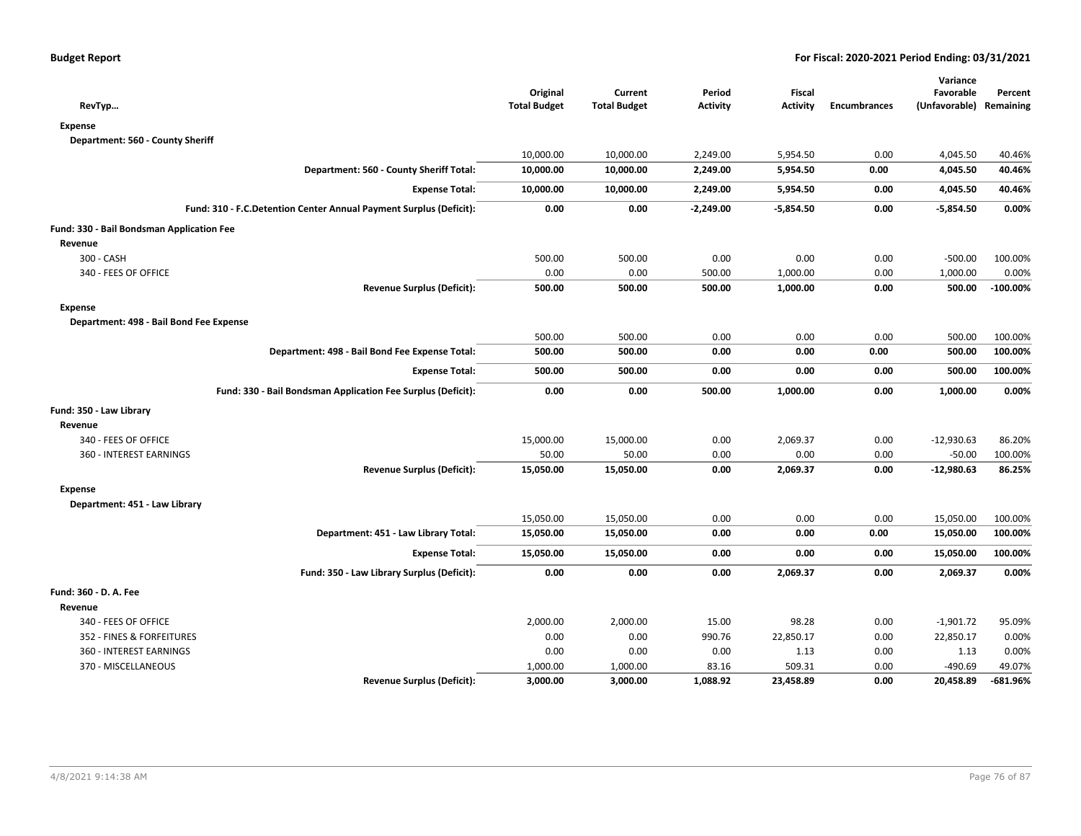| RevTyp                                                             | Original<br><b>Total Budget</b> | Current<br><b>Total Budget</b> | Period<br><b>Activity</b> | Fiscal<br><b>Activity</b> | <b>Encumbrances</b> | Variance<br>Favorable<br>(Unfavorable) Remaining | Percent     |
|--------------------------------------------------------------------|---------------------------------|--------------------------------|---------------------------|---------------------------|---------------------|--------------------------------------------------|-------------|
| <b>Expense</b>                                                     |                                 |                                |                           |                           |                     |                                                  |             |
| Department: 560 - County Sheriff                                   |                                 |                                |                           |                           |                     |                                                  |             |
|                                                                    | 10,000.00                       | 10,000.00                      | 2,249.00                  | 5,954.50                  | 0.00                | 4,045.50                                         | 40.46%      |
| Department: 560 - County Sheriff Total:                            | 10,000.00                       | 10,000.00                      | 2,249.00                  | 5,954.50                  | 0.00                | 4,045.50                                         | 40.46%      |
| <b>Expense Total:</b>                                              | 10,000.00                       | 10,000.00                      | 2,249.00                  | 5,954.50                  | 0.00                | 4,045.50                                         | 40.46%      |
| Fund: 310 - F.C.Detention Center Annual Payment Surplus (Deficit): | 0.00                            | 0.00                           | $-2,249.00$               | $-5,854.50$               | 0.00                | $-5,854.50$                                      | 0.00%       |
| Fund: 330 - Bail Bondsman Application Fee                          |                                 |                                |                           |                           |                     |                                                  |             |
| Revenue                                                            |                                 |                                |                           |                           |                     |                                                  |             |
| 300 - CASH                                                         | 500.00                          | 500.00                         | 0.00                      | 0.00                      | 0.00                | $-500.00$                                        | 100.00%     |
| 340 - FEES OF OFFICE                                               | 0.00                            | 0.00                           | 500.00                    | 1,000.00                  | 0.00                | 1,000.00                                         | 0.00%       |
| <b>Revenue Surplus (Deficit):</b>                                  | 500.00                          | 500.00                         | 500.00                    | 1,000.00                  | 0.00                | 500.00                                           | $-100.00\%$ |
| <b>Expense</b>                                                     |                                 |                                |                           |                           |                     |                                                  |             |
| Department: 498 - Bail Bond Fee Expense                            |                                 |                                |                           |                           |                     |                                                  |             |
|                                                                    | 500.00                          | 500.00                         | 0.00                      | 0.00                      | 0.00                | 500.00                                           | 100.00%     |
| Department: 498 - Bail Bond Fee Expense Total:                     | 500.00                          | 500.00                         | 0.00                      | 0.00                      | 0.00                | 500.00                                           | 100.00%     |
| <b>Expense Total:</b>                                              | 500.00                          | 500.00                         | 0.00                      | 0.00                      | 0.00                | 500.00                                           | 100.00%     |
| Fund: 330 - Bail Bondsman Application Fee Surplus (Deficit):       | 0.00                            | 0.00                           | 500.00                    | 1,000.00                  | 0.00                | 1,000.00                                         | 0.00%       |
| Fund: 350 - Law Library                                            |                                 |                                |                           |                           |                     |                                                  |             |
| Revenue                                                            |                                 |                                |                           |                           |                     |                                                  |             |
| 340 - FEES OF OFFICE                                               | 15,000.00                       | 15,000.00                      | 0.00                      | 2,069.37                  | 0.00                | $-12,930.63$                                     | 86.20%      |
| 360 - INTEREST EARNINGS                                            | 50.00                           | 50.00                          | 0.00                      | 0.00                      | 0.00                | $-50.00$                                         | 100.00%     |
| <b>Revenue Surplus (Deficit):</b>                                  | 15,050.00                       | 15,050.00                      | 0.00                      | 2,069.37                  | 0.00                | $-12,980.63$                                     | 86.25%      |
| <b>Expense</b>                                                     |                                 |                                |                           |                           |                     |                                                  |             |
| Department: 451 - Law Library                                      |                                 |                                |                           |                           |                     |                                                  |             |
|                                                                    | 15,050.00                       | 15,050.00                      | 0.00                      | 0.00                      | 0.00                | 15,050.00                                        | 100.00%     |
| Department: 451 - Law Library Total:                               | 15,050.00                       | 15,050.00                      | 0.00                      | 0.00                      | 0.00                | 15,050.00                                        | 100.00%     |
| <b>Expense Total:</b>                                              | 15,050.00                       | 15,050.00                      | 0.00                      | 0.00                      | 0.00                | 15,050.00                                        | 100.00%     |
| Fund: 350 - Law Library Surplus (Deficit):                         | 0.00                            | 0.00                           | 0.00                      | 2,069.37                  | 0.00                | 2,069.37                                         | 0.00%       |
| Fund: 360 - D. A. Fee                                              |                                 |                                |                           |                           |                     |                                                  |             |
| Revenue                                                            |                                 |                                |                           |                           |                     |                                                  |             |
| 340 - FEES OF OFFICE                                               | 2,000.00                        | 2,000.00                       | 15.00                     | 98.28                     | 0.00                | $-1,901.72$                                      | 95.09%      |
| 352 - FINES & FORFEITURES                                          | 0.00                            | 0.00                           | 990.76                    | 22,850.17                 | 0.00                | 22,850.17                                        | 0.00%       |
| 360 - INTEREST EARNINGS                                            | 0.00                            | 0.00                           | 0.00                      | 1.13                      | 0.00                | 1.13                                             | 0.00%       |
| 370 - MISCELLANEOUS                                                | 1,000.00                        | 1,000.00                       | 83.16                     | 509.31                    | 0.00                | $-490.69$                                        | 49.07%      |
| <b>Revenue Surplus (Deficit):</b>                                  | 3,000.00                        | 3,000.00                       | 1,088.92                  | 23,458.89                 | 0.00                | 20,458.89                                        | -681.96%    |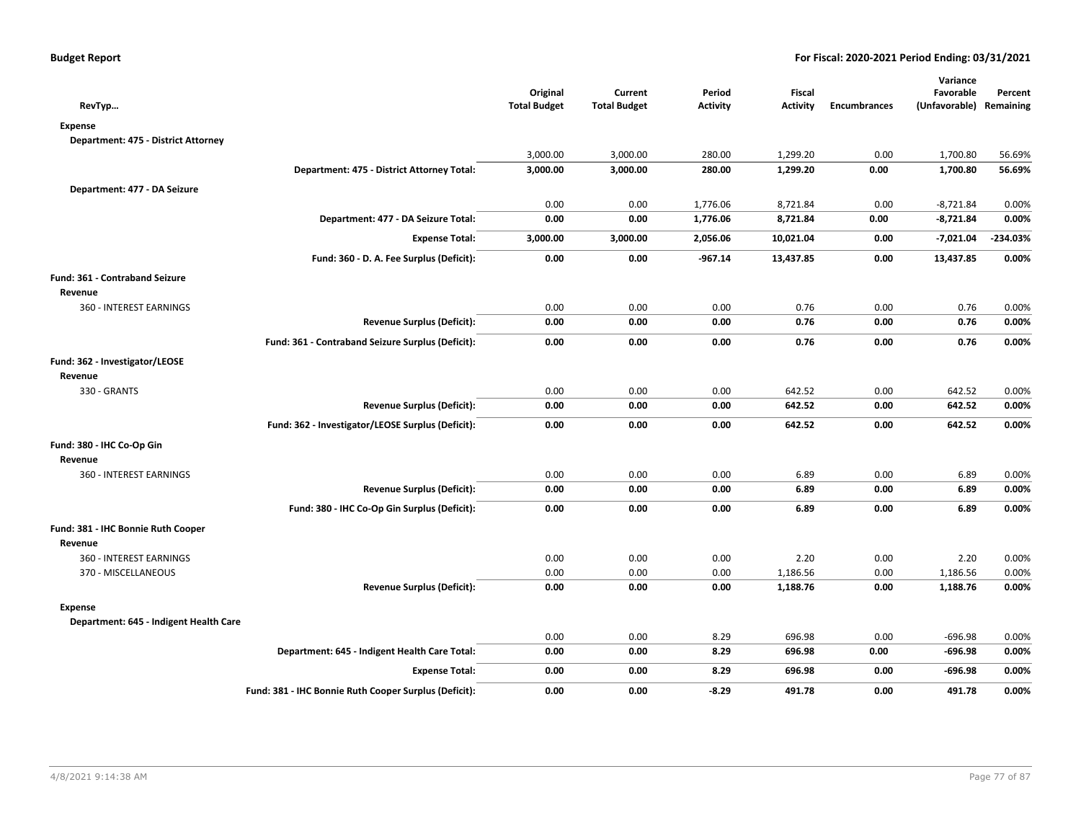| RevTyp                                 |                                                       | Original<br><b>Total Budget</b> | Current<br><b>Total Budget</b> | Period<br><b>Activity</b> | Fiscal<br><b>Activity</b> | <b>Encumbrances</b> | Variance<br>Favorable<br>(Unfavorable) Remaining | Percent    |
|----------------------------------------|-------------------------------------------------------|---------------------------------|--------------------------------|---------------------------|---------------------------|---------------------|--------------------------------------------------|------------|
| <b>Expense</b>                         |                                                       |                                 |                                |                           |                           |                     |                                                  |            |
| Department: 475 - District Attorney    |                                                       |                                 |                                |                           |                           |                     |                                                  |            |
|                                        |                                                       | 3,000.00                        | 3,000.00                       | 280.00                    | 1,299.20                  | 0.00                | 1,700.80                                         | 56.69%     |
|                                        | Department: 475 - District Attorney Total:            | 3,000.00                        | 3,000.00                       | 280.00                    | 1,299.20                  | 0.00                | 1,700.80                                         | 56.69%     |
| Department: 477 - DA Seizure           |                                                       |                                 |                                |                           |                           |                     |                                                  |            |
|                                        |                                                       | 0.00                            | 0.00                           | 1,776.06                  | 8,721.84                  | 0.00                | $-8,721.84$                                      | 0.00%      |
|                                        | Department: 477 - DA Seizure Total:                   | 0.00                            | 0.00                           | 1,776.06                  | 8,721.84                  | 0.00                | $-8,721.84$                                      | 0.00%      |
|                                        | <b>Expense Total:</b>                                 | 3,000.00                        | 3,000.00                       | 2,056.06                  | 10,021.04                 | 0.00                | $-7,021.04$                                      | $-234.03%$ |
|                                        | Fund: 360 - D. A. Fee Surplus (Deficit):              | 0.00                            | 0.00                           | $-967.14$                 | 13,437.85                 | 0.00                | 13,437.85                                        | 0.00%      |
| Fund: 361 - Contraband Seizure         |                                                       |                                 |                                |                           |                           |                     |                                                  |            |
| Revenue                                |                                                       |                                 |                                |                           |                           |                     |                                                  |            |
| 360 - INTEREST EARNINGS                |                                                       | 0.00                            | 0.00                           | 0.00                      | 0.76                      | 0.00                | 0.76                                             | 0.00%      |
|                                        | <b>Revenue Surplus (Deficit):</b>                     | 0.00                            | 0.00                           | 0.00                      | 0.76                      | 0.00                | 0.76                                             | 0.00%      |
|                                        | Fund: 361 - Contraband Seizure Surplus (Deficit):     | 0.00                            | 0.00                           | 0.00                      | 0.76                      | 0.00                | 0.76                                             | 0.00%      |
| Fund: 362 - Investigator/LEOSE         |                                                       |                                 |                                |                           |                           |                     |                                                  |            |
| Revenue                                |                                                       |                                 |                                |                           |                           |                     |                                                  |            |
| 330 - GRANTS                           |                                                       | 0.00                            | 0.00                           | 0.00                      | 642.52                    | 0.00                | 642.52                                           | 0.00%      |
|                                        | <b>Revenue Surplus (Deficit):</b>                     | 0.00                            | 0.00                           | 0.00                      | 642.52                    | 0.00                | 642.52                                           | 0.00%      |
|                                        | Fund: 362 - Investigator/LEOSE Surplus (Deficit):     | 0.00                            | 0.00                           | 0.00                      | 642.52                    | 0.00                | 642.52                                           | 0.00%      |
| Fund: 380 - IHC Co-Op Gin              |                                                       |                                 |                                |                           |                           |                     |                                                  |            |
| Revenue                                |                                                       |                                 |                                |                           |                           |                     |                                                  |            |
| 360 - INTEREST EARNINGS                |                                                       | 0.00                            | 0.00                           | 0.00                      | 6.89                      | 0.00                | 6.89                                             | 0.00%      |
|                                        | <b>Revenue Surplus (Deficit):</b>                     | 0.00                            | 0.00                           | 0.00                      | 6.89                      | 0.00                | 6.89                                             | 0.00%      |
|                                        | Fund: 380 - IHC Co-Op Gin Surplus (Deficit):          | 0.00                            | 0.00                           | 0.00                      | 6.89                      | 0.00                | 6.89                                             | 0.00%      |
| Fund: 381 - IHC Bonnie Ruth Cooper     |                                                       |                                 |                                |                           |                           |                     |                                                  |            |
| Revenue                                |                                                       |                                 |                                |                           |                           |                     |                                                  |            |
| 360 - INTEREST EARNINGS                |                                                       | 0.00                            | 0.00                           | 0.00                      | 2.20                      | 0.00                | 2.20                                             | 0.00%      |
| 370 - MISCELLANEOUS                    |                                                       | 0.00                            | 0.00                           | 0.00                      | 1,186.56                  | 0.00                | 1,186.56                                         | 0.00%      |
|                                        | <b>Revenue Surplus (Deficit):</b>                     | 0.00                            | 0.00                           | 0.00                      | 1,188.76                  | 0.00                | 1,188.76                                         | 0.00%      |
| Expense                                |                                                       |                                 |                                |                           |                           |                     |                                                  |            |
| Department: 645 - Indigent Health Care |                                                       |                                 |                                |                           |                           |                     |                                                  |            |
|                                        |                                                       | 0.00                            | 0.00                           | 8.29                      | 696.98                    | 0.00                | $-696.98$                                        | 0.00%      |
|                                        | Department: 645 - Indigent Health Care Total:         | 0.00                            | 0.00                           | 8.29                      | 696.98                    | 0.00                | $-696.98$                                        | 0.00%      |
|                                        | <b>Expense Total:</b>                                 | 0.00                            | 0.00                           | 8.29                      | 696.98                    | 0.00                | $-696.98$                                        | 0.00%      |
|                                        | Fund: 381 - IHC Bonnie Ruth Cooper Surplus (Deficit): | 0.00                            | 0.00                           | $-8.29$                   | 491.78                    | 0.00                | 491.78                                           | 0.00%      |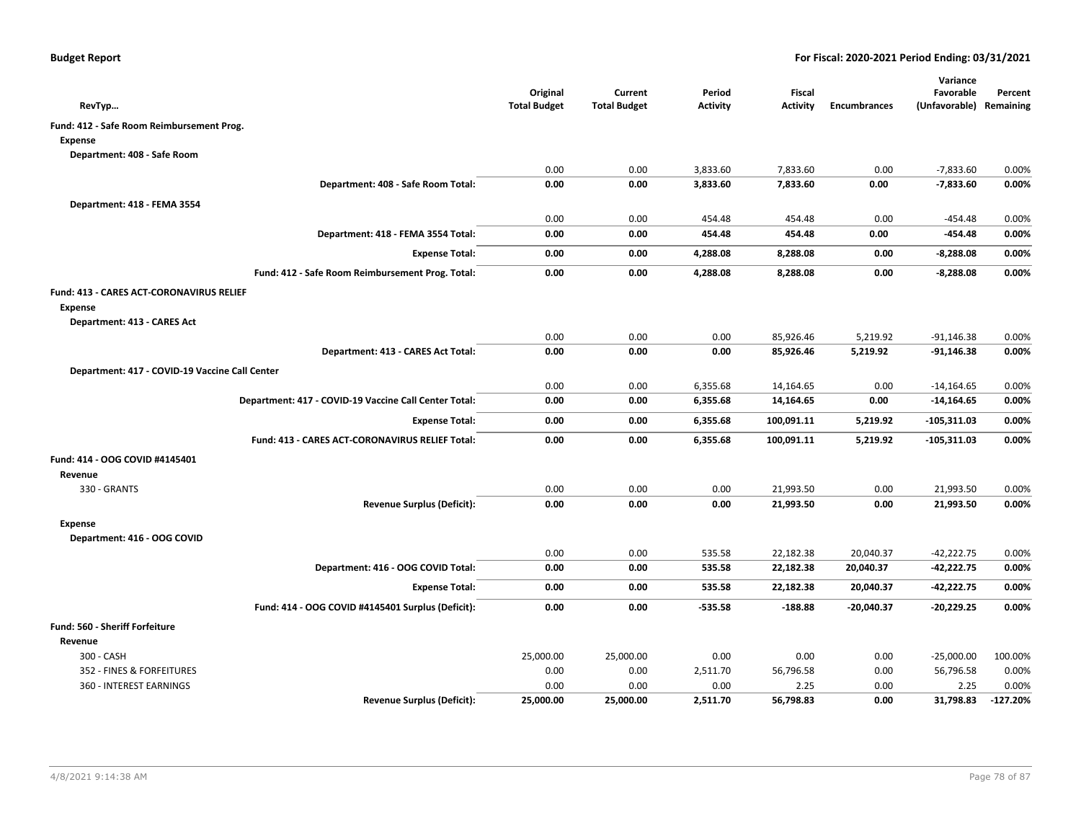| RevTyp                                                | Original<br><b>Total Budget</b> | Current<br><b>Total Budget</b> | Period<br><b>Activity</b> | <b>Fiscal</b><br><b>Activity</b> | <b>Encumbrances</b> | Variance<br>Favorable<br>(Unfavorable) Remaining | Percent    |
|-------------------------------------------------------|---------------------------------|--------------------------------|---------------------------|----------------------------------|---------------------|--------------------------------------------------|------------|
| Fund: 412 - Safe Room Reimbursement Prog.             |                                 |                                |                           |                                  |                     |                                                  |            |
| <b>Expense</b>                                        |                                 |                                |                           |                                  |                     |                                                  |            |
| Department: 408 - Safe Room                           |                                 |                                |                           |                                  |                     |                                                  |            |
|                                                       | 0.00                            | 0.00                           | 3,833.60                  | 7,833.60                         | 0.00                | $-7,833.60$                                      | 0.00%      |
| Department: 408 - Safe Room Total:                    | 0.00                            | 0.00                           | 3,833.60                  | 7,833.60                         | 0.00                | $-7,833.60$                                      | 0.00%      |
| Department: 418 - FEMA 3554                           |                                 |                                |                           |                                  |                     |                                                  |            |
|                                                       | 0.00                            | 0.00                           | 454.48                    | 454.48                           | 0.00                | $-454.48$                                        | 0.00%      |
| Department: 418 - FEMA 3554 Total:                    | 0.00                            | 0.00                           | 454.48                    | 454.48                           | 0.00                | $-454.48$                                        | 0.00%      |
| <b>Expense Total:</b>                                 | 0.00                            | 0.00                           | 4,288.08                  | 8,288.08                         | 0.00                | $-8,288.08$                                      | 0.00%      |
| Fund: 412 - Safe Room Reimbursement Prog. Total:      | 0.00                            | 0.00                           | 4,288.08                  | 8,288.08                         | 0.00                | $-8,288.08$                                      | 0.00%      |
| Fund: 413 - CARES ACT-CORONAVIRUS RELIEF              |                                 |                                |                           |                                  |                     |                                                  |            |
| <b>Expense</b>                                        |                                 |                                |                           |                                  |                     |                                                  |            |
| Department: 413 - CARES Act                           |                                 |                                |                           |                                  |                     |                                                  |            |
|                                                       | 0.00                            | 0.00                           | 0.00                      | 85,926.46                        | 5,219.92            | $-91,146.38$                                     | 0.00%      |
| Department: 413 - CARES Act Total:                    | 0.00                            | 0.00                           | 0.00                      | 85,926.46                        | 5,219.92            | $-91,146.38$                                     | 0.00%      |
| Department: 417 - COVID-19 Vaccine Call Center        |                                 |                                |                           |                                  |                     |                                                  |            |
|                                                       | 0.00                            | 0.00                           | 6,355.68                  | 14,164.65                        | 0.00                | $-14,164.65$                                     | 0.00%      |
| Department: 417 - COVID-19 Vaccine Call Center Total: | 0.00                            | 0.00                           | 6,355.68                  | 14,164.65                        | 0.00                | $-14,164.65$                                     | 0.00%      |
| <b>Expense Total:</b>                                 | 0.00                            | 0.00                           | 6,355.68                  | 100,091.11                       | 5,219.92            | $-105,311.03$                                    | 0.00%      |
| Fund: 413 - CARES ACT-CORONAVIRUS RELIEF Total:       | 0.00                            | 0.00                           | 6,355.68                  | 100,091.11                       | 5,219.92            | $-105,311.03$                                    | 0.00%      |
| Fund: 414 - OOG COVID #4145401                        |                                 |                                |                           |                                  |                     |                                                  |            |
| Revenue                                               |                                 |                                |                           |                                  |                     |                                                  |            |
| 330 - GRANTS                                          | 0.00                            | 0.00                           | 0.00                      | 21,993.50                        | 0.00                | 21,993.50                                        | 0.00%      |
| <b>Revenue Surplus (Deficit):</b>                     | 0.00                            | 0.00                           | 0.00                      | 21,993.50                        | 0.00                | 21,993.50                                        | 0.00%      |
| <b>Expense</b>                                        |                                 |                                |                           |                                  |                     |                                                  |            |
| Department: 416 - OOG COVID                           |                                 |                                |                           |                                  |                     |                                                  |            |
|                                                       | 0.00                            | 0.00                           | 535.58                    | 22,182.38                        | 20,040.37           | $-42,222.75$                                     | 0.00%      |
| Department: 416 - OOG COVID Total:                    | 0.00                            | 0.00                           | 535.58                    | 22,182.38                        | 20,040.37           | -42,222.75                                       | 0.00%      |
| <b>Expense Total:</b>                                 | 0.00                            | 0.00                           | 535.58                    | 22,182.38                        | 20,040.37           | $-42,222.75$                                     | 0.00%      |
| Fund: 414 - OOG COVID #4145401 Surplus (Deficit):     | 0.00                            | 0.00                           | -535.58                   | $-188.88$                        | $-20,040.37$        | $-20,229.25$                                     | 0.00%      |
| Fund: 560 - Sheriff Forfeiture                        |                                 |                                |                           |                                  |                     |                                                  |            |
| Revenue                                               |                                 |                                |                           |                                  |                     |                                                  |            |
| 300 - CASH                                            | 25,000.00                       | 25,000.00                      | 0.00                      | 0.00                             | 0.00                | $-25,000.00$                                     | 100.00%    |
| 352 - FINES & FORFEITURES                             | 0.00                            | 0.00                           | 2,511.70                  | 56,796.58                        | 0.00                | 56,796.58                                        | 0.00%      |
| 360 - INTEREST EARNINGS                               | 0.00                            | 0.00                           | 0.00                      | 2.25                             | 0.00                | 2.25                                             | 0.00%      |
| <b>Revenue Surplus (Deficit):</b>                     | 25,000.00                       | 25,000.00                      | 2,511.70                  | 56,798.83                        | 0.00                | 31,798.83                                        | $-127.20%$ |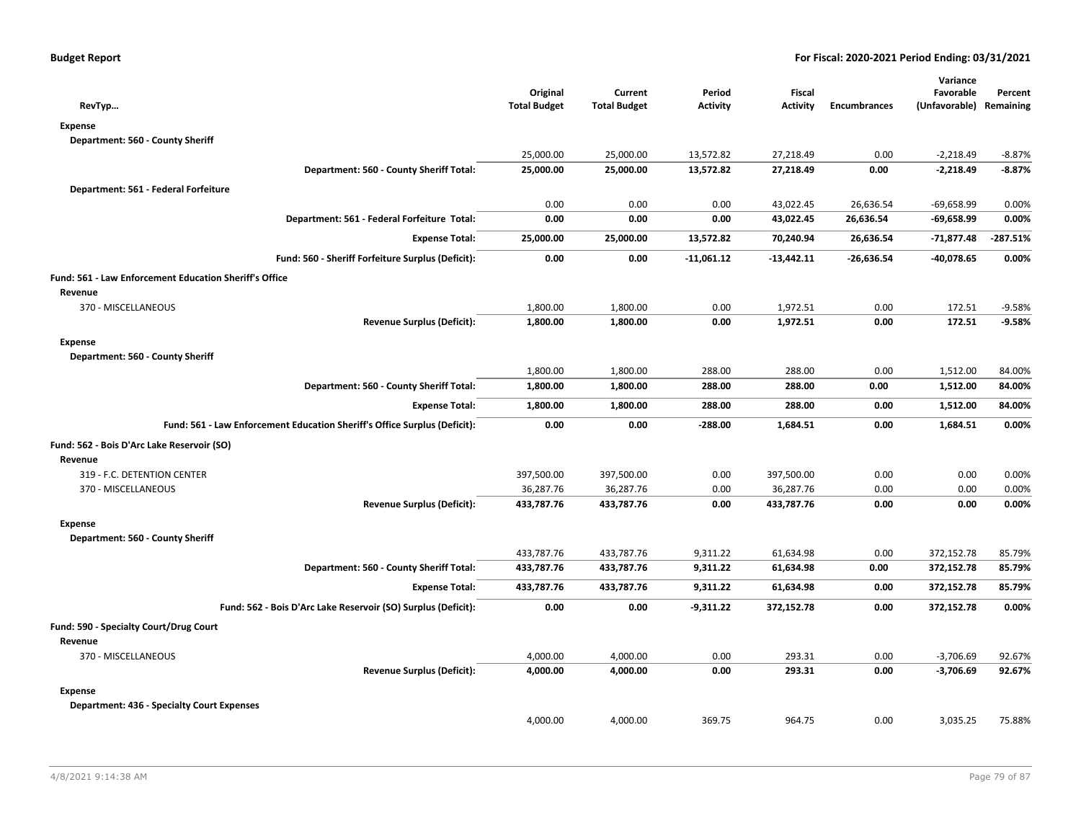| RevTyp                                                                    | Original<br><b>Total Budget</b> | Current<br><b>Total Budget</b> | Period<br><b>Activity</b> | Fiscal<br><b>Activity</b> | <b>Encumbrances</b> | Variance<br>Favorable<br>(Unfavorable) | Percent<br>Remaining |
|---------------------------------------------------------------------------|---------------------------------|--------------------------------|---------------------------|---------------------------|---------------------|----------------------------------------|----------------------|
| <b>Expense</b>                                                            |                                 |                                |                           |                           |                     |                                        |                      |
| Department: 560 - County Sheriff                                          |                                 |                                |                           |                           |                     |                                        |                      |
|                                                                           | 25,000.00                       | 25,000.00                      | 13,572.82                 | 27,218.49                 | 0.00                | $-2,218.49$                            | $-8.87%$             |
| Department: 560 - County Sheriff Total:                                   | 25,000.00                       | 25,000.00                      | 13,572.82                 | 27,218.49                 | 0.00                | $-2,218.49$                            | $-8.87%$             |
| Department: 561 - Federal Forfeiture                                      |                                 |                                |                           |                           |                     |                                        |                      |
|                                                                           | 0.00                            | 0.00                           | 0.00                      | 43,022.45                 | 26,636.54           | $-69,658.99$                           | 0.00%                |
| Department: 561 - Federal Forfeiture Total:                               | 0.00                            | 0.00                           | 0.00                      | 43,022.45                 | 26,636.54           | $-69,658.99$                           | 0.00%                |
| <b>Expense Total:</b>                                                     | 25,000.00                       | 25,000.00                      | 13,572.82                 | 70,240.94                 | 26,636.54           | -71,877.48                             | $-287.51%$           |
| Fund: 560 - Sheriff Forfeiture Surplus (Deficit):                         | 0.00                            | 0.00                           | $-11,061.12$              | $-13,442.11$              | $-26,636.54$        | $-40,078.65$                           | 0.00%                |
| <b>Fund: 561 - Law Enforcement Education Sheriff's Office</b>             |                                 |                                |                           |                           |                     |                                        |                      |
| Revenue                                                                   |                                 |                                |                           |                           |                     |                                        |                      |
| 370 - MISCELLANEOUS                                                       | 1,800.00                        | 1,800.00                       | 0.00                      | 1,972.51                  | 0.00                | 172.51                                 | $-9.58%$             |
| <b>Revenue Surplus (Deficit):</b>                                         | 1,800.00                        | 1,800.00                       | 0.00                      | 1,972.51                  | 0.00                | 172.51                                 | $-9.58%$             |
| <b>Expense</b>                                                            |                                 |                                |                           |                           |                     |                                        |                      |
| Department: 560 - County Sheriff                                          |                                 |                                |                           |                           |                     |                                        |                      |
|                                                                           | 1,800.00                        | 1,800.00                       | 288.00                    | 288.00                    | 0.00                | 1,512.00                               | 84.00%               |
| Department: 560 - County Sheriff Total:                                   | 1,800.00                        | 1,800.00                       | 288.00                    | 288.00                    | 0.00                | 1,512.00                               | 84.00%               |
| <b>Expense Total:</b>                                                     | 1,800.00                        | 1,800.00                       | 288.00                    | 288.00                    | 0.00                | 1,512.00                               | 84.00%               |
| Fund: 561 - Law Enforcement Education Sheriff's Office Surplus (Deficit): | 0.00                            | 0.00                           | $-288.00$                 | 1,684.51                  | 0.00                | 1,684.51                               | 0.00%                |
| Fund: 562 - Bois D'Arc Lake Reservoir (SO)                                |                                 |                                |                           |                           |                     |                                        |                      |
| Revenue                                                                   |                                 |                                |                           |                           |                     |                                        |                      |
| 319 - F.C. DETENTION CENTER                                               | 397,500.00                      | 397,500.00                     | 0.00                      | 397,500.00                | 0.00                | 0.00                                   | 0.00%                |
| 370 - MISCELLANEOUS                                                       | 36,287.76                       | 36,287.76                      | 0.00                      | 36,287.76                 | 0.00                | 0.00                                   | 0.00%                |
| <b>Revenue Surplus (Deficit):</b>                                         | 433,787.76                      | 433,787.76                     | 0.00                      | 433,787.76                | 0.00                | 0.00                                   | 0.00%                |
| <b>Expense</b>                                                            |                                 |                                |                           |                           |                     |                                        |                      |
| Department: 560 - County Sheriff                                          |                                 |                                |                           |                           |                     |                                        |                      |
|                                                                           | 433,787.76                      | 433,787.76                     | 9,311.22                  | 61,634.98                 | 0.00                | 372,152.78                             | 85.79%               |
| Department: 560 - County Sheriff Total:                                   | 433,787.76                      | 433,787.76                     | 9,311.22                  | 61,634.98                 | 0.00                | 372,152.78                             | 85.79%               |
| <b>Expense Total:</b>                                                     | 433,787.76                      | 433,787.76                     | 9,311.22                  | 61,634.98                 | 0.00                | 372,152.78                             | 85.79%               |
| Fund: 562 - Bois D'Arc Lake Reservoir (SO) Surplus (Deficit):             | 0.00                            | 0.00                           | $-9,311.22$               | 372,152.78                | 0.00                | 372,152.78                             | 0.00%                |
| Fund: 590 - Specialty Court/Drug Court                                    |                                 |                                |                           |                           |                     |                                        |                      |
| Revenue                                                                   |                                 |                                |                           |                           |                     |                                        |                      |
| 370 - MISCELLANEOUS                                                       | 4,000.00                        | 4,000.00                       | 0.00                      | 293.31                    | 0.00                | $-3,706.69$                            | 92.67%               |
| <b>Revenue Surplus (Deficit):</b>                                         | 4,000.00                        | 4,000.00                       | 0.00                      | 293.31                    | 0.00                | $-3,706.69$                            | 92.67%               |
| <b>Expense</b>                                                            |                                 |                                |                           |                           |                     |                                        |                      |
| <b>Department: 436 - Specialty Court Expenses</b>                         |                                 |                                |                           |                           |                     |                                        |                      |
|                                                                           | 4,000.00                        | 4,000.00                       | 369.75                    | 964.75                    | 0.00                | 3,035.25                               | 75.88%               |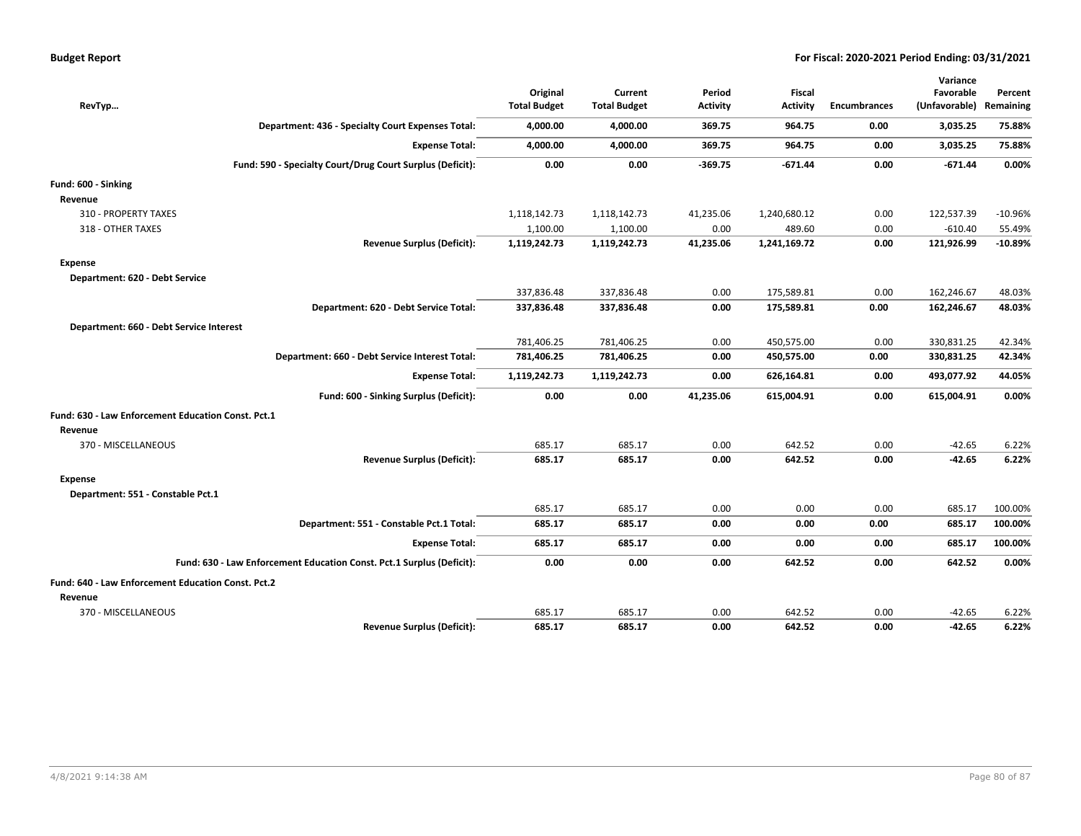|  |  |  | <b>Budget Report</b> |
|--|--|--|----------------------|
|--|--|--|----------------------|

| RevTyp                                                                | Original<br><b>Total Budget</b> | Current<br><b>Total Budget</b> | Period<br><b>Activity</b> | <b>Fiscal</b><br><b>Activity</b> | <b>Encumbrances</b> | Variance<br>Favorable<br>(Unfavorable) | Percent<br>Remaining |
|-----------------------------------------------------------------------|---------------------------------|--------------------------------|---------------------------|----------------------------------|---------------------|----------------------------------------|----------------------|
| Department: 436 - Specialty Court Expenses Total:                     | 4,000.00                        | 4,000.00                       | 369.75                    | 964.75                           | 0.00                | 3,035.25                               | 75.88%               |
| <b>Expense Total:</b>                                                 | 4,000.00                        | 4,000.00                       | 369.75                    | 964.75                           | 0.00                | 3,035.25                               | 75.88%               |
| Fund: 590 - Specialty Court/Drug Court Surplus (Deficit):             | 0.00                            | 0.00                           | $-369.75$                 | $-671.44$                        | 0.00                | $-671.44$                              | 0.00%                |
| Fund: 600 - Sinking                                                   |                                 |                                |                           |                                  |                     |                                        |                      |
| Revenue                                                               |                                 |                                |                           |                                  |                     |                                        |                      |
| 310 - PROPERTY TAXES                                                  | 1,118,142.73                    | 1,118,142.73                   | 41,235.06                 | 1,240,680.12                     | 0.00                | 122,537.39                             | $-10.96%$            |
| 318 - OTHER TAXES                                                     | 1,100.00                        | 1,100.00                       | 0.00                      | 489.60                           | 0.00                | $-610.40$                              | 55.49%               |
| <b>Revenue Surplus (Deficit):</b>                                     | 1,119,242.73                    | 1,119,242.73                   | 41,235.06                 | 1,241,169.72                     | 0.00                | 121,926.99                             | $-10.89%$            |
| Expense                                                               |                                 |                                |                           |                                  |                     |                                        |                      |
| Department: 620 - Debt Service                                        |                                 |                                |                           |                                  |                     |                                        |                      |
|                                                                       | 337,836.48                      | 337,836.48                     | 0.00                      | 175,589.81                       | 0.00                | 162,246.67                             | 48.03%               |
| Department: 620 - Debt Service Total:                                 | 337,836.48                      | 337,836.48                     | 0.00                      | 175,589.81                       | 0.00                | 162,246.67                             | 48.03%               |
| Department: 660 - Debt Service Interest                               |                                 |                                |                           |                                  |                     |                                        |                      |
|                                                                       | 781,406.25                      | 781,406.25                     | 0.00                      | 450,575.00                       | 0.00                | 330,831.25                             | 42.34%               |
| Department: 660 - Debt Service Interest Total:                        | 781,406.25                      | 781,406.25                     | 0.00                      | 450,575.00                       | 0.00                | 330,831.25                             | 42.34%               |
| <b>Expense Total:</b>                                                 | 1,119,242.73                    | 1,119,242.73                   | 0.00                      | 626,164.81                       | 0.00                | 493,077.92                             | 44.05%               |
| Fund: 600 - Sinking Surplus (Deficit):                                | 0.00                            | 0.00                           | 41,235.06                 | 615,004.91                       | 0.00                | 615,004.91                             | 0.00%                |
| Fund: 630 - Law Enforcement Education Const. Pct.1                    |                                 |                                |                           |                                  |                     |                                        |                      |
| Revenue                                                               |                                 |                                |                           |                                  |                     |                                        |                      |
| 370 - MISCELLANEOUS                                                   | 685.17                          | 685.17                         | 0.00                      | 642.52                           | 0.00                | $-42.65$                               | 6.22%                |
| <b>Revenue Surplus (Deficit):</b>                                     | 685.17                          | 685.17                         | 0.00                      | 642.52                           | 0.00                | $-42.65$                               | 6.22%                |
| Expense                                                               |                                 |                                |                           |                                  |                     |                                        |                      |
| Department: 551 - Constable Pct.1                                     |                                 |                                |                           |                                  |                     |                                        |                      |
|                                                                       | 685.17                          | 685.17                         | 0.00                      | 0.00                             | 0.00                | 685.17                                 | 100.00%              |
| Department: 551 - Constable Pct.1 Total:                              | 685.17                          | 685.17                         | 0.00                      | 0.00                             | 0.00                | 685.17                                 | 100.00%              |
| <b>Expense Total:</b>                                                 | 685.17                          | 685.17                         | 0.00                      | 0.00                             | 0.00                | 685.17                                 | 100.00%              |
| Fund: 630 - Law Enforcement Education Const. Pct.1 Surplus (Deficit): | 0.00                            | 0.00                           | 0.00                      | 642.52                           | 0.00                | 642.52                                 | 0.00%                |
| Fund: 640 - Law Enforcement Education Const. Pct.2                    |                                 |                                |                           |                                  |                     |                                        |                      |
| Revenue                                                               |                                 |                                |                           |                                  |                     |                                        |                      |
| 370 - MISCELLANEOUS                                                   | 685.17                          | 685.17                         | 0.00                      | 642.52                           | 0.00                | $-42.65$                               | 6.22%                |
| <b>Revenue Surplus (Deficit):</b>                                     | 685.17                          | 685.17                         | 0.00                      | 642.52                           | 0.00                | $-42.65$                               | 6.22%                |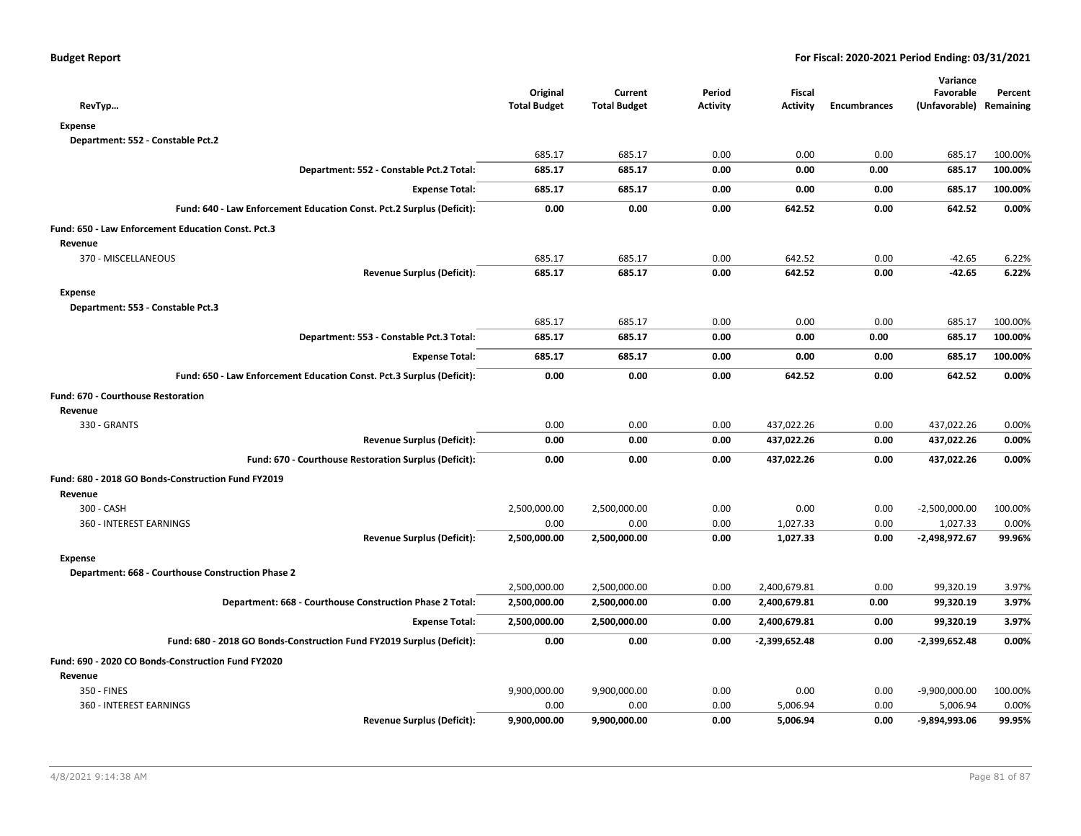| RevTyp                                                                | Original<br><b>Total Budget</b> | Current<br><b>Total Budget</b> | Period<br><b>Activity</b> | <b>Fiscal</b><br><b>Activity</b> | <b>Encumbrances</b> | Variance<br>Favorable<br>(Unfavorable) | Percent<br>Remaining |
|-----------------------------------------------------------------------|---------------------------------|--------------------------------|---------------------------|----------------------------------|---------------------|----------------------------------------|----------------------|
| <b>Expense</b>                                                        |                                 |                                |                           |                                  |                     |                                        |                      |
| Department: 552 - Constable Pct.2                                     |                                 |                                |                           |                                  |                     |                                        |                      |
|                                                                       | 685.17                          | 685.17                         | 0.00                      | 0.00                             | 0.00                | 685.17                                 | 100.00%              |
| Department: 552 - Constable Pct.2 Total:                              | 685.17                          | 685.17                         | 0.00                      | 0.00                             | 0.00                | 685.17                                 | 100.00%              |
| <b>Expense Total:</b>                                                 | 685.17                          | 685.17                         | 0.00                      | 0.00                             | 0.00                | 685.17                                 | 100.00%              |
| Fund: 640 - Law Enforcement Education Const. Pct.2 Surplus (Deficit): | 0.00                            | 0.00                           | 0.00                      | 642.52                           | 0.00                | 642.52                                 | 0.00%                |
| Fund: 650 - Law Enforcement Education Const. Pct.3                    |                                 |                                |                           |                                  |                     |                                        |                      |
| Revenue                                                               |                                 |                                |                           |                                  |                     |                                        |                      |
| 370 - MISCELLANEOUS                                                   | 685.17                          | 685.17                         | 0.00                      | 642.52                           | 0.00                | $-42.65$                               | 6.22%                |
| <b>Revenue Surplus (Deficit):</b>                                     | 685.17                          | 685.17                         | 0.00                      | 642.52                           | 0.00                | $-42.65$                               | 6.22%                |
| <b>Expense</b>                                                        |                                 |                                |                           |                                  |                     |                                        |                      |
| Department: 553 - Constable Pct.3                                     |                                 |                                |                           |                                  |                     |                                        |                      |
|                                                                       | 685.17                          | 685.17                         | 0.00                      | 0.00                             | 0.00                | 685.17                                 | 100.00%              |
| Department: 553 - Constable Pct.3 Total:                              | 685.17                          | 685.17                         | 0.00                      | 0.00                             | 0.00                | 685.17                                 | 100.00%              |
| <b>Expense Total:</b>                                                 | 685.17                          | 685.17                         | 0.00                      | 0.00                             | 0.00                | 685.17                                 | 100.00%              |
| Fund: 650 - Law Enforcement Education Const. Pct.3 Surplus (Deficit): | 0.00                            | 0.00                           | 0.00                      | 642.52                           | 0.00                | 642.52                                 | 0.00%                |
| <b>Fund: 670 - Courthouse Restoration</b>                             |                                 |                                |                           |                                  |                     |                                        |                      |
| Revenue                                                               |                                 |                                |                           |                                  |                     |                                        |                      |
| 330 - GRANTS                                                          | 0.00                            | 0.00                           | 0.00                      | 437,022.26                       | 0.00                | 437,022.26                             | 0.00%                |
| <b>Revenue Surplus (Deficit):</b>                                     | 0.00                            | 0.00                           | 0.00                      | 437,022.26                       | 0.00                | 437,022.26                             | 0.00%                |
| Fund: 670 - Courthouse Restoration Surplus (Deficit):                 | 0.00                            | 0.00                           | 0.00                      | 437,022.26                       | 0.00                | 437,022.26                             | 0.00%                |
| Fund: 680 - 2018 GO Bonds-Construction Fund FY2019                    |                                 |                                |                           |                                  |                     |                                        |                      |
| Revenue                                                               |                                 |                                |                           |                                  |                     |                                        |                      |
| 300 - CASH                                                            | 2,500,000.00                    | 2,500,000.00                   | 0.00                      | 0.00                             | 0.00                | $-2,500,000.00$                        | 100.00%              |
| 360 - INTEREST EARNINGS                                               | 0.00                            | 0.00                           | 0.00                      | 1,027.33                         | 0.00                | 1,027.33                               | 0.00%                |
| <b>Revenue Surplus (Deficit):</b>                                     | 2,500,000.00                    | 2,500,000.00                   | 0.00                      | 1,027.33                         | 0.00                | $-2,498,972.67$                        | 99.96%               |
| <b>Expense</b>                                                        |                                 |                                |                           |                                  |                     |                                        |                      |
| Department: 668 - Courthouse Construction Phase 2                     |                                 |                                |                           |                                  |                     |                                        |                      |
|                                                                       | 2,500,000.00                    | 2,500,000.00                   | 0.00                      | 2,400,679.81                     | 0.00                | 99,320.19                              | 3.97%                |
| Department: 668 - Courthouse Construction Phase 2 Total:              | 2,500,000.00                    | 2,500,000.00                   | 0.00                      | 2,400,679.81                     | 0.00                | 99,320.19                              | 3.97%                |
| <b>Expense Total:</b>                                                 | 2,500,000.00                    | 2,500,000.00                   | 0.00                      | 2,400,679.81                     | 0.00                | 99,320.19                              | 3.97%                |
| Fund: 680 - 2018 GO Bonds-Construction Fund FY2019 Surplus (Deficit): | 0.00                            | 0.00                           | 0.00                      | $-2,399,652.48$                  | 0.00                | -2,399,652.48                          | 0.00%                |
| Fund: 690 - 2020 CO Bonds-Construction Fund FY2020                    |                                 |                                |                           |                                  |                     |                                        |                      |
| Revenue                                                               |                                 |                                |                           |                                  |                     |                                        |                      |
| 350 - FINES                                                           | 9,900,000.00                    | 9,900,000.00                   | 0.00                      | 0.00                             | 0.00                | $-9,900,000.00$                        | 100.00%              |
| 360 - INTEREST EARNINGS                                               | 0.00                            | 0.00                           | 0.00                      | 5,006.94                         | 0.00                | 5,006.94                               | 0.00%                |
| <b>Revenue Surplus (Deficit):</b>                                     | 9,900,000.00                    | 9,900,000.00                   | 0.00                      | 5,006.94                         | 0.00                | -9,894,993.06                          | 99.95%               |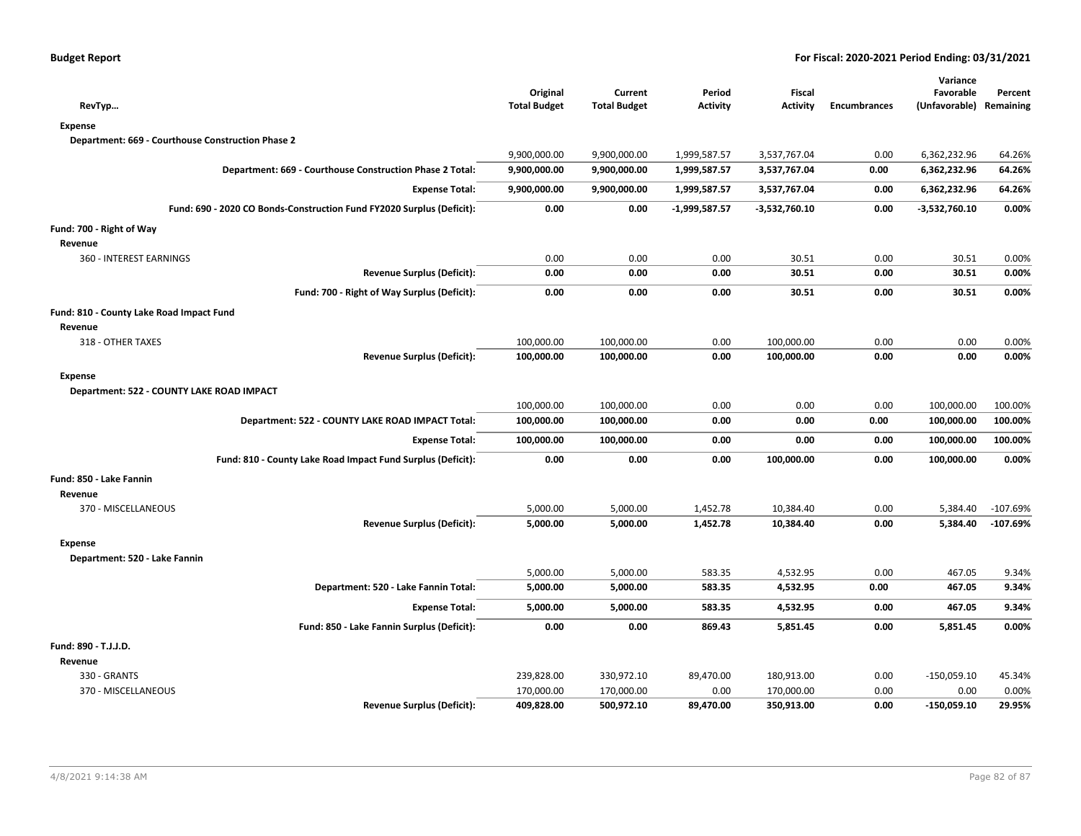| <b>Budget Report</b> |  |
|----------------------|--|
|----------------------|--|

| RevTyp                                                                | Original<br><b>Total Budget</b> | Current<br><b>Total Budget</b> | Period<br><b>Activity</b> | <b>Fiscal</b><br><b>Activity</b> | <b>Encumbrances</b> | Variance<br>Favorable<br>(Unfavorable) | Percent<br>Remaining |
|-----------------------------------------------------------------------|---------------------------------|--------------------------------|---------------------------|----------------------------------|---------------------|----------------------------------------|----------------------|
| <b>Expense</b>                                                        |                                 |                                |                           |                                  |                     |                                        |                      |
| Department: 669 - Courthouse Construction Phase 2                     |                                 |                                |                           |                                  |                     |                                        |                      |
|                                                                       | 9,900,000.00                    | 9,900,000.00                   | 1,999,587.57              | 3,537,767.04                     | 0.00                | 6,362,232.96                           | 64.26%               |
| Department: 669 - Courthouse Construction Phase 2 Total:              | 9,900,000.00                    | 9,900,000.00                   | 1,999,587.57              | 3,537,767.04                     | 0.00                | 6,362,232.96                           | 64.26%               |
| <b>Expense Total:</b>                                                 | 9,900,000.00                    | 9,900,000.00                   | 1,999,587.57              | 3,537,767.04                     | 0.00                | 6,362,232.96                           | 64.26%               |
| Fund: 690 - 2020 CO Bonds-Construction Fund FY2020 Surplus (Deficit): | 0.00                            | 0.00                           | $-1,999,587.57$           | $-3,532,760.10$                  | 0.00                | $-3,532,760.10$                        | 0.00%                |
| Fund: 700 - Right of Way                                              |                                 |                                |                           |                                  |                     |                                        |                      |
| Revenue                                                               |                                 |                                |                           |                                  |                     |                                        |                      |
| 360 - INTEREST EARNINGS                                               | 0.00                            | 0.00                           | 0.00                      | 30.51                            | 0.00                | 30.51                                  | 0.00%                |
| Revenue Surplus (Deficit):                                            | 0.00                            | 0.00                           | 0.00                      | 30.51                            | 0.00                | 30.51                                  | 0.00%                |
| Fund: 700 - Right of Way Surplus (Deficit):                           | 0.00                            | 0.00                           | 0.00                      | 30.51                            | 0.00                | 30.51                                  | 0.00%                |
| Fund: 810 - County Lake Road Impact Fund                              |                                 |                                |                           |                                  |                     |                                        |                      |
| Revenue                                                               |                                 |                                |                           |                                  |                     |                                        |                      |
| 318 - OTHER TAXES                                                     | 100,000.00                      | 100,000.00                     | 0.00                      | 100,000.00                       | 0.00                | 0.00                                   | 0.00%                |
| <b>Revenue Surplus (Deficit):</b>                                     | 100,000.00                      | 100,000.00                     | 0.00                      | 100,000.00                       | 0.00                | 0.00                                   | 0.00%                |
| <b>Expense</b>                                                        |                                 |                                |                           |                                  |                     |                                        |                      |
| Department: 522 - COUNTY LAKE ROAD IMPACT                             | 100,000.00                      | 100,000.00                     | 0.00                      | 0.00                             | 0.00                | 100,000.00                             | 100.00%              |
| Department: 522 - COUNTY LAKE ROAD IMPACT Total:                      | 100,000.00                      | 100,000.00                     | 0.00                      | 0.00                             | 0.00                | 100,000.00                             | 100.00%              |
| <b>Expense Total:</b>                                                 | 100,000.00                      | 100,000.00                     | 0.00                      | 0.00                             | 0.00                | 100,000.00                             | 100.00%              |
| Fund: 810 - County Lake Road Impact Fund Surplus (Deficit):           | 0.00                            | 0.00                           | 0.00                      | 100,000.00                       | 0.00                | 100,000.00                             | 0.00%                |
| Fund: 850 - Lake Fannin                                               |                                 |                                |                           |                                  |                     |                                        |                      |
| Revenue                                                               |                                 |                                |                           |                                  |                     |                                        |                      |
| 370 - MISCELLANEOUS                                                   | 5,000.00                        | 5,000.00                       | 1,452.78                  | 10,384.40                        | 0.00                | 5,384.40                               | $-107.69%$           |
| Revenue Surplus (Deficit):                                            | 5,000.00                        | 5,000.00                       | 1,452.78                  | 10,384.40                        | 0.00                | 5,384.40                               | $-107.69%$           |
| <b>Expense</b>                                                        |                                 |                                |                           |                                  |                     |                                        |                      |
| Department: 520 - Lake Fannin                                         |                                 |                                |                           |                                  |                     |                                        |                      |
|                                                                       | 5,000.00                        | 5,000.00                       | 583.35                    | 4,532.95                         | 0.00                | 467.05                                 | 9.34%                |
| Department: 520 - Lake Fannin Total:                                  | 5,000.00                        | 5,000.00                       | 583.35                    | 4,532.95                         | 0.00                | 467.05                                 | 9.34%                |
| <b>Expense Total:</b>                                                 | 5,000.00                        | 5,000.00                       | 583.35                    | 4,532.95                         | 0.00                | 467.05                                 | 9.34%                |
| Fund: 850 - Lake Fannin Surplus (Deficit):                            | 0.00                            | 0.00                           | 869.43                    | 5,851.45                         | 0.00                | 5,851.45                               | 0.00%                |
| Fund: 890 - T.J.J.D.                                                  |                                 |                                |                           |                                  |                     |                                        |                      |
| Revenue                                                               |                                 |                                |                           |                                  |                     |                                        |                      |
| 330 - GRANTS                                                          | 239,828.00                      | 330,972.10                     | 89,470.00                 | 180,913.00                       | 0.00                | $-150,059.10$                          | 45.34%               |
| 370 - MISCELLANEOUS                                                   | 170,000.00                      | 170,000.00                     | 0.00                      | 170,000.00                       | 0.00                | 0.00                                   | 0.00%                |
| <b>Revenue Surplus (Deficit):</b>                                     | 409,828.00                      | 500,972.10                     | 89,470.00                 | 350,913.00                       | 0.00                | $-150,059.10$                          | 29.95%               |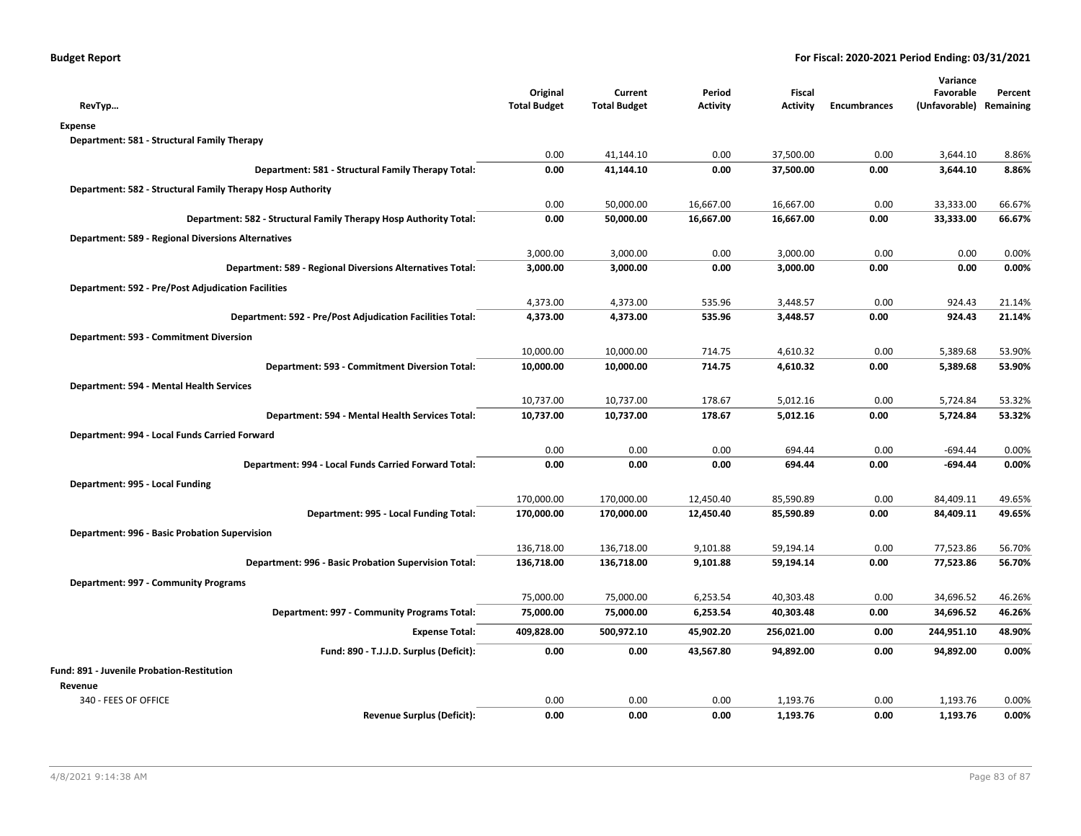| RevTyp                                                            | Original<br><b>Total Budget</b> | Current<br><b>Total Budget</b> | Period<br><b>Activity</b> | Fiscal<br><b>Activity</b> | <b>Encumbrances</b> | Variance<br>Favorable<br>(Unfavorable) Remaining | Percent |
|-------------------------------------------------------------------|---------------------------------|--------------------------------|---------------------------|---------------------------|---------------------|--------------------------------------------------|---------|
| <b>Expense</b>                                                    |                                 |                                |                           |                           |                     |                                                  |         |
| Department: 581 - Structural Family Therapy                       |                                 |                                |                           |                           |                     |                                                  |         |
|                                                                   | 0.00                            | 41,144.10                      | 0.00                      | 37,500.00                 | 0.00                | 3,644.10                                         | 8.86%   |
| Department: 581 - Structural Family Therapy Total:                | 0.00                            | 41,144.10                      | 0.00                      | 37,500.00                 | 0.00                | 3,644.10                                         | 8.86%   |
| Department: 582 - Structural Family Therapy Hosp Authority        |                                 |                                |                           |                           |                     |                                                  |         |
|                                                                   | 0.00                            | 50,000.00                      | 16,667.00                 | 16,667.00                 | 0.00                | 33,333.00                                        | 66.67%  |
| Department: 582 - Structural Family Therapy Hosp Authority Total: | 0.00                            | 50,000.00                      | 16,667.00                 | 16,667.00                 | 0.00                | 33,333.00                                        | 66.67%  |
| <b>Department: 589 - Regional Diversions Alternatives</b>         |                                 |                                |                           |                           |                     |                                                  |         |
|                                                                   | 3,000.00                        | 3,000.00                       | 0.00                      | 3,000.00                  | 0.00                | 0.00                                             | 0.00%   |
| Department: 589 - Regional Diversions Alternatives Total:         | 3,000.00                        | 3,000.00                       | 0.00                      | 3,000.00                  | 0.00                | 0.00                                             | 0.00%   |
| <b>Department: 592 - Pre/Post Adjudication Facilities</b>         |                                 |                                |                           |                           |                     |                                                  |         |
|                                                                   | 4,373.00                        | 4,373.00                       | 535.96                    | 3,448.57                  | 0.00                | 924.43                                           | 21.14%  |
| Department: 592 - Pre/Post Adjudication Facilities Total:         | 4,373.00                        | 4,373.00                       | 535.96                    | 3,448.57                  | 0.00                | 924.43                                           | 21.14%  |
| Department: 593 - Commitment Diversion                            |                                 |                                |                           |                           |                     |                                                  |         |
|                                                                   | 10,000.00                       | 10,000.00                      | 714.75                    | 4,610.32                  | 0.00                | 5,389.68                                         | 53.90%  |
| Department: 593 - Commitment Diversion Total:                     | 10,000.00                       | 10,000.00                      | 714.75                    | 4,610.32                  | 0.00                | 5,389.68                                         | 53.90%  |
| Department: 594 - Mental Health Services                          |                                 |                                |                           |                           |                     |                                                  |         |
|                                                                   | 10,737.00                       | 10,737.00                      | 178.67                    | 5,012.16                  | 0.00                | 5,724.84                                         | 53.32%  |
| Department: 594 - Mental Health Services Total:                   | 10,737.00                       | 10,737.00                      | 178.67                    | 5,012.16                  | 0.00                | 5,724.84                                         | 53.32%  |
| Department: 994 - Local Funds Carried Forward                     |                                 |                                |                           |                           |                     |                                                  |         |
|                                                                   | 0.00                            | 0.00                           | 0.00                      | 694.44                    | 0.00                | $-694.44$                                        | 0.00%   |
| Department: 994 - Local Funds Carried Forward Total:              | 0.00                            | 0.00                           | 0.00                      | 694.44                    | 0.00                | $-694.44$                                        | 0.00%   |
| Department: 995 - Local Funding                                   |                                 |                                |                           |                           |                     |                                                  |         |
|                                                                   | 170,000.00                      | 170,000.00                     | 12,450.40                 | 85,590.89                 | 0.00                | 84,409.11                                        | 49.65%  |
| Department: 995 - Local Funding Total:                            | 170,000.00                      | 170,000.00                     | 12,450.40                 | 85,590.89                 | 0.00                | 84,409.11                                        | 49.65%  |
| Department: 996 - Basic Probation Supervision                     |                                 |                                |                           |                           |                     |                                                  |         |
|                                                                   | 136,718.00                      | 136,718.00                     | 9,101.88                  | 59,194.14                 | 0.00                | 77,523.86                                        | 56.70%  |
| Department: 996 - Basic Probation Supervision Total:              | 136,718.00                      | 136,718.00                     | 9,101.88                  | 59,194.14                 | 0.00                | 77,523.86                                        | 56.70%  |
| Department: 997 - Community Programs                              |                                 |                                |                           |                           |                     |                                                  |         |
|                                                                   | 75,000.00                       | 75,000.00                      | 6,253.54                  | 40,303.48                 | 0.00                | 34,696.52                                        | 46.26%  |
| Department: 997 - Community Programs Total:                       | 75,000.00                       | 75,000.00                      | 6,253.54                  | 40,303.48                 | 0.00                | 34,696.52                                        | 46.26%  |
| <b>Expense Total:</b>                                             | 409,828.00                      | 500,972.10                     | 45,902.20                 | 256,021.00                | 0.00                | 244,951.10                                       | 48.90%  |
| Fund: 890 - T.J.J.D. Surplus (Deficit):                           | 0.00                            | 0.00                           | 43,567.80                 | 94,892.00                 | 0.00                | 94,892.00                                        | 0.00%   |
| Fund: 891 - Juvenile Probation-Restitution                        |                                 |                                |                           |                           |                     |                                                  |         |
| Revenue                                                           |                                 |                                |                           |                           |                     |                                                  |         |
| 340 - FEES OF OFFICE                                              | 0.00                            | 0.00                           | 0.00                      | 1,193.76                  | 0.00                | 1,193.76                                         | 0.00%   |
| <b>Revenue Surplus (Deficit):</b>                                 | 0.00                            | 0.00                           | 0.00                      | 1,193.76                  | 0.00                | 1,193.76                                         | 0.00%   |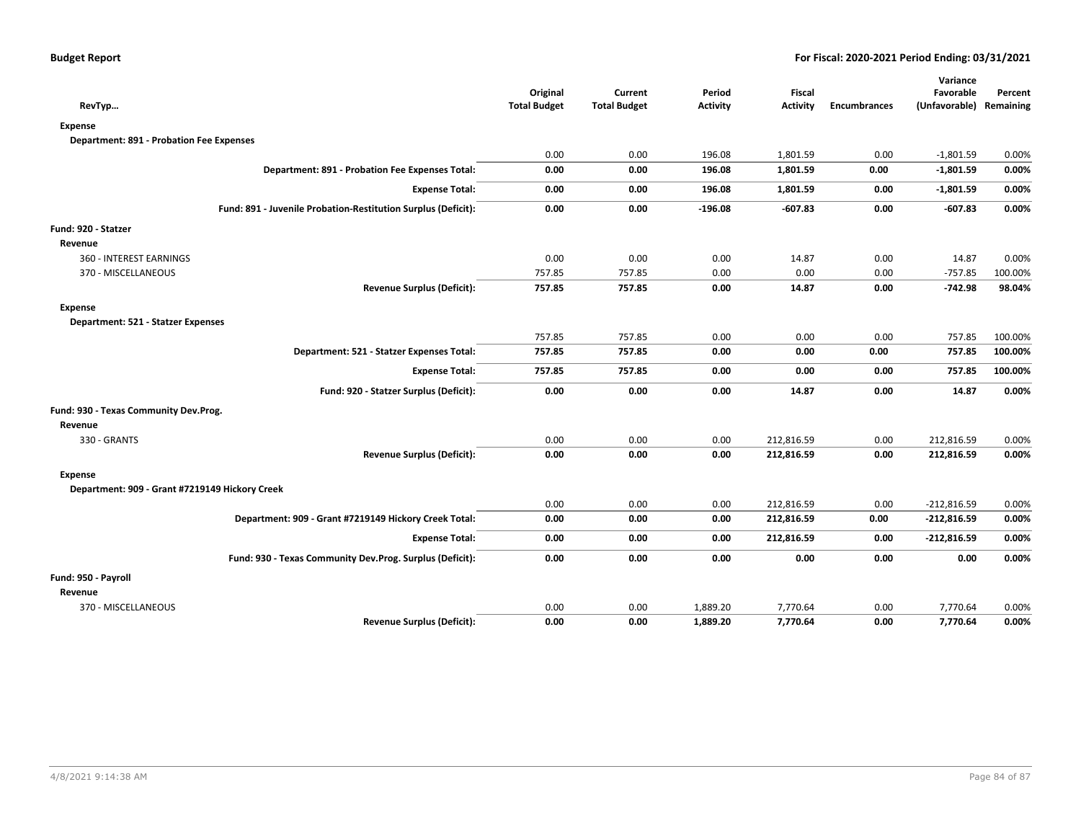|                                                               | Original            | Current             | Period          | <b>Fiscal</b>   |                     | Variance<br>Favorable | Percent   |
|---------------------------------------------------------------|---------------------|---------------------|-----------------|-----------------|---------------------|-----------------------|-----------|
| RevTyp                                                        | <b>Total Budget</b> | <b>Total Budget</b> | <b>Activity</b> | <b>Activity</b> | <b>Encumbrances</b> | (Unfavorable)         | Remaining |
| <b>Expense</b>                                                |                     |                     |                 |                 |                     |                       |           |
| <b>Department: 891 - Probation Fee Expenses</b>               |                     |                     |                 |                 |                     |                       |           |
|                                                               | 0.00                | 0.00                | 196.08          | 1,801.59        | 0.00                | $-1,801.59$           | 0.00%     |
| Department: 891 - Probation Fee Expenses Total:               | 0.00                | 0.00                | 196.08          | 1,801.59        | 0.00                | $-1,801.59$           | 0.00%     |
| <b>Expense Total:</b>                                         | 0.00                | 0.00                | 196.08          | 1,801.59        | 0.00                | $-1,801.59$           | 0.00%     |
| Fund: 891 - Juvenile Probation-Restitution Surplus (Deficit): | 0.00                | 0.00                | $-196.08$       | $-607.83$       | 0.00                | $-607.83$             | 0.00%     |
| Fund: 920 - Statzer                                           |                     |                     |                 |                 |                     |                       |           |
| Revenue                                                       |                     |                     |                 |                 |                     |                       |           |
| 360 - INTEREST EARNINGS                                       | 0.00                | 0.00                | 0.00            | 14.87           | 0.00                | 14.87                 | 0.00%     |
| 370 - MISCELLANEOUS                                           | 757.85              | 757.85              | 0.00            | 0.00            | 0.00                | $-757.85$             | 100.00%   |
| <b>Revenue Surplus (Deficit):</b>                             | 757.85              | 757.85              | 0.00            | 14.87           | 0.00                | $-742.98$             | 98.04%    |
| <b>Expense</b>                                                |                     |                     |                 |                 |                     |                       |           |
| Department: 521 - Statzer Expenses                            |                     |                     |                 |                 |                     |                       |           |
|                                                               | 757.85              | 757.85              | 0.00            | 0.00            | 0.00                | 757.85                | 100.00%   |
| Department: 521 - Statzer Expenses Total:                     | 757.85              | 757.85              | 0.00            | 0.00            | 0.00                | 757.85                | 100.00%   |
| <b>Expense Total:</b>                                         | 757.85              | 757.85              | 0.00            | 0.00            | 0.00                | 757.85                | 100.00%   |
| Fund: 920 - Statzer Surplus (Deficit):                        | 0.00                | 0.00                | 0.00            | 14.87           | 0.00                | 14.87                 | 0.00%     |
| Fund: 930 - Texas Community Dev.Prog.                         |                     |                     |                 |                 |                     |                       |           |
| Revenue                                                       |                     |                     |                 |                 |                     |                       |           |
| 330 - GRANTS                                                  | 0.00                | 0.00                | 0.00            | 212,816.59      | 0.00                | 212,816.59            | 0.00%     |
| <b>Revenue Surplus (Deficit):</b>                             | 0.00                | 0.00                | 0.00            | 212,816.59      | 0.00                | 212,816.59            | 0.00%     |
| <b>Expense</b>                                                |                     |                     |                 |                 |                     |                       |           |
| Department: 909 - Grant #7219149 Hickory Creek                |                     |                     |                 |                 |                     |                       |           |
|                                                               | 0.00                | 0.00                | 0.00            | 212,816.59      | 0.00                | $-212,816.59$         | 0.00%     |
| Department: 909 - Grant #7219149 Hickory Creek Total:         | 0.00                | 0.00                | 0.00            | 212,816.59      | 0.00                | $-212,816.59$         | 0.00%     |
| <b>Expense Total:</b>                                         | 0.00                | 0.00                | 0.00            | 212,816.59      | 0.00                | $-212,816.59$         | 0.00%     |
| Fund: 930 - Texas Community Dev.Prog. Surplus (Deficit):      | 0.00                | 0.00                | 0.00            | 0.00            | 0.00                | 0.00                  | 0.00%     |
| Fund: 950 - Payroll                                           |                     |                     |                 |                 |                     |                       |           |
| Revenue                                                       |                     |                     |                 |                 |                     |                       |           |
| 370 - MISCELLANEOUS                                           | 0.00                | 0.00                | 1,889.20        | 7,770.64        | 0.00                | 7,770.64              | 0.00%     |
| <b>Revenue Surplus (Deficit):</b>                             | 0.00                | 0.00                | 1,889.20        | 7,770.64        | 0.00                | 7,770.64              | 0.00%     |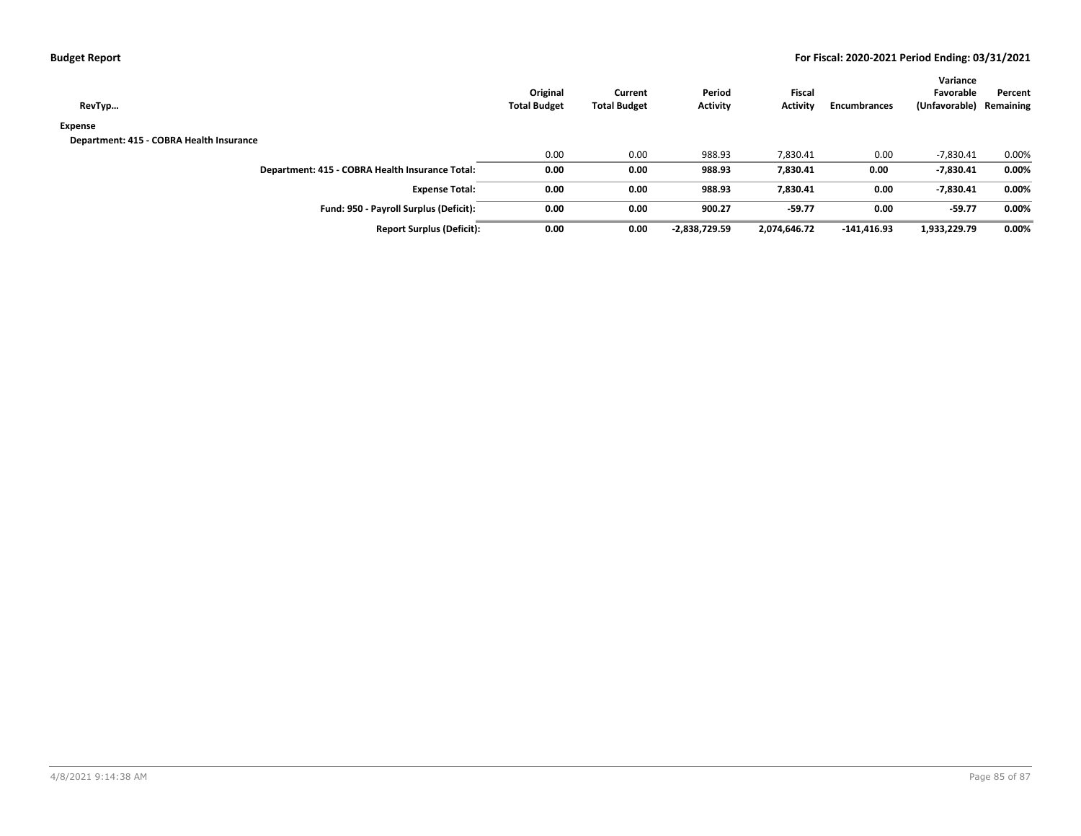| <b>Budget Report</b> |  |
|----------------------|--|
|----------------------|--|

| RevTyp                                          | Original<br><b>Total Budget</b> | Current<br><b>Total Budget</b> | Period<br><b>Activity</b> | <b>Fiscal</b><br><b>Activity</b> | <b>Encumbrances</b> | Variance<br>Favorable<br>(Unfavorable) Remaining | Percent |
|-------------------------------------------------|---------------------------------|--------------------------------|---------------------------|----------------------------------|---------------------|--------------------------------------------------|---------|
| Expense                                         |                                 |                                |                           |                                  |                     |                                                  |         |
| Department: 415 - COBRA Health Insurance        |                                 |                                |                           |                                  |                     |                                                  |         |
|                                                 | 0.00                            | 0.00                           | 988.93                    | 7,830.41                         | 0.00                | $-7,830.41$                                      | 0.00%   |
| Department: 415 - COBRA Health Insurance Total: | 0.00                            | 0.00                           | 988.93                    | 7,830.41                         | 0.00                | $-7,830.41$                                      | 0.00%   |
| <b>Expense Total:</b>                           | 0.00                            | 0.00                           | 988.93                    | 7,830.41                         | 0.00                | $-7,830.41$                                      | 0.00%   |
| Fund: 950 - Payroll Surplus (Deficit):          | 0.00                            | 0.00                           | 900.27                    | $-59.77$                         | 0.00                | $-59.77$                                         | 0.00%   |
| <b>Report Surplus (Deficit):</b>                | 0.00                            | 0.00                           | -2,838,729.59             | 2,074,646.72                     | $-141,416.93$       | 1,933,229.79                                     | 0.00%   |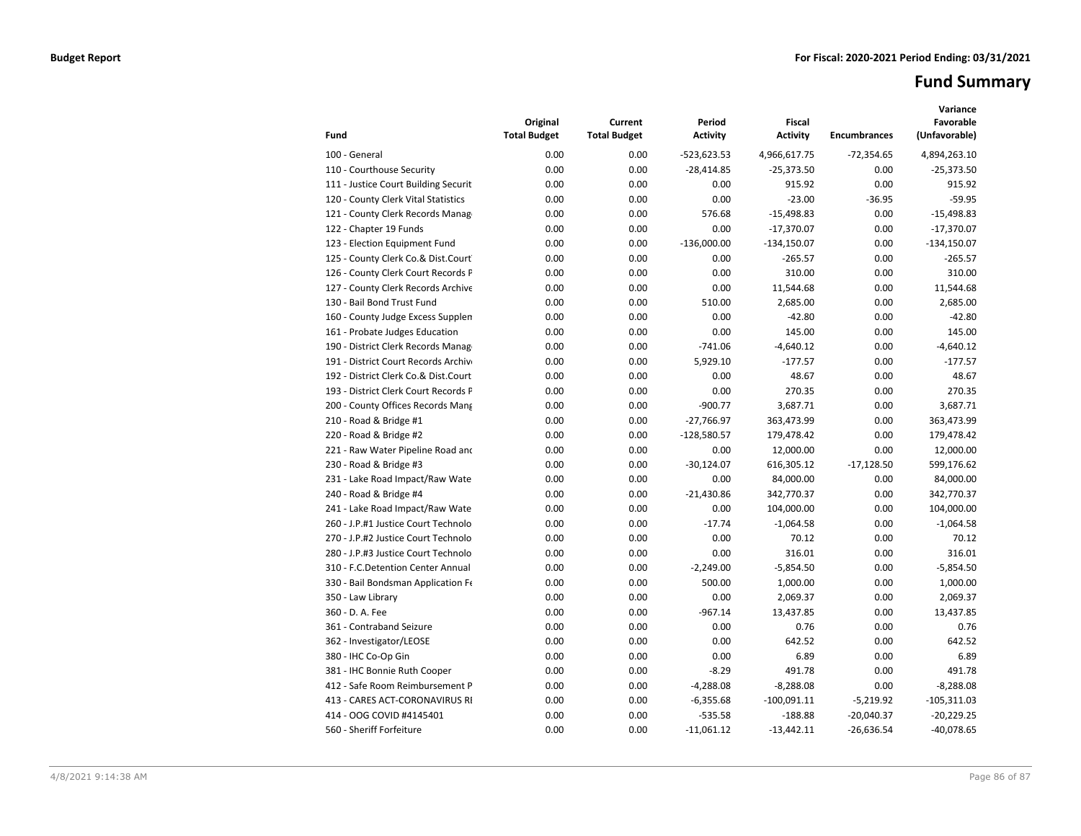# **Fund Summary**

| Fund                                 | Original<br><b>Total Budget</b> | Current<br><b>Total Budget</b> | Period<br><b>Activity</b> | <b>Fiscal</b><br><b>Activity</b> | <b>Encumbrances</b> | Variance<br>Favorable<br>(Unfavorable) |
|--------------------------------------|---------------------------------|--------------------------------|---------------------------|----------------------------------|---------------------|----------------------------------------|
| 100 - General                        | 0.00                            | 0.00                           | $-523,623.53$             | 4,966,617.75                     | $-72,354.65$        | 4,894,263.10                           |
| 110 - Courthouse Security            | 0.00                            | 0.00                           | $-28,414.85$              | $-25,373.50$                     | 0.00                | $-25,373.50$                           |
| 111 - Justice Court Building Securit | 0.00                            | 0.00                           | 0.00                      | 915.92                           | 0.00                | 915.92                                 |
| 120 - County Clerk Vital Statistics  | 0.00                            | 0.00                           | 0.00                      | $-23.00$                         | $-36.95$            | $-59.95$                               |
| 121 - County Clerk Records Manag     | 0.00                            | 0.00                           | 576.68                    | $-15,498.83$                     | 0.00                | $-15,498.83$                           |
| 122 - Chapter 19 Funds               | 0.00                            | 0.00                           | 0.00                      | $-17,370.07$                     | 0.00                | $-17,370.07$                           |
| 123 - Election Equipment Fund        | 0.00                            | 0.00                           | $-136,000.00$             | $-134,150.07$                    | 0.00                | $-134,150.07$                          |
| 125 - County Clerk Co.& Dist.Court   | 0.00                            | 0.00                           | 0.00                      | $-265.57$                        | 0.00                | $-265.57$                              |
| 126 - County Clerk Court Records P   | 0.00                            | 0.00                           | 0.00                      | 310.00                           | 0.00                | 310.00                                 |
| 127 - County Clerk Records Archive   | 0.00                            | 0.00                           | 0.00                      | 11,544.68                        | 0.00                | 11,544.68                              |
| 130 - Bail Bond Trust Fund           | 0.00                            | 0.00                           | 510.00                    | 2,685.00                         | 0.00                | 2,685.00                               |
| 160 - County Judge Excess Supplen    | 0.00                            | 0.00                           | 0.00                      | $-42.80$                         | 0.00                | $-42.80$                               |
| 161 - Probate Judges Education       | 0.00                            | 0.00                           | 0.00                      | 145.00                           | 0.00                | 145.00                                 |
| 190 - District Clerk Records Manag   | 0.00                            | 0.00                           | $-741.06$                 | $-4,640.12$                      | 0.00                | $-4,640.12$                            |
| 191 - District Court Records Archive | 0.00                            | 0.00                           | 5,929.10                  | $-177.57$                        | 0.00                | $-177.57$                              |
| 192 - District Clerk Co.& Dist.Court | 0.00                            | 0.00                           | 0.00                      | 48.67                            | 0.00                | 48.67                                  |
| 193 - District Clerk Court Records F | 0.00                            | 0.00                           | 0.00                      | 270.35                           | 0.00                | 270.35                                 |
| 200 - County Offices Records Mang    | 0.00                            | 0.00                           | $-900.77$                 | 3,687.71                         | 0.00                | 3,687.71                               |
| 210 - Road & Bridge #1               | 0.00                            | 0.00                           | $-27,766.97$              | 363,473.99                       | 0.00                | 363,473.99                             |
| 220 - Road & Bridge #2               | 0.00                            | 0.00                           | $-128,580.57$             | 179,478.42                       | 0.00                | 179,478.42                             |
| 221 - Raw Water Pipeline Road and    | 0.00                            | 0.00                           | 0.00                      | 12,000.00                        | 0.00                | 12,000.00                              |
| 230 - Road & Bridge #3               | 0.00                            | 0.00                           | $-30,124.07$              | 616,305.12                       | $-17,128.50$        | 599,176.62                             |
| 231 - Lake Road Impact/Raw Wate      | 0.00                            | 0.00                           | 0.00                      | 84,000.00                        | 0.00                | 84,000.00                              |
| 240 - Road & Bridge #4               | 0.00                            | 0.00                           | $-21,430.86$              | 342,770.37                       | 0.00                | 342,770.37                             |
| 241 - Lake Road Impact/Raw Wate      | 0.00                            | 0.00                           | 0.00                      | 104,000.00                       | 0.00                | 104,000.00                             |
| 260 - J.P.#1 Justice Court Technolo  | 0.00                            | 0.00                           | $-17.74$                  | $-1,064.58$                      | 0.00                | $-1.064.58$                            |
| 270 - J.P.#2 Justice Court Technolo  | 0.00                            | 0.00                           | 0.00                      | 70.12                            | 0.00                | 70.12                                  |
| 280 - J.P.#3 Justice Court Technolo  | 0.00                            | 0.00                           | 0.00                      | 316.01                           | 0.00                | 316.01                                 |
| 310 - F.C.Detention Center Annual    | 0.00                            | 0.00                           | $-2.249.00$               | $-5,854.50$                      | 0.00                | $-5,854.50$                            |
| 330 - Bail Bondsman Application Fe   | 0.00                            | 0.00                           | 500.00                    | 1,000.00                         | 0.00                | 1,000.00                               |
| 350 - Law Library                    | 0.00                            | 0.00                           | 0.00                      | 2,069.37                         | 0.00                | 2,069.37                               |
| 360 - D. A. Fee                      | 0.00                            | 0.00                           | $-967.14$                 | 13,437.85                        | 0.00                | 13,437.85                              |
| 361 - Contraband Seizure             | 0.00                            | 0.00                           | 0.00                      | 0.76                             | 0.00                | 0.76                                   |
| 362 - Investigator/LEOSE             | 0.00                            | 0.00                           | 0.00                      | 642.52                           | 0.00                | 642.52                                 |
| 380 - IHC Co-Op Gin                  | 0.00                            | 0.00                           | 0.00                      | 6.89                             | 0.00                | 6.89                                   |
| 381 - IHC Bonnie Ruth Cooper         | 0.00                            | 0.00                           | $-8.29$                   | 491.78                           | 0.00                | 491.78                                 |
| 412 - Safe Room Reimbursement P      | 0.00                            | 0.00                           | $-4,288.08$               | $-8,288.08$                      | 0.00                | $-8,288.08$                            |
| 413 - CARES ACT-CORONAVIRUS RI       | 0.00                            | 0.00                           | $-6,355.68$               | $-100,091.11$                    | $-5,219.92$         | $-105,311.03$                          |
| 414 - OOG COVID #4145401             | 0.00                            | 0.00                           | $-535.58$                 | $-188.88$                        | $-20,040.37$        | $-20,229.25$                           |
| 560 - Sheriff Forfeiture             | 0.00                            | 0.00                           | $-11,061.12$              | $-13,442.11$                     | $-26,636.54$        | $-40,078.65$                           |